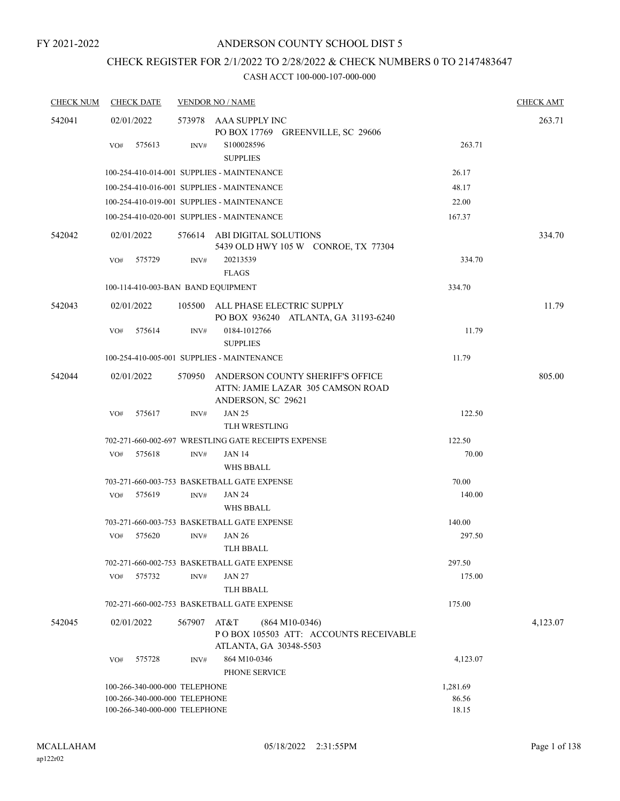# CHECK REGISTER FOR 2/1/2022 TO 2/28/2022 & CHECK NUMBERS 0 TO 2147483647

| <b>CHECK NUM</b> |            | <b>CHECK DATE</b>             |        | <b>VENDOR NO / NAME</b>                                                                      |          | <b>CHECK AMT</b> |
|------------------|------------|-------------------------------|--------|----------------------------------------------------------------------------------------------|----------|------------------|
| 542041           | 02/01/2022 |                               |        | 573978 AAA SUPPLY INC<br>PO BOX 17769 GREENVILLE, SC 29606                                   |          | 263.71           |
|                  | VO#        | 575613                        | INV#   | S100028596<br><b>SUPPLIES</b>                                                                | 263.71   |                  |
|                  |            |                               |        | 100-254-410-014-001 SUPPLIES - MAINTENANCE                                                   | 26.17    |                  |
|                  |            |                               |        | 100-254-410-016-001 SUPPLIES - MAINTENANCE                                                   | 48.17    |                  |
|                  |            |                               |        | 100-254-410-019-001 SUPPLIES - MAINTENANCE                                                   | 22.00    |                  |
|                  |            |                               |        | 100-254-410-020-001 SUPPLIES - MAINTENANCE                                                   | 167.37   |                  |
| 542042           | 02/01/2022 |                               |        | 576614 ABI DIGITAL SOLUTIONS<br>5439 OLD HWY 105 W CONROE, TX 77304                          |          | 334.70           |
|                  | VO#        | 575729                        | INV#   | 20213539<br><b>FLAGS</b>                                                                     | 334.70   |                  |
|                  |            |                               |        | 100-114-410-003-BAN BAND EQUIPMENT                                                           | 334.70   |                  |
| 542043           | 02/01/2022 |                               | 105500 | ALL PHASE ELECTRIC SUPPLY<br>PO BOX 936240 ATLANTA, GA 31193-6240                            |          | 11.79            |
|                  | VO#        | 575614                        | INV#   | 0184-1012766<br><b>SUPPLIES</b>                                                              | 11.79    |                  |
|                  |            |                               |        | 100-254-410-005-001 SUPPLIES - MAINTENANCE                                                   | 11.79    |                  |
| 542044           | 02/01/2022 |                               | 570950 | ANDERSON COUNTY SHERIFF'S OFFICE<br>ATTN: JAMIE LAZAR 305 CAMSON ROAD<br>ANDERSON, SC 29621  |          | 805.00           |
|                  | VO#        | 575617                        | INV#   | <b>JAN 25</b><br><b>TLH WRESTLING</b>                                                        | 122.50   |                  |
|                  |            |                               |        | 702-271-660-002-697 WRESTLING GATE RECEIPTS EXPENSE                                          | 122.50   |                  |
|                  | VO#        | 575618                        | INV#   | <b>JAN 14</b><br><b>WHS BBALL</b>                                                            | 70.00    |                  |
|                  |            |                               |        | 703-271-660-003-753 BASKETBALL GATE EXPENSE                                                  | 70.00    |                  |
|                  | VO#        | 575619                        | INV#   | <b>JAN 24</b><br>WHS BBALL                                                                   | 140.00   |                  |
|                  |            |                               |        | 703-271-660-003-753 BASKETBALL GATE EXPENSE                                                  | 140.00   |                  |
|                  | VO#        | 575620                        | INV#   | <b>JAN 26</b><br>TLH BBALL                                                                   | 297.50   |                  |
|                  |            |                               |        | 702-271-660-002-753 BASKETBALL GATE EXPENSE                                                  | 297.50   |                  |
|                  | VO#        | 575732                        | INV#   | <b>JAN 27</b><br><b>TLH BBALL</b>                                                            | 175.00   |                  |
|                  |            |                               |        | 702-271-660-002-753 BASKETBALL GATE EXPENSE                                                  | 175.00   |                  |
| 542045           | 02/01/2022 |                               | 567907 | AT&T<br>$(864 M10-0346)$<br>PO BOX 105503 ATT: ACCOUNTS RECEIVABLE<br>ATLANTA, GA 30348-5503 |          | 4,123.07         |
|                  | VO#        | 575728                        | INV#   | 864 M10-0346<br>PHONE SERVICE                                                                | 4,123.07 |                  |
|                  |            | 100-266-340-000-000 TELEPHONE |        |                                                                                              | 1,281.69 |                  |
|                  |            | 100-266-340-000-000 TELEPHONE |        |                                                                                              | 86.56    |                  |
|                  |            | 100-266-340-000-000 TELEPHONE |        |                                                                                              | 18.15    |                  |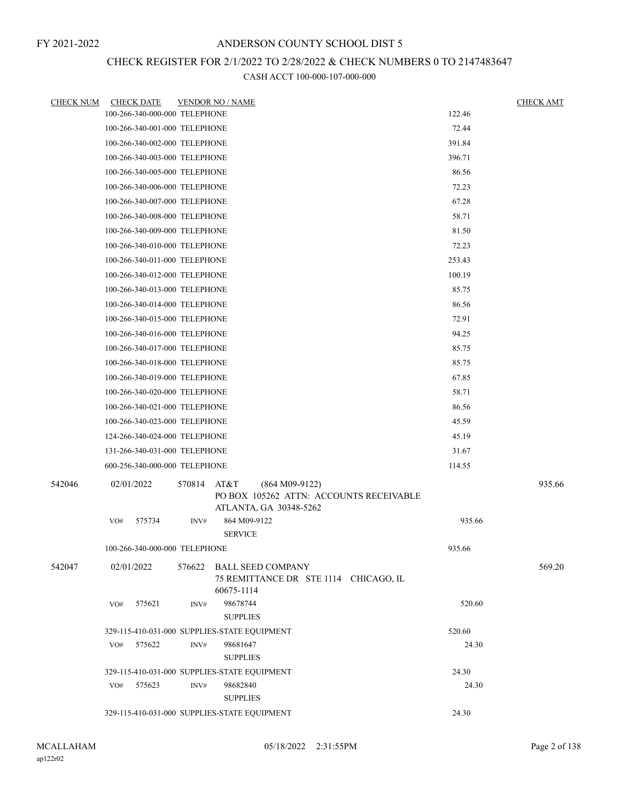# CHECK REGISTER FOR 2/1/2022 TO 2/28/2022 & CHECK NUMBERS 0 TO 2147483647

| <b>CHECK NUM</b> | <b>CHECK DATE</b>             |        | <b>VENDOR NO / NAME</b>                                                                       |        | <b>CHECK AMT</b> |
|------------------|-------------------------------|--------|-----------------------------------------------------------------------------------------------|--------|------------------|
|                  | 100-266-340-000-000 TELEPHONE |        |                                                                                               | 122.46 |                  |
|                  | 100-266-340-001-000 TELEPHONE |        |                                                                                               | 72.44  |                  |
|                  | 100-266-340-002-000 TELEPHONE |        |                                                                                               | 391.84 |                  |
|                  | 100-266-340-003-000 TELEPHONE |        |                                                                                               | 396.71 |                  |
|                  | 100-266-340-005-000 TELEPHONE |        |                                                                                               | 86.56  |                  |
|                  | 100-266-340-006-000 TELEPHONE |        |                                                                                               | 72.23  |                  |
|                  | 100-266-340-007-000 TELEPHONE |        |                                                                                               | 67.28  |                  |
|                  | 100-266-340-008-000 TELEPHONE |        |                                                                                               | 58.71  |                  |
|                  | 100-266-340-009-000 TELEPHONE |        |                                                                                               | 81.50  |                  |
|                  | 100-266-340-010-000 TELEPHONE |        |                                                                                               | 72.23  |                  |
|                  | 100-266-340-011-000 TELEPHONE |        |                                                                                               | 253.43 |                  |
|                  | 100-266-340-012-000 TELEPHONE |        |                                                                                               | 100.19 |                  |
|                  | 100-266-340-013-000 TELEPHONE |        |                                                                                               | 85.75  |                  |
|                  | 100-266-340-014-000 TELEPHONE |        |                                                                                               | 86.56  |                  |
|                  | 100-266-340-015-000 TELEPHONE |        |                                                                                               | 72.91  |                  |
|                  | 100-266-340-016-000 TELEPHONE |        |                                                                                               | 94.25  |                  |
|                  | 100-266-340-017-000 TELEPHONE |        |                                                                                               | 85.75  |                  |
|                  | 100-266-340-018-000 TELEPHONE |        |                                                                                               | 85.75  |                  |
|                  | 100-266-340-019-000 TELEPHONE |        |                                                                                               | 67.85  |                  |
|                  | 100-266-340-020-000 TELEPHONE |        |                                                                                               | 58.71  |                  |
|                  | 100-266-340-021-000 TELEPHONE |        |                                                                                               | 86.56  |                  |
|                  | 100-266-340-023-000 TELEPHONE |        |                                                                                               | 45.59  |                  |
|                  | 124-266-340-024-000 TELEPHONE |        |                                                                                               | 45.19  |                  |
|                  | 131-266-340-031-000 TELEPHONE |        |                                                                                               | 31.67  |                  |
|                  | 600-256-340-000-000 TELEPHONE |        |                                                                                               | 114.55 |                  |
| 542046           | 02/01/2022                    | 570814 | AT&T<br>$(864 M09-9122)$<br>PO BOX 105262 ATTN: ACCOUNTS RECEIVABLE<br>ATLANTA, GA 30348-5262 |        | 935.66           |
|                  | VO#<br>575734                 | INV#   | 864 M09-9122<br><b>SERVICE</b>                                                                | 935.66 |                  |
|                  | 100-266-340-000-000 TELEPHONE |        |                                                                                               | 935.66 |                  |
| 542047           | 02/01/2022                    |        | 576622 BALL SEED COMPANY<br>75 REMITTANCE DR STE 1114 CHICAGO, IL<br>60675-1114               |        | 569.20           |
|                  | 575621<br>VO#                 | INV#   | 98678744<br><b>SUPPLIES</b>                                                                   | 520.60 |                  |
|                  |                               |        | 329-115-410-031-000 SUPPLIES-STATE EQUIPMENT                                                  | 520.60 |                  |
|                  | VO#<br>575622                 | INV#   | 98681647<br><b>SUPPLIES</b>                                                                   | 24.30  |                  |
|                  |                               |        | 329-115-410-031-000 SUPPLIES-STATE EQUIPMENT                                                  | 24.30  |                  |
|                  | 575623<br>VO#                 | INV#   | 98682840<br><b>SUPPLIES</b>                                                                   | 24.30  |                  |
|                  |                               |        | 329-115-410-031-000 SUPPLIES-STATE EQUIPMENT                                                  | 24.30  |                  |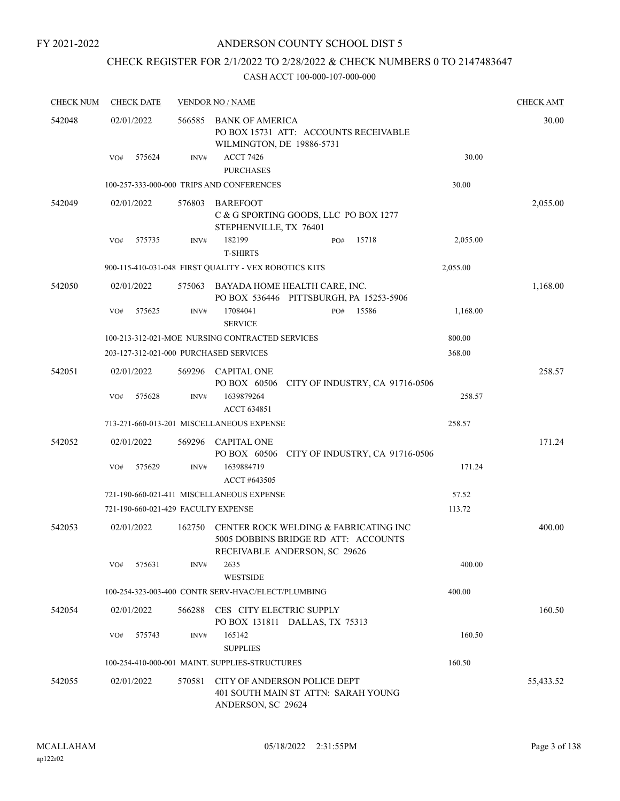### ANDERSON COUNTY SCHOOL DIST 5

# CHECK REGISTER FOR 2/1/2022 TO 2/28/2022 & CHECK NUMBERS 0 TO 2147483647

| <b>CHECK NUM</b> | <b>CHECK DATE</b>                      |        | <b>VENDOR NO / NAME</b>                                                                                        |          | <b>CHECK AMT</b> |
|------------------|----------------------------------------|--------|----------------------------------------------------------------------------------------------------------------|----------|------------------|
| 542048           | 02/01/2022                             | 566585 | BANK OF AMERICA<br>PO BOX 15731 ATT: ACCOUNTS RECEIVABLE<br>WILMINGTON, DE 19886-5731                          |          | 30.00            |
|                  | 575624<br>VO#                          | INV#   | <b>ACCT 7426</b><br><b>PURCHASES</b>                                                                           | 30.00    |                  |
|                  |                                        |        | 100-257-333-000-000 TRIPS AND CONFERENCES                                                                      | 30.00    |                  |
| 542049           | 02/01/2022                             | 576803 | <b>BAREFOOT</b><br>C & G SPORTING GOODS, LLC PO BOX 1277<br>STEPHENVILLE, TX 76401                             |          | 2,055.00         |
|                  | 575735<br>VO#                          | INV#   | 182199<br>15718<br>PO#<br><b>T-SHIRTS</b>                                                                      | 2,055.00 |                  |
|                  |                                        |        | 900-115-410-031-048 FIRST QUALITY - VEX ROBOTICS KITS                                                          | 2,055.00 |                  |
| 542050           | 02/01/2022                             |        | 575063 BAYADA HOME HEALTH CARE, INC.<br>PO BOX 536446 PITTSBURGH, PA 15253-5906                                |          | 1,168.00         |
|                  | VO#<br>575625                          | INV#   | 17084041<br>PO#<br>15586<br><b>SERVICE</b>                                                                     | 1,168.00 |                  |
|                  |                                        |        | 100-213-312-021-MOE NURSING CONTRACTED SERVICES                                                                | 800.00   |                  |
|                  | 203-127-312-021-000 PURCHASED SERVICES |        |                                                                                                                | 368.00   |                  |
| 542051           | 02/01/2022                             |        | 569296 CAPITAL ONE<br>PO BOX 60506 CITY OF INDUSTRY, CA 91716-0506                                             |          | 258.57           |
|                  | VO#<br>575628                          | INV#   | 1639879264<br>ACCT 634851                                                                                      | 258.57   |                  |
|                  |                                        |        | 713-271-660-013-201 MISCELLANEOUS EXPENSE                                                                      | 258.57   |                  |
| 542052           | 02/01/2022                             |        | 569296 CAPITAL ONE<br>PO BOX 60506 CITY OF INDUSTRY, CA 91716-0506                                             |          | 171.24           |
|                  | 575629<br>VO#                          | INV#   | 1639884719<br>ACCT #643505                                                                                     | 171.24   |                  |
|                  |                                        |        | 721-190-660-021-411 MISCELLANEOUS EXPENSE                                                                      | 57.52    |                  |
|                  | 721-190-660-021-429 FACULTY EXPENSE    |        |                                                                                                                | 113.72   |                  |
| 542053           | 02/01/2022                             | 162750 | CENTER ROCK WELDING & FABRICATING INC<br>5005 DOBBINS BRIDGE RD ATT: ACCOUNTS<br>RECEIVABLE ANDERSON, SC 29626 |          | 400.00           |
|                  | 575631<br>VO#                          | INV#   | 2635<br><b>WESTSIDE</b>                                                                                        | 400.00   |                  |
|                  |                                        |        | 100-254-323-003-400 CONTR SERV-HVAC/ELECT/PLUMBING                                                             | 400.00   |                  |
| 542054           | 02/01/2022                             | 566288 | CES CITY ELECTRIC SUPPLY<br>PO BOX 131811 DALLAS, TX 75313                                                     |          | 160.50           |
|                  | 575743<br>VO#                          | INV#   | 165142<br><b>SUPPLIES</b>                                                                                      | 160.50   |                  |
|                  |                                        |        | 100-254-410-000-001 MAINT. SUPPLIES-STRUCTURES                                                                 | 160.50   |                  |
| 542055           | 02/01/2022                             | 570581 | CITY OF ANDERSON POLICE DEPT<br>401 SOUTH MAIN ST ATTN: SARAH YOUNG<br>ANDERSON, SC 29624                      |          | 55,433.52        |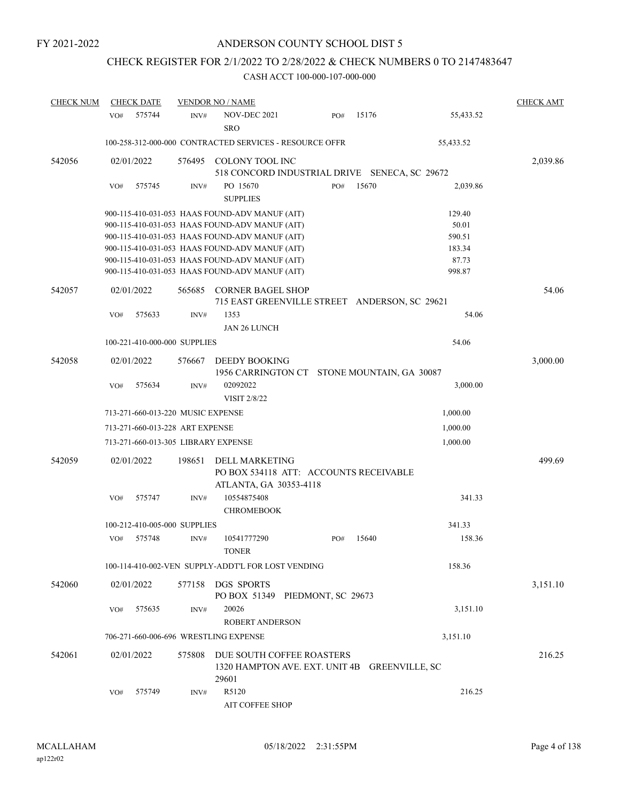# CHECK REGISTER FOR 2/1/2022 TO 2/28/2022 & CHECK NUMBERS 0 TO 2147483647

| <b>CHECK NUM</b> | <b>CHECK DATE</b>                     |        | <b>VENDOR NO / NAME</b>                                                                                                                                                                                                                                                                                  |                                                                            |       |                                                        | <b>CHECK AMT</b> |
|------------------|---------------------------------------|--------|----------------------------------------------------------------------------------------------------------------------------------------------------------------------------------------------------------------------------------------------------------------------------------------------------------|----------------------------------------------------------------------------|-------|--------------------------------------------------------|------------------|
|                  | 575744<br>VO#                         | INV#   | <b>NOV-DEC 2021</b><br><b>SRO</b>                                                                                                                                                                                                                                                                        | PO#                                                                        | 15176 | 55,433.52                                              |                  |
|                  |                                       |        | 100-258-312-000-000 CONTRACTED SERVICES - RESOURCE OFFR                                                                                                                                                                                                                                                  |                                                                            |       | 55,433.52                                              |                  |
| 542056           | 02/01/2022                            | 576495 | COLONY TOOL INC                                                                                                                                                                                                                                                                                          | 518 CONCORD INDUSTRIAL DRIVE SENECA, SC 29672                              |       |                                                        | 2,039.86         |
|                  | 575745<br>VO#                         | INV#   | PO 15670<br><b>SUPPLIES</b>                                                                                                                                                                                                                                                                              | PO#                                                                        | 15670 | 2,039.86                                               |                  |
|                  |                                       |        | 900-115-410-031-053 HAAS FOUND-ADV MANUF (AIT)<br>900-115-410-031-053 HAAS FOUND-ADV MANUF (AIT)<br>900-115-410-031-053 HAAS FOUND-ADV MANUF (AIT)<br>900-115-410-031-053 HAAS FOUND-ADV MANUF (AIT)<br>900-115-410-031-053 HAAS FOUND-ADV MANUF (AIT)<br>900-115-410-031-053 HAAS FOUND-ADV MANUF (AIT) |                                                                            |       | 129.40<br>50.01<br>590.51<br>183.34<br>87.73<br>998.87 |                  |
| 542057           | 02/01/2022                            | 565685 | <b>CORNER BAGEL SHOP</b>                                                                                                                                                                                                                                                                                 |                                                                            |       |                                                        | 54.06            |
|                  | 575633<br>VO#                         | INV#   | 1353<br>JAN 26 LUNCH                                                                                                                                                                                                                                                                                     | 715 EAST GREENVILLE STREET ANDERSON, SC 29621                              |       | 54.06                                                  |                  |
|                  | 100-221-410-000-000 SUPPLIES          |        |                                                                                                                                                                                                                                                                                                          |                                                                            |       | 54.06                                                  |                  |
| 542058           | 02/01/2022                            | 576667 | DEEDY BOOKING                                                                                                                                                                                                                                                                                            | 1956 CARRINGTON CT STONE MOUNTAIN, GA 30087                                |       |                                                        | 3,000.00         |
|                  | VO#<br>575634                         | INV#   | 02092022<br>VISIT 2/8/22                                                                                                                                                                                                                                                                                 |                                                                            |       | 3,000.00                                               |                  |
|                  | 713-271-660-013-220 MUSIC EXPENSE     |        |                                                                                                                                                                                                                                                                                                          |                                                                            |       | 1,000.00                                               |                  |
|                  | 713-271-660-013-228 ART EXPENSE       |        |                                                                                                                                                                                                                                                                                                          |                                                                            |       | 1,000.00                                               |                  |
|                  | 713-271-660-013-305 LIBRARY EXPENSE   |        |                                                                                                                                                                                                                                                                                                          |                                                                            |       | 1,000.00                                               |                  |
| 542059           | 02/01/2022                            | 198651 | DELL MARKETING<br>ATLANTA, GA 30353-4118                                                                                                                                                                                                                                                                 | PO BOX 534118 ATT: ACCOUNTS RECEIVABLE                                     |       |                                                        | 499.69           |
|                  | 575747<br>VO#                         | INV#   | 10554875408<br><b>CHROMEBOOK</b>                                                                                                                                                                                                                                                                         |                                                                            |       | 341.33                                                 |                  |
|                  | 100-212-410-005-000 SUPPLIES          |        |                                                                                                                                                                                                                                                                                                          |                                                                            |       | 341.33                                                 |                  |
|                  | VO#<br>575748                         | INV#   | 10541777290<br><b>TONER</b>                                                                                                                                                                                                                                                                              | PO#                                                                        | 15640 | 158.36                                                 |                  |
|                  |                                       |        | 100-114-410-002-VEN SUPPLY-ADDT'L FOR LOST VENDING                                                                                                                                                                                                                                                       |                                                                            |       | 158.36                                                 |                  |
| 542060           | 02/01/2022                            | 577158 | DGS SPORTS                                                                                                                                                                                                                                                                                               | PO BOX 51349 PIEDMONT, SC 29673                                            |       |                                                        | 3,151.10         |
|                  | 575635<br>VO#                         | INV#   | 20026<br>ROBERT ANDERSON                                                                                                                                                                                                                                                                                 |                                                                            |       | 3,151.10                                               |                  |
|                  | 706-271-660-006-696 WRESTLING EXPENSE |        |                                                                                                                                                                                                                                                                                                          |                                                                            |       | 3,151.10                                               |                  |
| 542061           | 02/01/2022                            | 575808 | 29601                                                                                                                                                                                                                                                                                                    | DUE SOUTH COFFEE ROASTERS<br>1320 HAMPTON AVE. EXT. UNIT 4B GREENVILLE, SC |       |                                                        | 216.25           |
|                  | VO#<br>575749                         | INV#   | R5120<br>AIT COFFEE SHOP                                                                                                                                                                                                                                                                                 |                                                                            |       | 216.25                                                 |                  |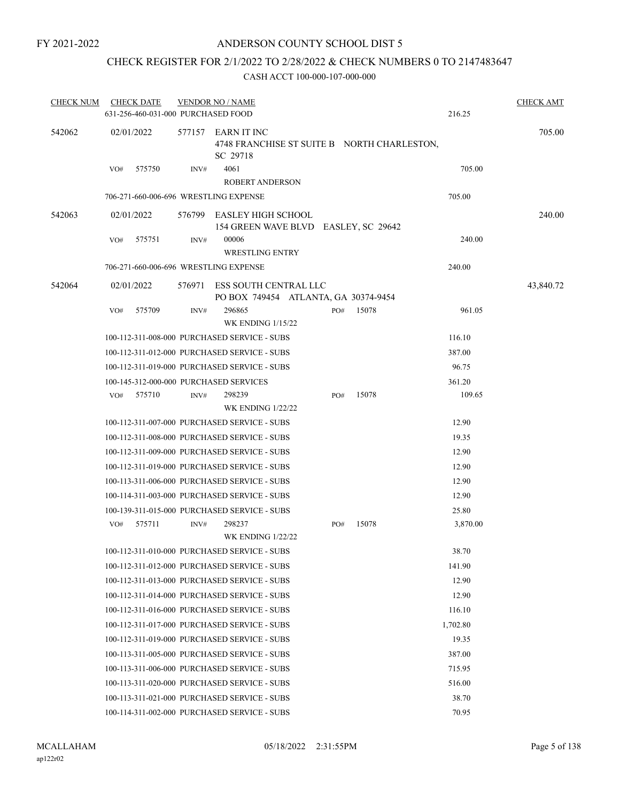## CHECK REGISTER FOR 2/1/2022 TO 2/28/2022 & CHECK NUMBERS 0 TO 2147483647

| <b>CHECK NUM</b> | <b>CHECK DATE</b> |        |      | <b>VENDOR NO / NAME</b>                                                       |     |       |          | <b>CHECK AMT</b> |
|------------------|-------------------|--------|------|-------------------------------------------------------------------------------|-----|-------|----------|------------------|
|                  |                   |        |      | 631-256-460-031-000 PURCHASED FOOD                                            |     |       | 216.25   |                  |
| 542062           | 02/01/2022        |        |      | 577157 EARN IT INC<br>4748 FRANCHISE ST SUITE B NORTH CHARLESTON,<br>SC 29718 |     |       |          | 705.00           |
|                  | VO#               | 575750 | INV# | 4061<br><b>ROBERT ANDERSON</b>                                                |     |       | 705.00   |                  |
|                  |                   |        |      | 706-271-660-006-696 WRESTLING EXPENSE                                         |     |       | 705.00   |                  |
| 542063           | 02/01/2022        |        |      | 576799 EASLEY HIGH SCHOOL<br>154 GREEN WAVE BLVD EASLEY, SC 29642             |     |       |          | 240.00           |
|                  | VO#               | 575751 | INV# | 00006<br><b>WRESTLING ENTRY</b>                                               |     |       | 240.00   |                  |
|                  |                   |        |      | 706-271-660-006-696 WRESTLING EXPENSE                                         |     |       | 240.00   |                  |
| 542064           | 02/01/2022        |        |      | 576971 ESS SOUTH CENTRAL LLC<br>PO BOX 749454 ATLANTA, GA 30374-9454          |     |       |          | 43,840.72        |
|                  | VO#               | 575709 | INV# | 296865<br><b>WK ENDING 1/15/22</b>                                            | PO# | 15078 | 961.05   |                  |
|                  |                   |        |      | 100-112-311-008-000 PURCHASED SERVICE - SUBS                                  |     |       | 116.10   |                  |
|                  |                   |        |      | 100-112-311-012-000 PURCHASED SERVICE - SUBS                                  |     |       | 387.00   |                  |
|                  |                   |        |      | 100-112-311-019-000 PURCHASED SERVICE - SUBS                                  |     |       | 96.75    |                  |
|                  |                   |        |      | 100-145-312-000-000 PURCHASED SERVICES                                        |     |       | 361.20   |                  |
|                  | VO#               | 575710 | INV# | 298239<br><b>WK ENDING 1/22/22</b>                                            | PO# | 15078 | 109.65   |                  |
|                  |                   |        |      | 100-112-311-007-000 PURCHASED SERVICE - SUBS                                  |     |       | 12.90    |                  |
|                  |                   |        |      | 100-112-311-008-000 PURCHASED SERVICE - SUBS                                  |     |       | 19.35    |                  |
|                  |                   |        |      | 100-112-311-009-000 PURCHASED SERVICE - SUBS                                  |     |       | 12.90    |                  |
|                  |                   |        |      | 100-112-311-019-000 PURCHASED SERVICE - SUBS                                  |     |       | 12.90    |                  |
|                  |                   |        |      | 100-113-311-006-000 PURCHASED SERVICE - SUBS                                  |     |       | 12.90    |                  |
|                  |                   |        |      | 100-114-311-003-000 PURCHASED SERVICE - SUBS                                  |     |       | 12.90    |                  |
|                  |                   |        |      | 100-139-311-015-000 PURCHASED SERVICE - SUBS                                  |     |       | 25.80    |                  |
|                  | VO#               | 575711 | INV# | 298237                                                                        | PO# | 15078 | 3,870.00 |                  |
|                  |                   |        |      | <b>WK ENDING 1/22/22</b>                                                      |     |       |          |                  |
|                  |                   |        |      | 100-112-311-010-000 PURCHASED SERVICE - SUBS                                  |     |       | 38.70    |                  |
|                  |                   |        |      | 100-112-311-012-000 PURCHASED SERVICE - SUBS                                  |     |       | 141.90   |                  |
|                  |                   |        |      | 100-112-311-013-000 PURCHASED SERVICE - SUBS                                  |     |       | 12.90    |                  |
|                  |                   |        |      | 100-112-311-014-000 PURCHASED SERVICE - SUBS                                  |     |       | 12.90    |                  |
|                  |                   |        |      | 100-112-311-016-000 PURCHASED SERVICE - SUBS                                  |     |       | 116.10   |                  |
|                  |                   |        |      | 100-112-311-017-000 PURCHASED SERVICE - SUBS                                  |     |       | 1,702.80 |                  |
|                  |                   |        |      | 100-112-311-019-000 PURCHASED SERVICE - SUBS                                  |     |       | 19.35    |                  |
|                  |                   |        |      | 100-113-311-005-000 PURCHASED SERVICE - SUBS                                  |     |       | 387.00   |                  |
|                  |                   |        |      | 100-113-311-006-000 PURCHASED SERVICE - SUBS                                  |     |       | 715.95   |                  |
|                  |                   |        |      | 100-113-311-020-000 PURCHASED SERVICE - SUBS                                  |     |       | 516.00   |                  |
|                  |                   |        |      | 100-113-311-021-000 PURCHASED SERVICE - SUBS                                  |     |       | 38.70    |                  |
|                  |                   |        |      | 100-114-311-002-000 PURCHASED SERVICE - SUBS                                  |     |       | 70.95    |                  |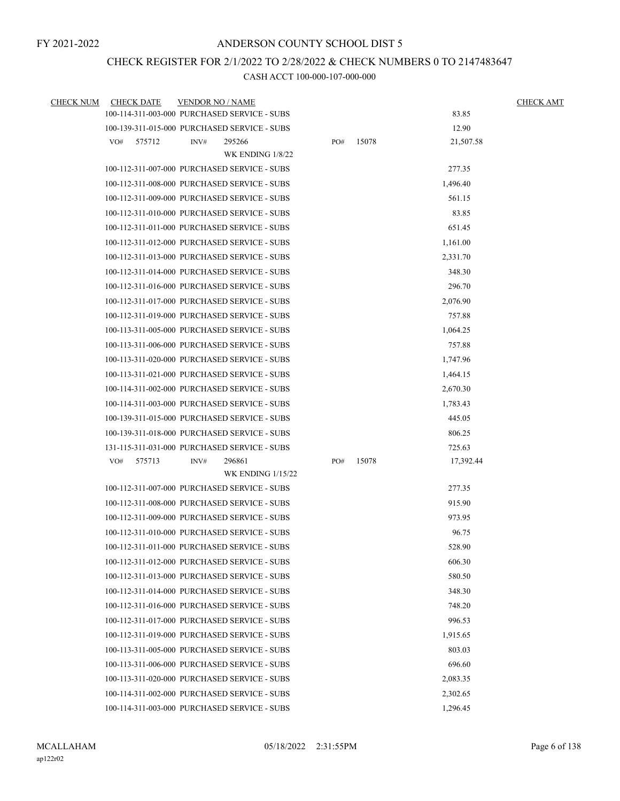# CHECK REGISTER FOR 2/1/2022 TO 2/28/2022 & CHECK NUMBERS 0 TO 2147483647

| <b>CHECK NUM</b> | <b>CHECK DATE</b> | <b>VENDOR NO / NAME</b>                      |     |       |           | <b>CHECK AMT</b> |
|------------------|-------------------|----------------------------------------------|-----|-------|-----------|------------------|
|                  |                   | 100-114-311-003-000 PURCHASED SERVICE - SUBS |     |       | 83.85     |                  |
|                  |                   | 100-139-311-015-000 PURCHASED SERVICE - SUBS |     |       | 12.90     |                  |
|                  | 575712<br>VO#     | 295266<br>INV#                               | PO# | 15078 | 21,507.58 |                  |
|                  |                   | WK ENDING 1/8/22                             |     |       |           |                  |
|                  |                   | 100-112-311-007-000 PURCHASED SERVICE - SUBS |     |       | 277.35    |                  |
|                  |                   | 100-112-311-008-000 PURCHASED SERVICE - SUBS |     |       | 1,496.40  |                  |
|                  |                   | 100-112-311-009-000 PURCHASED SERVICE - SUBS |     |       | 561.15    |                  |
|                  |                   | 100-112-311-010-000 PURCHASED SERVICE - SUBS |     |       | 83.85     |                  |
|                  |                   | 100-112-311-011-000 PURCHASED SERVICE - SUBS |     |       | 651.45    |                  |
|                  |                   | 100-112-311-012-000 PURCHASED SERVICE - SUBS |     |       | 1,161.00  |                  |
|                  |                   | 100-112-311-013-000 PURCHASED SERVICE - SUBS |     |       | 2,331.70  |                  |
|                  |                   | 100-112-311-014-000 PURCHASED SERVICE - SUBS |     |       | 348.30    |                  |
|                  |                   | 100-112-311-016-000 PURCHASED SERVICE - SUBS |     |       | 296.70    |                  |
|                  |                   | 100-112-311-017-000 PURCHASED SERVICE - SUBS |     |       | 2,076.90  |                  |
|                  |                   | 100-112-311-019-000 PURCHASED SERVICE - SUBS |     |       | 757.88    |                  |
|                  |                   | 100-113-311-005-000 PURCHASED SERVICE - SUBS |     |       | 1,064.25  |                  |
|                  |                   | 100-113-311-006-000 PURCHASED SERVICE - SUBS |     |       | 757.88    |                  |
|                  |                   | 100-113-311-020-000 PURCHASED SERVICE - SUBS |     |       | 1,747.96  |                  |
|                  |                   | 100-113-311-021-000 PURCHASED SERVICE - SUBS |     |       | 1,464.15  |                  |
|                  |                   | 100-114-311-002-000 PURCHASED SERVICE - SUBS |     |       | 2,670.30  |                  |
|                  |                   | 100-114-311-003-000 PURCHASED SERVICE - SUBS |     |       | 1,783.43  |                  |
|                  |                   | 100-139-311-015-000 PURCHASED SERVICE - SUBS |     |       | 445.05    |                  |
|                  |                   | 100-139-311-018-000 PURCHASED SERVICE - SUBS |     |       | 806.25    |                  |
|                  |                   | 131-115-311-031-000 PURCHASED SERVICE - SUBS |     |       | 725.63    |                  |
|                  | 575713<br>VO#     | 296861<br>INV#                               | PO# | 15078 | 17,392.44 |                  |
|                  |                   | <b>WK ENDING 1/15/22</b>                     |     |       |           |                  |
|                  |                   | 100-112-311-007-000 PURCHASED SERVICE - SUBS |     |       | 277.35    |                  |
|                  |                   | 100-112-311-008-000 PURCHASED SERVICE - SUBS |     |       | 915.90    |                  |
|                  |                   | 100-112-311-009-000 PURCHASED SERVICE - SUBS |     |       | 973.95    |                  |
|                  |                   | 100-112-311-010-000 PURCHASED SERVICE - SUBS |     |       | 96.75     |                  |
|                  |                   | 100-112-311-011-000 PURCHASED SERVICE - SUBS |     |       | 528.90    |                  |
|                  |                   | 100-112-311-012-000 PURCHASED SERVICE - SUBS |     |       | 606.30    |                  |
|                  |                   | 100-112-311-013-000 PURCHASED SERVICE - SUBS |     |       | 580.50    |                  |
|                  |                   | 100-112-311-014-000 PURCHASED SERVICE - SUBS |     |       | 348.30    |                  |
|                  |                   | 100-112-311-016-000 PURCHASED SERVICE - SUBS |     |       | 748.20    |                  |
|                  |                   | 100-112-311-017-000 PURCHASED SERVICE - SUBS |     |       | 996.53    |                  |
|                  |                   | 100-112-311-019-000 PURCHASED SERVICE - SUBS |     |       | 1,915.65  |                  |
|                  |                   | 100-113-311-005-000 PURCHASED SERVICE - SUBS |     |       | 803.03    |                  |
|                  |                   | 100-113-311-006-000 PURCHASED SERVICE - SUBS |     |       | 696.60    |                  |
|                  |                   | 100-113-311-020-000 PURCHASED SERVICE - SUBS |     |       | 2,083.35  |                  |
|                  |                   | 100-114-311-002-000 PURCHASED SERVICE - SUBS |     |       | 2,302.65  |                  |
|                  |                   | 100-114-311-003-000 PURCHASED SERVICE - SUBS |     |       | 1,296.45  |                  |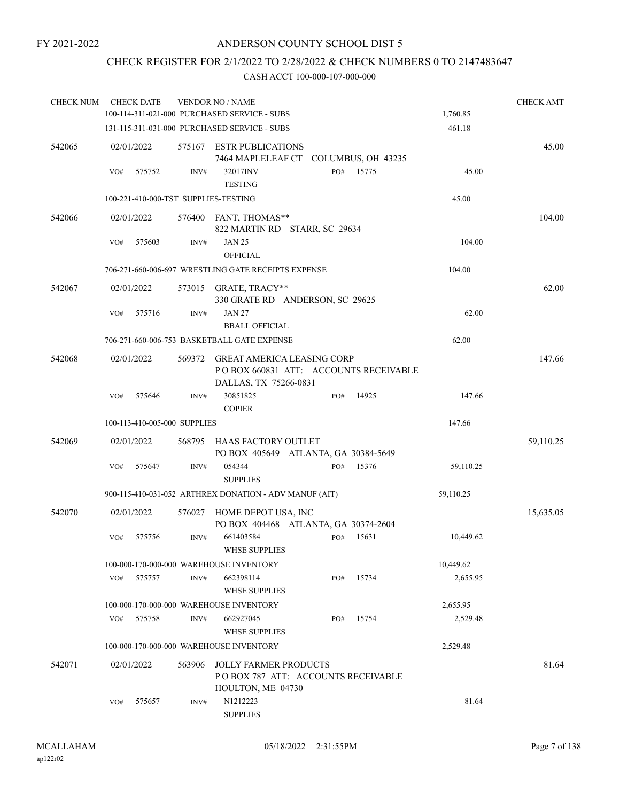## CHECK REGISTER FOR 2/1/2022 TO 2/28/2022 & CHECK NUMBERS 0 TO 2147483647

| <b>CHECK NUM</b> | <b>CHECK DATE</b>                    |        | <b>VENDOR NO / NAME</b><br>100-114-311-021-000 PURCHASED SERVICE - SUBS                              |     |       | 1,760.85  | <b>CHECK AMT</b> |
|------------------|--------------------------------------|--------|------------------------------------------------------------------------------------------------------|-----|-------|-----------|------------------|
|                  |                                      |        | 131-115-311-031-000 PURCHASED SERVICE - SUBS                                                         |     |       | 461.18    |                  |
| 542065           | 02/01/2022<br>575752<br>VO#          | INV#   | 575167 ESTR PUBLICATIONS<br>7464 MAPLELEAF CT COLUMBUS, OH 43235<br>32017INV                         | PO# | 15775 | 45.00     | 45.00            |
|                  | 100-221-410-000-TST SUPPLIES-TESTING |        | <b>TESTING</b>                                                                                       |     |       | 45.00     |                  |
| 542066           | 02/01/2022                           |        | 576400 FANT, THOMAS**<br>822 MARTIN RD STARR, SC 29634                                               |     |       |           | 104.00           |
|                  | VO#<br>575603                        | INV#   | <b>JAN 25</b><br><b>OFFICIAL</b>                                                                     |     |       | 104.00    |                  |
|                  |                                      |        | 706-271-660-006-697 WRESTLING GATE RECEIPTS EXPENSE                                                  |     |       | 104.00    |                  |
| 542067           | 02/01/2022                           |        | 573015 GRATE, TRACY**<br>330 GRATE RD ANDERSON, SC 29625                                             |     |       |           | 62.00            |
|                  | 575716<br>VO#                        | INV#   | <b>JAN 27</b><br><b>BBALL OFFICIAL</b>                                                               |     |       | 62.00     |                  |
|                  |                                      |        | 706-271-660-006-753 BASKETBALL GATE EXPENSE                                                          |     |       | 62.00     |                  |
| 542068           | 02/01/2022                           |        | 569372 GREAT AMERICA LEASING CORP<br>PO BOX 660831 ATT: ACCOUNTS RECEIVABLE<br>DALLAS, TX 75266-0831 |     |       |           | 147.66           |
|                  | VO#<br>575646                        | INV#   | 30851825<br><b>COPIER</b>                                                                            | PO# | 14925 | 147.66    |                  |
|                  | 100-113-410-005-000 SUPPLIES         |        |                                                                                                      |     |       | 147.66    |                  |
| 542069           | 02/01/2022                           |        | 568795 HAAS FACTORY OUTLET<br>PO BOX 405649 ATLANTA, GA 30384-5649                                   |     |       |           | 59,110.25        |
|                  | VO#<br>575647                        | INV#   | 054344<br><b>SUPPLIES</b>                                                                            | PO# | 15376 | 59,110.25 |                  |
|                  |                                      |        | 900-115-410-031-052 ARTHREX DONATION - ADV MANUF (AIT)                                               |     |       | 59,110.25 |                  |
| 542070           | 02/01/2022                           |        | 576027 HOME DEPOT USA, INC<br>PO BOX 404468 ATLANTA, GA 30374-2604                                   |     |       |           | 15,635.05        |
|                  | 575756<br>VO#                        | INV#   | 661403584<br>WHSE SUPPLIES                                                                           | PO# | 15631 | 10,449.62 |                  |
|                  |                                      |        | 100-000-170-000-000 WAREHOUSE INVENTORY                                                              |     |       | 10,449.62 |                  |
|                  | VO#<br>575757                        | INV#   | 662398114<br><b>WHSE SUPPLIES</b>                                                                    | PO# | 15734 | 2,655.95  |                  |
|                  |                                      |        | 100-000-170-000-000 WAREHOUSE INVENTORY                                                              |     |       | 2,655.95  |                  |
|                  | 575758<br>VO#                        | INV#   | 662927045<br><b>WHSE SUPPLIES</b>                                                                    | PO# | 15754 | 2,529.48  |                  |
|                  |                                      |        | 100-000-170-000-000 WAREHOUSE INVENTORY                                                              |     |       | 2,529.48  |                  |
| 542071           | 02/01/2022                           | 563906 | <b>JOLLY FARMER PRODUCTS</b><br>POBOX 787 ATT: ACCOUNTS RECEIVABLE<br>HOULTON, ME 04730              |     |       |           | 81.64            |
|                  | 575657<br>VO#                        | INV#   | N1212223<br><b>SUPPLIES</b>                                                                          |     |       | 81.64     |                  |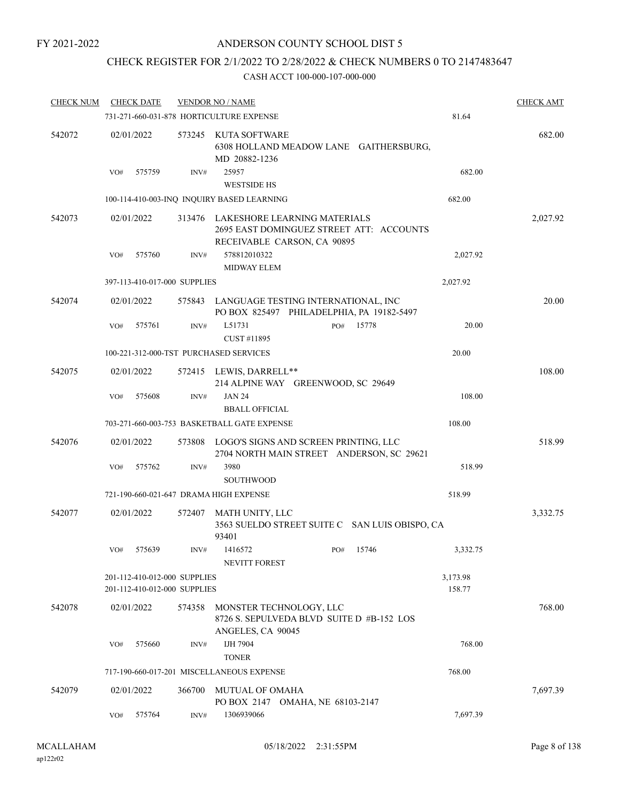### CHECK REGISTER FOR 2/1/2022 TO 2/28/2022 & CHECK NUMBERS 0 TO 2147483647

| <b>CHECK NUM</b> | <b>CHECK DATE</b> |                                                              | <b>VENDOR NO / NAME</b>                                                                                 |     |           |                    | <b>CHECK AMT</b> |
|------------------|-------------------|--------------------------------------------------------------|---------------------------------------------------------------------------------------------------------|-----|-----------|--------------------|------------------|
|                  |                   |                                                              | 731-271-660-031-878 HORTICULTURE EXPENSE                                                                |     |           | 81.64              |                  |
| 542072           | 02/01/2022        | 573245                                                       | KUTA SOFTWARE<br>6308 HOLLAND MEADOW LANE GAITHERSBURG,<br>MD 20882-1236                                |     |           |                    | 682.00           |
|                  | VO#               | 575759<br>INV#                                               | 25957<br><b>WESTSIDE HS</b>                                                                             |     |           | 682.00             |                  |
|                  |                   |                                                              | 100-114-410-003-INQ INQUIRY BASED LEARNING                                                              |     |           | 682.00             |                  |
| 542073           | 02/01/2022        | 313476                                                       | LAKESHORE LEARNING MATERIALS<br>2695 EAST DOMINGUEZ STREET ATT: ACCOUNTS<br>RECEIVABLE CARSON, CA 90895 |     |           |                    | 2,027.92         |
|                  | VO#               | 575760<br>INV#                                               | 578812010322<br><b>MIDWAY ELEM</b>                                                                      |     |           | 2,027.92           |                  |
|                  |                   | 397-113-410-017-000 SUPPLIES                                 |                                                                                                         |     |           | 2,027.92           |                  |
| 542074           | 02/01/2022        | 575843                                                       | LANGUAGE TESTING INTERNATIONAL, INC<br>PO BOX 825497 PHILADELPHIA, PA 19182-5497                        |     |           |                    | 20.00            |
|                  | VO#               | 575761<br>INV#                                               | L51731<br>CUST #11895                                                                                   | PO# | 15778     | 20.00              |                  |
|                  |                   |                                                              | 100-221-312-000-TST PURCHASED SERVICES                                                                  |     |           | 20.00              |                  |
| 542075           | 02/01/2022        |                                                              | 572415 LEWIS, DARRELL**<br>214 ALPINE WAY GREENWOOD, SC 29649                                           |     |           |                    | 108.00           |
|                  | VO#               | 575608<br>INV#                                               | <b>JAN 24</b><br><b>BBALL OFFICIAL</b>                                                                  |     |           | 108.00             |                  |
|                  |                   |                                                              | 703-271-660-003-753 BASKETBALL GATE EXPENSE                                                             |     |           | 108.00             |                  |
| 542076           | 02/01/2022        | 573808                                                       | LOGO'S SIGNS AND SCREEN PRINTING, LLC<br>2704 NORTH MAIN STREET ANDERSON, SC 29621                      |     |           |                    | 518.99           |
|                  | VO#               | 575762<br>INV#                                               | 3980<br><b>SOUTHWOOD</b>                                                                                |     |           | 518.99             |                  |
|                  |                   |                                                              | 721-190-660-021-647 DRAMA HIGH EXPENSE                                                                  |     |           | 518.99             |                  |
| 542077           | 02/01/2022        | 572407                                                       | MATH UNITY, LLC<br>3563 SUELDO STREET SUITE C SAN LUIS OBISPO, CA<br>93401                              |     |           |                    | 3,332.75         |
|                  | VO# 575639        |                                                              | INV# 1416572<br>NEVITT FOREST                                                                           |     | PO# 15746 | 3,332.75           |                  |
|                  |                   | 201-112-410-012-000 SUPPLIES<br>201-112-410-012-000 SUPPLIES |                                                                                                         |     |           | 3,173.98<br>158.77 |                  |
| 542078           | 02/01/2022        | 574358                                                       | MONSTER TECHNOLOGY, LLC<br>8726 S. SEPULVEDA BLVD SUITE D #B-152 LOS<br>ANGELES, CA 90045               |     |           |                    | 768.00           |
|                  | VO#               | 575660<br>INV#                                               | IJH 7904<br><b>TONER</b>                                                                                |     |           | 768.00             |                  |
|                  |                   |                                                              | 717-190-660-017-201 MISCELLANEOUS EXPENSE                                                               |     |           | 768.00             |                  |
| 542079           | 02/01/2022        | 366700                                                       | MUTUAL OF OMAHA<br>PO BOX 2147 OMAHA, NE 68103-2147                                                     |     |           |                    | 7,697.39         |
|                  | VO#               | 575764<br>INV#                                               | 1306939066                                                                                              |     |           | 7,697.39           |                  |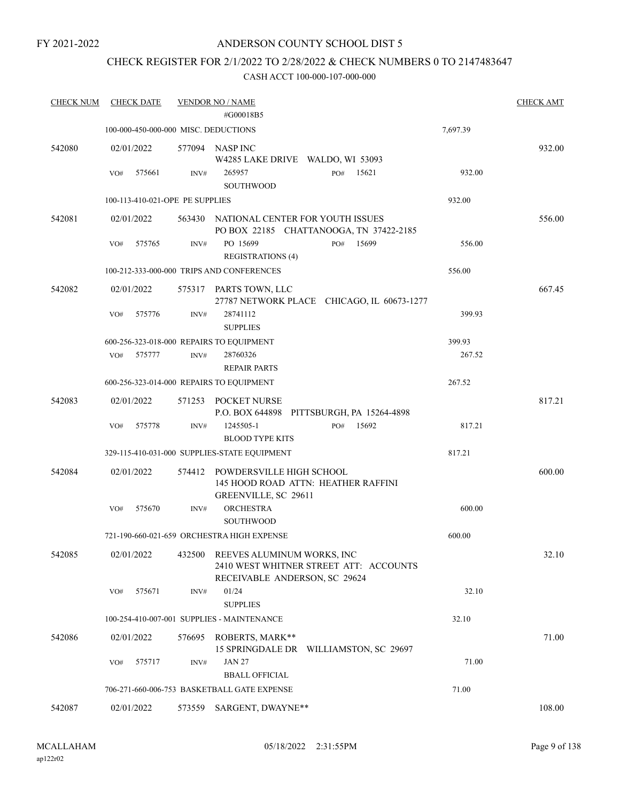### ANDERSON COUNTY SCHOOL DIST 5

## CHECK REGISTER FOR 2/1/2022 TO 2/28/2022 & CHECK NUMBERS 0 TO 2147483647

| <b>CHECK NUM</b> | <b>CHECK DATE</b>                        |        | <b>VENDOR NO / NAME</b>                                     |                                            |          | <b>CHECK AMT</b> |
|------------------|------------------------------------------|--------|-------------------------------------------------------------|--------------------------------------------|----------|------------------|
|                  |                                          |        | #G00018B5                                                   |                                            |          |                  |
|                  | 100-000-450-000-000 MISC. DEDUCTIONS     |        |                                                             |                                            | 7,697.39 |                  |
| 542080           | 02/01/2022                               |        | 577094 NASP INC<br>W4285 LAKE DRIVE WALDO, WI 53093         |                                            |          | 932.00           |
|                  | VO#<br>575661                            | INV#   | 265957<br><b>SOUTHWOOD</b>                                  | 15621<br>PO#                               | 932.00   |                  |
|                  | 100-113-410-021-OPE PE SUPPLIES          |        |                                                             |                                            | 932.00   |                  |
| 542081           | 02/01/2022                               |        | 563430 NATIONAL CENTER FOR YOUTH ISSUES                     | PO BOX 22185 CHATTANOOGA, TN 37422-2185    |          | 556.00           |
|                  | 575765<br>VO#                            | INV#   | PO 15699<br><b>REGISTRATIONS (4)</b>                        | 15699<br>PO#                               | 556.00   |                  |
|                  |                                          |        | 100-212-333-000-000 TRIPS AND CONFERENCES                   |                                            | 556.00   |                  |
| 542082           | 02/01/2022                               |        | 575317 PARTS TOWN, LLC                                      | 27787 NETWORK PLACE CHICAGO, IL 60673-1277 |          | 667.45           |
|                  | 575776<br>VO#                            | INV#   | 28741112<br><b>SUPPLIES</b>                                 |                                            | 399.93   |                  |
|                  | 600-256-323-018-000 REPAIRS TO EQUIPMENT |        |                                                             |                                            | 399.93   |                  |
|                  | 575777<br>VO#                            | INV#   | 28760326<br><b>REPAIR PARTS</b>                             |                                            | 267.52   |                  |
|                  | 600-256-323-014-000 REPAIRS TO EQUIPMENT |        |                                                             |                                            | 267.52   |                  |
| 542083           | 02/01/2022                               | 571253 | POCKET NURSE                                                | P.O. BOX 644898 PITTSBURGH, PA 15264-4898  |          | 817.21           |
|                  | 575778<br>VO#                            | INV#   | 1245505-1<br><b>BLOOD TYPE KITS</b>                         | 15692<br>PO#                               | 817.21   |                  |
|                  |                                          |        | 329-115-410-031-000 SUPPLIES-STATE EQUIPMENT                |                                            | 817.21   |                  |
| 542084           | 02/01/2022                               | 574412 | POWDERSVILLE HIGH SCHOOL<br>GREENVILLE, SC 29611            | 145 HOOD ROAD ATTN: HEATHER RAFFINI        |          | 600.00           |
|                  | 575670<br>VO#                            | INV#   | <b>ORCHESTRA</b><br><b>SOUTHWOOD</b>                        |                                            | 600.00   |                  |
|                  |                                          |        | 721-190-660-021-659 ORCHESTRA HIGH EXPENSE                  |                                            | 600.00   |                  |
| 542085           | 02/01/2022                               | 432500 | REEVES ALUMINUM WORKS, INC<br>RECEIVABLE ANDERSON, SC 29624 | 2410 WEST WHITNER STREET ATT: ACCOUNTS     |          | 32.10            |
|                  | 575671<br>VO#                            | INV#   | 01/24<br><b>SUPPLIES</b>                                    |                                            | 32.10    |                  |
|                  |                                          |        | 100-254-410-007-001 SUPPLIES - MAINTENANCE                  |                                            | 32.10    |                  |
| 542086           | 02/01/2022                               | 576695 | ROBERTS, MARK**                                             | 15 SPRINGDALE DR WILLIAMSTON, SC 29697     |          | 71.00            |
|                  | VO#<br>575717                            | INV#   | <b>JAN 27</b><br><b>BBALL OFFICIAL</b>                      |                                            | 71.00    |                  |
|                  |                                          |        | 706-271-660-006-753 BASKETBALL GATE EXPENSE                 |                                            | 71.00    |                  |
| 542087           | 02/01/2022                               | 573559 | SARGENT, DWAYNE**                                           |                                            |          | 108.00           |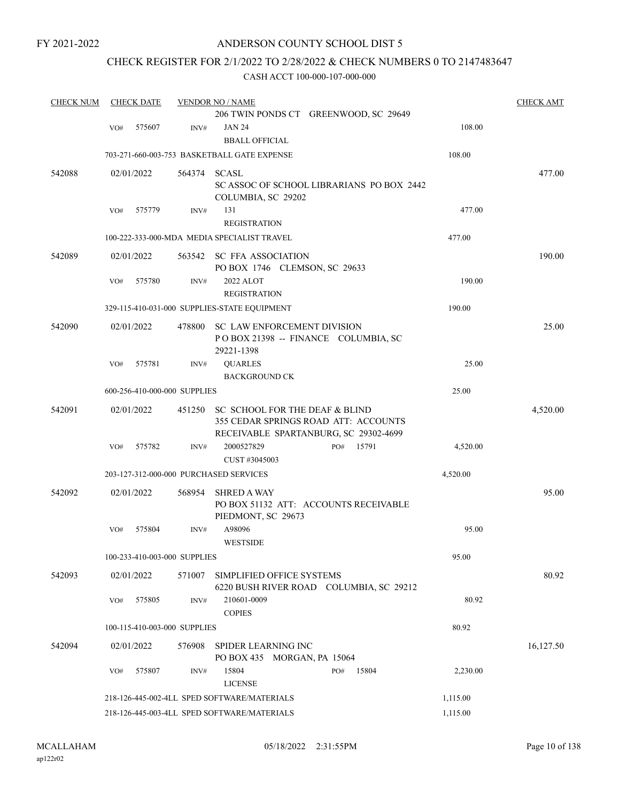### ANDERSON COUNTY SCHOOL DIST 5

### CHECK REGISTER FOR 2/1/2022 TO 2/28/2022 & CHECK NUMBERS 0 TO 2147483647

| <b>CHECK NUM</b> |     | <b>CHECK DATE</b> |                              | <b>VENDOR NO / NAME</b>                      |          | <b>CHECK AMT</b> |
|------------------|-----|-------------------|------------------------------|----------------------------------------------|----------|------------------|
|                  |     |                   |                              | 206 TWIN PONDS CT GREENWOOD, SC 29649        |          |                  |
|                  | VO# | 575607            | INV#                         | <b>JAN 24</b>                                | 108.00   |                  |
|                  |     |                   |                              | <b>BBALL OFFICIAL</b>                        |          |                  |
|                  |     |                   |                              | 703-271-660-003-753 BASKETBALL GATE EXPENSE  | 108.00   |                  |
|                  |     |                   |                              |                                              |          |                  |
| 542088           |     | 02/01/2022        | 564374                       | SCASL                                        |          | 477.00           |
|                  |     |                   |                              | SC ASSOC OF SCHOOL LIBRARIANS PO BOX 2442    |          |                  |
|                  |     |                   |                              | COLUMBIA, SC 29202                           |          |                  |
|                  | VO# | 575779            | INV#                         | 131                                          | 477.00   |                  |
|                  |     |                   |                              | <b>REGISTRATION</b>                          |          |                  |
|                  |     |                   |                              | 100-222-333-000-MDA MEDIA SPECIALIST TRAVEL  | 477.00   |                  |
| 542089           |     | 02/01/2022        | 563542                       | SC FFA ASSOCIATION                           |          | 190.00           |
|                  |     |                   |                              | PO BOX 1746 CLEMSON, SC 29633                |          |                  |
|                  | VO# | 575780            | INV#                         | 2022 ALOT                                    | 190.00   |                  |
|                  |     |                   |                              |                                              |          |                  |
|                  |     |                   |                              | <b>REGISTRATION</b>                          |          |                  |
|                  |     |                   |                              | 329-115-410-031-000 SUPPLIES-STATE EQUIPMENT | 190.00   |                  |
| 542090           |     | 02/01/2022        | 478800                       | <b>SC LAW ENFORCEMENT DIVISION</b>           |          | 25.00            |
|                  |     |                   |                              | POBOX 21398 -- FINANCE COLUMBIA, SC          |          |                  |
|                  |     |                   |                              | 29221-1398                                   |          |                  |
|                  | VO# | 575781            | INV#                         | <b>QUARLES</b>                               | 25.00    |                  |
|                  |     |                   |                              | <b>BACKGROUND CK</b>                         |          |                  |
|                  |     |                   | 600-256-410-000-000 SUPPLIES |                                              | 25.00    |                  |
|                  |     |                   |                              |                                              |          |                  |
| 542091           |     | 02/01/2022        | 451250                       | SC SCHOOL FOR THE DEAF & BLIND               |          | 4,520.00         |
|                  |     |                   |                              | 355 CEDAR SPRINGS ROAD ATT: ACCOUNTS         |          |                  |
|                  |     |                   |                              | RECEIVABLE SPARTANBURG, SC 29302-4699        |          |                  |
|                  | VO# | 575782            | INV#                         | 2000527829<br>15791<br>PO#                   | 4,520.00 |                  |
|                  |     |                   |                              | CUST #3045003                                |          |                  |
|                  |     |                   |                              | 203-127-312-000-000 PURCHASED SERVICES       | 4,520.00 |                  |
| 542092           |     | 02/01/2022        | 568954                       | <b>SHRED A WAY</b>                           |          | 95.00            |
|                  |     |                   |                              | PO BOX 51132 ATT: ACCOUNTS RECEIVABLE        |          |                  |
|                  |     |                   |                              | PIEDMONT, SC 29673                           |          |                  |
|                  | VO# | 575804            | INV#                         | A98096                                       | 95.00    |                  |
|                  |     |                   |                              | <b>WESTSIDE</b>                              |          |                  |
|                  |     |                   |                              |                                              |          |                  |
|                  |     |                   | 100-233-410-003-000 SUPPLIES |                                              | 95.00    |                  |
| 542093           |     | 02/01/2022        | 571007                       | SIMPLIFIED OFFICE SYSTEMS                    |          | 80.92            |
|                  |     |                   |                              | 6220 BUSH RIVER ROAD COLUMBIA, SC 29212      |          |                  |
|                  | VO# | 575805            | INV#                         | 210601-0009                                  | 80.92    |                  |
|                  |     |                   |                              | <b>COPIES</b>                                |          |                  |
|                  |     |                   | 100-115-410-003-000 SUPPLIES |                                              | 80.92    |                  |
| 542094           |     | 02/01/2022        | 576908                       | <b>SPIDER LEARNING INC</b>                   |          | 16,127.50        |
|                  |     |                   |                              | PO BOX 435 MORGAN, PA 15064                  |          |                  |
|                  | VO# | 575807            | INV#                         | 15804<br>15804<br>PO#                        | 2,230.00 |                  |
|                  |     |                   |                              | <b>LICENSE</b>                               |          |                  |
|                  |     |                   |                              |                                              |          |                  |
|                  |     |                   |                              | 218-126-445-002-4LL SPED SOFTWARE/MATERIALS  | 1,115.00 |                  |
|                  |     |                   |                              | 218-126-445-003-4LL SPED SOFTWARE/MATERIALS  | 1,115.00 |                  |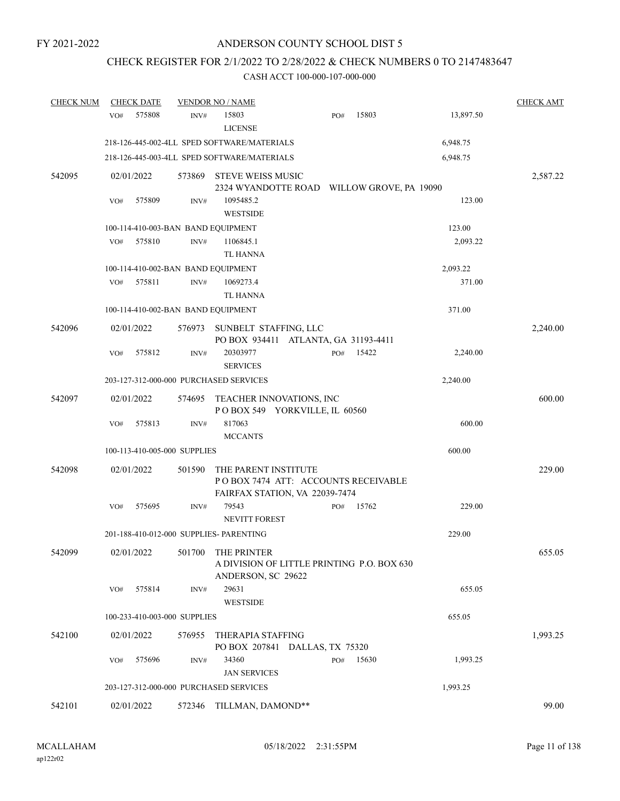# CHECK REGISTER FOR 2/1/2022 TO 2/28/2022 & CHECK NUMBERS 0 TO 2147483647

| <b>CHECK NUM</b> | <b>CHECK DATE</b>                       |        | <b>VENDOR NO / NAME</b>                                                                       |     |       |           | <b>CHECK AMT</b> |
|------------------|-----------------------------------------|--------|-----------------------------------------------------------------------------------------------|-----|-------|-----------|------------------|
|                  | 575808<br>VO#                           | INV#   | 15803<br><b>LICENSE</b>                                                                       | PO# | 15803 | 13,897.50 |                  |
|                  |                                         |        | 218-126-445-002-4LL SPED SOFTWARE/MATERIALS                                                   |     |       | 6,948.75  |                  |
|                  |                                         |        | 218-126-445-003-4LL SPED SOFTWARE/MATERIALS                                                   |     |       | 6,948.75  |                  |
| 542095           | 02/01/2022                              |        | 573869 STEVE WEISS MUSIC<br>2324 WYANDOTTE ROAD WILLOW GROVE, PA 19090                        |     |       |           | 2,587.22         |
|                  | 575809<br>VO#                           | INV#   | 1095485.2<br><b>WESTSIDE</b>                                                                  |     |       | 123.00    |                  |
|                  | 100-114-410-003-BAN BAND EQUIPMENT      |        |                                                                                               |     |       | 123.00    |                  |
|                  | 575810<br>VO#                           | INV#   | 1106845.1<br>TL HANNA                                                                         |     |       | 2,093.22  |                  |
|                  | 100-114-410-002-BAN BAND EQUIPMENT      |        |                                                                                               |     |       | 2,093.22  |                  |
|                  | 575811<br>VO#                           | INV#   | 1069273.4<br><b>TL HANNA</b>                                                                  |     |       | 371.00    |                  |
|                  | 100-114-410-002-BAN BAND EQUIPMENT      |        |                                                                                               |     |       | 371.00    |                  |
| 542096           | 02/01/2022                              |        | 576973 SUNBELT STAFFING, LLC<br>PO BOX 934411 ATLANTA, GA 31193-4411                          |     |       |           | 2,240.00         |
|                  | 575812<br>VO#                           | INV#   | 20303977<br><b>SERVICES</b>                                                                   | PO# | 15422 | 2,240.00  |                  |
|                  | 203-127-312-000-000 PURCHASED SERVICES  |        |                                                                                               |     |       | 2,240.00  |                  |
| 542097           | 02/01/2022                              | 574695 | TEACHER INNOVATIONS, INC<br>POBOX 549 YORKVILLE, IL 60560                                     |     |       |           | 600.00           |
|                  | VO#<br>575813                           | INV#   | 817063<br><b>MCCANTS</b>                                                                      |     |       | 600.00    |                  |
|                  | 100-113-410-005-000 SUPPLIES            |        |                                                                                               |     |       | 600.00    |                  |
| 542098           | 02/01/2022                              | 501590 | THE PARENT INSTITUTE<br>POBOX 7474 ATT: ACCOUNTS RECEIVABLE<br>FAIRFAX STATION, VA 22039-7474 |     |       |           | 229.00           |
|                  | 575695<br>VO#                           | INV#   | 79543<br><b>NEVITT FOREST</b>                                                                 | PO# | 15762 | 229.00    |                  |
|                  | 201-188-410-012-000 SUPPLIES- PARENTING |        |                                                                                               |     |       | 229.00    |                  |
| 542099           | 02/01/2022                              |        | 501700 THE PRINTER<br>A DIVISION OF LITTLE PRINTING P.O. BOX 630<br>ANDERSON, SC 29622        |     |       |           | 655.05           |
|                  | 575814<br>VO#                           | INV#   | 29631<br><b>WESTSIDE</b>                                                                      |     |       | 655.05    |                  |
|                  | 100-233-410-003-000 SUPPLIES            |        |                                                                                               |     |       | 655.05    |                  |
| 542100           | 02/01/2022                              | 576955 | THERAPIA STAFFING<br>PO BOX 207841 DALLAS, TX 75320                                           |     |       |           | 1,993.25         |
|                  | 575696<br>VO#                           | INV#   | 34360<br><b>JAN SERVICES</b>                                                                  | PO# | 15630 | 1,993.25  |                  |
|                  | 203-127-312-000-000 PURCHASED SERVICES  |        |                                                                                               |     |       | 1,993.25  |                  |
| 542101           | 02/01/2022                              | 572346 | TILLMAN, DAMOND**                                                                             |     |       |           | 99.00            |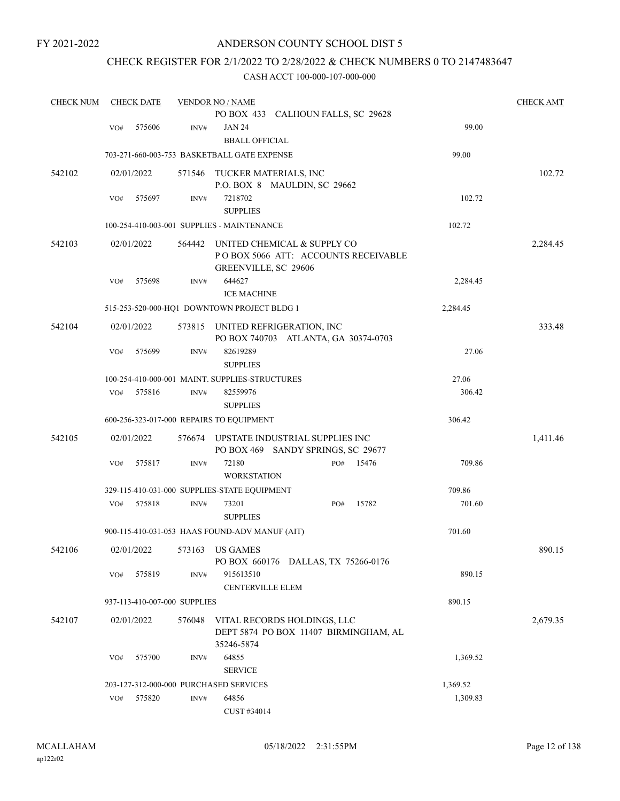### ANDERSON COUNTY SCHOOL DIST 5

### CHECK REGISTER FOR 2/1/2022 TO 2/28/2022 & CHECK NUMBERS 0 TO 2147483647

| <b>CHECK NUM</b> |     | <b>CHECK DATE</b> |                              | <b>VENDOR NO / NAME</b>                                                                    |     |       |          | <b>CHECK AMT</b> |
|------------------|-----|-------------------|------------------------------|--------------------------------------------------------------------------------------------|-----|-------|----------|------------------|
|                  |     |                   |                              | PO BOX 433 CALHOUN FALLS, SC 29628                                                         |     |       |          |                  |
|                  | VO# | 575606            | INV#                         | <b>JAN 24</b>                                                                              |     |       | 99.00    |                  |
|                  |     |                   |                              | <b>BBALL OFFICIAL</b>                                                                      |     |       |          |                  |
|                  |     |                   |                              | 703-271-660-003-753 BASKETBALL GATE EXPENSE                                                |     |       | 99.00    |                  |
| 542102           |     | 02/01/2022        |                              | 571546 TUCKER MATERIALS, INC<br>P.O. BOX 8 MAULDIN, SC 29662                               |     |       |          | 102.72           |
|                  | VO# | 575697            | INV#                         | 7218702<br><b>SUPPLIES</b>                                                                 |     |       | 102.72   |                  |
|                  |     |                   |                              | 100-254-410-003-001 SUPPLIES - MAINTENANCE                                                 |     |       | 102.72   |                  |
| 542103           |     | 02/01/2022        | 564442                       | UNITED CHEMICAL & SUPPLY CO<br>POBOX 5066 ATT: ACCOUNTS RECEIVABLE<br>GREENVILLE, SC 29606 |     |       |          | 2,284.45         |
|                  | VO# | 575698            | INV#                         | 644627<br><b>ICE MACHINE</b>                                                               |     |       | 2,284.45 |                  |
|                  |     |                   |                              | 515-253-520-000-HQ1 DOWNTOWN PROJECT BLDG 1                                                |     |       | 2,284.45 |                  |
| 542104           |     | 02/01/2022        |                              | 573815 UNITED REFRIGERATION, INC<br>PO BOX 740703 ATLANTA, GA 30374-0703                   |     |       |          | 333.48           |
|                  | VO# | 575699            | INV#                         | 82619289<br><b>SUPPLIES</b>                                                                |     |       | 27.06    |                  |
|                  |     |                   |                              | 100-254-410-000-001 MAINT. SUPPLIES-STRUCTURES                                             |     |       | 27.06    |                  |
|                  | VO# | 575816            | INV#                         | 82559976<br><b>SUPPLIES</b>                                                                |     |       | 306.42   |                  |
|                  |     |                   |                              | 600-256-323-017-000 REPAIRS TO EQUIPMENT                                                   |     |       | 306.42   |                  |
| 542105           |     | 02/01/2022        | 576674                       | UPSTATE INDUSTRIAL SUPPLIES INC<br>PO BOX 469 SANDY SPRINGS, SC 29677                      |     |       |          | 1,411.46         |
|                  | VO# | 575817            | INV#                         | 72180<br><b>WORKSTATION</b>                                                                | PO# | 15476 | 709.86   |                  |
|                  |     |                   |                              | 329-115-410-031-000 SUPPLIES-STATE EQUIPMENT                                               |     |       | 709.86   |                  |
|                  | VO# | 575818            | INV#                         | 73201<br><b>SUPPLIES</b>                                                                   | PO# | 15782 | 701.60   |                  |
|                  |     |                   |                              | 900-115-410-031-053 HAAS FOUND-ADV MANUF (AIT)                                             |     |       | 701.60   |                  |
| 542106           |     | 02/01/2022        |                              | 573163 US GAMES<br>PO BOX 660176 DALLAS, TX 75266-0176                                     |     |       |          | 890.15           |
|                  | VO# | 575819            | INV#                         | 915613510<br><b>CENTERVILLE ELEM</b>                                                       |     |       | 890.15   |                  |
|                  |     |                   | 937-113-410-007-000 SUPPLIES |                                                                                            |     |       | 890.15   |                  |
| 542107           |     | 02/01/2022        | 576048                       | VITAL RECORDS HOLDINGS, LLC<br>DEPT 5874 PO BOX 11407 BIRMINGHAM, AL                       |     |       |          | 2,679.35         |
|                  |     |                   |                              | 35246-5874                                                                                 |     |       |          |                  |
|                  | VO# | 575700            | INV#                         | 64855<br><b>SERVICE</b>                                                                    |     |       | 1,369.52 |                  |
|                  |     |                   |                              | 203-127-312-000-000 PURCHASED SERVICES                                                     |     |       | 1,369.52 |                  |
|                  | VO# | 575820            | INV#                         | 64856<br>CUST #34014                                                                       |     |       | 1,309.83 |                  |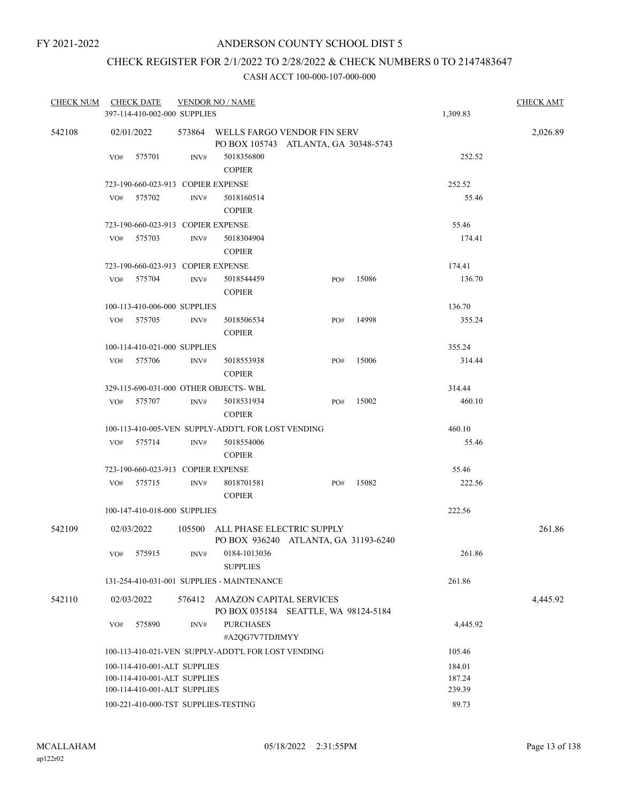# CHECK REGISTER FOR 2/1/2022 TO 2/28/2022 & CHECK NUMBERS 0 TO 2147483647

| <b>CHECK NUM</b> | <b>CHECK DATE</b>                                            |        | <b>VENDOR NO / NAME</b>                            |                                                                            |       |          | <b>CHECK AMT</b> |
|------------------|--------------------------------------------------------------|--------|----------------------------------------------------|----------------------------------------------------------------------------|-------|----------|------------------|
|                  | 397-114-410-002-000 SUPPLIES                                 |        |                                                    |                                                                            |       | 1,309.83 |                  |
| 542108           | 02/01/2022                                                   |        |                                                    | 573864 WELLS FARGO VENDOR FIN SERV<br>PO BOX 105743 ATLANTA, GA 30348-5743 |       |          | 2,026.89         |
|                  | 575701<br>VO#                                                | INV#   | 5018356800<br><b>COPIER</b>                        |                                                                            |       | 252.52   |                  |
|                  | 723-190-660-023-913 COPIER EXPENSE                           |        |                                                    |                                                                            |       | 252.52   |                  |
|                  | 575702<br>VO#                                                | INV#   | 5018160514<br><b>COPIER</b>                        |                                                                            |       | 55.46    |                  |
|                  | 723-190-660-023-913 COPIER EXPENSE                           |        |                                                    |                                                                            |       | 55.46    |                  |
|                  | 575703<br>VO#                                                | INV#   | 5018304904<br><b>COPIER</b>                        |                                                                            |       | 174.41   |                  |
|                  | 723-190-660-023-913 COPIER EXPENSE                           |        |                                                    |                                                                            |       | 174.41   |                  |
|                  | 575704<br>VO#                                                | INV#   | 5018544459<br><b>COPIER</b>                        | PO#                                                                        | 15086 | 136.70   |                  |
|                  | 100-113-410-006-000 SUPPLIES                                 |        |                                                    | 136.70                                                                     |       |          |                  |
|                  | VO# 575705                                                   | INV#   | 5018506534<br><b>COPIER</b>                        | PO#                                                                        | 14998 | 355.24   |                  |
|                  | 100-114-410-021-000 SUPPLIES                                 |        |                                                    |                                                                            |       | 355.24   |                  |
|                  | 575706<br>VO#                                                | INV#   | 5018553938<br><b>COPIER</b>                        | PO#                                                                        | 15006 | 314.44   |                  |
|                  | 329-115-690-031-000 OTHER OBJECTS-WBL                        |        |                                                    |                                                                            |       | 314.44   |                  |
|                  | 575707<br>VO#                                                | INV#   | 5018531934<br><b>COPIER</b>                        | PO#                                                                        | 15002 | 460.10   |                  |
|                  |                                                              |        | 100-113-410-005-VEN SUPPLY-ADDT'L FOR LOST VENDING |                                                                            |       | 460.10   |                  |
|                  | VO# 575714                                                   | INV#   | 5018554006<br><b>COPIER</b>                        |                                                                            |       | 55.46    |                  |
|                  | 723-190-660-023-913 COPIER EXPENSE                           |        |                                                    |                                                                            |       | 55.46    |                  |
|                  | 575715<br>VO#                                                | INV#   | 8018701581<br><b>COPIER</b>                        | PO#                                                                        | 15082 | 222.56   |                  |
|                  | 100-147-410-018-000 SUPPLIES                                 |        |                                                    |                                                                            |       | 222.56   |                  |
| 542109           | 02/03/2022                                                   | 105500 |                                                    | ALL PHASE ELECTRIC SUPPLY<br>PO BOX 936240 ATLANTA, GA 31193-6240          |       |          | 261.86           |
|                  | VO#<br>575915                                                | INV#   | 0184-1013036<br><b>SUPPLIES</b>                    |                                                                            |       | 261.86   |                  |
|                  |                                                              |        | 131-254-410-031-001 SUPPLIES - MAINTENANCE         |                                                                            |       | 261.86   |                  |
| 542110           | 02/03/2022                                                   | 576412 | AMAZON CAPITAL SERVICES                            | PO BOX 035184 SEATTLE, WA 98124-5184                                       |       |          | 4,445.92         |
|                  | 575890<br>VO#                                                | INV#   | <b>PURCHASES</b><br>#A2QG7V7TDJIMYY                |                                                                            |       | 4,445.92 |                  |
|                  |                                                              |        | 100-113-410-021-VEN SUPPLY-ADDT'L FOR LOST VENDING |                                                                            |       | 105.46   |                  |
|                  | 100-114-410-001-ALT SUPPLIES<br>100-114-410-001-ALT SUPPLIES |        |                                                    | 184.01<br>187.24                                                           |       |          |                  |
|                  | 100-114-410-001-ALT SUPPLIES                                 |        |                                                    | 239.39                                                                     |       |          |                  |
|                  | 100-221-410-000-TST SUPPLIES-TESTING                         |        | 89.73                                              |                                                                            |       |          |                  |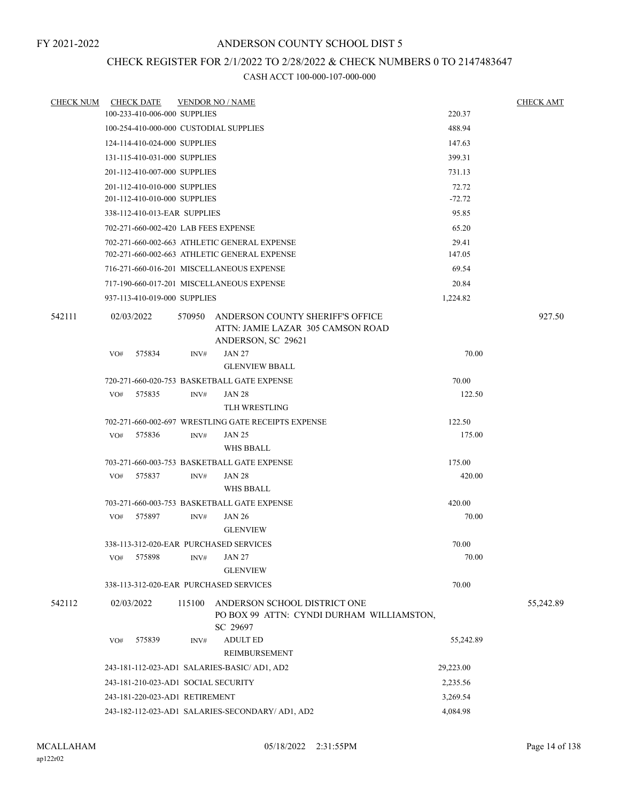### CHECK REGISTER FOR 2/1/2022 TO 2/28/2022 & CHECK NUMBERS 0 TO 2147483647

| <b>CHECK NUM</b> | <b>CHECK DATE</b>                      |        | <b>VENDOR NO / NAME</b>                                                                     | <b>CHECK AMT</b> |           |  |
|------------------|----------------------------------------|--------|---------------------------------------------------------------------------------------------|------------------|-----------|--|
|                  | 100-233-410-006-000 SUPPLIES           |        |                                                                                             | 220.37           |           |  |
|                  | 100-254-410-000-000 CUSTODIAL SUPPLIES |        |                                                                                             | 488.94           |           |  |
|                  | 124-114-410-024-000 SUPPLIES           |        |                                                                                             | 147.63           |           |  |
|                  | 131-115-410-031-000 SUPPLIES           |        |                                                                                             | 399.31           |           |  |
|                  | 201-112-410-007-000 SUPPLIES           |        |                                                                                             | 731.13           |           |  |
|                  | 201-112-410-010-000 SUPPLIES           |        |                                                                                             | 72.72            |           |  |
|                  | 201-112-410-010-000 SUPPLIES           |        |                                                                                             | $-72.72$         |           |  |
|                  | 338-112-410-013-EAR SUPPLIES           |        |                                                                                             | 95.85            |           |  |
|                  | 702-271-660-002-420 LAB FEES EXPENSE   |        |                                                                                             | 65.20            |           |  |
|                  |                                        |        | 702-271-660-002-663 ATHLETIC GENERAL EXPENSE                                                | 29.41            |           |  |
|                  |                                        |        | 702-271-660-002-663 ATHLETIC GENERAL EXPENSE<br>716-271-660-016-201 MISCELLANEOUS EXPENSE   | 147.05           |           |  |
|                  |                                        |        |                                                                                             | 69.54            |           |  |
|                  |                                        |        | 717-190-660-017-201 MISCELLANEOUS EXPENSE                                                   | 20.84            |           |  |
|                  | 937-113-410-019-000 SUPPLIES           |        |                                                                                             | 1,224.82         |           |  |
| 542111           | 02/03/2022                             | 570950 | ANDERSON COUNTY SHERIFF'S OFFICE<br>ATTN: JAMIE LAZAR 305 CAMSON ROAD<br>ANDERSON, SC 29621 |                  | 927.50    |  |
|                  | 575834<br>VO#                          | INV#   | <b>JAN 27</b>                                                                               | 70.00            |           |  |
|                  |                                        |        | <b>GLENVIEW BBALL</b>                                                                       |                  |           |  |
|                  |                                        |        | 720-271-660-020-753 BASKETBALL GATE EXPENSE                                                 | 70.00            |           |  |
|                  | VO#<br>575835                          | INV#   | <b>JAN 28</b>                                                                               | 122.50           |           |  |
|                  |                                        |        | <b>TLH WRESTLING</b>                                                                        |                  |           |  |
|                  |                                        |        | 702-271-660-002-697 WRESTLING GATE RECEIPTS EXPENSE                                         | 122.50           |           |  |
|                  | 575836<br>VO#                          | INV#   | <b>JAN 25</b>                                                                               | 175.00           |           |  |
|                  |                                        |        | WHS BBALL                                                                                   |                  |           |  |
|                  |                                        |        | 703-271-660-003-753 BASKETBALL GATE EXPENSE                                                 | 175.00           |           |  |
|                  | 575837<br>VO#                          | INV#   | <b>JAN 28</b><br><b>WHS BBALL</b>                                                           | 420.00           |           |  |
|                  |                                        |        | 703-271-660-003-753 BASKETBALL GATE EXPENSE                                                 | 420.00           |           |  |
|                  | 575897<br>VO#                          | INV#   | <b>JAN 26</b>                                                                               | 70.00            |           |  |
|                  |                                        |        | <b>GLENVIEW</b>                                                                             |                  |           |  |
|                  | 338-113-312-020-EAR PURCHASED SERVICES |        |                                                                                             | 70.00            |           |  |
|                  | 575898<br>VO#                          | INV#   | <b>JAN 27</b>                                                                               | 70.00            |           |  |
|                  |                                        |        | <b>GLENVIEW</b>                                                                             |                  |           |  |
|                  | 338-113-312-020-EAR PURCHASED SERVICES |        |                                                                                             | 70.00            |           |  |
| 542112           | 02/03/2022                             | 115100 | ANDERSON SCHOOL DISTRICT ONE<br>PO BOX 99 ATTN: CYNDI DURHAM WILLIAMSTON,<br>SC 29697       |                  | 55,242.89 |  |
|                  | 575839<br>VO#                          | INV#   | <b>ADULT ED</b>                                                                             | 55,242.89        |           |  |
|                  |                                        |        | <b>REIMBURSEMENT</b>                                                                        |                  |           |  |
|                  |                                        |        | 243-181-112-023-AD1 SALARIES-BASIC/ AD1, AD2                                                | 29,223.00        |           |  |
|                  | 243-181-210-023-AD1 SOCIAL SECURITY    |        |                                                                                             | 2,235.56         |           |  |
|                  | 243-181-220-023-AD1 RETIREMENT         |        |                                                                                             | 3,269.54         |           |  |
|                  |                                        |        | 243-182-112-023-AD1 SALARIES-SECONDARY/ AD1, AD2                                            | 4,084.98         |           |  |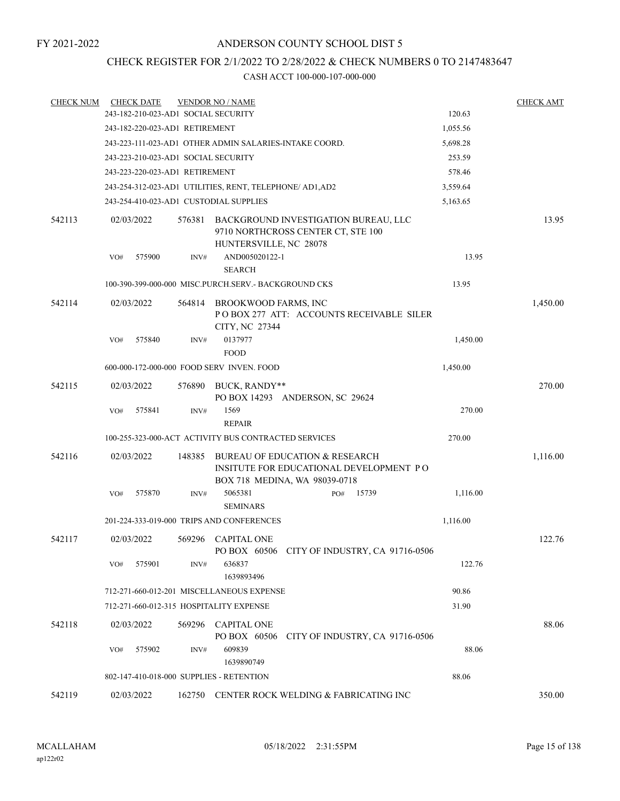# CHECK REGISTER FOR 2/1/2022 TO 2/28/2022 & CHECK NUMBERS 0 TO 2147483647

| <b>CHECK NUM</b> | <b>CHECK DATE</b>                                        |        | <b>VENDOR NO / NAME</b>                                                                                    |          | <b>CHECK AMT</b> |
|------------------|----------------------------------------------------------|--------|------------------------------------------------------------------------------------------------------------|----------|------------------|
|                  | 243-182-210-023-AD1 SOCIAL SECURITY                      |        |                                                                                                            | 120.63   |                  |
|                  | 243-182-220-023-AD1 RETIREMENT                           |        |                                                                                                            | 1,055.56 |                  |
|                  |                                                          |        | 243-223-111-023-AD1 OTHER ADMIN SALARIES-INTAKE COORD.                                                     | 5,698.28 |                  |
|                  | 243-223-210-023-AD1 SOCIAL SECURITY                      |        | 253.59                                                                                                     |          |                  |
|                  | 243-223-220-023-AD1 RETIREMENT                           |        | 578.46                                                                                                     |          |                  |
|                  | 243-254-312-023-AD1 UTILITIES, RENT, TELEPHONE/ AD1, AD2 |        | 3,559.64                                                                                                   |          |                  |
|                  | 243-254-410-023-AD1 CUSTODIAL SUPPLIES                   |        |                                                                                                            | 5,163.65 |                  |
| 542113           | 02/03/2022                                               | 576381 | BACKGROUND INVESTIGATION BUREAU, LLC<br>9710 NORTHCROSS CENTER CT, STE 100<br>HUNTERSVILLE, NC 28078       |          | 13.95            |
|                  | 575900<br>VO#                                            | INV#   | AND005020122-1                                                                                             | 13.95    |                  |
|                  |                                                          |        | <b>SEARCH</b>                                                                                              |          |                  |
|                  |                                                          |        | 100-390-399-000-000 MISC.PURCH.SERV.- BACKGROUND CKS                                                       | 13.95    |                  |
| 542114           | 02/03/2022                                               | 564814 | <b>BROOKWOOD FARMS, INC</b><br>POBOX 277 ATT: ACCOUNTS RECEIVABLE SILER<br>CITY, NC 27344                  |          | 1,450.00         |
|                  | 575840<br>VO#                                            | INV#   | 0137977<br><b>FOOD</b>                                                                                     | 1,450.00 |                  |
|                  |                                                          |        | 600-000-172-000-000 FOOD SERV INVEN. FOOD                                                                  | 1,450.00 |                  |
| 542115           | 02/03/2022                                               | 576890 | BUCK, RANDY**                                                                                              |          | 270.00           |
|                  |                                                          |        | PO BOX 14293 ANDERSON, SC 29624                                                                            |          |                  |
|                  | 575841<br>VO#                                            | INV#   | 1569                                                                                                       | 270.00   |                  |
|                  |                                                          |        | <b>REPAIR</b>                                                                                              |          |                  |
|                  |                                                          |        | 100-255-323-000-ACT ACTIVITY BUS CONTRACTED SERVICES                                                       | 270.00   |                  |
| 542116           | 02/03/2022                                               | 148385 | BUREAU OF EDUCATION & RESEARCH<br>INSITUTE FOR EDUCATIONAL DEVELOPMENT PO<br>BOX 718 MEDINA, WA 98039-0718 |          | 1,116.00         |
|                  | 575870<br>VO#                                            | INV#   | 5065381<br>15739<br>PO#<br><b>SEMINARS</b>                                                                 | 1,116.00 |                  |
|                  |                                                          |        | 201-224-333-019-000 TRIPS AND CONFERENCES                                                                  | 1,116.00 |                  |
| 542117           | 02/03/2022                                               | 569296 | <b>CAPITAL ONE</b>                                                                                         |          | 122.76           |
|                  |                                                          |        | PO BOX 60506 CITY OF INDUSTRY, CA 91716-0506                                                               |          |                  |
|                  | 575901<br>VO#                                            | INV#   | 636837<br>1639893496                                                                                       | 122.76   |                  |
|                  |                                                          |        | 712-271-660-012-201 MISCELLANEOUS EXPENSE                                                                  | 90.86    |                  |
|                  | 712-271-660-012-315 HOSPITALITY EXPENSE                  |        |                                                                                                            | 31.90    |                  |
| 542118           | 02/03/2022                                               | 569296 | <b>CAPITAL ONE</b>                                                                                         |          | 88.06            |
|                  |                                                          |        | PO BOX 60506<br>CITY OF INDUSTRY, CA 91716-0506                                                            |          |                  |
|                  | 575902<br>VO#                                            | INV#   | 609839<br>1639890749                                                                                       | 88.06    |                  |
|                  | 802-147-410-018-000 SUPPLIES - RETENTION                 |        |                                                                                                            | 88.06    |                  |
| 542119           | 02/03/2022                                               | 162750 | CENTER ROCK WELDING & FABRICATING INC                                                                      |          | 350.00           |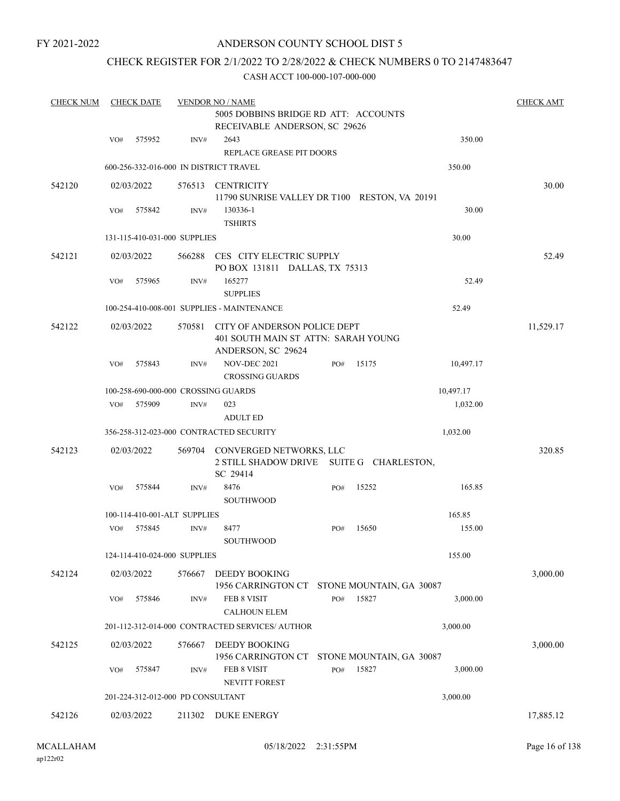### ANDERSON COUNTY SCHOOL DIST 5

### CHECK REGISTER FOR 2/1/2022 TO 2/28/2022 & CHECK NUMBERS 0 TO 2147483647

| <b>CHECK NUM</b> |     | <b>CHECK DATE</b>                 |        | <b>VENDOR NO / NAME</b>                                                                   |     |                          |           | <b>CHECK AMT</b> |
|------------------|-----|-----------------------------------|--------|-------------------------------------------------------------------------------------------|-----|--------------------------|-----------|------------------|
|                  |     |                                   |        | 5005 DOBBINS BRIDGE RD ATT: ACCOUNTS<br>RECEIVABLE ANDERSON, SC 29626                     |     |                          |           |                  |
|                  | VO# | 575952                            | INV#   | 2643                                                                                      |     |                          | 350.00    |                  |
|                  |     |                                   |        | REPLACE GREASE PIT DOORS                                                                  |     |                          |           |                  |
|                  |     |                                   |        | 600-256-332-016-000 IN DISTRICT TRAVEL                                                    |     |                          | 350.00    |                  |
| 542120           |     | 02/03/2022                        | 576513 | CENTRICITY<br>11790 SUNRISE VALLEY DR T100 RESTON, VA 20191                               |     |                          |           | 30.00            |
|                  | VO# | 575842                            | INV#   | 130336-1<br><b>TSHIRTS</b>                                                                |     |                          | 30.00     |                  |
|                  |     | 131-115-410-031-000 SUPPLIES      |        |                                                                                           |     |                          | 30.00     |                  |
| 542121           |     | 02/03/2022                        | 566288 | CES CITY ELECTRIC SUPPLY<br>PO BOX 131811 DALLAS, TX 75313                                |     |                          |           | 52.49            |
|                  | VO# | 575965                            | INV#   | 165277<br><b>SUPPLIES</b>                                                                 |     |                          | 52.49     |                  |
|                  |     |                                   |        | 100-254-410-008-001 SUPPLIES - MAINTENANCE                                                |     |                          | 52.49     |                  |
|                  |     |                                   |        |                                                                                           |     |                          |           |                  |
| 542122           |     | 02/03/2022                        | 570581 | CITY OF ANDERSON POLICE DEPT<br>401 SOUTH MAIN ST ATTN: SARAH YOUNG<br>ANDERSON, SC 29624 |     |                          |           | 11,529.17        |
|                  | VO# | 575843                            | INV#   | <b>NOV-DEC 2021</b><br><b>CROSSING GUARDS</b>                                             | PO# | 15175                    | 10,497.17 |                  |
|                  |     |                                   |        | 100-258-690-000-000 CROSSING GUARDS                                                       |     |                          | 10,497.17 |                  |
|                  | VO# | 575909                            | INV#   | 023                                                                                       |     |                          | 1,032.00  |                  |
|                  |     |                                   |        | <b>ADULT ED</b>                                                                           |     |                          |           |                  |
|                  |     |                                   |        | 356-258-312-023-000 CONTRACTED SECURITY                                                   |     |                          | 1,032.00  |                  |
| 542123           |     | 02/03/2022                        | 569704 | CONVERGED NETWORKS, LLC<br><b>2 STILL SHADOW DRIVE</b>                                    |     | SUITE G CHARLESTON,      |           | 320.85           |
|                  | VO# | 575844                            | INV#   | SC 29414<br>8476<br><b>SOUTHWOOD</b>                                                      | PO# | 15252                    | 165.85    |                  |
|                  |     | 100-114-410-001-ALT SUPPLIES      |        |                                                                                           |     |                          | 165.85    |                  |
|                  | VO# | 575845                            | INV#   | 8477                                                                                      | PO# | 15650                    | 155.00    |                  |
|                  |     |                                   |        | SOUTHWOOD                                                                                 |     |                          |           |                  |
|                  |     | 124-114-410-024-000 SUPPLIES      |        |                                                                                           |     |                          | 155.00    |                  |
| 542124           |     | 02/03/2022                        | 576667 | DEEDY BOOKING<br>1956 CARRINGTON CT                                                       |     | STONE MOUNTAIN, GA 30087 |           | 3,000.00         |
|                  | VO# | 575846                            | INV#   | <b>FEB 8 VISIT</b><br><b>CALHOUN ELEM</b>                                                 | PO# | 15827                    | 3,000.00  |                  |
|                  |     |                                   |        | 201-112-312-014-000 CONTRACTED SERVICES/AUTHOR                                            |     |                          | 3,000.00  |                  |
| 542125           |     | 02/03/2022                        | 576667 | <b>DEEDY BOOKING</b>                                                                      |     |                          |           | 3,000.00         |
|                  |     |                                   |        | 1956 CARRINGTON CT                                                                        |     | STONE MOUNTAIN, GA 30087 |           |                  |
|                  | VO# | 575847                            | INV#   | FEB 8 VISIT<br>NEVITT FOREST                                                              | PO# | 15827                    | 3,000.00  |                  |
|                  |     | 201-224-312-012-000 PD CONSULTANT |        |                                                                                           |     |                          | 3,000.00  |                  |
| 542126           |     | 02/03/2022                        |        | 211302 DUKE ENERGY                                                                        |     |                          |           | 17,885.12        |
|                  |     |                                   |        |                                                                                           |     |                          |           |                  |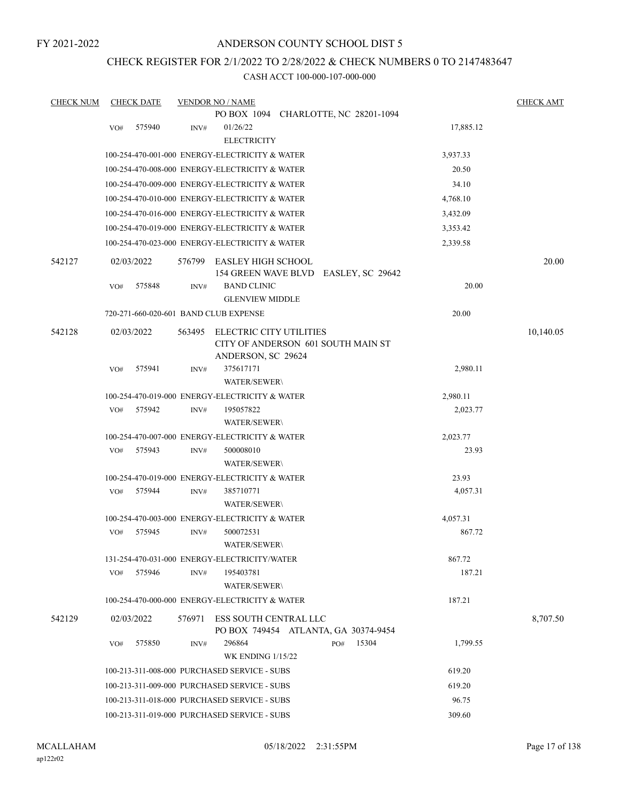### ANDERSON COUNTY SCHOOL DIST 5

#### CHECK REGISTER FOR 2/1/2022 TO 2/28/2022 & CHECK NUMBERS 0 TO 2147483647

| <b>CHECK NUM</b> | <b>CHECK DATE</b>                     |        | <b>VENDOR NO / NAME</b>                                                             |                   | <b>CHECK AMT</b> |
|------------------|---------------------------------------|--------|-------------------------------------------------------------------------------------|-------------------|------------------|
|                  |                                       |        | PO BOX 1094 CHARLOTTE, NC 28201-1094                                                |                   |                  |
|                  | 575940<br>VO#                         | INV#   | 01/26/22                                                                            | 17,885.12         |                  |
|                  |                                       |        | <b>ELECTRICITY</b>                                                                  |                   |                  |
|                  |                                       |        | 100-254-470-001-000 ENERGY-ELECTRICITY & WATER                                      | 3,937.33          |                  |
|                  |                                       |        | 100-254-470-008-000 ENERGY-ELECTRICITY & WATER                                      | 20.50             |                  |
|                  |                                       |        | 100-254-470-009-000 ENERGY-ELECTRICITY & WATER                                      | 34.10             |                  |
|                  |                                       |        | 100-254-470-010-000 ENERGY-ELECTRICITY & WATER                                      | 4,768.10          |                  |
|                  |                                       |        | 100-254-470-016-000 ENERGY-ELECTRICITY & WATER                                      | 3,432.09          |                  |
|                  |                                       |        | 100-254-470-019-000 ENERGY-ELECTRICITY & WATER                                      | 3,353.42          |                  |
|                  |                                       |        | 100-254-470-023-000 ENERGY-ELECTRICITY & WATER                                      | 2,339.58          |                  |
| 542127           | 02/03/2022                            | 576799 | EASLEY HIGH SCHOOL<br>154 GREEN WAVE BLVD EASLEY, SC 29642                          |                   | 20.00            |
|                  | 575848<br>VO#                         | INV#   | <b>BAND CLINIC</b>                                                                  | 20.00             |                  |
|                  |                                       |        | <b>GLENVIEW MIDDLE</b>                                                              |                   |                  |
|                  | 720-271-660-020-601 BAND CLUB EXPENSE |        |                                                                                     | 20.00             |                  |
| 542128           | 02/03/2022                            | 563495 | ELECTRIC CITY UTILITIES<br>CITY OF ANDERSON 601 SOUTH MAIN ST<br>ANDERSON, SC 29624 |                   | 10,140.05        |
|                  | VO#<br>575941                         | INV#   | 375617171<br><b>WATER/SEWER\</b>                                                    | 2,980.11          |                  |
|                  |                                       |        | 100-254-470-019-000 ENERGY-ELECTRICITY & WATER                                      | 2,980.11          |                  |
|                  | 575942<br>VO#                         | INV#   | 195057822                                                                           | 2,023.77          |                  |
|                  |                                       |        | <b>WATER/SEWER\</b>                                                                 |                   |                  |
|                  |                                       |        | 100-254-470-007-000 ENERGY-ELECTRICITY & WATER                                      | 2,023.77          |                  |
|                  | VO#<br>575943                         | INV#   | 500008010<br><b>WATER/SEWER\</b>                                                    | 23.93             |                  |
|                  |                                       |        | 100-254-470-019-000 ENERGY-ELECTRICITY & WATER                                      | 23.93             |                  |
|                  | 575944<br>VO#                         | INV#   | 385710771<br><b>WATER/SEWER\</b>                                                    | 4,057.31          |                  |
|                  |                                       |        | 100-254-470-003-000 ENERGY-ELECTRICITY & WATER                                      | 4,057.31          |                  |
|                  | VO#<br>575945                         | INV#   | 500072531<br><b>WATER/SEWER\</b>                                                    | 867.72            |                  |
|                  |                                       |        | 131-254-470-031-000 ENERGY-ELECTRICITY/WATER                                        | 867.72            |                  |
|                  | 575946<br>VO#                         | INV#   | 195403781<br><b>WATER/SEWER\</b>                                                    | 187.21            |                  |
|                  |                                       |        | 100-254-470-000-000 ENERGY-ELECTRICITY & WATER                                      | 187.21            |                  |
| 542129           | 02/03/2022                            | 576971 | ESS SOUTH CENTRAL LLC<br>PO BOX 749454 ATLANTA, GA 30374-9454                       |                   | 8,707.50         |
|                  | VO#<br>575850                         | INV#   | 296864<br>PO#<br><b>WK ENDING 1/15/22</b>                                           | 15304<br>1,799.55 |                  |
|                  |                                       |        | 100-213-311-008-000 PURCHASED SERVICE - SUBS                                        | 619.20            |                  |
|                  |                                       |        | 100-213-311-009-000 PURCHASED SERVICE - SUBS                                        | 619.20            |                  |
|                  |                                       |        | 100-213-311-018-000 PURCHASED SERVICE - SUBS                                        | 96.75             |                  |
|                  |                                       |        | 100-213-311-019-000 PURCHASED SERVICE - SUBS                                        | 309.60            |                  |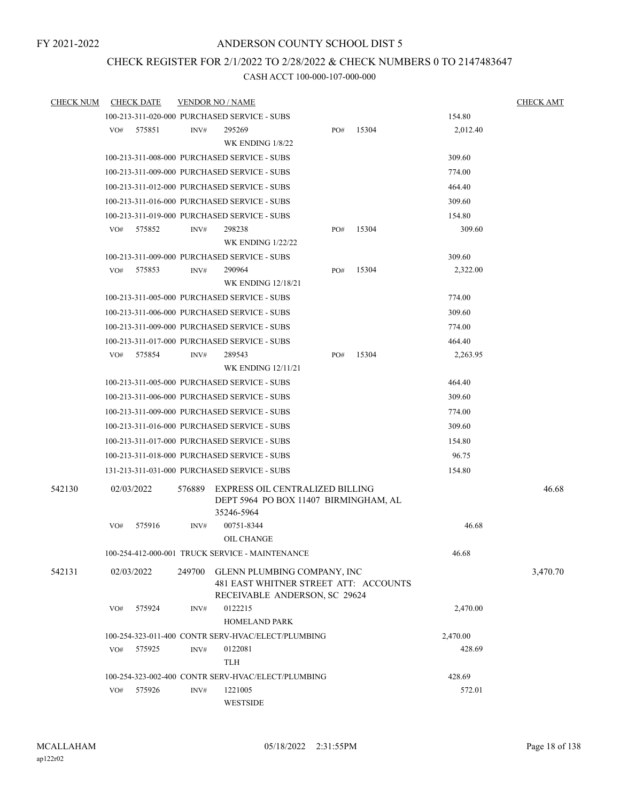### CHECK REGISTER FOR 2/1/2022 TO 2/28/2022 & CHECK NUMBERS 0 TO 2147483647

| <b>CHECK NUM</b> |     | <b>CHECK DATE</b> |                          | <b>VENDOR NO / NAME</b>                                                                               |     |       |          | <b>CHECK AMT</b> |
|------------------|-----|-------------------|--------------------------|-------------------------------------------------------------------------------------------------------|-----|-------|----------|------------------|
|                  |     |                   |                          | 100-213-311-020-000 PURCHASED SERVICE - SUBS                                                          |     |       | 154.80   |                  |
|                  | VO# | 575851            | INV#                     | 295269                                                                                                | PO# | 15304 | 2,012.40 |                  |
|                  |     |                   |                          | WK ENDING 1/8/22                                                                                      |     |       |          |                  |
|                  |     |                   |                          | 100-213-311-008-000 PURCHASED SERVICE - SUBS                                                          |     |       | 309.60   |                  |
|                  |     |                   |                          | 100-213-311-009-000 PURCHASED SERVICE - SUBS                                                          |     |       | 774.00   |                  |
|                  |     |                   |                          | 100-213-311-012-000 PURCHASED SERVICE - SUBS                                                          |     |       | 464.40   |                  |
|                  |     |                   |                          | 100-213-311-016-000 PURCHASED SERVICE - SUBS                                                          |     |       | 309.60   |                  |
|                  |     |                   |                          | 100-213-311-019-000 PURCHASED SERVICE - SUBS                                                          |     |       | 154.80   |                  |
|                  | VO# | 575852            | INV#                     | 298238                                                                                                | PO# | 15304 | 309.60   |                  |
|                  |     |                   | <b>WK ENDING 1/22/22</b> |                                                                                                       |     |       |          |                  |
|                  |     |                   |                          | 100-213-311-009-000 PURCHASED SERVICE - SUBS                                                          |     |       | 309.60   |                  |
|                  | VO# | 575853            | INV#                     | 290964                                                                                                | PO# | 15304 | 2,322.00 |                  |
|                  |     |                   |                          | <b>WK ENDING 12/18/21</b>                                                                             |     |       |          |                  |
|                  |     |                   |                          | 100-213-311-005-000 PURCHASED SERVICE - SUBS                                                          |     |       | 774.00   |                  |
|                  |     |                   |                          | 100-213-311-006-000 PURCHASED SERVICE - SUBS                                                          |     |       | 309.60   |                  |
|                  |     |                   |                          | 100-213-311-009-000 PURCHASED SERVICE - SUBS                                                          |     |       | 774.00   |                  |
|                  |     |                   |                          | 100-213-311-017-000 PURCHASED SERVICE - SUBS                                                          |     |       | 464.40   |                  |
|                  | VO# | 575854            | INV#                     | 289543                                                                                                | PO# | 15304 | 2,263.95 |                  |
|                  |     |                   |                          | <b>WK ENDING 12/11/21</b>                                                                             |     |       |          |                  |
|                  |     |                   |                          | 100-213-311-005-000 PURCHASED SERVICE - SUBS                                                          |     |       | 464.40   |                  |
|                  |     |                   |                          | 100-213-311-006-000 PURCHASED SERVICE - SUBS                                                          |     |       | 309.60   |                  |
|                  |     |                   |                          | 100-213-311-009-000 PURCHASED SERVICE - SUBS                                                          |     |       | 774.00   |                  |
|                  |     |                   |                          | 100-213-311-016-000 PURCHASED SERVICE - SUBS                                                          |     |       | 309.60   |                  |
|                  |     |                   |                          | 100-213-311-017-000 PURCHASED SERVICE - SUBS                                                          |     |       | 154.80   |                  |
|                  |     |                   |                          | 100-213-311-018-000 PURCHASED SERVICE - SUBS                                                          |     |       | 96.75    |                  |
|                  |     |                   |                          | 131-213-311-031-000 PURCHASED SERVICE - SUBS                                                          |     |       | 154.80   |                  |
| 542130           |     | 02/03/2022        | 576889                   | EXPRESS OIL CENTRALIZED BILLING<br>DEPT 5964 PO BOX 11407 BIRMINGHAM, AL                              |     | 46.68 |          |                  |
|                  |     |                   |                          | 35246-5964                                                                                            |     |       |          |                  |
|                  | VO# | 575916            | INV#                     | 00751-8344                                                                                            |     |       | 46.68    |                  |
|                  |     |                   |                          | OIL CHANGE                                                                                            |     |       |          |                  |
|                  |     |                   |                          | 100-254-412-000-001 TRUCK SERVICE - MAINTENANCE                                                       |     |       | 46.68    |                  |
| 542131           |     | 02/03/2022        | 249700                   | GLENN PLUMBING COMPANY, INC<br>481 EAST WHITNER STREET ATT: ACCOUNTS<br>RECEIVABLE ANDERSON, SC 29624 |     |       | 3,470.70 |                  |
|                  | VO# | 575924            | INV#                     | 0122215                                                                                               |     |       | 2,470.00 |                  |
|                  |     |                   |                          | <b>HOMELAND PARK</b>                                                                                  |     |       |          |                  |
|                  |     |                   |                          | 100-254-323-011-400 CONTR SERV-HVAC/ELECT/PLUMBING                                                    |     |       | 2,470.00 |                  |
|                  | VO# | 575925            | INV#                     | 0122081                                                                                               |     |       | 428.69   |                  |
|                  |     |                   |                          | <b>TLH</b>                                                                                            |     |       |          |                  |
|                  |     |                   |                          | 100-254-323-002-400 CONTR SERV-HVAC/ELECT/PLUMBING                                                    |     |       | 428.69   |                  |
|                  | VO# | 575926            | INV#                     | 1221005<br>WESTSIDE                                                                                   |     |       | 572.01   |                  |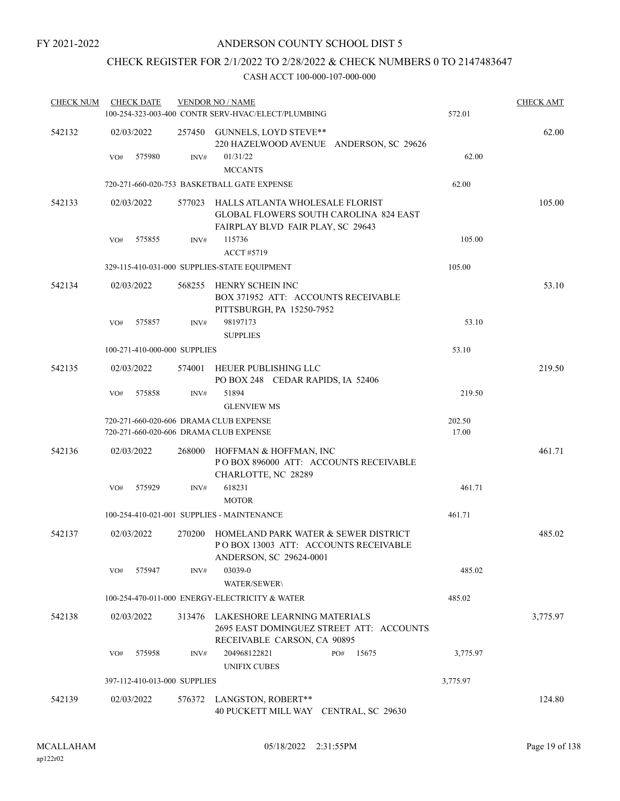# CHECK REGISTER FOR 2/1/2022 TO 2/28/2022 & CHECK NUMBERS 0 TO 2147483647

| <b>CHECK NUM</b> | <b>CHECK DATE</b>                                                                |        | <b>VENDOR NO / NAME</b><br>100-254-323-003-400 CONTR SERV-HVAC/ELECT/PLUMBING                                         | 572.01          | <b>CHECK AMT</b> |
|------------------|----------------------------------------------------------------------------------|--------|-----------------------------------------------------------------------------------------------------------------------|-----------------|------------------|
| 542132           | 02/03/2022                                                                       |        | 257450 GUNNELS, LOYD STEVE**<br>220 HAZELWOOD AVENUE ANDERSON, SC 29626                                               |                 | 62.00            |
|                  | 575980<br>VO#                                                                    | INV#   | 01/31/22<br><b>MCCANTS</b>                                                                                            | 62.00           |                  |
|                  |                                                                                  |        | 720-271-660-020-753 BASKETBALL GATE EXPENSE                                                                           | 62.00           |                  |
| 542133           | 02/03/2022                                                                       | 577023 | HALLS ATLANTA WHOLESALE FLORIST<br><b>GLOBAL FLOWERS SOUTH CAROLINA 824 EAST</b><br>FAIRPLAY BLVD FAIR PLAY, SC 29643 |                 | 105.00           |
|                  | 575855<br>VO#                                                                    | INV#   | 115736                                                                                                                | 105.00          |                  |
|                  |                                                                                  |        | <b>ACCT #5719</b>                                                                                                     |                 |                  |
|                  |                                                                                  |        | 329-115-410-031-000 SUPPLIES-STATE EQUIPMENT                                                                          | 105.00          |                  |
| 542134           | 02/03/2022                                                                       | 568255 | HENRY SCHEIN INC<br>BOX 371952 ATT: ACCOUNTS RECEIVABLE<br>PITTSBURGH, PA 15250-7952                                  |                 | 53.10            |
|                  | 575857<br>VO#                                                                    | INV#   | 98197173<br><b>SUPPLIES</b>                                                                                           | 53.10           |                  |
|                  | 100-271-410-000-000 SUPPLIES                                                     |        |                                                                                                                       | 53.10           |                  |
| 542135           | 02/03/2022                                                                       | 574001 | HEUER PUBLISHING LLC<br>PO BOX 248 CEDAR RAPIDS, IA 52406                                                             |                 | 219.50           |
|                  | 575858<br>VO#                                                                    | INV#   | 51894<br><b>GLENVIEW MS</b>                                                                                           | 219.50          |                  |
|                  | 720-271-660-020-606 DRAMA CLUB EXPENSE<br>720-271-660-020-606 DRAMA CLUB EXPENSE |        |                                                                                                                       | 202.50<br>17.00 |                  |
| 542136           | 02/03/2022                                                                       | 268000 | HOFFMAN & HOFFMAN, INC<br>PO BOX 896000 ATT: ACCOUNTS RECEIVABLE<br>CHARLOTTE, NC 28289                               |                 | 461.71           |
|                  | 575929<br>VO#                                                                    | INV#   | 618231                                                                                                                | 461.71          |                  |
|                  |                                                                                  |        | <b>MOTOR</b>                                                                                                          |                 |                  |
|                  |                                                                                  |        | 100-254-410-021-001 SUPPLIES - MAINTENANCE                                                                            | 461.71          |                  |
| 542137           | 02/03/2022                                                                       | 270200 | HOMELAND PARK WATER & SEWER DISTRICT<br>POBOX 13003 ATT: ACCOUNTS RECEIVABLE<br>ANDERSON, SC 29624-0001               |                 | 485.02           |
|                  | 575947<br>VO#                                                                    | INV#   | 03039-0<br>WATER/SEWER\                                                                                               | 485.02          |                  |
|                  |                                                                                  |        | 100-254-470-011-000 ENERGY-ELECTRICITY & WATER                                                                        | 485.02          |                  |
| 542138           | 02/03/2022                                                                       | 313476 | LAKESHORE LEARNING MATERIALS<br>2695 EAST DOMINGUEZ STREET ATT: ACCOUNTS<br>RECEIVABLE CARSON, CA 90895               |                 | 3,775.97         |
|                  | 575958<br>VO#                                                                    | INV#   | 204968122821<br>PO#<br>15675<br><b>UNIFIX CUBES</b>                                                                   | 3,775.97        |                  |
|                  | 397-112-410-013-000 SUPPLIES                                                     |        |                                                                                                                       | 3,775.97        |                  |
| 542139           | 02/03/2022                                                                       |        | 576372 LANGSTON, ROBERT**<br>40 PUCKETT MILL WAY CENTRAL, SC 29630                                                    |                 | 124.80           |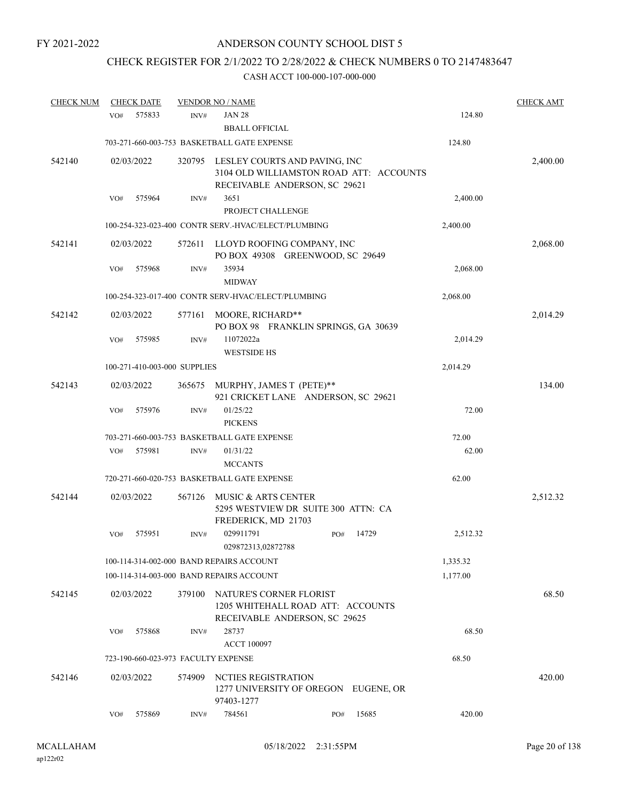# CHECK REGISTER FOR 2/1/2022 TO 2/28/2022 & CHECK NUMBERS 0 TO 2147483647

| <b>CHECK NUM</b> | <b>CHECK DATE</b>                   |                | <b>VENDOR NO / NAME</b>                                                                                   |          | <b>CHECK AMT</b> |
|------------------|-------------------------------------|----------------|-----------------------------------------------------------------------------------------------------------|----------|------------------|
|                  | 575833<br>VO#                       | INV#           | <b>JAN 28</b>                                                                                             | 124.80   |                  |
|                  |                                     |                | <b>BBALL OFFICIAL</b>                                                                                     |          |                  |
|                  |                                     |                | 703-271-660-003-753 BASKETBALL GATE EXPENSE                                                               | 124.80   |                  |
| 542140           | 02/03/2022                          | 320795         | LESLEY COURTS AND PAVING, INC<br>3104 OLD WILLIAMSTON ROAD ATT: ACCOUNTS<br>RECEIVABLE ANDERSON, SC 29621 |          | 2,400.00         |
|                  | 575964<br>VO#                       | INV#           | 3651<br>PROJECT CHALLENGE                                                                                 | 2,400.00 |                  |
|                  |                                     |                | 100-254-323-023-400 CONTR SERV.-HVAC/ELECT/PLUMBING                                                       | 2,400.00 |                  |
| 542141           | 02/03/2022                          | 572611         | LLOYD ROOFING COMPANY, INC<br>PO BOX 49308 GREENWOOD, SC 29649                                            |          | 2,068.00         |
|                  | 575968<br>VO#                       | INV#           | 35934<br><b>MIDWAY</b>                                                                                    | 2,068.00 |                  |
|                  |                                     |                | 100-254-323-017-400 CONTR SERV-HVAC/ELECT/PLUMBING                                                        | 2,068.00 |                  |
| 542142           | 02/03/2022                          | 577161         | MOORE, RICHARD**<br>PO BOX 98 FRANKLIN SPRINGS, GA 30639                                                  |          | 2,014.29         |
|                  | 575985<br>VO#                       | INV#           | 11072022a<br><b>WESTSIDE HS</b>                                                                           | 2,014.29 |                  |
|                  | 100-271-410-003-000 SUPPLIES        |                |                                                                                                           | 2,014.29 |                  |
| 542143           | 02/03/2022                          | 365675         | MURPHY, JAMES T (PETE)**<br>921 CRICKET LANE ANDERSON, SC 29621                                           |          | 134.00           |
|                  | 575976<br>VO#                       | INV#           | 01/25/22<br><b>PICKENS</b>                                                                                | 72.00    |                  |
|                  |                                     |                | 703-271-660-003-753 BASKETBALL GATE EXPENSE                                                               | 72.00    |                  |
|                  | 575981<br>VO#                       | $\text{INV}\#$ | 01/31/22                                                                                                  | 62.00    |                  |
|                  |                                     |                | <b>MCCANTS</b>                                                                                            |          |                  |
|                  |                                     |                | 720-271-660-020-753 BASKETBALL GATE EXPENSE                                                               | 62.00    |                  |
| 542144           | 02/03/2022                          | 567126         | MUSIC & ARTS CENTER<br>5295 WESTVIEW DR SUITE 300 ATTN: CA<br>FREDERICK, MD 21703                         |          | 2,512.32         |
|                  | 575951<br>VO#                       | INV#           | 029911791<br>PO#<br>14729<br>029872313,02872788                                                           | 2,512.32 |                  |
|                  |                                     |                | 100-114-314-002-000 BAND REPAIRS ACCOUNT                                                                  | 1,335.32 |                  |
|                  |                                     |                | 100-114-314-003-000 BAND REPAIRS ACCOUNT                                                                  | 1,177.00 |                  |
| 542145           | 02/03/2022                          | 379100         | NATURE'S CORNER FLORIST<br>1205 WHITEHALL ROAD ATT: ACCOUNTS                                              |          | 68.50            |
|                  | 575868<br>VO#                       | INV#           | RECEIVABLE ANDERSON, SC 29625<br>28737<br><b>ACCT 100097</b>                                              | 68.50    |                  |
|                  | 723-190-660-023-973 FACULTY EXPENSE |                |                                                                                                           | 68.50    |                  |
| 542146           | 02/03/2022                          | 574909         | NCTIES REGISTRATION<br>1277 UNIVERSITY OF OREGON EUGENE, OR<br>97403-1277                                 |          | 420.00           |
|                  | 575869<br>VO#                       | INV#           | 784561<br>15685<br>PO#                                                                                    | 420.00   |                  |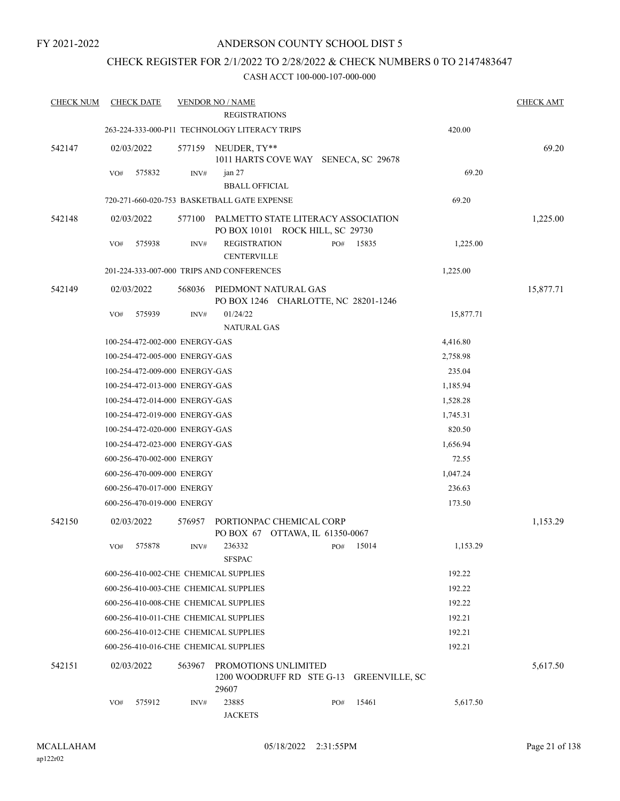### CHECK REGISTER FOR 2/1/2022 TO 2/28/2022 & CHECK NUMBERS 0 TO 2147483647

| <b>CHECK NUM</b> | <b>CHECK DATE</b>                     |        | <b>VENDOR NO / NAME</b><br><b>REGISTRATIONS</b>                         |     |                       |           | <b>CHECK AMT</b> |
|------------------|---------------------------------------|--------|-------------------------------------------------------------------------|-----|-----------------------|-----------|------------------|
|                  |                                       |        | 263-224-333-000-P11 TECHNOLOGY LITERACY TRIPS                           |     |                       | 420.00    |                  |
| 542147           | 02/03/2022                            |        | 577159 NEUDER, TY**<br>1011 HARTS COVE WAY SENECA, SC 29678             |     |                       |           | 69.20            |
|                  | VO#<br>575832                         | INV#   | jan 27<br><b>BBALL OFFICIAL</b>                                         |     |                       | 69.20     |                  |
|                  |                                       |        | 720-271-660-020-753 BASKETBALL GATE EXPENSE                             |     |                       | 69.20     |                  |
| 542148           | 02/03/2022                            | 577100 | PALMETTO STATE LITERACY ASSOCIATION<br>PO BOX 10101 ROCK HILL, SC 29730 |     |                       |           | 1,225.00         |
|                  | 575938<br>VO#                         | INV#   | <b>REGISTRATION</b><br><b>CENTERVILLE</b>                               | PO# | 15835                 | 1,225.00  |                  |
|                  |                                       |        | 201-224-333-007-000 TRIPS AND CONFERENCES                               |     |                       | 1,225.00  |                  |
| 542149           | 02/03/2022                            | 568036 | PIEDMONT NATURAL GAS<br>PO BOX 1246 CHARLOTTE, NC 28201-1246            |     |                       |           | 15,877.71        |
|                  | VO#<br>575939                         | INV#   | 01/24/22<br><b>NATURAL GAS</b>                                          |     |                       | 15,877.71 |                  |
|                  | 100-254-472-002-000 ENERGY-GAS        |        |                                                                         |     |                       | 4,416.80  |                  |
|                  | 100-254-472-005-000 ENERGY-GAS        |        |                                                                         |     |                       | 2,758.98  |                  |
|                  | 100-254-472-009-000 ENERGY-GAS        |        |                                                                         |     |                       | 235.04    |                  |
|                  | 100-254-472-013-000 ENERGY-GAS        |        |                                                                         |     |                       | 1,185.94  |                  |
|                  | 100-254-472-014-000 ENERGY-GAS        |        |                                                                         |     |                       | 1,528.28  |                  |
|                  | 100-254-472-019-000 ENERGY-GAS        |        |                                                                         |     |                       | 1,745.31  |                  |
|                  | 100-254-472-020-000 ENERGY-GAS        |        |                                                                         |     |                       | 820.50    |                  |
|                  | 100-254-472-023-000 ENERGY-GAS        |        |                                                                         |     |                       | 1,656.94  |                  |
|                  | 600-256-470-002-000 ENERGY            |        |                                                                         |     |                       | 72.55     |                  |
|                  | 600-256-470-009-000 ENERGY            |        |                                                                         |     |                       | 1,047.24  |                  |
|                  | 600-256-470-017-000 ENERGY            |        |                                                                         |     |                       | 236.63    |                  |
|                  | 600-256-470-019-000 ENERGY            |        |                                                                         |     |                       | 173.50    |                  |
| 542150           | 02/03/2022                            | 576957 | PORTIONPAC CHEMICAL CORP<br>PO BOX 67 OTTAWA, IL 61350-0067             |     |                       |           | 1,153.29         |
|                  | 575878<br>VO#                         | INV#   | 236332<br><b>SFSPAC</b>                                                 |     | $PO#$ 15014           | 1,153.29  |                  |
|                  | 600-256-410-002-CHE CHEMICAL SUPPLIES |        |                                                                         |     |                       | 192.22    |                  |
|                  | 600-256-410-003-CHE CHEMICAL SUPPLIES |        |                                                                         |     |                       | 192.22    |                  |
|                  | 600-256-410-008-CHE CHEMICAL SUPPLIES |        |                                                                         |     |                       | 192.22    |                  |
|                  | 600-256-410-011-CHE CHEMICAL SUPPLIES |        |                                                                         |     |                       | 192.21    |                  |
|                  | 600-256-410-012-CHE CHEMICAL SUPPLIES |        |                                                                         |     |                       | 192.21    |                  |
|                  | 600-256-410-016-CHE CHEMICAL SUPPLIES |        |                                                                         |     |                       | 192.21    |                  |
| 542151           | 02/03/2022                            | 563967 | PROMOTIONS UNLIMITED<br>1200 WOODRUFF RD STE G-13<br>29607              |     | <b>GREENVILLE, SC</b> |           | 5,617.50         |
|                  | 575912<br>VO#                         | INV#   | 23885<br><b>JACKETS</b>                                                 | PO# | 15461                 | 5,617.50  |                  |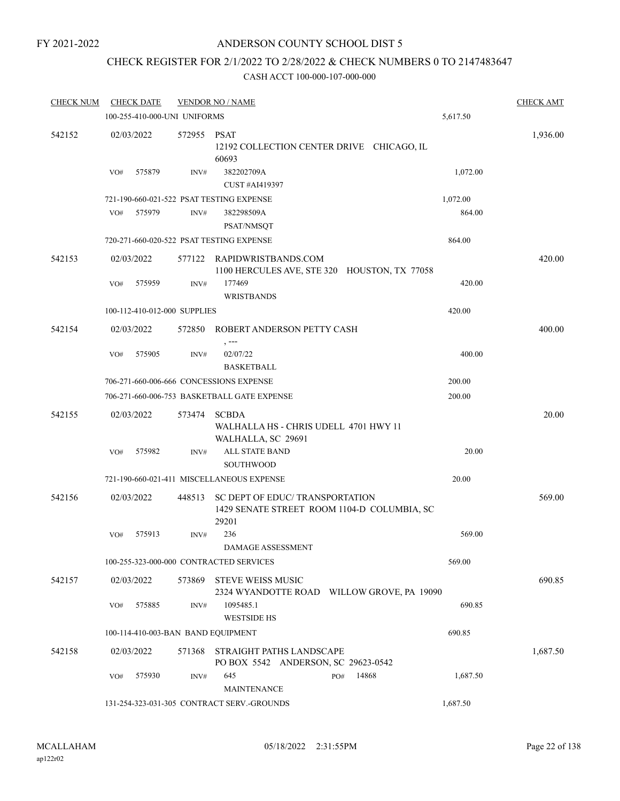### ANDERSON COUNTY SCHOOL DIST 5

### CHECK REGISTER FOR 2/1/2022 TO 2/28/2022 & CHECK NUMBERS 0 TO 2147483647

| <b>CHECK NUM</b> | <b>CHECK DATE</b>                  |        | <b>VENDOR NO / NAME</b>                                                                 |              |          | <b>CHECK AMT</b> |  |
|------------------|------------------------------------|--------|-----------------------------------------------------------------------------------------|--------------|----------|------------------|--|
|                  | 100-255-410-000-UNI UNIFORMS       |        |                                                                                         |              | 5,617.50 |                  |  |
| 542152           | 02/03/2022                         | 572955 | PSAT<br>12192 COLLECTION CENTER DRIVE CHICAGO, IL<br>60693                              |              |          | 1,936.00         |  |
|                  | VO#<br>575879                      | INV#   | 382202709A<br><b>CUST #AI419397</b>                                                     |              | 1,072.00 |                  |  |
|                  |                                    |        | 721-190-660-021-522 PSAT TESTING EXPENSE                                                |              | 1,072.00 |                  |  |
|                  | 575979<br>VO#                      | INV#   | 382298509A                                                                              |              | 864.00   |                  |  |
|                  |                                    |        | PSAT/NMSQT                                                                              |              |          |                  |  |
|                  |                                    |        | 720-271-660-020-522 PSAT TESTING EXPENSE                                                |              | 864.00   |                  |  |
| 542153           | 02/03/2022                         | 577122 | RAPIDWRISTBANDS.COM<br>1100 HERCULES AVE, STE 320 HOUSTON, TX 77058                     |              |          | 420.00           |  |
|                  | 575959<br>VO#                      | INV#   | 177469<br><b>WRISTBANDS</b>                                                             |              | 420.00   |                  |  |
|                  | 100-112-410-012-000 SUPPLIES       |        |                                                                                         |              | 420.00   |                  |  |
| 542154           | 02/03/2022                         |        | 572850 ROBERT ANDERSON PETTY CASH<br>, ---                                              |              |          | 400.00           |  |
|                  | VO#<br>575905                      | INV#   | 02/07/22<br><b>BASKETBALL</b>                                                           |              | 400.00   |                  |  |
|                  |                                    |        | 706-271-660-006-666 CONCESSIONS EXPENSE                                                 |              | 200.00   |                  |  |
|                  |                                    |        | 706-271-660-006-753 BASKETBALL GATE EXPENSE                                             |              | 200.00   |                  |  |
|                  | 02/03/2022                         | 573474 | <b>SCBDA</b>                                                                            |              |          | 20.00            |  |
| 542155           |                                    |        | WALHALLA HS - CHRIS UDELL 4701 HWY 11<br>WALHALLA, SC 29691                             |              |          |                  |  |
|                  | 575982<br>VO#                      | INV#   | ALL STATE BAND<br><b>SOUTHWOOD</b>                                                      |              | 20.00    |                  |  |
|                  |                                    |        | 721-190-660-021-411 MISCELLANEOUS EXPENSE                                               |              | 20.00    |                  |  |
| 542156           | 02/03/2022                         | 448513 | SC DEPT OF EDUC/ TRANSPORTATION<br>1429 SENATE STREET ROOM 1104-D COLUMBIA, SC<br>29201 |              |          | 569.00           |  |
|                  | 575913<br>VO#                      | INV#   | 236<br>DAMAGE ASSESSMENT                                                                |              | 569.00   |                  |  |
|                  |                                    |        | 100-255-323-000-000 CONTRACTED SERVICES                                                 |              | 569.00   |                  |  |
| 542157           | 02/03/2022                         | 573869 | STEVE WEISS MUSIC<br>2324 WYANDOTTE ROAD WILLOW GROVE, PA 19090                         |              |          | 690.85           |  |
|                  | 575885<br>VO#                      | INV#   | 1095485.1<br><b>WESTSIDE HS</b>                                                         |              | 690.85   |                  |  |
|                  | 100-114-410-003-BAN BAND EQUIPMENT |        |                                                                                         |              | 690.85   |                  |  |
| 542158           | 02/03/2022                         | 571368 | STRAIGHT PATHS LANDSCAPE<br>PO BOX 5542 ANDERSON, SC 29623-0542                         |              |          | 1,687.50         |  |
|                  | 575930<br>VO#                      | INV#   | 645<br><b>MAINTENANCE</b>                                                               | 14868<br>PO# | 1,687.50 |                  |  |
|                  |                                    |        | 131-254-323-031-305 CONTRACT SERV.-GROUNDS                                              |              | 1,687.50 |                  |  |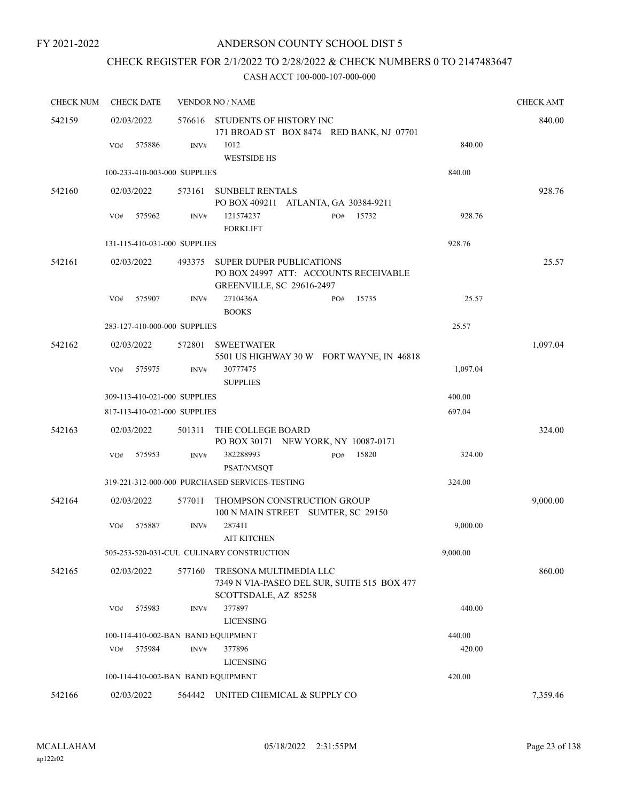# CHECK REGISTER FOR 2/1/2022 TO 2/28/2022 & CHECK NUMBERS 0 TO 2147483647

| <b>CHECK NUM</b> | <b>CHECK DATE</b>                  |        | <b>VENDOR NO / NAME</b>                                                                               |          | <b>CHECK AMT</b> |
|------------------|------------------------------------|--------|-------------------------------------------------------------------------------------------------------|----------|------------------|
| 542159           | 02/03/2022                         |        | 576616 STUDENTS OF HISTORY INC<br>171 BROAD ST BOX 8474 RED BANK, NJ 07701                            |          | 840.00           |
|                  | 575886<br>VO#                      | INV#   | 1012<br><b>WESTSIDE HS</b>                                                                            | 840.00   |                  |
|                  | 100-233-410-003-000 SUPPLIES       |        |                                                                                                       | 840.00   |                  |
| 542160           | 02/03/2022                         |        | 573161 SUNBELT RENTALS<br>PO BOX 409211 ATLANTA, GA 30384-9211                                        |          | 928.76           |
|                  | 575962<br>VO#                      | INV#   | 121574237<br>PO# 15732<br><b>FORKLIFT</b>                                                             | 928.76   |                  |
|                  | 131-115-410-031-000 SUPPLIES       |        |                                                                                                       | 928.76   |                  |
| 542161           | 02/03/2022                         | 493375 | SUPER DUPER PUBLICATIONS<br>PO BOX 24997 ATT: ACCOUNTS RECEIVABLE<br><b>GREENVILLE, SC 29616-2497</b> |          | 25.57            |
|                  | 575907<br>VO#                      | INV#   | 2710436A<br>15735<br>PO#<br><b>BOOKS</b>                                                              | 25.57    |                  |
|                  | 283-127-410-000-000 SUPPLIES       |        |                                                                                                       | 25.57    |                  |
| 542162           | 02/03/2022                         |        | 572801 SWEETWATER<br>5501 US HIGHWAY 30 W FORT WAYNE, IN 46818                                        |          | 1,097.04         |
|                  | 575975<br>VO#                      | INV#   | 30777475<br><b>SUPPLIES</b>                                                                           | 1,097.04 |                  |
|                  | 309-113-410-021-000 SUPPLIES       |        |                                                                                                       | 400.00   |                  |
|                  | 817-113-410-021-000 SUPPLIES       |        |                                                                                                       | 697.04   |                  |
| 542163           | 02/03/2022                         | 501311 | THE COLLEGE BOARD<br>PO BOX 30171 NEW YORK, NY 10087-0171                                             |          | 324.00           |
|                  | 575953<br>VO#                      | INV#   | 382288993<br>15820<br>PO#<br>PSAT/NMSQT                                                               | 324.00   |                  |
|                  |                                    |        | 319-221-312-000-000 PURCHASED SERVICES-TESTING                                                        | 324.00   |                  |
| 542164           | 02/03/2022                         | 577011 | THOMPSON CONSTRUCTION GROUP<br>100 N MAIN STREET SUMTER, SC 29150                                     |          | 9,000.00         |
|                  | 575887<br>VO#                      | INV#   | 287411<br><b>AIT KITCHEN</b>                                                                          | 9,000.00 |                  |
|                  |                                    |        | 505-253-520-031-CUL CULINARY CONSTRUCTION                                                             | 9,000.00 |                  |
| 542165           | 02/03/2022                         | 577160 | TRESONA MULTIMEDIA LLC<br>7349 N VIA-PASEO DEL SUR, SUITE 515 BOX 477<br>SCOTTSDALE, AZ 85258         |          | 860.00           |
|                  | 575983<br>VO#                      | INV#   | 377897<br><b>LICENSING</b>                                                                            | 440.00   |                  |
|                  | 100-114-410-002-BAN BAND EQUIPMENT |        |                                                                                                       | 440.00   |                  |
|                  | 575984<br>VO#                      | INV#   | 377896                                                                                                | 420.00   |                  |
|                  |                                    |        | <b>LICENSING</b>                                                                                      |          |                  |
|                  | 100-114-410-002-BAN BAND EQUIPMENT |        |                                                                                                       | 420.00   |                  |
| 542166           | 02/03/2022                         |        | 564442 UNITED CHEMICAL & SUPPLY CO                                                                    |          | 7,359.46         |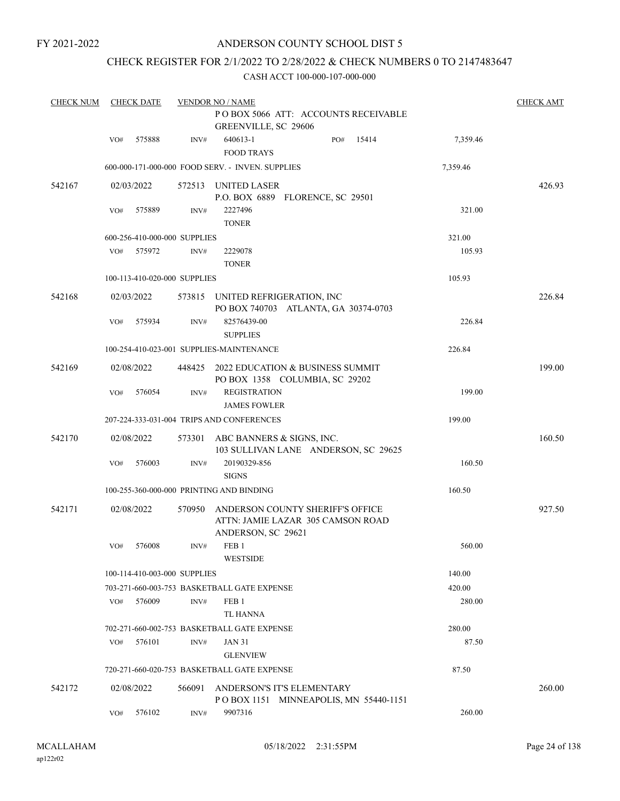### ANDERSON COUNTY SCHOOL DIST 5

### CHECK REGISTER FOR 2/1/2022 TO 2/28/2022 & CHECK NUMBERS 0 TO 2147483647

| <b>CHECK NUM</b> |     | <b>CHECK DATE</b>            |        | <b>VENDOR NO / NAME</b>                                                                     |     |       |          | <b>CHECK AMT</b> |
|------------------|-----|------------------------------|--------|---------------------------------------------------------------------------------------------|-----|-------|----------|------------------|
|                  |     |                              |        | PO BOX 5066 ATT: ACCOUNTS RECEIVABLE<br>GREENVILLE, SC 29606                                |     |       |          |                  |
|                  | VO# | 575888                       | INV#   | 640613-1<br><b>FOOD TRAYS</b>                                                               | PO# | 15414 | 7,359.46 |                  |
|                  |     |                              |        | 600-000-171-000-000 FOOD SERV. - INVEN. SUPPLIES                                            |     |       | 7,359.46 |                  |
| 542167           |     | 02/03/2022                   | 572513 | UNITED LASER<br>P.O. BOX 6889 FLORENCE, SC 29501                                            |     |       |          | 426.93           |
|                  | VO# | 575889                       | INV#   | 2227496<br><b>TONER</b>                                                                     |     |       | 321.00   |                  |
|                  |     | 600-256-410-000-000 SUPPLIES |        |                                                                                             |     |       | 321.00   |                  |
|                  | VO# | 575972                       | INV#   | 2229078<br><b>TONER</b>                                                                     |     |       | 105.93   |                  |
|                  |     | 100-113-410-020-000 SUPPLIES |        |                                                                                             |     |       | 105.93   |                  |
| 542168           |     | 02/03/2022                   |        | 573815 UNITED REFRIGERATION, INC<br>PO BOX 740703 ATLANTA, GA 30374-0703                    |     |       |          | 226.84           |
|                  | VO# | 575934                       | INV#   | 82576439-00<br><b>SUPPLIES</b>                                                              |     |       | 226.84   |                  |
|                  |     |                              |        | 100-254-410-023-001 SUPPLIES-MAINTENANCE                                                    |     |       | 226.84   |                  |
| 542169           |     | 02/08/2022                   | 448425 | 2022 EDUCATION & BUSINESS SUMMIT<br>PO BOX 1358 COLUMBIA, SC 29202                          |     |       |          | 199.00           |
|                  | VO# | 576054                       | INV#   | <b>REGISTRATION</b><br><b>JAMES FOWLER</b>                                                  |     |       | 199.00   |                  |
|                  |     |                              |        | 207-224-333-031-004 TRIPS AND CONFERENCES                                                   |     |       | 199.00   |                  |
| 542170           |     | 02/08/2022                   | 573301 | ABC BANNERS & SIGNS, INC.<br>103 SULLIVAN LANE ANDERSON, SC 29625                           |     |       |          | 160.50           |
|                  | VO# | 576003                       | INV#   | 20190329-856<br><b>SIGNS</b>                                                                |     |       | 160.50   |                  |
|                  |     |                              |        | 100-255-360-000-000 PRINTING AND BINDING                                                    |     |       | 160.50   |                  |
| 542171           |     | 02/08/2022                   | 570950 | ANDERSON COUNTY SHERIFF'S OFFICE<br>ATTN: JAMIE LAZAR 305 CAMSON ROAD<br>ANDERSON, SC 29621 |     |       |          | 927.50           |
|                  | VO# | 576008                       | INV#   | FEB <sub>1</sub><br><b>WESTSIDE</b>                                                         |     |       | 560.00   |                  |
|                  |     | 100-114-410-003-000 SUPPLIES |        |                                                                                             |     |       | 140.00   |                  |
|                  |     |                              |        | 703-271-660-003-753 BASKETBALL GATE EXPENSE                                                 |     |       | 420.00   |                  |
|                  | VO# | 576009                       | INV#   | FEB <sub>1</sub><br>TL HANNA                                                                |     |       | 280.00   |                  |
|                  |     |                              |        | 702-271-660-002-753 BASKETBALL GATE EXPENSE                                                 |     |       | 280.00   |                  |
|                  | VO# | 576101                       | INV#   | <b>JAN 31</b><br><b>GLENVIEW</b>                                                            |     |       | 87.50    |                  |
|                  |     |                              |        | 720-271-660-020-753 BASKETBALL GATE EXPENSE                                                 |     |       | 87.50    |                  |
| 542172           |     | 02/08/2022                   | 566091 | ANDERSON'S IT'S ELEMENTARY<br>POBOX 1151 MINNEAPOLIS, MN 55440-1151                         |     |       |          | 260.00           |
|                  | VO# | 576102                       | INV#   | 9907316                                                                                     |     |       | 260.00   |                  |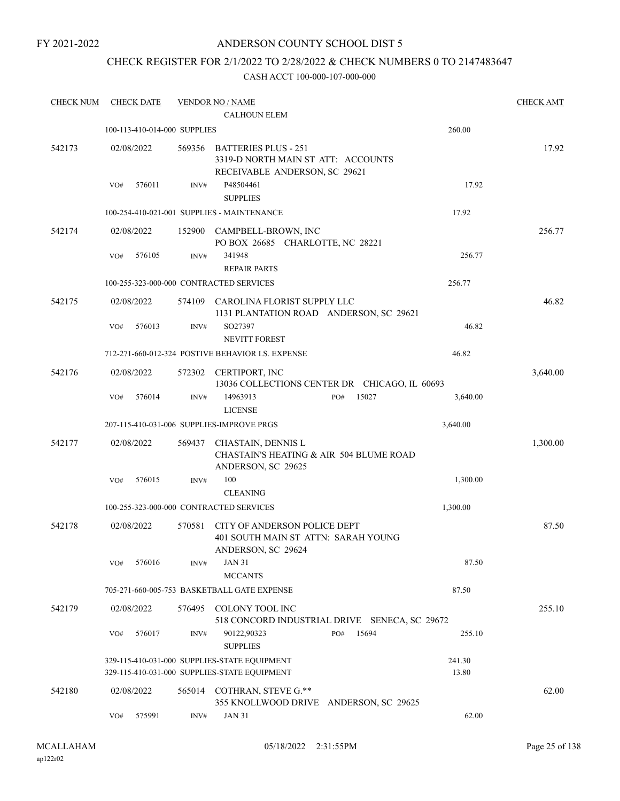### ANDERSON COUNTY SCHOOL DIST 5

# CHECK REGISTER FOR 2/1/2022 TO 2/28/2022 & CHECK NUMBERS 0 TO 2147483647

| <b>CHECK NUM</b> | <b>CHECK DATE</b>                       |                | <b>VENDOR NO / NAME</b>                                                                            |              |                 | <b>CHECK AMT</b> |
|------------------|-----------------------------------------|----------------|----------------------------------------------------------------------------------------------------|--------------|-----------------|------------------|
|                  |                                         |                | <b>CALHOUN ELEM</b>                                                                                |              |                 |                  |
|                  | 100-113-410-014-000 SUPPLIES            |                |                                                                                                    |              | 260.00          |                  |
| 542173           | 02/08/2022                              | 569356         | <b>BATTERIES PLUS - 251</b><br>3319-D NORTH MAIN ST ATT: ACCOUNTS<br>RECEIVABLE ANDERSON, SC 29621 |              |                 | 17.92            |
|                  | 576011<br>VO#                           | INV#           | P48504461<br><b>SUPPLIES</b>                                                                       |              | 17.92           |                  |
|                  |                                         |                | 100-254-410-021-001 SUPPLIES - MAINTENANCE                                                         |              | 17.92           |                  |
| 542174           | 02/08/2022                              | 152900         | CAMPBELL-BROWN, INC<br>PO BOX 26685 CHARLOTTE, NC 28221                                            |              |                 | 256.77           |
|                  | 576105<br>VO#                           | $\text{INV}\#$ | 341948<br><b>REPAIR PARTS</b>                                                                      |              | 256.77          |                  |
|                  |                                         |                | 100-255-323-000-000 CONTRACTED SERVICES                                                            |              | 256.77          |                  |
| 542175           | 02/08/2022                              | 574109         | CAROLINA FLORIST SUPPLY LLC<br>1131 PLANTATION ROAD ANDERSON, SC 29621                             |              |                 | 46.82            |
|                  | VO#<br>576013                           | INV#           | SO27397<br><b>NEVITT FOREST</b>                                                                    |              | 46.82           |                  |
|                  |                                         |                | 712-271-660-012-324 POSTIVE BEHAVIOR I.S. EXPENSE                                                  |              | 46.82           |                  |
| 542176           | 02/08/2022                              | 572302         | CERTIPORT, INC<br>13036 COLLECTIONS CENTER DR CHICAGO, IL 60693                                    |              |                 | 3,640.00         |
|                  | 576014<br>VO#                           | INV#           | 14963913<br><b>LICENSE</b>                                                                         | 15027<br>PO# | 3,640.00        |                  |
|                  |                                         |                | 207-115-410-031-006 SUPPLIES-IMPROVE PRGS                                                          |              | 3,640.00        |                  |
| 542177           | 02/08/2022                              | 569437         | CHASTAIN, DENNIS L<br>CHASTAIN'S HEATING & AIR 504 BLUME ROAD<br>ANDERSON, SC 29625                |              |                 | 1,300.00         |
|                  | 576015<br>VO#                           | INV#           | 100<br><b>CLEANING</b>                                                                             |              | 1,300.00        |                  |
|                  | 100-255-323-000-000 CONTRACTED SERVICES |                |                                                                                                    |              | 1,300.00        |                  |
| 542178           | 02/08/2022                              | 570581         | CITY OF ANDERSON POLICE DEPT<br>401 SOUTH MAIN ST ATTN: SARAH YOUNG<br>ANDERSON, SC 29624          |              |                 | 87.50            |
|                  | 576016<br>VO#                           | INV#           | <b>JAN 31</b><br><b>MCCANTS</b>                                                                    |              | 87.50           |                  |
|                  |                                         |                | 705-271-660-005-753 BASKETBALL GATE EXPENSE                                                        |              | 87.50           |                  |
| 542179           | 02/08/2022                              | 576495         | COLONY TOOL INC<br>518 CONCORD INDUSTRIAL DRIVE SENECA, SC 29672                                   |              |                 | 255.10           |
|                  | 576017<br>VO#                           | INV#           | 90122,90323<br><b>SUPPLIES</b>                                                                     | 15694<br>PO# | 255.10          |                  |
|                  |                                         |                | 329-115-410-031-000 SUPPLIES-STATE EQUIPMENT<br>329-115-410-031-000 SUPPLIES-STATE EQUIPMENT       |              | 241.30<br>13.80 |                  |
| 542180           | 02/08/2022                              | 565014         | COTHRAN, STEVE G.**<br>355 KNOLLWOOD DRIVE ANDERSON, SC 29625                                      |              |                 | 62.00            |
|                  | 575991<br>VO#                           | INV#           | <b>JAN 31</b>                                                                                      |              | 62.00           |                  |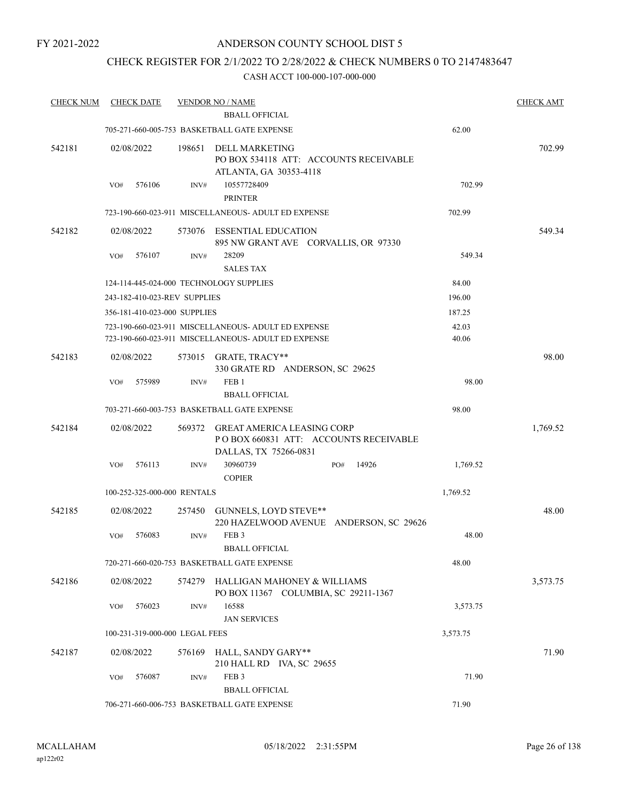### CHECK REGISTER FOR 2/1/2022 TO 2/28/2022 & CHECK NUMBERS 0 TO 2147483647

| <b>CHECK NUM</b> | <b>CHECK DATE</b>            |                                | <b>VENDOR NO / NAME</b><br><b>BBALL OFFICIAL</b>                                                           |                                         |                | <b>CHECK AMT</b> |
|------------------|------------------------------|--------------------------------|------------------------------------------------------------------------------------------------------------|-----------------------------------------|----------------|------------------|
|                  |                              |                                | 705-271-660-005-753 BASKETBALL GATE EXPENSE                                                                |                                         | 62.00          |                  |
| 542181           | 02/08/2022                   | 198651                         | <b>DELL MARKETING</b><br>ATLANTA, GA 30353-4118                                                            | PO BOX 534118 ATT: ACCOUNTS RECEIVABLE  |                | 702.99           |
|                  | 576106<br>VO#                | INV#                           | 10557728409<br><b>PRINTER</b>                                                                              |                                         | 702.99         |                  |
|                  |                              |                                | 723-190-660-023-911 MISCELLANEOUS- ADULT ED EXPENSE                                                        |                                         | 702.99         |                  |
| 542182           | 02/08/2022                   | 573076                         | ESSENTIAL EDUCATION                                                                                        | 895 NW GRANT AVE CORVALLIS, OR 97330    |                | 549.34           |
|                  | 576107<br>VO#                | INV#                           | 28209<br><b>SALES TAX</b>                                                                                  |                                         | 549.34         |                  |
|                  |                              |                                | 124-114-445-024-000 TECHNOLOGY SUPPLIES                                                                    |                                         | 84.00          |                  |
|                  | 243-182-410-023-REV SUPPLIES |                                |                                                                                                            |                                         | 196.00         |                  |
|                  |                              | 356-181-410-023-000 SUPPLIES   |                                                                                                            |                                         | 187.25         |                  |
|                  |                              |                                | 723-190-660-023-911 MISCELLANEOUS- ADULT ED EXPENSE<br>723-190-660-023-911 MISCELLANEOUS- ADULT ED EXPENSE |                                         | 42.03<br>40.06 |                  |
| 542183           | 02/08/2022                   | 573015                         | GRATE, TRACY**<br>330 GRATE RD ANDERSON, SC 29625                                                          |                                         |                | 98.00            |
|                  | 575989<br>VO#                | INV#                           | FEB <sub>1</sub><br><b>BBALL OFFICIAL</b>                                                                  |                                         | 98.00          |                  |
|                  |                              |                                | 703-271-660-003-753 BASKETBALL GATE EXPENSE                                                                |                                         | 98.00          |                  |
| 542184           | 02/08/2022                   | 569372                         | <b>GREAT AMERICA LEASING CORP</b><br>DALLAS, TX 75266-0831                                                 | POBOX 660831 ATT: ACCOUNTS RECEIVABLE   |                | 1,769.52         |
|                  | 576113<br>VO#                | INV#                           | 30960739<br><b>COPIER</b>                                                                                  | 14926<br>PO#                            | 1,769.52       |                  |
|                  |                              | 100-252-325-000-000 RENTALS    |                                                                                                            |                                         | 1,769.52       |                  |
| 542185           | 02/08/2022                   | 257450                         | GUNNELS, LOYD STEVE**                                                                                      | 220 HAZELWOOD AVENUE ANDERSON, SC 29626 |                | 48.00            |
|                  | 576083<br>VO#                | INV#                           | FEB <sub>3</sub><br><b>BBALL OFFICIAL</b>                                                                  |                                         | 48.00          |                  |
|                  |                              |                                | 720-271-660-020-753 BASKETBALL GATE EXPENSE                                                                |                                         | 48.00          |                  |
| 542186           | 02/08/2022                   |                                | 574279 HALLIGAN MAHONEY & WILLIAMS<br>PO BOX 11367 COLUMBIA, SC 29211-1367                                 |                                         |                | 3,573.75         |
|                  | 576023<br>VO#                | INV#                           | 16588<br><b>JAN SERVICES</b>                                                                               |                                         | 3,573.75       |                  |
|                  |                              | 100-231-319-000-000 LEGAL FEES |                                                                                                            |                                         | 3,573.75       |                  |
| 542187           | 02/08/2022                   |                                | 576169 HALL, SANDY GARY**<br>210 HALL RD IVA, SC 29655                                                     |                                         |                | 71.90            |
|                  | 576087<br>VO#                | INV#                           | FEB <sub>3</sub><br><b>BBALL OFFICIAL</b>                                                                  |                                         | 71.90          |                  |
|                  |                              |                                | 706-271-660-006-753 BASKETBALL GATE EXPENSE                                                                |                                         | 71.90          |                  |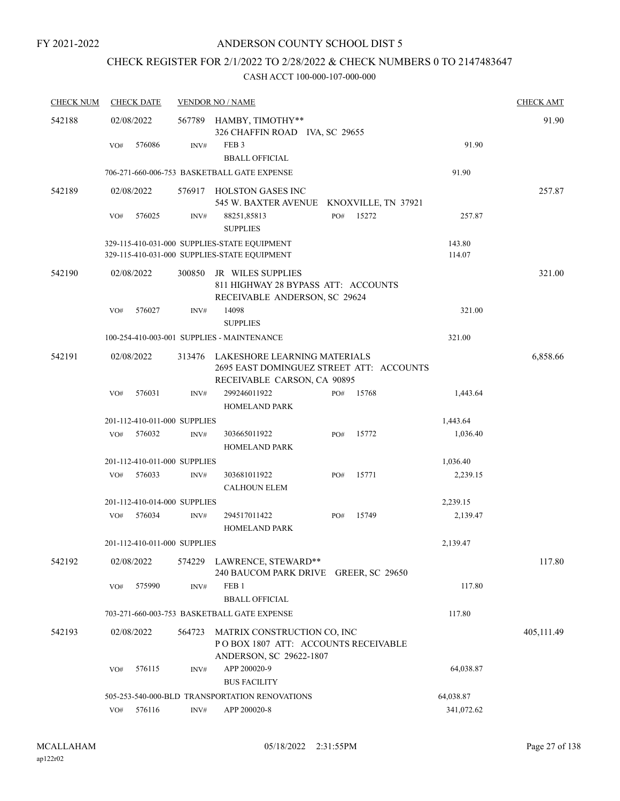# CHECK REGISTER FOR 2/1/2022 TO 2/28/2022 & CHECK NUMBERS 0 TO 2147483647

| <b>CHECK NUM</b> | <b>CHECK DATE</b>            |                | <b>VENDOR NO / NAME</b>                                                                                 |              |                  | <b>CHECK AMT</b> |
|------------------|------------------------------|----------------|---------------------------------------------------------------------------------------------------------|--------------|------------------|------------------|
| 542188           | 02/08/2022                   |                | 567789 HAMBY, TIMOTHY**<br>326 CHAFFIN ROAD IVA, SC 29655                                               |              |                  | 91.90            |
|                  | 576086<br>VO#                | INV#           | FEB <sub>3</sub><br><b>BBALL OFFICIAL</b>                                                               |              | 91.90            |                  |
|                  |                              |                | 706-271-660-006-753 BASKETBALL GATE EXPENSE                                                             |              | 91.90            |                  |
| 542189           | 02/08/2022                   |                | 576917 HOLSTON GASES INC<br>545 W. BAXTER AVENUE KNOXVILLE, TN 37921                                    |              |                  | 257.87           |
|                  | 576025<br>VO#                | INV#           | 88251,85813<br><b>SUPPLIES</b>                                                                          | 15272<br>PO# | 257.87           |                  |
|                  |                              |                | 329-115-410-031-000 SUPPLIES-STATE EQUIPMENT<br>329-115-410-031-000 SUPPLIES-STATE EQUIPMENT            |              | 143.80<br>114.07 |                  |
| 542190           | 02/08/2022                   | 300850         | JR WILES SUPPLIES<br>811 HIGHWAY 28 BYPASS ATT: ACCOUNTS<br>RECEIVABLE ANDERSON, SC 29624               |              |                  | 321.00           |
|                  | 576027<br>VO#                | INV#           | 14098<br><b>SUPPLIES</b>                                                                                |              | 321.00           |                  |
|                  |                              |                | 100-254-410-003-001 SUPPLIES - MAINTENANCE                                                              |              | 321.00           |                  |
| 542191           | 02/08/2022                   | 313476         | LAKESHORE LEARNING MATERIALS<br>2695 EAST DOMINGUEZ STREET ATT: ACCOUNTS<br>RECEIVABLE CARSON, CA 90895 |              |                  | 6,858.66         |
|                  | 576031<br>VO#                | INV#           | 299246011922<br><b>HOMELAND PARK</b>                                                                    | PO#<br>15768 | 1,443.64         |                  |
|                  | 201-112-410-011-000 SUPPLIES |                |                                                                                                         |              | 1,443.64         |                  |
|                  | 576032<br>VO#                | $\text{INV}\#$ | 303665011922<br>HOMELAND PARK                                                                           | 15772<br>PO# | 1,036.40         |                  |
|                  | 201-112-410-011-000 SUPPLIES |                |                                                                                                         |              | 1,036.40         |                  |
|                  | 576033<br>VO#                | INV#           | 303681011922<br><b>CALHOUN ELEM</b>                                                                     | PO#<br>15771 | 2,239.15         |                  |
|                  | 201-112-410-014-000 SUPPLIES |                |                                                                                                         |              | 2,239.15         |                  |
|                  | 576034<br>VO#                | INV#           | 294517011422<br><b>HOMELAND PARK</b>                                                                    | 15749<br>PO# | 2,139.47         |                  |
|                  | 201-112-410-011-000 SUPPLIES |                |                                                                                                         |              | 2,139.47         |                  |
| 542192           | 02/08/2022                   | 574229         | LAWRENCE, STEWARD**<br>240 BAUCOM PARK DRIVE GREER, SC 29650                                            |              |                  | 117.80           |
|                  | 575990<br>VO#                | INV#           | FEB <sub>1</sub><br><b>BBALL OFFICIAL</b>                                                               |              | 117.80           |                  |
|                  |                              |                | 703-271-660-003-753 BASKETBALL GATE EXPENSE                                                             |              | 117.80           |                  |
| 542193           | 02/08/2022                   | 564723         | MATRIX CONSTRUCTION CO, INC<br>POBOX 1807 ATT: ACCOUNTS RECEIVABLE<br>ANDERSON, SC 29622-1807           |              |                  | 405,111.49       |
|                  | 576115<br>VO#                | INV#           | APP 200020-9<br><b>BUS FACILITY</b>                                                                     |              | 64,038.87        |                  |
|                  |                              |                | 505-253-540-000-BLD TRANSPORTATION RENOVATIONS                                                          |              | 64,038.87        |                  |
|                  | VO# 576116                   | INV#           | APP 200020-8                                                                                            |              | 341,072.62       |                  |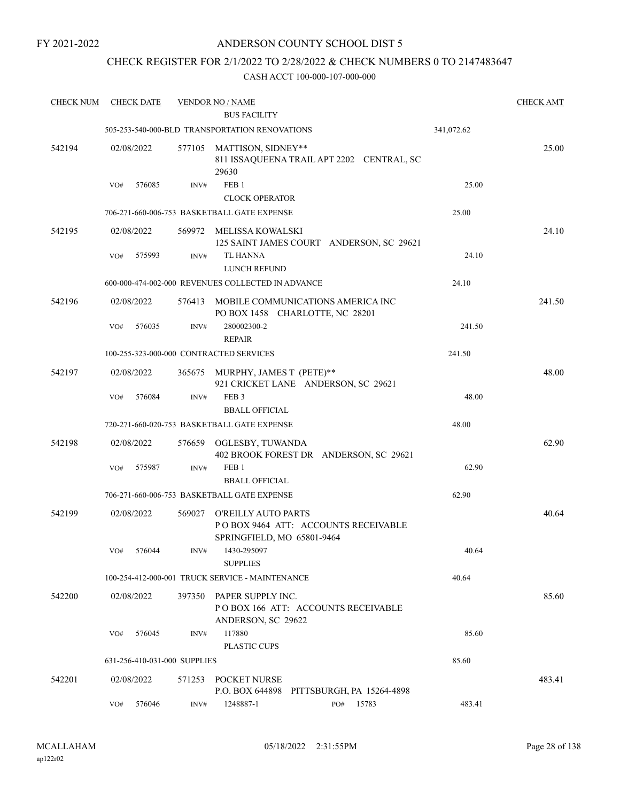### ANDERSON COUNTY SCHOOL DIST 5

### CHECK REGISTER FOR 2/1/2022 TO 2/28/2022 & CHECK NUMBERS 0 TO 2147483647

| <b>CHECK NUM</b> | <b>CHECK DATE</b> |                              | <b>VENDOR NO / NAME</b>                           |                                                                      |            | <b>CHECK AMT</b> |
|------------------|-------------------|------------------------------|---------------------------------------------------|----------------------------------------------------------------------|------------|------------------|
|                  |                   |                              | <b>BUS FACILITY</b>                               |                                                                      |            |                  |
|                  |                   |                              | 505-253-540-000-BLD TRANSPORTATION RENOVATIONS    |                                                                      | 341,072.62 |                  |
| 542194           | 02/08/2022        |                              | 577105 MATTISON, SIDNEY**<br>29630                | 811 ISSAQUEENA TRAIL APT 2202 CENTRAL, SC                            |            | 25.00            |
|                  | 576085<br>VO#     | INV#                         | FEB <sub>1</sub>                                  |                                                                      | 25.00      |                  |
|                  |                   |                              | <b>CLOCK OPERATOR</b>                             |                                                                      |            |                  |
|                  |                   |                              | 706-271-660-006-753 BASKETBALL GATE EXPENSE       |                                                                      | 25.00      |                  |
| 542195           | 02/08/2022        |                              | 569972 MELISSA KOWALSKI                           | 125 SAINT JAMES COURT ANDERSON, SC 29621                             |            | 24.10            |
|                  | 575993<br>VO#     | INV#                         | <b>TL HANNA</b><br>LUNCH REFUND                   |                                                                      | 24.10      |                  |
|                  |                   |                              | 600-000-474-002-000 REVENUES COLLECTED IN ADVANCE |                                                                      | 24.10      |                  |
| 542196           | 02/08/2022        | 576413                       |                                                   | MOBILE COMMUNICATIONS AMERICA INC<br>PO BOX 1458 CHARLOTTE, NC 28201 |            | 241.50           |
|                  | VO#<br>576035     | INV#                         | 280002300-2<br><b>REPAIR</b>                      |                                                                      | 241.50     |                  |
|                  |                   |                              | 100-255-323-000-000 CONTRACTED SERVICES           |                                                                      | 241.50     |                  |
| 542197           | 02/08/2022        | 365675                       | MURPHY, JAMES T (PETE)**                          | 921 CRICKET LANE ANDERSON, SC 29621                                  |            | 48.00            |
|                  | 576084<br>VO#     | INV#                         | FEB <sub>3</sub><br><b>BBALL OFFICIAL</b>         |                                                                      | 48.00      |                  |
|                  |                   |                              | 720-271-660-020-753 BASKETBALL GATE EXPENSE       |                                                                      | 48.00      |                  |
| 542198           | 02/08/2022        |                              | 576659 OGLESBY, TUWANDA                           | 402 BROOK FOREST DR ANDERSON, SC 29621                               |            | 62.90            |
|                  | 575987<br>VO#     | INV#                         | FEB <sub>1</sub><br><b>BBALL OFFICIAL</b>         |                                                                      | 62.90      |                  |
|                  |                   |                              | 706-271-660-006-753 BASKETBALL GATE EXPENSE       |                                                                      | 62.90      |                  |
| 542199           | 02/08/2022        | 569027                       | O'REILLY AUTO PARTS<br>SPRINGFIELD, MO 65801-9464 | POBOX 9464 ATT: ACCOUNTS RECEIVABLE                                  |            | 40.64            |
|                  | VO# 576044        |                              | $INV#$ 1430-295097<br><b>SUPPLIES</b>             |                                                                      | 40.64      |                  |
|                  |                   |                              | 100-254-412-000-001 TRUCK SERVICE - MAINTENANCE   |                                                                      | 40.64      |                  |
| 542200           | 02/08/2022        |                              | 397350 PAPER SUPPLY INC.<br>ANDERSON, SC 29622    | POBOX 166 ATT: ACCOUNTS RECEIVABLE                                   |            | 85.60            |
|                  | 576045<br>VO#     | INV#                         | 117880<br><b>PLASTIC CUPS</b>                     |                                                                      | 85.60      |                  |
|                  |                   | 631-256-410-031-000 SUPPLIES |                                                   |                                                                      | 85.60      |                  |
| 542201           | 02/08/2022        |                              | 571253 POCKET NURSE                               | P.O. BOX 644898 PITTSBURGH, PA 15264-4898                            |            | 483.41           |
|                  | VO#<br>576046     | INV#                         | 1248887-1                                         | PO# 15783                                                            | 483.41     |                  |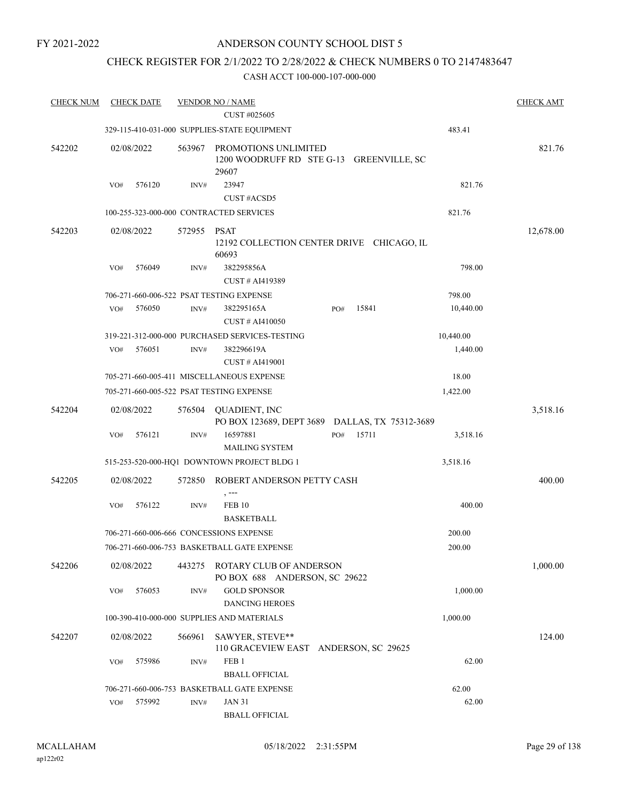### CHECK REGISTER FOR 2/1/2022 TO 2/28/2022 & CHECK NUMBERS 0 TO 2147483647

| <b>CHECK NUM</b> | <b>CHECK DATE</b>                        |             | <b>VENDOR NO / NAME</b>                                                   |     |       |           | <b>CHECK AMT</b> |
|------------------|------------------------------------------|-------------|---------------------------------------------------------------------------|-----|-------|-----------|------------------|
|                  |                                          |             | CUST #025605                                                              |     |       |           |                  |
|                  |                                          |             | 329-115-410-031-000 SUPPLIES-STATE EQUIPMENT                              |     |       | 483.41    |                  |
| 542202           | 02/08/2022                               | 563967      | PROMOTIONS UNLIMITED<br>1200 WOODRUFF RD STE G-13 GREENVILLE, SC<br>29607 |     |       |           | 821.76           |
|                  | VO#<br>576120                            | INV#        | 23947                                                                     |     |       | 821.76    |                  |
|                  |                                          |             | <b>CUST #ACSD5</b>                                                        |     |       |           |                  |
|                  |                                          |             | 100-255-323-000-000 CONTRACTED SERVICES                                   |     |       | 821.76    |                  |
| 542203           | 02/08/2022                               | 572955 PSAT | 12192 COLLECTION CENTER DRIVE CHICAGO, IL<br>60693                        |     |       |           | 12,678.00        |
|                  | 576049<br>VO#                            | INV#        | 382295856A<br>CUST#AI419389                                               |     |       | 798.00    |                  |
|                  | 706-271-660-006-522 PSAT TESTING EXPENSE |             |                                                                           |     |       | 798.00    |                  |
|                  | 576050<br>VO#                            | INV#        | 382295165A<br><b>CUST # AI410050</b>                                      | PO# | 15841 | 10,440.00 |                  |
|                  |                                          |             | 319-221-312-000-000 PURCHASED SERVICES-TESTING                            |     |       | 10,440.00 |                  |
|                  | 576051<br>VO#                            | INV#        | 382296619A                                                                |     |       | 1,440.00  |                  |
|                  |                                          |             | CUST # AI419001                                                           |     |       |           |                  |
|                  |                                          |             | 705-271-660-005-411 MISCELLANEOUS EXPENSE                                 |     |       | 18.00     |                  |
|                  | 705-271-660-005-522 PSAT TESTING EXPENSE |             |                                                                           |     |       | 1,422.00  |                  |
|                  |                                          |             |                                                                           |     |       |           |                  |
| 542204           | 02/08/2022                               | 576504      | QUADIENT, INC<br>PO BOX 123689, DEPT 3689 DALLAS, TX 75312-3689           |     |       |           | 3,518.16         |
|                  | 576121<br>VO#                            | INV#        | 16597881<br><b>MAILING SYSTEM</b>                                         | PO# | 15711 | 3,518.16  |                  |
|                  |                                          |             | 515-253-520-000-HQ1 DOWNTOWN PROJECT BLDG 1                               |     |       | 3,518.16  |                  |
|                  |                                          |             |                                                                           |     |       |           |                  |
| 542205           | 02/08/2022                               | 572850      | ROBERT ANDERSON PETTY CASH<br>$, -- -$                                    |     |       |           | 400.00           |
|                  | 576122<br>VO#                            | INV#        | <b>FEB 10</b><br><b>BASKETBALL</b>                                        |     |       | 400.00    |                  |
|                  |                                          |             | 706-271-660-006-666 CONCESSIONS EXPENSE                                   |     |       | 200.00    |                  |
|                  |                                          |             | 706-271-660-006-753 BASKETBALL GATE EXPENSE                               |     |       | 200.00    |                  |
| 542206           | 02/08/2022                               |             | 443275 ROTARY CLUB OF ANDERSON<br>PO BOX 688 ANDERSON, SC 29622           |     |       |           | 1,000.00         |
|                  | VO#<br>576053                            | INV#        | <b>GOLD SPONSOR</b><br><b>DANCING HEROES</b>                              |     |       | 1,000.00  |                  |
|                  |                                          |             | 100-390-410-000-000 SUPPLIES AND MATERIALS                                |     |       | 1,000.00  |                  |
| 542207           | 02/08/2022                               | 566961      | SAWYER, STEVE**                                                           |     |       |           | 124.00           |
|                  | 575986<br>VO#                            | INV#        | 110 GRACEVIEW EAST ANDERSON, SC 29625<br>FEB <sub>1</sub>                 |     |       | 62.00     |                  |
|                  |                                          |             | <b>BBALL OFFICIAL</b>                                                     |     |       |           |                  |
|                  |                                          |             | 706-271-660-006-753 BASKETBALL GATE EXPENSE                               |     |       | 62.00     |                  |
|                  | VO#<br>575992                            | INV#        | <b>JAN 31</b>                                                             |     |       | 62.00     |                  |
|                  |                                          |             | <b>BBALL OFFICIAL</b>                                                     |     |       |           |                  |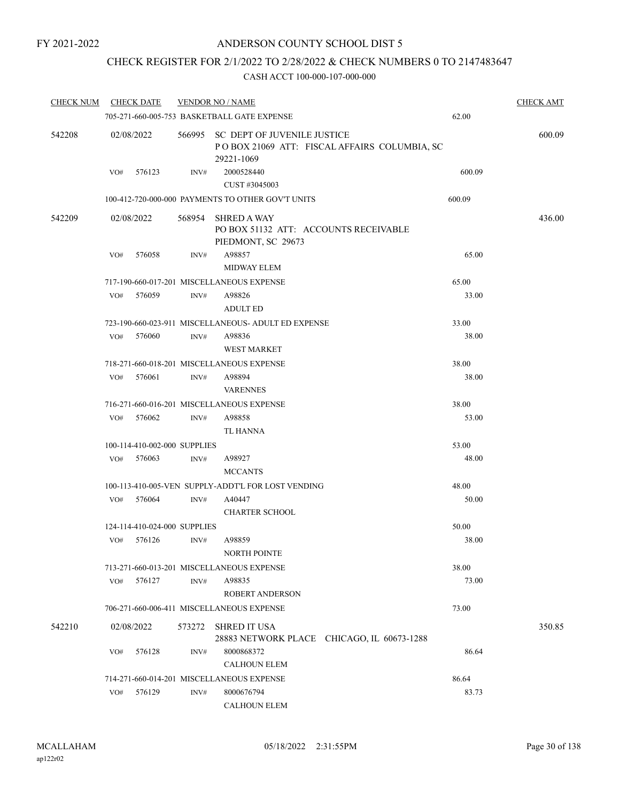### CHECK REGISTER FOR 2/1/2022 TO 2/28/2022 & CHECK NUMBERS 0 TO 2147483647

| <b>CHECK NUM</b> | <b>CHECK DATE</b>            |        | <b>VENDOR NO / NAME</b>                                                                          |        | <b>CHECK AMT</b> |
|------------------|------------------------------|--------|--------------------------------------------------------------------------------------------------|--------|------------------|
|                  |                              |        | 705-271-660-005-753 BASKETBALL GATE EXPENSE                                                      | 62.00  |                  |
| 542208           | 02/08/2022                   |        | 566995 SC DEPT OF JUVENILE JUSTICE<br>POBOX 21069 ATT: FISCAL AFFAIRS COLUMBIA, SC<br>29221-1069 |        | 600.09           |
|                  | VO#<br>576123                | INV#   | 2000528440<br>CUST #3045003                                                                      | 600.09 |                  |
|                  |                              |        | 100-412-720-000-000 PAYMENTS TO OTHER GOV'T UNITS                                                | 600.09 |                  |
| 542209           | 02/08/2022                   | 568954 | <b>SHRED A WAY</b><br>PO BOX 51132 ATT: ACCOUNTS RECEIVABLE<br>PIEDMONT, SC 29673                |        | 436.00           |
|                  | 576058<br>VO#                | INV#   | A98857<br><b>MIDWAY ELEM</b>                                                                     | 65.00  |                  |
|                  |                              |        | 717-190-660-017-201 MISCELLANEOUS EXPENSE                                                        | 65.00  |                  |
|                  | 576059<br>VO#                | INV#   | A98826<br><b>ADULT ED</b>                                                                        | 33.00  |                  |
|                  |                              |        | 723-190-660-023-911 MISCELLANEOUS- ADULT ED EXPENSE                                              | 33.00  |                  |
|                  | 576060<br>VO#                | INV#   | A98836<br><b>WEST MARKET</b>                                                                     | 38.00  |                  |
|                  |                              |        | 718-271-660-018-201 MISCELLANEOUS EXPENSE                                                        | 38.00  |                  |
|                  | 576061<br>VO#                | INV#   | A98894<br><b>VARENNES</b>                                                                        | 38.00  |                  |
|                  |                              |        | 716-271-660-016-201 MISCELLANEOUS EXPENSE                                                        | 38.00  |                  |
|                  | 576062<br>VO#                | INV#   | A98858<br>TL HANNA                                                                               | 53.00  |                  |
|                  | 100-114-410-002-000 SUPPLIES |        |                                                                                                  | 53.00  |                  |
|                  | 576063<br>VO#                | INV#   | A98927<br><b>MCCANTS</b>                                                                         | 48.00  |                  |
|                  |                              |        | 100-113-410-005-VEN SUPPLY-ADDT'L FOR LOST VENDING                                               | 48.00  |                  |
|                  | 576064<br>VO#                | INV#   | A40447<br><b>CHARTER SCHOOL</b>                                                                  | 50.00  |                  |
|                  | 124-114-410-024-000 SUPPLIES |        |                                                                                                  | 50.00  |                  |
|                  | 576126<br>VO#                | INV#   | A98859<br>NORTH POINTE                                                                           | 38.00  |                  |
|                  |                              |        | 713-271-660-013-201 MISCELLANEOUS EXPENSE                                                        | 38.00  |                  |
|                  | 576127<br>VO#                | INV#   | A98835<br>ROBERT ANDERSON                                                                        | 73.00  |                  |
|                  |                              |        | 706-271-660-006-411 MISCELLANEOUS EXPENSE                                                        | 73.00  |                  |
| 542210           | 02/08/2022                   | 573272 | <b>SHRED IT USA</b>                                                                              |        | 350.85           |
|                  | 576128<br>VO#                | INV#   | 28883 NETWORK PLACE CHICAGO, IL 60673-1288<br>8000868372<br><b>CALHOUN ELEM</b>                  | 86.64  |                  |
|                  |                              |        | 714-271-660-014-201 MISCELLANEOUS EXPENSE                                                        | 86.64  |                  |
|                  | 576129<br>VO#                | INV#   | 8000676794<br><b>CALHOUN ELEM</b>                                                                | 83.73  |                  |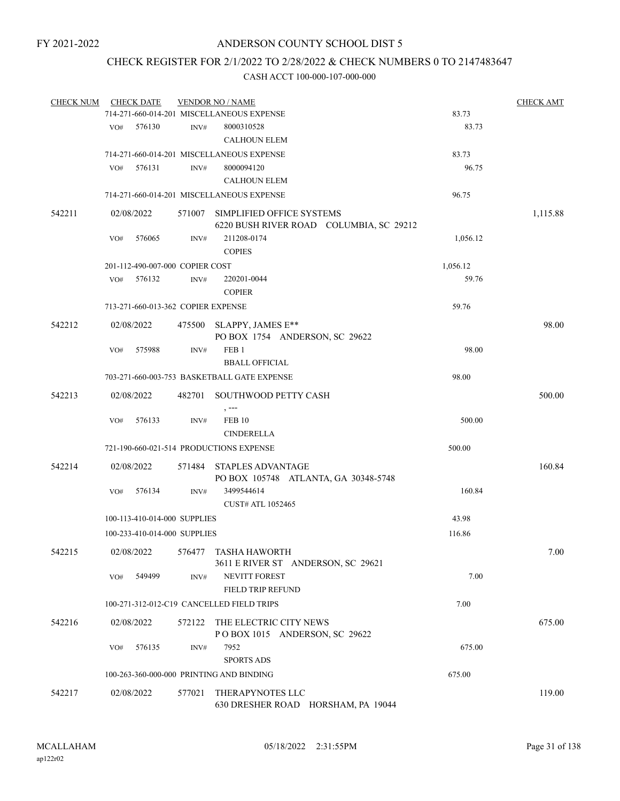### CHECK REGISTER FOR 2/1/2022 TO 2/28/2022 & CHECK NUMBERS 0 TO 2147483647

| <b>CHECK NUM</b> |     | <b>CHECK DATE</b>                  |        | <b>VENDOR NO / NAME</b>                                                     |          | <b>CHECK AMT</b> |
|------------------|-----|------------------------------------|--------|-----------------------------------------------------------------------------|----------|------------------|
|                  |     |                                    |        | 714-271-660-014-201 MISCELLANEOUS EXPENSE                                   | 83.73    |                  |
|                  | VO# | 576130                             | INV#   | 8000310528                                                                  | 83.73    |                  |
|                  |     |                                    |        | <b>CALHOUN ELEM</b>                                                         |          |                  |
|                  |     |                                    |        | 714-271-660-014-201 MISCELLANEOUS EXPENSE                                   | 83.73    |                  |
|                  | VO# | 576131                             | INV#   | 8000094120                                                                  | 96.75    |                  |
|                  |     |                                    |        | <b>CALHOUN ELEM</b>                                                         |          |                  |
|                  |     |                                    |        | 714-271-660-014-201 MISCELLANEOUS EXPENSE                                   | 96.75    |                  |
| 542211           |     | 02/08/2022                         |        | 571007 SIMPLIFIED OFFICE SYSTEMS<br>6220 BUSH RIVER ROAD COLUMBIA, SC 29212 |          | 1,115.88         |
|                  | VO# | 576065                             | INV#   | 211208-0174<br><b>COPIES</b>                                                | 1,056.12 |                  |
|                  |     | 201-112-490-007-000 COPIER COST    |        |                                                                             | 1,056.12 |                  |
|                  | VO# | 576132                             | INV#   | 220201-0044<br><b>COPIER</b>                                                | 59.76    |                  |
|                  |     | 713-271-660-013-362 COPIER EXPENSE |        |                                                                             | 59.76    |                  |
| 542212           |     | 02/08/2022                         |        | 475500 SLAPPY, JAMES E**<br>PO BOX 1754 ANDERSON, SC 29622                  |          | 98.00            |
|                  | VO# | 575988                             | INV#   | FEB <sub>1</sub><br><b>BBALL OFFICIAL</b>                                   | 98.00    |                  |
|                  |     |                                    |        | 703-271-660-003-753 BASKETBALL GATE EXPENSE                                 | 98.00    |                  |
| 542213           |     | 02/08/2022                         |        | 482701 SOUTHWOOD PETTY CASH<br>$, --$                                       |          | 500.00           |
|                  | VO# | 576133                             | INV#   | FEB 10<br><b>CINDERELLA</b>                                                 | 500.00   |                  |
|                  |     |                                    |        | 721-190-660-021-514 PRODUCTIONS EXPENSE                                     | 500.00   |                  |
| 542214           |     | 02/08/2022                         |        | 571484 STAPLES ADVANTAGE<br>PO BOX 105748 ATLANTA, GA 30348-5748            |          | 160.84           |
|                  | VO# | 576134                             | INV#   | 3499544614<br><b>CUST# ATL 1052465</b>                                      | 160.84   |                  |
|                  |     | 100-113-410-014-000 SUPPLIES       |        |                                                                             | 43.98    |                  |
|                  |     | 100-233-410-014-000 SUPPLIES       |        |                                                                             | 116.86   |                  |
| 542215           |     |                                    |        | 02/08/2022 576477 TASHA HAWORTH<br>3611 E RIVER ST ANDERSON, SC 29621       |          | 7.00             |
|                  | VO# | 549499                             | INV#   | NEVITT FOREST<br>FIELD TRIP REFUND                                          | 7.00     |                  |
|                  |     |                                    |        | 100-271-312-012-C19 CANCELLED FIELD TRIPS                                   | 7.00     |                  |
| 542216           |     | 02/08/2022                         | 572122 | THE ELECTRIC CITY NEWS<br>POBOX 1015 ANDERSON, SC 29622                     |          | 675.00           |
|                  | VO# | 576135                             | INV#   | 7952<br><b>SPORTS ADS</b>                                                   | 675.00   |                  |
|                  |     |                                    |        | 100-263-360-000-000 PRINTING AND BINDING                                    | 675.00   |                  |
| 542217           |     | 02/08/2022                         |        | 577021 THERAPYNOTES LLC<br>630 DRESHER ROAD HORSHAM, PA 19044               |          | 119.00           |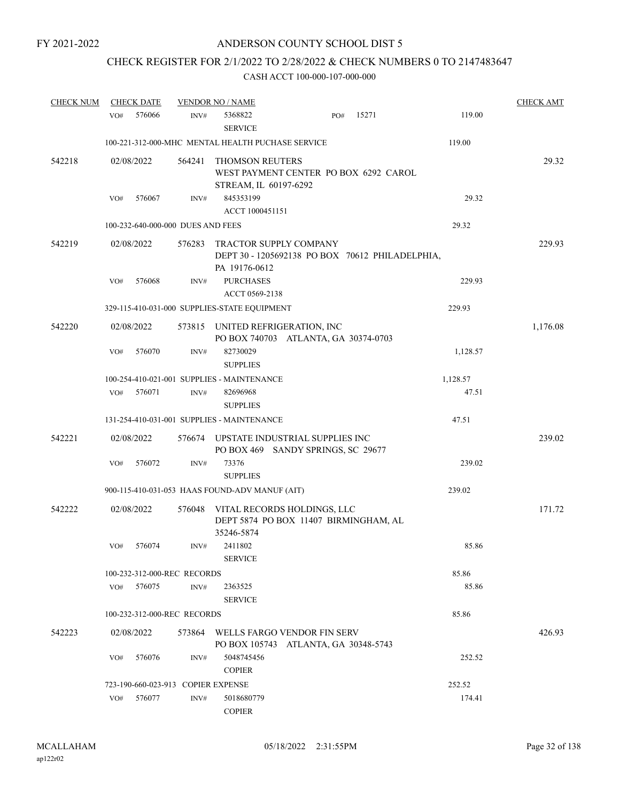# CHECK REGISTER FOR 2/1/2022 TO 2/28/2022 & CHECK NUMBERS 0 TO 2147483647

| <b>CHECK NUM</b> | <b>CHECK DATE</b>                  |        | <b>VENDOR NO / NAME</b>                           |                                                                           |       |          | <b>CHECK AMT</b> |
|------------------|------------------------------------|--------|---------------------------------------------------|---------------------------------------------------------------------------|-------|----------|------------------|
|                  | 576066<br>VO#                      | INV#   | 5368822<br><b>SERVICE</b>                         | PO#                                                                       | 15271 | 119.00   |                  |
|                  |                                    |        | 100-221-312-000-MHC MENTAL HEALTH PUCHASE SERVICE |                                                                           |       | 119.00   |                  |
| 542218           | 02/08/2022                         | 564241 | THOMSON REUTERS<br>STREAM, IL 60197-6292          | WEST PAYMENT CENTER PO BOX 6292 CAROL                                     |       |          | 29.32            |
|                  | 576067<br>VO#                      | INV#   | 845353199<br>ACCT 1000451151                      |                                                                           |       | 29.32    |                  |
|                  | 100-232-640-000-000 DUES AND FEES  |        |                                                   |                                                                           |       | 29.32    |                  |
| 542219           | 02/08/2022                         | 576283 | PA 19176-0612                                     | TRACTOR SUPPLY COMPANY<br>DEPT 30 - 1205692138 PO BOX 70612 PHILADELPHIA, |       |          | 229.93           |
|                  | 576068<br>VO#                      | INV#   | <b>PURCHASES</b><br>ACCT 0569-2138                |                                                                           |       | 229.93   |                  |
|                  |                                    |        | 329-115-410-031-000 SUPPLIES-STATE EQUIPMENT      |                                                                           |       | 229.93   |                  |
| 542220           | 02/08/2022                         |        |                                                   | 573815 UNITED REFRIGERATION, INC<br>PO BOX 740703 ATLANTA, GA 30374-0703  |       |          | 1,176.08         |
|                  | 576070<br>VO#                      | INV#   | 82730029<br><b>SUPPLIES</b>                       |                                                                           |       | 1,128.57 |                  |
|                  |                                    |        | 100-254-410-021-001 SUPPLIES - MAINTENANCE        |                                                                           |       | 1,128.57 |                  |
|                  | 576071<br>VO#                      | INV#   | 82696968<br><b>SUPPLIES</b>                       |                                                                           |       | 47.51    |                  |
|                  |                                    |        | 131-254-410-031-001 SUPPLIES - MAINTENANCE        |                                                                           |       | 47.51    |                  |
| 542221           | 02/08/2022                         | 576674 |                                                   | UPSTATE INDUSTRIAL SUPPLIES INC<br>PO BOX 469 SANDY SPRINGS, SC 29677     |       |          | 239.02           |
|                  | 576072<br>VO#                      | INV#   | 73376<br><b>SUPPLIES</b>                          |                                                                           |       | 239.02   |                  |
|                  |                                    |        | 900-115-410-031-053 HAAS FOUND-ADV MANUF (AIT)    |                                                                           |       | 239.02   |                  |
| 542222           | 02/08/2022                         | 576048 | 35246-5874                                        | VITAL RECORDS HOLDINGS, LLC<br>DEPT 5874 PO BOX 11407 BIRMINGHAM, AL      |       |          | 171.72           |
|                  | VO#<br>576074                      | INV#   | 2411802<br><b>SERVICE</b>                         |                                                                           |       | 85.86    |                  |
|                  | 100-232-312-000-REC RECORDS        |        |                                                   |                                                                           |       | 85.86    |                  |
|                  | 576075<br>VO#                      | INV#   | 2363525<br><b>SERVICE</b>                         |                                                                           |       | 85.86    |                  |
|                  | 100-232-312-000-REC RECORDS        |        |                                                   |                                                                           |       | 85.86    |                  |
| 542223           | 02/08/2022                         | 573864 |                                                   | WELLS FARGO VENDOR FIN SERV<br>PO BOX 105743 ATLANTA, GA 30348-5743       |       |          | 426.93           |
|                  | 576076<br>VO#                      | INV#   | 5048745456<br><b>COPIER</b>                       |                                                                           |       | 252.52   |                  |
|                  | 723-190-660-023-913 COPIER EXPENSE |        |                                                   |                                                                           |       | 252.52   |                  |
|                  | 576077<br>VO#                      | INV#   | 5018680779<br><b>COPIER</b>                       |                                                                           |       | 174.41   |                  |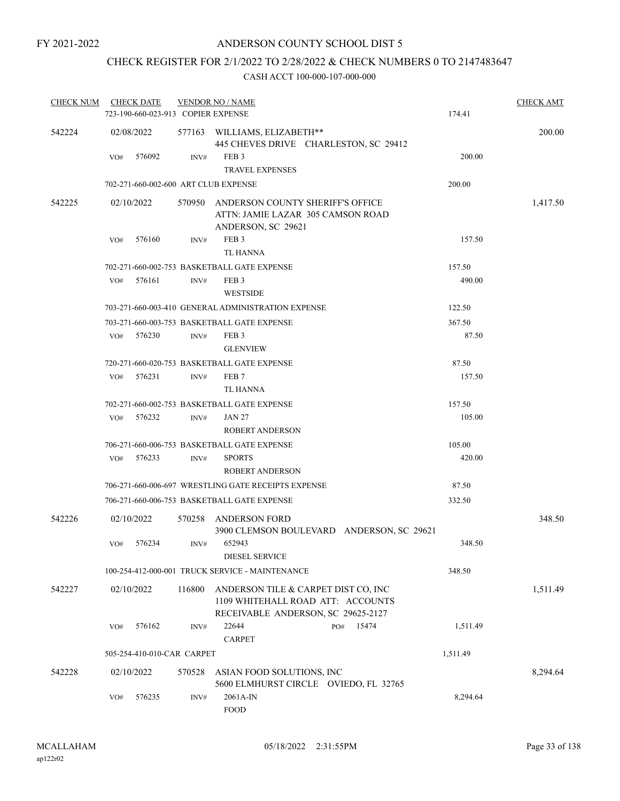# CHECK REGISTER FOR 2/1/2022 TO 2/28/2022 & CHECK NUMBERS 0 TO 2147483647

| <b>CHECK NUM</b> |     | <b>CHECK DATE</b>                  |        | <b>VENDOR NO / NAME</b>                                                                                        |              |          | <b>CHECK AMT</b> |
|------------------|-----|------------------------------------|--------|----------------------------------------------------------------------------------------------------------------|--------------|----------|------------------|
|                  |     | 723-190-660-023-913 COPIER EXPENSE |        |                                                                                                                |              | 174.41   |                  |
| 542224           |     | 02/08/2022                         |        | 577163 WILLIAMS, ELIZABETH**<br>445 CHEVES DRIVE CHARLESTON, SC 29412                                          |              |          | 200.00           |
|                  | VO# | 576092                             | INV#   | FEB <sub>3</sub><br><b>TRAVEL EXPENSES</b>                                                                     |              | 200.00   |                  |
|                  |     |                                    |        | 702-271-660-002-600 ART CLUB EXPENSE                                                                           |              | 200.00   |                  |
| 542225           |     | 02/10/2022                         |        | 570950 ANDERSON COUNTY SHERIFF'S OFFICE<br>ATTN: JAMIE LAZAR 305 CAMSON ROAD<br>ANDERSON, SC 29621             |              |          | 1,417.50         |
|                  | VO# | 576160                             | INV#   | FEB <sub>3</sub><br><b>TL HANNA</b>                                                                            |              | 157.50   |                  |
|                  |     |                                    |        | 702-271-660-002-753 BASKETBALL GATE EXPENSE                                                                    |              | 157.50   |                  |
|                  | VO# | 576161                             | INV#   | FEB <sub>3</sub><br><b>WESTSIDE</b>                                                                            |              | 490.00   |                  |
|                  |     |                                    |        | 703-271-660-003-410 GENERAL ADMINISTRATION EXPENSE                                                             |              | 122.50   |                  |
|                  |     |                                    |        | 703-271-660-003-753 BASKETBALL GATE EXPENSE                                                                    |              | 367.50   |                  |
|                  | VO# | 576230                             | INV#   | FEB <sub>3</sub><br><b>GLENVIEW</b>                                                                            |              | 87.50    |                  |
|                  |     |                                    |        | 720-271-660-020-753 BASKETBALL GATE EXPENSE                                                                    |              | 87.50    |                  |
|                  | VO# | 576231                             | INV#   | FEB 7<br>TL HANNA                                                                                              |              | 157.50   |                  |
|                  |     |                                    |        | 702-271-660-002-753 BASKETBALL GATE EXPENSE                                                                    |              | 157.50   |                  |
|                  | VO# | 576232                             | INV#   | <b>JAN 27</b><br><b>ROBERT ANDERSON</b>                                                                        |              | 105.00   |                  |
|                  |     |                                    |        | 706-271-660-006-753 BASKETBALL GATE EXPENSE                                                                    |              | 105.00   |                  |
|                  | VO# | 576233                             | INV#   | <b>SPORTS</b><br><b>ROBERT ANDERSON</b>                                                                        |              | 420.00   |                  |
|                  |     |                                    |        | 706-271-660-006-697 WRESTLING GATE RECEIPTS EXPENSE                                                            |              | 87.50    |                  |
|                  |     |                                    |        | 706-271-660-006-753 BASKETBALL GATE EXPENSE                                                                    |              | 332.50   |                  |
| 542226           |     | 02/10/2022                         | 570258 | ANDERSON FORD<br>3900 CLEMSON BOULEVARD ANDERSON, SC 29621                                                     |              |          | 348.50           |
|                  | VO# | 576234                             | INV#   | 652943<br><b>DIESEL SERVICE</b>                                                                                |              | 348.50   |                  |
|                  |     |                                    |        | 100-254-412-000-001 TRUCK SERVICE - MAINTENANCE                                                                |              | 348.50   |                  |
| 542227           |     | 02/10/2022                         | 116800 | ANDERSON TILE & CARPET DIST CO, INC<br>1109 WHITEHALL ROAD ATT: ACCOUNTS<br>RECEIVABLE ANDERSON, SC 29625-2127 |              |          | 1,511.49         |
|                  | VO# | 576162                             | INV#   | 22644<br><b>CARPET</b>                                                                                         | PO#<br>15474 | 1,511.49 |                  |
|                  |     | 505-254-410-010-CAR CARPET         |        |                                                                                                                |              | 1,511.49 |                  |
| 542228           |     | 02/10/2022                         | 570528 | ASIAN FOOD SOLUTIONS, INC<br>5600 ELMHURST CIRCLE OVIEDO, FL 32765                                             |              |          | 8,294.64         |
|                  | VO# | 576235                             | INV#   | 2061A-IN<br><b>FOOD</b>                                                                                        |              | 8,294.64 |                  |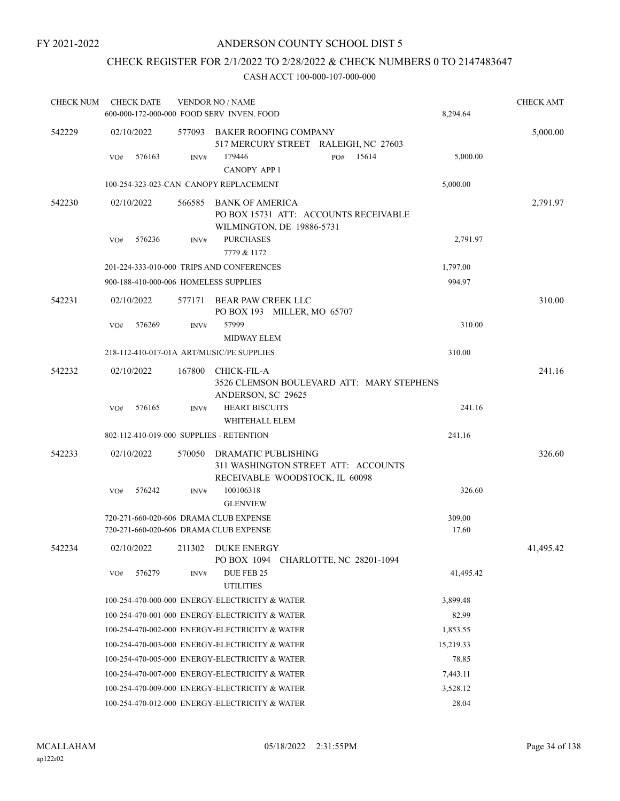### ANDERSON COUNTY SCHOOL DIST 5

# CHECK REGISTER FOR 2/1/2022 TO 2/28/2022 & CHECK NUMBERS 0 TO 2147483647

| <b>CHECK NUM</b> |     | <b>CHECK DATE</b> |        | <b>VENDOR NO / NAME</b>                                                                      |     |       |                 | <b>CHECK AMT</b> |
|------------------|-----|-------------------|--------|----------------------------------------------------------------------------------------------|-----|-------|-----------------|------------------|
|                  |     |                   |        | 600-000-172-000-000 FOOD SERV INVEN. FOOD                                                    |     |       | 8,294.64        |                  |
| 542229           |     | 02/10/2022        |        | 577093 BAKER ROOFING COMPANY<br>517 MERCURY STREET RALEIGH, NC 27603                         |     |       |                 | 5,000.00         |
|                  | VO# | 576163            | INV#   | 179446<br><b>CANOPY APP 1</b>                                                                | PO# | 15614 | 5,000.00        |                  |
|                  |     |                   |        | 100-254-323-023-CAN CANOPY REPLACEMENT                                                       |     |       | 5,000.00        |                  |
| 542230           |     | 02/10/2022        | 566585 | BANK OF AMERICA<br>PO BOX 15731 ATT: ACCOUNTS RECEIVABLE<br>WILMINGTON, DE 19886-5731        |     |       |                 | 2,791.97         |
|                  | VO# | 576236            | INV#   | <b>PURCHASES</b><br>7779 & 1172                                                              |     |       | 2,791.97        |                  |
|                  |     |                   |        | 201-224-333-010-000 TRIPS AND CONFERENCES                                                    |     |       | 1,797.00        |                  |
|                  |     |                   |        | 900-188-410-000-006 HOMELESS SUPPLIES                                                        |     |       | 994.97          |                  |
| 542231           |     | 02/10/2022        | 577171 | BEAR PAW CREEK LLC<br>PO BOX 193 MILLER, MO 65707                                            |     |       |                 | 310.00           |
|                  | VO# | 576269            | INV#   | 57999                                                                                        |     |       | 310.00          |                  |
|                  |     |                   |        | <b>MIDWAY ELEM</b>                                                                           |     |       |                 |                  |
|                  |     |                   |        | 218-112-410-017-01A ART/MUSIC/PE SUPPLIES                                                    |     |       | 310.00          |                  |
| 542232           |     | 02/10/2022        | 167800 | CHICK-FIL-A<br>3526 CLEMSON BOULEVARD ATT: MARY STEPHENS<br>ANDERSON, SC 29625               |     |       |                 | 241.16           |
|                  | VO# | 576165            | INV#   | <b>HEART BISCUITS</b><br>WHITEHALL ELEM                                                      |     |       | 241.16          |                  |
|                  |     |                   |        | 802-112-410-019-000 SUPPLIES - RETENTION                                                     |     |       | 241.16          |                  |
| 542233           |     | 02/10/2022        | 570050 | DRAMATIC PUBLISHING<br>311 WASHINGTON STREET ATT: ACCOUNTS<br>RECEIVABLE WOODSTOCK, IL 60098 |     |       |                 | 326.60           |
|                  | VO# | 576242            | INV#   | 100106318                                                                                    |     |       | 326.60          |                  |
|                  |     |                   |        | <b>GLENVIEW</b>                                                                              |     |       |                 |                  |
|                  |     |                   |        | 720-271-660-020-606 DRAMA CLUB EXPENSE<br>720-271-660-020-606 DRAMA CLUB EXPENSE             |     |       | 309.00<br>17.60 |                  |
| 542234           |     | 02/10/2022        |        | 211302 DUKE ENERGY<br>PO BOX 1094 CHARLOTTE, NC 28201-1094                                   |     |       |                 | 41,495.42        |
|                  | VO# | 576279            | INV#   | DUE FEB 25<br><b>UTILITIES</b>                                                               |     |       | 41,495.42       |                  |
|                  |     |                   |        | 100-254-470-000-000 ENERGY-ELECTRICITY & WATER                                               |     |       | 3,899.48        |                  |
|                  |     |                   |        | 100-254-470-001-000 ENERGY-ELECTRICITY & WATER                                               |     |       | 82.99           |                  |
|                  |     |                   |        | 100-254-470-002-000 ENERGY-ELECTRICITY & WATER                                               |     |       | 1,853.55        |                  |
|                  |     |                   |        | 100-254-470-003-000 ENERGY-ELECTRICITY & WATER                                               |     |       | 15,219.33       |                  |
|                  |     |                   |        | 100-254-470-005-000 ENERGY-ELECTRICITY & WATER                                               |     |       | 78.85           |                  |
|                  |     |                   |        | 100-254-470-007-000 ENERGY-ELECTRICITY & WATER                                               |     |       | 7,443.11        |                  |
|                  |     |                   |        | 100-254-470-009-000 ENERGY-ELECTRICITY & WATER                                               |     |       | 3,528.12        |                  |
|                  |     |                   |        | 100-254-470-012-000 ENERGY-ELECTRICITY & WATER                                               |     |       | 28.04           |                  |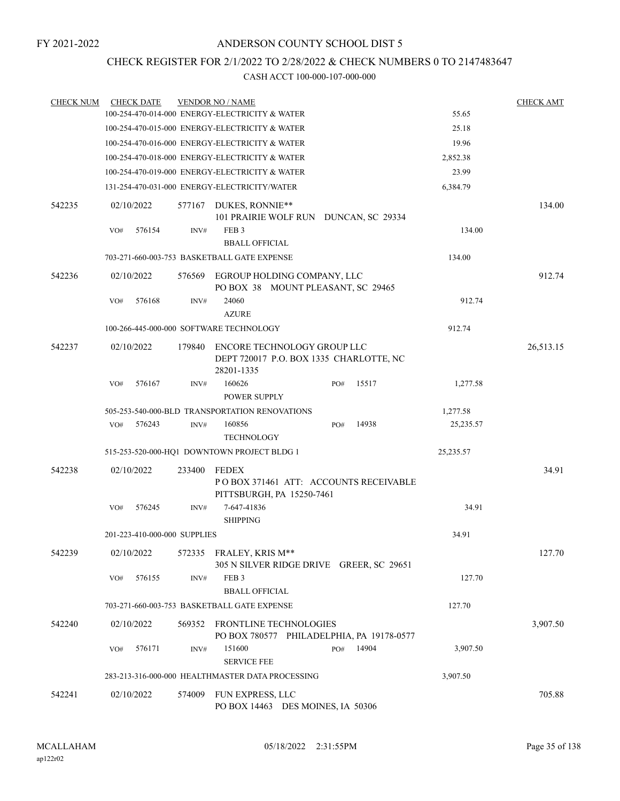#### CHECK REGISTER FOR 2/1/2022 TO 2/28/2022 & CHECK NUMBERS 0 TO 2147483647

| <b>CHECK NUM</b> |     | <b>CHECK DATE</b>            |        | <b>VENDOR NO / NAME</b>                                                              |     |       |           | <b>CHECK AMT</b> |
|------------------|-----|------------------------------|--------|--------------------------------------------------------------------------------------|-----|-------|-----------|------------------|
|                  |     |                              |        | 100-254-470-014-000 ENERGY-ELECTRICITY & WATER                                       |     |       | 55.65     |                  |
|                  |     |                              |        | 100-254-470-015-000 ENERGY-ELECTRICITY & WATER                                       |     |       | 25.18     |                  |
|                  |     |                              |        | 100-254-470-016-000 ENERGY-ELECTRICITY & WATER                                       |     |       | 19.96     |                  |
|                  |     |                              |        | 100-254-470-018-000 ENERGY-ELECTRICITY & WATER                                       |     |       | 2,852.38  |                  |
|                  |     |                              |        | 100-254-470-019-000 ENERGY-ELECTRICITY & WATER                                       |     |       | 23.99     |                  |
|                  |     |                              |        | 131-254-470-031-000 ENERGY-ELECTRICITY/WATER                                         |     |       | 6,384.79  |                  |
| 542235           |     | 02/10/2022                   | 577167 | DUKES, RONNIE**<br>101 PRAIRIE WOLF RUN DUNCAN, SC 29334                             |     |       |           | 134.00           |
|                  | VO# | 576154                       | INV#   | FEB <sub>3</sub><br><b>BBALL OFFICIAL</b>                                            |     |       | 134.00    |                  |
|                  |     |                              |        | 703-271-660-003-753 BASKETBALL GATE EXPENSE                                          |     |       | 134.00    |                  |
| 542236           |     | 02/10/2022                   | 576569 | EGROUP HOLDING COMPANY, LLC<br>PO BOX 38 MOUNT PLEASANT, SC 29465                    |     |       |           | 912.74           |
|                  | VO# | 576168                       | INV#   | 24060<br><b>AZURE</b>                                                                |     |       | 912.74    |                  |
|                  |     |                              |        | 100-266-445-000-000 SOFTWARE TECHNOLOGY                                              |     |       | 912.74    |                  |
| 542237           |     | 02/10/2022                   | 179840 | ENCORE TECHNOLOGY GROUP LLC<br>DEPT 720017 P.O. BOX 1335 CHARLOTTE, NC<br>28201-1335 |     |       |           | 26,513.15        |
|                  | VO# | 576167                       | INV#   | 160626<br><b>POWER SUPPLY</b>                                                        | PO# | 15517 | 1,277.58  |                  |
|                  |     |                              |        | 505-253-540-000-BLD TRANSPORTATION RENOVATIONS                                       |     |       | 1,277.58  |                  |
|                  | VO# | 576243                       | INV#   | 160856<br>TECHNOLOGY                                                                 | PO# | 14938 | 25,235.57 |                  |
|                  |     |                              |        | 515-253-520-000-HQ1 DOWNTOWN PROJECT BLDG 1                                          |     |       | 25,235.57 |                  |
| 542238           |     | 02/10/2022                   | 233400 | FEDEX<br>PO BOX 371461 ATT: ACCOUNTS RECEIVABLE<br>PITTSBURGH, PA 15250-7461         |     |       |           | 34.91            |
|                  | VO# | 576245                       | INV#   | 7-647-41836<br><b>SHIPPING</b>                                                       |     |       | 34.91     |                  |
|                  |     | 201-223-410-000-000 SUPPLIES |        |                                                                                      |     |       | 34.91     |                  |
| 542239           |     | 02/10/2022                   |        | 572335 FRALEY, KRIS M**<br>305 N SILVER RIDGE DRIVE GREER, SC 29651                  |     |       |           | 127.70           |
|                  | VO# | 576155                       | INV#   | FEB <sub>3</sub><br><b>BBALL OFFICIAL</b>                                            |     |       | 127.70    |                  |
|                  |     |                              |        | 703-271-660-003-753 BASKETBALL GATE EXPENSE                                          |     |       | 127.70    |                  |
| 542240           |     | 02/10/2022                   | 569352 | FRONTLINE TECHNOLOGIES<br>PO BOX 780577 PHILADELPHIA, PA 19178-0577                  |     |       |           | 3,907.50         |
|                  | VO# | 576171                       | INV#   | 151600<br><b>SERVICE FEE</b>                                                         | PO# | 14904 | 3,907.50  |                  |
|                  |     |                              |        | 283-213-316-000-000 HEALTHMASTER DATA PROCESSING                                     |     |       | 3,907.50  |                  |
| 542241           |     | 02/10/2022                   | 574009 | FUN EXPRESS, LLC<br>PO BOX 14463 DES MOINES, IA 50306                                |     |       |           | 705.88           |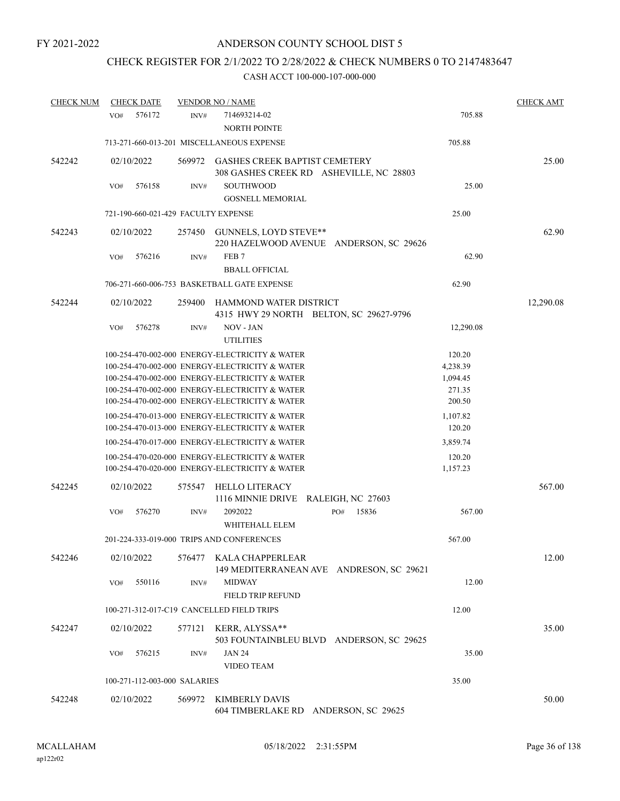# CHECK REGISTER FOR 2/1/2022 TO 2/28/2022 & CHECK NUMBERS 0 TO 2147483647

| <b>CHECK NUM</b> | <b>CHECK DATE</b>                   |        | <b>VENDOR NO / NAME</b>                                                                                                                                                                                                                                |                                                    | <b>CHECK AMT</b> |
|------------------|-------------------------------------|--------|--------------------------------------------------------------------------------------------------------------------------------------------------------------------------------------------------------------------------------------------------------|----------------------------------------------------|------------------|
|                  | 576172<br>VO#                       | INV#   | 714693214-02<br><b>NORTH POINTE</b>                                                                                                                                                                                                                    | 705.88                                             |                  |
|                  |                                     |        | 713-271-660-013-201 MISCELLANEOUS EXPENSE                                                                                                                                                                                                              | 705.88                                             |                  |
| 542242           | 02/10/2022                          |        | 569972 GASHES CREEK BAPTIST CEMETERY<br>308 GASHES CREEK RD ASHEVILLE, NC 28803                                                                                                                                                                        |                                                    | 25.00            |
|                  | 576158<br>VO#                       | INV#   | <b>SOUTHWOOD</b><br><b>GOSNELL MEMORIAL</b>                                                                                                                                                                                                            | 25.00                                              |                  |
|                  | 721-190-660-021-429 FACULTY EXPENSE |        |                                                                                                                                                                                                                                                        | 25.00                                              |                  |
| 542243           | 02/10/2022                          |        | 257450 GUNNELS, LOYD STEVE**<br>220 HAZELWOOD AVENUE ANDERSON, SC 29626                                                                                                                                                                                |                                                    | 62.90            |
|                  | VO#<br>576216                       | INV#   | FEB <sub>7</sub><br><b>BBALL OFFICIAL</b>                                                                                                                                                                                                              | 62.90                                              |                  |
|                  |                                     |        | 706-271-660-006-753 BASKETBALL GATE EXPENSE                                                                                                                                                                                                            | 62.90                                              |                  |
| 542244           | 02/10/2022                          | 259400 | HAMMOND WATER DISTRICT<br>4315 HWY 29 NORTH BELTON, SC 29627-9796                                                                                                                                                                                      |                                                    | 12,290.08        |
|                  | 576278<br>VO#                       | INV#   | NOV - JAN<br><b>UTILITIES</b>                                                                                                                                                                                                                          | 12,290.08                                          |                  |
|                  |                                     |        | 100-254-470-002-000 ENERGY-ELECTRICITY & WATER<br>100-254-470-002-000 ENERGY-ELECTRICITY & WATER<br>100-254-470-002-000 ENERGY-ELECTRICITY & WATER<br>100-254-470-002-000 ENERGY-ELECTRICITY & WATER<br>100-254-470-002-000 ENERGY-ELECTRICITY & WATER | 120.20<br>4,238.39<br>1,094.45<br>271.35<br>200.50 |                  |
|                  |                                     |        | 100-254-470-013-000 ENERGY-ELECTRICITY & WATER                                                                                                                                                                                                         |                                                    |                  |
|                  |                                     |        | 100-254-470-013-000 ENERGY-ELECTRICITY & WATER                                                                                                                                                                                                         | 1,107.82<br>120.20                                 |                  |
|                  |                                     |        | 100-254-470-017-000 ENERGY-ELECTRICITY & WATER                                                                                                                                                                                                         | 3,859.74                                           |                  |
|                  |                                     |        | 100-254-470-020-000 ENERGY-ELECTRICITY & WATER<br>100-254-470-020-000 ENERGY-ELECTRICITY & WATER                                                                                                                                                       | 120.20<br>1,157.23                                 |                  |
| 542245           | 02/10/2022                          |        | 575547 HELLO LITERACY<br>1116 MINNIE DRIVE RALEIGH, NC 27603                                                                                                                                                                                           |                                                    | 567.00           |
|                  | VO#<br>576270                       | INV#   | 2092022<br>15836<br>PO#<br>WHITEHALL ELEM                                                                                                                                                                                                              | 567.00                                             |                  |
|                  |                                     |        | 201-224-333-019-000 TRIPS AND CONFERENCES                                                                                                                                                                                                              | 567.00                                             |                  |
| 542246           | 02/10/2022                          | 576477 | KALA CHAPPERLEAR<br>149 MEDITERRANEAN AVE ANDRESON, SC 29621                                                                                                                                                                                           |                                                    | 12.00            |
|                  | 550116<br>VO#                       | INV#   | <b>MIDWAY</b><br>FIELD TRIP REFUND                                                                                                                                                                                                                     | 12.00                                              |                  |
|                  |                                     |        | 100-271-312-017-C19 CANCELLED FIELD TRIPS                                                                                                                                                                                                              | 12.00                                              |                  |
| 542247           | 02/10/2022                          | 577121 | KERR, ALYSSA**<br>503 FOUNTAINBLEU BLVD ANDERSON, SC 29625                                                                                                                                                                                             |                                                    | 35.00            |
|                  | 576215<br>VO#                       | INV#   | <b>JAN 24</b><br><b>VIDEO TEAM</b>                                                                                                                                                                                                                     | 35.00                                              |                  |
|                  | 100-271-112-003-000 SALARIES        |        |                                                                                                                                                                                                                                                        | 35.00                                              |                  |
| 542248           | 02/10/2022                          | 569972 | <b>KIMBERLY DAVIS</b><br>604 TIMBERLAKE RD ANDERSON, SC 29625                                                                                                                                                                                          |                                                    | 50.00            |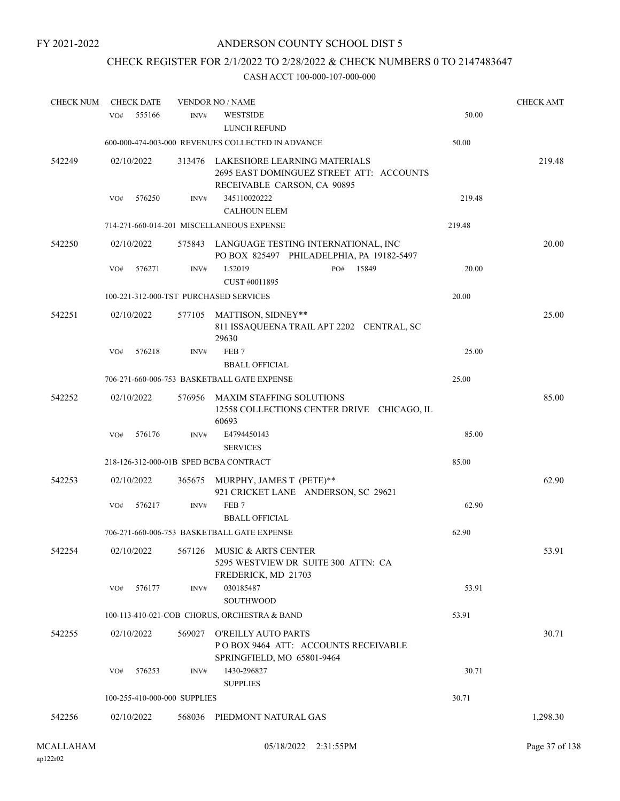# CHECK REGISTER FOR 2/1/2022 TO 2/28/2022 & CHECK NUMBERS 0 TO 2147483647

| <b>CHECK NUM</b> | <b>CHECK DATE</b>            |        | <b>VENDOR NO / NAME</b>                                                                                        |        | <b>CHECK AMT</b> |
|------------------|------------------------------|--------|----------------------------------------------------------------------------------------------------------------|--------|------------------|
|                  | 555166<br>VO#                | INV#   | <b>WESTSIDE</b><br>LUNCH REFUND                                                                                | 50.00  |                  |
|                  |                              |        | 600-000-474-003-000 REVENUES COLLECTED IN ADVANCE                                                              | 50.00  |                  |
| 542249           | 02/10/2022                   |        | 313476 LAKESHORE LEARNING MATERIALS<br>2695 EAST DOMINGUEZ STREET ATT: ACCOUNTS<br>RECEIVABLE CARSON, CA 90895 |        | 219.48           |
|                  | 576250<br>VO#                | INV#   | 345110020222<br><b>CALHOUN ELEM</b>                                                                            | 219.48 |                  |
|                  |                              |        | 714-271-660-014-201 MISCELLANEOUS EXPENSE                                                                      | 219.48 |                  |
| 542250           | 02/10/2022                   |        | 575843 LANGUAGE TESTING INTERNATIONAL, INC<br>PO BOX 825497 PHILADELPHIA, PA 19182-5497                        |        | 20.00            |
|                  | 576271<br>VO#                | INV#   | L52019<br>PO#<br>15849<br>CUST #0011895                                                                        | 20.00  |                  |
|                  |                              |        | 100-221-312-000-TST PURCHASED SERVICES                                                                         | 20.00  |                  |
| 542251           | 02/10/2022                   |        | 577105 MATTISON, SIDNEY**<br>811 ISSAQUEENA TRAIL APT 2202 CENTRAL, SC<br>29630                                |        | 25.00            |
|                  | 576218<br>VO#                | INV#   | FEB <sub>7</sub>                                                                                               | 25.00  |                  |
|                  |                              |        | <b>BBALL OFFICIAL</b>                                                                                          |        |                  |
|                  |                              |        | 706-271-660-006-753 BASKETBALL GATE EXPENSE                                                                    | 25.00  |                  |
| 542252           | 02/10/2022                   |        | 576956 MAXIM STAFFING SOLUTIONS<br>12558 COLLECTIONS CENTER DRIVE CHICAGO, IL<br>60693                         |        | 85.00            |
|                  | 576176<br>VO#                | INV#   | E4794450143<br><b>SERVICES</b>                                                                                 | 85.00  |                  |
|                  |                              |        | 218-126-312-000-01B SPED BCBA CONTRACT                                                                         | 85.00  |                  |
| 542253           | 02/10/2022                   |        | 365675 MURPHY, JAMES T (PETE)**<br>921 CRICKET LANE ANDERSON, SC 29621                                         |        | 62.90            |
|                  | 576217<br>VO#                | INV#   | FEB <sub>7</sub><br><b>BBALL OFFICIAL</b>                                                                      | 62.90  |                  |
|                  |                              |        | 706-271-660-006-753 BASKETBALL GATE EXPENSE                                                                    | 62.90  |                  |
| 542254           |                              |        | 02/10/2022 567126 MUSIC & ARTS CENTER<br>5295 WESTVIEW DR SUITE 300 ATTN: CA<br>FREDERICK, MD 21703            |        | 53.91            |
|                  | 576177<br>VO#                | INV#   | 030185487<br>SOUTHWOOD                                                                                         | 53.91  |                  |
|                  |                              |        | 100-113-410-021-COB CHORUS, ORCHESTRA & BAND                                                                   | 53.91  |                  |
| 542255           | 02/10/2022                   | 569027 | O'REILLY AUTO PARTS<br>POBOX 9464 ATT: ACCOUNTS RECEIVABLE<br>SPRINGFIELD, MO 65801-9464                       |        | 30.71            |
|                  | 576253<br>VO#                | INV#   | 1430-296827<br><b>SUPPLIES</b>                                                                                 | 30.71  |                  |
|                  | 100-255-410-000-000 SUPPLIES |        |                                                                                                                | 30.71  |                  |
| 542256           | 02/10/2022                   |        | 568036 PIEDMONT NATURAL GAS                                                                                    |        | 1,298.30         |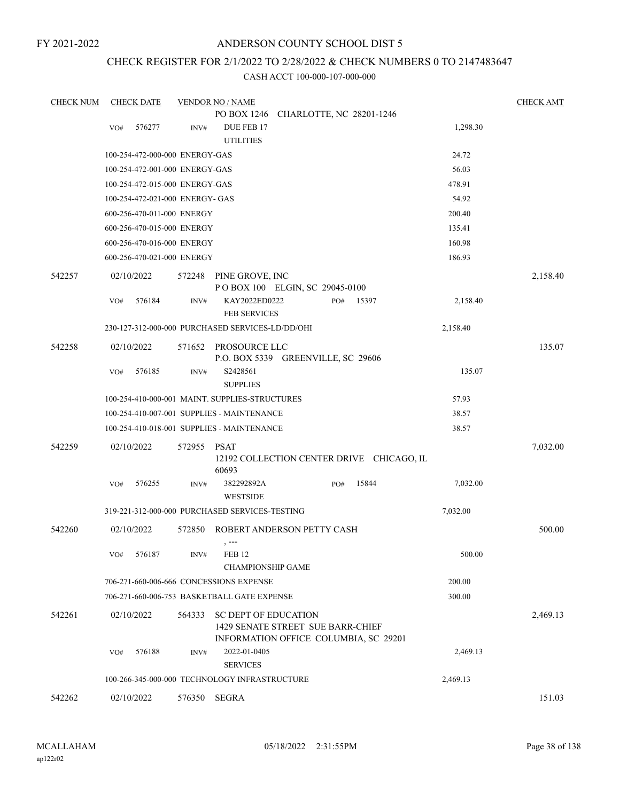## ANDERSON COUNTY SCHOOL DIST 5

## CHECK REGISTER FOR 2/1/2022 TO 2/28/2022 & CHECK NUMBERS 0 TO 2147483647

| <b>CHECK NUM</b> | <b>CHECK DATE</b>               |        |                | <b>VENDOR NO / NAME</b>                                                                            |     |                                           |          | <b>CHECK AMT</b> |
|------------------|---------------------------------|--------|----------------|----------------------------------------------------------------------------------------------------|-----|-------------------------------------------|----------|------------------|
|                  |                                 |        |                | PO BOX 1246 CHARLOTTE, NC 28201-1246                                                               |     |                                           |          |                  |
|                  | VO#                             | 576277 | INV#           | DUE FEB 17<br><b>UTILITIES</b>                                                                     |     |                                           | 1,298.30 |                  |
|                  | 100-254-472-000-000 ENERGY-GAS  |        |                |                                                                                                    |     |                                           | 24.72    |                  |
|                  | 100-254-472-001-000 ENERGY-GAS  |        |                |                                                                                                    |     |                                           | 56.03    |                  |
|                  | 100-254-472-015-000 ENERGY-GAS  |        |                |                                                                                                    |     |                                           | 478.91   |                  |
|                  | 100-254-472-021-000 ENERGY- GAS |        |                |                                                                                                    |     |                                           | 54.92    |                  |
|                  | 600-256-470-011-000 ENERGY      |        |                |                                                                                                    |     |                                           | 200.40   |                  |
|                  | 600-256-470-015-000 ENERGY      |        |                |                                                                                                    |     |                                           | 135.41   |                  |
|                  | 600-256-470-016-000 ENERGY      |        |                |                                                                                                    |     |                                           | 160.98   |                  |
|                  | 600-256-470-021-000 ENERGY      |        |                |                                                                                                    |     |                                           | 186.93   |                  |
| 542257           | 02/10/2022                      |        |                | 572248 PINE GROVE, INC<br>POBOX 100 ELGIN, SC 29045-0100                                           |     |                                           |          | 2,158.40         |
|                  | VO#                             | 576184 | INV#           | KAY2022ED0222<br><b>FEB SERVICES</b>                                                               | PO# | 15397                                     | 2,158.40 |                  |
|                  |                                 |        |                | 230-127-312-000-000 PURCHASED SERVICES-LD/DD/OHI                                                   |     |                                           | 2,158.40 |                  |
| 542258           | 02/10/2022                      |        |                | 571652 PROSOURCE LLC<br>P.O. BOX 5339 GREENVILLE, SC 29606                                         |     |                                           |          | 135.07           |
|                  | VO#                             | 576185 | INV#           | S2428561<br><b>SUPPLIES</b>                                                                        |     |                                           | 135.07   |                  |
|                  |                                 |        |                | 100-254-410-000-001 MAINT. SUPPLIES-STRUCTURES                                                     |     |                                           | 57.93    |                  |
|                  |                                 |        |                | 100-254-410-007-001 SUPPLIES - MAINTENANCE                                                         |     |                                           | 38.57    |                  |
|                  |                                 |        |                | 100-254-410-018-001 SUPPLIES - MAINTENANCE                                                         |     |                                           | 38.57    |                  |
| 542259           | 02/10/2022                      |        | 572955         | PSAT<br>60693                                                                                      |     | 12192 COLLECTION CENTER DRIVE CHICAGO, IL |          | 7,032.00         |
|                  | VO#                             | 576255 | INV#           | 382292892A<br><b>WESTSIDE</b>                                                                      | PO# | 15844                                     | 7,032.00 |                  |
|                  |                                 |        |                | 319-221-312-000-000 PURCHASED SERVICES-TESTING                                                     |     |                                           | 7,032.00 |                  |
| 542260           | 02/10/2022                      |        | 572850         | ROBERT ANDERSON PETTY CASH<br>$, --$                                                               |     |                                           |          | 500.00           |
|                  | VO#                             | 576187 | $\text{INV}\#$ | <b>FEB 12</b><br><b>CHAMPIONSHIP GAME</b>                                                          |     |                                           | 500.00   |                  |
|                  |                                 |        |                | 706-271-660-006-666 CONCESSIONS EXPENSE                                                            |     |                                           | 200.00   |                  |
|                  |                                 |        |                | 706-271-660-006-753 BASKETBALL GATE EXPENSE                                                        |     |                                           | 300.00   |                  |
| 542261           | 02/10/2022                      |        | 564333         | SC DEPT OF EDUCATION<br>1429 SENATE STREET SUE BARR-CHIEF<br>INFORMATION OFFICE COLUMBIA, SC 29201 |     |                                           |          | 2,469.13         |
|                  | VO#                             | 576188 | INV#           | 2022-01-0405<br><b>SERVICES</b>                                                                    |     |                                           | 2,469.13 |                  |
|                  |                                 |        |                | 100-266-345-000-000 TECHNOLOGY INFRASTRUCTURE                                                      |     |                                           | 2,469.13 |                  |
| 542262           | 02/10/2022                      |        | 576350         | SEGRA                                                                                              |     |                                           |          | 151.03           |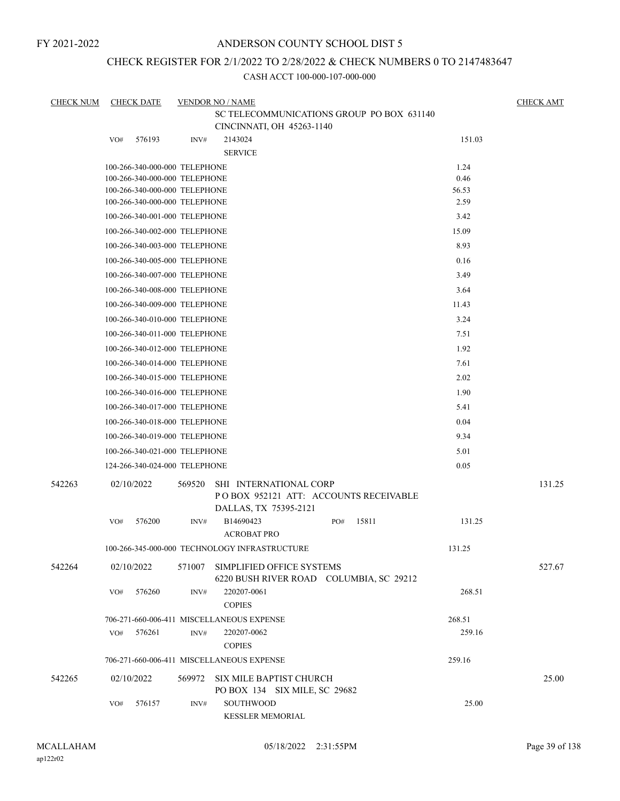## ANDERSON COUNTY SCHOOL DIST 5

## CHECK REGISTER FOR 2/1/2022 TO 2/28/2022 & CHECK NUMBERS 0 TO 2147483647

| <b>CHECK NUM</b> |     | <b>CHECK DATE</b>             |        | <b>VENDOR NO / NAME</b>                                                                  |     |       |        | <b>CHECK AMT</b> |
|------------------|-----|-------------------------------|--------|------------------------------------------------------------------------------------------|-----|-------|--------|------------------|
|                  |     |                               |        | SC TELECOMMUNICATIONS GROUP PO BOX 631140<br>CINCINNATI, OH 45263-1140                   |     |       |        |                  |
|                  | VO# | 576193                        | INV#   | 2143024                                                                                  |     |       | 151.03 |                  |
|                  |     |                               |        | <b>SERVICE</b>                                                                           |     |       |        |                  |
|                  |     | 100-266-340-000-000 TELEPHONE |        |                                                                                          |     |       | 1.24   |                  |
|                  |     | 100-266-340-000-000 TELEPHONE |        |                                                                                          |     |       | 0.46   |                  |
|                  |     | 100-266-340-000-000 TELEPHONE |        |                                                                                          |     |       | 56.53  |                  |
|                  |     | 100-266-340-000-000 TELEPHONE |        |                                                                                          |     |       | 2.59   |                  |
|                  |     | 100-266-340-001-000 TELEPHONE |        |                                                                                          |     |       | 3.42   |                  |
|                  |     | 100-266-340-002-000 TELEPHONE |        |                                                                                          |     |       | 15.09  |                  |
|                  |     | 100-266-340-003-000 TELEPHONE |        |                                                                                          |     |       | 8.93   |                  |
|                  |     | 100-266-340-005-000 TELEPHONE |        |                                                                                          |     |       | 0.16   |                  |
|                  |     | 100-266-340-007-000 TELEPHONE |        |                                                                                          |     |       | 3.49   |                  |
|                  |     | 100-266-340-008-000 TELEPHONE |        |                                                                                          |     |       | 3.64   |                  |
|                  |     | 100-266-340-009-000 TELEPHONE |        |                                                                                          |     |       | 11.43  |                  |
|                  |     | 100-266-340-010-000 TELEPHONE |        |                                                                                          |     |       | 3.24   |                  |
|                  |     | 100-266-340-011-000 TELEPHONE |        |                                                                                          |     |       | 7.51   |                  |
|                  |     | 100-266-340-012-000 TELEPHONE |        |                                                                                          |     |       | 1.92   |                  |
|                  |     | 100-266-340-014-000 TELEPHONE |        |                                                                                          |     |       | 7.61   |                  |
|                  |     | 100-266-340-015-000 TELEPHONE |        |                                                                                          |     |       | 2.02   |                  |
|                  |     | 100-266-340-016-000 TELEPHONE |        |                                                                                          |     |       | 1.90   |                  |
|                  |     | 100-266-340-017-000 TELEPHONE |        |                                                                                          |     |       | 5.41   |                  |
|                  |     | 100-266-340-018-000 TELEPHONE |        |                                                                                          |     |       | 0.04   |                  |
|                  |     | 100-266-340-019-000 TELEPHONE |        |                                                                                          |     |       | 9.34   |                  |
|                  |     | 100-266-340-021-000 TELEPHONE |        |                                                                                          |     |       | 5.01   |                  |
|                  |     | 124-266-340-024-000 TELEPHONE |        |                                                                                          |     |       | 0.05   |                  |
| 542263           |     | 02/10/2022                    | 569520 | SHI INTERNATIONAL CORP<br>POBOX 952121 ATT: ACCOUNTS RECEIVABLE<br>DALLAS, TX 75395-2121 |     |       |        | 131.25           |
|                  | VO# | 576200                        | INV#   | B14690423<br><b>ACROBAT PRO</b>                                                          | PO# | 15811 | 131.25 |                  |
|                  |     |                               |        | 100-266-345-000-000 TECHNOLOGY INFRASTRUCTURE                                            |     |       | 131.25 |                  |
| 542264           |     | 02/10/2022                    | 571007 | SIMPLIFIED OFFICE SYSTEMS<br>6220 BUSH RIVER ROAD COLUMBIA, SC 29212                     |     |       |        | 527.67           |
|                  | VO# | 576260                        | INV#   | 220207-0061<br><b>COPIES</b>                                                             |     |       | 268.51 |                  |
|                  |     |                               |        | 706-271-660-006-411 MISCELLANEOUS EXPENSE                                                |     |       | 268.51 |                  |
|                  | VO# | 576261                        | INV#   | 220207-0062                                                                              |     |       | 259.16 |                  |
|                  |     |                               |        | <b>COPIES</b>                                                                            |     |       |        |                  |
|                  |     |                               |        | 706-271-660-006-411 MISCELLANEOUS EXPENSE                                                |     |       | 259.16 |                  |
| 542265           |     | 02/10/2022                    | 569972 | SIX MILE BAPTIST CHURCH<br>PO BOX 134 SIX MILE, SC 29682                                 |     |       |        | 25.00            |
|                  | VO# | 576157                        | INV#   | SOUTHWOOD<br><b>KESSLER MEMORIAL</b>                                                     |     |       | 25.00  |                  |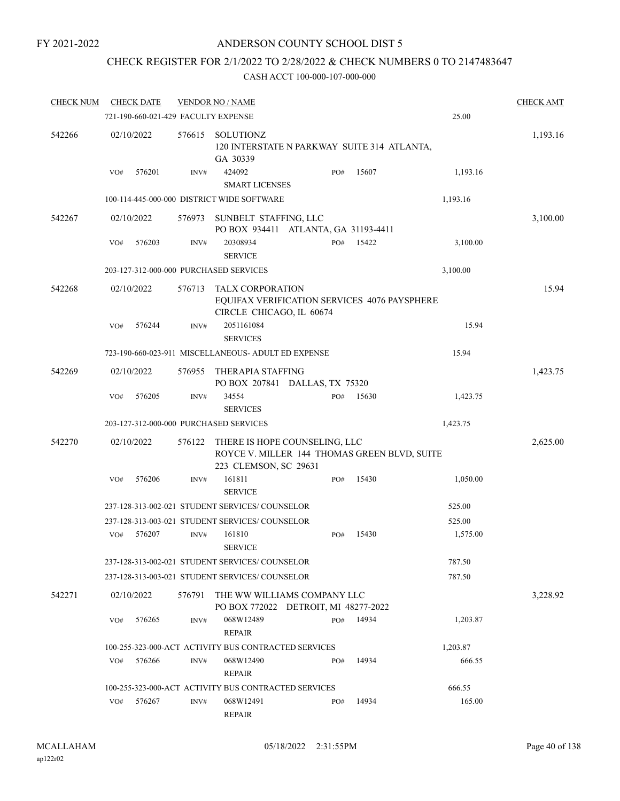## ANDERSON COUNTY SCHOOL DIST 5

## CHECK REGISTER FOR 2/1/2022 TO 2/28/2022 & CHECK NUMBERS 0 TO 2147483647

| <b>CHECK NUM</b> | <b>CHECK DATE</b> |                                        | <b>VENDOR NO / NAME</b>                                                                                |     |       |          | <b>CHECK AMT</b> |
|------------------|-------------------|----------------------------------------|--------------------------------------------------------------------------------------------------------|-----|-------|----------|------------------|
|                  |                   | 721-190-660-021-429 FACULTY EXPENSE    |                                                                                                        |     |       | 25.00    |                  |
| 542266           | 02/10/2022        | 576615                                 | SOLUTIONZ<br>120 INTERSTATE N PARKWAY SUITE 314 ATLANTA,<br>GA 30339                                   |     |       |          | 1,193.16         |
|                  | VO#<br>576201     | INV#                                   | 424092<br><b>SMART LICENSES</b>                                                                        | PO# | 15607 | 1,193.16 |                  |
|                  |                   |                                        | 100-114-445-000-000 DISTRICT WIDE SOFTWARE                                                             |     |       | 1,193.16 |                  |
| 542267           | 02/10/2022        | 576973                                 | SUNBELT STAFFING, LLC<br>PO BOX 934411 ATLANTA, GA 31193-4411                                          |     |       |          | 3,100.00         |
|                  | 576203<br>VO#     | INV#                                   | 20308934<br><b>SERVICE</b>                                                                             | PO# | 15422 | 3,100.00 |                  |
|                  |                   |                                        | 203-127-312-000-000 PURCHASED SERVICES                                                                 |     |       | 3,100.00 |                  |
| 542268           | 02/10/2022        | 576713                                 | TALX CORPORATION<br>EQUIFAX VERIFICATION SERVICES 4076 PAYSPHERE<br>CIRCLE CHICAGO, IL 60674           |     |       |          | 15.94            |
|                  | 576244<br>VO#     | INV#                                   | 2051161084<br><b>SERVICES</b>                                                                          |     |       | 15.94    |                  |
|                  |                   |                                        | 723-190-660-023-911 MISCELLANEOUS- ADULT ED EXPENSE                                                    |     |       | 15.94    |                  |
| 542269           | 02/10/2022        | 576955                                 | THERAPIA STAFFING<br>PO BOX 207841 DALLAS, TX 75320                                                    |     |       |          | 1,423.75         |
|                  | VO#<br>576205     | INV#                                   | 34554<br><b>SERVICES</b>                                                                               | PO# | 15630 | 1,423.75 |                  |
|                  |                   | 203-127-312-000-000 PURCHASED SERVICES |                                                                                                        |     |       | 1,423.75 |                  |
| 542270           | 02/10/2022        | 576122                                 | THERE IS HOPE COUNSELING, LLC<br>ROYCE V. MILLER 144 THOMAS GREEN BLVD, SUITE<br>223 CLEMSON, SC 29631 |     |       |          | 2,625.00         |
|                  | 576206<br>VO#     | INV#                                   | 161811<br><b>SERVICE</b>                                                                               | PO# | 15430 | 1,050.00 |                  |
|                  |                   |                                        | 237-128-313-002-021 STUDENT SERVICES/ COUNSELOR                                                        |     |       | 525.00   |                  |
|                  |                   |                                        | 237-128-313-003-021 STUDENT SERVICES/ COUNSELOR                                                        |     |       | 525.00   |                  |
|                  | 576207<br>VO#     | INV#                                   | 161810<br><b>SERVICE</b>                                                                               | PO# | 15430 | 1,575.00 |                  |
|                  |                   |                                        | 237-128-313-002-021 STUDENT SERVICES/ COUNSELOR                                                        |     |       | 787.50   |                  |
|                  |                   |                                        | 237-128-313-003-021 STUDENT SERVICES/ COUNSELOR                                                        |     |       | 787.50   |                  |
| 542271           | 02/10/2022        |                                        | 576791 THE WW WILLIAMS COMPANY LLC<br>PO BOX 772022 DETROIT, MI 48277-2022                             |     |       |          | 3,228.92         |
|                  | 576265<br>VO#     | INV#                                   | 068W12489<br><b>REPAIR</b>                                                                             | PO# | 14934 | 1,203.87 |                  |
|                  |                   |                                        | 100-255-323-000-ACT ACTIVITY BUS CONTRACTED SERVICES                                                   |     |       | 1,203.87 |                  |
|                  | 576266<br>VO#     | INV#                                   | 068W12490<br><b>REPAIR</b>                                                                             | PO# | 14934 | 666.55   |                  |
|                  |                   |                                        | 100-255-323-000-ACT ACTIVITY BUS CONTRACTED SERVICES                                                   |     |       | 666.55   |                  |
|                  | 576267<br>VO#     | INV#                                   | 068W12491<br><b>REPAIR</b>                                                                             | PO# | 14934 | 165.00   |                  |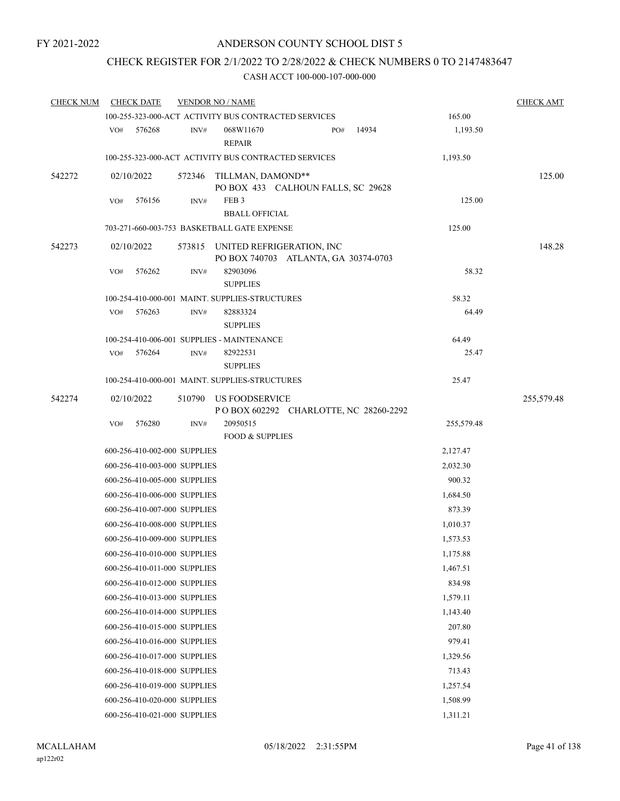# CHECK REGISTER FOR 2/1/2022 TO 2/28/2022 & CHECK NUMBERS 0 TO 2147483647

| <b>CHECK NUM</b> | <b>CHECK DATE</b>                                    |        | <b>VENDOR NO / NAME</b>                                           |     |       |            | <b>CHECK AMT</b> |
|------------------|------------------------------------------------------|--------|-------------------------------------------------------------------|-----|-------|------------|------------------|
|                  | 100-255-323-000-ACT ACTIVITY BUS CONTRACTED SERVICES |        |                                                                   |     |       | 165.00     |                  |
|                  | VO#<br>576268                                        | INV#   | 068W11670<br><b>REPAIR</b>                                        | PO# | 14934 | 1,193.50   |                  |
|                  | 100-255-323-000-ACT ACTIVITY BUS CONTRACTED SERVICES |        |                                                                   |     |       | 1,193.50   |                  |
| 542272           | 02/10/2022                                           | 572346 | TILLMAN, DAMOND**<br>PO BOX 433 CALHOUN FALLS, SC 29628           |     |       |            | 125.00           |
|                  | 576156<br>VO#                                        | INV#   | FEB <sub>3</sub><br><b>BBALL OFFICIAL</b>                         |     |       | 125.00     |                  |
|                  | 703-271-660-003-753 BASKETBALL GATE EXPENSE          |        |                                                                   |     |       | 125.00     |                  |
| 542273           | 02/10/2022                                           | 573815 | UNITED REFRIGERATION, INC<br>PO BOX 740703 ATLANTA, GA 30374-0703 |     |       |            | 148.28           |
|                  | VO#<br>576262                                        | INV#   | 82903096<br><b>SUPPLIES</b>                                       |     |       | 58.32      |                  |
|                  | 100-254-410-000-001 MAINT. SUPPLIES-STRUCTURES       |        |                                                                   |     |       | 58.32      |                  |
|                  | 576263<br>VO#                                        | INV#   | 82883324<br><b>SUPPLIES</b>                                       |     |       | 64.49      |                  |
|                  | 100-254-410-006-001 SUPPLIES - MAINTENANCE           |        |                                                                   |     |       | 64.49      |                  |
|                  | 576264<br>VO#                                        | INV#   | 82922531<br><b>SUPPLIES</b>                                       |     |       | 25.47      |                  |
|                  | 100-254-410-000-001 MAINT. SUPPLIES-STRUCTURES       |        |                                                                   |     |       | 25.47      |                  |
| 542274           | 02/10/2022                                           | 510790 | <b>US FOODSERVICE</b><br>POBOX 602292 CHARLOTTE, NC 28260-2292    |     |       |            | 255,579.48       |
|                  | VO#<br>576280                                        | INV#   | 20950515<br><b>FOOD &amp; SUPPLIES</b>                            |     |       | 255,579.48 |                  |
|                  | 600-256-410-002-000 SUPPLIES                         |        |                                                                   |     |       | 2,127.47   |                  |
|                  | 600-256-410-003-000 SUPPLIES                         |        |                                                                   |     |       | 2,032.30   |                  |
|                  | 600-256-410-005-000 SUPPLIES                         |        |                                                                   |     |       | 900.32     |                  |
|                  | 600-256-410-006-000 SUPPLIES                         |        |                                                                   |     |       | 1,684.50   |                  |
|                  | 600-256-410-007-000 SUPPLIES                         |        |                                                                   |     |       | 873.39     |                  |
|                  | 600-256-410-008-000 SUPPLIES                         |        |                                                                   |     |       | 1,010.37   |                  |
|                  | 600-256-410-009-000 SUPPLIES                         |        |                                                                   |     |       | 1,573.53   |                  |
|                  | 600-256-410-010-000 SUPPLIES                         |        |                                                                   |     |       | 1,175.88   |                  |
|                  | 600-256-410-011-000 SUPPLIES                         |        |                                                                   |     |       | 1,467.51   |                  |
|                  | 600-256-410-012-000 SUPPLIES                         |        |                                                                   |     |       | 834.98     |                  |
|                  | 600-256-410-013-000 SUPPLIES                         |        |                                                                   |     |       | 1,579.11   |                  |
|                  | 600-256-410-014-000 SUPPLIES                         |        |                                                                   |     |       | 1,143.40   |                  |
|                  | 600-256-410-015-000 SUPPLIES                         |        |                                                                   |     |       | 207.80     |                  |
|                  | 600-256-410-016-000 SUPPLIES                         |        |                                                                   |     |       | 979.41     |                  |
|                  | 600-256-410-017-000 SUPPLIES                         |        |                                                                   |     |       | 1,329.56   |                  |
|                  | 600-256-410-018-000 SUPPLIES                         |        |                                                                   |     |       | 713.43     |                  |
|                  | 600-256-410-019-000 SUPPLIES                         |        |                                                                   |     |       | 1,257.54   |                  |
|                  | 600-256-410-020-000 SUPPLIES                         |        |                                                                   |     |       | 1,508.99   |                  |
|                  | 600-256-410-021-000 SUPPLIES                         |        |                                                                   |     |       | 1,311.21   |                  |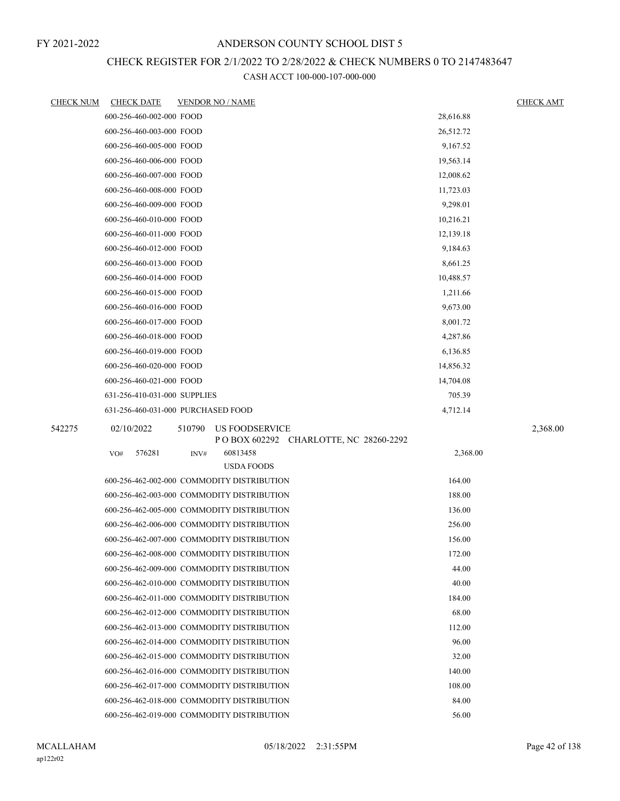# CHECK REGISTER FOR 2/1/2022 TO 2/28/2022 & CHECK NUMBERS 0 TO 2147483647

| <b>CHECK NUM</b> | <b>CHECK DATE</b>            | <b>VENDOR NO / NAME</b>                    |           | <b>CHECK AMT</b> |
|------------------|------------------------------|--------------------------------------------|-----------|------------------|
|                  | 600-256-460-002-000 FOOD     |                                            | 28,616.88 |                  |
|                  | 600-256-460-003-000 FOOD     |                                            | 26,512.72 |                  |
|                  | 600-256-460-005-000 FOOD     |                                            | 9,167.52  |                  |
|                  | 600-256-460-006-000 FOOD     |                                            | 19,563.14 |                  |
|                  | 600-256-460-007-000 FOOD     |                                            | 12,008.62 |                  |
|                  | 600-256-460-008-000 FOOD     |                                            | 11,723.03 |                  |
|                  | 600-256-460-009-000 FOOD     |                                            | 9,298.01  |                  |
|                  | 600-256-460-010-000 FOOD     |                                            | 10,216.21 |                  |
|                  | 600-256-460-011-000 FOOD     |                                            | 12,139.18 |                  |
|                  | 600-256-460-012-000 FOOD     |                                            | 9,184.63  |                  |
|                  | 600-256-460-013-000 FOOD     |                                            | 8,661.25  |                  |
|                  | 600-256-460-014-000 FOOD     |                                            | 10,488.57 |                  |
|                  | 600-256-460-015-000 FOOD     |                                            | 1,211.66  |                  |
|                  | 600-256-460-016-000 FOOD     |                                            | 9,673.00  |                  |
|                  | 600-256-460-017-000 FOOD     |                                            | 8,001.72  |                  |
|                  | 600-256-460-018-000 FOOD     |                                            | 4,287.86  |                  |
|                  | 600-256-460-019-000 FOOD     |                                            | 6,136.85  |                  |
|                  | 600-256-460-020-000 FOOD     |                                            | 14,856.32 |                  |
|                  | 600-256-460-021-000 FOOD     |                                            | 14,704.08 |                  |
|                  | 631-256-410-031-000 SUPPLIES |                                            | 705.39    |                  |
|                  |                              | 631-256-460-031-000 PURCHASED FOOD         | 4,712.14  |                  |
| 542275           | 02/10/2022                   | 510790<br>US FOODSERVICE                   |           | 2,368.00         |
|                  |                              | P O BOX 602292 CHARLOTTE, NC 28260-2292    |           |                  |
|                  | 576281<br>VO#                | 60813458<br>INV#                           | 2,368.00  |                  |
|                  |                              | <b>USDA FOODS</b>                          |           |                  |
|                  |                              | 600-256-462-002-000 COMMODITY DISTRIBUTION | 164.00    |                  |
|                  |                              | 600-256-462-003-000 COMMODITY DISTRIBUTION | 188.00    |                  |
|                  |                              | 600-256-462-005-000 COMMODITY DISTRIBUTION | 136.00    |                  |
|                  |                              | 600-256-462-006-000 COMMODITY DISTRIBUTION | 256.00    |                  |
|                  |                              | 600-256-462-007-000 COMMODITY DISTRIBUTION | 156.00    |                  |
|                  |                              | 600-256-462-008-000 COMMODITY DISTRIBUTION | 172.00    |                  |
|                  |                              | 600-256-462-009-000 COMMODITY DISTRIBUTION | 44.00     |                  |
|                  |                              | 600-256-462-010-000 COMMODITY DISTRIBUTION | 40.00     |                  |
|                  |                              | 600-256-462-011-000 COMMODITY DISTRIBUTION | 184.00    |                  |
|                  |                              | 600-256-462-012-000 COMMODITY DISTRIBUTION | 68.00     |                  |
|                  |                              | 600-256-462-013-000 COMMODITY DISTRIBUTION | 112.00    |                  |
|                  |                              | 600-256-462-014-000 COMMODITY DISTRIBUTION | 96.00     |                  |
|                  |                              | 600-256-462-015-000 COMMODITY DISTRIBUTION | 32.00     |                  |
|                  |                              | 600-256-462-016-000 COMMODITY DISTRIBUTION | 140.00    |                  |
|                  |                              | 600-256-462-017-000 COMMODITY DISTRIBUTION | 108.00    |                  |
|                  |                              | 600-256-462-018-000 COMMODITY DISTRIBUTION | 84.00     |                  |
|                  |                              | 600-256-462-019-000 COMMODITY DISTRIBUTION | 56.00     |                  |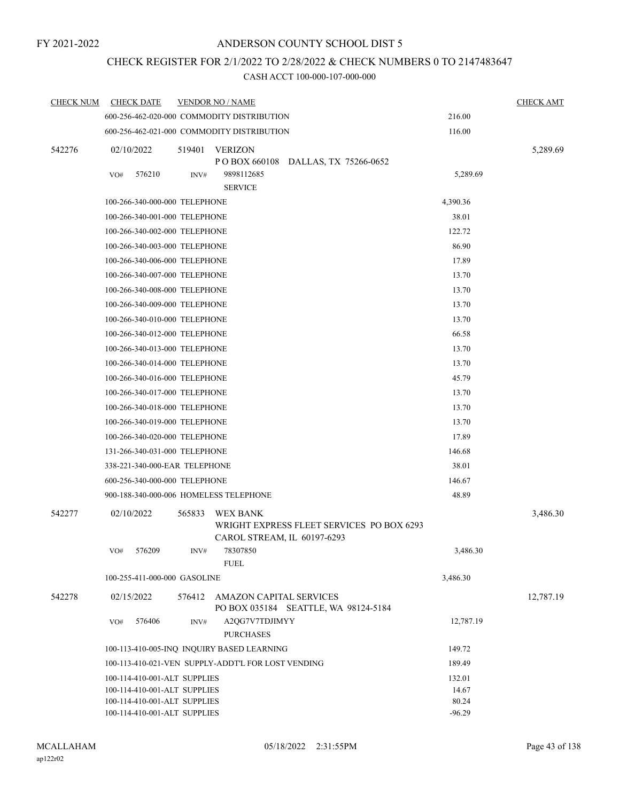## CHECK REGISTER FOR 2/1/2022 TO 2/28/2022 & CHECK NUMBERS 0 TO 2147483647

| <b>CHECK NUM</b> | <b>CHECK DATE</b>                      |        | <b>VENDOR NO / NAME</b>                                         |       |                                           |           | <b>CHECK AMT</b> |
|------------------|----------------------------------------|--------|-----------------------------------------------------------------|-------|-------------------------------------------|-----------|------------------|
|                  |                                        |        | 600-256-462-020-000 COMMODITY DISTRIBUTION                      |       |                                           | 216.00    |                  |
|                  |                                        |        | 600-256-462-021-000 COMMODITY DISTRIBUTION                      |       |                                           | 116.00    |                  |
| 542276           | 02/10/2022                             | 519401 | VERIZON<br>POBOX 660108 DALLAS, TX 75266-0652                   |       |                                           |           | 5,289.69         |
|                  | 576210<br>VO#                          | INV#   | 9898112685<br><b>SERVICE</b>                                    |       |                                           | 5,289.69  |                  |
|                  | 100-266-340-000-000 TELEPHONE          |        |                                                                 |       |                                           | 4,390.36  |                  |
|                  | 100-266-340-001-000 TELEPHONE          |        |                                                                 |       |                                           | 38.01     |                  |
|                  | 100-266-340-002-000 TELEPHONE          |        |                                                                 |       |                                           | 122.72    |                  |
|                  | 100-266-340-003-000 TELEPHONE          |        |                                                                 |       |                                           | 86.90     |                  |
|                  | 100-266-340-006-000 TELEPHONE          |        |                                                                 |       |                                           | 17.89     |                  |
|                  | 100-266-340-007-000 TELEPHONE          |        |                                                                 |       |                                           | 13.70     |                  |
|                  | 100-266-340-008-000 TELEPHONE          |        |                                                                 |       |                                           | 13.70     |                  |
|                  | 100-266-340-009-000 TELEPHONE          |        |                                                                 |       |                                           | 13.70     |                  |
|                  | 100-266-340-010-000 TELEPHONE          |        |                                                                 |       |                                           | 13.70     |                  |
|                  | 100-266-340-012-000 TELEPHONE          |        |                                                                 |       |                                           | 66.58     |                  |
|                  | 100-266-340-013-000 TELEPHONE          |        |                                                                 |       |                                           | 13.70     |                  |
|                  | 100-266-340-014-000 TELEPHONE          |        |                                                                 |       |                                           | 13.70     |                  |
|                  | 100-266-340-016-000 TELEPHONE          |        |                                                                 |       |                                           | 45.79     |                  |
|                  | 100-266-340-017-000 TELEPHONE          |        |                                                                 |       |                                           | 13.70     |                  |
|                  | 100-266-340-018-000 TELEPHONE          |        |                                                                 |       |                                           | 13.70     |                  |
|                  | 100-266-340-019-000 TELEPHONE          |        |                                                                 |       |                                           | 13.70     |                  |
|                  | 100-266-340-020-000 TELEPHONE          |        |                                                                 |       |                                           | 17.89     |                  |
|                  | 131-266-340-031-000 TELEPHONE          |        |                                                                 |       |                                           | 146.68    |                  |
|                  | 338-221-340-000-EAR TELEPHONE          |        |                                                                 |       |                                           | 38.01     |                  |
|                  | 600-256-340-000-000 TELEPHONE          |        |                                                                 |       |                                           | 146.67    |                  |
|                  | 900-188-340-000-006 HOMELESS TELEPHONE |        |                                                                 |       |                                           | 48.89     |                  |
| 542277           | 02/10/2022                             | 565833 | WEX BANK<br>CAROL STREAM, IL 60197-6293                         |       | WRIGHT EXPRESS FLEET SERVICES PO BOX 6293 |           | 3,486.30         |
|                  | 576209<br>VO#                          |        | INV# 78307850<br><b>FUEL</b>                                    |       |                                           | 3,486.30  |                  |
|                  | 100-255-411-000-000 GASOLINE           |        |                                                                 |       |                                           | 3,486.30  |                  |
| 542278           | 02/15/2022                             | 576412 | AMAZON CAPITAL SERVICES<br>PO BOX 035184 SEATTLE, WA 98124-5184 |       |                                           |           | 12,787.19        |
|                  | 576406<br>VO#                          | INV#   | A2QG7V7TDJIMYY<br><b>PURCHASES</b>                              |       |                                           | 12,787.19 |                  |
|                  |                                        |        | 100-113-410-005-INQ INQUIRY BASED LEARNING                      |       |                                           | 149.72    |                  |
|                  |                                        |        | 100-113-410-021-VEN SUPPLY-ADDT'L FOR LOST VENDING              |       |                                           | 189.49    |                  |
|                  | 100-114-410-001-ALT SUPPLIES           |        |                                                                 |       |                                           | 132.01    |                  |
|                  | 100-114-410-001-ALT SUPPLIES           |        |                                                                 | 14.67 |                                           |           |                  |
|                  | 100-114-410-001-ALT SUPPLIES           |        |                                                                 |       |                                           | 80.24     |                  |
|                  | 100-114-410-001-ALT SUPPLIES           |        |                                                                 |       |                                           | $-96.29$  |                  |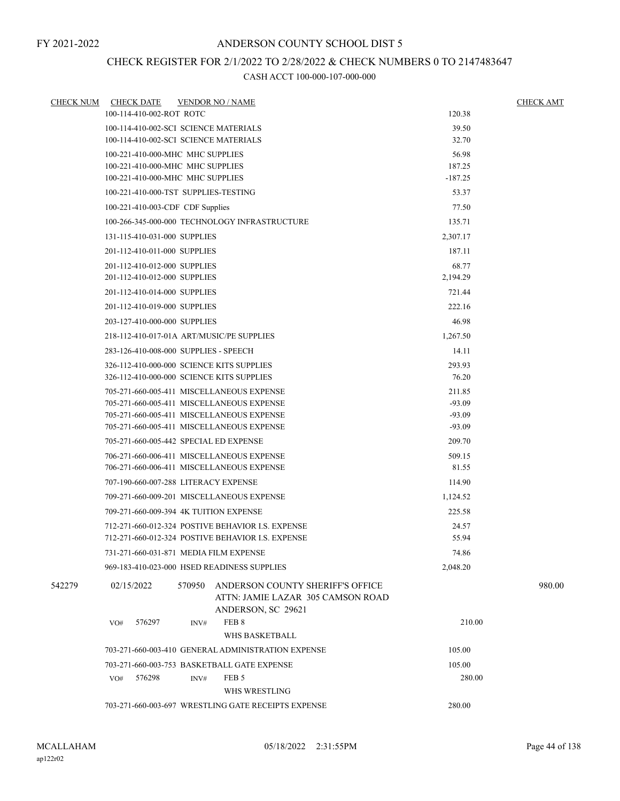# CHECK REGISTER FOR 2/1/2022 TO 2/28/2022 & CHECK NUMBERS 0 TO 2147483647

| <b>CHECK NUM</b> | <b>CHECK DATE</b>                         | <b>VENDOR NO / NAME</b> | <b>CHECK AMT</b>                                                                       |                 |        |
|------------------|-------------------------------------------|-------------------------|----------------------------------------------------------------------------------------|-----------------|--------|
|                  | 100-114-410-002-ROT ROTC                  |                         |                                                                                        | 120.38          |        |
|                  | 100-114-410-002-SCI SCIENCE MATERIALS     |                         |                                                                                        | 39.50           |        |
|                  | 100-114-410-002-SCI SCIENCE MATERIALS     |                         | 32.70                                                                                  |                 |        |
|                  | 100-221-410-000-MHC MHC SUPPLIES          |                         | 56.98                                                                                  |                 |        |
|                  | 100-221-410-000-MHC MHC SUPPLIES          |                         |                                                                                        | 187.25          |        |
|                  | 100-221-410-000-MHC MHC SUPPLIES          |                         |                                                                                        | $-187.25$       |        |
|                  | 100-221-410-000-TST SUPPLIES-TESTING      |                         |                                                                                        | 53.37           |        |
|                  | 100-221-410-003-CDF CDF Supplies          |                         |                                                                                        | 77.50           |        |
|                  |                                           |                         | 100-266-345-000-000 TECHNOLOGY INFRASTRUCTURE                                          | 135.71          |        |
|                  | 131-115-410-031-000 SUPPLIES              |                         |                                                                                        | 2,307.17        |        |
|                  | 201-112-410-011-000 SUPPLIES              |                         |                                                                                        | 187.11          |        |
|                  | 201-112-410-012-000 SUPPLIES              |                         |                                                                                        | 68.77           |        |
|                  | 201-112-410-012-000 SUPPLIES              |                         |                                                                                        | 2,194.29        |        |
|                  | 201-112-410-014-000 SUPPLIES              |                         |                                                                                        | 721.44          |        |
|                  | 201-112-410-019-000 SUPPLIES              |                         |                                                                                        | 222.16          |        |
|                  | 203-127-410-000-000 SUPPLIES              |                         |                                                                                        | 46.98           |        |
|                  | 218-112-410-017-01A ART/MUSIC/PE SUPPLIES |                         |                                                                                        | 1,267.50        |        |
|                  | 283-126-410-008-000 SUPPLIES - SPEECH     |                         |                                                                                        | 14.11           |        |
|                  | 326-112-410-000-000 SCIENCE KITS SUPPLIES |                         |                                                                                        | 293.93          |        |
|                  | 326-112-410-000-000 SCIENCE KITS SUPPLIES |                         |                                                                                        | 76.20           |        |
|                  |                                           |                         | 705-271-660-005-411 MISCELLANEOUS EXPENSE                                              | 211.85          |        |
|                  |                                           |                         | 705-271-660-005-411 MISCELLANEOUS EXPENSE                                              | $-93.09$        |        |
|                  |                                           |                         | 705-271-660-005-411 MISCELLANEOUS EXPENSE<br>705-271-660-005-411 MISCELLANEOUS EXPENSE | $-93.09$        |        |
|                  |                                           |                         |                                                                                        | $-93.09$        |        |
|                  | 705-271-660-005-442 SPECIAL ED EXPENSE    |                         |                                                                                        | 209.70          |        |
|                  |                                           |                         | 706-271-660-006-411 MISCELLANEOUS EXPENSE<br>706-271-660-006-411 MISCELLANEOUS EXPENSE | 509.15<br>81.55 |        |
|                  |                                           |                         |                                                                                        |                 |        |
|                  | 707-190-660-007-288 LITERACY EXPENSE      |                         |                                                                                        | 114.90          |        |
|                  |                                           |                         | 709-271-660-009-201 MISCELLANEOUS EXPENSE                                              | 1,124.52        |        |
|                  | 709-271-660-009-394 4K TUITION EXPENSE    |                         |                                                                                        | 225.58          |        |
|                  |                                           |                         | 712-271-660-012-324 POSTIVE BEHAVIOR I.S. EXPENSE                                      | 24.57           |        |
|                  |                                           |                         | 712-271-660-012-324 POSTIVE BEHAVIOR I.S. EXPENSE                                      | 55.94           |        |
|                  | 731-271-660-031-871 MEDIA FILM EXPENSE    |                         |                                                                                        | 74.86           |        |
|                  |                                           |                         | 969-183-410-023-000 HSED READINESS SUPPLIES                                            | 2,048.20        |        |
| 542279           | 02/15/2022                                | 570950                  | ANDERSON COUNTY SHERIFF'S OFFICE                                                       |                 | 980.00 |
|                  |                                           |                         | ATTN: JAMIE LAZAR 305 CAMSON ROAD                                                      |                 |        |
|                  |                                           |                         | ANDERSON, SC 29621                                                                     |                 |        |
|                  | 576297<br>VO#                             | INV#                    | FEB 8                                                                                  | 210.00          |        |
|                  |                                           |                         | WHS BASKETBALL                                                                         |                 |        |
|                  |                                           |                         | 703-271-660-003-410 GENERAL ADMINISTRATION EXPENSE                                     | 105.00          |        |
|                  |                                           |                         | 703-271-660-003-753 BASKETBALL GATE EXPENSE                                            | 105.00          |        |
|                  | 576298<br>VO#                             | INV#                    | FEB <sub>5</sub>                                                                       | 280.00          |        |
|                  |                                           |                         | WHS WRESTLING                                                                          |                 |        |
|                  |                                           |                         | 703-271-660-003-697 WRESTLING GATE RECEIPTS EXPENSE                                    | 280.00          |        |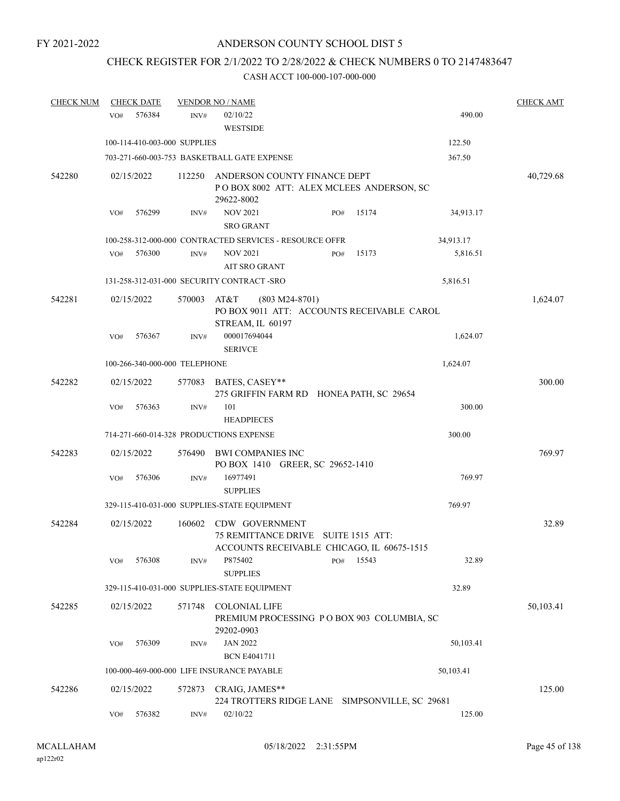# CHECK REGISTER FOR 2/1/2022 TO 2/28/2022 & CHECK NUMBERS 0 TO 2147483647

| <b>CHECK NUM</b> | <b>CHECK DATE</b> |        |                               | <b>VENDOR NO / NAME</b>                      |                                                                                   |       |           | <b>CHECK AMT</b> |
|------------------|-------------------|--------|-------------------------------|----------------------------------------------|-----------------------------------------------------------------------------------|-------|-----------|------------------|
|                  | VO#               | 576384 | INV#                          | 02/10/22<br><b>WESTSIDE</b>                  |                                                                                   |       | 490.00    |                  |
|                  |                   |        | 100-114-410-003-000 SUPPLIES  |                                              |                                                                                   |       | 122.50    |                  |
|                  |                   |        |                               | 703-271-660-003-753 BASKETBALL GATE EXPENSE  |                                                                                   |       | 367.50    |                  |
| 542280           | 02/15/2022        |        | 112250                        | 29622-8002                                   | ANDERSON COUNTY FINANCE DEPT<br>POBOX 8002 ATT: ALEX MCLEES ANDERSON, SC          |       |           | 40,729.68        |
|                  | VO#               | 576299 | INV#                          | <b>NOV 2021</b><br><b>SRO GRANT</b>          | PO#                                                                               | 15174 | 34,913.17 |                  |
|                  |                   |        |                               |                                              | 100-258-312-000-000 CONTRACTED SERVICES - RESOURCE OFFR                           |       | 34,913.17 |                  |
|                  | VO#               | 576300 | INV#                          | <b>NOV 2021</b><br><b>AIT SRO GRANT</b>      | PO#                                                                               | 15173 | 5,816.51  |                  |
|                  |                   |        |                               | 131-258-312-031-000 SECURITY CONTRACT-SRO    |                                                                                   |       | 5,816.51  |                  |
| 542281           | 02/15/2022        |        | 570003                        | AT&T<br>STREAM, IL 60197                     | $(803 M24-8701)$<br>PO BOX 9011 ATT: ACCOUNTS RECEIVABLE CAROL                    |       |           | 1,624.07         |
|                  | VO#               | 576367 | INV#                          | 000017694044<br><b>SERIVCE</b>               |                                                                                   |       | 1,624.07  |                  |
|                  |                   |        | 100-266-340-000-000 TELEPHONE |                                              |                                                                                   |       | 1,624.07  |                  |
| 542282           | 02/15/2022        |        | 577083                        | BATES, CASEY**                               | 275 GRIFFIN FARM RD HONEA PATH, SC 29654                                          |       |           | 300.00           |
|                  | VO#               | 576363 | INV#                          | 101<br><b>HEADPIECES</b>                     |                                                                                   |       | 300.00    |                  |
|                  |                   |        |                               | 714-271-660-014-328 PRODUCTIONS EXPENSE      |                                                                                   |       | 300.00    |                  |
| 542283           | 02/15/2022        |        |                               | 576490 BWI COMPANIES INC                     | PO BOX 1410 GREER, SC 29652-1410                                                  |       |           | 769.97           |
|                  | VO#               | 576306 | INV#                          | 16977491<br><b>SUPPLIES</b>                  |                                                                                   |       | 769.97    |                  |
|                  |                   |        |                               | 329-115-410-031-000 SUPPLIES-STATE EQUIPMENT |                                                                                   |       | 769.97    |                  |
| 542284           | 02/15/2022        |        | 160602                        | CDW GOVERNMENT                               | 75 REMITTANCE DRIVE SUITE 1515 ATT:<br>ACCOUNTS RECEIVABLE CHICAGO, IL 60675-1515 |       |           | 32.89            |
|                  | VO#               | 576308 | INV#                          | P875402<br><b>SUPPLIES</b>                   | PO#                                                                               | 15543 | 32.89     |                  |
|                  |                   |        |                               | 329-115-410-031-000 SUPPLIES-STATE EQUIPMENT |                                                                                   |       | 32.89     |                  |
| 542285           | 02/15/2022        |        | 571748                        | <b>COLONIAL LIFE</b><br>29202-0903           | PREMIUM PROCESSING PO BOX 903 COLUMBIA, SC                                        |       |           | 50,103.41        |
|                  | VO#               | 576309 | INV#                          | <b>JAN 2022</b><br><b>BCN E4041711</b>       |                                                                                   |       | 50,103.41 |                  |
|                  |                   |        |                               | 100-000-469-000-000 LIFE INSURANCE PAYABLE   |                                                                                   |       | 50,103.41 |                  |
| 542286           | 02/15/2022        |        | 572873                        | CRAIG, JAMES**                               | 224 TROTTERS RIDGE LANE SIMPSONVILLE, SC 29681                                    |       |           | 125.00           |
|                  | VO#               | 576382 | INV#                          | 02/10/22                                     |                                                                                   |       | 125.00    |                  |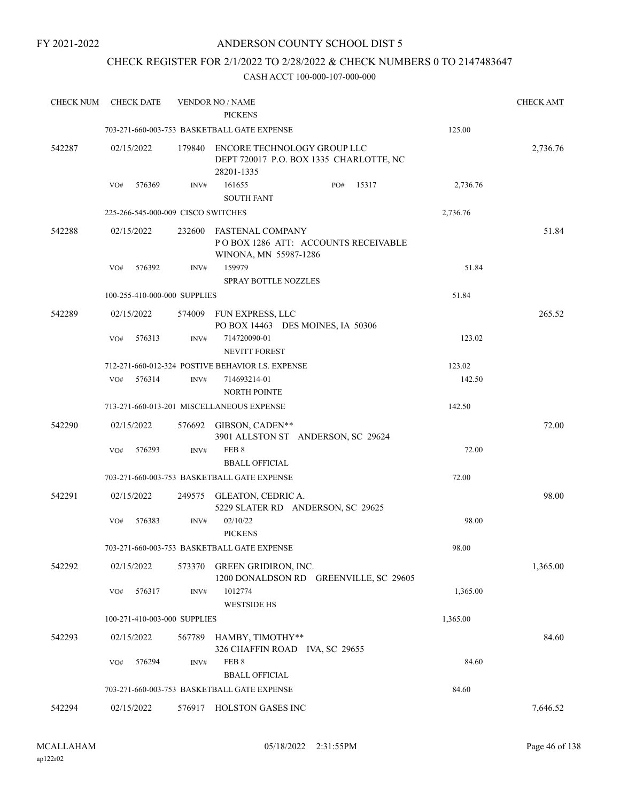## ANDERSON COUNTY SCHOOL DIST 5

# CHECK REGISTER FOR 2/1/2022 TO 2/28/2022 & CHECK NUMBERS 0 TO 2147483647

| <b>CHECK NUM</b> | <b>CHECK DATE</b>                  |        | <b>VENDOR NO / NAME</b>                                                              |          | <b>CHECK AMT</b> |
|------------------|------------------------------------|--------|--------------------------------------------------------------------------------------|----------|------------------|
|                  |                                    |        | <b>PICKENS</b>                                                                       |          |                  |
|                  |                                    |        | 703-271-660-003-753 BASKETBALL GATE EXPENSE                                          | 125.00   |                  |
| 542287           | 02/15/2022                         | 179840 | ENCORE TECHNOLOGY GROUP LLC<br>DEPT 720017 P.O. BOX 1335 CHARLOTTE, NC<br>28201-1335 |          | 2,736.76         |
|                  | 576369<br>VO#                      | INV#   | 15317<br>161655<br>PO#<br><b>SOUTH FANT</b>                                          | 2,736.76 |                  |
|                  | 225-266-545-000-009 CISCO SWITCHES |        |                                                                                      | 2,736.76 |                  |
| 542288           | 02/15/2022                         | 232600 | FASTENAL COMPANY<br>POBOX 1286 ATT: ACCOUNTS RECEIVABLE<br>WINONA, MN 55987-1286     |          | 51.84            |
|                  | 576392<br>VO#                      | INV#   | 159979<br><b>SPRAY BOTTLE NOZZLES</b>                                                | 51.84    |                  |
|                  | 100-255-410-000-000 SUPPLIES       |        |                                                                                      | 51.84    |                  |
| 542289           | 02/15/2022                         |        | 574009 FUN EXPRESS, LLC<br>PO BOX 14463 DES MOINES, IA 50306                         |          | 265.52           |
|                  | 576313<br>VO#                      | INV#   | 714720090-01<br><b>NEVITT FOREST</b>                                                 | 123.02   |                  |
|                  |                                    |        | 712-271-660-012-324 POSTIVE BEHAVIOR I.S. EXPENSE                                    | 123.02   |                  |
|                  | 576314<br>VO#                      | INV#   | 714693214-01                                                                         | 142.50   |                  |
|                  |                                    |        | <b>NORTH POINTE</b>                                                                  |          |                  |
|                  |                                    |        | 713-271-660-013-201 MISCELLANEOUS EXPENSE                                            | 142.50   |                  |
| 542290           | 02/15/2022                         | 576692 | GIBSON, CADEN**<br>3901 ALLSTON ST ANDERSON, SC 29624                                |          | 72.00            |
|                  | 576293<br>VO#                      | INV#   | FEB <sub>8</sub><br><b>BBALL OFFICIAL</b>                                            | 72.00    |                  |
|                  |                                    |        | 703-271-660-003-753 BASKETBALL GATE EXPENSE                                          | 72.00    |                  |
| 542291           | 02/15/2022                         | 249575 | GLEATON, CEDRIC A.<br>5229 SLATER RD ANDERSON, SC 29625                              |          | 98.00            |
|                  | VO#<br>576383                      | INV#   | 02/10/22<br><b>PICKENS</b>                                                           | 98.00    |                  |
|                  |                                    |        | 703-271-660-003-753 BASKETBALL GATE EXPENSE                                          | 98.00    |                  |
| 542292           | 02/15/2022                         | 573370 | GREEN GRIDIRON, INC.<br>1200 DONALDSON RD GREENVILLE, SC 29605                       |          | 1,365.00         |
|                  | 576317<br>VO#                      | INV#   | 1012774<br><b>WESTSIDE HS</b>                                                        | 1,365.00 |                  |
|                  | 100-271-410-003-000 SUPPLIES       |        |                                                                                      | 1,365.00 |                  |
| 542293           | 02/15/2022                         | 567789 | HAMBY, TIMOTHY**<br>326 CHAFFIN ROAD IVA, SC 29655                                   |          | 84.60            |
|                  | VO#<br>576294                      | INV#   | FEB <sub>8</sub>                                                                     | 84.60    |                  |
|                  |                                    |        | <b>BBALL OFFICIAL</b><br>703-271-660-003-753 BASKETBALL GATE EXPENSE                 | 84.60    |                  |
|                  |                                    |        |                                                                                      |          |                  |
| 542294           | 02/15/2022                         | 576917 | HOLSTON GASES INC                                                                    |          | 7,646.52         |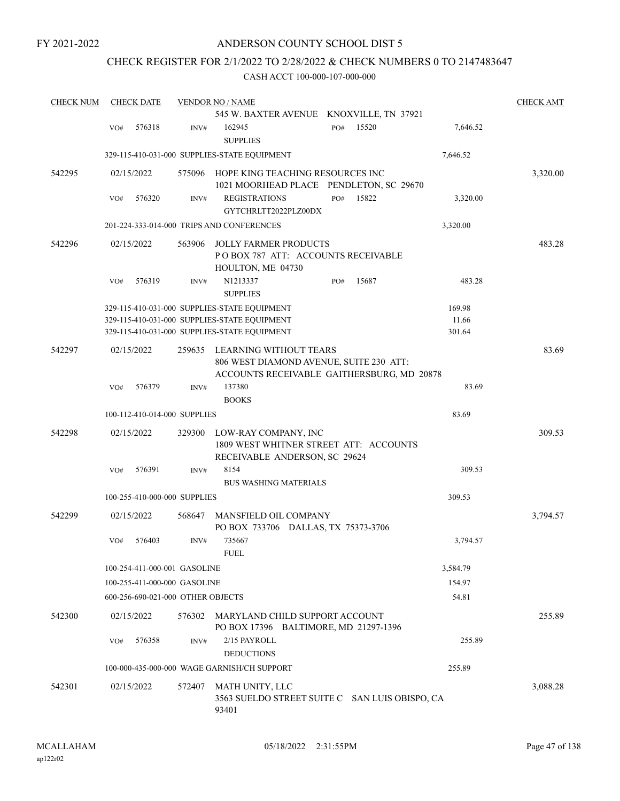## CHECK REGISTER FOR 2/1/2022 TO 2/28/2022 & CHECK NUMBERS 0 TO 2147483647

| <b>CHECK NUM</b> |     | <b>CHECK DATE</b>                 |        | <b>VENDOR NO / NAME</b>                                                                                                                      |     |       |                           | <b>CHECK AMT</b> |
|------------------|-----|-----------------------------------|--------|----------------------------------------------------------------------------------------------------------------------------------------------|-----|-------|---------------------------|------------------|
|                  |     |                                   |        | 545 W. BAXTER AVENUE KNOXVILLE, TN 37921                                                                                                     |     |       |                           |                  |
|                  | VO# | 576318                            | INV#   | 162945<br><b>SUPPLIES</b>                                                                                                                    | PO# | 15520 | 7,646.52                  |                  |
|                  |     |                                   |        | 329-115-410-031-000 SUPPLIES-STATE EQUIPMENT                                                                                                 |     |       | 7,646.52                  |                  |
| 542295           |     | 02/15/2022                        | 575096 | HOPE KING TEACHING RESOURCES INC<br>1021 MOORHEAD PLACE PENDLETON, SC 29670                                                                  |     |       |                           | 3,320.00         |
|                  | VO# | 576320                            | INV#   | <b>REGISTRATIONS</b><br>GYTCHRLTT2022PLZ00DX                                                                                                 | PO# | 15822 | 3,320.00                  |                  |
|                  |     |                                   |        | 201-224-333-014-000 TRIPS AND CONFERENCES                                                                                                    |     |       | 3,320.00                  |                  |
| 542296           |     | 02/15/2022                        | 563906 | <b>JOLLY FARMER PRODUCTS</b><br>POBOX 787 ATT: ACCOUNTS RECEIVABLE<br>HOULTON, ME 04730                                                      |     |       |                           | 483.28           |
|                  | VO# | 576319                            | INV#   | N1213337<br><b>SUPPLIES</b>                                                                                                                  | PO# | 15687 | 483.28                    |                  |
|                  |     |                                   |        | 329-115-410-031-000 SUPPLIES-STATE EQUIPMENT<br>329-115-410-031-000 SUPPLIES-STATE EQUIPMENT<br>329-115-410-031-000 SUPPLIES-STATE EQUIPMENT |     |       | 169.98<br>11.66<br>301.64 |                  |
| 542297           |     | 02/15/2022                        | 259635 | LEARNING WITHOUT TEARS<br>806 WEST DIAMOND AVENUE, SUITE 230 ATT:<br>ACCOUNTS RECEIVABLE GAITHERSBURG, MD 20878                              |     |       |                           | 83.69            |
|                  | VO# | 576379                            | INV#   | 137380<br><b>BOOKS</b>                                                                                                                       |     |       | 83.69                     |                  |
|                  |     | 100-112-410-014-000 SUPPLIES      |        |                                                                                                                                              |     |       | 83.69                     |                  |
| 542298           |     | 02/15/2022                        | 329300 | LOW-RAY COMPANY, INC<br>1809 WEST WHITNER STREET ATT: ACCOUNTS<br>RECEIVABLE ANDERSON, SC 29624                                              |     |       |                           | 309.53           |
|                  | VO# | 576391                            | INV#   | 8154<br><b>BUS WASHING MATERIALS</b>                                                                                                         |     |       | 309.53                    |                  |
|                  |     | 100-255-410-000-000 SUPPLIES      |        |                                                                                                                                              |     |       | 309.53                    |                  |
| 542299           |     | 02/15/2022                        | 568647 | MANSFIELD OIL COMPANY<br>PO BOX 733706 DALLAS, TX 75373-3706                                                                                 |     |       |                           | 3,794.57         |
|                  | VO# | 576403                            | INV#   | 735667<br><b>FUEL</b>                                                                                                                        |     |       | 3,794.57                  |                  |
|                  |     | 100-254-411-000-001 GASOLINE      |        |                                                                                                                                              |     |       | 3,584.79                  |                  |
|                  |     | 100-255-411-000-000 GASOLINE      |        |                                                                                                                                              |     |       | 154.97                    |                  |
|                  |     | 600-256-690-021-000 OTHER OBJECTS |        |                                                                                                                                              |     |       | 54.81                     |                  |
| 542300           |     | 02/15/2022                        | 576302 | MARYLAND CHILD SUPPORT ACCOUNT<br>PO BOX 17396 BALTIMORE, MD 21297-1396                                                                      |     |       |                           | 255.89           |
|                  | VO# | 576358                            | INV#   | 2/15 PAYROLL<br><b>DEDUCTIONS</b>                                                                                                            |     |       | 255.89                    |                  |
|                  |     |                                   |        | 100-000-435-000-000 WAGE GARNISH/CH SUPPORT                                                                                                  |     |       | 255.89                    |                  |
| 542301           |     | 02/15/2022                        | 572407 | MATH UNITY, LLC<br>3563 SUELDO STREET SUITE C SAN LUIS OBISPO, CA<br>93401                                                                   |     |       |                           | 3,088.28         |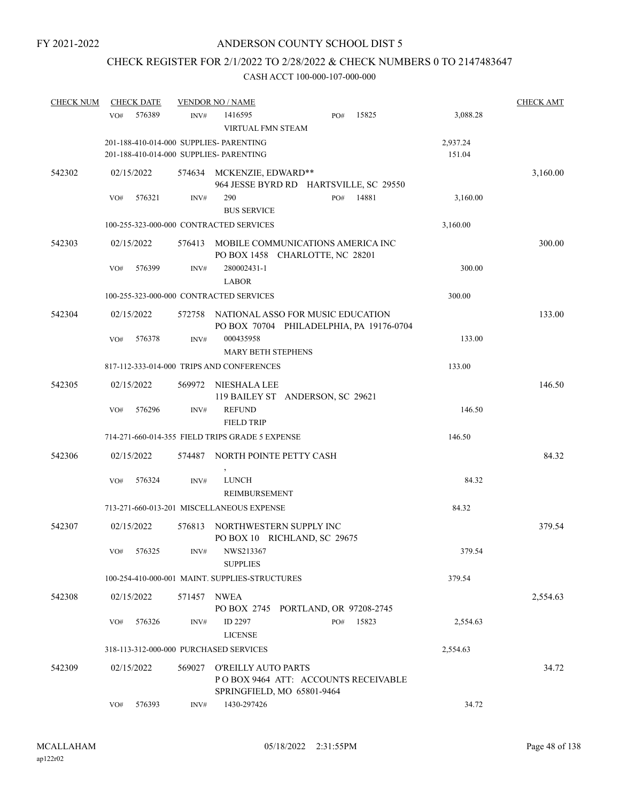# CHECK REGISTER FOR 2/1/2022 TO 2/28/2022 & CHECK NUMBERS 0 TO 2147483647

| <b>CHECK NUM</b> | <b>CHECK DATE</b>                                                                  |                | <b>VENDOR NO / NAME</b>                                                                          |     |       |                    | <b>CHECK AMT</b> |
|------------------|------------------------------------------------------------------------------------|----------------|--------------------------------------------------------------------------------------------------|-----|-------|--------------------|------------------|
|                  | 576389<br>VO#                                                                      | INV#           | 1416595<br>VIRTUAL FMN STEAM                                                                     | PO# | 15825 | 3,088.28           |                  |
|                  | 201-188-410-014-000 SUPPLIES- PARENTING<br>201-188-410-014-000 SUPPLIES- PARENTING |                |                                                                                                  |     |       | 2,937.24<br>151.04 |                  |
| 542302           | 02/15/2022                                                                         |                | 574634 MCKENZIE, EDWARD**<br>964 JESSE BYRD RD HARTSVILLE, SC 29550                              |     |       |                    | 3,160.00         |
|                  | 576321<br>VO#                                                                      | INV#           | 290<br><b>BUS SERVICE</b>                                                                        | PO# | 14881 | 3,160.00           |                  |
|                  |                                                                                    |                | 100-255-323-000-000 CONTRACTED SERVICES                                                          |     |       | 3,160.00           |                  |
| 542303           | 02/15/2022                                                                         | 576413         | MOBILE COMMUNICATIONS AMERICA INC<br>PO BOX 1458 CHARLOTTE, NC 28201                             |     |       |                    | 300.00           |
|                  | VO#<br>576399                                                                      | INV#           | 280002431-1<br><b>LABOR</b>                                                                      |     |       | 300.00             |                  |
|                  |                                                                                    |                | 100-255-323-000-000 CONTRACTED SERVICES                                                          |     |       | 300.00             |                  |
| 542304           | 02/15/2022                                                                         | 572758         | NATIONAL ASSO FOR MUSIC EDUCATION<br>PO BOX 70704 PHILADELPHIA, PA 19176-0704                    |     |       |                    | 133.00           |
|                  | VO#<br>576378                                                                      | INV#           | 000435958<br><b>MARY BETH STEPHENS</b>                                                           |     |       | 133.00             |                  |
|                  |                                                                                    |                | 817-112-333-014-000 TRIPS AND CONFERENCES                                                        |     |       | 133.00             |                  |
| 542305           | 02/15/2022                                                                         |                | 569972 NIESHALA LEE<br>119 BAILEY ST ANDERSON, SC 29621                                          |     |       |                    | 146.50           |
|                  | 576296<br>VO#                                                                      | $\text{INV}\#$ | <b>REFUND</b><br><b>FIELD TRIP</b>                                                               |     |       | 146.50             |                  |
|                  |                                                                                    |                | 714-271-660-014-355 FIELD TRIPS GRADE 5 EXPENSE                                                  |     |       | 146.50             |                  |
| 542306           | 02/15/2022                                                                         |                | 574487 NORTH POINTE PETTY CASH                                                                   |     |       |                    | 84.32            |
|                  | VO#<br>576324                                                                      | INV#           | <b>LUNCH</b><br>REIMBURSEMENT                                                                    |     |       | 84.32              |                  |
|                  |                                                                                    |                | 713-271-660-013-201 MISCELLANEOUS EXPENSE                                                        |     |       | 84.32              |                  |
| 542307           | 02/15/2022                                                                         | 576813         | NORTHWESTERN SUPPLY INC<br>PO BOX 10 RICHLAND, SC 29675                                          |     |       |                    | 379.54           |
|                  | VO# 576325                                                                         |                | INV# NWS213367<br><b>SUPPLIES</b>                                                                |     |       | 379.54             |                  |
|                  |                                                                                    |                | 100-254-410-000-001 MAINT. SUPPLIES-STRUCTURES                                                   |     |       | 379.54             |                  |
| 542308           | 02/15/2022                                                                         | 571457 NWEA    | PO BOX 2745 PORTLAND, OR 97208-2745                                                              |     |       |                    | 2,554.63         |
|                  | 576326<br>VO#                                                                      | INV#           | ID 2297<br><b>LICENSE</b>                                                                        | PO# | 15823 | 2,554.63           |                  |
|                  | 318-113-312-000-000 PURCHASED SERVICES                                             |                |                                                                                                  |     |       | 2,554.63           |                  |
| 542309           | 02/15/2022                                                                         | 569027         | <b>O'REILLY AUTO PARTS</b><br>PO BOX 9464 ATT: ACCOUNTS RECEIVABLE<br>SPRINGFIELD, MO 65801-9464 |     |       |                    | 34.72            |
|                  | 576393<br>VO#                                                                      | INV#           | 1430-297426                                                                                      |     |       | 34.72              |                  |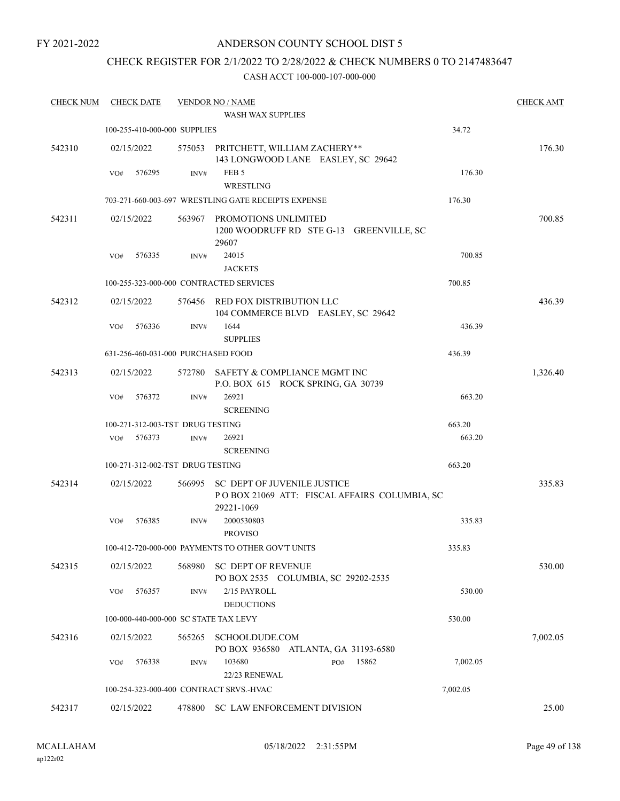## ANDERSON COUNTY SCHOOL DIST 5

## CHECK REGISTER FOR 2/1/2022 TO 2/28/2022 & CHECK NUMBERS 0 TO 2147483647

| <b>CHECK NUM</b> | <b>CHECK DATE</b>                       |        | <b>VENDOR NO / NAME</b>                                                                   |          | <b>CHECK AMT</b> |
|------------------|-----------------------------------------|--------|-------------------------------------------------------------------------------------------|----------|------------------|
|                  |                                         |        | <b>WASH WAX SUPPLIES</b>                                                                  |          |                  |
|                  | 100-255-410-000-000 SUPPLIES            |        |                                                                                           | 34.72    |                  |
| 542310           | 02/15/2022                              |        | 575053 PRITCHETT, WILLIAM ZACHERY**<br>143 LONGWOOD LANE EASLEY, SC 29642                 |          | 176.30           |
|                  | 576295<br>VO#                           | INV#   | FEB <sub>5</sub><br><b>WRESTLING</b>                                                      | 176.30   |                  |
|                  |                                         |        | 703-271-660-003-697 WRESTLING GATE RECEIPTS EXPENSE                                       | 176.30   |                  |
| 542311           | 02/15/2022                              |        | 563967 PROMOTIONS UNLIMITED<br>1200 WOODRUFF RD STE G-13 GREENVILLE, SC<br>29607          |          | 700.85           |
|                  | 576335<br>VO#                           | INV#   | 24015<br><b>JACKETS</b>                                                                   | 700.85   |                  |
|                  |                                         |        | 100-255-323-000-000 CONTRACTED SERVICES                                                   | 700.85   |                  |
| 542312           | 02/15/2022                              |        | 576456 RED FOX DISTRIBUTION LLC<br>104 COMMERCE BLVD EASLEY, SC 29642                     |          | 436.39           |
|                  | VO#<br>576336                           | INV#   | 1644<br><b>SUPPLIES</b>                                                                   | 436.39   |                  |
|                  | 631-256-460-031-000 PURCHASED FOOD      |        |                                                                                           | 436.39   |                  |
| 542313           | 02/15/2022                              |        | 572780 SAFETY & COMPLIANCE MGMT INC<br>P.O. BOX 615 ROCK SPRING, GA 30739                 |          | 1,326.40         |
|                  | 576372<br>VO#                           | INV#   | 26921<br><b>SCREENING</b>                                                                 | 663.20   |                  |
|                  | 100-271-312-003-TST DRUG TESTING        |        |                                                                                           | 663.20   |                  |
|                  | 576373<br>VO#                           | INV#   | 26921<br><b>SCREENING</b>                                                                 | 663.20   |                  |
|                  | 100-271-312-002-TST DRUG TESTING        |        |                                                                                           | 663.20   |                  |
| 542314           | 02/15/2022                              | 566995 | SC DEPT OF JUVENILE JUSTICE<br>POBOX 21069 ATT: FISCAL AFFAIRS COLUMBIA, SC<br>29221-1069 |          | 335.83           |
|                  | 576385<br>VO#                           | INV#   | 2000530803<br><b>PROVISO</b>                                                              | 335.83   |                  |
|                  |                                         |        | 100-412-720-000-000 PAYMENTS TO OTHER GOV'T UNITS                                         | 335.83   |                  |
| 542315           | 02/15/2022                              | 568980 | SC DEPT OF REVENUE<br>PO BOX 2535 COLUMBIA, SC 29202-2535                                 |          | 530.00           |
|                  | 576357<br>VO#                           | INV#   | 2/15 PAYROLL<br><b>DEDUCTIONS</b>                                                         | 530.00   |                  |
|                  | 100-000-440-000-000 SC STATE TAX LEVY   |        |                                                                                           | 530.00   |                  |
| 542316           | 02/15/2022                              | 565265 | SCHOOLDUDE.COM<br>PO BOX 936580 ATLANTA, GA 31193-6580                                    |          | 7,002.05         |
|                  | 576338<br>VO#                           | INV#   | 15862<br>103680<br>PO#<br>22/23 RENEWAL                                                   | 7,002.05 |                  |
|                  | 100-254-323-000-400 CONTRACT SRVS.-HVAC |        |                                                                                           | 7,002.05 |                  |
| 542317           | 02/15/2022                              |        | 478800 SC LAW ENFORCEMENT DIVISION                                                        |          | 25.00            |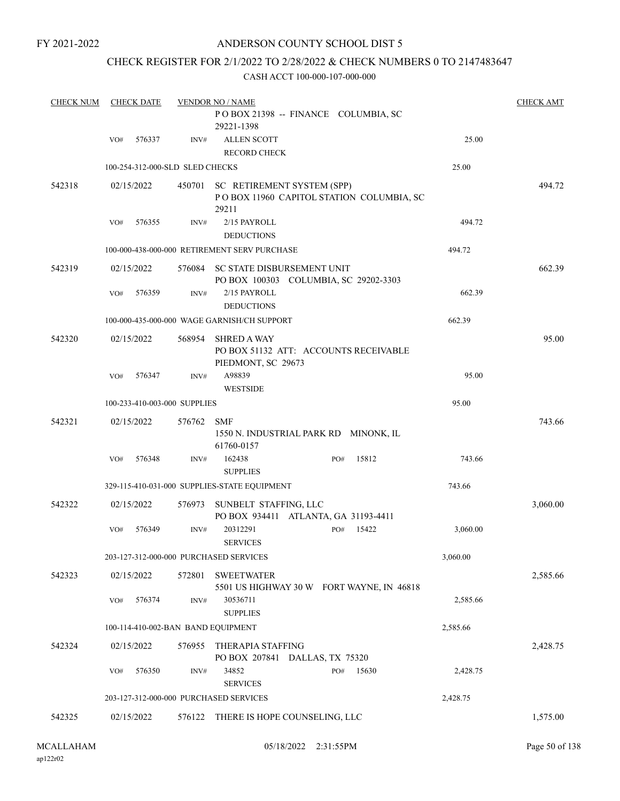## ANDERSON COUNTY SCHOOL DIST 5

## CHECK REGISTER FOR 2/1/2022 TO 2/28/2022 & CHECK NUMBERS 0 TO 2147483647

| <b>CHECK NUM</b> | <b>CHECK DATE</b>                      |        | <b>VENDOR NO / NAME</b>                                                           |          | <b>CHECK AMT</b> |
|------------------|----------------------------------------|--------|-----------------------------------------------------------------------------------|----------|------------------|
|                  |                                        |        | POBOX 21398 -- FINANCE COLUMBIA, SC<br>29221-1398                                 |          |                  |
|                  | 576337<br>VO#                          | INV#   | <b>ALLEN SCOTT</b>                                                                | 25.00    |                  |
|                  |                                        |        | <b>RECORD CHECK</b>                                                               |          |                  |
|                  | 100-254-312-000-SLD SLED CHECKS        |        |                                                                                   | 25.00    |                  |
| 542318           | 02/15/2022                             | 450701 | SC RETIREMENT SYSTEM (SPP)<br>POBOX 11960 CAPITOL STATION COLUMBIA, SC<br>29211   |          | 494.72           |
|                  | 576355<br>VO#                          | INV#   | 2/15 PAYROLL<br><b>DEDUCTIONS</b>                                                 | 494.72   |                  |
|                  |                                        |        | 100-000-438-000-000 RETIREMENT SERV PURCHASE                                      | 494.72   |                  |
| 542319           | 02/15/2022                             | 576084 | SC STATE DISBURSEMENT UNIT<br>PO BOX 100303 COLUMBIA, SC 29202-3303               |          | 662.39           |
|                  | 576359<br>VO#                          | INV#   | 2/15 PAYROLL<br><b>DEDUCTIONS</b>                                                 | 662.39   |                  |
|                  |                                        |        | 100-000-435-000-000 WAGE GARNISH/CH SUPPORT                                       | 662.39   |                  |
| 542320           | 02/15/2022                             | 568954 | <b>SHRED A WAY</b><br>PO BOX 51132 ATT: ACCOUNTS RECEIVABLE<br>PIEDMONT, SC 29673 |          | 95.00            |
|                  | 576347<br>VO#                          | INV#   | A98839<br><b>WESTSIDE</b>                                                         | 95.00    |                  |
|                  | 100-233-410-003-000 SUPPLIES           |        |                                                                                   | 95.00    |                  |
| 542321           | 02/15/2022                             | 576762 | <b>SMF</b><br>1550 N. INDUSTRIAL PARK RD MINONK, IL<br>61760-0157                 |          | 743.66           |
|                  | 576348<br>VO#                          | INV#   | 162438<br>15812<br>PO#<br><b>SUPPLIES</b>                                         | 743.66   |                  |
|                  |                                        |        | 329-115-410-031-000 SUPPLIES-STATE EQUIPMENT                                      | 743.66   |                  |
| 542322           | 02/15/2022                             | 576973 | SUNBELT STAFFING, LLC<br>PO BOX 934411 ATLANTA, GA 31193-4411                     |          | 3,060.00         |
|                  | 576349<br>VO#                          | INV#   | 20312291<br>15422<br>PO#<br><b>SERVICES</b>                                       | 3,060.00 |                  |
|                  | 203-127-312-000-000 PURCHASED SERVICES |        |                                                                                   | 3,060.00 |                  |
| 542323           | 02/15/2022                             | 572801 | <b>SWEETWATER</b><br>5501 US HIGHWAY 30 W FORT WAYNE, IN 46818                    |          | 2,585.66         |
|                  | 576374<br>VO#                          | INV#   | 30536711<br><b>SUPPLIES</b>                                                       | 2,585.66 |                  |
|                  | 100-114-410-002-BAN BAND EQUIPMENT     |        |                                                                                   | 2,585.66 |                  |
| 542324           | 02/15/2022                             | 576955 | THERAPIA STAFFING<br>PO BOX 207841 DALLAS, TX 75320                               |          | 2,428.75         |
|                  | 576350<br>VO#                          | INV#   | 15630<br>34852<br>PO#<br><b>SERVICES</b>                                          | 2,428.75 |                  |
|                  | 203-127-312-000-000 PURCHASED SERVICES |        |                                                                                   | 2,428.75 |                  |
| 542325           | 02/15/2022                             | 576122 | THERE IS HOPE COUNSELING, LLC                                                     |          | 1,575.00         |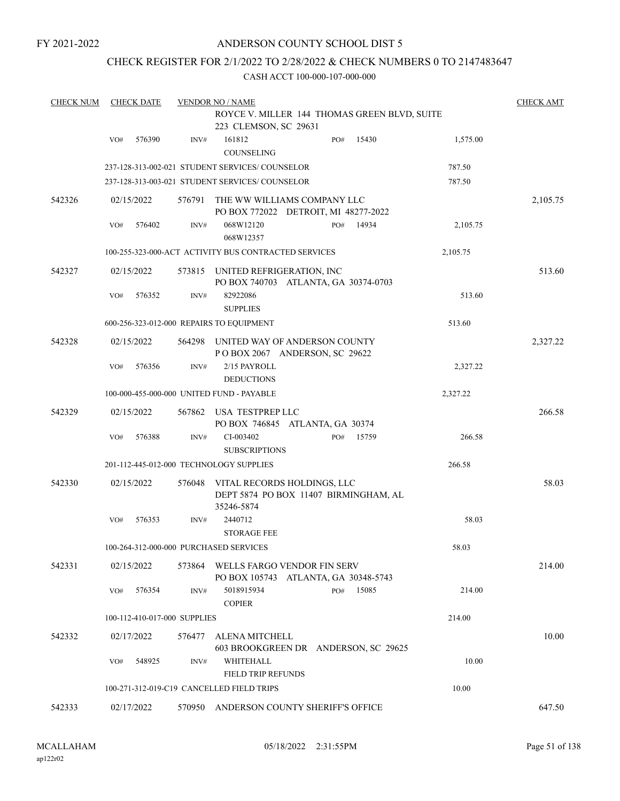## ANDERSON COUNTY SCHOOL DIST 5

## CHECK REGISTER FOR 2/1/2022 TO 2/28/2022 & CHECK NUMBERS 0 TO 2147483647

| <b>CHECK NUM</b> |     | <b>CHECK DATE</b>            |                | <b>VENDOR NO / NAME</b>                                                            |     |       |          | <b>CHECK AMT</b> |
|------------------|-----|------------------------------|----------------|------------------------------------------------------------------------------------|-----|-------|----------|------------------|
|                  |     |                              |                | ROYCE V. MILLER 144 THOMAS GREEN BLVD, SUITE<br>223 CLEMSON, SC 29631              |     |       |          |                  |
|                  | VO# | 576390                       | INV#           | 161812<br><b>COUNSELING</b>                                                        | PO# | 15430 | 1,575.00 |                  |
|                  |     |                              |                | 237-128-313-002-021 STUDENT SERVICES/COUNSELOR                                     |     |       | 787.50   |                  |
|                  |     |                              |                | 237-128-313-003-021 STUDENT SERVICES/ COUNSELOR                                    |     |       | 787.50   |                  |
| 542326           |     | 02/15/2022                   | 576791         | THE WW WILLIAMS COMPANY LLC<br>PO BOX 772022 DETROIT, MI 48277-2022                |     |       |          | 2,105.75         |
|                  | VO# | 576402                       | $\text{INV}\#$ | 068W12120<br>068W12357                                                             | PO# | 14934 | 2,105.75 |                  |
|                  |     |                              |                | 100-255-323-000-ACT ACTIVITY BUS CONTRACTED SERVICES                               |     |       | 2,105.75 |                  |
| 542327           |     | 02/15/2022                   | 573815         | UNITED REFRIGERATION, INC<br>PO BOX 740703 ATLANTA, GA 30374-0703                  |     |       |          | 513.60           |
|                  | VO# | 576352                       | INV#           | 82922086<br><b>SUPPLIES</b>                                                        |     |       | 513.60   |                  |
|                  |     |                              |                | 600-256-323-012-000 REPAIRS TO EQUIPMENT                                           |     |       | 513.60   |                  |
| 542328           |     | 02/15/2022                   | 564298         | UNITED WAY OF ANDERSON COUNTY<br>POBOX 2067 ANDERSON, SC 29622                     |     |       |          | 2,327.22         |
|                  | VO# | 576356                       | INV#           | 2/15 PAYROLL<br><b>DEDUCTIONS</b>                                                  |     |       | 2,327.22 |                  |
|                  |     |                              |                | 100-000-455-000-000 UNITED FUND - PAYABLE                                          |     |       | 2,327.22 |                  |
| 542329           |     | 02/15/2022                   | 567862         | USA TESTPREP LLC<br>PO BOX 746845 ATLANTA, GA 30374                                |     |       |          | 266.58           |
|                  | VO# | 576388                       | INV#           | CI-003402<br><b>SUBSCRIPTIONS</b>                                                  | PO# | 15759 | 266.58   |                  |
|                  |     |                              |                | 201-112-445-012-000 TECHNOLOGY SUPPLIES                                            |     |       | 266.58   |                  |
| 542330           |     | 02/15/2022                   | 576048         | VITAL RECORDS HOLDINGS, LLC<br>DEPT 5874 PO BOX 11407 BIRMINGHAM, AL<br>35246-5874 |     |       |          | 58.03            |
|                  | VO# | 576353                       | INV#           | 2440712<br><b>STORAGE FEE</b>                                                      |     |       | 58.03    |                  |
|                  |     |                              |                | 100-264-312-000-000 PURCHASED SERVICES                                             |     |       | 58.03    |                  |
| 542331           |     | 02/15/2022                   | 573864         | WELLS FARGO VENDOR FIN SERV<br>PO BOX 105743 ATLANTA, GA 30348-5743                |     |       |          | 214.00           |
|                  | VO# | 576354                       | INV#           | 5018915934<br><b>COPIER</b>                                                        | PO# | 15085 | 214.00   |                  |
|                  |     | 100-112-410-017-000 SUPPLIES |                |                                                                                    |     |       | 214.00   |                  |
| 542332           |     | 02/17/2022                   | 576477         | ALENA MITCHELL<br>603 BROOKGREEN DR ANDERSON, SC 29625                             |     |       |          | 10.00            |
|                  | VO# | 548925                       | INV#           | WHITEHALL<br><b>FIELD TRIP REFUNDS</b>                                             |     |       | 10.00    |                  |
|                  |     |                              |                | 100-271-312-019-C19 CANCELLED FIELD TRIPS                                          |     |       | 10.00    |                  |
| 542333           |     | 02/17/2022                   | 570950         | ANDERSON COUNTY SHERIFF'S OFFICE                                                   |     |       |          | 647.50           |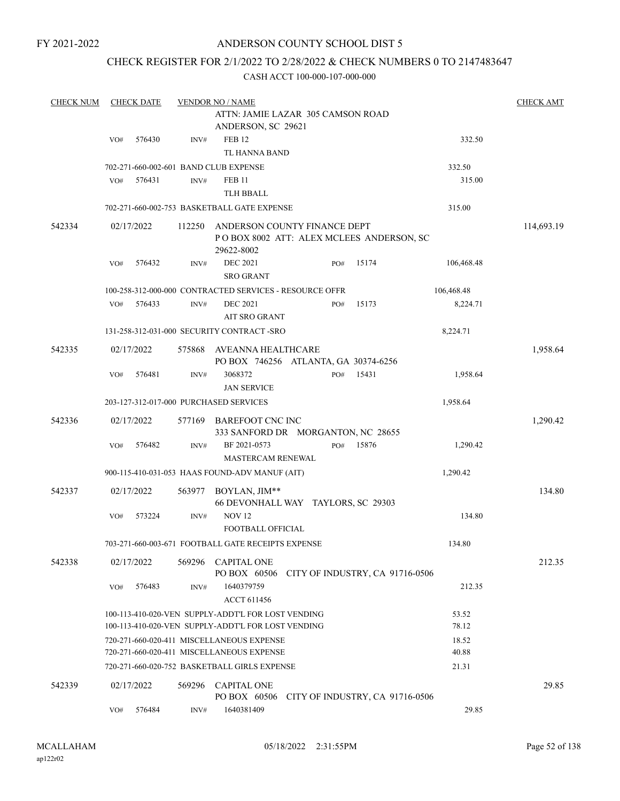## ANDERSON COUNTY SCHOOL DIST 5

## CHECK REGISTER FOR 2/1/2022 TO 2/28/2022 & CHECK NUMBERS 0 TO 2147483647

| <b>CHECK NUM</b> |     | <b>CHECK DATE</b> |        | <b>VENDOR NO / NAME</b>                                                                                  |     |                                 |                | <b>CHECK AMT</b> |
|------------------|-----|-------------------|--------|----------------------------------------------------------------------------------------------------------|-----|---------------------------------|----------------|------------------|
|                  |     |                   |        | ATTN: JAMIE LAZAR 305 CAMSON ROAD<br>ANDERSON, SC 29621                                                  |     |                                 |                |                  |
|                  | VO# | 576430            | INV#   | <b>FEB 12</b><br><b>TL HANNA BAND</b>                                                                    |     |                                 | 332.50         |                  |
|                  |     |                   |        | 702-271-660-002-601 BAND CLUB EXPENSE                                                                    |     |                                 | 332.50         |                  |
|                  | VO# | 576431            | INV#   | <b>FEB 11</b><br>TLH BBALL                                                                               |     |                                 | 315.00         |                  |
|                  |     |                   |        | 702-271-660-002-753 BASKETBALL GATE EXPENSE                                                              |     |                                 | 315.00         |                  |
| 542334           |     | 02/17/2022        | 112250 | ANDERSON COUNTY FINANCE DEPT<br>POBOX 8002 ATT: ALEX MCLEES ANDERSON, SC<br>29622-8002                   |     |                                 |                | 114,693.19       |
|                  | VO# | 576432            | INV#   | <b>DEC 2021</b><br><b>SRO GRANT</b>                                                                      | PO# | 15174                           | 106,468.48     |                  |
|                  |     |                   |        | 100-258-312-000-000 CONTRACTED SERVICES - RESOURCE OFFR                                                  |     |                                 | 106,468.48     |                  |
|                  | VO# | 576433            | INV#   | <b>DEC 2021</b><br><b>AIT SRO GRANT</b>                                                                  | PO# | 15173                           | 8,224.71       |                  |
|                  |     |                   |        | 131-258-312-031-000 SECURITY CONTRACT -SRO                                                               |     |                                 | 8,224.71       |                  |
| 542335           |     | 02/17/2022        | 575868 | AVEANNA HEALTHCARE<br>PO BOX 746256 ATLANTA, GA 30374-6256                                               |     |                                 |                | 1,958.64         |
|                  | VO# | 576481            | INV#   | 3068372<br><b>JAN SERVICE</b>                                                                            | PO# | 15431                           | 1,958.64       |                  |
|                  |     |                   |        | 203-127-312-017-000 PURCHASED SERVICES                                                                   |     |                                 | 1,958.64       |                  |
| 542336           |     | 02/17/2022        | 577169 | BAREFOOT CNC INC<br>333 SANFORD DR MORGANTON, NC 28655                                                   |     |                                 |                | 1,290.42         |
|                  | VO# | 576482            | INV#   | BF 2021-0573<br>MASTERCAM RENEWAL                                                                        | PO# | 15876                           | 1,290.42       |                  |
|                  |     |                   |        | 900-115-410-031-053 HAAS FOUND-ADV MANUF (AIT)                                                           |     |                                 | 1,290.42       |                  |
| 542337           |     | 02/17/2022        | 563977 | BOYLAN, JIM**<br>66 DEVONHALL WAY TAYLORS, SC 29303                                                      |     |                                 |                | 134.80           |
|                  | VO# | 573224            | INV#   | <b>NOV 12</b><br><b>FOOTBALL OFFICIAL</b>                                                                |     |                                 | 134.80         |                  |
|                  |     |                   |        | 703-271-660-003-671 FOOTBALL GATE RECEIPTS EXPENSE                                                       |     |                                 | 134.80         |                  |
| 542338           |     | 02/17/2022        | 569296 | <b>CAPITAL ONE</b><br>PO BOX 60506                                                                       |     | CITY OF INDUSTRY, CA 91716-0506 |                | 212.35           |
|                  | VO# | 576483            | INV#   | 1640379759<br>ACCT 611456                                                                                |     |                                 | 212.35         |                  |
|                  |     |                   |        | 100-113-410-020-VEN SUPPLY-ADDT'L FOR LOST VENDING<br>100-113-410-020-VEN SUPPLY-ADDT'L FOR LOST VENDING |     |                                 | 53.52<br>78.12 |                  |
|                  |     |                   |        | 720-271-660-020-411 MISCELLANEOUS EXPENSE<br>720-271-660-020-411 MISCELLANEOUS EXPENSE                   |     |                                 | 18.52<br>40.88 |                  |
|                  |     |                   |        | 720-271-660-020-752 BASKETBALL GIRLS EXPENSE                                                             |     |                                 | 21.31          |                  |
| 542339           |     | 02/17/2022        | 569296 | <b>CAPITAL ONE</b><br>PO BOX 60506                                                                       |     | CITY OF INDUSTRY, CA 91716-0506 |                | 29.85            |
|                  | VO# | 576484            | INV#   | 1640381409                                                                                               |     |                                 | 29.85          |                  |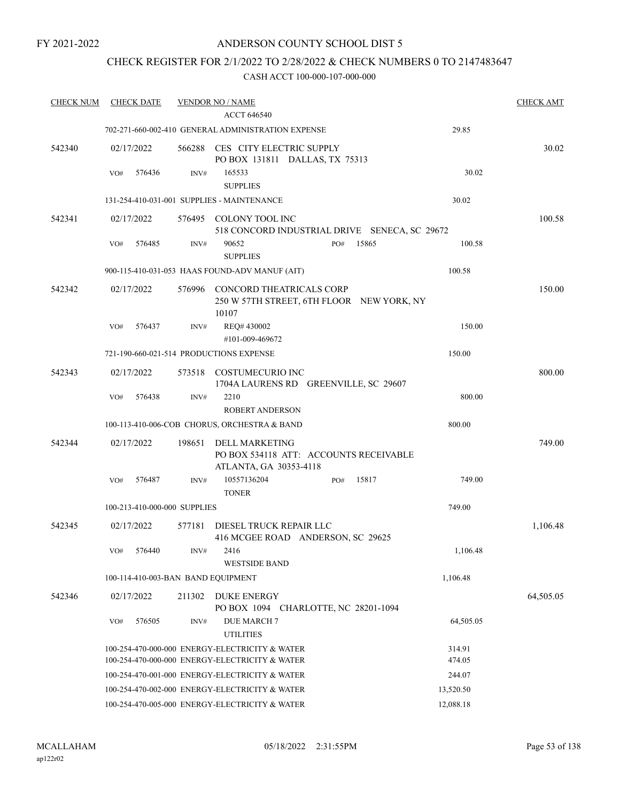## ANDERSON COUNTY SCHOOL DIST 5

## CHECK REGISTER FOR 2/1/2022 TO 2/28/2022 & CHECK NUMBERS 0 TO 2147483647

| <b>CHECK NUM</b> | <b>CHECK DATE</b> |                                    | <b>VENDOR NO / NAME</b>                                                            |     |       |           | <b>CHECK AMT</b> |
|------------------|-------------------|------------------------------------|------------------------------------------------------------------------------------|-----|-------|-----------|------------------|
|                  |                   |                                    | <b>ACCT 646540</b>                                                                 |     |       |           |                  |
|                  |                   |                                    | 702-271-660-002-410 GENERAL ADMINISTRATION EXPENSE                                 |     |       | 29.85     |                  |
| 542340           | 02/17/2022        |                                    | 566288 CES CITY ELECTRIC SUPPLY<br>PO BOX 131811 DALLAS, TX 75313                  |     |       |           | 30.02            |
|                  | VO#<br>576436     | INV#                               | 165533<br><b>SUPPLIES</b>                                                          |     |       | 30.02     |                  |
|                  |                   |                                    | 131-254-410-031-001 SUPPLIES - MAINTENANCE                                         |     |       | 30.02     |                  |
| 542341           | 02/17/2022        |                                    | 576495 COLONY TOOL INC<br>518 CONCORD INDUSTRIAL DRIVE SENECA, SC 29672            |     |       |           | 100.58           |
|                  | 576485<br>VO#     | INV#                               | 90652<br><b>SUPPLIES</b>                                                           | PO# | 15865 | 100.58    |                  |
|                  |                   |                                    | 900-115-410-031-053 HAAS FOUND-ADV MANUF (AIT)                                     |     |       | 100.58    |                  |
| 542342           | 02/17/2022        |                                    | 576996 CONCORD THEATRICALS CORP<br>250 W 57TH STREET, 6TH FLOOR NEW YORK, NY       |     |       |           | 150.00           |
|                  | VO#<br>576437     | INV#                               | 10107<br>REQ# 430002<br>#101-009-469672                                            |     |       | 150.00    |                  |
|                  |                   |                                    | 721-190-660-021-514 PRODUCTIONS EXPENSE                                            |     |       | 150.00    |                  |
| 542343           | 02/17/2022        |                                    | 573518 COSTUMECURIO INC<br>1704A LAURENS RD GREENVILLE, SC 29607                   |     |       |           | 800.00           |
|                  | 576438<br>VO#     | INV#                               | 2210<br><b>ROBERT ANDERSON</b>                                                     |     |       | 800.00    |                  |
|                  |                   |                                    | 100-113-410-006-COB CHORUS, ORCHESTRA & BAND                                       |     |       | 800.00    |                  |
| 542344           | 02/17/2022        | 198651                             | DELL MARKETING<br>PO BOX 534118 ATT: ACCOUNTS RECEIVABLE<br>ATLANTA, GA 30353-4118 |     |       |           | 749.00           |
|                  | 576487<br>VO#     | INV#                               | 10557136204<br><b>TONER</b>                                                        | PO# | 15817 | 749.00    |                  |
|                  |                   | 100-213-410-000-000 SUPPLIES       |                                                                                    |     |       | 749.00    |                  |
| 542345           | 02/17/2022        | 577181                             | DIESEL TRUCK REPAIR LLC<br>416 MCGEE ROAD ANDERSON, SC 29625                       |     |       |           | 1,106.48         |
|                  | VO# 576440        | INV#                               | 2416<br><b>WESTSIDE BAND</b>                                                       |     |       | 1,106.48  |                  |
|                  |                   | 100-114-410-003-BAN BAND EQUIPMENT |                                                                                    |     |       | 1,106.48  |                  |
| 542346           | 02/17/2022        | 211302                             | <b>DUKE ENERGY</b><br>PO BOX 1094 CHARLOTTE, NC 28201-1094                         |     |       |           | 64,505.05        |
|                  | 576505<br>VO#     | INV#                               | DUE MARCH 7<br><b>UTILITIES</b>                                                    |     |       | 64,505.05 |                  |
|                  |                   |                                    | 100-254-470-000-000 ENERGY-ELECTRICITY & WATER                                     |     |       | 314.91    |                  |
|                  |                   |                                    | 100-254-470-000-000 ENERGY-ELECTRICITY & WATER                                     |     |       | 474.05    |                  |
|                  |                   |                                    | 100-254-470-001-000 ENERGY-ELECTRICITY & WATER                                     |     |       | 244.07    |                  |
|                  |                   |                                    | 100-254-470-002-000 ENERGY-ELECTRICITY & WATER                                     |     |       | 13,520.50 |                  |
|                  |                   |                                    | 100-254-470-005-000 ENERGY-ELECTRICITY & WATER                                     |     |       | 12,088.18 |                  |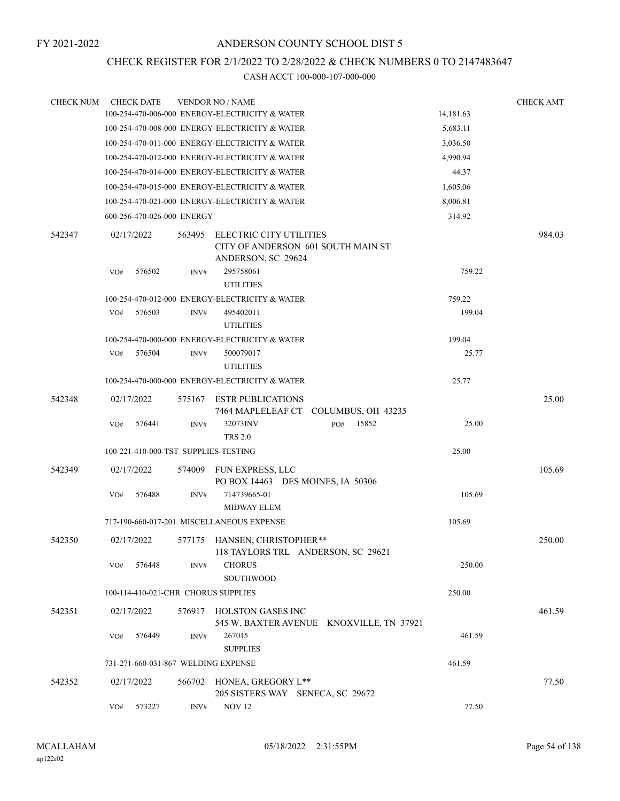## CHECK REGISTER FOR 2/1/2022 TO 2/28/2022 & CHECK NUMBERS 0 TO 2147483647

| <b>CHECK NUM</b> | <b>CHECK DATE</b> |                                      | <b>VENDOR NO / NAME</b>                                                             |                                          |           | <b>CHECK AMT</b> |
|------------------|-------------------|--------------------------------------|-------------------------------------------------------------------------------------|------------------------------------------|-----------|------------------|
|                  |                   |                                      | 100-254-470-006-000 ENERGY-ELECTRICITY & WATER                                      |                                          | 14,181.63 |                  |
|                  |                   |                                      | 100-254-470-008-000 ENERGY-ELECTRICITY & WATER                                      |                                          | 5,683.11  |                  |
|                  |                   |                                      | 100-254-470-011-000 ENERGY-ELECTRICITY & WATER                                      |                                          | 3,036.50  |                  |
|                  |                   |                                      | 100-254-470-012-000 ENERGY-ELECTRICITY & WATER                                      |                                          | 4,990.94  |                  |
|                  |                   |                                      | 100-254-470-014-000 ENERGY-ELECTRICITY & WATER                                      |                                          | 44.37     |                  |
|                  |                   |                                      | 100-254-470-015-000 ENERGY-ELECTRICITY & WATER                                      |                                          | 1,605.06  |                  |
|                  |                   |                                      | 100-254-470-021-000 ENERGY-ELECTRICITY & WATER                                      |                                          | 8,006.81  |                  |
|                  |                   | 600-256-470-026-000 ENERGY           |                                                                                     |                                          | 314.92    |                  |
| 542347           | 02/17/2022        | 563495                               | ELECTRIC CITY UTILITIES<br>CITY OF ANDERSON 601 SOUTH MAIN ST<br>ANDERSON, SC 29624 |                                          |           | 984.03           |
|                  | 576502<br>VO#     | INV#                                 | 295758061<br><b>UTILITIES</b>                                                       |                                          | 759.22    |                  |
|                  |                   |                                      | 100-254-470-012-000 ENERGY-ELECTRICITY & WATER                                      |                                          | 759.22    |                  |
|                  | VO#<br>576503     | INV#                                 | 495402011                                                                           |                                          | 199.04    |                  |
|                  |                   |                                      | <b>UTILITIES</b>                                                                    |                                          |           |                  |
|                  |                   |                                      | 100-254-470-000-000 ENERGY-ELECTRICITY & WATER                                      |                                          | 199.04    |                  |
|                  | 576504<br>VO#     | INV#                                 | 500079017                                                                           |                                          | 25.77     |                  |
|                  |                   |                                      | <b>UTILITIES</b>                                                                    |                                          |           |                  |
|                  |                   |                                      | 100-254-470-000-000 ENERGY-ELECTRICITY & WATER                                      |                                          | 25.77     |                  |
| 542348           | 02/17/2022        | 575167                               | ESTR PUBLICATIONS                                                                   | 7464 MAPLELEAF CT COLUMBUS, OH 43235     |           | 25.00            |
|                  | VO#<br>576441     | INV#                                 | 32073INV<br><b>TRS 2.0</b>                                                          | 15852<br>PO#                             | 25.00     |                  |
|                  |                   | 100-221-410-000-TST SUPPLIES-TESTING |                                                                                     |                                          | 25.00     |                  |
| 542349           | 02/17/2022        | 574009                               | FUN EXPRESS, LLC<br>PO BOX 14463 DES MOINES, IA 50306                               |                                          |           | 105.69           |
|                  | 576488<br>VO#     | INV#                                 | 714739665-01                                                                        |                                          | 105.69    |                  |
|                  |                   |                                      | <b>MIDWAY ELEM</b>                                                                  |                                          |           |                  |
|                  |                   |                                      | 717-190-660-017-201 MISCELLANEOUS EXPENSE                                           |                                          | 105.69    |                  |
| 542350           | 02/17/2022        |                                      | 577175 HANSEN, CHRISTOPHER**<br>118 TAYLORS TRL ANDERSON, SC 29621                  |                                          |           | 250.00           |
|                  | 576448<br>VO#     | INV#                                 | <b>CHORUS</b><br><b>SOUTHWOOD</b>                                                   |                                          | 250.00    |                  |
|                  |                   | 100-114-410-021-CHR CHORUS SUPPLIES  |                                                                                     |                                          | 250.00    |                  |
| 542351           | 02/17/2022        |                                      | 576917 HOLSTON GASES INC                                                            | 545 W. BAXTER AVENUE KNOXVILLE, TN 37921 |           | 461.59           |
|                  | 576449<br>VO#     | INV#                                 | 267015<br><b>SUPPLIES</b>                                                           |                                          | 461.59    |                  |
|                  |                   | 731-271-660-031-867 WELDING EXPENSE  |                                                                                     |                                          | 461.59    |                  |
|                  |                   |                                      |                                                                                     |                                          |           |                  |
| 542352           | 02/17/2022        | 566702                               | HONEA, GREGORY L**<br>205 SISTERS WAY SENECA, SC 29672                              |                                          |           | 77.50            |
|                  | 573227<br>VO#     | INV#                                 | <b>NOV 12</b>                                                                       |                                          | 77.50     |                  |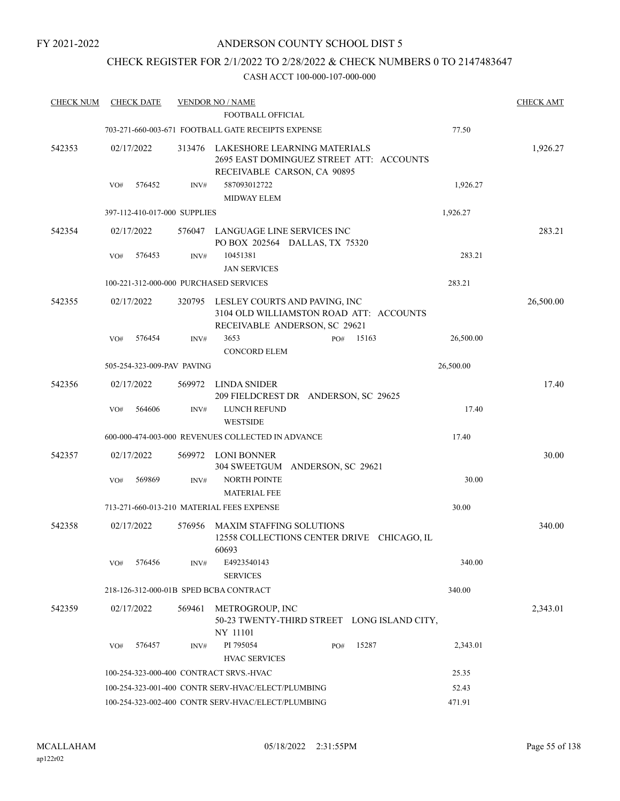## ANDERSON COUNTY SCHOOL DIST 5

## CHECK REGISTER FOR 2/1/2022 TO 2/28/2022 & CHECK NUMBERS 0 TO 2147483647

| <b>CHECK NUM</b> | <b>CHECK DATE</b>                       |        | <b>VENDOR NO / NAME</b>                                                                                   |                    | <b>CHECK AMT</b> |
|------------------|-----------------------------------------|--------|-----------------------------------------------------------------------------------------------------------|--------------------|------------------|
|                  |                                         |        | FOOTBALL OFFICIAL                                                                                         |                    |                  |
|                  |                                         |        | 703-271-660-003-671 FOOTBALL GATE RECEIPTS EXPENSE                                                        | 77.50              |                  |
| 542353           | 02/17/2022                              | 313476 | LAKESHORE LEARNING MATERIALS<br>2695 EAST DOMINGUEZ STREET ATT: ACCOUNTS<br>RECEIVABLE CARSON, CA 90895   |                    | 1,926.27         |
|                  | VO#<br>576452                           | INV#   | 587093012722                                                                                              | 1,926.27           |                  |
|                  |                                         |        | <b>MIDWAY ELEM</b>                                                                                        |                    |                  |
|                  | 397-112-410-017-000 SUPPLIES            |        |                                                                                                           | 1,926.27           |                  |
| 542354           | 02/17/2022                              |        | 576047 LANGUAGE LINE SERVICES INC<br>PO BOX 202564 DALLAS, TX 75320                                       |                    | 283.21           |
|                  | 576453<br>VO#                           | INV#   | 10451381<br><b>JAN SERVICES</b>                                                                           | 283.21             |                  |
|                  | 100-221-312-000-000 PURCHASED SERVICES  |        |                                                                                                           | 283.21             |                  |
| 542355           | 02/17/2022                              | 320795 | LESLEY COURTS AND PAVING, INC<br>3104 OLD WILLIAMSTON ROAD ATT: ACCOUNTS<br>RECEIVABLE ANDERSON, SC 29621 |                    | 26,500.00        |
|                  | VO#<br>576454                           | INV#   | 3653<br>PO#                                                                                               | 15163<br>26,500.00 |                  |
|                  |                                         |        | <b>CONCORD ELEM</b>                                                                                       |                    |                  |
|                  | 505-254-323-009-PAV PAVING              |        |                                                                                                           | 26,500.00          |                  |
| 542356           | 02/17/2022                              | 569972 | LINDA SNIDER<br>209 FIELDCREST DR ANDERSON, SC 29625                                                      |                    | 17.40            |
|                  | 564606<br>VO#                           | INV#   | LUNCH REFUND<br><b>WESTSIDE</b>                                                                           | 17.40              |                  |
|                  |                                         |        | 600-000-474-003-000 REVENUES COLLECTED IN ADVANCE                                                         | 17.40              |                  |
| 542357           | 02/17/2022                              |        | 569972 LONI BONNER<br>304 SWEETGUM ANDERSON, SC 29621                                                     |                    | 30.00            |
|                  | 569869<br>VO#                           | INV#   | <b>NORTH POINTE</b><br><b>MATERIAL FEE</b>                                                                | 30.00              |                  |
|                  |                                         |        | 713-271-660-013-210 MATERIAL FEES EXPENSE                                                                 | 30.00              |                  |
| 542358           | 02/17/2022                              | 576956 | <b>MAXIM STAFFING SOLUTIONS</b><br>12558 COLLECTIONS CENTER DRIVE CHICAGO, IL<br>60693                    |                    | 340.00           |
|                  | 576456<br>VO#                           | INV#   | E4923540143<br><b>SERVICES</b>                                                                            | 340.00             |                  |
|                  | 218-126-312-000-01B SPED BCBA CONTRACT  |        |                                                                                                           | 340.00             |                  |
| 542359           | 02/17/2022                              | 569461 | METROGROUP, INC<br>50-23 TWENTY-THIRD STREET LONG ISLAND CITY,                                            |                    | 2,343.01         |
|                  | 576457<br>VO#                           | INV#   | NY 11101<br>PI 795054<br>PO#<br><b>HVAC SERVICES</b>                                                      | 15287<br>2,343.01  |                  |
|                  | 100-254-323-000-400 CONTRACT SRVS.-HVAC |        |                                                                                                           | 25.35              |                  |
|                  |                                         |        | 100-254-323-001-400 CONTR SERV-HVAC/ELECT/PLUMBING                                                        | 52.43              |                  |
|                  |                                         |        | 100-254-323-002-400 CONTR SERV-HVAC/ELECT/PLUMBING                                                        | 471.91             |                  |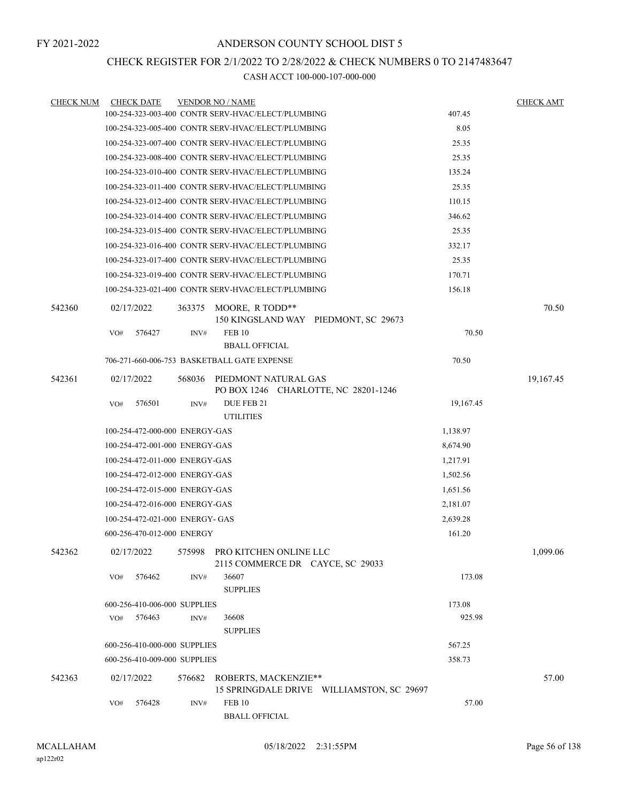## CHECK REGISTER FOR 2/1/2022 TO 2/28/2022 & CHECK NUMBERS 0 TO 2147483647

| <b>CHECK NUM</b> | <b>CHECK DATE</b>               |        | <b>VENDOR NO / NAME</b>                                                  |           | <b>CHECK AMT</b> |
|------------------|---------------------------------|--------|--------------------------------------------------------------------------|-----------|------------------|
|                  |                                 |        | 100-254-323-003-400 CONTR SERV-HVAC/ELECT/PLUMBING                       | 407.45    |                  |
|                  |                                 |        | 100-254-323-005-400 CONTR SERV-HVAC/ELECT/PLUMBING                       | 8.05      |                  |
|                  |                                 |        | 100-254-323-007-400 CONTR SERV-HVAC/ELECT/PLUMBING                       | 25.35     |                  |
|                  |                                 |        | 100-254-323-008-400 CONTR SERV-HVAC/ELECT/PLUMBING                       | 25.35     |                  |
|                  |                                 |        | 100-254-323-010-400 CONTR SERV-HVAC/ELECT/PLUMBING                       | 135.24    |                  |
|                  |                                 |        | 100-254-323-011-400 CONTR SERV-HVAC/ELECT/PLUMBING                       | 25.35     |                  |
|                  |                                 |        | 100-254-323-012-400 CONTR SERV-HVAC/ELECT/PLUMBING                       | 110.15    |                  |
|                  |                                 |        | 100-254-323-014-400 CONTR SERV-HVAC/ELECT/PLUMBING                       | 346.62    |                  |
|                  |                                 |        | 100-254-323-015-400 CONTR SERV-HVAC/ELECT/PLUMBING                       | 25.35     |                  |
|                  |                                 |        | 100-254-323-016-400 CONTR SERV-HVAC/ELECT/PLUMBING                       | 332.17    |                  |
|                  |                                 |        | 100-254-323-017-400 CONTR SERV-HVAC/ELECT/PLUMBING                       | 25.35     |                  |
|                  |                                 |        | 100-254-323-019-400 CONTR SERV-HVAC/ELECT/PLUMBING                       | 170.71    |                  |
|                  |                                 |        | 100-254-323-021-400 CONTR SERV-HVAC/ELECT/PLUMBING                       | 156.18    |                  |
| 542360           | 02/17/2022                      | 363375 | MOORE, R TODD**<br>150 KINGSLAND WAY PIEDMONT, SC 29673                  |           | 70.50            |
|                  | 576427<br>VO#                   | INV#   | <b>FEB 10</b><br><b>BBALL OFFICIAL</b>                                   | 70.50     |                  |
|                  |                                 |        | 706-271-660-006-753 BASKETBALL GATE EXPENSE                              | 70.50     |                  |
| 542361           | 02/17/2022                      | 568036 | PIEDMONT NATURAL GAS<br>PO BOX 1246 CHARLOTTE, NC 28201-1246             |           | 19,167.45        |
|                  | 576501<br>VO#                   | INV#   | DUE FEB 21<br><b>UTILITIES</b>                                           | 19,167.45 |                  |
|                  | 100-254-472-000-000 ENERGY-GAS  |        |                                                                          | 1,138.97  |                  |
|                  | 100-254-472-001-000 ENERGY-GAS  |        |                                                                          | 8,674.90  |                  |
|                  | 100-254-472-011-000 ENERGY-GAS  |        |                                                                          | 1,217.91  |                  |
|                  | 100-254-472-012-000 ENERGY-GAS  |        |                                                                          | 1,502.56  |                  |
|                  | 100-254-472-015-000 ENERGY-GAS  |        |                                                                          | 1,651.56  |                  |
|                  | 100-254-472-016-000 ENERGY-GAS  |        |                                                                          | 2,181.07  |                  |
|                  | 100-254-472-021-000 ENERGY- GAS |        |                                                                          | 2,639.28  |                  |
|                  | 600-256-470-012-000 ENERGY      |        |                                                                          | 161.20    |                  |
| 542362           | 02/17/2022                      | 575998 | PRO KITCHEN ONLINE LLC<br>2115 COMMERCE DR CAYCE, SC 29033               |           | 1,099.06         |
|                  | 576462<br>VO#                   | INV#   | 36607<br><b>SUPPLIES</b>                                                 | 173.08    |                  |
|                  | 600-256-410-006-000 SUPPLIES    |        |                                                                          | 173.08    |                  |
|                  | 576463<br>VO#                   | INV#   | 36608<br><b>SUPPLIES</b>                                                 | 925.98    |                  |
|                  | 600-256-410-000-000 SUPPLIES    |        |                                                                          | 567.25    |                  |
|                  | 600-256-410-009-000 SUPPLIES    |        |                                                                          | 358.73    |                  |
| 542363           | 02/17/2022                      |        | 576682 ROBERTS, MACKENZIE**<br>15 SPRINGDALE DRIVE WILLIAMSTON, SC 29697 |           | 57.00            |
|                  | 576428<br>VO#                   | INV#   | <b>FEB 10</b>                                                            | 57.00     |                  |
|                  |                                 |        | <b>BBALL OFFICIAL</b>                                                    |           |                  |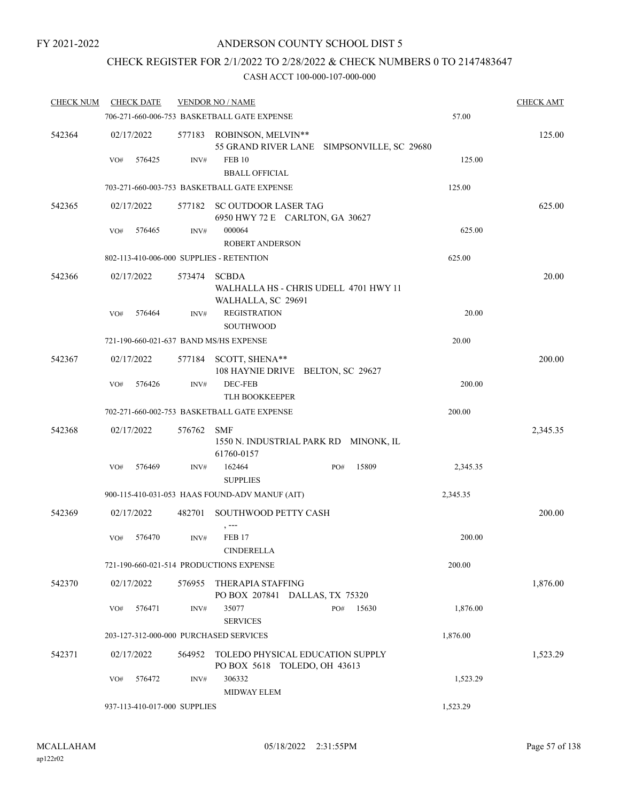## ANDERSON COUNTY SCHOOL DIST 5

## CHECK REGISTER FOR 2/1/2022 TO 2/28/2022 & CHECK NUMBERS 0 TO 2147483647

| <b>CHECK NUM</b> | <b>CHECK DATE</b>                        |        | <b>VENDOR NO / NAME</b>                                                     |                                            |          | <b>CHECK AMT</b> |
|------------------|------------------------------------------|--------|-----------------------------------------------------------------------------|--------------------------------------------|----------|------------------|
|                  |                                          |        | 706-271-660-006-753 BASKETBALL GATE EXPENSE                                 |                                            | 57.00    |                  |
| 542364           | 02/17/2022                               |        | 577183 ROBINSON, MELVIN**                                                   | 55 GRAND RIVER LANE SIMPSONVILLE, SC 29680 |          | 125.00           |
|                  | 576425<br>VO#                            | INV#   | <b>FEB 10</b><br><b>BBALL OFFICIAL</b>                                      |                                            | 125.00   |                  |
|                  |                                          |        | 703-271-660-003-753 BASKETBALL GATE EXPENSE                                 |                                            | 125.00   |                  |
| 542365           | 02/17/2022                               | 577182 | SC OUTDOOR LASER TAG<br>6950 HWY 72 E CARLTON, GA 30627                     |                                            |          | 625.00           |
|                  | 576465<br>VO#                            | INV#   | 000064<br><b>ROBERT ANDERSON</b>                                            |                                            | 625.00   |                  |
|                  | 802-113-410-006-000 SUPPLIES - RETENTION |        |                                                                             |                                            | 625.00   |                  |
| 542366           | 02/17/2022                               | 573474 | <b>SCBDA</b><br>WALHALLA HS - CHRIS UDELL 4701 HWY 11<br>WALHALLA, SC 29691 |                                            |          | 20.00            |
|                  | 576464<br>VO#                            | INV#   | <b>REGISTRATION</b><br><b>SOUTHWOOD</b>                                     |                                            | 20.00    |                  |
|                  | 721-190-660-021-637 BAND MS/HS EXPENSE   |        |                                                                             |                                            | 20.00    |                  |
| 542367           | 02/17/2022                               |        | 577184 SCOTT, SHENA**<br>108 HAYNIE DRIVE BELTON, SC 29627                  |                                            |          | 200.00           |
|                  | VO#<br>576426                            | INV#   | DEC-FEB<br><b>TLH BOOKKEEPER</b>                                            |                                            | 200.00   |                  |
|                  |                                          |        | 702-271-660-002-753 BASKETBALL GATE EXPENSE                                 |                                            | 200.00   |                  |
| 542368           | 02/17/2022                               | 576762 | SMF<br>1550 N. INDUSTRIAL PARK RD MINONK, IL<br>61760-0157                  |                                            |          | 2,345.35         |
|                  | 576469<br>VO#                            | INV#   | 162464<br><b>SUPPLIES</b>                                                   | 15809<br>PO#                               | 2,345.35 |                  |
|                  |                                          |        | 900-115-410-031-053 HAAS FOUND-ADV MANUF (AIT)                              |                                            | 2,345.35 |                  |
| 542369           | 02/17/2022                               | 482701 | SOUTHWOOD PETTY CASH<br>, ---                                               |                                            |          | 200.00           |
|                  | 576470<br>VO#                            | INV#   | <b>FEB 17</b><br><b>CINDERELLA</b>                                          |                                            | 200.00   |                  |
|                  | 721-190-660-021-514 PRODUCTIONS EXPENSE  |        |                                                                             |                                            | 200.00   |                  |
| 542370           | 02/17/2022                               | 576955 | <b>THERAPIA STAFFING</b><br>PO BOX 207841 DALLAS, TX 75320                  |                                            |          | 1,876.00         |
|                  | 576471<br>VO#                            | INV#   | 35077<br><b>SERVICES</b>                                                    | 15630<br>PO#                               | 1,876.00 |                  |
|                  | 203-127-312-000-000 PURCHASED SERVICES   |        |                                                                             |                                            | 1,876.00 |                  |
| 542371           | 02/17/2022                               | 564952 | TOLEDO PHYSICAL EDUCATION SUPPLY<br>PO BOX 5618 TOLEDO, OH 43613            |                                            |          | 1,523.29         |
|                  | 576472<br>VO#                            | INV#   | 306332<br>MIDWAY ELEM                                                       |                                            | 1,523.29 |                  |
|                  | 937-113-410-017-000 SUPPLIES             |        |                                                                             |                                            | 1,523.29 |                  |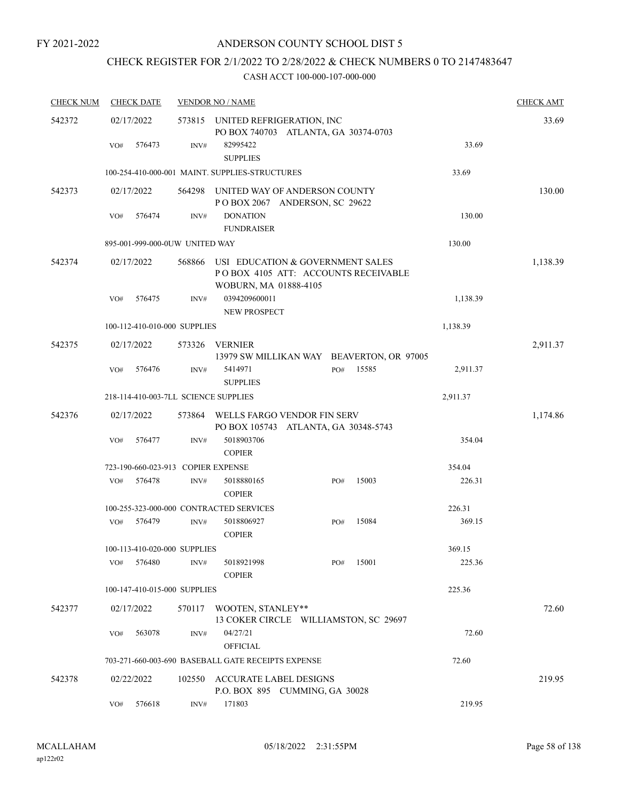# CHECK REGISTER FOR 2/1/2022 TO 2/28/2022 & CHECK NUMBERS 0 TO 2147483647

| <b>CHECK NUM</b> | <b>CHECK DATE</b> |                                      | <b>VENDOR NO / NAME</b>                                                                          |     |                                           |          | <b>CHECK AMT</b> |
|------------------|-------------------|--------------------------------------|--------------------------------------------------------------------------------------------------|-----|-------------------------------------------|----------|------------------|
| 542372           | 02/17/2022        |                                      | 573815 UNITED REFRIGERATION, INC<br>PO BOX 740703 ATLANTA, GA 30374-0703                         |     |                                           |          | 33.69            |
|                  | VO#               | 576473<br>INV#                       | 82995422<br><b>SUPPLIES</b>                                                                      |     |                                           | 33.69    |                  |
|                  |                   |                                      | 100-254-410-000-001 MAINT. SUPPLIES-STRUCTURES                                                   |     |                                           | 33.69    |                  |
| 542373           | 02/17/2022        | 564298                               | UNITED WAY OF ANDERSON COUNTY<br>POBOX 2067 ANDERSON, SC 29622                                   |     |                                           |          | 130.00           |
|                  | VO#               | 576474<br>INV#                       | <b>DONATION</b><br><b>FUNDRAISER</b>                                                             |     |                                           | 130.00   |                  |
|                  |                   | 895-001-999-000-0UW UNITED WAY       |                                                                                                  |     |                                           | 130.00   |                  |
| 542374           | 02/17/2022        | 568866                               | USI EDUCATION & GOVERNMENT SALES<br>POBOX 4105 ATT: ACCOUNTS RECEIVABLE<br>WOBURN, MA 01888-4105 |     |                                           |          | 1,138.39         |
|                  | VO#               | 576475<br>INV#                       | 0394209600011<br><b>NEW PROSPECT</b>                                                             |     |                                           | 1,138.39 |                  |
|                  |                   | 100-112-410-010-000 SUPPLIES         |                                                                                                  |     |                                           | 1,138.39 |                  |
| 542375           | 02/17/2022        | 573326                               | <b>VERNIER</b>                                                                                   |     | 13979 SW MILLIKAN WAY BEAVERTON, OR 97005 |          | 2,911.37         |
|                  | VO#               | 576476<br>INV#                       | 5414971<br><b>SUPPLIES</b>                                                                       | PO# | 15585                                     | 2,911.37 |                  |
|                  |                   | 218-114-410-003-7LL SCIENCE SUPPLIES |                                                                                                  |     |                                           | 2,911.37 |                  |
| 542376           | 02/17/2022        | 573864                               | WELLS FARGO VENDOR FIN SERV<br>PO BOX 105743 ATLANTA, GA 30348-5743                              |     |                                           |          | 1,174.86         |
|                  | VO#               | 576477<br>INV#                       | 5018903706<br><b>COPIER</b>                                                                      |     |                                           | 354.04   |                  |
|                  |                   | 723-190-660-023-913 COPIER EXPENSE   |                                                                                                  |     |                                           | 354.04   |                  |
|                  | VO#               | 576478<br>INV#                       | 5018880165<br><b>COPIER</b>                                                                      | PO# | 15003                                     | 226.31   |                  |
|                  |                   |                                      | 100-255-323-000-000 CONTRACTED SERVICES                                                          |     |                                           | 226.31   |                  |
|                  | VO#               | 576479<br>INV#                       | 5018806927<br><b>COPIER</b>                                                                      | PO# | 15084                                     | 369.15   |                  |
|                  |                   | 100-113-410-020-000 SUPPLIES         |                                                                                                  |     |                                           | 369.15   |                  |
|                  | VO#               | 576480<br>INV#                       | 5018921998<br><b>COPIER</b>                                                                      | PO# | 15001                                     | 225.36   |                  |
|                  |                   | 100-147-410-015-000 SUPPLIES         |                                                                                                  |     |                                           | 225.36   |                  |
| 542377           | 02/17/2022        | 570117                               | WOOTEN, STANLEY**<br>13 COKER CIRCLE WILLIAMSTON, SC 29697                                       |     |                                           |          | 72.60            |
|                  | VO#               | 563078<br>INV#                       | 04/27/21<br><b>OFFICIAL</b>                                                                      |     |                                           | 72.60    |                  |
|                  |                   |                                      | 703-271-660-003-690 BASEBALL GATE RECEIPTS EXPENSE                                               |     |                                           | 72.60    |                  |
| 542378           | 02/22/2022        | 102550                               | ACCURATE LABEL DESIGNS<br>P.O. BOX 895 CUMMING, GA 30028                                         |     |                                           |          | 219.95           |
|                  | VO#               | 576618<br>INV#                       | 171803                                                                                           |     |                                           | 219.95   |                  |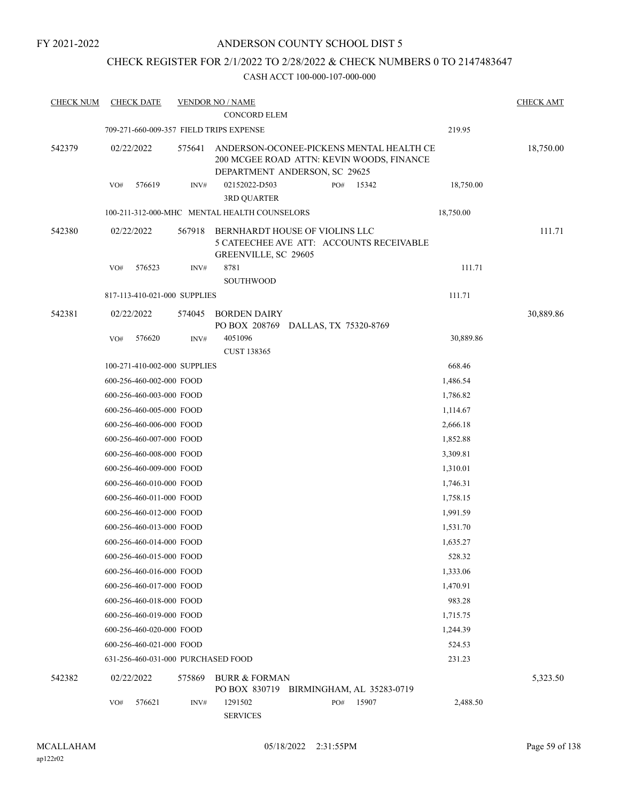## CHECK REGISTER FOR 2/1/2022 TO 2/28/2022 & CHECK NUMBERS 0 TO 2147483647

| <b>CHECK NUM</b> | <b>CHECK DATE</b>                       |        | <b>VENDOR NO / NAME</b>                                                                                                |                       |       |           | <b>CHECK AMT</b> |
|------------------|-----------------------------------------|--------|------------------------------------------------------------------------------------------------------------------------|-----------------------|-------|-----------|------------------|
|                  |                                         |        | <b>CONCORD ELEM</b>                                                                                                    |                       |       |           |                  |
|                  | 709-271-660-009-357 FIELD TRIPS EXPENSE |        |                                                                                                                        |                       |       | 219.95    |                  |
| 542379           | 02/22/2022                              | 575641 | ANDERSON-OCONEE-PICKENS MENTAL HEALTH CE<br>200 MCGEE ROAD ATTN: KEVIN WOODS, FINANCE<br>DEPARTMENT ANDERSON, SC 29625 |                       |       |           | 18,750.00        |
|                  | VO#<br>576619                           | INV#   | 02152022-D503                                                                                                          | PO#                   | 15342 | 18,750.00 |                  |
|                  |                                         |        | <b>3RD QUARTER</b>                                                                                                     |                       |       |           |                  |
|                  |                                         |        | 100-211-312-000-MHC MENTAL HEALTH COUNSELORS                                                                           |                       |       | 18,750.00 |                  |
| 542380           | 02/22/2022                              | 567918 | BERNHARDT HOUSE OF VIOLINS LLC<br>5 CATEECHEE AVE ATT: ACCOUNTS RECEIVABLE<br>GREENVILLE, SC 29605                     |                       |       |           | 111.71           |
|                  | 576523<br>VO#                           | INV#   | 8781<br><b>SOUTHWOOD</b>                                                                                               |                       |       | 111.71    |                  |
|                  | 817-113-410-021-000 SUPPLIES            |        |                                                                                                                        |                       |       | 111.71    |                  |
| 542381           | 02/22/2022                              | 574045 | <b>BORDEN DAIRY</b><br>PO BOX 208769                                                                                   | DALLAS, TX 75320-8769 |       |           | 30,889.86        |
|                  | VO#<br>576620                           | INV#   | 4051096<br><b>CUST 138365</b>                                                                                          |                       |       | 30,889.86 |                  |
|                  | 100-271-410-002-000 SUPPLIES            |        |                                                                                                                        |                       |       | 668.46    |                  |
|                  | 600-256-460-002-000 FOOD                |        |                                                                                                                        |                       |       | 1,486.54  |                  |
|                  | 600-256-460-003-000 FOOD                |        |                                                                                                                        |                       |       | 1,786.82  |                  |
|                  | 600-256-460-005-000 FOOD                |        |                                                                                                                        |                       |       | 1,114.67  |                  |
|                  | 600-256-460-006-000 FOOD                |        |                                                                                                                        |                       |       | 2,666.18  |                  |
|                  | 600-256-460-007-000 FOOD                |        |                                                                                                                        |                       |       | 1,852.88  |                  |
|                  | 600-256-460-008-000 FOOD                |        |                                                                                                                        |                       |       | 3,309.81  |                  |
|                  | 600-256-460-009-000 FOOD                |        |                                                                                                                        |                       |       | 1,310.01  |                  |
|                  | 600-256-460-010-000 FOOD                |        |                                                                                                                        |                       |       | 1,746.31  |                  |
|                  | 600-256-460-011-000 FOOD                |        |                                                                                                                        |                       |       | 1,758.15  |                  |
|                  | 600-256-460-012-000 FOOD                |        |                                                                                                                        |                       |       | 1,991.59  |                  |
|                  | 600-256-460-013-000 FOOD                |        |                                                                                                                        |                       |       | 1,531.70  |                  |
|                  | 600-256-460-014-000 FOOD                |        |                                                                                                                        |                       |       | 1,635.27  |                  |
|                  | 600-256-460-015-000 FOOD                |        |                                                                                                                        |                       |       | 528.32    |                  |
|                  | 600-256-460-016-000 FOOD                |        |                                                                                                                        |                       |       | 1,333.06  |                  |
|                  | 600-256-460-017-000 FOOD                |        |                                                                                                                        |                       |       | 1,470.91  |                  |
|                  | 600-256-460-018-000 FOOD                |        |                                                                                                                        |                       |       | 983.28    |                  |
|                  | 600-256-460-019-000 FOOD                |        |                                                                                                                        |                       |       | 1,715.75  |                  |
|                  | 600-256-460-020-000 FOOD                |        |                                                                                                                        |                       |       | 1,244.39  |                  |
|                  | 600-256-460-021-000 FOOD                |        |                                                                                                                        |                       |       | 524.53    |                  |
|                  | 631-256-460-031-000 PURCHASED FOOD      |        |                                                                                                                        |                       |       | 231.23    |                  |
| 542382           | 02/22/2022                              | 575869 | <b>BURR &amp; FORMAN</b>                                                                                               |                       |       |           | 5,323.50         |
|                  |                                         |        | PO BOX 830719 BIRMINGHAM, AL 35283-0719                                                                                |                       |       |           |                  |
|                  | 576621<br>VO#                           | INV#   | 1291502<br><b>SERVICES</b>                                                                                             | PO#                   | 15907 | 2,488.50  |                  |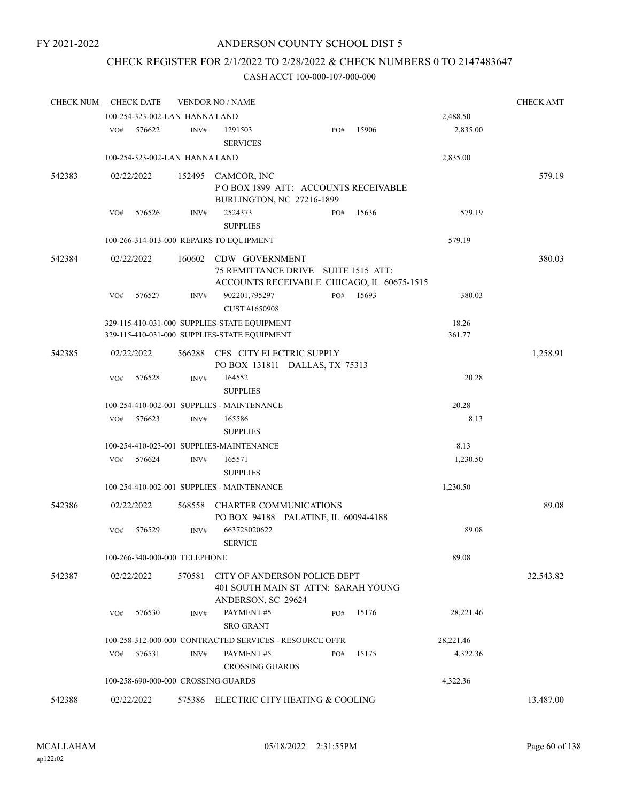# CHECK REGISTER FOR 2/1/2022 TO 2/28/2022 & CHECK NUMBERS 0 TO 2147483647

| <b>CHECK NUM</b> |     | <b>CHECK DATE</b> |                                | <b>VENDOR NO / NAME</b>                                                                             |     |       |                 | <b>CHECK AMT</b> |
|------------------|-----|-------------------|--------------------------------|-----------------------------------------------------------------------------------------------------|-----|-------|-----------------|------------------|
|                  |     |                   | 100-254-323-002-LAN HANNA LAND |                                                                                                     |     |       | 2,488.50        |                  |
|                  | VO# | 576622            | $\text{INV}\#$                 | 1291503<br><b>SERVICES</b>                                                                          | PO# | 15906 | 2,835.00        |                  |
|                  |     |                   | 100-254-323-002-LAN HANNA LAND |                                                                                                     |     |       | 2,835.00        |                  |
| 542383           |     | 02/22/2022        |                                | 152495 CAMCOR, INC<br>POBOX 1899 ATT: ACCOUNTS RECEIVABLE                                           |     |       |                 | 579.19           |
|                  |     |                   |                                | BURLINGTON, NC 27216-1899                                                                           |     |       |                 |                  |
|                  | VO# | 576526            | INV#                           | 2524373<br><b>SUPPLIES</b>                                                                          | PO# | 15636 | 579.19          |                  |
|                  |     |                   |                                | 100-266-314-013-000 REPAIRS TO EQUIPMENT                                                            |     |       | 579.19          |                  |
| 542384           |     | 02/22/2022        | 160602                         | CDW GOVERNMENT<br>75 REMITTANCE DRIVE SUITE 1515 ATT:<br>ACCOUNTS RECEIVABLE CHICAGO, IL 60675-1515 |     |       |                 | 380.03           |
|                  | VO# | 576527            | INV#                           | 902201,795297<br>CUST #1650908                                                                      | PO# | 15693 | 380.03          |                  |
|                  |     |                   |                                | 329-115-410-031-000 SUPPLIES-STATE EQUIPMENT<br>329-115-410-031-000 SUPPLIES-STATE EQUIPMENT        |     |       | 18.26<br>361.77 |                  |
| 542385           |     | 02/22/2022        | 566288                         | CES CITY ELECTRIC SUPPLY<br>PO BOX 131811 DALLAS, TX 75313                                          |     |       |                 | 1,258.91         |
|                  | VO# | 576528            | INV#                           | 164552<br><b>SUPPLIES</b>                                                                           |     |       | 20.28           |                  |
|                  |     |                   |                                | 100-254-410-002-001 SUPPLIES - MAINTENANCE                                                          |     |       | 20.28           |                  |
|                  | VO# | 576623            | INV#                           | 165586<br><b>SUPPLIES</b>                                                                           |     |       | 8.13            |                  |
|                  |     |                   |                                | 100-254-410-023-001 SUPPLIES-MAINTENANCE                                                            |     |       | 8.13            |                  |
|                  | VO# | 576624            | INV#                           | 165571<br><b>SUPPLIES</b>                                                                           |     |       | 1,230.50        |                  |
|                  |     |                   |                                | 100-254-410-002-001 SUPPLIES - MAINTENANCE                                                          |     |       | 1,230.50        |                  |
| 542386           |     | 02/22/2022        | 568558                         | <b>CHARTER COMMUNICATIONS</b><br>PO BOX 94188 PALATINE, IL 60094-4188                               |     |       |                 | 89.08            |
|                  | VO# | 576529            | INV#                           | 663728020622<br><b>SERVICE</b>                                                                      |     |       | 89.08           |                  |
|                  |     |                   | 100-266-340-000-000 TELEPHONE  |                                                                                                     |     |       | 89.08           |                  |
| 542387           |     | 02/22/2022        | 570581                         | CITY OF ANDERSON POLICE DEPT<br>401 SOUTH MAIN ST ATTN: SARAH YOUNG<br>ANDERSON, SC 29624           |     |       |                 | 32,543.82        |
|                  | VO# | 576530            | INV#                           | PAYMENT#5<br><b>SRO GRANT</b>                                                                       | PO# | 15176 | 28,221.46       |                  |
|                  |     |                   |                                | 100-258-312-000-000 CONTRACTED SERVICES - RESOURCE OFFR                                             |     |       | 28,221.46       |                  |
|                  | VO# | 576531            | INV#                           | PAYMENT#5<br><b>CROSSING GUARDS</b>                                                                 | PO# | 15175 | 4,322.36        |                  |
|                  |     |                   |                                | 100-258-690-000-000 CROSSING GUARDS                                                                 |     |       | 4,322.36        |                  |
| 542388           |     | 02/22/2022        | 575386                         | ELECTRIC CITY HEATING & COOLING                                                                     |     |       |                 | 13,487.00        |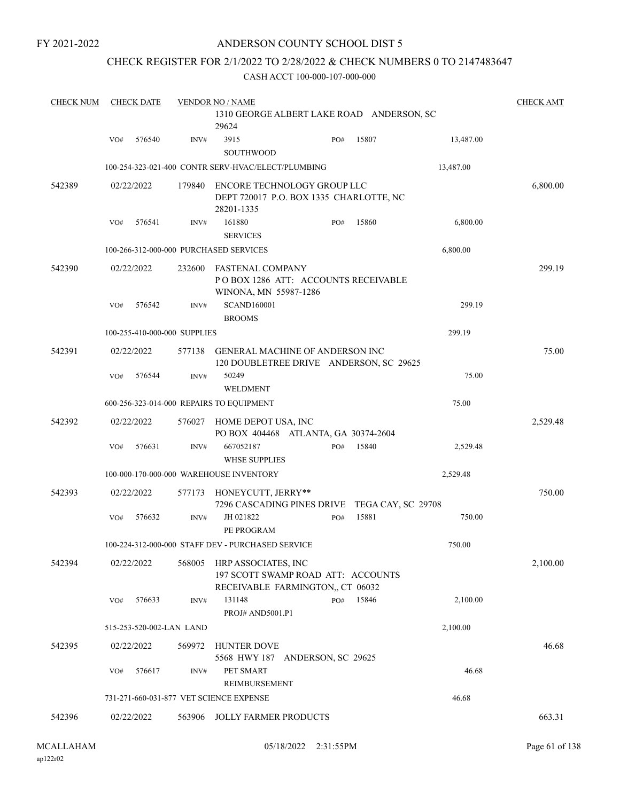## ANDERSON COUNTY SCHOOL DIST 5

## CHECK REGISTER FOR 2/1/2022 TO 2/28/2022 & CHECK NUMBERS 0 TO 2147483647

| <b>CHECK NUM</b> | <b>CHECK DATE</b>                       |        | <b>VENDOR NO / NAME</b>                                                                               | <b>CHECK AMT</b> |
|------------------|-----------------------------------------|--------|-------------------------------------------------------------------------------------------------------|------------------|
|                  |                                         |        | 1310 GEORGE ALBERT LAKE ROAD ANDERSON, SC<br>29624                                                    |                  |
|                  | 576540<br>VO#                           | INV#   | 3915<br>15807<br>13,487.00<br>PO#                                                                     |                  |
|                  |                                         |        | <b>SOUTHWOOD</b>                                                                                      |                  |
|                  |                                         |        | 100-254-323-021-400 CONTR SERV-HVAC/ELECT/PLUMBING<br>13,487.00                                       |                  |
| 542389           | 02/22/2022                              | 179840 | ENCORE TECHNOLOGY GROUP LLC<br>DEPT 720017 P.O. BOX 1335 CHARLOTTE, NC<br>28201-1335                  | 6,800.00         |
|                  | 576541<br>VO#                           | INV#   | 161880<br>15860<br>6,800.00<br>PO#<br><b>SERVICES</b>                                                 |                  |
|                  | 100-266-312-000-000 PURCHASED SERVICES  |        | 6,800.00                                                                                              |                  |
| 542390           | 02/22/2022                              | 232600 | <b>FASTENAL COMPANY</b><br>POBOX 1286 ATT: ACCOUNTS RECEIVABLE<br>WINONA, MN 55987-1286               | 299.19           |
|                  | 576542<br>VO#                           | INV#   | <b>SCAND160001</b><br>299.19<br><b>BROOMS</b>                                                         |                  |
|                  | 100-255-410-000-000 SUPPLIES            |        | 299.19                                                                                                |                  |
| 542391           | 02/22/2022                              | 577138 | <b>GENERAL MACHINE OF ANDERSON INC</b><br>120 DOUBLETREE DRIVE ANDERSON, SC 29625                     | 75.00            |
|                  | 576544<br>VO#                           | INV#   | 50249<br>75.00<br>WELDMENT                                                                            |                  |
|                  |                                         |        | 600-256-323-014-000 REPAIRS TO EQUIPMENT<br>75.00                                                     |                  |
| 542392           | 02/22/2022                              | 576027 | HOME DEPOT USA, INC                                                                                   | 2,529.48         |
|                  | VO#<br>576631                           | INV#   | PO BOX 404468 ATLANTA, GA 30374-2604<br>667052187<br>15840<br>PO#<br>2,529.48<br><b>WHSE SUPPLIES</b> |                  |
|                  |                                         |        | 100-000-170-000-000 WAREHOUSE INVENTORY<br>2,529.48                                                   |                  |
|                  |                                         |        |                                                                                                       |                  |
| 542393           | 02/22/2022                              | 577173 | HONEYCUTT, JERRY**<br>7296 CASCADING PINES DRIVE<br>TEGA CAY, SC 29708                                | 750.00           |
|                  | 576632<br>VO#                           | INV#   | 15881<br>JH 021822<br>750.00<br>PO#<br>PE PROGRAM                                                     |                  |
|                  |                                         |        | 750.00<br>100-224-312-000-000 STAFF DEV - PURCHASED SERVICE                                           |                  |
| 542394           | 02/22/2022                              | 568005 | HRP ASSOCIATES, INC<br>197 SCOTT SWAMP ROAD ATT: ACCOUNTS<br>RECEIVABLE FARMINGTON, CT 06032          | 2,100.00         |
|                  | 576633<br>VO#                           | INV#   | 15846<br>131148<br>2,100.00<br>PO#<br>PROJ# AND5001.P1                                                |                  |
|                  | 515-253-520-002-LAN LAND                |        | 2,100.00                                                                                              |                  |
| 542395           | 02/22/2022                              | 569972 | <b>HUNTER DOVE</b>                                                                                    | 46.68            |
|                  |                                         |        | 5568 HWY 187 ANDERSON, SC 29625                                                                       |                  |
|                  | 576617<br>VO#                           | INV#   | PET SMART<br>46.68<br><b>REIMBURSEMENT</b>                                                            |                  |
|                  | 731-271-660-031-877 VET SCIENCE EXPENSE |        | 46.68                                                                                                 |                  |
| 542396           | 02/22/2022                              |        | 563906 JOLLY FARMER PRODUCTS                                                                          | 663.31           |
|                  |                                         |        |                                                                                                       |                  |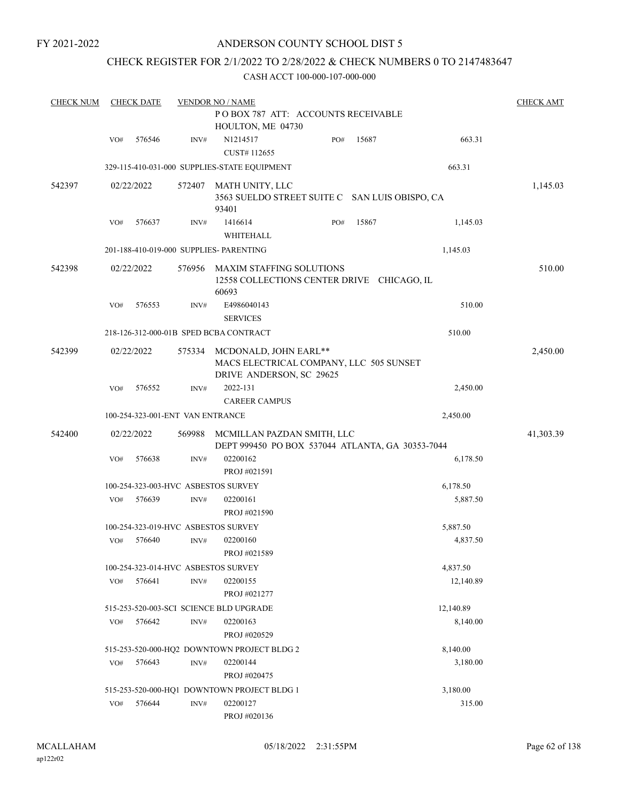## ANDERSON COUNTY SCHOOL DIST 5

## CHECK REGISTER FOR 2/1/2022 TO 2/28/2022 & CHECK NUMBERS 0 TO 2147483647

| <b>CHECK NUM</b> |     | <b>CHECK DATE</b> |                                  | <b>VENDOR NO / NAME</b>                                                                |     |       |           | <b>CHECK AMT</b> |
|------------------|-----|-------------------|----------------------------------|----------------------------------------------------------------------------------------|-----|-------|-----------|------------------|
|                  |     |                   |                                  | POBOX 787 ATT: ACCOUNTS RECEIVABLE<br>HOULTON, ME 04730                                |     |       |           |                  |
|                  | VO# | 576546            | INV#                             | N1214517                                                                               | PO# | 15687 | 663.31    |                  |
|                  |     |                   |                                  | CUST#112655                                                                            |     |       |           |                  |
|                  |     |                   |                                  | 329-115-410-031-000 SUPPLIES-STATE EQUIPMENT                                           |     |       | 663.31    |                  |
| 542397           |     | 02/22/2022        | 572407                           | MATH UNITY, LLC<br>3563 SUELDO STREET SUITE C SAN LUIS OBISPO, CA<br>93401             |     |       |           | 1,145.03         |
|                  | VO# | 576637            | INV#                             | 1416614<br>WHITEHALL                                                                   | PO# | 15867 | 1,145.03  |                  |
|                  |     |                   |                                  | 201-188-410-019-000 SUPPLIES- PARENTING                                                |     |       | 1,145.03  |                  |
| 542398           |     | 02/22/2022        | 576956                           | <b>MAXIM STAFFING SOLUTIONS</b><br>12558 COLLECTIONS CENTER DRIVE CHICAGO, IL<br>60693 |     |       |           | 510.00           |
|                  | VO# | 576553            | INV#                             | E4986040143<br><b>SERVICES</b>                                                         |     |       | 510.00    |                  |
|                  |     |                   |                                  | 218-126-312-000-01B SPED BCBA CONTRACT                                                 |     |       | 510.00    |                  |
| 542399           |     | 02/22/2022        | 575334                           | MCDONALD, JOHN EARL**                                                                  |     |       |           | 2,450.00         |
|                  |     |                   |                                  | MACS ELECTRICAL COMPANY, LLC 505 SUNSET<br>DRIVE ANDERSON, SC 29625                    |     |       |           |                  |
|                  | VO# | 576552            | INV#                             | 2022-131<br><b>CAREER CAMPUS</b>                                                       |     |       | 2,450.00  |                  |
|                  |     |                   | 100-254-323-001-ENT VAN ENTRANCE |                                                                                        |     |       | 2,450.00  |                  |
| 542400           |     | 02/22/2022        | 569988                           | MCMILLAN PAZDAN SMITH, LLC<br>DEPT 999450 PO BOX 537044 ATLANTA, GA 30353-7044         |     |       |           | 41,303.39        |
|                  | VO# | 576638            | INV#                             | 02200162<br>PROJ #021591                                                               |     |       | 6,178.50  |                  |
|                  |     |                   |                                  | 100-254-323-003-HVC ASBESTOS SURVEY                                                    |     |       | 6,178.50  |                  |
|                  | VO# | 576639            | INV#                             | 02200161<br>PROJ #021590                                                               |     |       | 5,887.50  |                  |
|                  |     |                   |                                  | 100-254-323-019-HVC ASBESTOS SURVEY                                                    |     |       | 5,887.50  |                  |
|                  | VO# | 576640            | INV#                             | 02200160<br>PROJ #021589                                                               |     |       | 4,837.50  |                  |
|                  |     |                   |                                  | 100-254-323-014-HVC ASBESTOS SURVEY                                                    |     |       | 4,837.50  |                  |
|                  | VO# | 576641            | INV#                             | 02200155<br>PROJ #021277                                                               |     |       | 12,140.89 |                  |
|                  |     |                   |                                  | 515-253-520-003-SCI SCIENCE BLD UPGRADE                                                |     |       | 12,140.89 |                  |
|                  | VO# | 576642            | $\text{INV}\#$                   | 02200163<br>PROJ #020529                                                               |     |       | 8,140.00  |                  |
|                  |     |                   |                                  | 515-253-520-000-HQ2 DOWNTOWN PROJECT BLDG 2                                            |     |       | 8,140.00  |                  |
|                  | VO# | 576643            | INV#                             | 02200144<br>PROJ #020475                                                               |     |       | 3,180.00  |                  |
|                  |     |                   |                                  | 515-253-520-000-HQ1 DOWNTOWN PROJECT BLDG 1                                            |     |       | 3,180.00  |                  |
|                  | VO# | 576644            | INV#                             | 02200127<br>PROJ #020136                                                               |     |       | 315.00    |                  |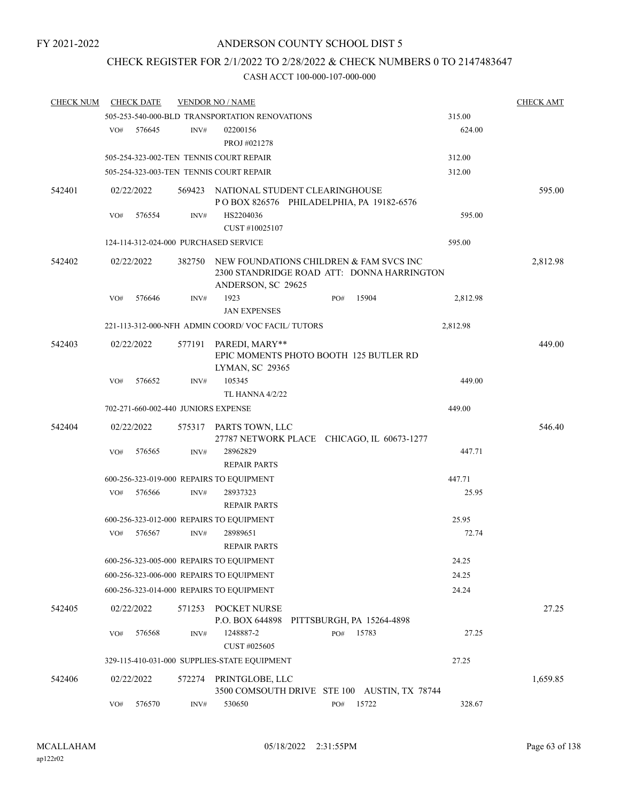## CHECK REGISTER FOR 2/1/2022 TO 2/28/2022 & CHECK NUMBERS 0 TO 2147483647

| <b>CHECK NUM</b> | <b>CHECK DATE</b> |        |        | <b>VENDOR NO / NAME</b>                                                                                     |     |                           |          | <b>CHECK AMT</b> |
|------------------|-------------------|--------|--------|-------------------------------------------------------------------------------------------------------------|-----|---------------------------|----------|------------------|
|                  |                   |        |        | 505-253-540-000-BLD TRANSPORTATION RENOVATIONS                                                              |     |                           | 315.00   |                  |
|                  | VO#               | 576645 | INV#   | 02200156                                                                                                    |     |                           | 624.00   |                  |
|                  |                   |        |        | PROJ #021278                                                                                                |     |                           |          |                  |
|                  |                   |        |        | 505-254-323-002-TEN TENNIS COURT REPAIR                                                                     |     |                           | 312.00   |                  |
|                  |                   |        |        | 505-254-323-003-TEN TENNIS COURT REPAIR                                                                     |     |                           | 312.00   |                  |
| 542401           | 02/22/2022        |        |        | 569423 NATIONAL STUDENT CLEARINGHOUSE<br>POBOX 826576 PHILADELPHIA, PA 19182-6576                           |     |                           |          | 595.00           |
|                  | VO#               | 576554 | INV#   | HS2204036<br>CUST #10025107                                                                                 |     |                           | 595.00   |                  |
|                  |                   |        |        | 124-114-312-024-000 PURCHASED SERVICE                                                                       |     |                           | 595.00   |                  |
| 542402           | 02/22/2022        |        | 382750 | NEW FOUNDATIONS CHILDREN & FAM SVCS INC<br>2300 STANDRIDGE ROAD ATT: DONNA HARRINGTON<br>ANDERSON, SC 29625 |     |                           |          | 2,812.98         |
|                  | VO#               | 576646 | INV#   | 1923<br><b>JAN EXPENSES</b>                                                                                 | PO# | 15904                     | 2,812.98 |                  |
|                  |                   |        |        | 221-113-312-000-NFH ADMIN COORD/VOC FACIL/TUTORS                                                            |     |                           | 2,812.98 |                  |
| 542403           | 02/22/2022        |        | 577191 | PAREDI, MARY**<br>EPIC MOMENTS PHOTO BOOTH 125 BUTLER RD<br>LYMAN, SC 29365                                 |     |                           |          | 449.00           |
|                  | VO#               | 576652 | INV#   | 105345<br><b>TL HANNA 4/2/22</b>                                                                            |     |                           | 449.00   |                  |
|                  |                   |        |        | 702-271-660-002-440 JUNIORS EXPENSE                                                                         |     |                           | 449.00   |                  |
| 542404           | 02/22/2022        |        |        | 575317 PARTS TOWN, LLC                                                                                      |     |                           |          | 546.40           |
|                  |                   |        |        | 27787 NETWORK PLACE CHICAGO, IL 60673-1277                                                                  |     |                           |          |                  |
|                  | VO#               | 576565 | INV#   | 28962829<br><b>REPAIR PARTS</b>                                                                             |     |                           | 447.71   |                  |
|                  |                   |        |        | 600-256-323-019-000 REPAIRS TO EQUIPMENT                                                                    |     |                           | 447.71   |                  |
|                  | VO#               | 576566 | INV#   | 28937323<br><b>REPAIR PARTS</b>                                                                             |     |                           | 25.95    |                  |
|                  |                   |        |        | 600-256-323-012-000 REPAIRS TO EQUIPMENT                                                                    |     |                           | 25.95    |                  |
|                  | VO#               | 576567 | INV#   | 28989651                                                                                                    |     |                           | 72.74    |                  |
|                  |                   |        |        | <b>REPAIR PARTS</b>                                                                                         |     |                           |          |                  |
|                  |                   |        |        | 600-256-323-005-000 REPAIRS TO EQUIPMENT                                                                    |     |                           | 24.25    |                  |
|                  |                   |        |        | 600-256-323-006-000 REPAIRS TO EQUIPMENT                                                                    |     |                           | 24.25    |                  |
|                  |                   |        |        | 600-256-323-014-000 REPAIRS TO EQUIPMENT                                                                    |     |                           | 24.24    |                  |
| 542405           | 02/22/2022        |        | 571253 | <b>POCKET NURSE</b><br>P.O. BOX 644898                                                                      |     | PITTSBURGH, PA 15264-4898 |          | 27.25            |
|                  | VO#               | 576568 | INV#   | 1248887-2                                                                                                   | PO# | 15783                     | 27.25    |                  |
|                  |                   |        |        | CUST #025605                                                                                                |     |                           |          |                  |
|                  |                   |        |        | 329-115-410-031-000 SUPPLIES-STATE EQUIPMENT                                                                |     |                           | 27.25    |                  |
| 542406           | 02/22/2022        |        | 572274 | PRINTGLOBE, LLC<br>3500 COMSOUTH DRIVE STE 100 AUSTIN, TX 78744                                             |     |                           |          | 1,659.85         |
|                  | VO#               | 576570 | INV#   | 530650                                                                                                      | PO# | 15722                     | 328.67   |                  |
|                  |                   |        |        |                                                                                                             |     |                           |          |                  |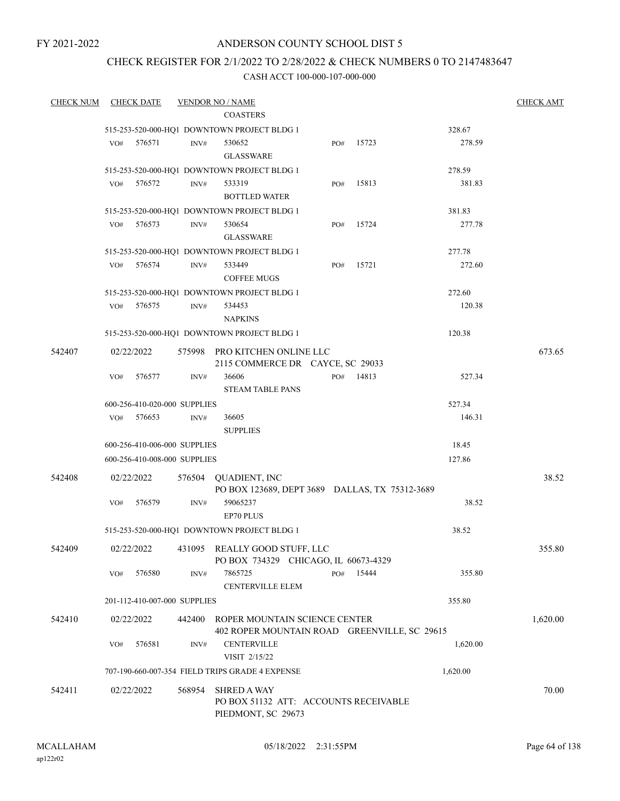## ANDERSON COUNTY SCHOOL DIST 5

## CHECK REGISTER FOR 2/1/2022 TO 2/28/2022 & CHECK NUMBERS 0 TO 2147483647

| <b>CHECK NUM</b> |     | <b>CHECK DATE</b> |                              | <b>VENDOR NO / NAME</b>                                                              |     |       |          | <b>CHECK AMT</b> |
|------------------|-----|-------------------|------------------------------|--------------------------------------------------------------------------------------|-----|-------|----------|------------------|
|                  |     |                   |                              | <b>COASTERS</b>                                                                      |     |       |          |                  |
|                  |     |                   |                              | 515-253-520-000-HQ1 DOWNTOWN PROJECT BLDG 1                                          |     |       | 328.67   |                  |
|                  | VO# | 576571            | INV#                         | 530652                                                                               | PO# | 15723 | 278.59   |                  |
|                  |     |                   |                              | <b>GLASSWARE</b>                                                                     |     |       |          |                  |
|                  |     |                   |                              | 515-253-520-000-HQ1 DOWNTOWN PROJECT BLDG 1                                          |     |       | 278.59   |                  |
|                  | VO# | 576572            | $\text{INV}\#$               | 533319                                                                               | PO# | 15813 | 381.83   |                  |
|                  |     |                   |                              | <b>BOTTLED WATER</b>                                                                 |     |       |          |                  |
|                  |     |                   |                              | 515-253-520-000-HQ1 DOWNTOWN PROJECT BLDG 1                                          |     |       | 381.83   |                  |
|                  | VO# | 576573            | INV#                         | 530654                                                                               | PO# | 15724 | 277.78   |                  |
|                  |     |                   |                              | <b>GLASSWARE</b>                                                                     |     |       |          |                  |
|                  |     |                   |                              | 515-253-520-000-HQ1 DOWNTOWN PROJECT BLDG 1                                          |     |       | 277.78   |                  |
|                  | VO# | 576574            | INV#                         | 533449                                                                               | PO# | 15721 | 272.60   |                  |
|                  |     |                   |                              | <b>COFFEE MUGS</b>                                                                   |     |       |          |                  |
|                  |     |                   |                              | 515-253-520-000-HQ1 DOWNTOWN PROJECT BLDG 1                                          |     |       | 272.60   |                  |
|                  | VO# | 576575            | INV#                         | 534453                                                                               |     |       | 120.38   |                  |
|                  |     |                   |                              | <b>NAPKINS</b>                                                                       |     |       |          |                  |
|                  |     |                   |                              | 515-253-520-000-HQ1 DOWNTOWN PROJECT BLDG 1                                          |     |       | 120.38   |                  |
| 542407           |     | 02/22/2022        |                              | 575998 PRO KITCHEN ONLINE LLC                                                        |     |       |          | 673.65           |
|                  |     |                   |                              | 2115 COMMERCE DR CAYCE, SC 29033                                                     |     |       |          |                  |
|                  | VO# | 576577            | INV#                         | 36606                                                                                | PO# | 14813 | 527.34   |                  |
|                  |     |                   |                              | <b>STEAM TABLE PANS</b>                                                              |     |       |          |                  |
|                  |     |                   | 600-256-410-020-000 SUPPLIES |                                                                                      |     |       | 527.34   |                  |
|                  | VO# | 576653            | INV#                         | 36605                                                                                |     |       | 146.31   |                  |
|                  |     |                   |                              | <b>SUPPLIES</b>                                                                      |     |       |          |                  |
|                  |     |                   | 600-256-410-006-000 SUPPLIES |                                                                                      |     |       | 18.45    |                  |
|                  |     |                   | 600-256-410-008-000 SUPPLIES |                                                                                      |     |       | 127.86   |                  |
| 542408           |     | 02/22/2022        | 576504                       | QUADIENT, INC                                                                        |     |       |          | 38.52            |
|                  |     |                   |                              | PO BOX 123689, DEPT 3689 DALLAS, TX 75312-3689                                       |     |       |          |                  |
|                  | VO# | 576579            | INV#                         | 59065237                                                                             |     |       | 38.52    |                  |
|                  |     |                   |                              | EP70 PLUS                                                                            |     |       |          |                  |
|                  |     |                   |                              | 515-253-520-000-HQ1 DOWNTOWN PROJECT BLDG 1                                          |     |       | 38.52    |                  |
| 542409           |     |                   |                              | 02/22/2022 431095 REALLY GOOD STUFF, LLC                                             |     |       |          | 355.80           |
|                  |     |                   |                              | PO BOX 734329 CHICAGO, IL 60673-4329                                                 |     |       |          |                  |
|                  | VO# | 576580            | INV#                         | 7865725                                                                              | PO# | 15444 | 355.80   |                  |
|                  |     |                   |                              | CENTERVILLE ELEM                                                                     |     |       |          |                  |
|                  |     |                   | 201-112-410-007-000 SUPPLIES |                                                                                      |     |       | 355.80   |                  |
| 542410           |     | 02/22/2022        |                              | 442400 ROPER MOUNTAIN SCIENCE CENTER<br>402 ROPER MOUNTAIN ROAD GREENVILLE, SC 29615 |     |       |          | 1,620.00         |
|                  | VO# | 576581            | INV#                         | <b>CENTERVILLE</b>                                                                   |     |       | 1,620.00 |                  |
|                  |     |                   |                              | VISIT 2/15/22                                                                        |     |       |          |                  |
|                  |     |                   |                              | 707-190-660-007-354 FIELD TRIPS GRADE 4 EXPENSE                                      |     |       | 1,620.00 |                  |
|                  |     |                   |                              |                                                                                      |     |       |          |                  |
| 542411           |     | 02/22/2022        | 568954                       | <b>SHRED A WAY</b><br>PO BOX 51132 ATT: ACCOUNTS RECEIVABLE                          |     |       |          | 70.00            |
|                  |     |                   |                              | PIEDMONT, SC 29673                                                                   |     |       |          |                  |
|                  |     |                   |                              |                                                                                      |     |       |          |                  |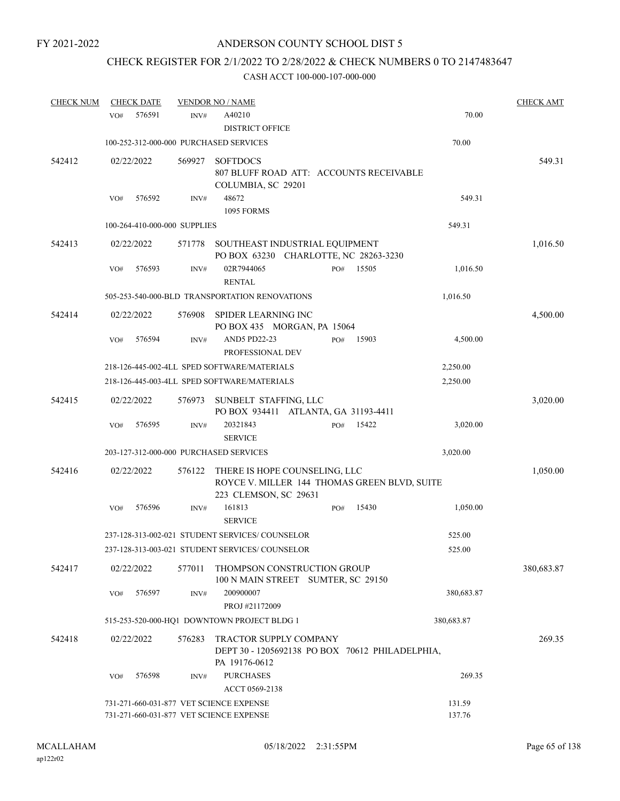# CHECK REGISTER FOR 2/1/2022 TO 2/28/2022 & CHECK NUMBERS 0 TO 2147483647

| <b>CHECK NUM</b> | <b>CHECK DATE</b>                                                                  |        | <b>VENDOR NO / NAME</b>                                                                                |       |       |                  | <b>CHECK AMT</b> |
|------------------|------------------------------------------------------------------------------------|--------|--------------------------------------------------------------------------------------------------------|-------|-------|------------------|------------------|
|                  | 576591<br>VO#                                                                      | INV#   | A40210<br>DISTRICT OFFICE                                                                              |       |       | 70.00            |                  |
|                  | 100-252-312-000-000 PURCHASED SERVICES                                             |        |                                                                                                        |       |       | 70.00            |                  |
| 542412           | 02/22/2022                                                                         | 569927 | <b>SOFTDOCS</b><br>807 BLUFF ROAD ATT: ACCOUNTS RECEIVABLE<br>COLUMBIA, SC 29201                       |       |       |                  | 549.31           |
|                  | 576592<br>VO#                                                                      | INV#   | 48672<br>1095 FORMS                                                                                    |       |       | 549.31           |                  |
|                  | 100-264-410-000-000 SUPPLIES                                                       |        |                                                                                                        |       |       | 549.31           |                  |
| 542413           | 02/22/2022                                                                         | 571778 | SOUTHEAST INDUSTRIAL EQUIPMENT<br>PO BOX 63230 CHARLOTTE, NC 28263-3230                                |       |       |                  | 1,016.50         |
|                  | 576593<br>VO#                                                                      | INV#   | 02R7944065<br><b>RENTAL</b>                                                                            | PO#   | 15505 | 1,016.50         |                  |
|                  |                                                                                    |        | 505-253-540-000-BLD TRANSPORTATION RENOVATIONS                                                         |       |       | 1,016.50         |                  |
| 542414           | 02/22/2022                                                                         | 576908 | SPIDER LEARNING INC<br>PO BOX 435 MORGAN, PA 15064                                                     |       |       |                  | 4,500.00         |
|                  | 576594<br>VO#                                                                      | INV#   | <b>AND5 PD22-23</b><br>PROFESSIONAL DEV                                                                | $PO#$ | 15903 | 4,500.00         |                  |
|                  |                                                                                    |        | 218-126-445-002-4LL SPED SOFTWARE/MATERIALS                                                            |       |       | 2,250.00         |                  |
|                  |                                                                                    |        | 218-126-445-003-4LL SPED SOFTWARE/MATERIALS                                                            |       |       | 2,250.00         |                  |
| 542415           | 02/22/2022                                                                         | 576973 | SUNBELT STAFFING, LLC<br>PO BOX 934411 ATLANTA, GA 31193-4411                                          |       |       |                  | 3,020.00         |
|                  | VO#<br>576595                                                                      | INV#   | 20321843<br><b>SERVICE</b>                                                                             | PO#   | 15422 | 3,020.00         |                  |
|                  | 203-127-312-000-000 PURCHASED SERVICES                                             |        |                                                                                                        |       |       | 3,020.00         |                  |
| 542416           | 02/22/2022                                                                         | 576122 | THERE IS HOPE COUNSELING, LLC<br>ROYCE V. MILLER 144 THOMAS GREEN BLVD, SUITE<br>223 CLEMSON, SC 29631 |       |       |                  | 1,050.00         |
|                  | VO#<br>576596                                                                      | INV#   | 161813<br><b>SERVICE</b>                                                                               | PO#   | 15430 | 1,050.00         |                  |
|                  |                                                                                    |        | 237-128-313-002-021 STUDENT SERVICES/ COUNSELOR                                                        |       |       | 525.00           |                  |
|                  |                                                                                    |        | 237-128-313-003-021 STUDENT SERVICES/ COUNSELOR                                                        |       |       | 525.00           |                  |
| 542417           | 02/22/2022                                                                         | 577011 | THOMPSON CONSTRUCTION GROUP<br>100 N MAIN STREET SUMTER, SC 29150                                      |       |       |                  | 380,683.87       |
|                  | 576597<br>VO#                                                                      | INV#   | 200900007<br>PROJ #21172009                                                                            |       |       | 380,683.87       |                  |
|                  |                                                                                    |        | 515-253-520-000-HQ1 DOWNTOWN PROJECT BLDG 1                                                            |       |       | 380,683.87       |                  |
| 542418           | 02/22/2022                                                                         | 576283 | TRACTOR SUPPLY COMPANY<br>DEPT 30 - 1205692138 PO BOX 70612 PHILADELPHIA,<br>PA 19176-0612             |       |       |                  | 269.35           |
|                  | 576598<br>VO#                                                                      | INV#   | <b>PURCHASES</b><br>ACCT 0569-2138                                                                     |       |       | 269.35           |                  |
|                  | 731-271-660-031-877 VET SCIENCE EXPENSE<br>731-271-660-031-877 VET SCIENCE EXPENSE |        |                                                                                                        |       |       | 131.59<br>137.76 |                  |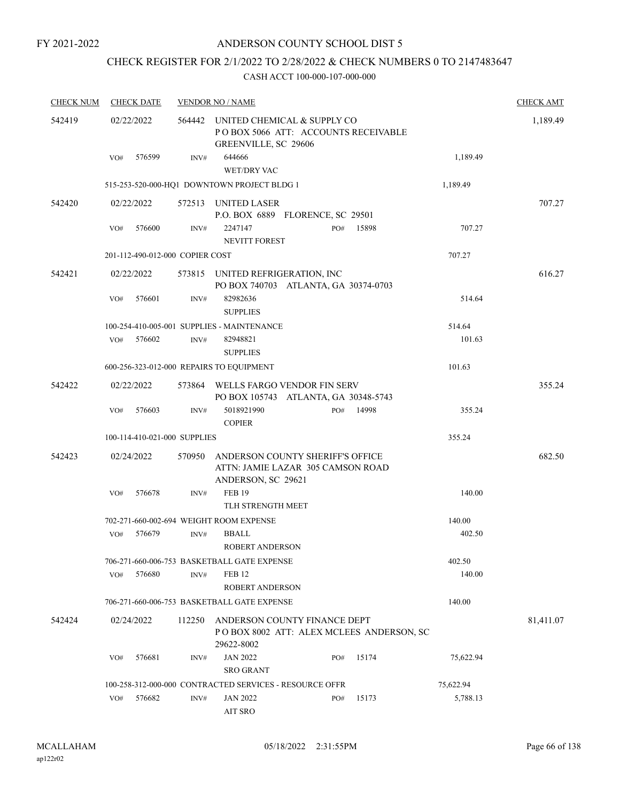## CHECK REGISTER FOR 2/1/2022 TO 2/28/2022 & CHECK NUMBERS 0 TO 2147483647

| <b>CHECK NUM</b> |     | <b>CHECK DATE</b>               |        | <b>VENDOR NO / NAME</b>                                                                           |     |       |           | <b>CHECK AMT</b> |
|------------------|-----|---------------------------------|--------|---------------------------------------------------------------------------------------------------|-----|-------|-----------|------------------|
| 542419           |     | 02/22/2022                      |        | 564442 UNITED CHEMICAL & SUPPLY CO<br>POBOX 5066 ATT: ACCOUNTS RECEIVABLE<br>GREENVILLE, SC 29606 |     |       |           | 1,189.49         |
|                  | VO# | 576599                          | INV#   | 644666<br><b>WET/DRY VAC</b>                                                                      |     |       | 1,189.49  |                  |
|                  |     |                                 |        | 515-253-520-000-HQ1 DOWNTOWN PROJECT BLDG 1                                                       |     |       | 1,189.49  |                  |
| 542420           |     | 02/22/2022                      |        | 572513 UNITED LASER<br>P.O. BOX 6889 FLORENCE, SC 29501                                           |     |       |           | 707.27           |
|                  | VO# | 576600                          | INV#   | 2247147<br><b>NEVITT FOREST</b>                                                                   | PO# | 15898 | 707.27    |                  |
|                  |     | 201-112-490-012-000 COPIER COST |        |                                                                                                   |     |       | 707.27    |                  |
| 542421           |     | 02/22/2022                      |        | 573815 UNITED REFRIGERATION, INC<br>PO BOX 740703 ATLANTA, GA 30374-0703                          |     |       |           | 616.27           |
|                  | VO# | 576601                          | INV#   | 82982636<br><b>SUPPLIES</b>                                                                       |     |       | 514.64    |                  |
|                  |     |                                 |        | 100-254-410-005-001 SUPPLIES - MAINTENANCE                                                        |     |       | 514.64    |                  |
|                  | VO# | 576602                          | INV#   | 82948821<br><b>SUPPLIES</b>                                                                       |     |       | 101.63    |                  |
|                  |     |                                 |        | 600-256-323-012-000 REPAIRS TO EQUIPMENT                                                          |     |       | 101.63    |                  |
| 542422           |     | 02/22/2022                      |        | 573864 WELLS FARGO VENDOR FIN SERV<br>PO BOX 105743 ATLANTA, GA 30348-5743                        |     |       |           | 355.24           |
|                  | VO# | 576603                          | INV#   | 5018921990<br><b>COPIER</b>                                                                       | PO# | 14998 | 355.24    |                  |
|                  |     | 100-114-410-021-000 SUPPLIES    |        |                                                                                                   |     |       | 355.24    |                  |
| 542423           |     | 02/24/2022                      | 570950 | ANDERSON COUNTY SHERIFF'S OFFICE<br>ATTN: JAMIE LAZAR 305 CAMSON ROAD<br>ANDERSON, SC 29621       |     |       |           | 682.50           |
|                  | VO# | 576678                          | INV#   | <b>FEB 19</b><br>TLH STRENGTH MEET                                                                |     |       | 140.00    |                  |
|                  |     |                                 |        | 702-271-660-002-694 WEIGHT ROOM EXPENSE                                                           |     |       | 140.00    |                  |
|                  | VO# | 576679                          | INV#   | <b>BBALL</b><br>ROBERT ANDERSON                                                                   |     |       | 402.50    |                  |
|                  |     |                                 |        | 706-271-660-006-753 BASKETBALL GATE EXPENSE                                                       |     |       | 402.50    |                  |
|                  | VO# | 576680                          | INV#   | <b>FEB 12</b><br><b>ROBERT ANDERSON</b>                                                           |     |       | 140.00    |                  |
|                  |     |                                 |        | 706-271-660-006-753 BASKETBALL GATE EXPENSE                                                       |     |       | 140.00    |                  |
| 542424           |     | 02/24/2022                      | 112250 | ANDERSON COUNTY FINANCE DEPT<br>POBOX 8002 ATT: ALEX MCLEES ANDERSON, SC<br>29622-8002            |     |       |           | 81,411.07        |
|                  | VO# | 576681                          | INV#   | <b>JAN 2022</b><br><b>SRO GRANT</b>                                                               | PO# | 15174 | 75,622.94 |                  |
|                  |     |                                 |        | 100-258-312-000-000 CONTRACTED SERVICES - RESOURCE OFFR                                           |     |       | 75,622.94 |                  |
|                  | VO# | 576682                          | INV#   | <b>JAN 2022</b><br><b>AIT SRO</b>                                                                 | PO# | 15173 | 5,788.13  |                  |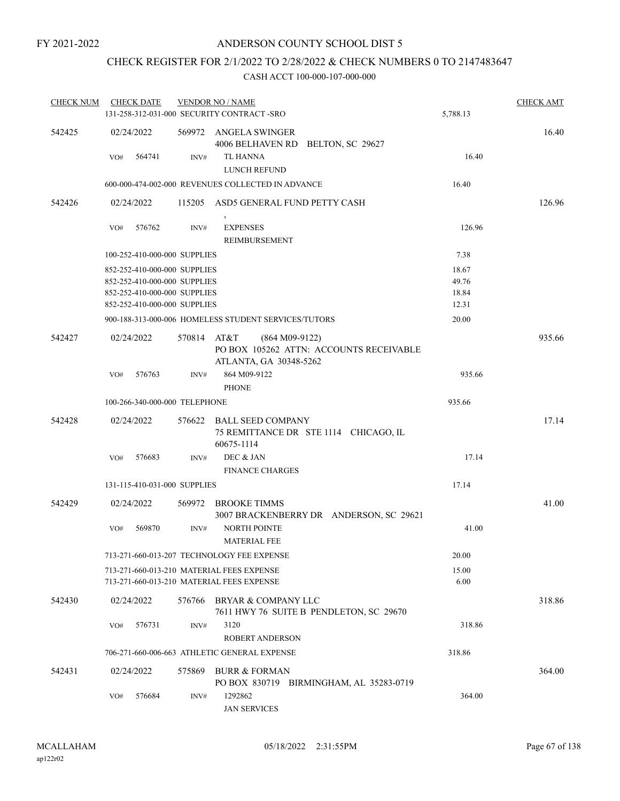## CHECK REGISTER FOR 2/1/2022 TO 2/28/2022 & CHECK NUMBERS 0 TO 2147483647

| <b>CHECK NUM</b> | <b>CHECK DATE</b>                                                                                                            |             | <b>VENDOR NO / NAME</b><br>131-258-312-031-000 SECURITY CONTRACT -SRO                  | 5,788.13                         | <b>CHECK AMT</b> |
|------------------|------------------------------------------------------------------------------------------------------------------------------|-------------|----------------------------------------------------------------------------------------|----------------------------------|------------------|
| 542425           | 02/24/2022                                                                                                                   | 569972      | ANGELA SWINGER<br>4006 BELHAVEN RD BELTON, SC 29627                                    |                                  | 16.40            |
|                  | 564741<br>VO#                                                                                                                | INV#        | TL HANNA<br><b>LUNCH REFUND</b>                                                        | 16.40                            |                  |
|                  |                                                                                                                              |             | 600-000-474-002-000 REVENUES COLLECTED IN ADVANCE                                      | 16.40                            |                  |
| 542426           | 02/24/2022                                                                                                                   |             | 115205 ASD5 GENERAL FUND PETTY CASH                                                    |                                  | 126.96           |
|                  | 576762<br>VO#                                                                                                                | INV#        | <b>EXPENSES</b><br>REIMBURSEMENT                                                       | 126.96                           |                  |
|                  | 100-252-410-000-000 SUPPLIES                                                                                                 |             |                                                                                        | 7.38                             |                  |
|                  | 852-252-410-000-000 SUPPLIES<br>852-252-410-000-000 SUPPLIES<br>852-252-410-000-000 SUPPLIES<br>852-252-410-000-000 SUPPLIES |             |                                                                                        | 18.67<br>49.76<br>18.84<br>12.31 |                  |
|                  |                                                                                                                              |             | 900-188-313-000-006 HOMELESS STUDENT SERVICES/TUTORS                                   | 20.00                            |                  |
| 542427           | 02/24/2022                                                                                                                   | 570814 AT&T | $(864 M09-9122)$<br>PO BOX 105262 ATTN: ACCOUNTS RECEIVABLE<br>ATLANTA, GA 30348-5262  |                                  | 935.66           |
|                  | 576763<br>VO#                                                                                                                | INV#        | 864 M09-9122<br><b>PHONE</b>                                                           | 935.66                           |                  |
|                  | 100-266-340-000-000 TELEPHONE                                                                                                |             |                                                                                        | 935.66                           |                  |
| 542428           | 02/24/2022                                                                                                                   | 576622      | BALL SEED COMPANY<br>75 REMITTANCE DR STE 1114 CHICAGO, IL<br>60675-1114               |                                  | 17.14            |
|                  | 576683<br>VO#                                                                                                                | INV#        | DEC & JAN<br><b>FINANCE CHARGES</b>                                                    | 17.14                            |                  |
|                  | 131-115-410-031-000 SUPPLIES                                                                                                 |             |                                                                                        | 17.14                            |                  |
| 542429           | 02/24/2022                                                                                                                   |             | 569972 BROOKE TIMMS<br>3007 BRACKENBERRY DR ANDERSON, SC 29621                         |                                  | 41.00            |
|                  | 569870<br>VO#                                                                                                                | INV#        | <b>NORTH POINTE</b><br><b>MATERIAL FEE</b>                                             | 41.00                            |                  |
|                  |                                                                                                                              |             | 713-271-660-013-207 TECHNOLOGY FEE EXPENSE                                             | 20.00                            |                  |
|                  |                                                                                                                              |             | 713-271-660-013-210 MATERIAL FEES EXPENSE<br>713-271-660-013-210 MATERIAL FEES EXPENSE | 15.00<br>6.00                    |                  |
| 542430           | 02/24/2022                                                                                                                   | 576766      | BRYAR & COMPANY LLC<br>7611 HWY 76 SUITE B PENDLETON, SC 29670                         |                                  | 318.86           |
|                  | 576731<br>VO#                                                                                                                | INV#        | 3120<br>ROBERT ANDERSON                                                                | 318.86                           |                  |
|                  |                                                                                                                              |             | 706-271-660-006-663 ATHLETIC GENERAL EXPENSE                                           | 318.86                           |                  |
| 542431           | 02/24/2022                                                                                                                   | 575869      | <b>BURR &amp; FORMAN</b><br>PO BOX 830719 BIRMINGHAM, AL 35283-0719                    |                                  | 364.00           |
|                  | 576684<br>VO#                                                                                                                | INV#        | 1292862<br><b>JAN SERVICES</b>                                                         | 364.00                           |                  |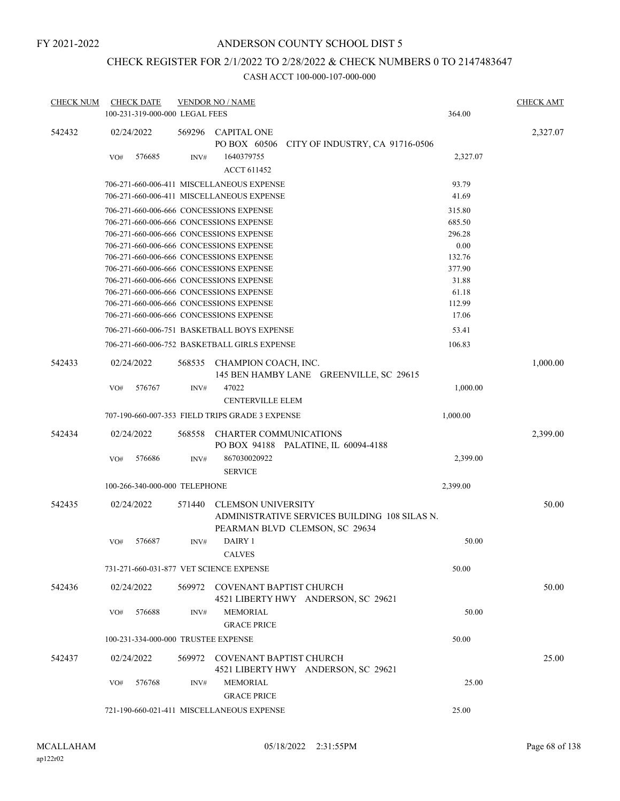## ANDERSON COUNTY SCHOOL DIST 5

# CHECK REGISTER FOR 2/1/2022 TO 2/28/2022 & CHECK NUMBERS 0 TO 2147483647

| <b>CHECK NUM</b> | <b>CHECK DATE</b>                   |        | <b>VENDOR NO / NAME</b>                                                            |                                               |                  | <b>CHECK AMT</b> |
|------------------|-------------------------------------|--------|------------------------------------------------------------------------------------|-----------------------------------------------|------------------|------------------|
|                  | 100-231-319-000-000 LEGAL FEES      |        |                                                                                    |                                               | 364.00           |                  |
| 542432           | 02/24/2022                          | 569296 | <b>CAPITAL ONE</b><br>PO BOX 60506                                                 | CITY OF INDUSTRY, CA 91716-0506               |                  | 2,327.07         |
|                  | 576685<br>VO#                       | INV#   | 1640379755<br><b>ACCT 611452</b>                                                   |                                               | 2,327.07         |                  |
|                  |                                     |        | 706-271-660-006-411 MISCELLANEOUS EXPENSE                                          |                                               | 93.79            |                  |
|                  |                                     |        | 706-271-660-006-411 MISCELLANEOUS EXPENSE                                          |                                               | 41.69            |                  |
|                  |                                     |        | 706-271-660-006-666 CONCESSIONS EXPENSE                                            |                                               | 315.80           |                  |
|                  |                                     |        | 706-271-660-006-666 CONCESSIONS EXPENSE                                            |                                               | 685.50           |                  |
|                  |                                     |        | 706-271-660-006-666 CONCESSIONS EXPENSE                                            |                                               | 296.28           |                  |
|                  |                                     |        | 706-271-660-006-666 CONCESSIONS EXPENSE                                            |                                               | 0.00             |                  |
|                  |                                     |        | 706-271-660-006-666 CONCESSIONS EXPENSE                                            |                                               | 132.76<br>377.90 |                  |
|                  |                                     |        | 706-271-660-006-666 CONCESSIONS EXPENSE<br>706-271-660-006-666 CONCESSIONS EXPENSE |                                               | 31.88            |                  |
|                  |                                     |        | 706-271-660-006-666 CONCESSIONS EXPENSE                                            |                                               | 61.18            |                  |
|                  |                                     |        | 706-271-660-006-666 CONCESSIONS EXPENSE                                            |                                               | 112.99           |                  |
|                  |                                     |        | 706-271-660-006-666 CONCESSIONS EXPENSE                                            |                                               | 17.06            |                  |
|                  |                                     |        | 706-271-660-006-751 BASKETBALL BOYS EXPENSE                                        |                                               | 53.41            |                  |
|                  |                                     |        | 706-271-660-006-752 BASKETBALL GIRLS EXPENSE                                       |                                               | 106.83           |                  |
| 542433           | 02/24/2022                          | 568535 | CHAMPION COACH, INC.                                                               | 145 BEN HAMBY LANE GREENVILLE, SC 29615       |                  | 1,000.00         |
|                  | 576767<br>VO#                       | INV#   | 47022<br><b>CENTERVILLE ELEM</b>                                                   |                                               | 1,000.00         |                  |
|                  |                                     |        | 707-190-660-007-353 FIELD TRIPS GRADE 3 EXPENSE                                    |                                               | 1,000.00         |                  |
| 542434           | 02/24/2022                          | 568558 | <b>CHARTER COMMUNICATIONS</b><br>PO BOX 94188 PALATINE, IL 60094-4188              |                                               |                  | 2,399.00         |
|                  | 576686<br>VO#                       | INV#   | 867030020922<br><b>SERVICE</b>                                                     |                                               | 2,399.00         |                  |
|                  | 100-266-340-000-000 TELEPHONE       |        |                                                                                    |                                               | 2,399.00         |                  |
| 542435           | 02/24/2022                          | 571440 | <b>CLEMSON UNIVERSITY</b><br>PEARMAN BLVD CLEMSON, SC 29634                        | ADMINISTRATIVE SERVICES BUILDING 108 SILAS N. |                  | 50.00            |
|                  | 576687<br>VO#                       | INV#   | DAIRY 1<br><b>CALVES</b>                                                           |                                               | 50.00            |                  |
|                  |                                     |        | 731-271-660-031-877 VET SCIENCE EXPENSE                                            |                                               | 50.00            |                  |
| 542436           | 02/24/2022                          |        | 569972 COVENANT BAPTIST CHURCH                                                     | 4521 LIBERTY HWY ANDERSON, SC 29621           |                  | 50.00            |
|                  | 576688<br>VO#                       | INV#   | <b>MEMORIAL</b><br><b>GRACE PRICE</b>                                              |                                               | 50.00            |                  |
|                  | 100-231-334-000-000 TRUSTEE EXPENSE |        |                                                                                    |                                               | 50.00            |                  |
| 542437           | 02/24/2022                          |        | 569972 COVENANT BAPTIST CHURCH                                                     | 4521 LIBERTY HWY ANDERSON, SC 29621           |                  | 25.00            |
|                  | 576768<br>VO#                       | INV#   | <b>MEMORIAL</b><br><b>GRACE PRICE</b>                                              |                                               | 25.00            |                  |
|                  |                                     |        | 721-190-660-021-411 MISCELLANEOUS EXPENSE                                          |                                               | 25.00            |                  |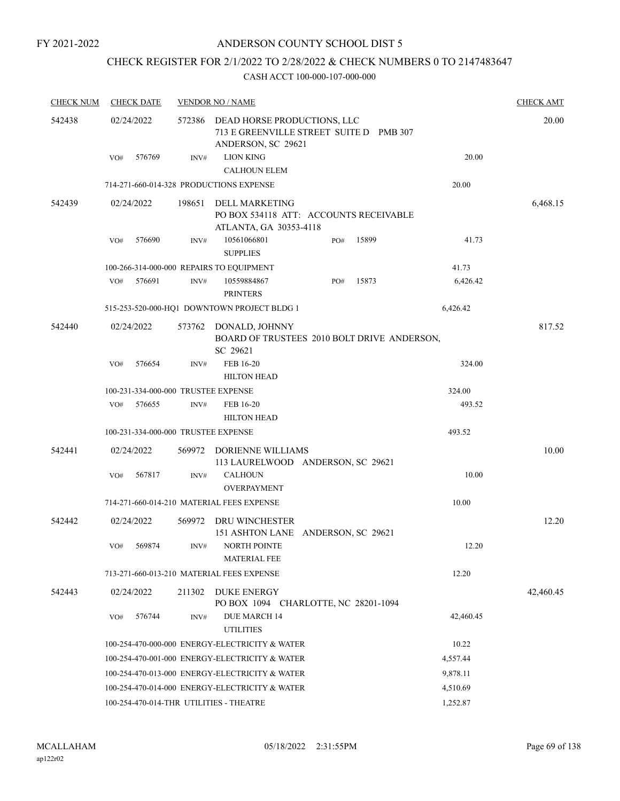## ANDERSON COUNTY SCHOOL DIST 5

# CHECK REGISTER FOR 2/1/2022 TO 2/28/2022 & CHECK NUMBERS 0 TO 2147483647

| <b>CHECK NUM</b> | <b>CHECK DATE</b>                        |        | <b>VENDOR NO / NAME</b>                                                                      |     |       |           | <b>CHECK AMT</b> |
|------------------|------------------------------------------|--------|----------------------------------------------------------------------------------------------|-----|-------|-----------|------------------|
| 542438           | 02/24/2022                               | 572386 | DEAD HORSE PRODUCTIONS, LLC<br>713 E GREENVILLE STREET SUITE D PMB 307<br>ANDERSON, SC 29621 |     |       |           | 20.00            |
|                  | 576769<br>VO#                            | INV#   | <b>LION KING</b><br><b>CALHOUN ELEM</b>                                                      |     |       | 20.00     |                  |
|                  | 714-271-660-014-328 PRODUCTIONS EXPENSE  |        |                                                                                              |     |       | 20.00     |                  |
| 542439           | 02/24/2022                               | 198651 | <b>DELL MARKETING</b><br>PO BOX 534118 ATT: ACCOUNTS RECEIVABLE<br>ATLANTA, GA 30353-4118    |     |       |           | 6,468.15         |
|                  | 576690<br>VO#                            | INV#   | 10561066801<br><b>SUPPLIES</b>                                                               | PO# | 15899 | 41.73     |                  |
|                  | 100-266-314-000-000 REPAIRS TO EQUIPMENT |        |                                                                                              |     |       | 41.73     |                  |
|                  | 576691<br>VO#                            | INV#   | 10559884867<br><b>PRINTERS</b>                                                               | PO# | 15873 | 6,426.42  |                  |
|                  |                                          |        | 515-253-520-000-HQ1 DOWNTOWN PROJECT BLDG 1                                                  |     |       | 6,426.42  |                  |
| 542440           | 02/24/2022                               |        | 573762 DONALD, JOHNNY<br>BOARD OF TRUSTEES 2010 BOLT DRIVE ANDERSON,<br>SC 29621             |     |       |           | 817.52           |
|                  | 576654<br>VO#                            | INV#   | FEB 16-20<br><b>HILTON HEAD</b>                                                              |     |       | 324.00    |                  |
|                  | 100-231-334-000-000 TRUSTEE EXPENSE      |        |                                                                                              |     |       | 324.00    |                  |
|                  | 576655<br>VO#                            | INV#   | FEB 16-20<br><b>HILTON HEAD</b>                                                              |     |       | 493.52    |                  |
|                  | 100-231-334-000-000 TRUSTEE EXPENSE      |        |                                                                                              |     |       | 493.52    |                  |
| 542441           | 02/24/2022                               | 569972 | DORIENNE WILLIAMS<br>113 LAURELWOOD ANDERSON, SC 29621                                       |     |       |           | 10.00            |
|                  | 567817<br>VO#                            | INV#   | <b>CALHOUN</b><br><b>OVERPAYMENT</b>                                                         |     |       | 10.00     |                  |
|                  |                                          |        | 714-271-660-014-210 MATERIAL FEES EXPENSE                                                    |     |       | 10.00     |                  |
| 542442           | 02/24/2022                               | 569972 | DRU WINCHESTER<br>151 ASHTON LANE ANDERSON, SC 29621                                         |     |       |           | 12.20            |
|                  | VO#<br>569874                            | INV#   | NORTH POINTE<br><b>MATERIAL FEE</b>                                                          |     |       | 12.20     |                  |
|                  |                                          |        | 713-271-660-013-210 MATERIAL FEES EXPENSE                                                    |     |       | 12.20     |                  |
| 542443           | 02/24/2022                               | 211302 | <b>DUKE ENERGY</b><br>PO BOX 1094 CHARLOTTE, NC 28201-1094                                   |     |       |           | 42,460.45        |
|                  | 576744<br>VO#                            | INV#   | <b>DUE MARCH 14</b><br><b>UTILITIES</b>                                                      |     |       | 42,460.45 |                  |
|                  |                                          |        | 100-254-470-000-000 ENERGY-ELECTRICITY & WATER                                               |     |       | 10.22     |                  |
|                  |                                          |        | 100-254-470-001-000 ENERGY-ELECTRICITY & WATER                                               |     |       | 4,557.44  |                  |
|                  |                                          |        | 100-254-470-013-000 ENERGY-ELECTRICITY & WATER                                               |     |       | 9,878.11  |                  |
|                  |                                          |        | 100-254-470-014-000 ENERGY-ELECTRICITY & WATER                                               |     |       | 4,510.69  |                  |
|                  | 100-254-470-014-THR UTILITIES - THEATRE  |        |                                                                                              |     |       | 1,252.87  |                  |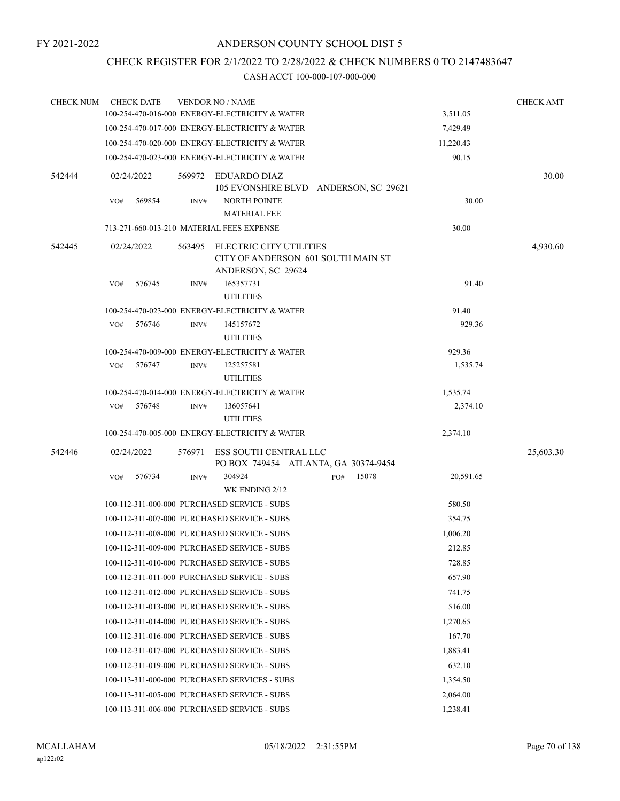## CHECK REGISTER FOR 2/1/2022 TO 2/28/2022 & CHECK NUMBERS 0 TO 2147483647

| <b>CHECK NUM</b> |            | <b>CHECK DATE</b> |        | <b>VENDOR NO / NAME</b>                                                             |     |       |           | <b>CHECK AMT</b> |
|------------------|------------|-------------------|--------|-------------------------------------------------------------------------------------|-----|-------|-----------|------------------|
|                  |            |                   |        | 100-254-470-016-000 ENERGY-ELECTRICITY & WATER                                      |     |       | 3,511.05  |                  |
|                  |            |                   |        | 100-254-470-017-000 ENERGY-ELECTRICITY & WATER                                      |     |       | 7,429.49  |                  |
|                  |            |                   |        | 100-254-470-020-000 ENERGY-ELECTRICITY & WATER                                      |     |       | 11,220.43 |                  |
|                  |            |                   |        | 100-254-470-023-000 ENERGY-ELECTRICITY & WATER                                      |     |       | 90.15     |                  |
| 542444           | 02/24/2022 |                   | 569972 | EDUARDO DIAZ<br>105 EVONSHIRE BLVD ANDERSON, SC 29621                               |     |       |           | 30.00            |
|                  | VO#        | 569854            | INV#   | <b>NORTH POINTE</b><br><b>MATERIAL FEE</b>                                          |     |       | 30.00     |                  |
|                  |            |                   |        | 713-271-660-013-210 MATERIAL FEES EXPENSE                                           |     |       | 30.00     |                  |
|                  |            |                   |        |                                                                                     |     |       |           |                  |
| 542445           | 02/24/2022 |                   | 563495 | ELECTRIC CITY UTILITIES<br>CITY OF ANDERSON 601 SOUTH MAIN ST<br>ANDERSON, SC 29624 |     |       |           | 4,930.60         |
|                  | VO#        | 576745            | INV#   | 165357731<br><b>UTILITIES</b>                                                       |     |       | 91.40     |                  |
|                  |            |                   |        | 100-254-470-023-000 ENERGY-ELECTRICITY & WATER                                      |     |       | 91.40     |                  |
|                  | VO#        | 576746            | INV#   | 145157672                                                                           |     |       | 929.36    |                  |
|                  |            |                   |        | <b>UTILITIES</b>                                                                    |     |       |           |                  |
|                  |            |                   |        | 100-254-470-009-000 ENERGY-ELECTRICITY & WATER                                      |     |       | 929.36    |                  |
|                  | VO#        | 576747            | INV#   | 125257581<br><b>UTILITIES</b>                                                       |     |       | 1,535.74  |                  |
|                  |            |                   |        | 100-254-470-014-000 ENERGY-ELECTRICITY & WATER                                      |     |       | 1,535.74  |                  |
|                  | VO#        | 576748            | INV#   | 136057641<br><b>UTILITIES</b>                                                       |     |       | 2,374.10  |                  |
|                  |            |                   |        | 100-254-470-005-000 ENERGY-ELECTRICITY & WATER                                      |     |       | 2,374.10  |                  |
| 542446           | 02/24/2022 |                   | 576971 | ESS SOUTH CENTRAL LLC<br>PO BOX 749454 ATLANTA, GA 30374-9454                       |     |       |           | 25,603.30        |
|                  | VO#        | 576734            | INV#   | 304924<br>WK ENDING 2/12                                                            | PO# | 15078 | 20,591.65 |                  |
|                  |            |                   |        | 100-112-311-000-000 PURCHASED SERVICE - SUBS                                        |     |       | 580.50    |                  |
|                  |            |                   |        | 100-112-311-007-000 PURCHASED SERVICE - SUBS                                        |     |       | 354.75    |                  |
|                  |            |                   |        | 100-112-311-008-000 PURCHASED SERVICE - SUBS                                        |     |       | 1,006.20  |                  |
|                  |            |                   |        | 100-112-311-009-000 PURCHASED SERVICE - SUBS                                        |     |       | 212.85    |                  |
|                  |            |                   |        | 100-112-311-010-000 PURCHASED SERVICE - SUBS                                        |     |       | 728.85    |                  |
|                  |            |                   |        | 100-112-311-011-000 PURCHASED SERVICE - SUBS                                        |     |       | 657.90    |                  |
|                  |            |                   |        | 100-112-311-012-000 PURCHASED SERVICE - SUBS                                        |     |       | 741.75    |                  |
|                  |            |                   |        | 100-112-311-013-000 PURCHASED SERVICE - SUBS                                        |     |       | 516.00    |                  |
|                  |            |                   |        | 100-112-311-014-000 PURCHASED SERVICE - SUBS                                        |     |       | 1,270.65  |                  |
|                  |            |                   |        | 100-112-311-016-000 PURCHASED SERVICE - SUBS                                        |     |       | 167.70    |                  |
|                  |            |                   |        | 100-112-311-017-000 PURCHASED SERVICE - SUBS                                        |     |       | 1,883.41  |                  |
|                  |            |                   |        | 100-112-311-019-000 PURCHASED SERVICE - SUBS                                        |     |       | 632.10    |                  |
|                  |            |                   |        | 100-113-311-000-000 PURCHASED SERVICES - SUBS                                       |     |       | 1,354.50  |                  |
|                  |            |                   |        | 100-113-311-005-000 PURCHASED SERVICE - SUBS                                        |     |       | 2,064.00  |                  |
|                  |            |                   |        | 100-113-311-006-000 PURCHASED SERVICE - SUBS                                        |     |       | 1,238.41  |                  |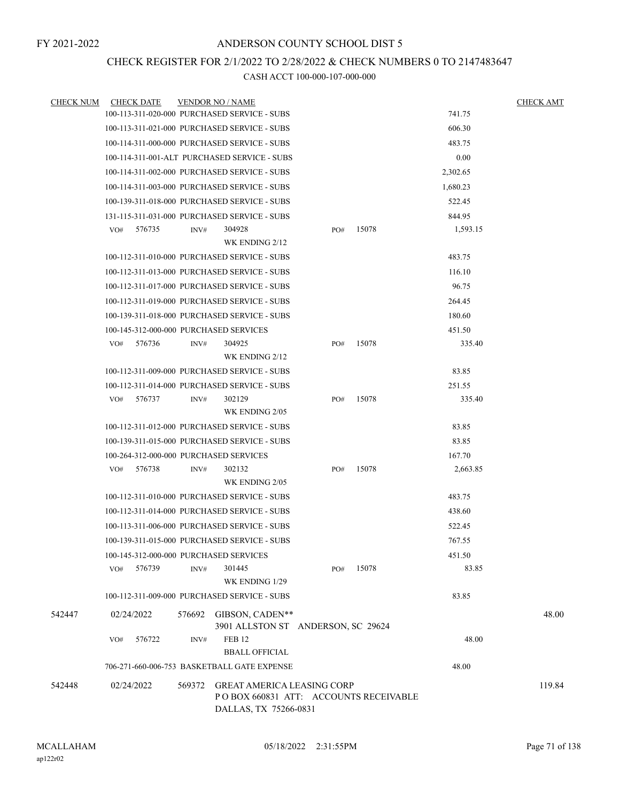## CHECK REGISTER FOR 2/1/2022 TO 2/28/2022 & CHECK NUMBERS 0 TO 2147483647

| <b>CHECK NUM</b> | <b>CHECK DATE</b>                                |        | <b>VENDOR NO / NAME</b>                                                     |     |       |          | <b>CHECK AMT</b> |
|------------------|--------------------------------------------------|--------|-----------------------------------------------------------------------------|-----|-------|----------|------------------|
|                  |                                                  |        | 100-113-311-020-000 PURCHASED SERVICE - SUBS                                |     |       | 741.75   |                  |
|                  |                                                  |        | 100-113-311-021-000 PURCHASED SERVICE - SUBS                                |     |       | 606.30   |                  |
|                  |                                                  |        | 100-114-311-000-000 PURCHASED SERVICE - SUBS                                |     |       | 483.75   |                  |
|                  |                                                  |        | 100-114-311-001-ALT PURCHASED SERVICE - SUBS                                |     |       | 0.00     |                  |
|                  |                                                  |        | 100-114-311-002-000 PURCHASED SERVICE - SUBS                                |     |       | 2,302.65 |                  |
|                  |                                                  |        | 100-114-311-003-000 PURCHASED SERVICE - SUBS                                |     |       | 1,680.23 |                  |
|                  |                                                  |        | 100-139-311-018-000 PURCHASED SERVICE - SUBS                                |     |       | 522.45   |                  |
|                  |                                                  |        | 131-115-311-031-000 PURCHASED SERVICE - SUBS                                |     |       | 844.95   |                  |
|                  | VO#<br>576735                                    | INV#   | 304928                                                                      | PO# | 15078 | 1,593.15 |                  |
|                  |                                                  |        | WK ENDING 2/12                                                              |     |       |          |                  |
|                  |                                                  |        | 100-112-311-010-000 PURCHASED SERVICE - SUBS                                |     |       | 483.75   |                  |
|                  |                                                  |        | 100-112-311-013-000 PURCHASED SERVICE - SUBS                                |     |       | 116.10   |                  |
|                  |                                                  |        | 100-112-311-017-000 PURCHASED SERVICE - SUBS                                |     |       | 96.75    |                  |
|                  |                                                  |        | 100-112-311-019-000 PURCHASED SERVICE - SUBS                                |     |       | 264.45   |                  |
|                  |                                                  |        | 100-139-311-018-000 PURCHASED SERVICE - SUBS                                |     |       | 180.60   |                  |
|                  | 100-145-312-000-000 PURCHASED SERVICES           |        |                                                                             |     |       | 451.50   |                  |
|                  | 576736<br>VO#                                    | INV#   | 304925                                                                      | PO# | 15078 | 335.40   |                  |
|                  |                                                  |        | WK ENDING 2/12                                                              |     |       |          |                  |
|                  |                                                  |        | 100-112-311-009-000 PURCHASED SERVICE - SUBS                                |     |       | 83.85    |                  |
|                  |                                                  |        | 100-112-311-014-000 PURCHASED SERVICE - SUBS                                |     |       | 251.55   |                  |
|                  | VO#<br>576737                                    | INV#   | 302129                                                                      | PO# | 15078 | 335.40   |                  |
|                  |                                                  |        | WK ENDING 2/05                                                              |     |       |          |                  |
|                  |                                                  |        | 100-112-311-012-000 PURCHASED SERVICE - SUBS                                |     |       | 83.85    |                  |
|                  |                                                  |        | 100-139-311-015-000 PURCHASED SERVICE - SUBS                                |     |       | 83.85    |                  |
|                  | 100-264-312-000-000 PURCHASED SERVICES<br>576738 |        | 302132                                                                      |     | 15078 | 167.70   |                  |
|                  | VO#                                              | INV#   | WK ENDING 2/05                                                              | PO# |       | 2,663.85 |                  |
|                  |                                                  |        | 100-112-311-010-000 PURCHASED SERVICE - SUBS                                |     |       | 483.75   |                  |
|                  |                                                  |        | 100-112-311-014-000 PURCHASED SERVICE - SUBS                                |     |       | 438.60   |                  |
|                  |                                                  |        | 100-113-311-006-000 PURCHASED SERVICE - SUBS                                |     |       | 522.45   |                  |
|                  |                                                  |        | 100-139-311-015-000 PURCHASED SERVICE - SUBS                                |     |       | 767.55   |                  |
|                  | 100-145-312-000-000 PURCHASED SERVICES           |        |                                                                             |     |       | 451.50   |                  |
|                  | 576739<br>VO#                                    | INV#   | 301445                                                                      | PO# | 15078 | 83.85    |                  |
|                  |                                                  |        | WK ENDING 1/29                                                              |     |       |          |                  |
|                  |                                                  |        | 100-112-311-009-000 PURCHASED SERVICE - SUBS                                |     |       | 83.85    |                  |
| 542447           | 02/24/2022                                       | 576692 | GIBSON, CADEN**                                                             |     |       |          | 48.00            |
|                  |                                                  |        | 3901 ALLSTON ST ANDERSON, SC 29624                                          |     |       |          |                  |
|                  | VO#<br>576722                                    | INV#   | <b>FEB 12</b>                                                               |     |       | 48.00    |                  |
|                  |                                                  |        | <b>BBALL OFFICIAL</b>                                                       |     |       |          |                  |
|                  |                                                  |        | 706-271-660-006-753 BASKETBALL GATE EXPENSE                                 |     |       | 48.00    |                  |
| 542448           | 02/24/2022                                       | 569372 | <b>GREAT AMERICA LEASING CORP</b><br>PO BOX 660831 ATT: ACCOUNTS RECEIVABLE |     |       |          | 119.84           |
|                  |                                                  |        | DALLAS, TX 75266-0831                                                       |     |       |          |                  |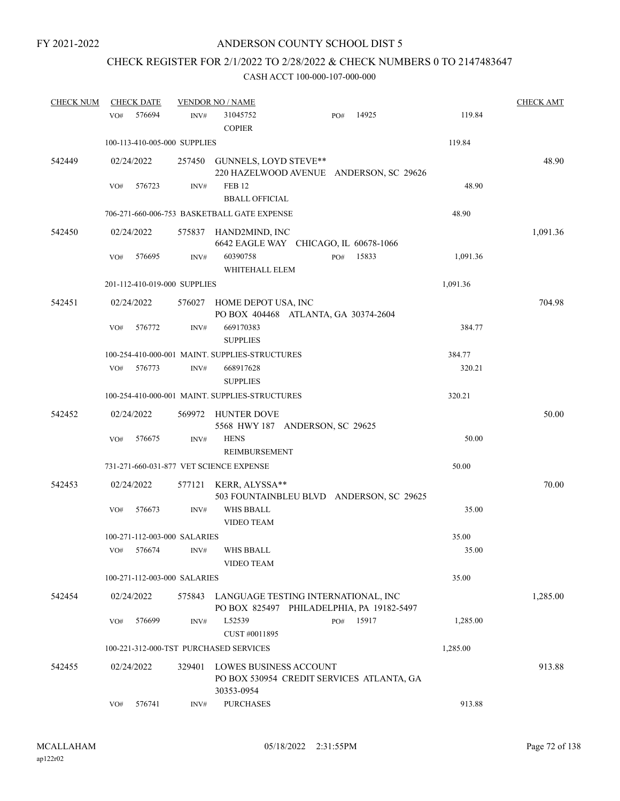# CHECK REGISTER FOR 2/1/2022 TO 2/28/2022 & CHECK NUMBERS 0 TO 2147483647

| <b>CHECK NUM</b> | <b>CHECK DATE</b>                       |        | <b>VENDOR NO / NAME</b>                                                                 |     |       |          | <b>CHECK AMT</b> |
|------------------|-----------------------------------------|--------|-----------------------------------------------------------------------------------------|-----|-------|----------|------------------|
|                  | 576694<br>VO#                           | INV#   | 31045752<br><b>COPIER</b>                                                               | PO# | 14925 | 119.84   |                  |
|                  | 100-113-410-005-000 SUPPLIES            |        |                                                                                         |     |       | 119.84   |                  |
| 542449           | 02/24/2022                              |        | 257450 GUNNELS, LOYD STEVE**<br>220 HAZELWOOD AVENUE ANDERSON, SC 29626                 |     |       |          | 48.90            |
|                  | 576723<br>VO#                           | INV#   | <b>FEB 12</b><br><b>BBALL OFFICIAL</b>                                                  |     |       | 48.90    |                  |
|                  |                                         |        | 706-271-660-006-753 BASKETBALL GATE EXPENSE                                             |     |       | 48.90    |                  |
| 542450           | 02/24/2022                              |        | 575837 HAND2MIND, INC<br>6642 EAGLE WAY CHICAGO, IL 60678-1066                          |     |       |          | 1,091.36         |
|                  | 576695<br>VO#                           | INV#   | 60390758<br>WHITEHALL ELEM                                                              | PO# | 15833 | 1,091.36 |                  |
|                  | 201-112-410-019-000 SUPPLIES            |        |                                                                                         |     |       | 1,091.36 |                  |
| 542451           | 02/24/2022                              |        | 576027 HOME DEPOT USA, INC<br>PO BOX 404468 ATLANTA, GA 30374-2604                      |     |       |          | 704.98           |
|                  | 576772<br>VO#                           | INV#   | 669170383<br><b>SUPPLIES</b>                                                            |     |       | 384.77   |                  |
|                  |                                         |        | 100-254-410-000-001 MAINT. SUPPLIES-STRUCTURES                                          |     |       | 384.77   |                  |
|                  | VO#<br>576773                           | INV#   | 668917628<br><b>SUPPLIES</b>                                                            |     |       | 320.21   |                  |
|                  |                                         |        | 100-254-410-000-001 MAINT. SUPPLIES-STRUCTURES                                          |     |       | 320.21   |                  |
| 542452           | 02/24/2022                              | 569972 | HUNTER DOVE<br>5568 HWY 187 ANDERSON, SC 29625                                          |     |       |          | 50.00            |
|                  | 576675<br>VO#                           | INV#   | <b>HENS</b><br>REIMBURSEMENT                                                            |     |       | 50.00    |                  |
|                  | 731-271-660-031-877 VET SCIENCE EXPENSE |        |                                                                                         |     |       | 50.00    |                  |
| 542453           | 02/24/2022                              |        | 577121 KERR, ALYSSA**<br>503 FOUNTAINBLEU BLVD ANDERSON, SC 29625                       |     |       |          | 70.00            |
|                  | VO#<br>576673                           | INV#   | <b>WHS BBALL</b><br><b>VIDEO TEAM</b>                                                   |     |       | 35.00    |                  |
|                  | 100-271-112-003-000 SALARIES            |        |                                                                                         |     |       | 35.00    |                  |
|                  | $VO#$ 576674 INV#                       |        | <b>WHS BBALL</b><br><b>VIDEO TEAM</b>                                                   |     |       | 35.00    |                  |
|                  | 100-271-112-003-000 SALARIES            |        |                                                                                         |     |       | 35.00    |                  |
| 542454           | 02/24/2022                              |        | 575843 LANGUAGE TESTING INTERNATIONAL, INC<br>PO BOX 825497 PHILADELPHIA, PA 19182-5497 |     |       |          | 1,285.00         |
|                  | 576699<br>VO#                           | INV#   | L52539<br>CUST #0011895                                                                 | PO# | 15917 | 1,285.00 |                  |
|                  | 100-221-312-000-TST PURCHASED SERVICES  |        |                                                                                         |     |       | 1,285.00 |                  |
| 542455           | 02/24/2022                              | 329401 | LOWES BUSINESS ACCOUNT<br>PO BOX 530954 CREDIT SERVICES ATLANTA, GA<br>30353-0954       |     |       |          | 913.88           |
|                  | 576741<br>VO#                           | INV#   | <b>PURCHASES</b>                                                                        |     |       | 913.88   |                  |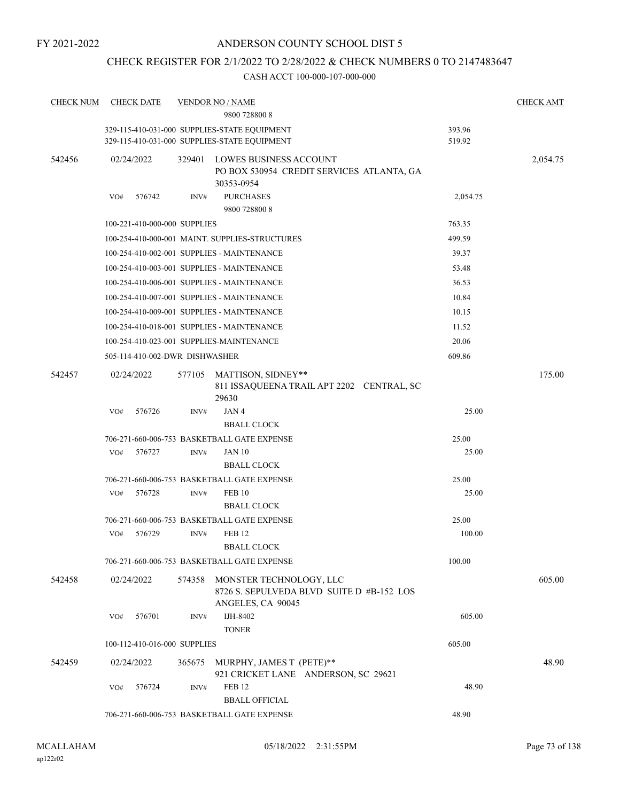### CHECK REGISTER FOR 2/1/2022 TO 2/28/2022 & CHECK NUMBERS 0 TO 2147483647

| <b>CHECK NUM</b> | <b>CHECK DATE</b> |                                | <b>VENDOR NO / NAME</b>                        |                                           |          | <b>CHECK AMT</b> |
|------------------|-------------------|--------------------------------|------------------------------------------------|-------------------------------------------|----------|------------------|
|                  |                   |                                | 9800 728800 8                                  |                                           |          |                  |
|                  |                   |                                | 329-115-410-031-000 SUPPLIES-STATE EQUIPMENT   |                                           | 393.96   |                  |
|                  |                   |                                | 329-115-410-031-000 SUPPLIES-STATE EQUIPMENT   |                                           | 519.92   |                  |
| 542456           | 02/24/2022        | 329401                         | <b>LOWES BUSINESS ACCOUNT</b><br>30353-0954    | PO BOX 530954 CREDIT SERVICES ATLANTA, GA |          | 2,054.75         |
|                  | 576742<br>VO#     | INV#                           | <b>PURCHASES</b>                               |                                           | 2,054.75 |                  |
|                  |                   |                                | 9800 728800 8                                  |                                           |          |                  |
|                  |                   | 100-221-410-000-000 SUPPLIES   |                                                |                                           | 763.35   |                  |
|                  |                   |                                | 100-254-410-000-001 MAINT. SUPPLIES-STRUCTURES |                                           | 499.59   |                  |
|                  |                   |                                | 100-254-410-002-001 SUPPLIES - MAINTENANCE     |                                           | 39.37    |                  |
|                  |                   |                                | 100-254-410-003-001 SUPPLIES - MAINTENANCE     |                                           | 53.48    |                  |
|                  |                   |                                | 100-254-410-006-001 SUPPLIES - MAINTENANCE     |                                           | 36.53    |                  |
|                  |                   |                                | 100-254-410-007-001 SUPPLIES - MAINTENANCE     |                                           | 10.84    |                  |
|                  |                   |                                | 100-254-410-009-001 SUPPLIES - MAINTENANCE     |                                           | 10.15    |                  |
|                  |                   |                                | 100-254-410-018-001 SUPPLIES - MAINTENANCE     |                                           | 11.52    |                  |
|                  |                   |                                | 100-254-410-023-001 SUPPLIES-MAINTENANCE       |                                           | 20.06    |                  |
|                  |                   | 505-114-410-002-DWR DISHWASHER |                                                |                                           | 609.86   |                  |
| 542457           | 02/24/2022        | 577105                         | MATTISON, SIDNEY**<br>29630                    | 811 ISSAQUEENA TRAIL APT 2202 CENTRAL, SC |          | 175.00           |
|                  | 576726<br>VO#     | INV#                           | JAN4                                           |                                           | 25.00    |                  |
|                  |                   |                                | <b>BBALL CLOCK</b>                             |                                           |          |                  |
|                  |                   |                                | 706-271-660-006-753 BASKETBALL GATE EXPENSE    |                                           | 25.00    |                  |
|                  | 576727<br>VO#     | INV#                           | <b>JAN 10</b>                                  |                                           | 25.00    |                  |
|                  |                   |                                | <b>BBALL CLOCK</b>                             |                                           |          |                  |
|                  |                   |                                | 706-271-660-006-753 BASKETBALL GATE EXPENSE    |                                           | 25.00    |                  |
|                  | VO#<br>576728     | INV#                           | <b>FEB 10</b>                                  |                                           | 25.00    |                  |
|                  |                   |                                | <b>BBALL CLOCK</b>                             |                                           |          |                  |
|                  |                   |                                | 706-271-660-006-753 BASKETBALL GATE EXPENSE    |                                           | 25.00    |                  |
|                  | 576729<br>VO#     | INV#                           | <b>FEB 12</b>                                  |                                           | 100.00   |                  |
|                  |                   |                                | <b>BBALL CLOCK</b>                             |                                           |          |                  |
|                  |                   |                                | 706-271-660-006-753 BASKETBALL GATE EXPENSE    |                                           | 100.00   |                  |
| 542458           | 02/24/2022        | 574358                         | MONSTER TECHNOLOGY, LLC<br>ANGELES, CA 90045   | 8726 S. SEPULVEDA BLVD SUITE D #B-152 LOS |          | 605.00           |
|                  | 576701<br>VO#     | INV#                           | IJH-8402<br><b>TONER</b>                       |                                           | 605.00   |                  |
|                  |                   | 100-112-410-016-000 SUPPLIES   |                                                |                                           | 605.00   |                  |
| 542459           | 02/24/2022        | 365675                         | MURPHY, JAMES T (PETE)**                       |                                           |          | 48.90            |
|                  |                   |                                | 921 CRICKET LANE ANDERSON, SC 29621            |                                           |          |                  |
|                  | 576724<br>VO#     | INV#                           | <b>FEB 12</b>                                  |                                           | 48.90    |                  |
|                  |                   |                                | <b>BBALL OFFICIAL</b>                          |                                           |          |                  |
|                  |                   |                                | 706-271-660-006-753 BASKETBALL GATE EXPENSE    |                                           | 48.90    |                  |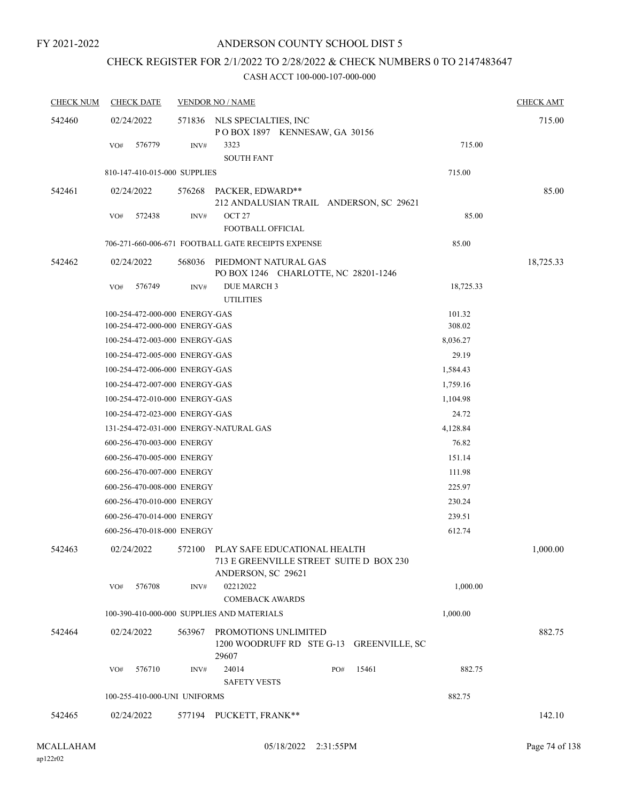# CHECK REGISTER FOR 2/1/2022 TO 2/28/2022 & CHECK NUMBERS 0 TO 2147483647

| <b>CHECK NUM</b> | <b>CHECK DATE</b>                                                |        | <b>VENDOR NO / NAME</b>                                                                              |                  | <b>CHECK AMT</b> |
|------------------|------------------------------------------------------------------|--------|------------------------------------------------------------------------------------------------------|------------------|------------------|
| 542460           | 02/24/2022                                                       |        | 571836 NLS SPECIALTIES, INC<br>POBOX 1897 KENNESAW, GA 30156                                         |                  | 715.00           |
|                  | 576779<br>VO#                                                    | INV#   | 3323<br><b>SOUTH FANT</b>                                                                            | 715.00           |                  |
|                  | 810-147-410-015-000 SUPPLIES                                     |        |                                                                                                      | 715.00           |                  |
| 542461           | 02/24/2022                                                       |        | 576268 PACKER, EDWARD**<br>212 ANDALUSIAN TRAIL ANDERSON, SC 29621                                   |                  | 85.00            |
|                  | 572438<br>VO#                                                    | INV#   | OCT <sub>27</sub><br>FOOTBALL OFFICIAL                                                               | 85.00            |                  |
|                  |                                                                  |        | 706-271-660-006-671 FOOTBALL GATE RECEIPTS EXPENSE                                                   | 85.00            |                  |
| 542462           | 02/24/2022                                                       | 568036 | PIEDMONT NATURAL GAS<br>PO BOX 1246 CHARLOTTE, NC 28201-1246                                         |                  | 18,725.33        |
|                  | VO#<br>576749                                                    | INV#   | <b>DUE MARCH 3</b><br><b>UTILITIES</b>                                                               | 18,725.33        |                  |
|                  | 100-254-472-000-000 ENERGY-GAS<br>100-254-472-000-000 ENERGY-GAS |        |                                                                                                      | 101.32<br>308.02 |                  |
|                  | 100-254-472-003-000 ENERGY-GAS                                   |        |                                                                                                      | 8,036.27         |                  |
|                  | 100-254-472-005-000 ENERGY-GAS                                   |        |                                                                                                      | 29.19            |                  |
|                  | 100-254-472-006-000 ENERGY-GAS                                   |        |                                                                                                      | 1,584.43         |                  |
|                  | 100-254-472-007-000 ENERGY-GAS                                   |        |                                                                                                      | 1,759.16         |                  |
|                  | 100-254-472-010-000 ENERGY-GAS                                   |        |                                                                                                      | 1,104.98         |                  |
|                  | 100-254-472-023-000 ENERGY-GAS                                   |        |                                                                                                      | 24.72            |                  |
|                  | 131-254-472-031-000 ENERGY-NATURAL GAS                           |        |                                                                                                      | 4,128.84         |                  |
|                  | 600-256-470-003-000 ENERGY                                       |        |                                                                                                      | 76.82            |                  |
|                  | 600-256-470-005-000 ENERGY                                       |        |                                                                                                      | 151.14           |                  |
|                  | 600-256-470-007-000 ENERGY                                       |        |                                                                                                      | 111.98           |                  |
|                  | 600-256-470-008-000 ENERGY                                       |        |                                                                                                      | 225.97           |                  |
|                  | 600-256-470-010-000 ENERGY                                       |        |                                                                                                      | 230.24           |                  |
|                  | 600-256-470-014-000 ENERGY                                       |        |                                                                                                      | 239.51           |                  |
|                  | 600-256-470-018-000 ENERGY                                       |        |                                                                                                      | 612.74           |                  |
| 542463           | 02/24/2022                                                       |        | 572100 PLAY SAFE EDUCATIONAL HEALTH<br>713 E GREENVILLE STREET SUITE D BOX 230<br>ANDERSON, SC 29621 |                  | 1,000.00         |
|                  | 576708<br>VO#                                                    | INV#   | 02212022<br><b>COMEBACK AWARDS</b>                                                                   | 1,000.00         |                  |
|                  |                                                                  |        | 100-390-410-000-000 SUPPLIES AND MATERIALS                                                           | 1,000.00         |                  |
| 542464           | 02/24/2022                                                       | 563967 | PROMOTIONS UNLIMITED<br>1200 WOODRUFF RD STE G-13 GREENVILLE, SC<br>29607                            |                  | 882.75           |
|                  | VO#<br>576710                                                    | INV#   | 24014<br>15461<br>PO#<br><b>SAFETY VESTS</b>                                                         | 882.75           |                  |
|                  | 100-255-410-000-UNI UNIFORMS                                     |        |                                                                                                      | 882.75           |                  |
| 542465           | 02/24/2022                                                       |        | 577194 PUCKETT, FRANK**                                                                              |                  | 142.10           |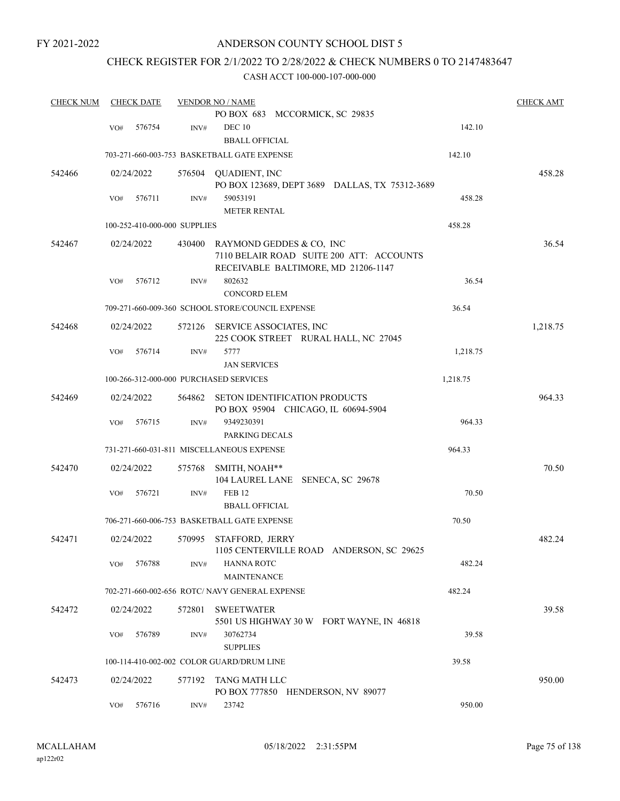### ANDERSON COUNTY SCHOOL DIST 5

### CHECK REGISTER FOR 2/1/2022 TO 2/28/2022 & CHECK NUMBERS 0 TO 2147483647

| <b>CHECK NUM</b> | <b>CHECK DATE</b>                      |        | <b>VENDOR NO / NAME</b>                                                         |          | <b>CHECK AMT</b> |
|------------------|----------------------------------------|--------|---------------------------------------------------------------------------------|----------|------------------|
|                  |                                        |        | PO BOX 683 MCCORMICK, SC 29835                                                  |          |                  |
|                  | 576754<br>VO#                          | INV#   | <b>DEC 10</b>                                                                   | 142.10   |                  |
|                  |                                        |        | <b>BBALL OFFICIAL</b>                                                           |          |                  |
|                  |                                        |        | 703-271-660-003-753 BASKETBALL GATE EXPENSE                                     | 142.10   |                  |
| 542466           | 02/24/2022                             |        | 576504 QUADIENT, INC                                                            |          | 458.28           |
|                  |                                        |        | PO BOX 123689, DEPT 3689 DALLAS, TX 75312-3689                                  |          |                  |
|                  | 576711<br>VO#                          | INV#   | 59053191                                                                        | 458.28   |                  |
|                  |                                        |        | <b>METER RENTAL</b>                                                             |          |                  |
|                  | 100-252-410-000-000 SUPPLIES           |        |                                                                                 | 458.28   |                  |
| 542467           | 02/24/2022                             | 430400 | RAYMOND GEDDES & CO, INC                                                        |          | 36.54            |
|                  |                                        |        | 7110 BELAIR ROAD SUITE 200 ATT: ACCOUNTS<br>RECEIVABLE BALTIMORE, MD 21206-1147 |          |                  |
|                  | VO#<br>576712                          | INV#   | 802632                                                                          | 36.54    |                  |
|                  |                                        |        | <b>CONCORD ELEM</b>                                                             |          |                  |
|                  |                                        |        | 709-271-660-009-360 SCHOOL STORE/COUNCIL EXPENSE                                | 36.54    |                  |
| 542468           | 02/24/2022                             | 572126 | SERVICE ASSOCIATES, INC<br>225 COOK STREET RURAL HALL, NC 27045                 |          | 1,218.75         |
|                  | 576714<br>VO#                          | INV#   | 5777                                                                            | 1,218.75 |                  |
|                  |                                        |        | <b>JAN SERVICES</b>                                                             |          |                  |
|                  | 100-266-312-000-000 PURCHASED SERVICES |        |                                                                                 | 1,218.75 |                  |
| 542469           | 02/24/2022                             | 564862 | SETON IDENTIFICATION PRODUCTS                                                   |          | 964.33           |
|                  |                                        |        | PO BOX 95904 CHICAGO, IL 60694-5904                                             |          |                  |
|                  | 576715<br>VO#                          | INV#   | 9349230391                                                                      | 964.33   |                  |
|                  |                                        |        | PARKING DECALS                                                                  |          |                  |
|                  |                                        |        | 731-271-660-031-811 MISCELLANEOUS EXPENSE                                       | 964.33   |                  |
| 542470           | 02/24/2022                             | 575768 | SMITH, NOAH**                                                                   |          | 70.50            |
|                  |                                        |        | 104 LAUREL LANE SENECA, SC 29678                                                |          |                  |
|                  | 576721<br>VO#                          | INV#   | <b>FEB 12</b>                                                                   | 70.50    |                  |
|                  |                                        |        | <b>BBALL OFFICIAL</b>                                                           |          |                  |
|                  |                                        |        | 706-271-660-006-753 BASKETBALL GATE EXPENSE                                     | 70.50    |                  |
| 542471           | 02/24/2022                             | 570995 | STAFFORD, JERRY                                                                 |          | 482.24           |
|                  |                                        |        | 1105 CENTERVILLE ROAD ANDERSON, SC 29625                                        |          |                  |
|                  | 576788<br>VO#                          | INV#   | <b>HANNA ROTC</b>                                                               | 482.24   |                  |
|                  |                                        |        | <b>MAINTENANCE</b>                                                              |          |                  |
|                  |                                        |        | 702-271-660-002-656 ROTC/ NAVY GENERAL EXPENSE                                  | 482.24   |                  |
| 542472           | 02/24/2022                             | 572801 | <b>SWEETWATER</b>                                                               |          | 39.58            |
|                  |                                        |        | 5501 US HIGHWAY 30 W FORT WAYNE, IN 46818                                       |          |                  |
|                  | VO#<br>576789                          | INV#   | 30762734                                                                        | 39.58    |                  |
|                  |                                        |        | <b>SUPPLIES</b>                                                                 |          |                  |
|                  |                                        |        | 100-114-410-002-002 COLOR GUARD/DRUM LINE                                       | 39.58    |                  |
|                  |                                        |        |                                                                                 |          |                  |
| 542473           | 02/24/2022                             |        | 577192 TANG MATH LLC<br>PO BOX 777850 HENDERSON, NV 89077                       |          | 950.00           |
|                  | 576716<br>VO#                          | INV#   | 23742                                                                           | 950.00   |                  |
|                  |                                        |        |                                                                                 |          |                  |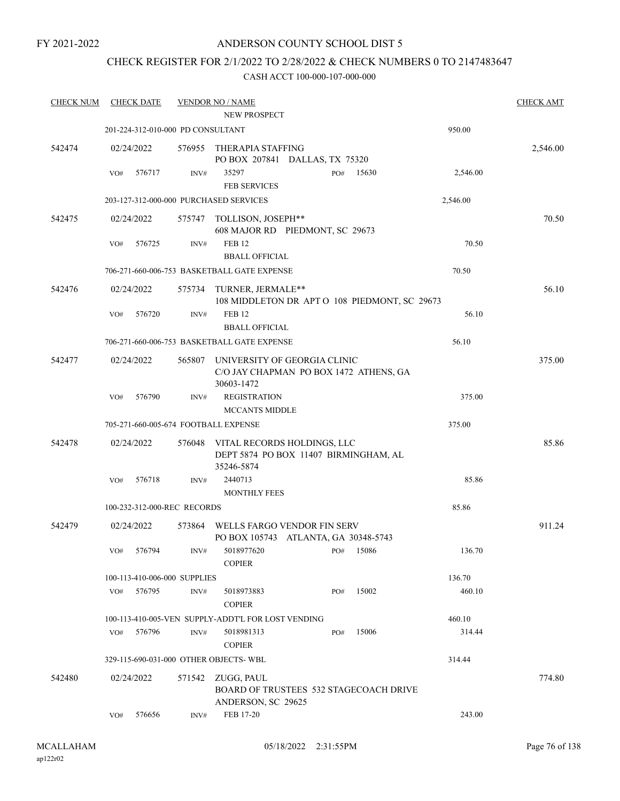### ANDERSON COUNTY SCHOOL DIST 5

### CHECK REGISTER FOR 2/1/2022 TO 2/28/2022 & CHECK NUMBERS 0 TO 2147483647

| <b>CHECK NUM</b> | <b>CHECK DATE</b>                      |        | <b>VENDOR NO / NAME</b>                                                                     |     |       |          | <b>CHECK AMT</b> |
|------------------|----------------------------------------|--------|---------------------------------------------------------------------------------------------|-----|-------|----------|------------------|
|                  |                                        |        | <b>NEW PROSPECT</b>                                                                         |     |       |          |                  |
|                  | 201-224-312-010-000 PD CONSULTANT      |        |                                                                                             |     |       | 950.00   |                  |
| 542474           | 02/24/2022                             |        | 576955 THERAPIA STAFFING<br>PO BOX 207841 DALLAS, TX 75320                                  |     |       |          | 2,546.00         |
|                  | VO#<br>576717                          | INV#   | 35297<br><b>FEB SERVICES</b>                                                                | PO# | 15630 | 2,546.00 |                  |
|                  | 203-127-312-000-000 PURCHASED SERVICES |        |                                                                                             |     |       | 2,546.00 |                  |
| 542475           | 02/24/2022                             |        | 575747 TOLLISON, JOSEPH**                                                                   |     |       |          | 70.50            |
|                  |                                        |        | 608 MAJOR RD PIEDMONT, SC 29673                                                             |     |       |          |                  |
|                  | VO#<br>576725                          | INV#   | <b>FEB 12</b><br><b>BBALL OFFICIAL</b>                                                      |     |       | 70.50    |                  |
|                  |                                        |        | 706-271-660-006-753 BASKETBALL GATE EXPENSE                                                 |     |       | 70.50    |                  |
| 542476           | 02/24/2022                             |        | 575734 TURNER, JERMALE**<br>108 MIDDLETON DR APT O 108 PIEDMONT, SC 29673                   |     |       |          | 56.10            |
|                  | VO#<br>576720                          | INV#   | <b>FEB 12</b><br><b>BBALL OFFICIAL</b>                                                      |     |       | 56.10    |                  |
|                  |                                        |        | 706-271-660-006-753 BASKETBALL GATE EXPENSE                                                 |     |       | 56.10    |                  |
| 542477           | 02/24/2022                             |        | 565807 UNIVERSITY OF GEORGIA CLINIC<br>C/O JAY CHAPMAN PO BOX 1472 ATHENS, GA<br>30603-1472 |     |       |          | 375.00           |
|                  | 576790<br>VO#                          | INV#   | <b>REGISTRATION</b><br><b>MCCANTS MIDDLE</b>                                                |     |       | 375.00   |                  |
|                  | 705-271-660-005-674 FOOTBALL EXPENSE   |        |                                                                                             |     |       | 375.00   |                  |
| 542478           | 02/24/2022                             |        | 576048 VITAL RECORDS HOLDINGS, LLC                                                          |     |       |          | 85.86            |
|                  |                                        |        | DEPT 5874 PO BOX 11407 BIRMINGHAM, AL<br>35246-5874                                         |     |       |          |                  |
|                  | 576718<br>VO#                          | INV#   | 2440713<br><b>MONTHLY FEES</b>                                                              |     |       | 85.86    |                  |
|                  | 100-232-312-000-REC RECORDS            |        |                                                                                             |     |       | 85.86    |                  |
| 542479           | 02/24/2022                             |        | 573864 WELLS FARGO VENDOR FIN SERV                                                          |     |       |          | 911.24           |
|                  |                                        |        | PO BOX 105743 ATLANTA, GA 30348-5743                                                        |     |       |          |                  |
|                  | 576794<br>VO#                          | INV#   | 5018977620<br><b>COPIER</b>                                                                 | PO# | 15086 | 136.70   |                  |
|                  | 100-113-410-006-000 SUPPLIES           |        |                                                                                             |     |       | 136.70   |                  |
|                  | 576795<br>VO#                          | INV#   | 5018973883<br><b>COPIER</b>                                                                 | PO# | 15002 | 460.10   |                  |
|                  |                                        |        | 100-113-410-005-VEN SUPPLY-ADDT'L FOR LOST VENDING                                          |     |       | 460.10   |                  |
|                  | 576796<br>VO#                          | INV#   | 5018981313<br><b>COPIER</b>                                                                 | PO# | 15006 | 314.44   |                  |
|                  | 329-115-690-031-000 OTHER OBJECTS-WBL  |        |                                                                                             |     |       | 314.44   |                  |
| 542480           | 02/24/2022                             | 571542 | ZUGG, PAUL<br>BOARD OF TRUSTEES 532 STAGECOACH DRIVE<br>ANDERSON, SC 29625                  |     |       |          | 774.80           |
|                  | 576656<br>VO#                          | INV#   | FEB 17-20                                                                                   |     |       | 243.00   |                  |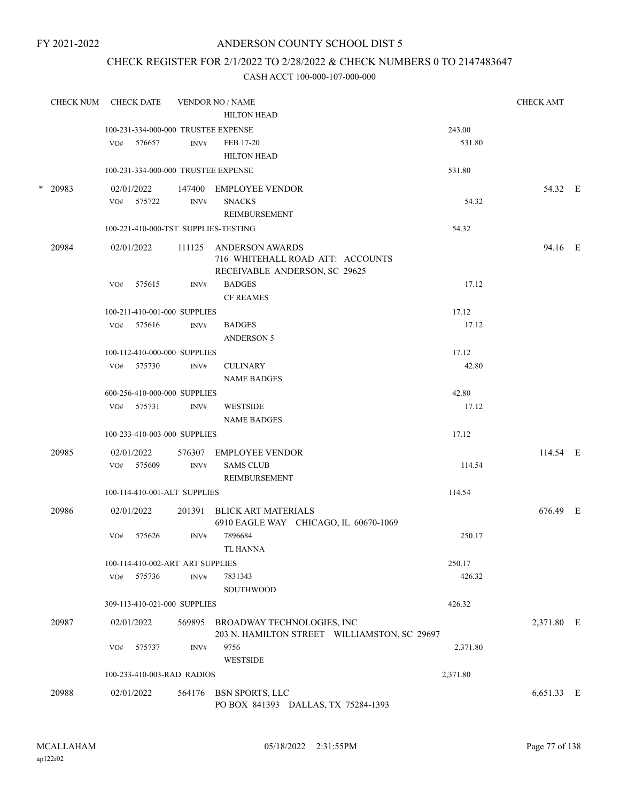### CHECK REGISTER FOR 2/1/2022 TO 2/28/2022 & CHECK NUMBERS 0 TO 2147483647

|        | <b>CHECK NUM</b> |     | <b>CHECK DATE</b> |                                  | <b>VENDOR NO / NAME</b>                                                                     |          | <b>CHECK AMT</b> |  |
|--------|------------------|-----|-------------------|----------------------------------|---------------------------------------------------------------------------------------------|----------|------------------|--|
|        |                  |     |                   |                                  | <b>HILTON HEAD</b>                                                                          |          |                  |  |
|        |                  |     |                   |                                  | 100-231-334-000-000 TRUSTEE EXPENSE                                                         | 243.00   |                  |  |
|        |                  | VO# | 576657            | INV#                             | FEB 17-20                                                                                   | 531.80   |                  |  |
|        |                  |     |                   |                                  | <b>HILTON HEAD</b>                                                                          |          |                  |  |
|        |                  |     |                   |                                  | 100-231-334-000-000 TRUSTEE EXPENSE                                                         | 531.80   |                  |  |
| $\ast$ | 20983            |     | 02/01/2022        |                                  | 147400 EMPLOYEE VENDOR                                                                      |          | 54.32 E          |  |
|        |                  |     | VO# 575722        | INV#                             | <b>SNACKS</b>                                                                               | 54.32    |                  |  |
|        |                  |     |                   |                                  | REIMBURSEMENT                                                                               |          |                  |  |
|        |                  |     |                   |                                  | 100-221-410-000-TST SUPPLIES-TESTING                                                        | 54.32    |                  |  |
|        | 20984            |     | 02/01/2022        |                                  | 111125 ANDERSON AWARDS<br>716 WHITEHALL ROAD ATT: ACCOUNTS<br>RECEIVABLE ANDERSON, SC 29625 |          | 94.16 E          |  |
|        |                  | VO# | 575615            | INV#                             | <b>BADGES</b>                                                                               | 17.12    |                  |  |
|        |                  |     |                   |                                  | <b>CF REAMES</b>                                                                            |          |                  |  |
|        |                  |     |                   | 100-211-410-001-000 SUPPLIES     |                                                                                             | 17.12    |                  |  |
|        |                  | VO# | 575616            | INV#                             | <b>BADGES</b>                                                                               | 17.12    |                  |  |
|        |                  |     |                   |                                  | <b>ANDERSON 5</b>                                                                           |          |                  |  |
|        |                  |     |                   | 100-112-410-000-000 SUPPLIES     |                                                                                             | 17.12    |                  |  |
|        |                  |     | VO# 575730        | INV#                             | <b>CULINARY</b>                                                                             | 42.80    |                  |  |
|        |                  |     |                   |                                  | <b>NAME BADGES</b>                                                                          |          |                  |  |
|        |                  |     |                   | 600-256-410-000-000 SUPPLIES     |                                                                                             | 42.80    |                  |  |
|        |                  |     | VO# 575731        | INV#                             | <b>WESTSIDE</b>                                                                             | 17.12    |                  |  |
|        |                  |     |                   |                                  | <b>NAME BADGES</b>                                                                          |          |                  |  |
|        |                  |     |                   | 100-233-410-003-000 SUPPLIES     |                                                                                             | 17.12    |                  |  |
|        | 20985            |     | 02/01/2022        |                                  | 576307 EMPLOYEE VENDOR                                                                      |          | 114.54 E         |  |
|        |                  |     | VO# 575609        | INV#                             | <b>SAMS CLUB</b>                                                                            | 114.54   |                  |  |
|        |                  |     |                   |                                  | REIMBURSEMENT                                                                               |          |                  |  |
|        |                  |     |                   | 100-114-410-001-ALT SUPPLIES     |                                                                                             | 114.54   |                  |  |
|        |                  |     |                   |                                  |                                                                                             |          |                  |  |
|        | 20986            |     | 02/01/2022        |                                  | 201391 BLICK ART MATERIALS                                                                  |          | 676.49 E         |  |
|        |                  | VO# | 575626            | INV#                             | 6910 EAGLE WAY CHICAGO, IL 60670-1069<br>7896684                                            | 250.17   |                  |  |
|        |                  |     |                   |                                  | TL HANNA                                                                                    |          |                  |  |
|        |                  |     |                   |                                  |                                                                                             |          |                  |  |
|        |                  |     |                   | 100-114-410-002-ART ART SUPPLIES |                                                                                             | 250.17   |                  |  |
|        |                  | VO# | 575736            | INV#                             | 7831343<br><b>SOUTHWOOD</b>                                                                 | 426.32   |                  |  |
|        |                  |     |                   |                                  |                                                                                             |          |                  |  |
|        |                  |     |                   | 309-113-410-021-000 SUPPLIES     |                                                                                             | 426.32   |                  |  |
|        | 20987            |     | 02/01/2022        | 569895                           | BROADWAY TECHNOLOGIES, INC<br>203 N. HAMILTON STREET WILLIAMSTON, SC 29697                  |          | 2,371.80 E       |  |
|        |                  | VO# | 575737            | INV#                             | 9756                                                                                        | 2,371.80 |                  |  |
|        |                  |     |                   |                                  | <b>WESTSIDE</b>                                                                             |          |                  |  |
|        |                  |     |                   | 100-233-410-003-RAD RADIOS       |                                                                                             | 2,371.80 |                  |  |
|        | 20988            |     | 02/01/2022        |                                  | 564176 BSN SPORTS, LLC                                                                      |          | 6,651.33 E       |  |
|        |                  |     |                   |                                  | PO BOX 841393 DALLAS, TX 75284-1393                                                         |          |                  |  |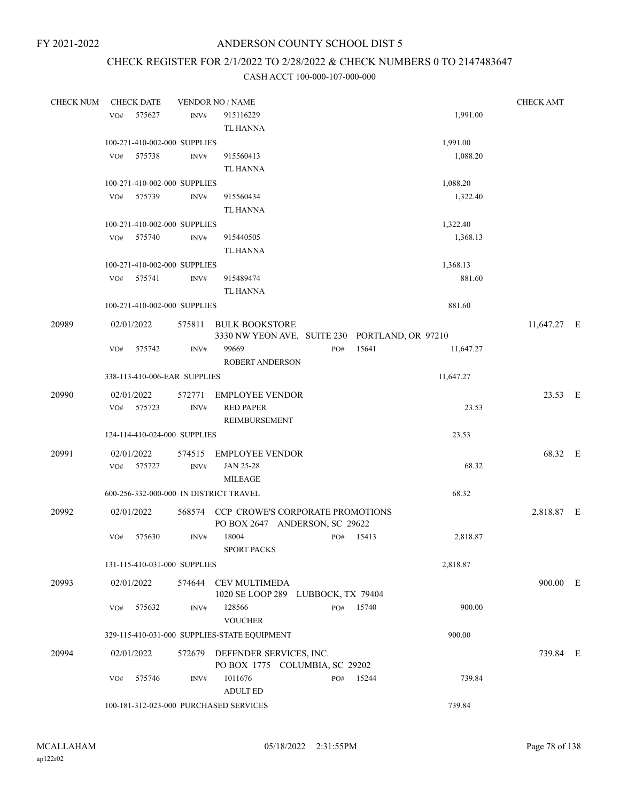# CHECK REGISTER FOR 2/1/2022 TO 2/28/2022 & CHECK NUMBERS 0 TO 2147483647

| <b>CHECK NUM</b> |     | <b>CHECK DATE</b>        |                              | <b>VENDOR NO / NAME</b>                        |     |           |           | <b>CHECK AMT</b> |  |
|------------------|-----|--------------------------|------------------------------|------------------------------------------------|-----|-----------|-----------|------------------|--|
|                  | VO# | 575627                   | INV#                         | 915116229                                      |     |           | 1,991.00  |                  |  |
|                  |     |                          |                              | TL HANNA                                       |     |           |           |                  |  |
|                  |     |                          | 100-271-410-002-000 SUPPLIES |                                                |     |           | 1,991.00  |                  |  |
|                  | VO# | 575738                   | INV#                         | 915560413                                      |     |           | 1,088.20  |                  |  |
|                  |     |                          |                              | TL HANNA                                       |     |           |           |                  |  |
|                  |     |                          | 100-271-410-002-000 SUPPLIES |                                                |     |           | 1,088.20  |                  |  |
|                  |     | VO# 575739               | INV#                         | 915560434                                      |     |           | 1,322.40  |                  |  |
|                  |     |                          |                              | TL HANNA                                       |     |           |           |                  |  |
|                  |     |                          | 100-271-410-002-000 SUPPLIES |                                                |     |           | 1,322.40  |                  |  |
|                  | VO# | 575740                   | INV#                         | 915440505                                      |     |           | 1,368.13  |                  |  |
|                  |     |                          |                              | <b>TL HANNA</b>                                |     |           |           |                  |  |
|                  |     |                          | 100-271-410-002-000 SUPPLIES |                                                |     |           | 1,368.13  |                  |  |
|                  | VO# | 575741                   | INV#                         | 915489474                                      |     |           | 881.60    |                  |  |
|                  |     |                          |                              | <b>TL HANNA</b>                                |     |           |           |                  |  |
|                  |     |                          | 100-271-410-002-000 SUPPLIES |                                                |     |           | 881.60    |                  |  |
| 20989            |     | 02/01/2022               | 575811                       | <b>BULK BOOKSTORE</b>                          |     |           |           | 11,647.27 E      |  |
|                  |     |                          |                              | 3330 NW YEON AVE, SUITE 230 PORTLAND, OR 97210 |     |           |           |                  |  |
|                  | VO# | 575742                   | INV#                         | 99669                                          | PO# | 15641     | 11,647.27 |                  |  |
|                  |     |                          |                              | ROBERT ANDERSON                                |     |           |           |                  |  |
|                  |     |                          | 338-113-410-006-EAR SUPPLIES |                                                |     |           | 11,647.27 |                  |  |
|                  |     |                          |                              |                                                |     |           |           |                  |  |
| 20990            |     | 02/01/2022<br>VO# 575723 | 572771<br>INV#               | <b>EMPLOYEE VENDOR</b><br><b>RED PAPER</b>     |     |           | 23.53     | 23.53 E          |  |
|                  |     |                          |                              | REIMBURSEMENT                                  |     |           |           |                  |  |
|                  |     |                          | 124-114-410-024-000 SUPPLIES |                                                |     |           | 23.53     |                  |  |
|                  |     |                          |                              |                                                |     |           |           |                  |  |
| 20991            |     | 02/01/2022               | 574515                       | <b>EMPLOYEE VENDOR</b>                         |     |           |           | 68.32 E          |  |
|                  | VO# | 575727                   | INV#                         | <b>JAN 25-28</b>                               |     |           | 68.32     |                  |  |
|                  |     |                          |                              | <b>MILEAGE</b>                                 |     |           |           |                  |  |
|                  |     |                          |                              | 600-256-332-000-000 IN DISTRICT TRAVEL         |     |           | 68.32     |                  |  |
| 20992            |     | 02/01/2022               |                              | 568574 CCP CROWE'S CORPORATE PROMOTIONS        |     |           |           | 2,818.87 E       |  |
|                  |     |                          |                              | PO BOX 2647 ANDERSON, SC 29622                 |     |           |           |                  |  |
|                  | VO# | 575630                   | INV#                         | 18004<br>SPORT PACKS                           |     | PO# 15413 | 2,818.87  |                  |  |
|                  |     |                          | 131-115-410-031-000 SUPPLIES |                                                |     |           | 2,818.87  |                  |  |
| 20993            |     | 02/01/2022               |                              | 574644 CEV MULTIMEDA                           |     |           |           | 900.00 E         |  |
|                  |     |                          |                              | 1020 SE LOOP 289 LUBBOCK, TX 79404             |     |           |           |                  |  |
|                  | VO# | 575632                   | INV#                         | 128566                                         |     | PO# 15740 | 900.00    |                  |  |
|                  |     |                          |                              | <b>VOUCHER</b>                                 |     |           |           |                  |  |
|                  |     |                          |                              | 329-115-410-031-000 SUPPLIES-STATE EQUIPMENT   |     |           | 900.00    |                  |  |
| 20994            |     | 02/01/2022               |                              | 572679 DEFENDER SERVICES, INC.                 |     |           |           | 739.84 E         |  |
|                  |     |                          |                              | PO BOX 1775 COLUMBIA, SC 29202                 |     |           |           |                  |  |
|                  | VO# | 575746                   | INV#                         | 1011676                                        | PO# | 15244     | 739.84    |                  |  |
|                  |     |                          |                              | <b>ADULT ED</b>                                |     |           |           |                  |  |
|                  |     |                          |                              | 100-181-312-023-000 PURCHASED SERVICES         |     |           | 739.84    |                  |  |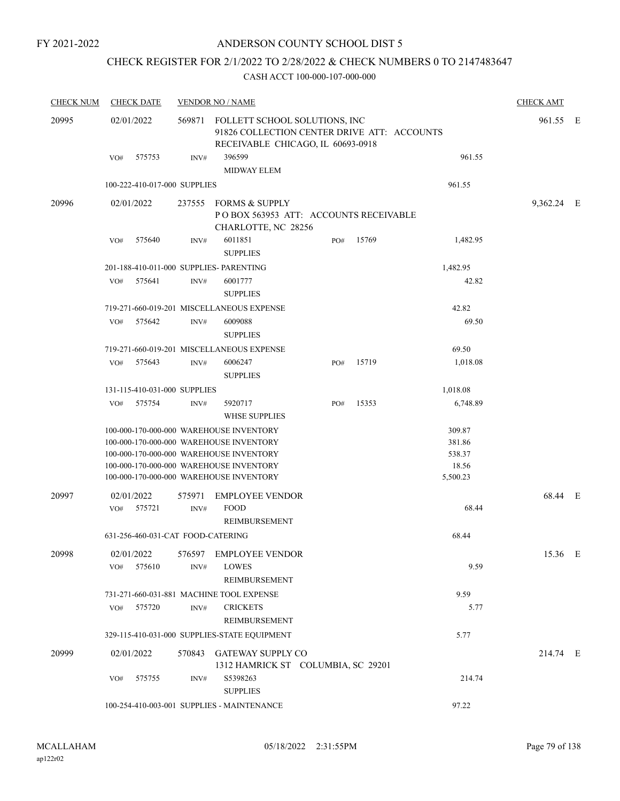# CHECK REGISTER FOR 2/1/2022 TO 2/28/2022 & CHECK NUMBERS 0 TO 2147483647

| <b>CHECK NUM</b> | <b>CHECK DATE</b><br><b>VENDOR NO / NAME</b>                                                                                           |      |                                                                                                                                                                                                                     |     |       |                                                 |            |          |
|------------------|----------------------------------------------------------------------------------------------------------------------------------------|------|---------------------------------------------------------------------------------------------------------------------------------------------------------------------------------------------------------------------|-----|-------|-------------------------------------------------|------------|----------|
| 20995            | 02/01/2022<br>569871 FOLLETT SCHOOL SOLUTIONS, INC<br>91826 COLLECTION CENTER DRIVE ATT: ACCOUNTS<br>RECEIVABLE CHICAGO, IL 60693-0918 |      |                                                                                                                                                                                                                     |     |       |                                                 |            | 961.55 E |
|                  | VO# 575753                                                                                                                             | INV# | 396599<br>MIDWAY ELEM                                                                                                                                                                                               |     |       | 961.55                                          |            |          |
|                  | 100-222-410-017-000 SUPPLIES                                                                                                           |      |                                                                                                                                                                                                                     |     |       | 961.55                                          |            |          |
| 20996            | 02/01/2022                                                                                                                             |      | 237555 FORMS & SUPPLY<br>PO BOX 563953 ATT: ACCOUNTS RECEIVABLE<br>CHARLOTTE, NC 28256                                                                                                                              |     |       |                                                 | 9,362.24 E |          |
|                  | 575640<br>VO#                                                                                                                          | INV# | 6011851<br><b>SUPPLIES</b>                                                                                                                                                                                          | PO# | 15769 | 1,482.95                                        |            |          |
|                  | 201-188-410-011-000 SUPPLIES- PARENTING                                                                                                |      |                                                                                                                                                                                                                     |     |       | 1,482.95                                        |            |          |
|                  | VO#<br>575641                                                                                                                          | INV# | 6001777<br><b>SUPPLIES</b>                                                                                                                                                                                          |     |       | 42.82                                           |            |          |
|                  |                                                                                                                                        |      | 719-271-660-019-201 MISCELLANEOUS EXPENSE                                                                                                                                                                           |     |       | 42.82                                           |            |          |
|                  | 575642<br>VO#                                                                                                                          | INV# | 6009088<br><b>SUPPLIES</b>                                                                                                                                                                                          |     |       | 69.50                                           |            |          |
|                  |                                                                                                                                        |      | 719-271-660-019-201 MISCELLANEOUS EXPENSE                                                                                                                                                                           |     |       | 69.50                                           |            |          |
|                  | VO#<br>575643                                                                                                                          | INV# | 6006247<br><b>SUPPLIES</b>                                                                                                                                                                                          | PO# | 15719 | 1,018.08                                        |            |          |
|                  | 131-115-410-031-000 SUPPLIES                                                                                                           |      |                                                                                                                                                                                                                     |     |       | 1,018.08                                        |            |          |
|                  | VO# 575754                                                                                                                             | INV# | 5920717<br><b>WHSE SUPPLIES</b>                                                                                                                                                                                     | PO# | 15353 | 6,748.89                                        |            |          |
|                  |                                                                                                                                        |      | 100-000-170-000-000 WAREHOUSE INVENTORY<br>100-000-170-000-000 WAREHOUSE INVENTORY<br>100-000-170-000-000 WAREHOUSE INVENTORY<br>100-000-170-000-000 WAREHOUSE INVENTORY<br>100-000-170-000-000 WAREHOUSE INVENTORY |     |       | 309.87<br>381.86<br>538.37<br>18.56<br>5,500.23 |            |          |
| 20997            | 02/01/2022<br>VO# 575721                                                                                                               | INV# | 575971 EMPLOYEE VENDOR<br><b>FOOD</b><br>REIMBURSEMENT                                                                                                                                                              |     |       | 68.44                                           | 68.44 E    |          |
|                  | 631-256-460-031-CAT FOOD-CATERING                                                                                                      |      |                                                                                                                                                                                                                     |     |       | 68.44                                           |            |          |
| 20998            | 02/01/2022<br>575610<br>VO#                                                                                                            | INV# | 576597 EMPLOYEE VENDOR<br><b>LOWES</b><br>REIMBURSEMENT                                                                                                                                                             |     |       | 9.59                                            | 15.36 E    |          |
|                  | 575720<br>VO#                                                                                                                          | INV# | 731-271-660-031-881 MACHINE TOOL EXPENSE<br><b>CRICKETS</b><br>REIMBURSEMENT                                                                                                                                        |     |       | 9.59<br>5.77                                    |            |          |
|                  |                                                                                                                                        |      | 329-115-410-031-000 SUPPLIES-STATE EQUIPMENT                                                                                                                                                                        |     |       | 5.77                                            |            |          |
| 20999            | 02/01/2022                                                                                                                             |      | 570843 GATEWAY SUPPLY CO<br>1312 HAMRICK ST COLUMBIA, SC 29201                                                                                                                                                      |     |       |                                                 | 214.74 E   |          |
|                  | 575755<br>VO#                                                                                                                          | INV# | S5398263<br><b>SUPPLIES</b>                                                                                                                                                                                         |     |       | 214.74                                          |            |          |
|                  |                                                                                                                                        |      | 100-254-410-003-001 SUPPLIES - MAINTENANCE                                                                                                                                                                          |     |       | 97.22                                           |            |          |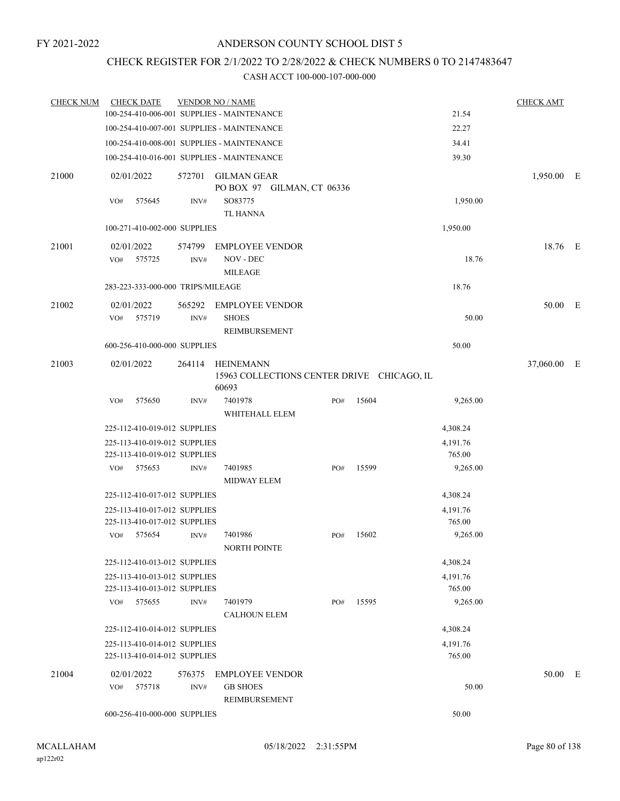### CHECK REGISTER FOR 2/1/2022 TO 2/28/2022 & CHECK NUMBERS 0 TO 2147483647

| <b>CHECK NUM</b> |                   | <b>CHECK DATE</b>                                            |                | <b>VENDOR NO / NAME</b>                                        |     |       |                    | <b>CHECK AMT</b> |   |
|------------------|-------------------|--------------------------------------------------------------|----------------|----------------------------------------------------------------|-----|-------|--------------------|------------------|---|
|                  |                   |                                                              |                | 100-254-410-006-001 SUPPLIES - MAINTENANCE                     |     |       | 21.54              |                  |   |
|                  |                   |                                                              |                | 100-254-410-007-001 SUPPLIES - MAINTENANCE                     |     |       | 22.27              |                  |   |
|                  |                   |                                                              |                | 100-254-410-008-001 SUPPLIES - MAINTENANCE                     |     |       | 34.41              |                  |   |
|                  |                   |                                                              |                | 100-254-410-016-001 SUPPLIES - MAINTENANCE                     |     |       | 39.30              |                  |   |
| 21000            | 02/01/2022        |                                                              | 572701         | <b>GILMAN GEAR</b><br>PO BOX 97 GILMAN, CT 06336               |     |       |                    | 1,950.00         | E |
|                  | VO#               | 575645                                                       | INV#           | SO83775<br><b>TL HANNA</b>                                     |     |       | 1,950.00           |                  |   |
|                  |                   | 100-271-410-002-000 SUPPLIES                                 |                |                                                                |     |       | 1,950.00           |                  |   |
| 21001            | 02/01/2022        |                                                              | 574799         | <b>EMPLOYEE VENDOR</b>                                         |     |       |                    | 18.76 E          |   |
|                  | VO#               | 575725                                                       | INV#           | NOV - DEC<br><b>MILEAGE</b>                                    |     |       | 18.76              |                  |   |
|                  |                   | 283-223-333-000-000 TRIPS/MILEAGE                            |                |                                                                |     |       | 18.76              |                  |   |
| 21002            | 02/01/2022        |                                                              | 565292         | <b>EMPLOYEE VENDOR</b>                                         |     |       |                    | 50.00 E          |   |
|                  | VO#               | 575719                                                       | INV#           | <b>SHOES</b><br>REIMBURSEMENT                                  |     |       | 50.00              |                  |   |
|                  |                   | 600-256-410-000-000 SUPPLIES                                 |                |                                                                |     |       | 50.00              |                  |   |
| 21003            | 02/01/2022        |                                                              | 264114         | <b>HEINEMANN</b><br>15963 COLLECTIONS CENTER DRIVE CHICAGO, IL |     |       |                    | 37,060.00        | E |
|                  |                   |                                                              |                | 60693                                                          |     |       |                    |                  |   |
|                  | VO#               | 575650                                                       | INV#           | 7401978<br>WHITEHALL ELEM                                      | PO# | 15604 | 9,265.00           |                  |   |
|                  |                   | 225-112-410-019-012 SUPPLIES                                 |                |                                                                |     |       | 4,308.24           |                  |   |
|                  |                   | 225-113-410-019-012 SUPPLIES                                 |                |                                                                |     |       | 4,191.76           |                  |   |
|                  |                   | 225-113-410-019-012 SUPPLIES                                 |                |                                                                |     |       | 765.00             |                  |   |
|                  | VO# 575653        |                                                              | INV#           | 7401985<br>MIDWAY ELEM                                         | PO# | 15599 | 9,265.00           |                  |   |
|                  |                   | 225-112-410-017-012 SUPPLIES                                 |                |                                                                |     |       | 4,308.24           |                  |   |
|                  |                   | 225-113-410-017-012 SUPPLIES                                 |                |                                                                |     |       | 4,191.76           |                  |   |
|                  |                   | 225-113-410-017-012 SUPPLIES                                 |                |                                                                |     |       | 765.00             |                  |   |
|                  | VO#               | 575654                                                       | INV#           | 7401986<br>NORTH POINTE                                        | PO# | 15602 | 9,265.00           |                  |   |
|                  |                   | 225-112-410-013-012 SUPPLIES                                 |                |                                                                |     |       | 4,308.24           |                  |   |
|                  |                   | 225-113-410-013-012 SUPPLIES<br>225-113-410-013-012 SUPPLIES |                |                                                                |     |       | 4,191.76<br>765.00 |                  |   |
|                  | VO# 575655        |                                                              | INV#           | 7401979<br><b>CALHOUN ELEM</b>                                 | PO# | 15595 | 9,265.00           |                  |   |
|                  |                   | 225-112-410-014-012 SUPPLIES                                 |                |                                                                |     |       | 4,308.24           |                  |   |
|                  |                   | 225-113-410-014-012 SUPPLIES<br>225-113-410-014-012 SUPPLIES |                |                                                                |     |       | 4,191.76<br>765.00 |                  |   |
| 21004            | 02/01/2022<br>VO# | 575718                                                       | 576375<br>INV# | <b>EMPLOYEE VENDOR</b><br><b>GB SHOES</b>                      |     |       | 50.00              | 50.00 E          |   |
|                  |                   |                                                              |                | REIMBURSEMENT                                                  |     |       |                    |                  |   |
|                  |                   | 600-256-410-000-000 SUPPLIES                                 |                |                                                                |     |       | 50.00              |                  |   |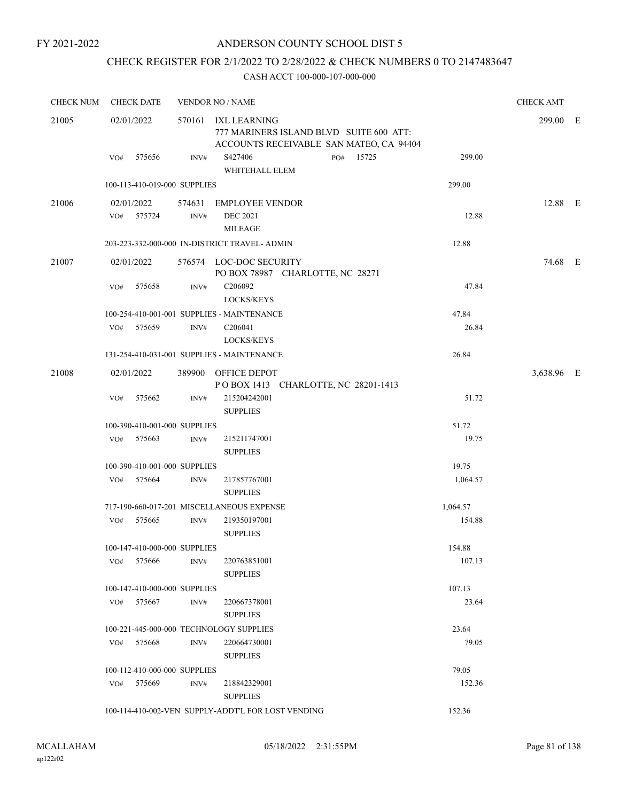### ANDERSON COUNTY SCHOOL DIST 5

### CHECK REGISTER FOR 2/1/2022 TO 2/28/2022 & CHECK NUMBERS 0 TO 2147483647

| <b>CHECK NUM</b> | <b>CHECK DATE</b>            |      | <b>VENDOR NO / NAME</b>                                                                                   |          | <b>CHECK AMT</b> |  |
|------------------|------------------------------|------|-----------------------------------------------------------------------------------------------------------|----------|------------------|--|
| 21005            | 02/01/2022                   |      | 570161 IXL LEARNING<br>777 MARINERS ISLAND BLVD SUITE 600 ATT:<br>ACCOUNTS RECEIVABLE SAN MATEO, CA 94404 |          | 299.00 E         |  |
|                  | VO# 575656                   | INV# | S427406<br>PO# 15725<br>WHITEHALL ELEM                                                                    | 299.00   |                  |  |
|                  | 100-113-410-019-000 SUPPLIES |      |                                                                                                           | 299.00   |                  |  |
| 21006            | 02/01/2022                   |      | 574631 EMPLOYEE VENDOR                                                                                    |          | 12.88 E          |  |
|                  | VO#<br>575724                | INV# | <b>DEC 2021</b><br><b>MILEAGE</b>                                                                         | 12.88    |                  |  |
|                  |                              |      | 203-223-332-000-000 IN-DISTRICT TRAVEL- ADMIN                                                             | 12.88    |                  |  |
| 21007            | 02/01/2022                   |      | 576574 LOC-DOC SECURITY<br>PO BOX 78987 CHARLOTTE, NC 28271                                               |          | 74.68 E          |  |
|                  | VO#<br>575658                | INV# | C206092<br><b>LOCKS/KEYS</b>                                                                              | 47.84    |                  |  |
|                  |                              |      | 100-254-410-001-001 SUPPLIES - MAINTENANCE                                                                | 47.84    |                  |  |
|                  | VO# 575659                   | INV# | C <sub>206041</sub><br>LOCKS/KEYS                                                                         | 26.84    |                  |  |
|                  |                              |      | 131-254-410-031-001 SUPPLIES - MAINTENANCE                                                                | 26.84    |                  |  |
| 21008            | 02/01/2022                   |      | 389900 OFFICE DEPOT<br>POBOX 1413 CHARLOTTE, NC 28201-1413                                                |          | 3,638.96 E       |  |
|                  | VO#<br>575662                | INV# | 215204242001<br><b>SUPPLIES</b>                                                                           | 51.72    |                  |  |
|                  | 100-390-410-001-000 SUPPLIES |      |                                                                                                           | 51.72    |                  |  |
|                  | 575663<br>VO#                | INV# | 215211747001<br><b>SUPPLIES</b>                                                                           | 19.75    |                  |  |
|                  | 100-390-410-001-000 SUPPLIES |      |                                                                                                           | 19.75    |                  |  |
|                  | VO# 575664                   | INV# | 217857767001<br><b>SUPPLIES</b>                                                                           | 1,064.57 |                  |  |
|                  |                              |      | 717-190-660-017-201 MISCELLANEOUS EXPENSE                                                                 | 1,064.57 |                  |  |
|                  | 575665<br>VO#                | INV# | 219350197001<br><b>SUPPLIES</b>                                                                           | 154.88   |                  |  |
|                  | 100-147-410-000-000 SUPPLIES |      |                                                                                                           | 154.88   |                  |  |
|                  | 575666<br>VO#                | INV# | 220763851001<br><b>SUPPLIES</b>                                                                           | 107.13   |                  |  |
|                  | 100-147-410-000-000 SUPPLIES |      |                                                                                                           | 107.13   |                  |  |
|                  | VO#<br>575667                | INV# | 220667378001<br><b>SUPPLIES</b>                                                                           | 23.64    |                  |  |
|                  |                              |      | 100-221-445-000-000 TECHNOLOGY SUPPLIES                                                                   | 23.64    |                  |  |
|                  | 575668<br>VO#                | INV# | 220664730001<br><b>SUPPLIES</b>                                                                           | 79.05    |                  |  |
|                  | 100-112-410-000-000 SUPPLIES |      |                                                                                                           | 79.05    |                  |  |
|                  | 575669<br>VO#                | INV# | 218842329001<br><b>SUPPLIES</b>                                                                           | 152.36   |                  |  |
|                  |                              |      | 100-114-410-002-VEN SUPPLY-ADDT'L FOR LOST VENDING                                                        | 152.36   |                  |  |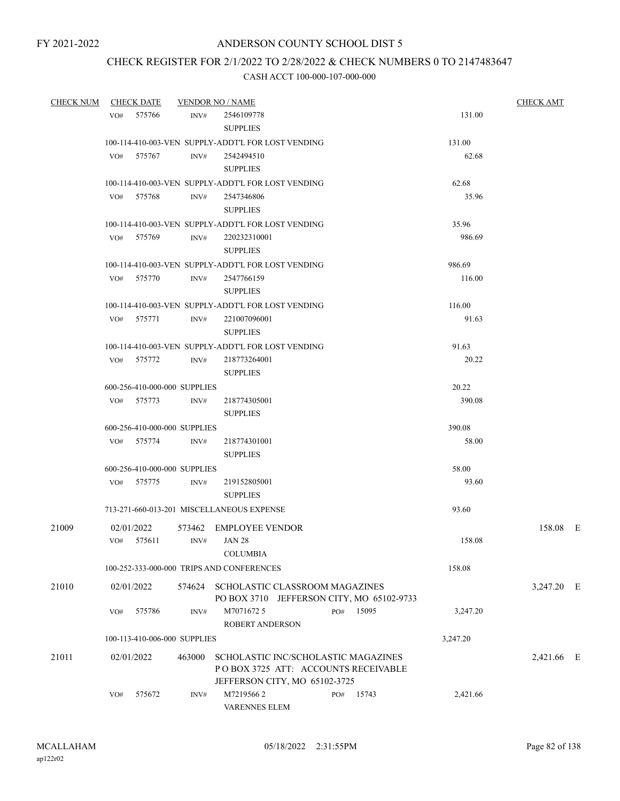# CHECK REGISTER FOR 2/1/2022 TO 2/28/2022 & CHECK NUMBERS 0 TO 2147483647

| <b>CHECK NUM</b> |     | <b>CHECK DATE</b>            |        | <b>VENDOR NO / NAME</b>                                                                                     |     |       |          | <b>CHECK AMT</b> |  |
|------------------|-----|------------------------------|--------|-------------------------------------------------------------------------------------------------------------|-----|-------|----------|------------------|--|
|                  |     | VO# 575766                   | INV#   | 2546109778<br><b>SUPPLIES</b>                                                                               |     |       | 131.00   |                  |  |
|                  |     |                              |        | 100-114-410-003-VEN SUPPLY-ADDT'L FOR LOST VENDING                                                          |     |       | 131.00   |                  |  |
|                  |     | VO# 575767                   | INV#   | 2542494510<br><b>SUPPLIES</b>                                                                               |     |       | 62.68    |                  |  |
|                  |     |                              |        | 100-114-410-003-VEN SUPPLY-ADDT'L FOR LOST VENDING                                                          |     |       | 62.68    |                  |  |
|                  |     | $VO#$ 575768                 | INV#   | 2547346806<br><b>SUPPLIES</b>                                                                               |     |       | 35.96    |                  |  |
|                  |     |                              |        | 100-114-410-003-VEN SUPPLY-ADDT'L FOR LOST VENDING                                                          |     |       | 35.96    |                  |  |
|                  | VO# | 575769                       | INV#   | 220232310001<br><b>SUPPLIES</b>                                                                             |     |       | 986.69   |                  |  |
|                  |     |                              |        | 100-114-410-003-VEN SUPPLY-ADDT'L FOR LOST VENDING                                                          |     |       | 986.69   |                  |  |
|                  |     | VO# 575770                   | INV#   | 2547766159<br><b>SUPPLIES</b>                                                                               |     |       | 116.00   |                  |  |
|                  |     |                              |        | 100-114-410-003-VEN SUPPLY-ADDT'L FOR LOST VENDING                                                          |     |       | 116.00   |                  |  |
|                  |     | VO# 575771                   | INV#   | 221007096001<br><b>SUPPLIES</b>                                                                             |     |       | 91.63    |                  |  |
|                  |     |                              |        | 100-114-410-003-VEN SUPPLY-ADDT'L FOR LOST VENDING                                                          |     |       | 91.63    |                  |  |
|                  |     | VO# 575772                   | INV#   | 218773264001<br><b>SUPPLIES</b>                                                                             |     |       | 20.22    |                  |  |
|                  |     | 600-256-410-000-000 SUPPLIES |        |                                                                                                             |     |       | 20.22    |                  |  |
|                  |     | VO# 575773                   | INV#   | 218774305001<br><b>SUPPLIES</b>                                                                             |     |       | 390.08   |                  |  |
|                  |     | 600-256-410-000-000 SUPPLIES |        |                                                                                                             |     |       | 390.08   |                  |  |
|                  |     | VO# 575774                   | INV#   | 218774301001<br><b>SUPPLIES</b>                                                                             |     |       | 58.00    |                  |  |
|                  |     | 600-256-410-000-000 SUPPLIES |        |                                                                                                             |     |       | 58.00    |                  |  |
|                  |     | VO# 575775                   | INV#   | 219152805001<br><b>SUPPLIES</b>                                                                             |     |       | 93.60    |                  |  |
|                  |     |                              |        | 713-271-660-013-201 MISCELLANEOUS EXPENSE                                                                   |     |       | 93.60    |                  |  |
| 21009            |     | 02/01/2022                   |        | 573462 EMPLOYEE VENDOR                                                                                      |     |       |          | 158.08 E         |  |
|                  |     | VO# 575611                   | INV#   | <b>JAN 28</b><br><b>COLUMBIA</b>                                                                            |     |       | 158.08   |                  |  |
|                  |     |                              |        | 100-252-333-000-000 TRIPS AND CONFERENCES                                                                   |     |       | 158.08   |                  |  |
| 21010            |     | 02/01/2022                   |        | 574624 SCHOLASTIC CLASSROOM MAGAZINES<br>PO BOX 3710 JEFFERSON CITY, MO 65102-9733                          |     |       |          | 3,247.20 E       |  |
|                  | VO# | 575786                       | INV#   | M7071672 5<br>ROBERT ANDERSON                                                                               | PO# | 15095 | 3,247.20 |                  |  |
|                  |     | 100-113-410-006-000 SUPPLIES |        |                                                                                                             |     |       | 3,247.20 |                  |  |
| 21011            |     | 02/01/2022                   | 463000 | SCHOLASTIC INC/SCHOLASTIC MAGAZINES<br>POBOX 3725 ATT: ACCOUNTS RECEIVABLE<br>JEFFERSON CITY, MO 65102-3725 |     |       |          | 2,421.66 E       |  |
|                  | VO# | 575672                       | INV#   | M72195662<br><b>VARENNES ELEM</b>                                                                           | PO# | 15743 | 2,421.66 |                  |  |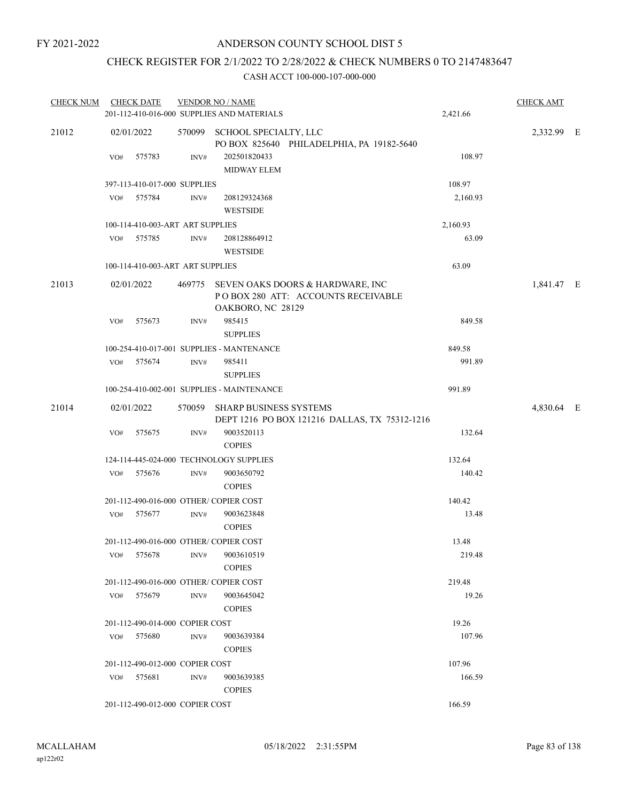# CHECK REGISTER FOR 2/1/2022 TO 2/28/2022 & CHECK NUMBERS 0 TO 2147483647

| <b>CHECK NUM</b> |     | <b>CHECK DATE</b>                |        | <b>VENDOR NO / NAME</b>                                                                            |          | <b>CHECK AMT</b> |  |
|------------------|-----|----------------------------------|--------|----------------------------------------------------------------------------------------------------|----------|------------------|--|
|                  |     |                                  |        | 201-112-410-016-000 SUPPLIES AND MATERIALS                                                         | 2,421.66 |                  |  |
| 21012            |     | 02/01/2022                       |        | 570099 SCHOOL SPECIALTY, LLC<br>PO BOX 825640 PHILADELPHIA, PA 19182-5640                          |          | 2,332.99 E       |  |
|                  | VO# | 575783                           | INV#   | 202501820433<br><b>MIDWAY ELEM</b>                                                                 | 108.97   |                  |  |
|                  |     | 397-113-410-017-000 SUPPLIES     |        |                                                                                                    | 108.97   |                  |  |
|                  | VO# | 575784                           | INV#   | 208129324368<br><b>WESTSIDE</b>                                                                    | 2,160.93 |                  |  |
|                  |     | 100-114-410-003-ART ART SUPPLIES |        |                                                                                                    | 2,160.93 |                  |  |
|                  | VO# | 575785                           | INV#   | 208128864912<br><b>WESTSIDE</b>                                                                    | 63.09    |                  |  |
|                  |     | 100-114-410-003-ART ART SUPPLIES |        |                                                                                                    | 63.09    |                  |  |
| 21013            |     | 02/01/2022                       |        | 469775 SEVEN OAKS DOORS & HARDWARE, INC<br>POBOX 280 ATT: ACCOUNTS RECEIVABLE<br>OAKBORO, NC 28129 |          | 1,841.47 E       |  |
|                  | VO# | 575673                           | INV#   | 985415<br><b>SUPPLIES</b>                                                                          | 849.58   |                  |  |
|                  |     |                                  |        | 100-254-410-017-001 SUPPLIES - MANTENANCE                                                          | 849.58   |                  |  |
|                  | VO# | 575674                           | INV#   | 985411                                                                                             | 991.89   |                  |  |
|                  |     |                                  |        | <b>SUPPLIES</b>                                                                                    |          |                  |  |
|                  |     |                                  |        | 100-254-410-002-001 SUPPLIES - MAINTENANCE                                                         | 991.89   |                  |  |
| 21014            |     | 02/01/2022                       | 570059 | <b>SHARP BUSINESS SYSTEMS</b><br>DEPT 1216 PO BOX 121216 DALLAS, TX 75312-1216                     |          | 4,830.64 E       |  |
|                  | VO# | 575675                           | INV#   | 9003520113<br><b>COPIES</b>                                                                        | 132.64   |                  |  |
|                  |     |                                  |        | 124-114-445-024-000 TECHNOLOGY SUPPLIES                                                            | 132.64   |                  |  |
|                  | VO# | 575676                           | INV#   | 9003650792<br><b>COPIES</b>                                                                        | 140.42   |                  |  |
|                  |     |                                  |        | 201-112-490-016-000 OTHER/ COPIER COST                                                             | 140.42   |                  |  |
|                  | VO# | 575677                           | INV#   | 9003623848<br><b>COPIES</b>                                                                        | 13.48    |                  |  |
|                  |     |                                  |        | 201-112-490-016-000 OTHER/ COPIER COST                                                             | 13.48    |                  |  |
|                  | VO# | 575678                           | INV#   | 9003610519<br><b>COPIES</b>                                                                        | 219.48   |                  |  |
|                  |     |                                  |        | 201-112-490-016-000 OTHER/COPIER COST                                                              | 219.48   |                  |  |
|                  | VO# | 575679                           | INV#   | 9003645042<br><b>COPIES</b>                                                                        | 19.26    |                  |  |
|                  |     | 201-112-490-014-000 COPIER COST  |        |                                                                                                    | 19.26    |                  |  |
|                  | VO# | 575680                           | INV#   | 9003639384<br><b>COPIES</b>                                                                        | 107.96   |                  |  |
|                  |     | 201-112-490-012-000 COPIER COST  |        |                                                                                                    | 107.96   |                  |  |
|                  |     | VO# 575681                       | INV#   | 9003639385<br><b>COPIES</b>                                                                        | 166.59   |                  |  |
|                  |     | 201-112-490-012-000 COPIER COST  |        |                                                                                                    | 166.59   |                  |  |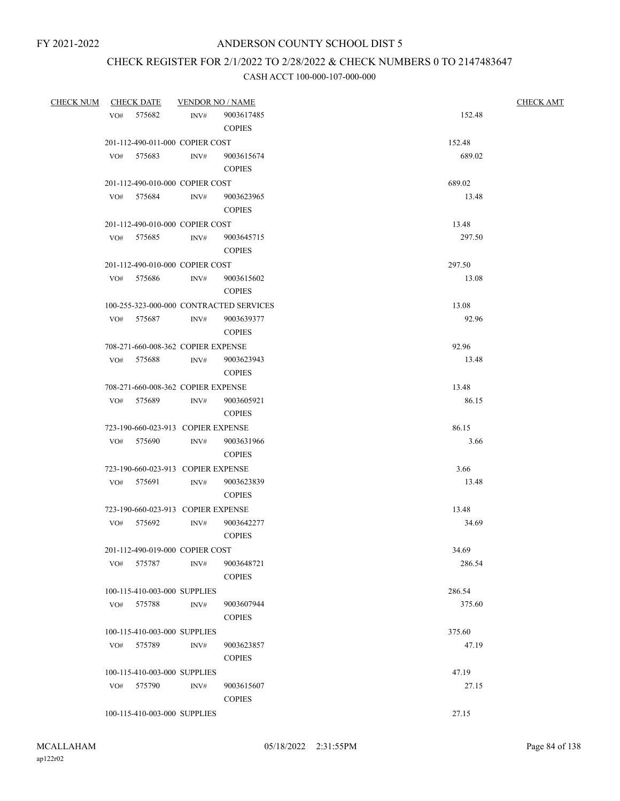# CHECK REGISTER FOR 2/1/2022 TO 2/28/2022 & CHECK NUMBERS 0 TO 2147483647

| <b>CHECK NUM</b> | <b>CHECK DATE</b>                       | <b>VENDOR NO / NAME</b> |               | <b>CHECK AMT</b> |  |
|------------------|-----------------------------------------|-------------------------|---------------|------------------|--|
|                  | VO# 575682                              | INV#                    | 9003617485    | 152.48           |  |
|                  |                                         |                         | <b>COPIES</b> |                  |  |
|                  | 201-112-490-011-000 COPIER COST         |                         |               | 152.48           |  |
|                  | VO# 575683                              | INV#                    | 9003615674    | 689.02           |  |
|                  |                                         |                         | <b>COPIES</b> |                  |  |
|                  | 201-112-490-010-000 COPIER COST         |                         |               | 689.02           |  |
|                  | VO# 575684                              | INV#                    | 9003623965    | 13.48            |  |
|                  |                                         |                         | <b>COPIES</b> |                  |  |
|                  | 201-112-490-010-000 COPIER COST         |                         |               | 13.48            |  |
|                  | VO# 575685                              | INV#                    | 9003645715    | 297.50           |  |
|                  |                                         |                         | <b>COPIES</b> |                  |  |
|                  | 201-112-490-010-000 COPIER COST         |                         |               | 297.50           |  |
|                  | VO# 575686                              | INV#                    | 9003615602    | 13.08            |  |
|                  |                                         |                         | <b>COPIES</b> |                  |  |
|                  | 100-255-323-000-000 CONTRACTED SERVICES |                         |               | 13.08            |  |
|                  | VO# 575687                              | INV#                    | 9003639377    | 92.96            |  |
|                  |                                         |                         | <b>COPIES</b> |                  |  |
|                  | 708-271-660-008-362 COPIER EXPENSE      |                         |               | 92.96            |  |
|                  | VO# 575688                              | INV#                    | 9003623943    | 13.48            |  |
|                  |                                         |                         | <b>COPIES</b> |                  |  |
|                  | 708-271-660-008-362 COPIER EXPENSE      |                         |               | 13.48            |  |
|                  | VO# 575689                              | INV#                    | 9003605921    | 86.15            |  |
|                  |                                         |                         | <b>COPIES</b> |                  |  |
|                  | 723-190-660-023-913 COPIER EXPENSE      |                         |               | 86.15            |  |
|                  | VO# 575690                              | INV#                    | 9003631966    | 3.66             |  |
|                  |                                         |                         | <b>COPIES</b> |                  |  |
|                  | 723-190-660-023-913 COPIER EXPENSE      |                         |               | 3.66             |  |
|                  | VO# 575691                              | INV#                    | 9003623839    | 13.48            |  |
|                  |                                         |                         | <b>COPIES</b> |                  |  |
|                  | 723-190-660-023-913 COPIER EXPENSE      |                         |               | 13.48            |  |
|                  | VO# 575692                              | INV#                    | 9003642277    | 34.69            |  |
|                  |                                         |                         | <b>COPIES</b> |                  |  |
|                  | 201-112-490-019-000 COPIER COST         |                         |               | 34.69            |  |
|                  | VO# 575787                              | INV#                    | 9003648721    | 286.54           |  |
|                  |                                         |                         | <b>COPIES</b> |                  |  |
|                  | 100-115-410-003-000 SUPPLIES            |                         |               | 286.54           |  |
|                  | VO# 575788                              | INV#                    | 9003607944    | 375.60           |  |
|                  |                                         |                         | <b>COPIES</b> |                  |  |
|                  | 100-115-410-003-000 SUPPLIES            |                         |               | 375.60           |  |
|                  | VO# 575789                              | INV#                    | 9003623857    | 47.19            |  |
|                  |                                         |                         | <b>COPIES</b> |                  |  |
|                  | 100-115-410-003-000 SUPPLIES            |                         |               | 47.19            |  |
|                  | VO# 575790                              | INV#                    | 9003615607    | 27.15            |  |
|                  |                                         |                         | <b>COPIES</b> |                  |  |
|                  | 100-115-410-003-000 SUPPLIES            |                         |               | 27.15            |  |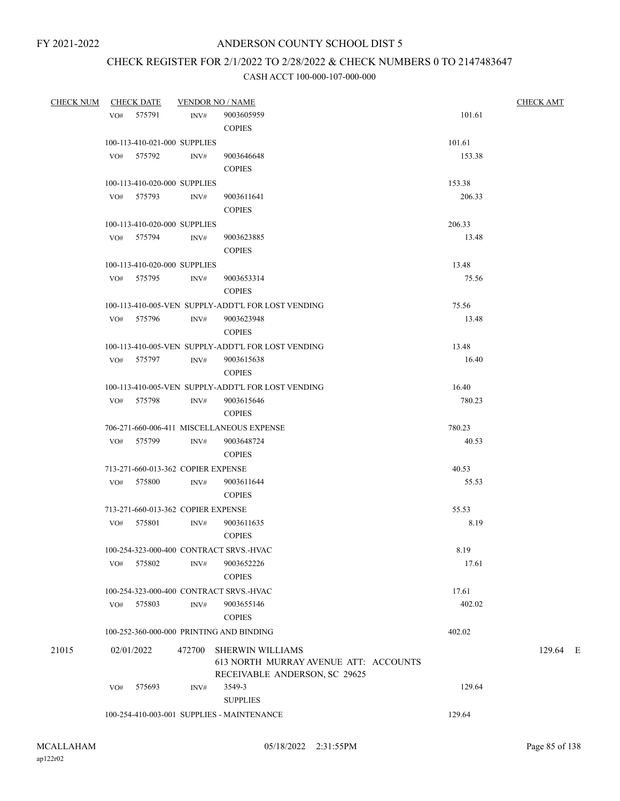# CHECK REGISTER FOR 2/1/2022 TO 2/28/2022 & CHECK NUMBERS 0 TO 2147483647

| <b>CHECK NUM</b> |     | <b>CHECK DATE</b>                  | <b>VENDOR NO / NAME</b> |                                                                                                   |                 | <b>CHECK AMT</b> |
|------------------|-----|------------------------------------|-------------------------|---------------------------------------------------------------------------------------------------|-----------------|------------------|
|                  |     | VO# 575791                         | INV#                    | 9003605959<br><b>COPIES</b>                                                                       | 101.61          |                  |
|                  |     | 100-113-410-021-000 SUPPLIES       |                         |                                                                                                   | 101.61          |                  |
|                  |     | VO# 575792                         | INV#                    | 9003646648                                                                                        | 153.38          |                  |
|                  |     |                                    |                         | <b>COPIES</b>                                                                                     |                 |                  |
|                  |     | 100-113-410-020-000 SUPPLIES       |                         |                                                                                                   | 153.38          |                  |
|                  |     | VO# 575793                         | INV#                    | 9003611641                                                                                        | 206.33          |                  |
|                  |     |                                    |                         | <b>COPIES</b>                                                                                     |                 |                  |
|                  |     | 100-113-410-020-000 SUPPLIES       |                         |                                                                                                   | 206.33          |                  |
|                  |     | VO# 575794                         | INV#                    | 9003623885                                                                                        | 13.48           |                  |
|                  |     |                                    |                         | <b>COPIES</b>                                                                                     |                 |                  |
|                  |     | 100-113-410-020-000 SUPPLIES       |                         |                                                                                                   | 13.48           |                  |
|                  |     | VO# 575795                         | INV#                    | 9003653314                                                                                        | 75.56           |                  |
|                  |     |                                    |                         | <b>COPIES</b>                                                                                     |                 |                  |
|                  |     |                                    |                         | 100-113-410-005-VEN SUPPLY-ADDT'L FOR LOST VENDING                                                | 75.56           |                  |
|                  |     | VO# 575796                         | INV#                    | 9003623948                                                                                        | 13.48           |                  |
|                  |     |                                    |                         | <b>COPIES</b>                                                                                     |                 |                  |
|                  |     |                                    |                         | 100-113-410-005-VEN SUPPLY-ADDT'L FOR LOST VENDING                                                | 13.48           |                  |
|                  |     | VO# 575797                         | INV#                    | 9003615638                                                                                        | 16.40           |                  |
|                  |     |                                    |                         | <b>COPIES</b>                                                                                     |                 |                  |
|                  |     |                                    |                         | 100-113-410-005-VEN SUPPLY-ADDT'L FOR LOST VENDING                                                | 16.40           |                  |
|                  |     | VO# 575798                         | INV#                    | 9003615646                                                                                        | 780.23          |                  |
|                  |     |                                    |                         | <b>COPIES</b>                                                                                     |                 |                  |
|                  |     |                                    |                         | 706-271-660-006-411 MISCELLANEOUS EXPENSE                                                         | 780.23          |                  |
|                  |     | VO# 575799                         | INV#                    | 9003648724                                                                                        | 40.53           |                  |
|                  |     |                                    |                         | <b>COPIES</b>                                                                                     |                 |                  |
|                  |     | 713-271-660-013-362 COPIER EXPENSE |                         |                                                                                                   | 40.53           |                  |
|                  |     | VO# 575800                         | INV#                    | 9003611644                                                                                        | 55.53           |                  |
|                  |     |                                    |                         | <b>COPIES</b>                                                                                     |                 |                  |
|                  |     | 713-271-660-013-362 COPIER EXPENSE |                         |                                                                                                   | 55.53           |                  |
|                  |     | VO# 575801                         | INV#                    | 9003611635                                                                                        | 8.19            |                  |
|                  |     |                                    |                         | <b>COPIES</b>                                                                                     |                 |                  |
|                  |     |                                    |                         | 100-254-323-000-400 CONTRACT SRVS.-HVAC                                                           | 8.19            |                  |
|                  | VO# | 575802                             | INV#                    | 9003652226<br><b>COPIES</b>                                                                       | 17.61           |                  |
|                  |     |                                    |                         |                                                                                                   |                 |                  |
|                  |     | 575803                             | INV#                    | 100-254-323-000-400 CONTRACT SRVS.-HVAC                                                           | 17.61<br>402.02 |                  |
|                  | VO# |                                    |                         | 9003655146<br><b>COPIES</b>                                                                       |                 |                  |
|                  |     |                                    |                         | 100-252-360-000-000 PRINTING AND BINDING                                                          | 402.02          |                  |
| 21015            |     | 02/01/2022                         | 472700                  | <b>SHERWIN WILLIAMS</b><br>613 NORTH MURRAY AVENUE ATT: ACCOUNTS<br>RECEIVABLE ANDERSON, SC 29625 |                 | 129.64 E         |
|                  | VO# | 575693                             | INV#                    | 3549-3                                                                                            | 129.64          |                  |
|                  |     |                                    |                         | <b>SUPPLIES</b>                                                                                   |                 |                  |
|                  |     |                                    |                         | 100-254-410-003-001 SUPPLIES - MAINTENANCE                                                        | 129.64          |                  |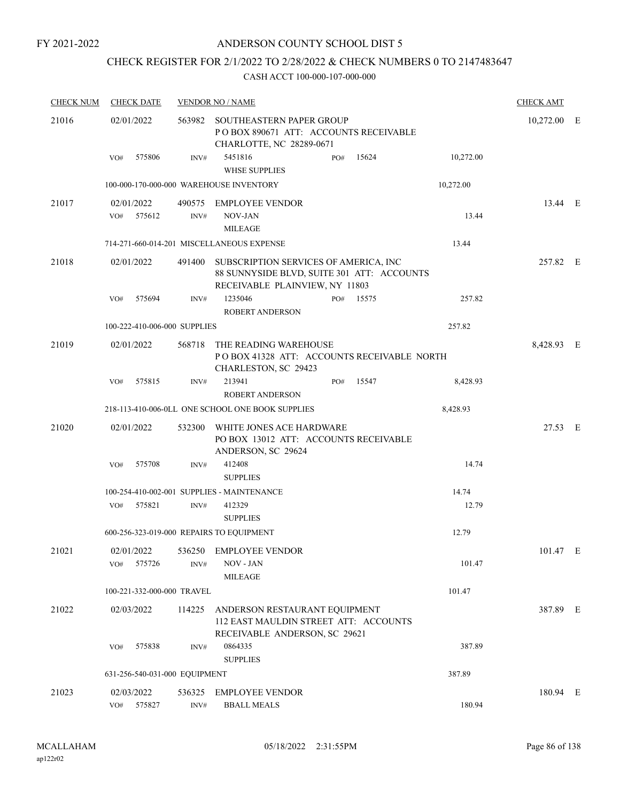### ANDERSON COUNTY SCHOOL DIST 5

### CHECK REGISTER FOR 2/1/2022 TO 2/28/2022 & CHECK NUMBERS 0 TO 2147483647

| <b>CHECK NUM</b> |            | <b>CHECK DATE</b> |                               | <b>VENDOR NO / NAME</b>                                                                                                      |     |       |           | <b>CHECK AMT</b> |  |
|------------------|------------|-------------------|-------------------------------|------------------------------------------------------------------------------------------------------------------------------|-----|-------|-----------|------------------|--|
| 21016            | 02/01/2022 |                   | 563982                        | SOUTHEASTERN PAPER GROUP<br>POBOX 890671 ATT: ACCOUNTS RECEIVABLE<br>CHARLOTTE, NC 28289-0671                                |     |       |           | 10,272.00 E      |  |
|                  | VO#        | 575806            | INV#                          | 5451816<br><b>WHSE SUPPLIES</b>                                                                                              | PO# | 15624 | 10,272.00 |                  |  |
|                  |            |                   |                               | 100-000-170-000-000 WAREHOUSE INVENTORY                                                                                      |     |       | 10,272.00 |                  |  |
| 21017            | 02/01/2022 |                   |                               | 490575 EMPLOYEE VENDOR                                                                                                       |     |       |           | 13.44 E          |  |
|                  | VO#        | 575612            | INV#                          | NOV-JAN<br><b>MILEAGE</b>                                                                                                    |     |       | 13.44     |                  |  |
|                  |            |                   |                               | 714-271-660-014-201 MISCELLANEOUS EXPENSE                                                                                    |     |       | 13.44     |                  |  |
| 21018            | 02/01/2022 |                   |                               | 491400 SUBSCRIPTION SERVICES OF AMERICA, INC<br>88 SUNNYSIDE BLVD, SUITE 301 ATT: ACCOUNTS<br>RECEIVABLE PLAINVIEW, NY 11803 |     |       |           | 257.82 E         |  |
|                  | VO#        | 575694            | INV#                          | 1235046<br>ROBERT ANDERSON                                                                                                   | PO# | 15575 | 257.82    |                  |  |
|                  |            |                   | 100-222-410-006-000 SUPPLIES  |                                                                                                                              |     |       | 257.82    |                  |  |
| 21019            | 02/01/2022 |                   | 568718                        | THE READING WAREHOUSE<br>PO BOX 41328 ATT: ACCOUNTS RECEIVABLE NORTH<br>CHARLESTON, SC 29423                                 |     |       |           | 8,428.93 E       |  |
|                  | VO#        | 575815            | INV#                          | 213941<br><b>ROBERT ANDERSON</b>                                                                                             | PO# | 15547 | 8,428.93  |                  |  |
|                  |            |                   |                               | 218-113-410-006-0LL ONE SCHOOL ONE BOOK SUPPLIES                                                                             |     |       | 8,428.93  |                  |  |
| 21020            | 02/01/2022 |                   | 532300                        | WHITE JONES ACE HARDWARE<br>PO BOX 13012 ATT: ACCOUNTS RECEIVABLE<br>ANDERSON, SC 29624                                      |     |       |           | 27.53 E          |  |
|                  | VO#        | 575708            | INV#                          | 412408<br><b>SUPPLIES</b>                                                                                                    |     |       | 14.74     |                  |  |
|                  |            |                   |                               | 100-254-410-002-001 SUPPLIES - MAINTENANCE                                                                                   |     |       | 14.74     |                  |  |
|                  | VO#        | 575821            | INV#                          | 412329<br><b>SUPPLIES</b>                                                                                                    |     |       | 12.79     |                  |  |
|                  |            |                   |                               | 600-256-323-019-000 REPAIRS TO EQUIPMENT                                                                                     |     |       | 12.79     |                  |  |
| 21021            | 02/01/2022 |                   |                               | 536250 EMPLOYEE VENDOR                                                                                                       |     |       |           | 101.47 E         |  |
|                  | VO# 575726 |                   | INV#                          | NOV - JAN<br><b>MILEAGE</b>                                                                                                  |     |       | 101.47    |                  |  |
|                  |            |                   | 100-221-332-000-000 TRAVEL    |                                                                                                                              |     |       | 101.47    |                  |  |
| 21022            | 02/03/2022 |                   |                               | 114225 ANDERSON RESTAURANT EQUIPMENT<br>112 EAST MAULDIN STREET ATT: ACCOUNTS<br>RECEIVABLE ANDERSON, SC 29621               |     |       |           | 387.89 E         |  |
|                  | VO#        | 575838            | INV#                          | 0864335<br><b>SUPPLIES</b>                                                                                                   |     |       | 387.89    |                  |  |
|                  |            |                   | 631-256-540-031-000 EQUIPMENT |                                                                                                                              |     |       | 387.89    |                  |  |
| 21023            | 02/03/2022 |                   |                               | 536325 EMPLOYEE VENDOR                                                                                                       |     |       |           | 180.94 E         |  |
|                  | VO# 575827 |                   | INV#                          | <b>BBALL MEALS</b>                                                                                                           |     |       | 180.94    |                  |  |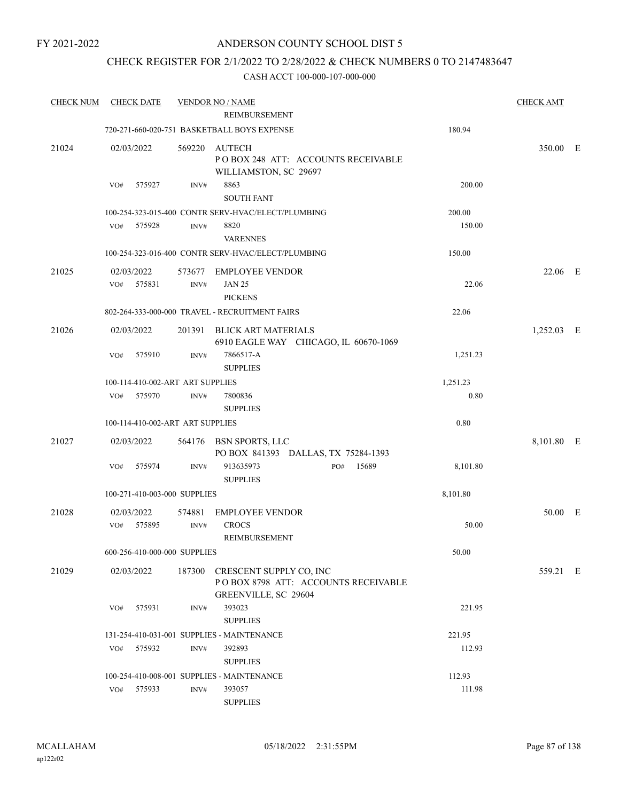### CHECK REGISTER FOR 2/1/2022 TO 2/28/2022 & CHECK NUMBERS 0 TO 2147483647

| <b>CHECK NUM</b> | <b>CHECK DATE</b>                |                | <b>VENDOR NO / NAME</b><br><b>REIMBURSEMENT</b>                                               |          | <b>CHECK AMT</b> |  |
|------------------|----------------------------------|----------------|-----------------------------------------------------------------------------------------------|----------|------------------|--|
|                  |                                  |                |                                                                                               |          |                  |  |
|                  |                                  |                | 720-271-660-020-751 BASKETBALL BOYS EXPENSE                                                   | 180.94   |                  |  |
| 21024            | 02/03/2022                       | 569220         | <b>AUTECH</b><br>POBOX 248 ATT: ACCOUNTS RECEIVABLE<br>WILLIAMSTON, SC 29697                  |          | 350.00 E         |  |
|                  | 575927<br>VO#                    | INV#           | 8863<br><b>SOUTH FANT</b>                                                                     | 200.00   |                  |  |
|                  |                                  |                | 100-254-323-015-400 CONTR SERV-HVAC/ELECT/PLUMBING                                            | 200.00   |                  |  |
|                  | 575928<br>VO#                    | INV#           | 8820<br><b>VARENNES</b>                                                                       | 150.00   |                  |  |
|                  |                                  |                | 100-254-323-016-400 CONTR SERV-HVAC/ELECT/PLUMBING                                            | 150.00   |                  |  |
| 21025            | 02/03/2022                       |                | 573677 EMPLOYEE VENDOR                                                                        |          | 22.06 E          |  |
|                  | 575831<br>VO#                    | INV#           | <b>JAN 25</b><br><b>PICKENS</b>                                                               | 22.06    |                  |  |
|                  |                                  |                | 802-264-333-000-000 TRAVEL - RECRUITMENT FAIRS                                                | 22.06    |                  |  |
| 21026            | 02/03/2022                       | 201391         | <b>BLICK ART MATERIALS</b><br>6910 EAGLE WAY CHICAGO, IL 60670-1069                           |          | 1,252.03 E       |  |
|                  | 575910<br>VO#                    | $\text{INV}\#$ | 7866517-A<br><b>SUPPLIES</b>                                                                  | 1,251.23 |                  |  |
|                  | 100-114-410-002-ART ART SUPPLIES |                |                                                                                               | 1,251.23 |                  |  |
|                  | 575970<br>VO#                    | INV#           | 7800836<br><b>SUPPLIES</b>                                                                    | 0.80     |                  |  |
|                  | 100-114-410-002-ART ART SUPPLIES |                |                                                                                               | 0.80     |                  |  |
| 21027            | 02/03/2022                       |                | 564176 BSN SPORTS, LLC<br>PO BOX 841393 DALLAS, TX 75284-1393                                 |          | 8,101.80 E       |  |
|                  | 575974<br>VO#                    | INV#           | 15689<br>913635973<br>PO#<br><b>SUPPLIES</b>                                                  | 8,101.80 |                  |  |
|                  | 100-271-410-003-000 SUPPLIES     |                |                                                                                               | 8,101.80 |                  |  |
| 21028            | 02/03/2022<br>575895<br>VO#      | 574881<br>INV# | <b>EMPLOYEE VENDOR</b><br><b>CROCS</b><br>REIMBURSEMENT                                       | 50.00    | 50.00 E          |  |
|                  | 600-256-410-000-000 SUPPLIES     |                |                                                                                               | 50.00    |                  |  |
| 21029            | 02/03/2022                       |                | 187300 CRESCENT SUPPLY CO, INC<br>POBOX 8798 ATT: ACCOUNTS RECEIVABLE<br>GREENVILLE, SC 29604 |          | 559.21 E         |  |
|                  | VO#<br>575931                    | INV#           | 393023<br><b>SUPPLIES</b>                                                                     | 221.95   |                  |  |
|                  |                                  |                | 131-254-410-031-001 SUPPLIES - MAINTENANCE                                                    | 221.95   |                  |  |
|                  | 575932<br>VO#                    | INV#           | 392893<br><b>SUPPLIES</b>                                                                     | 112.93   |                  |  |
|                  |                                  |                | 100-254-410-008-001 SUPPLIES - MAINTENANCE                                                    | 112.93   |                  |  |
|                  | 575933<br>VO#                    | INV#           | 393057<br><b>SUPPLIES</b>                                                                     | 111.98   |                  |  |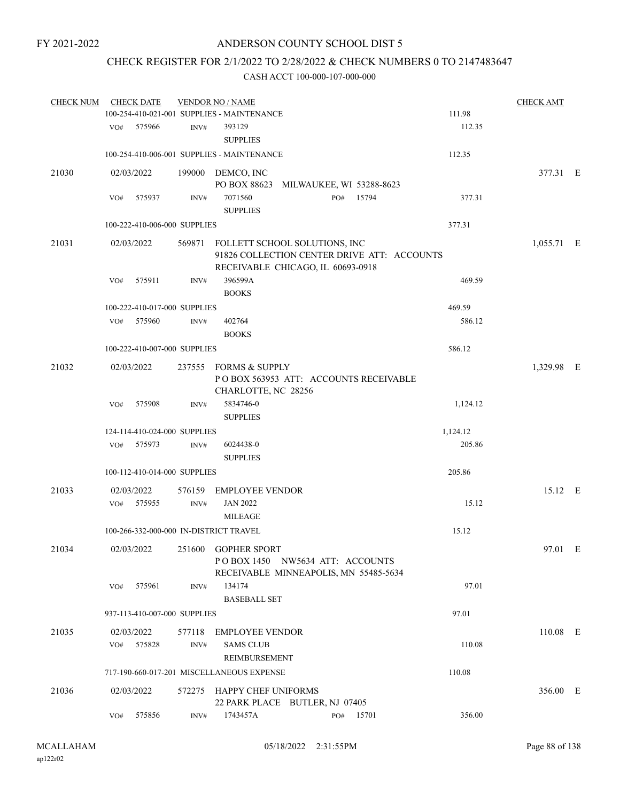# CHECK REGISTER FOR 2/1/2022 TO 2/28/2022 & CHECK NUMBERS 0 TO 2147483647

| <b>CHECK NUM</b> | <b>CHECK DATE</b>                      |      | <b>VENDOR NO / NAME</b>                                                                                    |          | <b>CHECK AMT</b> |  |
|------------------|----------------------------------------|------|------------------------------------------------------------------------------------------------------------|----------|------------------|--|
|                  |                                        |      | 100-254-410-021-001 SUPPLIES - MAINTENANCE                                                                 | 111.98   |                  |  |
|                  | 575966<br>VO#                          | INV# | 393129<br><b>SUPPLIES</b>                                                                                  | 112.35   |                  |  |
|                  |                                        |      | 100-254-410-006-001 SUPPLIES - MAINTENANCE                                                                 | 112.35   |                  |  |
| 21030            | 02/03/2022                             |      | 199000 DEMCO, INC                                                                                          |          | 377.31 E         |  |
|                  |                                        |      | PO BOX 88623<br>MILWAUKEE, WI 53288-8623                                                                   |          |                  |  |
|                  | 575937<br>VO#                          | INV# | 15794<br>7071560<br>PO#<br><b>SUPPLIES</b>                                                                 | 377.31   |                  |  |
|                  | 100-222-410-006-000 SUPPLIES           |      |                                                                                                            | 377.31   |                  |  |
| 21031            | 02/03/2022                             |      | 569871 FOLLETT SCHOOL SOLUTIONS, INC                                                                       |          | 1,055.71 E       |  |
|                  |                                        |      | 91826 COLLECTION CENTER DRIVE ATT: ACCOUNTS<br>RECEIVABLE CHICAGO, IL 60693-0918                           |          |                  |  |
|                  | 575911<br>VO#                          | INV# | 396599A                                                                                                    | 469.59   |                  |  |
|                  |                                        |      | <b>BOOKS</b>                                                                                               |          |                  |  |
|                  | 100-222-410-017-000 SUPPLIES           |      |                                                                                                            | 469.59   |                  |  |
|                  | 575960<br>VO#                          | INV# | 402764                                                                                                     | 586.12   |                  |  |
|                  |                                        |      | <b>BOOKS</b>                                                                                               |          |                  |  |
|                  | 100-222-410-007-000 SUPPLIES           |      |                                                                                                            | 586.12   |                  |  |
| 21032            | 02/03/2022                             |      | 237555 FORMS & SUPPLY<br>POBOX 563953 ATT: ACCOUNTS RECEIVABLE                                             |          | 1,329.98 E       |  |
|                  | 575908<br>VO#                          | INV# | CHARLOTTE, NC 28256<br>5834746-0<br><b>SUPPLIES</b>                                                        | 1,124.12 |                  |  |
|                  | 124-114-410-024-000 SUPPLIES           |      |                                                                                                            | 1,124.12 |                  |  |
|                  | VO#<br>575973                          | INV# | 6024438-0                                                                                                  | 205.86   |                  |  |
|                  |                                        |      | <b>SUPPLIES</b>                                                                                            |          |                  |  |
|                  | 100-112-410-014-000 SUPPLIES           |      |                                                                                                            | 205.86   |                  |  |
| 21033            | 02/03/2022                             |      | 576159 EMPLOYEE VENDOR                                                                                     |          | 15.12 E          |  |
|                  | 575955<br>VO#                          | INV# | <b>JAN 2022</b>                                                                                            | 15.12    |                  |  |
|                  |                                        |      | <b>MILEAGE</b>                                                                                             |          |                  |  |
|                  | 100-266-332-000-000 IN-DISTRICT TRAVEL |      |                                                                                                            | 15.12    |                  |  |
| 21034            |                                        |      | 02/03/2022 251600 GOPHER SPORT<br>POBOX 1450 NW5634 ATT: ACCOUNTS<br>RECEIVABLE MINNEAPOLIS, MN 55485-5634 |          | 97.01 E          |  |
|                  | 575961<br>VO#                          | INV# | 134174<br><b>BASEBALL SET</b>                                                                              | 97.01    |                  |  |
|                  | 937-113-410-007-000 SUPPLIES           |      |                                                                                                            | 97.01    |                  |  |
| 21035            | 02/03/2022                             |      | 577118 EMPLOYEE VENDOR                                                                                     |          | $110.08$ E       |  |
|                  | VO# 575828                             | INV# | <b>SAMS CLUB</b><br>REIMBURSEMENT                                                                          | 110.08   |                  |  |
|                  |                                        |      | 717-190-660-017-201 MISCELLANEOUS EXPENSE                                                                  | 110.08   |                  |  |
| 21036            | 02/03/2022                             |      | 572275 HAPPY CHEF UNIFORMS                                                                                 |          | 356.00 E         |  |
|                  | 575856<br>VO#                          | INV# | 22 PARK PLACE BUTLER, NJ 07405<br>1743457A<br>PO# 15701                                                    | 356.00   |                  |  |
|                  |                                        |      |                                                                                                            |          |                  |  |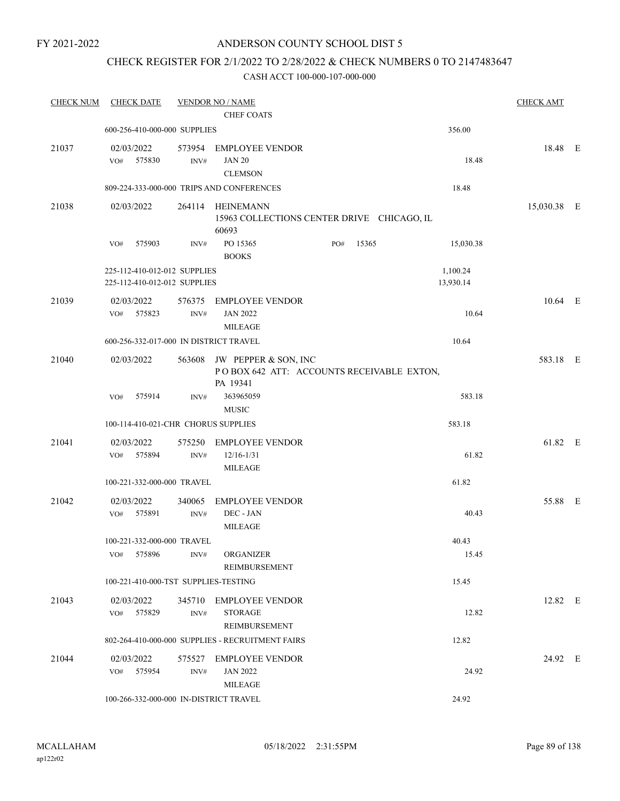### ANDERSON COUNTY SCHOOL DIST 5

### CHECK REGISTER FOR 2/1/2022 TO 2/28/2022 & CHECK NUMBERS 0 TO 2147483647

| <b>CHECK NUM</b> | <b>CHECK DATE</b>                                            |                          | <b>VENDOR NO / NAME</b><br><b>CHEF COATS</b>                                         |     |       |                       | <b>CHECK AMT</b> |  |
|------------------|--------------------------------------------------------------|--------------------------|--------------------------------------------------------------------------------------|-----|-------|-----------------------|------------------|--|
|                  | 600-256-410-000-000 SUPPLIES                                 |                          |                                                                                      |     |       | 356.00                |                  |  |
| 21037            | 02/03/2022<br>575830<br>VO#                                  | INV#                     | 573954 EMPLOYEE VENDOR<br><b>JAN 20</b><br><b>CLEMSON</b>                            |     |       | 18.48                 | 18.48 E          |  |
|                  |                                                              |                          | 809-224-333-000-000 TRIPS AND CONFERENCES                                            |     |       | 18.48                 |                  |  |
| 21038            | 02/03/2022                                                   |                          | 264114 HEINEMANN<br>15963 COLLECTIONS CENTER DRIVE CHICAGO, IL<br>60693              |     |       |                       | 15,030.38 E      |  |
|                  | 575903<br>VO#                                                | INV#                     | PO 15365<br><b>BOOKS</b>                                                             | PO# | 15365 | 15,030.38             |                  |  |
|                  | 225-112-410-012-012 SUPPLIES<br>225-112-410-012-012 SUPPLIES |                          |                                                                                      |     |       | 1,100.24<br>13,930.14 |                  |  |
| 21039            | 02/03/2022<br>VO#<br>575823                                  | 576375<br>INV#           | EMPLOYEE VENDOR<br><b>JAN 2022</b><br><b>MILEAGE</b>                                 |     |       | 10.64                 | 10.64 E          |  |
|                  | 600-256-332-017-000 IN DISTRICT TRAVEL                       |                          |                                                                                      |     |       | 10.64                 |                  |  |
| 21040            | 02/03/2022                                                   |                          | 563608 JW PEPPER & SON, INC<br>POBOX 642 ATT: ACCOUNTS RECEIVABLE EXTON,<br>PA 19341 |     |       |                       | 583.18 E         |  |
|                  | VO#<br>575914                                                | INV#                     | 363965059<br><b>MUSIC</b>                                                            |     |       | 583.18                |                  |  |
|                  | 100-114-410-021-CHR CHORUS SUPPLIES                          |                          |                                                                                      |     |       | 583.18                |                  |  |
| 21041            | 02/03/2022<br>575894<br>VO#                                  | 575250<br>INV#           | EMPLOYEE VENDOR<br>$12/16 - 1/31$<br><b>MILEAGE</b>                                  |     |       | 61.82                 | 61.82 E          |  |
|                  | 100-221-332-000-000 TRAVEL                                   |                          |                                                                                      |     |       | 61.82                 |                  |  |
| 21042            | 02/03/2022<br>VO# 575891                                     | 340065<br>$\text{INV}\#$ | <b>EMPLOYEE VENDOR</b><br>DEC - JAN<br><b>MILEAGE</b>                                |     |       | 40.43                 | 55.88 E          |  |
|                  | 100-221-332-000-000 TRAVEL                                   |                          |                                                                                      |     |       | 40.43                 |                  |  |
|                  | 575896<br>VO#                                                | INV#                     | ORGANIZER<br>REIMBURSEMENT                                                           |     |       | 15.45                 |                  |  |
|                  | 100-221-410-000-TST SUPPLIES-TESTING                         |                          |                                                                                      |     |       | 15.45                 |                  |  |
| 21043            | 02/03/2022<br>575829<br>VO#                                  | 345710<br>INV#           | <b>EMPLOYEE VENDOR</b><br><b>STORAGE</b><br>REIMBURSEMENT                            |     |       | 12.82                 | 12.82 E          |  |
|                  |                                                              |                          | 802-264-410-000-000 SUPPLIES - RECRUITMENT FAIRS                                     |     |       | 12.82                 |                  |  |
| 21044            | 02/03/2022<br>VO#<br>575954                                  | INV#                     | 575527 EMPLOYEE VENDOR<br><b>JAN 2022</b><br><b>MILEAGE</b>                          |     |       | 24.92                 | 24.92 E          |  |
|                  | 100-266-332-000-000 IN-DISTRICT TRAVEL                       |                          |                                                                                      |     |       | 24.92                 |                  |  |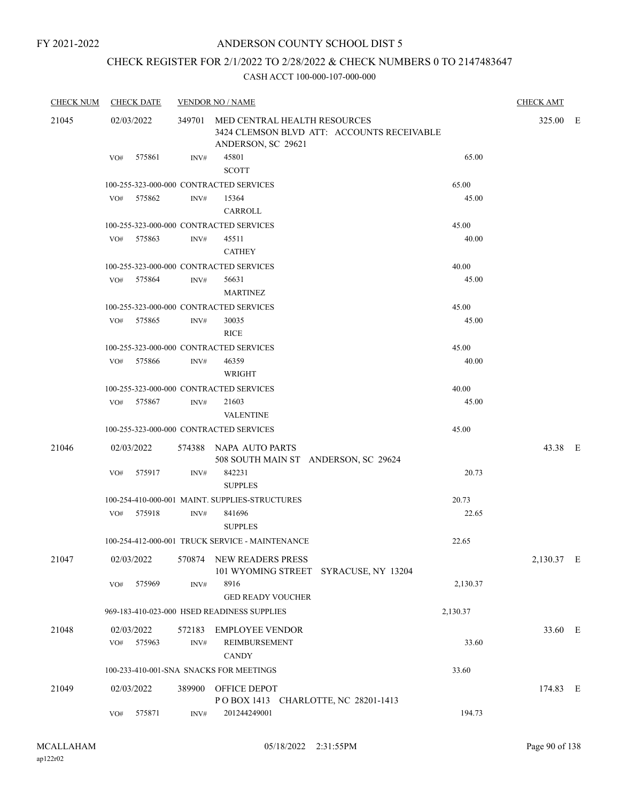### ANDERSON COUNTY SCHOOL DIST 5

# CHECK REGISTER FOR 2/1/2022 TO 2/28/2022 & CHECK NUMBERS 0 TO 2147483647

| <b>CHECK NUM</b> | <b>CHECK DATE</b>                       |                | <b>VENDOR NO / NAME</b>                                                                                 |          | <b>CHECK AMT</b> |  |
|------------------|-----------------------------------------|----------------|---------------------------------------------------------------------------------------------------------|----------|------------------|--|
| 21045            | 02/03/2022                              |                | 349701 MED CENTRAL HEALTH RESOURCES<br>3424 CLEMSON BLVD ATT: ACCOUNTS RECEIVABLE<br>ANDERSON, SC 29621 |          | 325.00 E         |  |
|                  | 575861<br>VO#                           | INV#           | 45801<br><b>SCOTT</b>                                                                                   | 65.00    |                  |  |
|                  | 100-255-323-000-000 CONTRACTED SERVICES |                |                                                                                                         | 65.00    |                  |  |
|                  | VO# 575862                              | INV#           | 15364<br>CARROLL                                                                                        | 45.00    |                  |  |
|                  | 100-255-323-000-000 CONTRACTED SERVICES |                |                                                                                                         | 45.00    |                  |  |
|                  | VO# 575863                              | INV#           | 45511<br><b>CATHEY</b>                                                                                  | 40.00    |                  |  |
|                  | 100-255-323-000-000 CONTRACTED SERVICES |                |                                                                                                         | 40.00    |                  |  |
|                  | VO# 575864                              | INV#           | 56631<br><b>MARTINEZ</b>                                                                                | 45.00    |                  |  |
|                  | 100-255-323-000-000 CONTRACTED SERVICES |                |                                                                                                         | 45.00    |                  |  |
|                  | VO# 575865                              | INV#           | 30035<br><b>RICE</b>                                                                                    | 45.00    |                  |  |
|                  | 100-255-323-000-000 CONTRACTED SERVICES |                |                                                                                                         | 45.00    |                  |  |
|                  | VO# 575866                              | INV#           | 46359<br>WRIGHT                                                                                         | 40.00    |                  |  |
|                  | 100-255-323-000-000 CONTRACTED SERVICES |                |                                                                                                         | 40.00    |                  |  |
|                  | VO# 575867                              | INV#           | 21603<br><b>VALENTINE</b>                                                                               | 45.00    |                  |  |
|                  | 100-255-323-000-000 CONTRACTED SERVICES |                |                                                                                                         | 45.00    |                  |  |
| 21046            | 02/03/2022                              |                | 574388 NAPA AUTO PARTS<br>508 SOUTH MAIN ST ANDERSON, SC 29624                                          |          | 43.38 E          |  |
|                  | VO# 575917                              | INV#           | 842231<br><b>SUPPLES</b>                                                                                | 20.73    |                  |  |
|                  |                                         |                | 100-254-410-000-001 MAINT. SUPPLIES-STRUCTURES                                                          | 20.73    |                  |  |
|                  | VO# 575918                              | INV#           | 841696<br><b>SUPPLES</b>                                                                                | 22.65    |                  |  |
|                  |                                         |                | 100-254-412-000-001 TRUCK SERVICE - MAINTENANCE                                                         | 22.65    |                  |  |
| 21047            | 02/03/2022                              |                | 570874 NEW READERS PRESS<br>101 WYOMING STREET SYRACUSE, NY 13204                                       |          | 2,130.37 E       |  |
|                  | 575969<br>VO#                           | INV#           | 8916<br><b>GED READY VOUCHER</b>                                                                        | 2,130.37 |                  |  |
|                  |                                         |                | 969-183-410-023-000 HSED READINESS SUPPLIES                                                             | 2,130.37 |                  |  |
| 21048            | 02/03/2022<br>575963<br>VO#             | 572183<br>INV# | <b>EMPLOYEE VENDOR</b><br><b>REIMBURSEMENT</b><br><b>CANDY</b>                                          | 33.60    | 33.60 E          |  |
|                  |                                         |                | 100-233-410-001-SNA SNACKS FOR MEETINGS                                                                 | 33.60    |                  |  |
| 21049            | 02/03/2022                              | 389900         | OFFICE DEPOT<br>POBOX 1413 CHARLOTTE, NC 28201-1413                                                     |          | 174.83 E         |  |
|                  | 575871<br>VO#                           | INV#           | 201244249001                                                                                            | 194.73   |                  |  |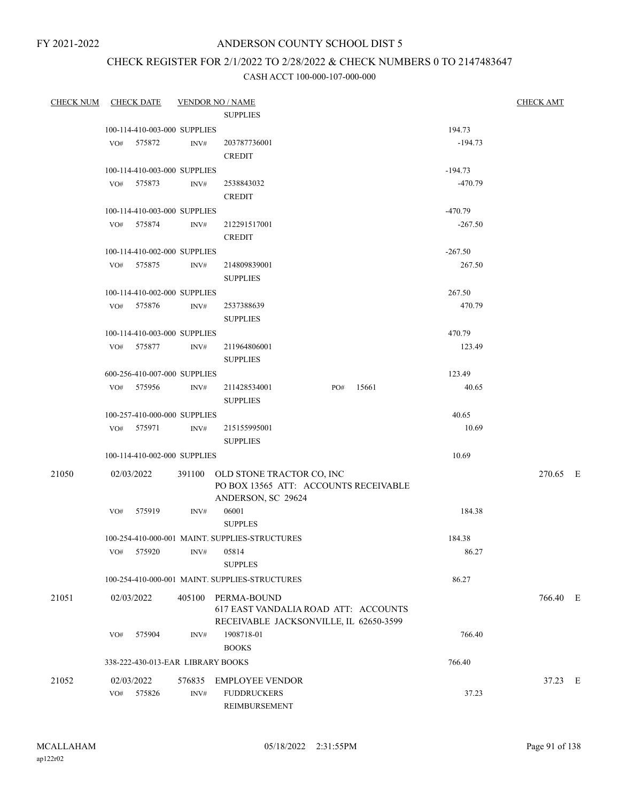### ANDERSON COUNTY SCHOOL DIST 5

# CHECK REGISTER FOR 2/1/2022 TO 2/28/2022 & CHECK NUMBERS 0 TO 2147483647

| CHECK NUM CHECK DATE |            |                                   |        | <b>VENDOR NO / NAME</b>                                                                         |     |       |           | <b>CHECK AMT</b> |
|----------------------|------------|-----------------------------------|--------|-------------------------------------------------------------------------------------------------|-----|-------|-----------|------------------|
|                      |            |                                   |        | <b>SUPPLIES</b>                                                                                 |     |       |           |                  |
|                      |            | 100-114-410-003-000 SUPPLIES      |        |                                                                                                 |     |       | 194.73    |                  |
|                      |            | VO# 575872                        | INV#   | 203787736001<br><b>CREDIT</b>                                                                   |     |       | $-194.73$ |                  |
|                      |            | 100-114-410-003-000 SUPPLIES      |        |                                                                                                 |     |       | $-194.73$ |                  |
|                      |            | VO# 575873                        | INV#   | 2538843032                                                                                      |     |       | $-470.79$ |                  |
|                      |            |                                   |        | <b>CREDIT</b>                                                                                   |     |       |           |                  |
|                      |            | 100-114-410-003-000 SUPPLIES      |        |                                                                                                 |     |       | $-470.79$ |                  |
|                      |            | VO# 575874                        | INV#   | 212291517001<br><b>CREDIT</b>                                                                   |     |       | $-267.50$ |                  |
|                      |            | 100-114-410-002-000 SUPPLIES      |        |                                                                                                 |     |       | $-267.50$ |                  |
|                      |            | VO# 575875                        | INV#   | 214809839001                                                                                    |     |       | 267.50    |                  |
|                      |            |                                   |        | <b>SUPPLIES</b>                                                                                 |     |       |           |                  |
|                      |            | 100-114-410-002-000 SUPPLIES      |        |                                                                                                 |     |       | 267.50    |                  |
|                      |            | VO# 575876                        | INV#   | 2537388639                                                                                      |     |       | 470.79    |                  |
|                      |            |                                   |        | <b>SUPPLIES</b>                                                                                 |     |       |           |                  |
|                      |            | 100-114-410-003-000 SUPPLIES      |        |                                                                                                 |     |       | 470.79    |                  |
|                      |            | VO# 575877                        | INV#   | 211964806001                                                                                    |     |       | 123.49    |                  |
|                      |            |                                   |        | <b>SUPPLIES</b>                                                                                 |     |       |           |                  |
|                      |            | 600-256-410-007-000 SUPPLIES      |        |                                                                                                 |     |       | 123.49    |                  |
|                      |            | VO# 575956                        | INV#   | 211428534001<br><b>SUPPLIES</b>                                                                 | PO# | 15661 | 40.65     |                  |
|                      |            | 100-257-410-000-000 SUPPLIES      |        |                                                                                                 |     |       | 40.65     |                  |
|                      |            | VO# 575971                        | INV#   | 215155995001                                                                                    |     |       | 10.69     |                  |
|                      |            |                                   |        | <b>SUPPLIES</b>                                                                                 |     |       |           |                  |
|                      |            | 100-114-410-002-000 SUPPLIES      |        |                                                                                                 |     |       | 10.69     |                  |
| 21050                | 02/03/2022 |                                   |        | 391100 OLD STONE TRACTOR CO, INC<br>PO BOX 13565 ATT: ACCOUNTS RECEIVABLE<br>ANDERSON, SC 29624 |     |       |           | 270.65 E         |
|                      |            | VO# 575919                        | INV#   | 06001                                                                                           |     |       | 184.38    |                  |
|                      |            |                                   |        | <b>SUPPLES</b>                                                                                  |     |       |           |                  |
|                      |            |                                   |        | 100-254-410-000-001 MAINT. SUPPLIES-STRUCTURES                                                  |     |       | 184.38    |                  |
|                      | VO#        | 575920                            | INV#   | 05814<br><b>SUPPLES</b>                                                                         |     |       | 86.27     |                  |
|                      |            |                                   |        | 100-254-410-000-001 MAINT. SUPPLIES-STRUCTURES                                                  |     |       | 86.27     |                  |
| 21051                | 02/03/2022 |                                   | 405100 | PERMA-BOUND                                                                                     |     |       |           | 766.40 E         |
|                      |            |                                   |        | 617 EAST VANDALIA ROAD ATT: ACCOUNTS<br>RECEIVABLE JACKSONVILLE, IL 62650-3599                  |     |       |           |                  |
|                      | VO#        | 575904                            | INV#   | 1908718-01                                                                                      |     |       | 766.40    |                  |
|                      |            |                                   |        | <b>BOOKS</b>                                                                                    |     |       |           |                  |
|                      |            | 338-222-430-013-EAR LIBRARY BOOKS |        |                                                                                                 |     |       | 766.40    |                  |
| 21052                | 02/03/2022 |                                   | 576835 | <b>EMPLOYEE VENDOR</b>                                                                          |     |       |           | 37.23 E          |
|                      | VO#        | 575826                            | INV#   | <b>FUDDRUCKERS</b><br>REIMBURSEMENT                                                             |     |       | 37.23     |                  |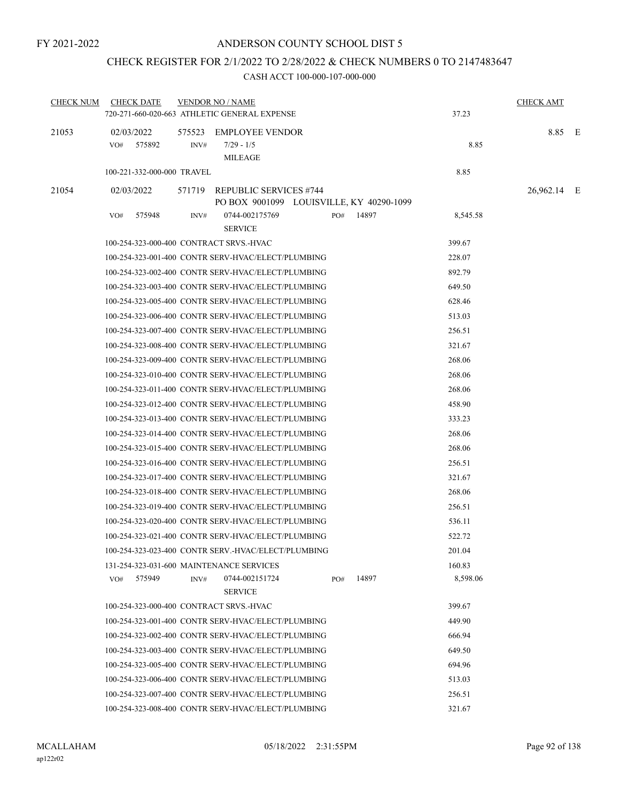### CHECK REGISTER FOR 2/1/2022 TO 2/28/2022 & CHECK NUMBERS 0 TO 2147483647

| <b>CHECK NUM</b> | <b>CHECK DATE</b>                        |      | <b>VENDOR NO / NAME</b><br>720-271-660-020-663 ATHLETIC GENERAL EXPENSE   |     |           | 37.23    | <b>CHECK AMT</b> |  |
|------------------|------------------------------------------|------|---------------------------------------------------------------------------|-----|-----------|----------|------------------|--|
|                  |                                          |      |                                                                           |     |           |          |                  |  |
| 21053            | 02/03/2022<br>VO#<br>575892              | INV# | 575523 EMPLOYEE VENDOR<br>$7/29 - 1/5$<br><b>MILEAGE</b>                  |     |           | 8.85     | 8.85 E           |  |
|                  | 100-221-332-000-000 TRAVEL               |      |                                                                           |     |           | 8.85     |                  |  |
| 21054            | 02/03/2022                               |      | 571719 REPUBLIC SERVICES #744<br>PO BOX 9001099 LOUISVILLE, KY 40290-1099 |     |           |          | 26,962.14 E      |  |
|                  | 575948<br>VO#                            | INV# | 0744-002175769<br><b>SERVICE</b>                                          |     | PO# 14897 | 8,545.58 |                  |  |
|                  | 100-254-323-000-400 CONTRACT SRVS.-HVAC  |      |                                                                           |     |           | 399.67   |                  |  |
|                  |                                          |      | 100-254-323-001-400 CONTR SERV-HVAC/ELECT/PLUMBING                        |     |           | 228.07   |                  |  |
|                  |                                          |      | 100-254-323-002-400 CONTR SERV-HVAC/ELECT/PLUMBING                        |     |           | 892.79   |                  |  |
|                  |                                          |      | 100-254-323-003-400 CONTR SERV-HVAC/ELECT/PLUMBING                        |     |           | 649.50   |                  |  |
|                  |                                          |      | 100-254-323-005-400 CONTR SERV-HVAC/ELECT/PLUMBING                        |     |           | 628.46   |                  |  |
|                  |                                          |      | 100-254-323-006-400 CONTR SERV-HVAC/ELECT/PLUMBING                        |     |           | 513.03   |                  |  |
|                  |                                          |      | 100-254-323-007-400 CONTR SERV-HVAC/ELECT/PLUMBING                        |     |           | 256.51   |                  |  |
|                  |                                          |      | 100-254-323-008-400 CONTR SERV-HVAC/ELECT/PLUMBING                        |     |           | 321.67   |                  |  |
|                  |                                          |      | 100-254-323-009-400 CONTR SERV-HVAC/ELECT/PLUMBING                        |     |           | 268.06   |                  |  |
|                  |                                          |      | 100-254-323-010-400 CONTR SERV-HVAC/ELECT/PLUMBING                        |     |           | 268.06   |                  |  |
|                  |                                          |      | 100-254-323-011-400 CONTR SERV-HVAC/ELECT/PLUMBING                        |     |           | 268.06   |                  |  |
|                  |                                          |      | 100-254-323-012-400 CONTR SERV-HVAC/ELECT/PLUMBING                        |     |           | 458.90   |                  |  |
|                  |                                          |      | 100-254-323-013-400 CONTR SERV-HVAC/ELECT/PLUMBING                        |     |           | 333.23   |                  |  |
|                  |                                          |      | 100-254-323-014-400 CONTR SERV-HVAC/ELECT/PLUMBING                        |     |           | 268.06   |                  |  |
|                  |                                          |      | 100-254-323-015-400 CONTR SERV-HVAC/ELECT/PLUMBING                        |     |           | 268.06   |                  |  |
|                  |                                          |      | 100-254-323-016-400 CONTR SERV-HVAC/ELECT/PLUMBING                        |     |           | 256.51   |                  |  |
|                  |                                          |      | 100-254-323-017-400 CONTR SERV-HVAC/ELECT/PLUMBING                        |     |           | 321.67   |                  |  |
|                  |                                          |      | 100-254-323-018-400 CONTR SERV-HVAC/ELECT/PLUMBING                        |     |           | 268.06   |                  |  |
|                  |                                          |      | 100-254-323-019-400 CONTR SERV-HVAC/ELECT/PLUMBING                        |     |           | 256.51   |                  |  |
|                  |                                          |      | 100-254-323-020-400 CONTR SERV-HVAC/ELECT/PLUMBING                        |     |           | 536.11   |                  |  |
|                  |                                          |      | 100-254-323-021-400 CONTR SERV-HVAC/ELECT/PLUMBING                        |     |           | 522.72   |                  |  |
|                  |                                          |      | 100-254-323-023-400 CONTR SERV.-HVAC/ELECT/PLUMBING                       |     |           | 201.04   |                  |  |
|                  | 131-254-323-031-600 MAINTENANCE SERVICES |      |                                                                           |     |           | 160.83   |                  |  |
|                  | 575949<br>VO#                            | INV# | 0744-002151724<br><b>SERVICE</b>                                          | PO# | 14897     | 8,598.06 |                  |  |
|                  | 100-254-323-000-400 CONTRACT SRVS.-HVAC  |      |                                                                           |     |           | 399.67   |                  |  |
|                  |                                          |      | 100-254-323-001-400 CONTR SERV-HVAC/ELECT/PLUMBING                        |     |           | 449.90   |                  |  |
|                  |                                          |      | 100-254-323-002-400 CONTR SERV-HVAC/ELECT/PLUMBING                        |     |           | 666.94   |                  |  |
|                  |                                          |      | 100-254-323-003-400 CONTR SERV-HVAC/ELECT/PLUMBING                        |     |           | 649.50   |                  |  |
|                  |                                          |      | 100-254-323-005-400 CONTR SERV-HVAC/ELECT/PLUMBING                        |     |           | 694.96   |                  |  |
|                  |                                          |      | 100-254-323-006-400 CONTR SERV-HVAC/ELECT/PLUMBING                        |     |           | 513.03   |                  |  |
|                  |                                          |      | 100-254-323-007-400 CONTR SERV-HVAC/ELECT/PLUMBING                        |     |           | 256.51   |                  |  |
|                  |                                          |      | 100-254-323-008-400 CONTR SERV-HVAC/ELECT/PLUMBING                        |     |           | 321.67   |                  |  |
|                  |                                          |      |                                                                           |     |           |          |                  |  |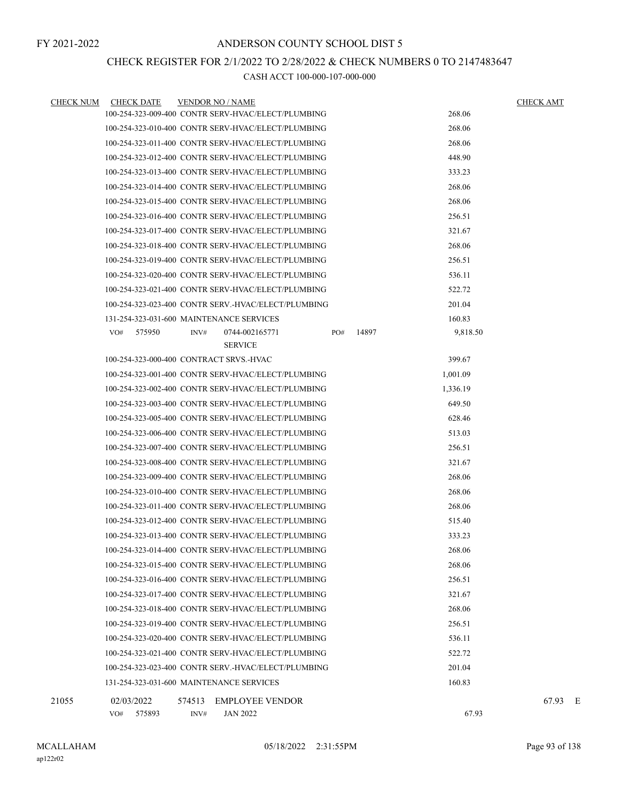### CHECK REGISTER FOR 2/1/2022 TO 2/28/2022 & CHECK NUMBERS 0 TO 2147483647

| <b>CHECK NUM</b> | <b>CHECK DATE</b>                        | <b>VENDOR NO / NAME</b> |                                                     |     |       |          | <b>CHECK AMT</b> |
|------------------|------------------------------------------|-------------------------|-----------------------------------------------------|-----|-------|----------|------------------|
|                  |                                          |                         | 100-254-323-009-400 CONTR SERV-HVAC/ELECT/PLUMBING  |     |       | 268.06   |                  |
|                  |                                          |                         | 100-254-323-010-400 CONTR SERV-HVAC/ELECT/PLUMBING  |     |       | 268.06   |                  |
|                  |                                          |                         | 100-254-323-011-400 CONTR SERV-HVAC/ELECT/PLUMBING  |     |       | 268.06   |                  |
|                  |                                          |                         | 100-254-323-012-400 CONTR SERV-HVAC/ELECT/PLUMBING  |     |       | 448.90   |                  |
|                  |                                          |                         | 100-254-323-013-400 CONTR SERV-HVAC/ELECT/PLUMBING  |     |       | 333.23   |                  |
|                  |                                          |                         | 100-254-323-014-400 CONTR SERV-HVAC/ELECT/PLUMBING  |     |       | 268.06   |                  |
|                  |                                          |                         | 100-254-323-015-400 CONTR SERV-HVAC/ELECT/PLUMBING  |     |       | 268.06   |                  |
|                  |                                          |                         | 100-254-323-016-400 CONTR SERV-HVAC/ELECT/PLUMBING  |     |       | 256.51   |                  |
|                  |                                          |                         | 100-254-323-017-400 CONTR SERV-HVAC/ELECT/PLUMBING  |     |       | 321.67   |                  |
|                  |                                          |                         | 100-254-323-018-400 CONTR SERV-HVAC/ELECT/PLUMBING  |     |       | 268.06   |                  |
|                  |                                          |                         | 100-254-323-019-400 CONTR SERV-HVAC/ELECT/PLUMBING  |     |       | 256.51   |                  |
|                  |                                          |                         | 100-254-323-020-400 CONTR SERV-HVAC/ELECT/PLUMBING  |     |       | 536.11   |                  |
|                  |                                          |                         | 100-254-323-021-400 CONTR SERV-HVAC/ELECT/PLUMBING  |     |       | 522.72   |                  |
|                  |                                          |                         | 100-254-323-023-400 CONTR SERV.-HVAC/ELECT/PLUMBING |     |       | 201.04   |                  |
|                  | 131-254-323-031-600 MAINTENANCE SERVICES |                         |                                                     |     |       | 160.83   |                  |
|                  | $VO#$ 575950                             | INV#                    | 0744-002165771                                      | PO# | 14897 | 9,818.50 |                  |
|                  |                                          |                         | <b>SERVICE</b>                                      |     |       |          |                  |
|                  | 100-254-323-000-400 CONTRACT SRVS.-HVAC  |                         |                                                     |     |       | 399.67   |                  |
|                  |                                          |                         | 100-254-323-001-400 CONTR SERV-HVAC/ELECT/PLUMBING  |     |       | 1,001.09 |                  |
|                  |                                          |                         | 100-254-323-002-400 CONTR SERV-HVAC/ELECT/PLUMBING  |     |       | 1,336.19 |                  |
|                  |                                          |                         | 100-254-323-003-400 CONTR SERV-HVAC/ELECT/PLUMBING  |     |       | 649.50   |                  |
|                  |                                          |                         | 100-254-323-005-400 CONTR SERV-HVAC/ELECT/PLUMBING  |     |       | 628.46   |                  |
|                  |                                          |                         | 100-254-323-006-400 CONTR SERV-HVAC/ELECT/PLUMBING  |     |       | 513.03   |                  |
|                  |                                          |                         | 100-254-323-007-400 CONTR SERV-HVAC/ELECT/PLUMBING  |     |       | 256.51   |                  |
|                  |                                          |                         | 100-254-323-008-400 CONTR SERV-HVAC/ELECT/PLUMBING  |     |       | 321.67   |                  |
|                  |                                          |                         | 100-254-323-009-400 CONTR SERV-HVAC/ELECT/PLUMBING  |     |       | 268.06   |                  |
|                  |                                          |                         | 100-254-323-010-400 CONTR SERV-HVAC/ELECT/PLUMBING  |     |       | 268.06   |                  |
|                  |                                          |                         | 100-254-323-011-400 CONTR SERV-HVAC/ELECT/PLUMBING  |     |       | 268.06   |                  |
|                  |                                          |                         | 100-254-323-012-400 CONTR SERV-HVAC/ELECT/PLUMBING  |     |       | 515.40   |                  |
|                  |                                          |                         | 100-254-323-013-400 CONTR SERV-HVAC/ELECT/PLUMBING  |     |       | 333.23   |                  |
|                  |                                          |                         | 100-254-323-014-400 CONTR SERV-HVAC/ELECT/PLUMBING  |     |       | 268.06   |                  |
|                  |                                          |                         | 100-254-323-015-400 CONTR SERV-HVAC/ELECT/PLUMBING  |     |       | 268.06   |                  |
|                  |                                          |                         | 100-254-323-016-400 CONTR SERV-HVAC/ELECT/PLUMBING  |     |       | 256.51   |                  |
|                  |                                          |                         | 100-254-323-017-400 CONTR SERV-HVAC/ELECT/PLUMBING  |     |       | 321.67   |                  |
|                  |                                          |                         | 100-254-323-018-400 CONTR SERV-HVAC/ELECT/PLUMBING  |     |       | 268.06   |                  |
|                  |                                          |                         | 100-254-323-019-400 CONTR SERV-HVAC/ELECT/PLUMBING  |     |       | 256.51   |                  |
|                  |                                          |                         | 100-254-323-020-400 CONTR SERV-HVAC/ELECT/PLUMBING  |     |       | 536.11   |                  |
|                  |                                          |                         | 100-254-323-021-400 CONTR SERV-HVAC/ELECT/PLUMBING  |     |       | 522.72   |                  |
|                  |                                          |                         | 100-254-323-023-400 CONTR SERV.-HVAC/ELECT/PLUMBING |     |       | 201.04   |                  |
|                  | 131-254-323-031-600 MAINTENANCE SERVICES |                         |                                                     |     |       | 160.83   |                  |
| 21055            | 02/03/2022                               | 574513                  | <b>EMPLOYEE VENDOR</b>                              |     |       |          | 67.93 E          |
|                  | VO# 575893                               | INV#                    | <b>JAN 2022</b>                                     |     |       | 67.93    |                  |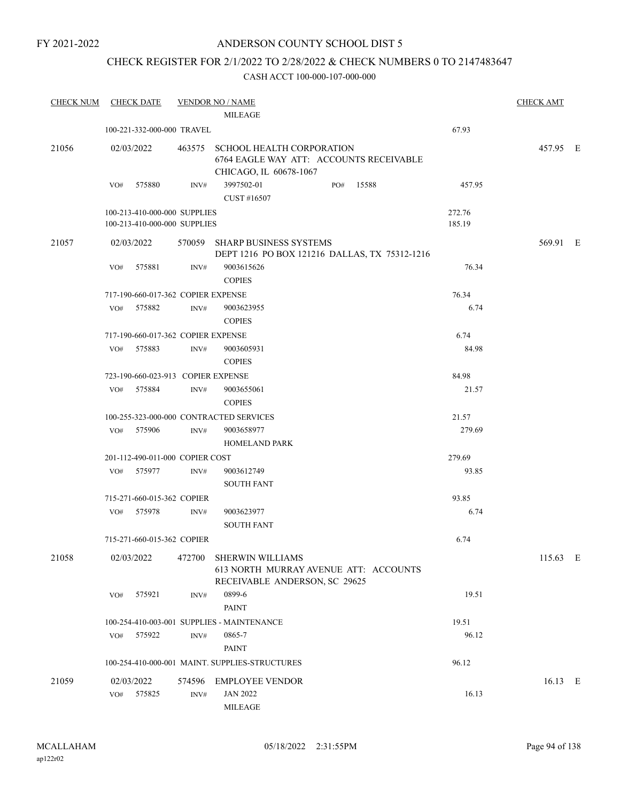### ANDERSON COUNTY SCHOOL DIST 5

### CHECK REGISTER FOR 2/1/2022 TO 2/28/2022 & CHECK NUMBERS 0 TO 2147483647

| <b>CHECK NUM</b> | <b>CHECK DATE</b>                                            |        | <b>VENDOR NO / NAME</b>                                                                               |                  | <b>CHECK AMT</b> |  |
|------------------|--------------------------------------------------------------|--------|-------------------------------------------------------------------------------------------------------|------------------|------------------|--|
|                  |                                                              |        | <b>MILEAGE</b>                                                                                        |                  |                  |  |
|                  | 100-221-332-000-000 TRAVEL                                   |        |                                                                                                       | 67.93            |                  |  |
| 21056            | 02/03/2022                                                   |        | 463575 SCHOOL HEALTH CORPORATION<br>6764 EAGLE WAY ATT: ACCOUNTS RECEIVABLE<br>CHICAGO, IL 60678-1067 |                  | 457.95 E         |  |
|                  | VO#<br>575880                                                | INV#   | 3997502-01<br>15588<br>PO#<br>CUST #16507                                                             | 457.95           |                  |  |
|                  | 100-213-410-000-000 SUPPLIES<br>100-213-410-000-000 SUPPLIES |        |                                                                                                       | 272.76<br>185.19 |                  |  |
| 21057            | 02/03/2022                                                   |        | 570059 SHARP BUSINESS SYSTEMS<br>DEPT 1216 PO BOX 121216 DALLAS, TX 75312-1216                        |                  | 569.91 E         |  |
|                  | 575881<br>VO#                                                | INV#   | 9003615626<br><b>COPIES</b>                                                                           | 76.34            |                  |  |
|                  | 717-190-660-017-362 COPIER EXPENSE                           |        |                                                                                                       | 76.34            |                  |  |
|                  | 575882<br>VO#                                                | INV#   | 9003623955<br><b>COPIES</b>                                                                           | 6.74             |                  |  |
|                  | 717-190-660-017-362 COPIER EXPENSE                           |        |                                                                                                       | 6.74             |                  |  |
|                  | VO#<br>575883                                                | INV#   | 9003605931<br><b>COPIES</b>                                                                           | 84.98            |                  |  |
|                  | 723-190-660-023-913 COPIER EXPENSE                           |        |                                                                                                       | 84.98            |                  |  |
|                  | 575884<br>VO#                                                | INV#   | 9003655061<br><b>COPIES</b>                                                                           | 21.57            |                  |  |
|                  | 100-255-323-000-000 CONTRACTED SERVICES                      |        |                                                                                                       | 21.57            |                  |  |
|                  | VO#<br>575906                                                | INV#   | 9003658977<br><b>HOMELAND PARK</b>                                                                    | 279.69           |                  |  |
|                  | 201-112-490-011-000 COPIER COST                              |        |                                                                                                       | 279.69           |                  |  |
|                  | 575977<br>VO#                                                | INV#   | 9003612749<br><b>SOUTH FANT</b>                                                                       | 93.85            |                  |  |
|                  | 715-271-660-015-362 COPIER                                   |        |                                                                                                       | 93.85            |                  |  |
|                  | 575978<br>VO#                                                | INV#   | 9003623977<br><b>SOUTH FANT</b>                                                                       | 6.74             |                  |  |
|                  | 715-271-660-015-362 COPIER                                   |        |                                                                                                       | 6.74             |                  |  |
| 21058            | 02/03/2022                                                   | 472700 | SHERWIN WILLIAMS<br>613 NORTH MURRAY AVENUE ATT: ACCOUNTS<br>RECEIVABLE ANDERSON, SC 29625            |                  | 115.63 E         |  |
|                  | 575921<br>VO#                                                | INV#   | 0899-6<br><b>PAINT</b>                                                                                | 19.51            |                  |  |
|                  |                                                              |        | 100-254-410-003-001 SUPPLIES - MAINTENANCE                                                            | 19.51            |                  |  |
|                  | VO#<br>575922                                                | INV#   | 0865-7<br><b>PAINT</b>                                                                                | 96.12            |                  |  |
|                  |                                                              |        | 100-254-410-000-001 MAINT. SUPPLIES-STRUCTURES                                                        | 96.12            |                  |  |
| 21059            | 02/03/2022<br>575825<br>VO#                                  | INV#   | 574596 EMPLOYEE VENDOR<br><b>JAN 2022</b><br><b>MILEAGE</b>                                           | 16.13            | 16.13 E          |  |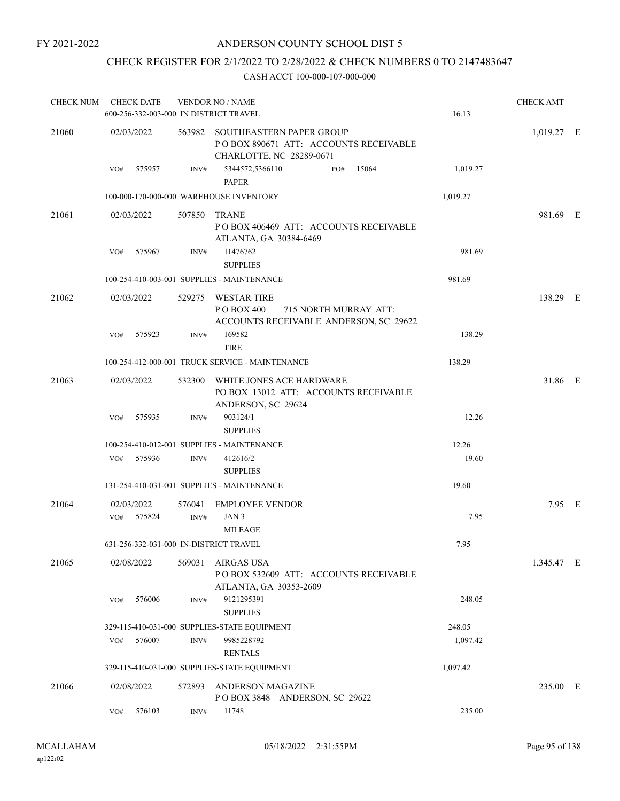### ANDERSON COUNTY SCHOOL DIST 5

### CHECK REGISTER FOR 2/1/2022 TO 2/28/2022 & CHECK NUMBERS 0 TO 2147483647

| <b>CHECK NUM</b> | <b>CHECK DATE</b> |        |        | <b>VENDOR NO / NAME</b><br>600-256-332-003-000 IN DISTRICT TRAVEL                                     | 16.13    | <b>CHECK AMT</b> |  |
|------------------|-------------------|--------|--------|-------------------------------------------------------------------------------------------------------|----------|------------------|--|
| 21060            | 02/03/2022        |        |        | 563982 SOUTHEASTERN PAPER GROUP<br>PO BOX 890671 ATT: ACCOUNTS RECEIVABLE<br>CHARLOTTE, NC 28289-0671 |          | 1,019.27 E       |  |
|                  | VO#               | 575957 | INV#   | 15064<br>5344572,5366110<br>PO#<br><b>PAPER</b>                                                       | 1,019.27 |                  |  |
|                  |                   |        |        | 100-000-170-000-000 WAREHOUSE INVENTORY                                                               | 1,019.27 |                  |  |
| 21061            | 02/03/2022        |        |        | 507850 TRANE<br>POBOX 406469 ATT: ACCOUNTS RECEIVABLE<br>ATLANTA, GA 30384-6469                       |          | 981.69 E         |  |
|                  | VO#               | 575967 | INV#   | 11476762<br><b>SUPPLIES</b>                                                                           | 981.69   |                  |  |
|                  |                   |        |        | 100-254-410-003-001 SUPPLIES - MAINTENANCE                                                            | 981.69   |                  |  |
| 21062            | 02/03/2022        |        |        | 529275 WESTAR TIRE<br>P O BOX 400<br>715 NORTH MURRAY ATT:<br>ACCOUNTS RECEIVABLE ANDERSON, SC 29622  |          | 138.29 E         |  |
|                  | VO#               | 575923 | INV#   | 169582<br><b>TIRE</b>                                                                                 | 138.29   |                  |  |
|                  |                   |        |        | 100-254-412-000-001 TRUCK SERVICE - MAINTENANCE                                                       | 138.29   |                  |  |
| 21063            | 02/03/2022        |        |        | 532300 WHITE JONES ACE HARDWARE<br>PO BOX 13012 ATT: ACCOUNTS RECEIVABLE<br>ANDERSON, SC 29624        |          | 31.86 E          |  |
|                  | VO#               | 575935 | INV#   | 903124/1<br><b>SUPPLIES</b>                                                                           | 12.26    |                  |  |
|                  |                   |        |        | 100-254-410-012-001 SUPPLIES - MAINTENANCE                                                            | 12.26    |                  |  |
|                  | VO#               | 575936 | INV#   | 412616/2<br><b>SUPPLIES</b>                                                                           | 19.60    |                  |  |
|                  |                   |        |        | 131-254-410-031-001 SUPPLIES - MAINTENANCE                                                            | 19.60    |                  |  |
| 21064            | 02/03/2022        |        |        | 576041 EMPLOYEE VENDOR                                                                                |          | $7.95$ E         |  |
|                  | VO#               | 575824 | INV#   | JAN <sub>3</sub><br><b>MILEAGE</b>                                                                    | 7.95     |                  |  |
|                  |                   |        |        | 631-256-332-031-000 IN-DISTRICT TRAVEL                                                                | 7.95     |                  |  |
| 21065            | 02/08/2022        |        |        | 569031 AIRGAS USA<br>POBOX 532609 ATT: ACCOUNTS RECEIVABLE<br>ATLANTA, GA 30353-2609                  |          | 1,345.47 E       |  |
|                  | VO#               | 576006 | INV#   | 9121295391<br><b>SUPPLIES</b>                                                                         | 248.05   |                  |  |
|                  |                   |        |        | 329-115-410-031-000 SUPPLIES-STATE EQUIPMENT                                                          | 248.05   |                  |  |
|                  | VO#               | 576007 | INV#   | 9985228792<br><b>RENTALS</b>                                                                          | 1,097.42 |                  |  |
|                  |                   |        |        | 329-115-410-031-000 SUPPLIES-STATE EQUIPMENT                                                          | 1,097.42 |                  |  |
| 21066            | 02/08/2022        |        | 572893 | ANDERSON MAGAZINE<br>POBOX 3848 ANDERSON, SC 29622                                                    |          | 235.00 E         |  |
|                  | VO#               | 576103 | INV#   | 11748                                                                                                 | 235.00   |                  |  |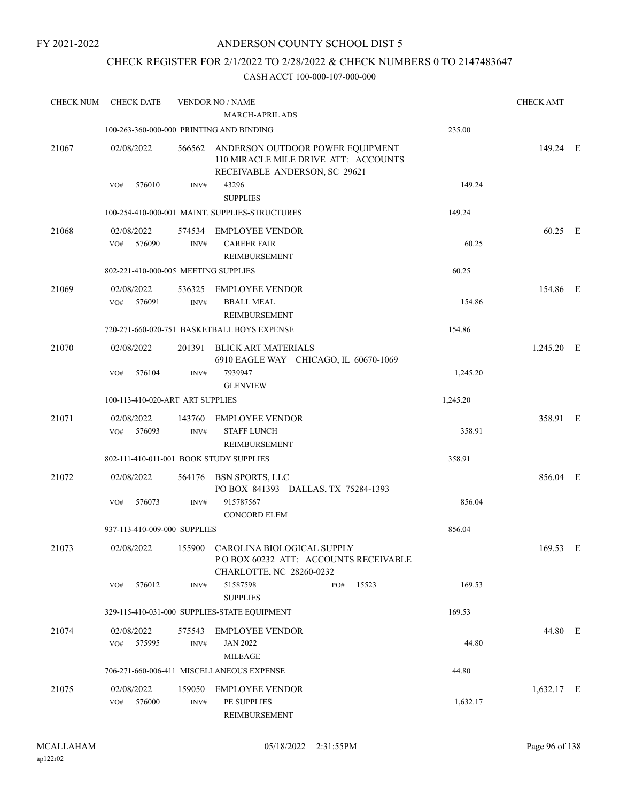### CHECK REGISTER FOR 2/1/2022 TO 2/28/2022 & CHECK NUMBERS 0 TO 2147483647

| <b>CHECK NUM</b> | <b>CHECK DATE</b>                        |                | <b>VENDOR NO / NAME</b>                                                                                      |          | <b>CHECK AMT</b> |  |
|------------------|------------------------------------------|----------------|--------------------------------------------------------------------------------------------------------------|----------|------------------|--|
|                  |                                          |                | <b>MARCH-APRIL ADS</b>                                                                                       |          |                  |  |
|                  | 100-263-360-000-000 PRINTING AND BINDING |                |                                                                                                              | 235.00   |                  |  |
| 21067            | 02/08/2022                               | 566562         | ANDERSON OUTDOOR POWER EQUIPMENT<br>110 MIRACLE MILE DRIVE ATT: ACCOUNTS<br>RECEIVABLE ANDERSON, SC 29621    |          | 149.24 E         |  |
|                  | 576010<br>VO#                            | INV#           | 43296<br><b>SUPPLIES</b>                                                                                     | 149.24   |                  |  |
|                  |                                          |                | 100-254-410-000-001 MAINT. SUPPLIES-STRUCTURES                                                               | 149.24   |                  |  |
| 21068            | 02/08/2022<br>576090<br>VO#              | 574534<br>INV# | <b>EMPLOYEE VENDOR</b><br><b>CAREER FAIR</b><br>REIMBURSEMENT                                                | 60.25    | 60.25 E          |  |
|                  | 802-221-410-000-005 MEETING SUPPLIES     |                |                                                                                                              | 60.25    |                  |  |
| 21069            | 02/08/2022<br>576091<br>VO#              | 536325<br>INV# | <b>EMPLOYEE VENDOR</b><br><b>BBALL MEAL</b><br>REIMBURSEMENT                                                 | 154.86   | 154.86 E         |  |
|                  |                                          |                | 720-271-660-020-751 BASKETBALL BOYS EXPENSE                                                                  | 154.86   |                  |  |
| 21070            | 02/08/2022                               | 201391         | <b>BLICK ART MATERIALS</b><br>6910 EAGLE WAY CHICAGO, IL 60670-1069                                          |          | 1,245.20 E       |  |
|                  | 576104<br>VO#                            | INV#           | 7939947<br><b>GLENVIEW</b>                                                                                   | 1,245.20 |                  |  |
|                  | 100-113-410-020-ART ART SUPPLIES         |                |                                                                                                              | 1,245.20 |                  |  |
| 21071            | 02/08/2022<br>576093<br>VO#              | 143760<br>INV# | EMPLOYEE VENDOR<br><b>STAFF LUNCH</b><br>REIMBURSEMENT                                                       | 358.91   | 358.91 E         |  |
|                  | 802-111-410-011-001 BOOK STUDY SUPPLIES  |                |                                                                                                              | 358.91   |                  |  |
| 21072            | 02/08/2022                               | 564176         | BSN SPORTS, LLC<br>PO BOX 841393 DALLAS, TX 75284-1393                                                       |          | 856.04 E         |  |
|                  | VO#<br>576073                            | INV#           | 915787567<br><b>CONCORD ELEM</b>                                                                             | 856.04   |                  |  |
|                  | 937-113-410-009-000 SUPPLIES             |                |                                                                                                              | 856.04   |                  |  |
| 21073            | 02/08/2022                               |                | 155900 CAROLINA BIOLOGICAL SUPPLY<br>POBOX 60232 ATT: ACCOUNTS RECEIVABLE<br><b>CHARLOTTE, NC 28260-0232</b> |          | 169.53 E         |  |
|                  | 576012<br>VO#                            | INV#           | 51587598<br>15523<br>PO#<br><b>SUPPLIES</b>                                                                  | 169.53   |                  |  |
|                  |                                          |                | 329-115-410-031-000 SUPPLIES-STATE EQUIPMENT                                                                 | 169.53   |                  |  |
| 21074            | 02/08/2022<br>575995<br>VO#              | 575543<br>INV# | <b>EMPLOYEE VENDOR</b><br><b>JAN 2022</b><br><b>MILEAGE</b>                                                  | 44.80    | 44.80 E          |  |
|                  |                                          |                | 706-271-660-006-411 MISCELLANEOUS EXPENSE                                                                    | 44.80    |                  |  |
| 21075            | 02/08/2022<br>576000<br>VO#              | 159050<br>INV# | <b>EMPLOYEE VENDOR</b><br>PE SUPPLIES<br>REIMBURSEMENT                                                       | 1,632.17 | 1,632.17 E       |  |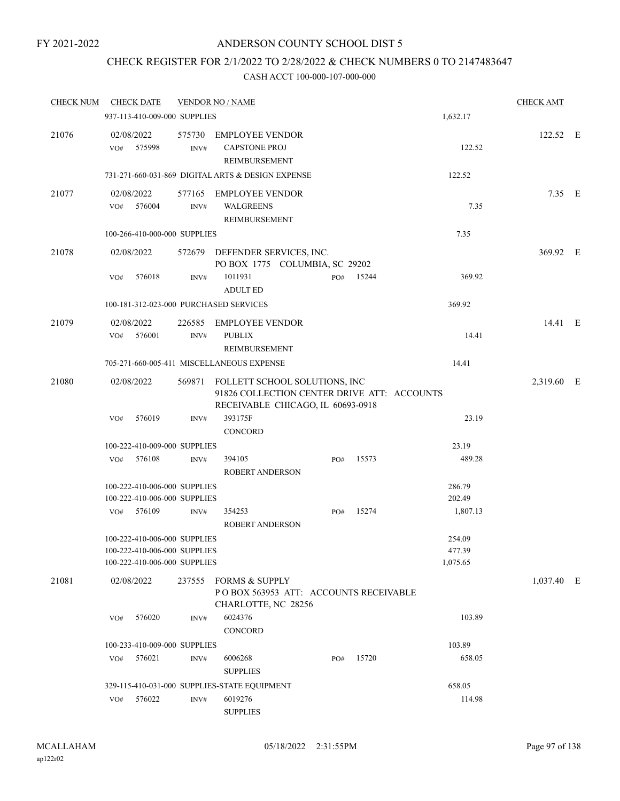### CHECK REGISTER FOR 2/1/2022 TO 2/28/2022 & CHECK NUMBERS 0 TO 2147483647

| CHECK NUM |     | <b>CHECK DATE</b>                                                                            |                | <b>VENDOR NO / NAME</b>                                                                                                  |     |       |                              | <b>CHECK AMT</b> |  |
|-----------|-----|----------------------------------------------------------------------------------------------|----------------|--------------------------------------------------------------------------------------------------------------------------|-----|-------|------------------------------|------------------|--|
|           |     | 937-113-410-009-000 SUPPLIES                                                                 |                |                                                                                                                          |     |       | 1,632.17                     |                  |  |
| 21076     | VO# | 02/08/2022<br>575998                                                                         | INV#           | 575730 EMPLOYEE VENDOR<br><b>CAPSTONE PROJ</b><br>REIMBURSEMENT                                                          |     |       | 122.52                       | 122.52 E         |  |
|           |     |                                                                                              |                | 731-271-660-031-869 DIGITAL ARTS & DESIGN EXPENSE                                                                        |     |       | 122.52                       |                  |  |
| 21077     | VO# | 02/08/2022<br>576004                                                                         | INV#           | 577165 EMPLOYEE VENDOR<br><b>WALGREENS</b><br><b>REIMBURSEMENT</b>                                                       |     |       | 7.35                         | $7.35$ E         |  |
|           |     | 100-266-410-000-000 SUPPLIES                                                                 |                |                                                                                                                          |     |       | 7.35                         |                  |  |
| 21078     |     | 02/08/2022                                                                                   |                | 572679 DEFENDER SERVICES, INC.<br>PO BOX 1775 COLUMBIA, SC 29202                                                         |     |       |                              | 369.92 E         |  |
|           | VO# | 576018                                                                                       | $\text{INV}\#$ | 1011931<br><b>ADULT ED</b>                                                                                               | PO# | 15244 | 369.92                       |                  |  |
|           |     |                                                                                              |                | 100-181-312-023-000 PURCHASED SERVICES                                                                                   |     |       | 369.92                       |                  |  |
| 21079     |     | 02/08/2022<br>VO# 576001                                                                     | INV#           | 226585 EMPLOYEE VENDOR<br><b>PUBLIX</b><br>REIMBURSEMENT                                                                 |     |       | 14.41                        | 14.41 E          |  |
|           |     |                                                                                              |                | 705-271-660-005-411 MISCELLANEOUS EXPENSE                                                                                |     |       | 14.41                        |                  |  |
| 21080     |     | 02/08/2022                                                                                   |                | 569871 FOLLETT SCHOOL SOLUTIONS, INC<br>91826 COLLECTION CENTER DRIVE ATT: ACCOUNTS<br>RECEIVABLE CHICAGO, IL 60693-0918 |     |       |                              | 2,319.60 E       |  |
|           | VO# | 576019                                                                                       | INV#           | 393175F<br>CONCORD                                                                                                       |     |       | 23.19                        |                  |  |
|           |     | 100-222-410-009-000 SUPPLIES                                                                 |                |                                                                                                                          |     |       | 23.19                        |                  |  |
|           | VO# | 576108                                                                                       | INV#           | 394105<br><b>ROBERT ANDERSON</b>                                                                                         | PO# | 15573 | 489.28                       |                  |  |
|           |     | 100-222-410-006-000 SUPPLIES<br>100-222-410-006-000 SUPPLIES                                 |                |                                                                                                                          |     |       | 286.79<br>202.49             |                  |  |
|           |     | VO# 576109                                                                                   | INV#           | 354253<br>ROBERT ANDERSON                                                                                                | PO# | 15274 | 1,807.13                     |                  |  |
|           |     | 100-222-410-006-000 SUPPLIES<br>100-222-410-006-000 SUPPLIES<br>100-222-410-006-000 SUPPLIES |                |                                                                                                                          |     |       | 254.09<br>477.39<br>1,075.65 |                  |  |
| 21081     |     | 02/08/2022                                                                                   |                | 237555 FORMS & SUPPLY<br>POBOX 563953 ATT: ACCOUNTS RECEIVABLE<br>CHARLOTTE, NC 28256                                    |     |       |                              | 1,037.40 E       |  |
|           | VO# | 576020                                                                                       | INV#           | 6024376<br>CONCORD                                                                                                       |     |       | 103.89                       |                  |  |
|           |     | 100-233-410-009-000 SUPPLIES                                                                 |                |                                                                                                                          |     |       | 103.89                       |                  |  |
|           | VO# | 576021                                                                                       | INV#           | 6006268<br><b>SUPPLIES</b>                                                                                               | PO# | 15720 | 658.05                       |                  |  |
|           |     |                                                                                              |                | 329-115-410-031-000 SUPPLIES-STATE EQUIPMENT                                                                             |     |       | 658.05                       |                  |  |
|           | VO# | 576022                                                                                       | INV#           | 6019276<br><b>SUPPLIES</b>                                                                                               |     |       | 114.98                       |                  |  |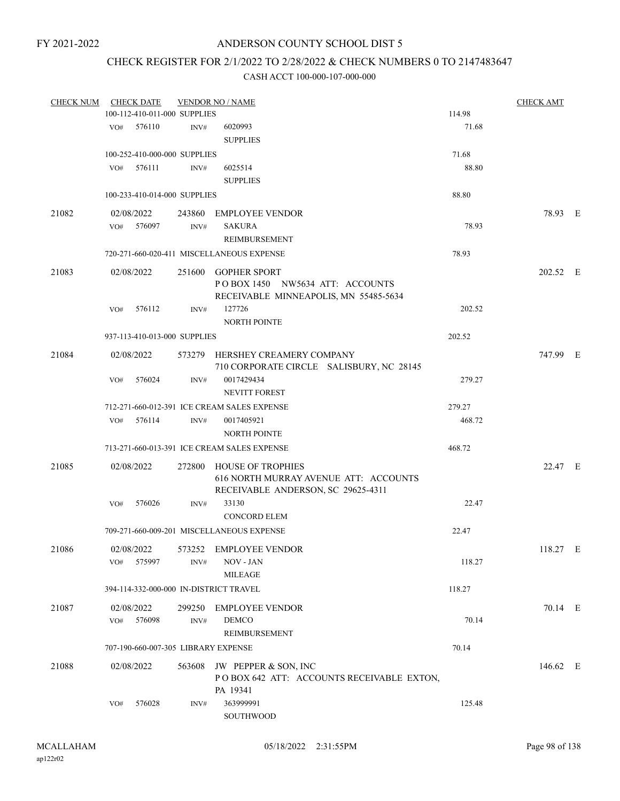### CHECK REGISTER FOR 2/1/2022 TO 2/28/2022 & CHECK NUMBERS 0 TO 2147483647

| <b>CHECK NUM</b> |     | <b>CHECK DATE</b>            |      | <b>VENDOR NO / NAME</b>                                                     |        | <b>CHECK AMT</b> |  |
|------------------|-----|------------------------------|------|-----------------------------------------------------------------------------|--------|------------------|--|
|                  |     | 100-112-410-011-000 SUPPLIES |      |                                                                             | 114.98 |                  |  |
|                  | VO# | 576110                       | INV# | 6020993                                                                     | 71.68  |                  |  |
|                  |     |                              |      | <b>SUPPLIES</b>                                                             |        |                  |  |
|                  |     | 100-252-410-000-000 SUPPLIES |      |                                                                             | 71.68  |                  |  |
|                  | VO# | 576111                       | INV# | 6025514                                                                     | 88.80  |                  |  |
|                  |     |                              |      | <b>SUPPLIES</b>                                                             |        |                  |  |
|                  |     | 100-233-410-014-000 SUPPLIES |      |                                                                             | 88.80  |                  |  |
| 21082            |     | 02/08/2022                   |      | 243860 EMPLOYEE VENDOR                                                      |        | 78.93 E          |  |
|                  |     | VO# 576097                   | INV# | <b>SAKURA</b>                                                               | 78.93  |                  |  |
|                  |     |                              |      | <b>REIMBURSEMENT</b>                                                        |        |                  |  |
|                  |     |                              |      | 720-271-660-020-411 MISCELLANEOUS EXPENSE                                   | 78.93  |                  |  |
| 21083            |     | 02/08/2022                   |      | 251600 GOPHER SPORT                                                         |        | 202.52 E         |  |
|                  |     |                              |      | POBOX 1450 NW5634 ATT: ACCOUNTS                                             |        |                  |  |
|                  |     |                              |      | RECEIVABLE MINNEAPOLIS, MN 55485-5634                                       |        |                  |  |
|                  | VO# | 576112                       | INV# | 127726                                                                      | 202.52 |                  |  |
|                  |     |                              |      | <b>NORTH POINTE</b>                                                         |        |                  |  |
|                  |     | 937-113-410-013-000 SUPPLIES |      |                                                                             | 202.52 |                  |  |
| 21084            |     | 02/08/2022                   |      | 573279 HERSHEY CREAMERY COMPANY<br>710 CORPORATE CIRCLE SALISBURY, NC 28145 |        | 747.99 E         |  |
|                  | VO# | 576024                       |      | 0017429434                                                                  | 279.27 |                  |  |
|                  |     |                              | INV# |                                                                             |        |                  |  |
|                  |     |                              |      | <b>NEVITT FOREST</b>                                                        |        |                  |  |
|                  |     |                              |      | 712-271-660-012-391 ICE CREAM SALES EXPENSE                                 | 279.27 |                  |  |
|                  | VO# | 576114                       | INV# | 0017405921                                                                  | 468.72 |                  |  |
|                  |     |                              |      | <b>NORTH POINTE</b>                                                         |        |                  |  |
|                  |     |                              |      | 713-271-660-013-391 ICE CREAM SALES EXPENSE                                 | 468.72 |                  |  |
| 21085            |     | 02/08/2022                   |      | 272800 HOUSE OF TROPHIES                                                    |        | 22.47 E          |  |
|                  |     |                              |      | 616 NORTH MURRAY AVENUE ATT: ACCOUNTS<br>RECEIVABLE ANDERSON, SC 29625-4311 |        |                  |  |
|                  | VO# | 576026                       | INV# | 33130                                                                       | 22.47  |                  |  |
|                  |     |                              |      | <b>CONCORD ELEM</b>                                                         |        |                  |  |
|                  |     |                              |      | 709-271-660-009-201 MISCELLANEOUS EXPENSE                                   | 22.47  |                  |  |
| 21086            |     | 02/08/2022                   |      | 573252 EMPLOYEE VENDOR                                                      |        | 118.27 E         |  |
|                  | VO# | 575997                       | INV# | NOV - JAN<br><b>MILEAGE</b>                                                 | 118.27 |                  |  |
|                  |     |                              |      | 394-114-332-000-000 IN-DISTRICT TRAVEL                                      | 118.27 |                  |  |
|                  |     |                              |      |                                                                             |        |                  |  |
| 21087            |     | 02/08/2022                   |      | 299250 EMPLOYEE VENDOR                                                      |        | 70.14 E          |  |
|                  | VO# | 576098                       | INV# | <b>DEMCO</b>                                                                | 70.14  |                  |  |
|                  |     |                              |      | <b>REIMBURSEMENT</b>                                                        |        |                  |  |
|                  |     |                              |      | 707-190-660-007-305 LIBRARY EXPENSE                                         | 70.14  |                  |  |
| 21088            |     | 02/08/2022                   |      | 563608 JW PEPPER & SON, INC                                                 |        | 146.62 E         |  |
|                  |     |                              |      | POBOX 642 ATT: ACCOUNTS RECEIVABLE EXTON,                                   |        |                  |  |
|                  |     |                              |      | PA 19341                                                                    |        |                  |  |
|                  | VO# | 576028                       | INV# | 363999991                                                                   | 125.48 |                  |  |
|                  |     |                              |      | SOUTHWOOD                                                                   |        |                  |  |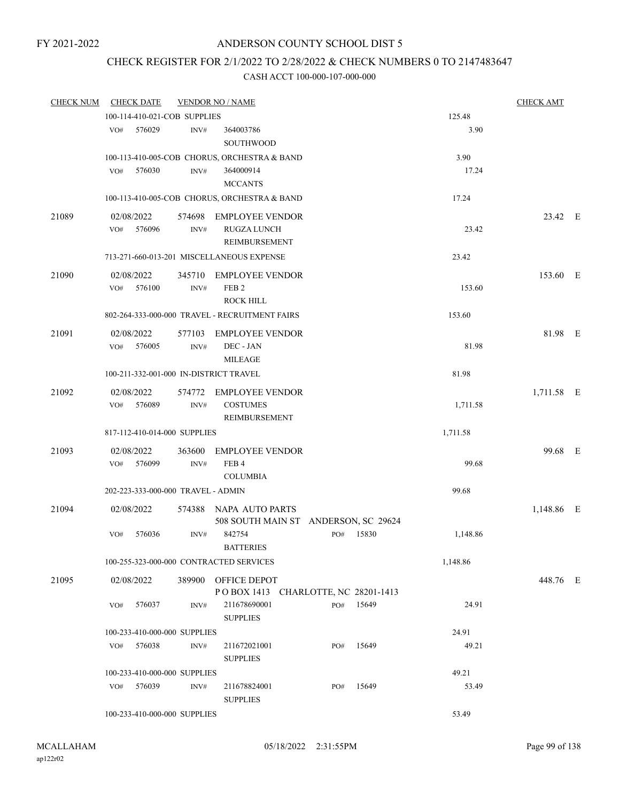### CHECK REGISTER FOR 2/1/2022 TO 2/28/2022 & CHECK NUMBERS 0 TO 2147483647

| <b>CHECK NUM</b> | <b>CHECK DATE</b>                      |                | <b>VENDOR NO / NAME</b>                                        |     |           |          | <b>CHECK AMT</b> |  |
|------------------|----------------------------------------|----------------|----------------------------------------------------------------|-----|-----------|----------|------------------|--|
|                  | 100-114-410-021-COB SUPPLIES           |                |                                                                |     |           | 125.48   |                  |  |
|                  | 576029<br>VO#                          | INV#           | 364003786<br>SOUTHWOOD                                         |     |           | 3.90     |                  |  |
|                  |                                        |                | 100-113-410-005-COB CHORUS, ORCHESTRA & BAND                   |     |           | 3.90     |                  |  |
|                  | 576030<br>VO#                          | INV#           | 364000914<br><b>MCCANTS</b>                                    |     |           | 17.24    |                  |  |
|                  |                                        |                | 100-113-410-005-COB CHORUS, ORCHESTRA & BAND                   |     |           | 17.24    |                  |  |
| 21089            | 02/08/2022<br>576096<br>VO#            | INV#           | 574698 EMPLOYEE VENDOR<br><b>RUGZA LUNCH</b>                   |     |           | 23.42    | 23.42 E          |  |
|                  |                                        |                | REIMBURSEMENT                                                  |     |           |          |                  |  |
|                  |                                        |                | 713-271-660-013-201 MISCELLANEOUS EXPENSE                      |     |           | 23.42    |                  |  |
| 21090            | 02/08/2022<br>576100<br>VO#            | 345710<br>INV# | <b>EMPLOYEE VENDOR</b><br>FEB <sub>2</sub><br><b>ROCK HILL</b> |     |           | 153.60   | 153.60 E         |  |
|                  |                                        |                | 802-264-333-000-000 TRAVEL - RECRUITMENT FAIRS                 |     |           | 153.60   |                  |  |
| 21091            | 02/08/2022<br>VO# 576005               | 577103<br>INV# | <b>EMPLOYEE VENDOR</b><br>DEC - JAN                            |     |           | 81.98    | 81.98 E          |  |
|                  |                                        |                | MILEAGE                                                        |     |           |          |                  |  |
|                  | 100-211-332-001-000 IN-DISTRICT TRAVEL |                |                                                                |     |           | 81.98    |                  |  |
| 21092            | 02/08/2022<br>VO# 576089               | INV#           | 574772 EMPLOYEE VENDOR<br><b>COSTUMES</b><br>REIMBURSEMENT     |     |           | 1,711.58 | 1,711.58 E       |  |
|                  | 817-112-410-014-000 SUPPLIES           |                |                                                                |     |           | 1,711.58 |                  |  |
| 21093            | 02/08/2022                             | 363600         | <b>EMPLOYEE VENDOR</b>                                         |     |           |          | 99.68 E          |  |
|                  | 576099<br>VO#                          | INV#           | FEB <sub>4</sub><br><b>COLUMBIA</b>                            |     |           | 99.68    |                  |  |
|                  | 202-223-333-000-000 TRAVEL - ADMIN     |                |                                                                |     |           | 99.68    |                  |  |
| 21094            | 02/08/2022                             |                | 574388 NAPA AUTO PARTS<br>508 SOUTH MAIN ST ANDERSON, SC 29624 |     |           |          | 1,148.86 E       |  |
|                  | 576036<br>VO#                          | INV#           | 842754<br><b>BATTERIES</b>                                     |     | PO# 15830 | 1,148.86 |                  |  |
|                  |                                        |                | 100-255-323-000-000 CONTRACTED SERVICES                        |     |           | 1,148.86 |                  |  |
| 21095            | 02/08/2022                             |                | 389900 OFFICE DEPOT<br>POBOX 1413 CHARLOTTE, NC 28201-1413     |     |           |          | 448.76 E         |  |
|                  | 576037<br>VO#                          | INV#           | 211678690001<br><b>SUPPLIES</b>                                | PO# | 15649     | 24.91    |                  |  |
|                  | 100-233-410-000-000 SUPPLIES           |                |                                                                |     |           | 24.91    |                  |  |
|                  | 576038<br>VO#                          | INV#           | 211672021001<br><b>SUPPLIES</b>                                | PO# | 15649     | 49.21    |                  |  |
|                  | 100-233-410-000-000 SUPPLIES           |                |                                                                |     |           | 49.21    |                  |  |
|                  | VO# 576039                             | INV#           | 211678824001<br><b>SUPPLIES</b>                                | PO# | 15649     | 53.49    |                  |  |
|                  | 100-233-410-000-000 SUPPLIES           |                |                                                                |     |           | 53.49    |                  |  |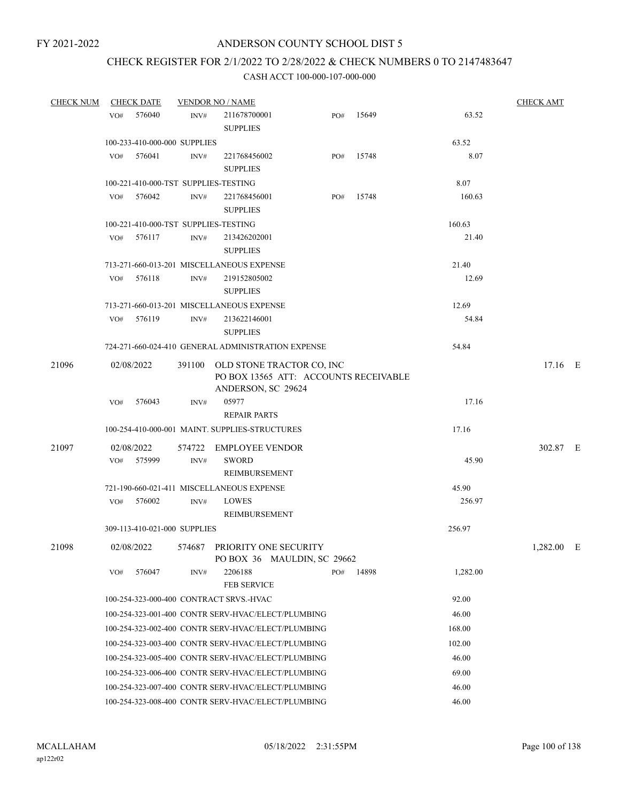# CHECK REGISTER FOR 2/1/2022 TO 2/28/2022 & CHECK NUMBERS 0 TO 2147483647

| <b>CHECK NUM</b> |                 | <b>CHECK DATE</b>            |        | <b>VENDOR NO / NAME</b>                                                                         |     |       |          | <b>CHECK AMT</b> |   |
|------------------|-----------------|------------------------------|--------|-------------------------------------------------------------------------------------------------|-----|-------|----------|------------------|---|
|                  | VO <sub>#</sub> | 576040                       | INV#   | 211678700001<br><b>SUPPLIES</b>                                                                 | PO# | 15649 | 63.52    |                  |   |
|                  |                 | 100-233-410-000-000 SUPPLIES |        |                                                                                                 |     |       | 63.52    |                  |   |
|                  | VO#             | 576041                       | INV#   | 221768456002<br><b>SUPPLIES</b>                                                                 | PO# | 15748 | 8.07     |                  |   |
|                  |                 |                              |        | 100-221-410-000-TST SUPPLIES-TESTING                                                            |     |       | 8.07     |                  |   |
|                  | VO#             | 576042                       | INV#   | 221768456001<br><b>SUPPLIES</b>                                                                 | PO# | 15748 | 160.63   |                  |   |
|                  |                 |                              |        | 100-221-410-000-TST SUPPLIES-TESTING                                                            |     |       | 160.63   |                  |   |
|                  | VO#             | 576117                       | INV#   | 213426202001<br><b>SUPPLIES</b>                                                                 |     |       | 21.40    |                  |   |
|                  |                 |                              |        | 713-271-660-013-201 MISCELLANEOUS EXPENSE                                                       |     |       | 21.40    |                  |   |
|                  | VO#             | 576118                       | INV#   | 219152805002<br><b>SUPPLIES</b>                                                                 |     |       | 12.69    |                  |   |
|                  |                 |                              |        | 713-271-660-013-201 MISCELLANEOUS EXPENSE                                                       |     |       | 12.69    |                  |   |
|                  | VO#             | 576119                       | INV#   | 213622146001<br><b>SUPPLIES</b>                                                                 |     |       | 54.84    |                  |   |
|                  |                 |                              |        | 724-271-660-024-410 GENERAL ADMINISTRATION EXPENSE                                              |     |       | 54.84    |                  |   |
| 21096            |                 | 02/08/2022                   |        | 391100 OLD STONE TRACTOR CO, INC<br>PO BOX 13565 ATT: ACCOUNTS RECEIVABLE<br>ANDERSON, SC 29624 |     |       |          | $17.16$ E        |   |
|                  | VO#             | 576043                       | INV#   | 05977<br><b>REPAIR PARTS</b>                                                                    |     |       | 17.16    |                  |   |
|                  |                 |                              |        | 100-254-410-000-001 MAINT. SUPPLIES-STRUCTURES                                                  |     |       | 17.16    |                  |   |
| 21097            |                 | 02/08/2022                   | 574722 | <b>EMPLOYEE VENDOR</b>                                                                          |     |       |          | 302.87 E         |   |
|                  | VO#             | 575999                       | INV#   | <b>SWORD</b><br>REIMBURSEMENT                                                                   |     |       | 45.90    |                  |   |
|                  |                 |                              |        | 721-190-660-021-411 MISCELLANEOUS EXPENSE                                                       |     |       | 45.90    |                  |   |
|                  | VO#             | 576002                       | INV#   | <b>LOWES</b><br>REIMBURSEMENT                                                                   |     |       | 256.97   |                  |   |
|                  |                 | 309-113-410-021-000 SUPPLIES |        |                                                                                                 |     |       | 256.97   |                  |   |
| 21098            |                 | 02/08/2022                   |        | 574687 PRIORITY ONE SECURITY<br>PO BOX 36 MAULDIN, SC 29662                                     |     |       |          | 1,282.00         | E |
|                  | VO#             | 576047                       | INV#   | 2206188<br><b>FEB SERVICE</b>                                                                   | PO# | 14898 | 1,282.00 |                  |   |
|                  |                 |                              |        | 100-254-323-000-400 CONTRACT SRVS.-HVAC                                                         |     |       | 92.00    |                  |   |
|                  |                 |                              |        | 100-254-323-001-400 CONTR SERV-HVAC/ELECT/PLUMBING                                              |     |       | 46.00    |                  |   |
|                  |                 |                              |        | 100-254-323-002-400 CONTR SERV-HVAC/ELECT/PLUMBING                                              |     |       | 168.00   |                  |   |
|                  |                 |                              |        | 100-254-323-003-400 CONTR SERV-HVAC/ELECT/PLUMBING                                              |     |       | 102.00   |                  |   |
|                  |                 |                              |        | 100-254-323-005-400 CONTR SERV-HVAC/ELECT/PLUMBING                                              |     |       | 46.00    |                  |   |
|                  |                 |                              |        | 100-254-323-006-400 CONTR SERV-HVAC/ELECT/PLUMBING                                              |     |       | 69.00    |                  |   |
|                  |                 |                              |        | 100-254-323-007-400 CONTR SERV-HVAC/ELECT/PLUMBING                                              |     |       | 46.00    |                  |   |
|                  |                 |                              |        | 100-254-323-008-400 CONTR SERV-HVAC/ELECT/PLUMBING                                              |     |       | 46.00    |                  |   |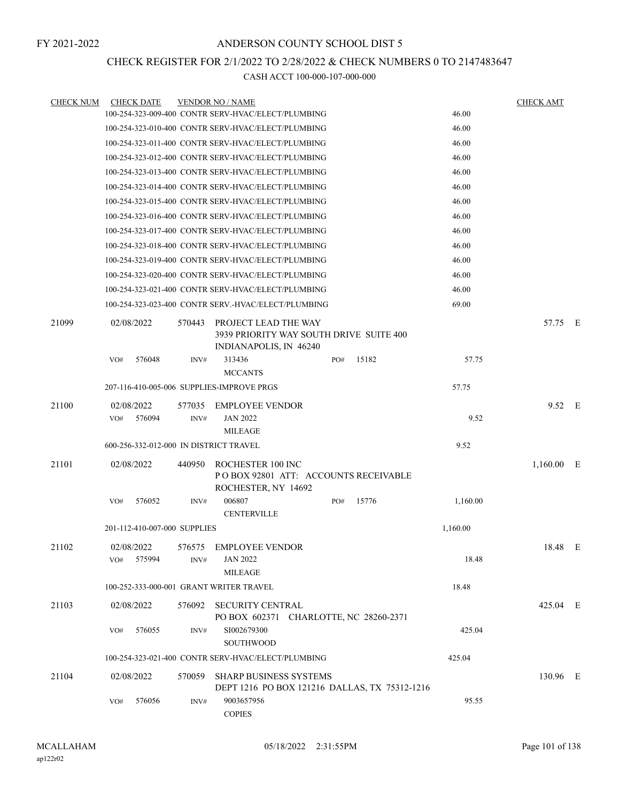### CHECK REGISTER FOR 2/1/2022 TO 2/28/2022 & CHECK NUMBERS 0 TO 2147483647

| <b>CHECK NUM</b> | <b>CHECK DATE</b>                         |                | <b>VENDOR NO / NAME</b>                                                                   |     |       |          | <b>CHECK AMT</b> |  |
|------------------|-------------------------------------------|----------------|-------------------------------------------------------------------------------------------|-----|-------|----------|------------------|--|
|                  |                                           |                | 100-254-323-009-400 CONTR SERV-HVAC/ELECT/PLUMBING                                        |     |       | 46.00    |                  |  |
|                  |                                           |                | 100-254-323-010-400 CONTR SERV-HVAC/ELECT/PLUMBING                                        |     |       | 46.00    |                  |  |
|                  |                                           |                | 100-254-323-011-400 CONTR SERV-HVAC/ELECT/PLUMBING                                        |     |       | 46.00    |                  |  |
|                  |                                           |                | 100-254-323-012-400 CONTR SERV-HVAC/ELECT/PLUMBING                                        |     |       | 46.00    |                  |  |
|                  |                                           |                | 100-254-323-013-400 CONTR SERV-HVAC/ELECT/PLUMBING                                        |     |       | 46.00    |                  |  |
|                  |                                           |                | 100-254-323-014-400 CONTR SERV-HVAC/ELECT/PLUMBING                                        |     |       | 46.00    |                  |  |
|                  |                                           |                | 100-254-323-015-400 CONTR SERV-HVAC/ELECT/PLUMBING                                        |     |       | 46.00    |                  |  |
|                  |                                           |                | 100-254-323-016-400 CONTR SERV-HVAC/ELECT/PLUMBING                                        |     |       | 46.00    |                  |  |
|                  |                                           |                | 100-254-323-017-400 CONTR SERV-HVAC/ELECT/PLUMBING                                        |     |       | 46.00    |                  |  |
|                  |                                           |                | 100-254-323-018-400 CONTR SERV-HVAC/ELECT/PLUMBING                                        |     |       | 46.00    |                  |  |
|                  |                                           |                | 100-254-323-019-400 CONTR SERV-HVAC/ELECT/PLUMBING                                        |     |       | 46.00    |                  |  |
|                  |                                           |                | 100-254-323-020-400 CONTR SERV-HVAC/ELECT/PLUMBING                                        |     |       | 46.00    |                  |  |
|                  |                                           |                | 100-254-323-021-400 CONTR SERV-HVAC/ELECT/PLUMBING                                        |     |       | 46.00    |                  |  |
|                  |                                           |                | 100-254-323-023-400 CONTR SERV.-HVAC/ELECT/PLUMBING                                       |     |       | 69.00    |                  |  |
| 21099            | 02/08/2022                                | 570443         | PROJECT LEAD THE WAY<br>3939 PRIORITY WAY SOUTH DRIVE SUITE 400<br>INDIANAPOLIS, IN 46240 |     |       |          | 57.75 E          |  |
|                  | 576048<br>VO#                             | INV#           | 313436<br><b>MCCANTS</b>                                                                  | PO# | 15182 | 57.75    |                  |  |
|                  | 207-116-410-005-006 SUPPLIES-IMPROVE PRGS |                |                                                                                           |     |       | 57.75    |                  |  |
| 21100            | 02/08/2022<br>VO#<br>576094               | 577035<br>INV# | <b>EMPLOYEE VENDOR</b><br><b>JAN 2022</b>                                                 |     |       | 9.52     | 9.52 E           |  |
|                  |                                           |                | <b>MILEAGE</b>                                                                            |     |       |          |                  |  |
|                  | 600-256-332-012-000 IN DISTRICT TRAVEL    |                |                                                                                           |     |       | 9.52     |                  |  |
| 21101            | 02/08/2022                                | 440950         | ROCHESTER 100 INC<br>POBOX 92801 ATT: ACCOUNTS RECEIVABLE<br>ROCHESTER, NY 14692          |     |       |          | $1,160.00$ E     |  |
|                  | 576052<br>VO#                             | INV#           | 006807<br><b>CENTERVILLE</b>                                                              | PO# | 15776 | 1,160.00 |                  |  |
|                  | 201-112-410-007-000 SUPPLIES              |                |                                                                                           |     |       | 1,160.00 |                  |  |
| 21102            | 02/08/2022<br>VO# 575994                  | INV#           | 576575 EMPLOYEE VENDOR<br><b>JAN 2022</b><br><b>MILEAGE</b>                               |     |       | 18.48    | 18.48 E          |  |
|                  | 100-252-333-000-001 GRANT WRITER TRAVEL   |                |                                                                                           |     |       | 18.48    |                  |  |
| 21103            | 02/08/2022                                |                | 576092 SECURITY CENTRAL<br>PO BOX 602371 CHARLOTTE, NC 28260-2371                         |     |       |          | 425.04 E         |  |
|                  | 576055<br>VO#                             | INV#           | SI002679300<br><b>SOUTHWOOD</b>                                                           |     |       | 425.04   |                  |  |
|                  |                                           |                | 100-254-323-021-400 CONTR SERV-HVAC/ELECT/PLUMBING                                        |     |       | 425.04   |                  |  |
| 21104            | 02/08/2022                                | 570059         | <b>SHARP BUSINESS SYSTEMS</b><br>DEPT 1216 PO BOX 121216 DALLAS, TX 75312-1216            |     |       |          | 130.96 E         |  |
|                  | 576056<br>VO#                             | INV#           | 9003657956<br><b>COPIES</b>                                                               |     |       | 95.55    |                  |  |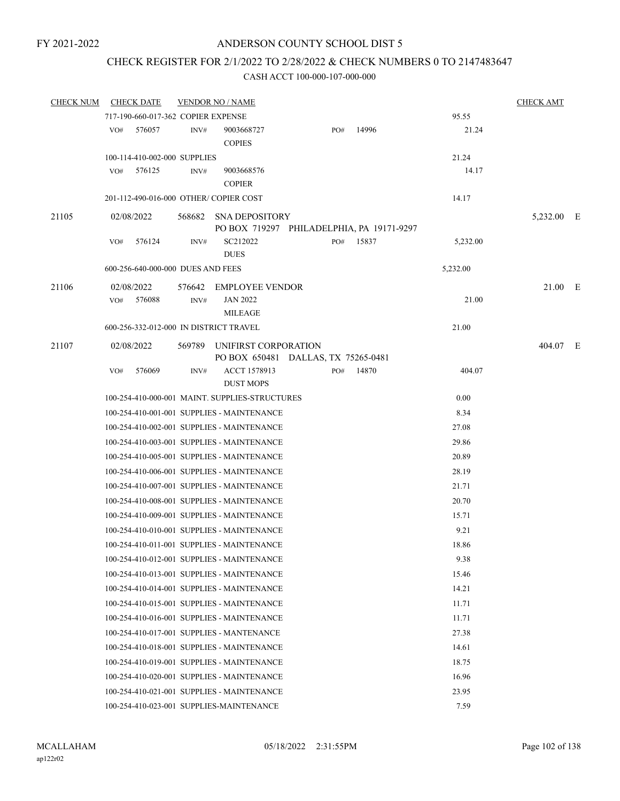### CHECK REGISTER FOR 2/1/2022 TO 2/28/2022 & CHECK NUMBERS 0 TO 2147483647

| <b>CHECK NUM</b> | <b>CHECK DATE</b>                         |        | <b>VENDOR NO / NAME</b>                                            |     |       |          | <b>CHECK AMT</b> |   |
|------------------|-------------------------------------------|--------|--------------------------------------------------------------------|-----|-------|----------|------------------|---|
|                  | 717-190-660-017-362 COPIER EXPENSE        |        |                                                                    |     |       | 95.55    |                  |   |
|                  | 576057<br>VO#                             | INV#   | 9003668727<br><b>COPIES</b>                                        | PO# | 14996 | 21.24    |                  |   |
|                  | 100-114-410-002-000 SUPPLIES              |        |                                                                    |     |       | 21.24    |                  |   |
|                  | 576125<br>VO#                             | INV#   | 9003668576<br><b>COPIER</b>                                        |     |       | 14.17    |                  |   |
|                  | 201-112-490-016-000 OTHER/COPIER COST     |        |                                                                    |     |       | 14.17    |                  |   |
| 21105            | 02/08/2022                                | 568682 | <b>SNA DEPOSITORY</b><br>PO BOX 719297 PHILADELPHIA, PA 19171-9297 |     |       |          | 5,232.00         | E |
|                  | 576124<br>VO#                             | INV#   | SC212022<br><b>DUES</b>                                            | PO# | 15837 | 5,232.00 |                  |   |
|                  | 600-256-640-000-000 DUES AND FEES         |        |                                                                    |     |       | 5,232.00 |                  |   |
| 21106            | 02/08/2022                                | 576642 | <b>EMPLOYEE VENDOR</b>                                             |     |       |          | 21.00 E          |   |
|                  | 576088<br>VO#                             | INV#   | <b>JAN 2022</b><br><b>MILEAGE</b>                                  |     |       | 21.00    |                  |   |
|                  | 600-256-332-012-000 IN DISTRICT TRAVEL    |        |                                                                    |     |       | 21.00    |                  |   |
| 21107            | 02/08/2022                                |        | 569789 UNIFIRST CORPORATION<br>PO BOX 650481 DALLAS, TX 75265-0481 |     |       |          | 404.07 E         |   |
|                  | VO#<br>576069                             | INV#   | ACCT 1578913<br><b>DUST MOPS</b>                                   | PO# | 14870 | 404.07   |                  |   |
|                  |                                           |        | 100-254-410-000-001 MAINT. SUPPLIES-STRUCTURES                     |     |       | 0.00     |                  |   |
|                  |                                           |        | 100-254-410-001-001 SUPPLIES - MAINTENANCE                         |     |       | 8.34     |                  |   |
|                  |                                           |        | 100-254-410-002-001 SUPPLIES - MAINTENANCE                         |     |       | 27.08    |                  |   |
|                  |                                           |        | 100-254-410-003-001 SUPPLIES - MAINTENANCE                         |     |       | 29.86    |                  |   |
|                  |                                           |        | 100-254-410-005-001 SUPPLIES - MAINTENANCE                         |     |       | 20.89    |                  |   |
|                  |                                           |        | 100-254-410-006-001 SUPPLIES - MAINTENANCE                         |     |       | 28.19    |                  |   |
|                  |                                           |        | 100-254-410-007-001 SUPPLIES - MAINTENANCE                         |     |       | 21.71    |                  |   |
|                  |                                           |        | 100-254-410-008-001 SUPPLIES - MAINTENANCE                         |     |       | 20.70    |                  |   |
|                  |                                           |        | 100-254-410-009-001 SUPPLIES - MAINTENANCE                         |     |       | 15.71    |                  |   |
|                  |                                           |        | 100-254-410-010-001 SUPPLIES - MAINTENANCE                         |     |       | 9.21     |                  |   |
|                  |                                           |        | 100-254-410-011-001 SUPPLIES - MAINTENANCE                         |     |       | 18.86    |                  |   |
|                  |                                           |        | 100-254-410-012-001 SUPPLIES - MAINTENANCE                         |     |       | 9.38     |                  |   |
|                  |                                           |        | 100-254-410-013-001 SUPPLIES - MAINTENANCE                         |     |       | 15.46    |                  |   |
|                  |                                           |        | 100-254-410-014-001 SUPPLIES - MAINTENANCE                         |     |       | 14.21    |                  |   |
|                  |                                           |        | 100-254-410-015-001 SUPPLIES - MAINTENANCE                         |     |       | 11.71    |                  |   |
|                  |                                           |        | 100-254-410-016-001 SUPPLIES - MAINTENANCE                         |     |       | 11.71    |                  |   |
|                  | 100-254-410-017-001 SUPPLIES - MANTENANCE |        |                                                                    |     |       | 27.38    |                  |   |
|                  |                                           |        | 100-254-410-018-001 SUPPLIES - MAINTENANCE                         |     |       | 14.61    |                  |   |
|                  |                                           |        | 100-254-410-019-001 SUPPLIES - MAINTENANCE                         |     |       | 18.75    |                  |   |
|                  |                                           |        | 100-254-410-020-001 SUPPLIES - MAINTENANCE                         |     |       | 16.96    |                  |   |
|                  |                                           |        | 100-254-410-021-001 SUPPLIES - MAINTENANCE                         |     |       | 23.95    |                  |   |
|                  | 100-254-410-023-001 SUPPLIES-MAINTENANCE  |        |                                                                    |     |       | 7.59     |                  |   |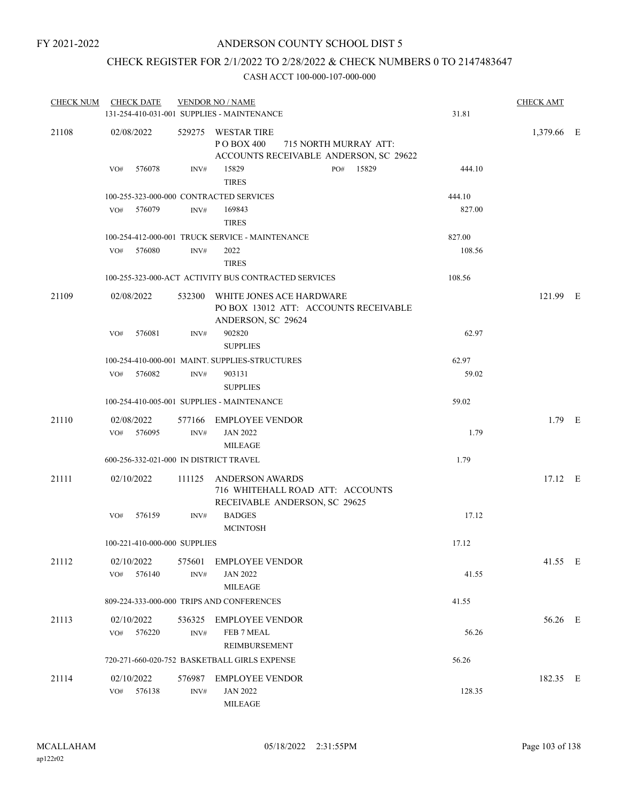### CHECK REGISTER FOR 2/1/2022 TO 2/28/2022 & CHECK NUMBERS 0 TO 2147483647

| <b>CHECK NUM</b> | <b>CHECK DATE</b>                       |                | <b>VENDOR NO / NAME</b><br>131-254-410-031-001 SUPPLIES - MAINTENANCE                                | 31.81  | <b>CHECK AMT</b> |  |
|------------------|-----------------------------------------|----------------|------------------------------------------------------------------------------------------------------|--------|------------------|--|
| 21108            | 02/08/2022                              |                | 529275 WESTAR TIRE<br>P O BOX 400<br>715 NORTH MURRAY ATT:<br>ACCOUNTS RECEIVABLE ANDERSON, SC 29622 |        | 1,379.66 E       |  |
|                  | 576078<br>VO#                           | INV#           | 15829<br>PO# 15829<br><b>TIRES</b>                                                                   | 444.10 |                  |  |
|                  | 100-255-323-000-000 CONTRACTED SERVICES |                |                                                                                                      | 444.10 |                  |  |
|                  | 576079<br>VO#                           | INV#           | 169843<br><b>TIRES</b>                                                                               | 827.00 |                  |  |
|                  |                                         |                | 100-254-412-000-001 TRUCK SERVICE - MAINTENANCE                                                      | 827.00 |                  |  |
|                  | 576080<br>VO#                           | INV#           | 2022<br><b>TIRES</b>                                                                                 | 108.56 |                  |  |
|                  |                                         |                | 100-255-323-000-ACT ACTIVITY BUS CONTRACTED SERVICES                                                 | 108.56 |                  |  |
| 21109            | 02/08/2022                              |                | 532300 WHITE JONES ACE HARDWARE<br>PO BOX 13012 ATT: ACCOUNTS RECEIVABLE<br>ANDERSON, SC 29624       |        | 121.99 E         |  |
|                  | 576081<br>VO#                           | INV#           | 902820<br><b>SUPPLIES</b>                                                                            | 62.97  |                  |  |
|                  |                                         |                | 100-254-410-000-001 MAINT. SUPPLIES-STRUCTURES                                                       | 62.97  |                  |  |
|                  | 576082<br>VO#                           | INV#           | 903131                                                                                               | 59.02  |                  |  |
|                  |                                         |                | <b>SUPPLIES</b>                                                                                      |        |                  |  |
|                  |                                         |                | 100-254-410-005-001 SUPPLIES - MAINTENANCE                                                           | 59.02  |                  |  |
| 21110            | 02/08/2022                              |                | 577166 EMPLOYEE VENDOR                                                                               |        | $1.79$ E         |  |
|                  | VO#<br>576095                           | INV#           | <b>JAN 2022</b><br><b>MILEAGE</b>                                                                    | 1.79   |                  |  |
|                  | 600-256-332-021-000 IN DISTRICT TRAVEL  |                |                                                                                                      | 1.79   |                  |  |
| 21111            | 02/10/2022                              | 111125         | <b>ANDERSON AWARDS</b><br>716 WHITEHALL ROAD ATT: ACCOUNTS<br>RECEIVABLE ANDERSON, SC 29625          |        | 17.12 E          |  |
|                  | 576159<br>VO#                           | INV#           | <b>BADGES</b><br><b>MCINTOSH</b>                                                                     | 17.12  |                  |  |
|                  | 100-221-410-000-000 SUPPLIES            |                |                                                                                                      | 17.12  |                  |  |
| 21112            | 02/10/2022<br>VO# 576140                | 575601<br>INV# | <b>EMPLOYEE VENDOR</b><br><b>JAN 2022</b><br><b>MILEAGE</b>                                          | 41.55  | 41.55 E          |  |
|                  |                                         |                | 809-224-333-000-000 TRIPS AND CONFERENCES                                                            | 41.55  |                  |  |
| 21113            | 02/10/2022<br>576220<br>VO#             | INV#           | 536325 EMPLOYEE VENDOR<br>FEB 7 MEAL<br>REIMBURSEMENT                                                | 56.26  | 56.26 E          |  |
|                  |                                         |                | 720-271-660-020-752 BASKETBALL GIRLS EXPENSE                                                         | 56.26  |                  |  |
| 21114            | 02/10/2022<br>576138<br>VO#             | 576987<br>INV# | <b>EMPLOYEE VENDOR</b><br><b>JAN 2022</b><br><b>MILEAGE</b>                                          | 128.35 | 182.35 E         |  |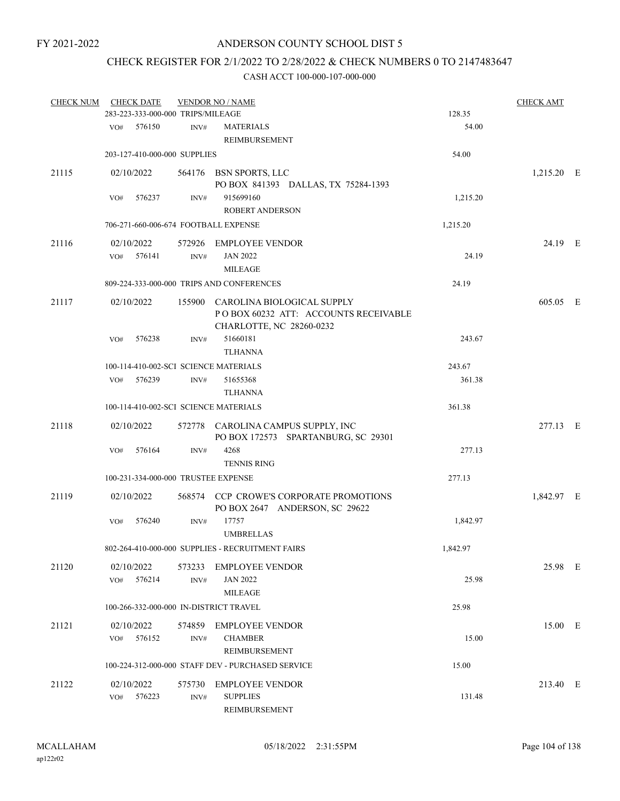# CHECK REGISTER FOR 2/1/2022 TO 2/28/2022 & CHECK NUMBERS 0 TO 2147483647

| <b>CHECK NUM</b> |     | <b>CHECK DATE</b>                 |        | <b>VENDOR NO / NAME</b>                                              |          | <b>CHECK AMT</b> |  |
|------------------|-----|-----------------------------------|--------|----------------------------------------------------------------------|----------|------------------|--|
|                  |     | 283-223-333-000-000 TRIPS/MILEAGE |        |                                                                      | 128.35   |                  |  |
|                  | VO# | 576150                            | INV#   | <b>MATERIALS</b><br>REIMBURSEMENT                                    | 54.00    |                  |  |
|                  |     | 203-127-410-000-000 SUPPLIES      |        |                                                                      | 54.00    |                  |  |
| 21115            |     | 02/10/2022                        |        | 564176 BSN SPORTS, LLC                                               |          | 1,215.20 E       |  |
|                  |     |                                   |        | PO BOX 841393 DALLAS, TX 75284-1393                                  |          |                  |  |
|                  | VO# | 576237                            | INV#   | 915699160                                                            | 1,215.20 |                  |  |
|                  |     |                                   |        | <b>ROBERT ANDERSON</b>                                               |          |                  |  |
|                  |     |                                   |        | 706-271-660-006-674 FOOTBALL EXPENSE                                 | 1,215.20 |                  |  |
| 21116            |     | 02/10/2022                        |        | 572926 EMPLOYEE VENDOR                                               |          | 24.19 E          |  |
|                  | VO# | 576141                            | INV#   | <b>JAN 2022</b>                                                      | 24.19    |                  |  |
|                  |     |                                   |        | <b>MILEAGE</b>                                                       |          |                  |  |
|                  |     |                                   |        | 809-224-333-000-000 TRIPS AND CONFERENCES                            | 24.19    |                  |  |
| 21117            |     | 02/10/2022                        |        | 155900 CAROLINA BIOLOGICAL SUPPLY                                    |          | 605.05 E         |  |
|                  |     |                                   |        | PO BOX 60232 ATT: ACCOUNTS RECEIVABLE                                |          |                  |  |
|                  |     |                                   |        | CHARLOTTE, NC 28260-0232                                             |          |                  |  |
|                  | VO# | 576238                            | INV#   | 51660181<br><b>TLHANNA</b>                                           | 243.67   |                  |  |
|                  |     |                                   |        | 100-114-410-002-SCI SCIENCE MATERIALS                                | 243.67   |                  |  |
|                  | VO# | 576239                            | INV#   | 51655368                                                             | 361.38   |                  |  |
|                  |     |                                   |        | <b>TLHANNA</b>                                                       |          |                  |  |
|                  |     |                                   |        | 100-114-410-002-SCI SCIENCE MATERIALS                                | 361.38   |                  |  |
| 21118            |     | 02/10/2022                        |        | 572778 CAROLINA CAMPUS SUPPLY, INC                                   |          | 277.13 E         |  |
|                  |     |                                   |        | PO BOX 172573 SPARTANBURG, SC 29301                                  |          |                  |  |
|                  | VO# | 576164                            | INV#   | 4268                                                                 | 277.13   |                  |  |
|                  |     |                                   |        | <b>TENNIS RING</b>                                                   |          |                  |  |
|                  |     |                                   |        | 100-231-334-000-000 TRUSTEE EXPENSE                                  | 277.13   |                  |  |
| 21119            |     | 02/10/2022                        |        | 568574 CCP CROWE'S CORPORATE PROMOTIONS                              |          | 1,842.97 E       |  |
|                  |     |                                   |        | PO BOX 2647 ANDERSON, SC 29622                                       |          |                  |  |
|                  | VO# | 576240                            | INV#   | 17757                                                                | 1,842.97 |                  |  |
|                  |     |                                   |        | <b>UMBRELLAS</b><br>802-264-410-000-000 SUPPLIES - RECRUITMENT FAIRS | 1,842.97 |                  |  |
|                  |     |                                   |        |                                                                      |          |                  |  |
| 21120            |     | 02/10/2022                        | 573233 | <b>EMPLOYEE VENDOR</b>                                               |          | 25.98 E          |  |
|                  |     | VO# 576214                        | INV#   | <b>JAN 2022</b>                                                      | 25.98    |                  |  |
|                  |     |                                   |        | MILEAGE<br>100-266-332-000-000 IN-DISTRICT TRAVEL                    | 25.98    |                  |  |
|                  |     |                                   |        |                                                                      |          |                  |  |
| 21121            |     | 02/10/2022                        | 574859 | EMPLOYEE VENDOR                                                      |          | 15.00 E          |  |
|                  | VO# | 576152                            | INV#   | <b>CHAMBER</b>                                                       | 15.00    |                  |  |
|                  |     |                                   |        | REIMBURSEMENT                                                        | 15.00    |                  |  |
|                  |     |                                   |        | 100-224-312-000-000 STAFF DEV - PURCHASED SERVICE                    |          |                  |  |
| 21122            |     | 02/10/2022                        | 575730 | <b>EMPLOYEE VENDOR</b>                                               |          | 213.40 E         |  |
|                  | VO# | 576223                            | INV#   | <b>SUPPLIES</b>                                                      | 131.48   |                  |  |
|                  |     |                                   |        | REIMBURSEMENT                                                        |          |                  |  |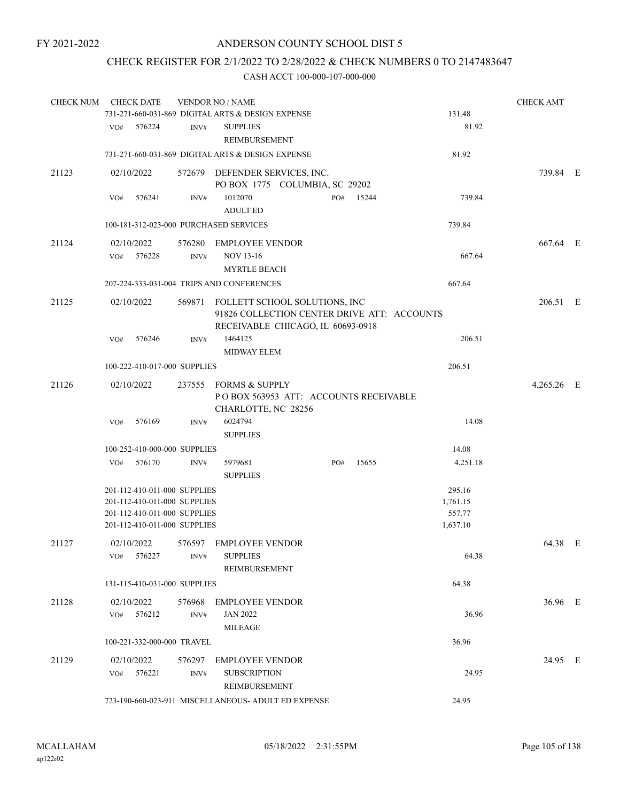# CHECK REGISTER FOR 2/1/2022 TO 2/28/2022 & CHECK NUMBERS 0 TO 2147483647

| <b>CHECK NUM</b> |     | <b>CHECK DATE</b>            |        | <b>VENDOR NO / NAME</b>                                                                                                  |     |           |          | <b>CHECK AMT</b> |  |
|------------------|-----|------------------------------|--------|--------------------------------------------------------------------------------------------------------------------------|-----|-----------|----------|------------------|--|
|                  |     |                              |        | 731-271-660-031-869 DIGITAL ARTS & DESIGN EXPENSE                                                                        |     |           | 131.48   |                  |  |
|                  | VO# | 576224                       | INV#   | <b>SUPPLIES</b><br>REIMBURSEMENT                                                                                         |     |           | 81.92    |                  |  |
|                  |     |                              |        | 731-271-660-031-869 DIGITAL ARTS & DESIGN EXPENSE                                                                        |     |           | 81.92    |                  |  |
| 21123            |     | 02/10/2022                   |        | 572679 DEFENDER SERVICES, INC.<br>PO BOX 1775 COLUMBIA, SC 29202                                                         |     |           |          | 739.84 E         |  |
|                  | VO# | 576241                       | INV#   | 1012070<br><b>ADULT ED</b>                                                                                               |     | PO# 15244 | 739.84   |                  |  |
|                  |     |                              |        | 100-181-312-023-000 PURCHASED SERVICES                                                                                   |     |           | 739.84   |                  |  |
| 21124            |     | 02/10/2022                   |        | 576280 EMPLOYEE VENDOR                                                                                                   |     |           |          | 667.64 E         |  |
|                  | VO# | 576228                       | INV#   | NOV 13-16<br><b>MYRTLE BEACH</b>                                                                                         |     |           | 667.64   |                  |  |
|                  |     |                              |        | 207-224-333-031-004 TRIPS AND CONFERENCES                                                                                |     |           | 667.64   |                  |  |
| 21125            |     | 02/10/2022                   |        | 569871 FOLLETT SCHOOL SOLUTIONS, INC<br>91826 COLLECTION CENTER DRIVE ATT: ACCOUNTS<br>RECEIVABLE CHICAGO, IL 60693-0918 |     |           |          | 206.51 E         |  |
|                  | VO# | 576246                       | INV#   | 1464125                                                                                                                  |     |           | 206.51   |                  |  |
|                  |     |                              |        | <b>MIDWAY ELEM</b>                                                                                                       |     |           |          |                  |  |
|                  |     | 100-222-410-017-000 SUPPLIES |        |                                                                                                                          |     |           | 206.51   |                  |  |
| 21126            |     | 02/10/2022                   |        | 237555 FORMS & SUPPLY<br>POBOX 563953 ATT: ACCOUNTS RECEIVABLE<br>CHARLOTTE, NC 28256                                    |     |           |          | 4,265.26 E       |  |
|                  | VO# | 576169                       | INV#   | 6024794<br><b>SUPPLIES</b>                                                                                               |     |           | 14.08    |                  |  |
|                  |     | 100-252-410-000-000 SUPPLIES |        |                                                                                                                          |     |           | 14.08    |                  |  |
|                  | VO# | 576170                       | INV#   | 5979681<br><b>SUPPLIES</b>                                                                                               | PO# | 15655     | 4,251.18 |                  |  |
|                  |     | 201-112-410-011-000 SUPPLIES |        |                                                                                                                          |     |           | 295.16   |                  |  |
|                  |     | 201-112-410-011-000 SUPPLIES |        |                                                                                                                          |     |           | 1,761.15 |                  |  |
|                  |     | 201-112-410-011-000 SUPPLIES |        |                                                                                                                          |     |           | 557.77   |                  |  |
|                  |     | 201-112-410-011-000 SUPPLIES |        |                                                                                                                          |     |           | 1,637.10 |                  |  |
| 21127            |     | 02/10/2022                   |        | 576597 EMPLOYEE VENDOR                                                                                                   |     |           |          | 64.38 E          |  |
|                  |     | VO# 576227                   | INV#   | <b>SUPPLIES</b><br>REIMBURSEMENT                                                                                         |     |           | 64.38    |                  |  |
|                  |     | 131-115-410-031-000 SUPPLIES |        |                                                                                                                          |     |           | 64.38    |                  |  |
| 21128            |     | 02/10/2022                   | 576968 | EMPLOYEE VENDOR                                                                                                          |     |           |          | 36.96 E          |  |
|                  | VO# | 576212                       | INV#   | <b>JAN 2022</b>                                                                                                          |     |           | 36.96    |                  |  |
|                  |     |                              |        | MILEAGE                                                                                                                  |     |           |          |                  |  |
|                  |     | 100-221-332-000-000 TRAVEL   |        |                                                                                                                          |     |           | 36.96    |                  |  |
| 21129            |     | 02/10/2022                   |        | 576297 EMPLOYEE VENDOR                                                                                                   |     |           |          | 24.95 E          |  |
|                  | VO# | 576221                       | INV#   | <b>SUBSCRIPTION</b><br>REIMBURSEMENT                                                                                     |     |           | 24.95    |                  |  |
|                  |     |                              |        | 723-190-660-023-911 MISCELLANEOUS- ADULT ED EXPENSE                                                                      |     |           | 24.95    |                  |  |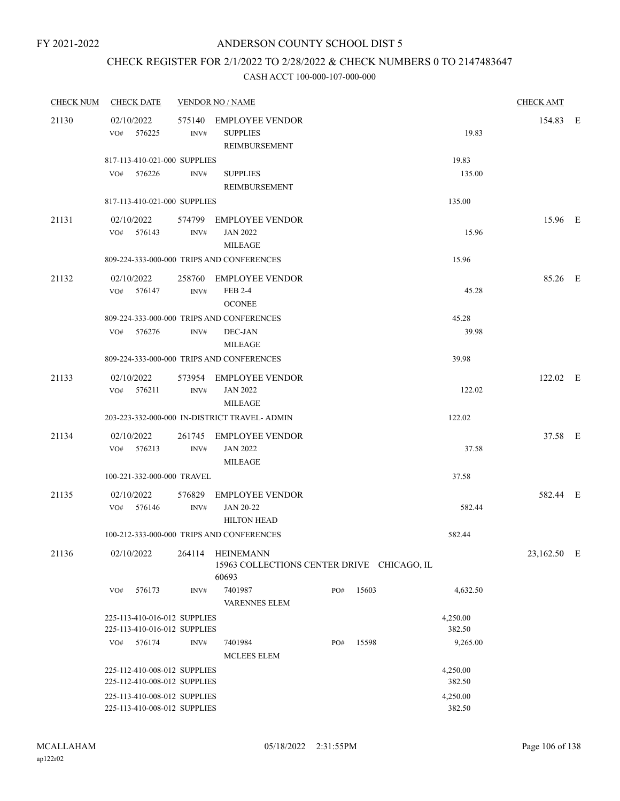### CHECK REGISTER FOR 2/1/2022 TO 2/28/2022 & CHECK NUMBERS 0 TO 2147483647

| <b>CHECK NUM</b> | <b>CHECK DATE</b>                          |                | <b>VENDOR NO / NAME</b>                                                 |     |       |                 | <b>CHECK AMT</b> |  |
|------------------|--------------------------------------------|----------------|-------------------------------------------------------------------------|-----|-------|-----------------|------------------|--|
| 21130            | 02/10/2022<br>576225<br>VO#                | 575140<br>INV# | <b>EMPLOYEE VENDOR</b><br><b>SUPPLIES</b><br>REIMBURSEMENT              |     |       | 19.83           | 154.83 E         |  |
|                  | 817-113-410-021-000 SUPPLIES<br>VO# 576226 | INV#           | <b>SUPPLIES</b><br>REIMBURSEMENT                                        |     |       | 19.83<br>135.00 |                  |  |
|                  | 817-113-410-021-000 SUPPLIES               |                |                                                                         |     |       | 135.00          |                  |  |
| 21131            | 02/10/2022<br>VO# 576143                   | INV#           | 574799 EMPLOYEE VENDOR<br><b>JAN 2022</b><br><b>MILEAGE</b>             |     |       | 15.96           | 15.96 E          |  |
|                  |                                            |                | 809-224-333-000-000 TRIPS AND CONFERENCES                               |     |       | 15.96           |                  |  |
| 21132            | 02/10/2022<br>576147<br>VO#                | 258760<br>INV# | EMPLOYEE VENDOR<br><b>FEB 2-4</b><br><b>OCONEE</b>                      |     |       | 45.28           | 85.26 E          |  |
|                  |                                            |                | 809-224-333-000-000 TRIPS AND CONFERENCES                               |     |       | 45.28           |                  |  |
|                  | VO# 576276                                 | INV#           | DEC-JAN<br><b>MILEAGE</b>                                               |     |       | 39.98           |                  |  |
|                  |                                            |                | 809-224-333-000-000 TRIPS AND CONFERENCES                               |     |       | 39.98           |                  |  |
| 21133            | 02/10/2022<br>$VO#$ 576211                 | INV#           | 573954 EMPLOYEE VENDOR<br><b>JAN 2022</b><br><b>MILEAGE</b>             |     |       | 122.02          | 122.02 E         |  |
|                  |                                            |                | 203-223-332-000-000 IN-DISTRICT TRAVEL- ADMIN                           |     |       | 122.02          |                  |  |
| 21134            | 02/10/2022<br>576213<br>VO#                | 261745<br>INV# | <b>EMPLOYEE VENDOR</b><br><b>JAN 2022</b><br><b>MILEAGE</b>             |     |       | 37.58           | 37.58 E          |  |
|                  | 100-221-332-000-000 TRAVEL                 |                |                                                                         |     |       | 37.58           |                  |  |
| 21135            | 02/10/2022<br>VO# 576146                   | 576829<br>INV# | <b>EMPLOYEE VENDOR</b><br><b>JAN 20-22</b><br><b>HILTON HEAD</b>        |     |       | 582.44          | 582.44 E         |  |
|                  |                                            |                | 100-212-333-000-000 TRIPS AND CONFERENCES                               |     |       | 582.44          |                  |  |
| 21136            | 02/10/2022                                 | 264114         | <b>HEINEMANN</b><br>15963 COLLECTIONS CENTER DRIVE CHICAGO, IL<br>60693 |     |       |                 | 23,162.50 E      |  |
|                  | 576173<br>VO#                              | INV#           | 7401987<br><b>VARENNES ELEM</b>                                         | PO# | 15603 | 4,632.50        |                  |  |
|                  | 225-113-410-016-012 SUPPLIES               |                |                                                                         |     |       | 4,250.00        |                  |  |
|                  | 225-113-410-016-012 SUPPLIES               |                |                                                                         |     |       | 382.50          |                  |  |
|                  | 576174<br>VO#                              | INV#           | 7401984<br><b>MCLEES ELEM</b>                                           | PO# | 15598 | 9,265.00        |                  |  |
|                  | 225-112-410-008-012 SUPPLIES               |                |                                                                         |     |       | 4,250.00        |                  |  |
|                  | 225-112-410-008-012 SUPPLIES               |                |                                                                         |     |       | 382.50          |                  |  |
|                  | 225-113-410-008-012 SUPPLIES               |                |                                                                         |     |       | 4,250.00        |                  |  |
|                  | 225-113-410-008-012 SUPPLIES               |                |                                                                         |     |       | 382.50          |                  |  |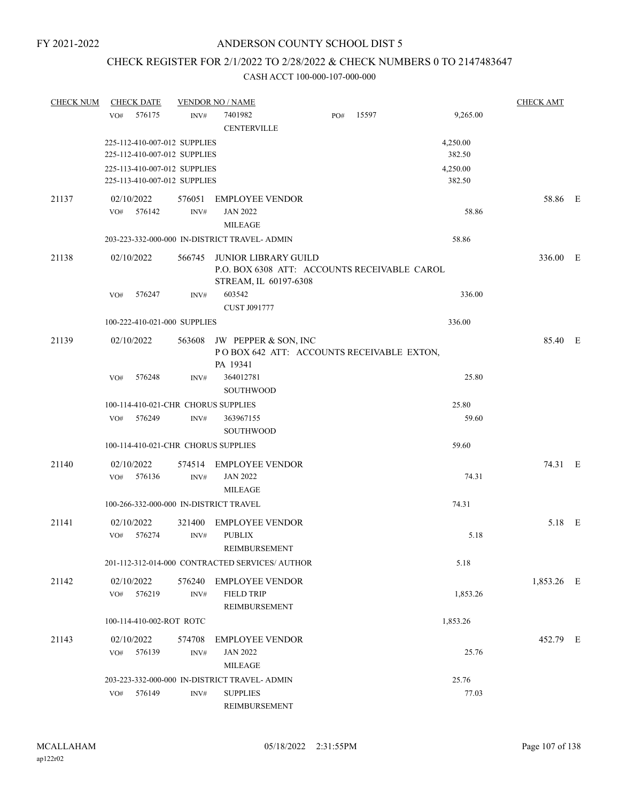# CHECK REGISTER FOR 2/1/2022 TO 2/28/2022 & CHECK NUMBERS 0 TO 2147483647

| <b>CHECK NUM</b> | <b>CHECK DATE</b>                                            |                | <b>CHECK AMT</b>                                                                              |     |       |                    |            |  |
|------------------|--------------------------------------------------------------|----------------|-----------------------------------------------------------------------------------------------|-----|-------|--------------------|------------|--|
|                  | 576175<br>VO <sub>#</sub>                                    | INV#           | 7401982<br><b>CENTERVILLE</b>                                                                 | PO# | 15597 | 9,265.00           |            |  |
|                  | 225-112-410-007-012 SUPPLIES<br>225-112-410-007-012 SUPPLIES |                |                                                                                               |     |       | 4,250.00<br>382.50 |            |  |
|                  | 225-113-410-007-012 SUPPLIES<br>225-113-410-007-012 SUPPLIES |                |                                                                                               |     |       | 4,250.00<br>382.50 |            |  |
| 21137            | 02/10/2022<br>576142<br>VO#                                  | 576051<br>INV# | <b>EMPLOYEE VENDOR</b><br><b>JAN 2022</b><br><b>MILEAGE</b>                                   |     |       | 58.86              | 58.86 E    |  |
|                  |                                                              |                | 203-223-332-000-000 IN-DISTRICT TRAVEL- ADMIN                                                 |     |       | 58.86              |            |  |
| 21138            | 02/10/2022                                                   | 566745         | JUNIOR LIBRARY GUILD<br>P.O. BOX 6308 ATT: ACCOUNTS RECEIVABLE CAROL<br>STREAM, IL 60197-6308 |     |       |                    | 336.00 E   |  |
|                  | 576247<br>VO#                                                | INV#           | 603542<br><b>CUST J091777</b>                                                                 |     |       | 336.00             |            |  |
|                  | 100-222-410-021-000 SUPPLIES                                 |                |                                                                                               |     |       | 336.00             |            |  |
| 21139            | 02/10/2022                                                   |                | 563608 JW PEPPER & SON, INC<br>POBOX 642 ATT: ACCOUNTS RECEIVABLE EXTON,<br>PA 19341          |     |       |                    | 85.40 E    |  |
|                  | 576248<br>VO#                                                | INV#           | 364012781<br><b>SOUTHWOOD</b>                                                                 |     |       | 25.80              |            |  |
|                  | 100-114-410-021-CHR CHORUS SUPPLIES                          |                |                                                                                               |     |       | 25.80              |            |  |
|                  | VO#<br>576249                                                | INV#           | 363967155<br><b>SOUTHWOOD</b>                                                                 |     |       | 59.60              |            |  |
|                  | 100-114-410-021-CHR CHORUS SUPPLIES                          |                |                                                                                               |     |       | 59.60              |            |  |
| 21140            | 02/10/2022<br>576136<br>VO#                                  | INV#           | 574514 EMPLOYEE VENDOR<br><b>JAN 2022</b><br><b>MILEAGE</b>                                   |     |       | 74.31              | 74.31 E    |  |
|                  | 100-266-332-000-000 IN-DISTRICT TRAVEL                       |                |                                                                                               |     |       | 74.31              |            |  |
| 21141            | 02/10/2022<br>VO#<br>576274                                  | 321400<br>INV# | <b>EMPLOYEE VENDOR</b><br><b>PUBLIX</b><br>REIMBURSEMENT                                      |     |       | 5.18               | 5.18 E     |  |
|                  |                                                              |                | 201-112-312-014-000 CONTRACTED SERVICES/ AUTHOR                                               |     |       | 5.18               |            |  |
| 21142            | 02/10/2022<br>576219<br>VO#                                  | 576240<br>INV# | <b>EMPLOYEE VENDOR</b><br><b>FIELD TRIP</b>                                                   |     |       | 1,853.26           | 1,853.26 E |  |
|                  |                                                              |                | REIMBURSEMENT                                                                                 |     |       |                    |            |  |
|                  | 100-114-410-002-ROT ROTC                                     |                |                                                                                               |     |       | 1,853.26           |            |  |
| 21143            | 02/10/2022<br>576139<br>VO#                                  | 574708<br>INV# | <b>EMPLOYEE VENDOR</b><br><b>JAN 2022</b><br><b>MILEAGE</b>                                   |     |       | 25.76              | 452.79 E   |  |
|                  |                                                              |                | 203-223-332-000-000 IN-DISTRICT TRAVEL- ADMIN                                                 |     |       | 25.76              |            |  |
|                  | VO#<br>576149                                                | INV#           | <b>SUPPLIES</b><br>REIMBURSEMENT                                                              |     |       | 77.03              |            |  |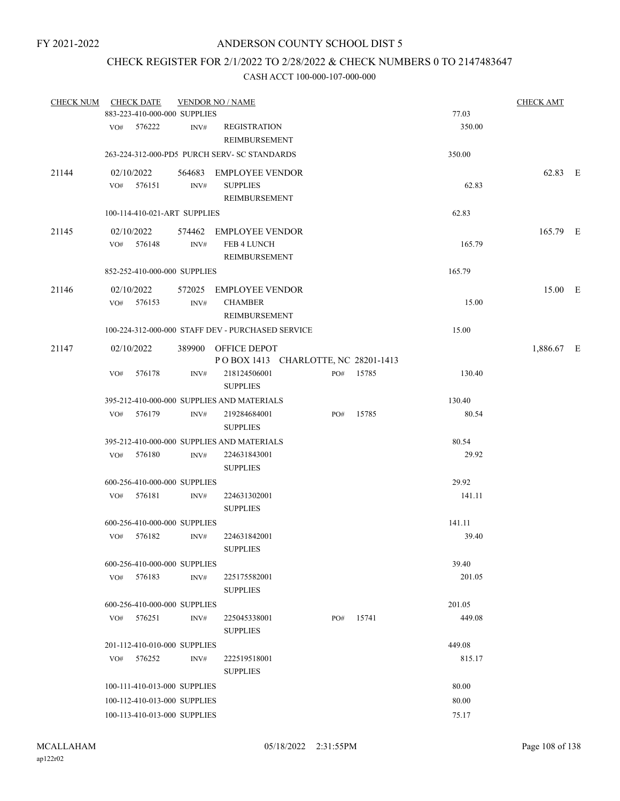### CHECK REGISTER FOR 2/1/2022 TO 2/28/2022 & CHECK NUMBERS 0 TO 2147483647

| <b>CHECK NUM</b> |     | <b>CHECK DATE</b>            |      | <b>VENDOR NO / NAME</b>                           |     |           |        | <b>CHECK AMT</b> |  |
|------------------|-----|------------------------------|------|---------------------------------------------------|-----|-----------|--------|------------------|--|
|                  |     | 883-223-410-000-000 SUPPLIES |      |                                                   |     |           | 77.03  |                  |  |
|                  |     | VO# 576222                   | INV# | <b>REGISTRATION</b><br>REIMBURSEMENT              |     |           | 350.00 |                  |  |
|                  |     |                              |      | 263-224-312-000-PD5 PURCH SERV- SC STANDARDS      |     |           | 350.00 |                  |  |
| 21144            |     | 02/10/2022                   |      | 564683 EMPLOYEE VENDOR                            |     |           |        | 62.83 E          |  |
|                  |     | VO# 576151                   | INV# | <b>SUPPLIES</b>                                   |     |           | 62.83  |                  |  |
|                  |     |                              |      | REIMBURSEMENT                                     |     |           |        |                  |  |
|                  |     | 100-114-410-021-ART SUPPLIES |      |                                                   |     |           | 62.83  |                  |  |
| 21145            |     | 02/10/2022                   |      | 574462 EMPLOYEE VENDOR                            |     |           |        | 165.79 E         |  |
|                  | VO# | 576148                       | INV# | FEB 4 LUNCH                                       |     |           | 165.79 |                  |  |
|                  |     |                              |      | REIMBURSEMENT                                     |     |           |        |                  |  |
|                  |     | 852-252-410-000-000 SUPPLIES |      |                                                   |     |           | 165.79 |                  |  |
| 21146            |     | 02/10/2022                   |      | 572025 EMPLOYEE VENDOR                            |     |           |        | 15.00 E          |  |
|                  |     | VO# 576153                   | INV# | <b>CHAMBER</b>                                    |     |           | 15.00  |                  |  |
|                  |     |                              |      | REIMBURSEMENT                                     |     |           |        |                  |  |
|                  |     |                              |      | 100-224-312-000-000 STAFF DEV - PURCHASED SERVICE |     |           | 15.00  |                  |  |
| 21147            |     | 02/10/2022                   |      | 389900 OFFICE DEPOT                               |     |           |        | 1,886.67 E       |  |
|                  |     |                              |      | POBOX 1413 CHARLOTTE, NC 28201-1413               |     |           |        |                  |  |
|                  | VO# | 576178                       | INV# | 218124506001                                      |     | PO# 15785 | 130.40 |                  |  |
|                  |     |                              |      | <b>SUPPLIES</b>                                   |     |           |        |                  |  |
|                  |     |                              |      | 395-212-410-000-000 SUPPLIES AND MATERIALS        |     |           | 130.40 |                  |  |
|                  |     | VO# 576179                   | INV# | 219284684001<br><b>SUPPLIES</b>                   | PO# | 15785     | 80.54  |                  |  |
|                  |     |                              |      | 395-212-410-000-000 SUPPLIES AND MATERIALS        |     |           | 80.54  |                  |  |
|                  |     | VO# 576180                   | INV# | 224631843001                                      |     |           | 29.92  |                  |  |
|                  |     |                              |      | <b>SUPPLIES</b>                                   |     |           |        |                  |  |
|                  |     | 600-256-410-000-000 SUPPLIES |      |                                                   |     |           | 29.92  |                  |  |
|                  |     | VO# 576181                   | INV# | 224631302001                                      |     |           | 141.11 |                  |  |
|                  |     |                              |      | <b>SUPPLIES</b>                                   |     |           |        |                  |  |
|                  |     | 600-256-410-000-000 SUPPLIES |      |                                                   |     |           | 141.11 |                  |  |
|                  |     | VO# 576182                   | INV# | 224631842001                                      |     |           | 39.40  |                  |  |
|                  |     |                              |      | <b>SUPPLIES</b>                                   |     |           |        |                  |  |
|                  |     | 600-256-410-000-000 SUPPLIES |      |                                                   |     |           | 39.40  |                  |  |
|                  |     | VO# 576183                   | INV# | 225175582001                                      |     |           | 201.05 |                  |  |
|                  |     |                              |      | <b>SUPPLIES</b>                                   |     |           |        |                  |  |
|                  |     | 600-256-410-000-000 SUPPLIES |      |                                                   |     |           | 201.05 |                  |  |
|                  |     | $VO#$ 576251                 | INV# | 225045338001                                      | PO# | 15741     | 449.08 |                  |  |
|                  |     |                              |      | <b>SUPPLIES</b>                                   |     |           |        |                  |  |
|                  |     | 201-112-410-010-000 SUPPLIES |      |                                                   |     |           | 449.08 |                  |  |
|                  |     | VO# 576252                   | INV# | 222519518001<br><b>SUPPLIES</b>                   |     |           | 815.17 |                  |  |
|                  |     | 100-111-410-013-000 SUPPLIES |      |                                                   |     |           | 80.00  |                  |  |
|                  |     | 100-112-410-013-000 SUPPLIES |      |                                                   |     |           | 80.00  |                  |  |
|                  |     | 100-113-410-013-000 SUPPLIES |      |                                                   |     |           | 75.17  |                  |  |
|                  |     |                              |      |                                                   |     |           |        |                  |  |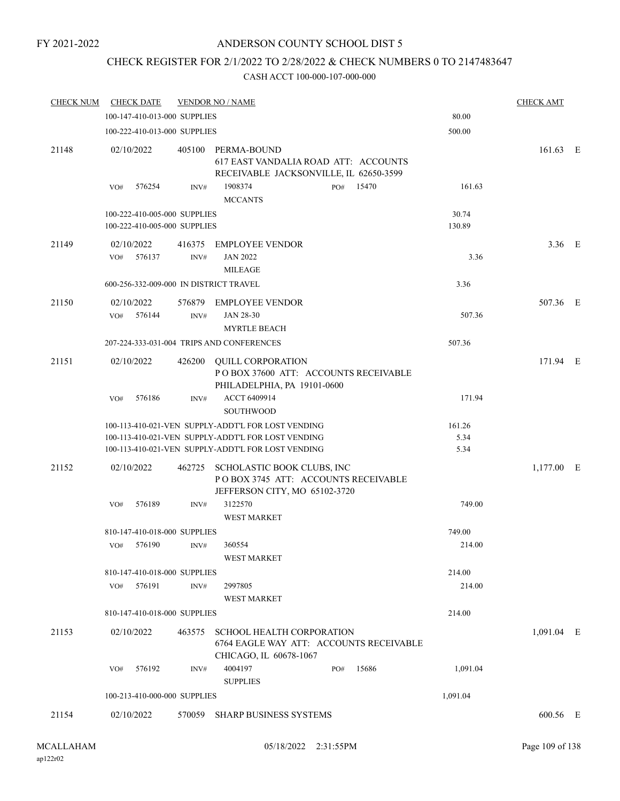## ANDERSON COUNTY SCHOOL DIST 5

## CHECK REGISTER FOR 2/1/2022 TO 2/28/2022 & CHECK NUMBERS 0 TO 2147483647

| <b>CHECK NUM</b> | <b>CHECK DATE</b>                                            |        | <b>VENDOR NO / NAME</b>                                                                                                                                        |              |                        | <b>CHECK AMT</b> |  |
|------------------|--------------------------------------------------------------|--------|----------------------------------------------------------------------------------------------------------------------------------------------------------------|--------------|------------------------|------------------|--|
|                  | 100-147-410-013-000 SUPPLIES                                 |        |                                                                                                                                                                |              | 80.00                  |                  |  |
|                  | 100-222-410-013-000 SUPPLIES                                 |        |                                                                                                                                                                |              | 500.00                 |                  |  |
| 21148            | 02/10/2022                                                   |        | 405100 PERMA-BOUND<br>617 EAST VANDALIA ROAD ATT: ACCOUNTS<br>RECEIVABLE JACKSONVILLE, IL 62650-3599                                                           |              |                        | 161.63 E         |  |
|                  | 576254<br>VO#                                                | INV#   | 1908374<br><b>MCCANTS</b>                                                                                                                                      | 15470<br>PO# | 161.63                 |                  |  |
|                  | 100-222-410-005-000 SUPPLIES<br>100-222-410-005-000 SUPPLIES |        |                                                                                                                                                                |              | 30.74<br>130.89        |                  |  |
| 21149            | 02/10/2022<br>576137<br>VO#                                  | INV#   | 416375 EMPLOYEE VENDOR<br><b>JAN 2022</b><br><b>MILEAGE</b>                                                                                                    |              | 3.36                   | $3.36$ E         |  |
|                  | 600-256-332-009-000 IN DISTRICT TRAVEL                       |        |                                                                                                                                                                |              | 3.36                   |                  |  |
| 21150            | 02/10/2022<br>576144<br>VO#                                  | INV#   | 576879 EMPLOYEE VENDOR<br><b>JAN 28-30</b><br><b>MYRTLE BEACH</b>                                                                                              |              | 507.36                 | 507.36 E         |  |
|                  |                                                              |        | 207-224-333-031-004 TRIPS AND CONFERENCES                                                                                                                      |              | 507.36                 |                  |  |
| 21151            | 02/10/2022                                                   |        | 426200 QUILL CORPORATION<br>POBOX 37600 ATT: ACCOUNTS RECEIVABLE<br>PHILADELPHIA, PA 19101-0600                                                                |              |                        | 171.94 E         |  |
|                  | 576186<br>VO#                                                | INV#   | ACCT 6409914<br><b>SOUTHWOOD</b>                                                                                                                               |              | 171.94                 |                  |  |
|                  |                                                              |        | 100-113-410-021-VEN SUPPLY-ADDT'L FOR LOST VENDING<br>100-113-410-021-VEN SUPPLY-ADDT'L FOR LOST VENDING<br>100-113-410-021-VEN SUPPLY-ADDT'L FOR LOST VENDING |              | 161.26<br>5.34<br>5.34 |                  |  |
| 21152            | 02/10/2022                                                   |        | 462725 SCHOLASTIC BOOK CLUBS, INC<br>POBOX 3745 ATT: ACCOUNTS RECEIVABLE<br>JEFFERSON CITY, MO 65102-3720                                                      |              |                        | $1,177.00$ E     |  |
|                  | 576189<br>VO#                                                | INV#   | 3122570<br><b>WEST MARKET</b>                                                                                                                                  |              | 749.00                 |                  |  |
|                  | 810-147-410-018-000 SUPPLIES                                 |        |                                                                                                                                                                |              | 749.00                 |                  |  |
|                  | 576190<br>VO#                                                | INV#   | 360554<br><b>WEST MARKET</b>                                                                                                                                   |              | 214.00                 |                  |  |
|                  | 810-147-410-018-000 SUPPLIES                                 |        |                                                                                                                                                                |              | 214.00                 |                  |  |
|                  | 576191<br>VO#                                                | INV#   | 2997805<br><b>WEST MARKET</b>                                                                                                                                  |              | 214.00                 |                  |  |
|                  | 810-147-410-018-000 SUPPLIES                                 |        |                                                                                                                                                                |              | 214.00                 |                  |  |
| 21153            | 02/10/2022                                                   | 463575 | <b>SCHOOL HEALTH CORPORATION</b><br>6764 EAGLE WAY ATT: ACCOUNTS RECEIVABLE<br>CHICAGO, IL 60678-1067                                                          |              |                        | $1,091.04$ E     |  |
|                  | 576192<br>VO#                                                | INV#   | 4004197<br><b>SUPPLIES</b>                                                                                                                                     | 15686<br>PO# | 1,091.04               |                  |  |
|                  | 100-213-410-000-000 SUPPLIES                                 |        |                                                                                                                                                                |              | 1,091.04               |                  |  |
| 21154            | 02/10/2022                                                   |        | 570059 SHARP BUSINESS SYSTEMS                                                                                                                                  |              |                        | 600.56 E         |  |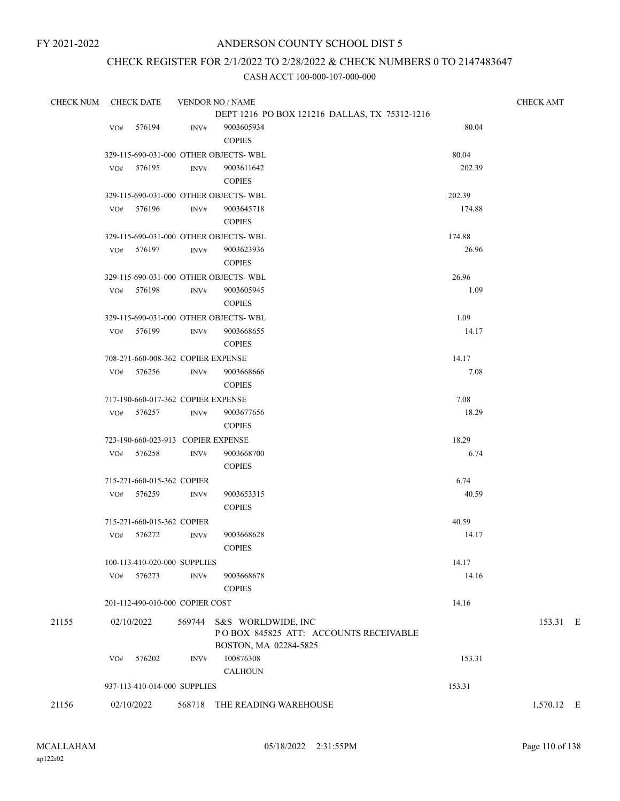#### ANDERSON COUNTY SCHOOL DIST 5

## CHECK REGISTER FOR 2/1/2022 TO 2/28/2022 & CHECK NUMBERS 0 TO 2147483647

| <b>CHECK NUM</b> |     | <b>CHECK DATE</b>                            |      | <b>VENDOR NO / NAME</b>                                            |        | <b>CHECK AMT</b> |
|------------------|-----|----------------------------------------------|------|--------------------------------------------------------------------|--------|------------------|
|                  |     |                                              |      | DEPT 1216 PO BOX 121216 DALLAS, TX 75312-1216                      |        |                  |
|                  | VO# | 576194                                       | INV# | 9003605934                                                         | 80.04  |                  |
|                  |     |                                              |      | <b>COPIES</b>                                                      |        |                  |
|                  |     |                                              |      | 329-115-690-031-000 OTHER OBJECTS-WBL                              | 80.04  |                  |
|                  | VO# | 576195                                       | INV# | 9003611642                                                         | 202.39 |                  |
|                  |     |                                              |      | <b>COPIES</b>                                                      |        |                  |
|                  |     |                                              |      | 329-115-690-031-000 OTHER OBJECTS-WBL                              | 202.39 |                  |
|                  |     | VO# 576196                                   | INV# | 9003645718                                                         | 174.88 |                  |
|                  |     |                                              |      | <b>COPIES</b>                                                      |        |                  |
|                  |     |                                              |      | 329-115-690-031-000 OTHER OBJECTS-WBL                              | 174.88 |                  |
|                  | VO# | 576197                                       | INV# | 9003623936                                                         | 26.96  |                  |
|                  |     |                                              |      | <b>COPIES</b>                                                      |        |                  |
|                  |     |                                              |      | 329-115-690-031-000 OTHER OBJECTS-WBL                              | 26.96  |                  |
|                  | VO# | 576198                                       | INV# | 9003605945                                                         | 1.09   |                  |
|                  |     |                                              |      | <b>COPIES</b>                                                      |        |                  |
|                  |     |                                              |      | 329-115-690-031-000 OTHER OBJECTS- WBL                             | 1.09   |                  |
|                  |     | VO# 576199                                   | INV# | 9003668655                                                         | 14.17  |                  |
|                  |     |                                              |      | <b>COPIES</b>                                                      |        |                  |
|                  |     | 708-271-660-008-362 COPIER EXPENSE           |      |                                                                    | 14.17  |                  |
|                  | VO# | 576256                                       | INV# | 9003668666                                                         | 7.08   |                  |
|                  |     |                                              |      | <b>COPIES</b>                                                      |        |                  |
|                  |     |                                              |      |                                                                    | 7.08   |                  |
|                  |     | 717-190-660-017-362 COPIER EXPENSE<br>576257 |      |                                                                    |        |                  |
|                  | VO# |                                              | INV# | 9003677656<br><b>COPIES</b>                                        | 18.29  |                  |
|                  |     |                                              |      |                                                                    |        |                  |
|                  |     | 723-190-660-023-913 COPIER EXPENSE           |      |                                                                    | 18.29  |                  |
|                  | VO# | 576258                                       | INV# | 9003668700                                                         | 6.74   |                  |
|                  |     |                                              |      | <b>COPIES</b>                                                      |        |                  |
|                  |     | 715-271-660-015-362 COPIER                   |      |                                                                    | 6.74   |                  |
|                  | VO# | 576259                                       | INV# | 9003653315                                                         | 40.59  |                  |
|                  |     |                                              |      | <b>COPIES</b>                                                      |        |                  |
|                  |     | 715-271-660-015-362 COPIER                   |      |                                                                    | 40.59  |                  |
|                  |     | VO# 576272                                   | INV# | 9003668628                                                         | 14.17  |                  |
|                  |     |                                              |      | <b>COPIES</b>                                                      |        |                  |
|                  |     | 100-113-410-020-000 SUPPLIES                 |      |                                                                    | 14.17  |                  |
|                  | VO# | 576273                                       | INV# | 9003668678                                                         | 14.16  |                  |
|                  |     |                                              |      | <b>COPIES</b>                                                      |        |                  |
|                  |     | 201-112-490-010-000 COPIER COST              |      |                                                                    | 14.16  |                  |
| 21155            |     | 02/10/2022                                   |      | 569744 S&S WORLDWIDE, INC<br>POBOX 845825 ATT: ACCOUNTS RECEIVABLE |        | 153.31 E         |
|                  |     |                                              |      | BOSTON, MA 02284-5825                                              |        |                  |
|                  | VO# | 576202                                       | INV# | 100876308                                                          | 153.31 |                  |
|                  |     |                                              |      | <b>CALHOUN</b>                                                     |        |                  |
|                  |     | 937-113-410-014-000 SUPPLIES                 |      |                                                                    | 153.31 |                  |
| 21156            |     | 02/10/2022                                   |      | 568718 THE READING WAREHOUSE                                       |        | 1,570.12 E       |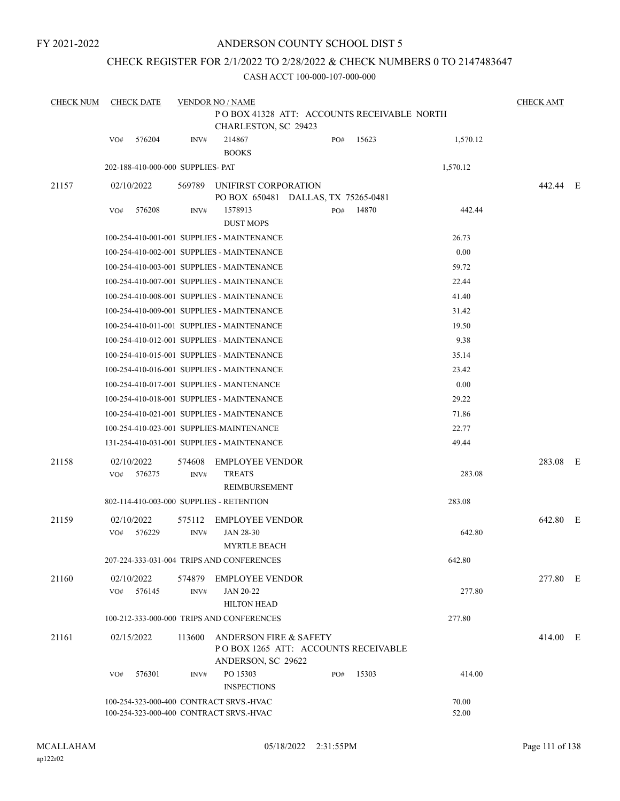## ANDERSON COUNTY SCHOOL DIST 5

## CHECK REGISTER FOR 2/1/2022 TO 2/28/2022 & CHECK NUMBERS 0 TO 2147483647

| <b>CHECK NUM</b> | <b>CHECK DATE</b>                        |        | <b>VENDOR NO / NAME</b>                                             |     |       |          | <b>CHECK AMT</b> |  |
|------------------|------------------------------------------|--------|---------------------------------------------------------------------|-----|-------|----------|------------------|--|
|                  |                                          |        | PO BOX 41328 ATT: ACCOUNTS RECEIVABLE NORTH<br>CHARLESTON, SC 29423 |     |       |          |                  |  |
|                  | 576204<br>VO#                            | INV#   | 214867                                                              | PO# | 15623 | 1,570.12 |                  |  |
|                  |                                          |        | <b>BOOKS</b>                                                        |     |       |          |                  |  |
|                  | 202-188-410-000-000 SUPPLIES- PAT        |        |                                                                     |     |       | 1,570.12 |                  |  |
| 21157            | 02/10/2022                               | 569789 | UNIFIRST CORPORATION                                                |     |       |          | 442.44 E         |  |
|                  |                                          |        | PO BOX 650481 DALLAS, TX 75265-0481                                 |     |       |          |                  |  |
|                  | 576208<br>VO#                            | INV#   | 1578913<br><b>DUST MOPS</b>                                         | PO# | 14870 | 442.44   |                  |  |
|                  |                                          |        | 100-254-410-001-001 SUPPLIES - MAINTENANCE                          |     |       | 26.73    |                  |  |
|                  |                                          |        | 100-254-410-002-001 SUPPLIES - MAINTENANCE                          |     |       | 0.00     |                  |  |
|                  |                                          |        | 100-254-410-003-001 SUPPLIES - MAINTENANCE                          |     |       | 59.72    |                  |  |
|                  |                                          |        | 100-254-410-007-001 SUPPLIES - MAINTENANCE                          |     |       | 22.44    |                  |  |
|                  |                                          |        | 100-254-410-008-001 SUPPLIES - MAINTENANCE                          |     |       | 41.40    |                  |  |
|                  |                                          |        | 100-254-410-009-001 SUPPLIES - MAINTENANCE                          |     |       | 31.42    |                  |  |
|                  |                                          |        | 100-254-410-011-001 SUPPLIES - MAINTENANCE                          |     |       | 19.50    |                  |  |
|                  |                                          |        | 100-254-410-012-001 SUPPLIES - MAINTENANCE                          |     |       | 9.38     |                  |  |
|                  |                                          |        | 100-254-410-015-001 SUPPLIES - MAINTENANCE                          |     |       | 35.14    |                  |  |
|                  |                                          |        | 100-254-410-016-001 SUPPLIES - MAINTENANCE                          |     |       | 23.42    |                  |  |
|                  |                                          |        | 100-254-410-017-001 SUPPLIES - MANTENANCE                           |     |       | 0.00     |                  |  |
|                  |                                          |        | 100-254-410-018-001 SUPPLIES - MAINTENANCE                          |     |       | 29.22    |                  |  |
|                  |                                          |        | 100-254-410-021-001 SUPPLIES - MAINTENANCE                          |     |       | 71.86    |                  |  |
|                  |                                          |        | 100-254-410-023-001 SUPPLIES-MAINTENANCE                            |     |       | 22.77    |                  |  |
|                  |                                          |        | 131-254-410-031-001 SUPPLIES - MAINTENANCE                          |     |       | 49.44    |                  |  |
| 21158            | 02/10/2022                               | 574608 | <b>EMPLOYEE VENDOR</b>                                              |     |       |          | 283.08 E         |  |
|                  | 576275<br>VO#                            | INV#   | <b>TREATS</b>                                                       |     |       | 283.08   |                  |  |
|                  |                                          |        | REIMBURSEMENT                                                       |     |       |          |                  |  |
|                  | 802-114-410-003-000 SUPPLIES - RETENTION |        |                                                                     |     |       | 283.08   |                  |  |
| 21159            | 02/10/2022                               | 575112 | <b>EMPLOYEE VENDOR</b>                                              |     |       |          | 642.80 E         |  |
|                  | VO#<br>576229                            | INV#   | <b>JAN 28-30</b>                                                    |     |       | 642.80   |                  |  |
|                  |                                          |        | <b>MYRTLE BEACH</b>                                                 |     |       |          |                  |  |
|                  |                                          |        | 207-224-333-031-004 TRIPS AND CONFERENCES                           |     |       | 642.80   |                  |  |
| 21160            | 02/10/2022                               | 574879 | EMPLOYEE VENDOR                                                     |     |       |          | 277.80 E         |  |
|                  | 576145<br>VO#                            | INV#   | JAN 20-22                                                           |     |       | 277.80   |                  |  |
|                  |                                          |        | <b>HILTON HEAD</b>                                                  |     |       |          |                  |  |
|                  |                                          |        | 100-212-333-000-000 TRIPS AND CONFERENCES                           |     |       | 277.80   |                  |  |
| 21161            | 02/15/2022                               | 113600 | ANDERSON FIRE & SAFETY<br>PO BOX 1265 ATT: ACCOUNTS RECEIVABLE      |     |       |          | 414.00 E         |  |
|                  |                                          |        | ANDERSON, SC 29622                                                  |     |       |          |                  |  |
|                  | 576301<br>VO#                            | INV#   | PO 15303<br><b>INSPECTIONS</b>                                      | PO# | 15303 | 414.00   |                  |  |
|                  | 100-254-323-000-400 CONTRACT SRVS.-HVAC  |        |                                                                     |     |       | 70.00    |                  |  |
|                  | 100-254-323-000-400 CONTRACT SRVS.-HVAC  |        |                                                                     |     |       | 52.00    |                  |  |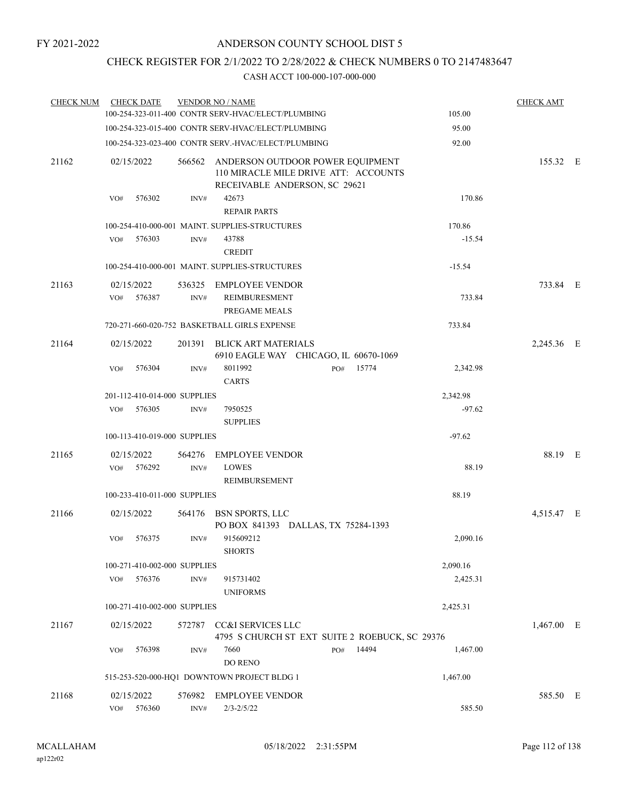## CHECK REGISTER FOR 2/1/2022 TO 2/28/2022 & CHECK NUMBERS 0 TO 2147483647

| <b>CHECK NUM</b> | <b>CHECK DATE</b>            |        | <b>VENDOR NO / NAME</b>                                                                                          |                                                |          | <b>CHECK AMT</b> |  |
|------------------|------------------------------|--------|------------------------------------------------------------------------------------------------------------------|------------------------------------------------|----------|------------------|--|
|                  |                              |        | 100-254-323-011-400 CONTR SERV-HVAC/ELECT/PLUMBING                                                               |                                                | 105.00   |                  |  |
|                  |                              |        | 100-254-323-015-400 CONTR SERV-HVAC/ELECT/PLUMBING                                                               |                                                | 95.00    |                  |  |
|                  |                              |        | 100-254-323-023-400 CONTR SERV.-HVAC/ELECT/PLUMBING                                                              |                                                | 92.00    |                  |  |
| 21162            | 02/15/2022                   |        | 566562 ANDERSON OUTDOOR POWER EQUIPMENT<br>110 MIRACLE MILE DRIVE ATT: ACCOUNTS<br>RECEIVABLE ANDERSON, SC 29621 |                                                |          | 155.32 E         |  |
|                  | 576302<br>VO#                | INV#   | 42673                                                                                                            |                                                | 170.86   |                  |  |
|                  |                              |        | <b>REPAIR PARTS</b>                                                                                              |                                                |          |                  |  |
|                  |                              |        | 100-254-410-000-001 MAINT. SUPPLIES-STRUCTURES                                                                   |                                                | 170.86   |                  |  |
|                  | 576303<br>VO#                | INV#   | 43788<br><b>CREDIT</b>                                                                                           |                                                | $-15.54$ |                  |  |
|                  |                              |        | 100-254-410-000-001 MAINT. SUPPLIES-STRUCTURES                                                                   |                                                | $-15.54$ |                  |  |
| 21163            | 02/15/2022<br>576387<br>VO#  | INV#   | 536325 EMPLOYEE VENDOR<br>REIMBURESMENT                                                                          |                                                | 733.84   | 733.84 E         |  |
|                  |                              |        | PREGAME MEALS                                                                                                    |                                                |          |                  |  |
|                  |                              |        | 720-271-660-020-752 BASKETBALL GIRLS EXPENSE                                                                     |                                                | 733.84   |                  |  |
| 21164            | 02/15/2022                   |        | 201391 BLICK ART MATERIALS<br>6910 EAGLE WAY CHICAGO, IL 60670-1069                                              |                                                |          | 2,245.36 E       |  |
|                  | 576304<br>VO#                | INV#   | 8011992<br><b>CARTS</b>                                                                                          | 15774<br>PO#                                   | 2,342.98 |                  |  |
|                  | 201-112-410-014-000 SUPPLIES |        |                                                                                                                  |                                                | 2,342.98 |                  |  |
|                  | VO#<br>576305                | INV#   | 7950525<br><b>SUPPLIES</b>                                                                                       |                                                | $-97.62$ |                  |  |
|                  | 100-113-410-019-000 SUPPLIES |        |                                                                                                                  |                                                | $-97.62$ |                  |  |
| 21165            | 02/15/2022                   | 564276 | <b>EMPLOYEE VENDOR</b>                                                                                           |                                                |          | 88.19 E          |  |
|                  | VO#<br>576292                | INV#   | <b>LOWES</b><br>REIMBURSEMENT                                                                                    |                                                | 88.19    |                  |  |
|                  | 100-233-410-011-000 SUPPLIES |        |                                                                                                                  |                                                | 88.19    |                  |  |
| 21166            | 02/15/2022                   |        | 564176 BSN SPORTS, LLC<br>PO BOX 841393 DALLAS, TX 75284-1393                                                    |                                                |          | 4,515.47 E       |  |
|                  | 576375<br>VO#                | INV#   | 915609212<br><b>SHORTS</b>                                                                                       |                                                | 2,090.16 |                  |  |
|                  | 100-271-410-002-000 SUPPLIES |        |                                                                                                                  |                                                | 2,090.16 |                  |  |
|                  | 576376<br>VO#                | INV#   | 915731402<br><b>UNIFORMS</b>                                                                                     |                                                | 2,425.31 |                  |  |
|                  | 100-271-410-002-000 SUPPLIES |        |                                                                                                                  |                                                | 2,425.31 |                  |  |
| 21167            | 02/15/2022                   | 572787 | CC&I SERVICES LLC                                                                                                |                                                |          | $1,467.00$ E     |  |
|                  |                              |        |                                                                                                                  | 4795 S CHURCH ST EXT SUITE 2 ROEBUCK, SC 29376 |          |                  |  |
|                  | 576398<br>VO#                | INV#   | 7660<br><b>DO RENO</b>                                                                                           | 14494<br>PO#                                   | 1,467.00 |                  |  |
|                  |                              |        | 515-253-520-000-HQ1 DOWNTOWN PROJECT BLDG 1                                                                      |                                                | 1,467.00 |                  |  |
| 21168            | 02/15/2022                   | 576982 | <b>EMPLOYEE VENDOR</b>                                                                                           |                                                |          | 585.50 E         |  |
|                  | VO#<br>576360                | INV#   | $2/3 - 2/5/22$                                                                                                   |                                                | 585.50   |                  |  |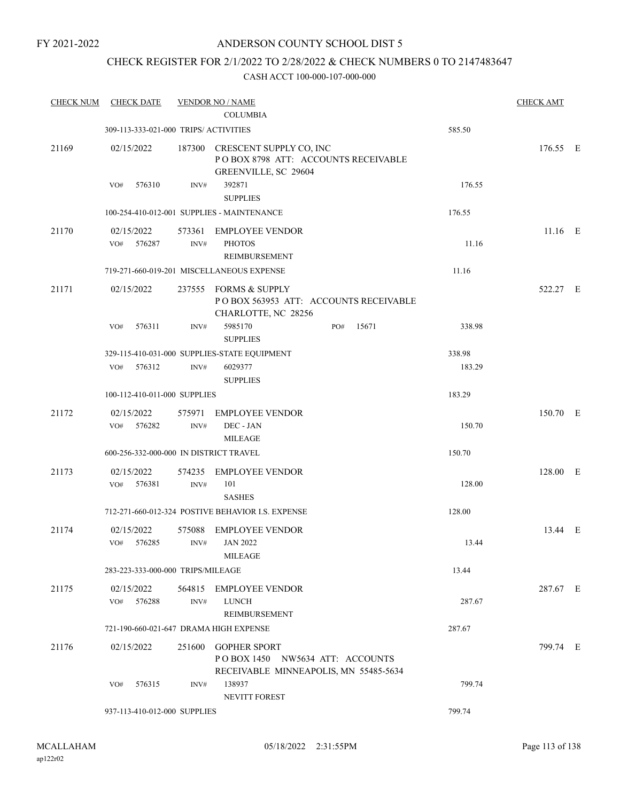## CHECK REGISTER FOR 2/1/2022 TO 2/28/2022 & CHECK NUMBERS 0 TO 2147483647

| <b>CHECK NUM</b> | <b>CHECK DATE</b>                      |                | <b>VENDOR NO / NAME</b>                                                                         |              |        | <b>CHECK AMT</b> |  |
|------------------|----------------------------------------|----------------|-------------------------------------------------------------------------------------------------|--------------|--------|------------------|--|
|                  |                                        |                | <b>COLUMBIA</b>                                                                                 |              |        |                  |  |
|                  | 309-113-333-021-000 TRIPS/ ACTIVITIES  |                |                                                                                                 |              | 585.50 |                  |  |
| 21169            | 02/15/2022                             | 187300         | CRESCENT SUPPLY CO, INC<br>POBOX 8798 ATT: ACCOUNTS RECEIVABLE<br>GREENVILLE, SC 29604          |              |        | 176.55 E         |  |
|                  | 576310<br>VO#                          | INV#           | 392871<br><b>SUPPLIES</b>                                                                       |              | 176.55 |                  |  |
|                  |                                        |                | 100-254-410-012-001 SUPPLIES - MAINTENANCE                                                      |              | 176.55 |                  |  |
| 21170            | 02/15/2022<br>VO#<br>576287            | 573361<br>INV# | <b>EMPLOYEE VENDOR</b><br><b>PHOTOS</b>                                                         |              | 11.16  | $11.16$ E        |  |
|                  |                                        |                | REIMBURSEMENT                                                                                   |              |        |                  |  |
|                  |                                        |                | 719-271-660-019-201 MISCELLANEOUS EXPENSE                                                       |              | 11.16  |                  |  |
| 21171            | 02/15/2022                             |                | 237555 FORMS & SUPPLY<br>POBOX 563953 ATT: ACCOUNTS RECEIVABLE<br>CHARLOTTE, NC 28256           |              |        | 522.27 E         |  |
|                  | VO#<br>576311                          | INV#           | 5985170<br><b>SUPPLIES</b>                                                                      | 15671<br>PO# | 338.98 |                  |  |
|                  |                                        |                | 329-115-410-031-000 SUPPLIES-STATE EQUIPMENT                                                    |              | 338.98 |                  |  |
|                  | 576312<br>VO#                          | INV#           | 6029377<br><b>SUPPLIES</b>                                                                      |              | 183.29 |                  |  |
|                  | 100-112-410-011-000 SUPPLIES           |                |                                                                                                 |              | 183.29 |                  |  |
| 21172            | 02/15/2022                             | 575971         | <b>EMPLOYEE VENDOR</b>                                                                          |              |        | 150.70 E         |  |
|                  | VO <sub>#</sub><br>576282              | INV#           | DEC - JAN<br><b>MILEAGE</b>                                                                     |              | 150.70 |                  |  |
|                  | 600-256-332-000-000 IN DISTRICT TRAVEL |                |                                                                                                 |              | 150.70 |                  |  |
| 21173            | 02/15/2022<br>576381<br>VO#            | 574235<br>INV# | <b>EMPLOYEE VENDOR</b><br>101                                                                   |              | 128.00 | 128.00 E         |  |
|                  |                                        |                | <b>SASHES</b><br>712-271-660-012-324 POSTIVE BEHAVIOR I.S. EXPENSE                              |              | 128.00 |                  |  |
|                  |                                        |                |                                                                                                 |              |        |                  |  |
| 21174            | 02/15/2022<br>$VO#$ 576285             | 575088<br>INV# | <b>EMPLOYEE VENDOR</b><br><b>JAN 2022</b><br>MILEAGE                                            |              | 13.44  | 13.44 E          |  |
|                  | 283-223-333-000-000 TRIPS/MILEAGE      |                |                                                                                                 |              | 13.44  |                  |  |
| 21175            | 02/15/2022<br>VO#<br>576288            | INV#           | 564815 EMPLOYEE VENDOR<br>LUNCH<br>REIMBURSEMENT                                                |              | 287.67 | 287.67 E         |  |
|                  | 721-190-660-021-647 DRAMA HIGH EXPENSE |                |                                                                                                 |              | 287.67 |                  |  |
| 21176            | 02/15/2022                             | 251600         | <b>GOPHER SPORT</b><br>POBOX 1450 NW5634 ATT: ACCOUNTS<br>RECEIVABLE MINNEAPOLIS, MN 55485-5634 |              |        | 799.74 E         |  |
|                  | 576315<br>VO#                          | INV#           | 138937<br>NEVITT FOREST                                                                         |              | 799.74 |                  |  |
|                  | 937-113-410-012-000 SUPPLIES           |                |                                                                                                 |              | 799.74 |                  |  |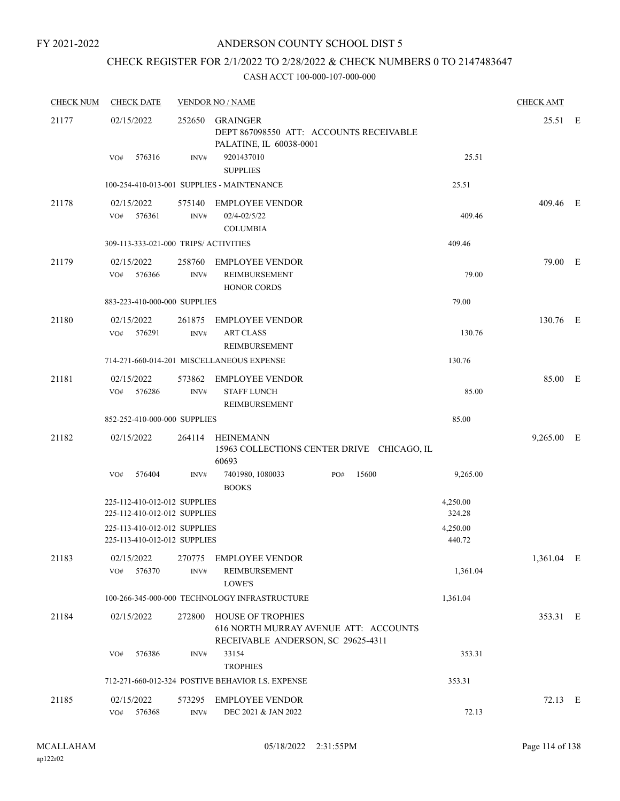## ANDERSON COUNTY SCHOOL DIST 5

## CHECK REGISTER FOR 2/1/2022 TO 2/28/2022 & CHECK NUMBERS 0 TO 2147483647

| <b>CHECK NUM</b> | <b>CHECK DATE</b>                                            |                | <b>VENDOR NO / NAME</b>                                                                                 |                    | <b>CHECK AMT</b> |     |
|------------------|--------------------------------------------------------------|----------------|---------------------------------------------------------------------------------------------------------|--------------------|------------------|-----|
| 21177            | 02/15/2022                                                   | 252650         | GRAINGER<br>DEPT 867098550 ATT: ACCOUNTS RECEIVABLE<br>PALATINE, IL 60038-0001                          |                    | 25.51 E          |     |
|                  | 576316<br>VO#                                                | INV#           | 9201437010<br><b>SUPPLIES</b>                                                                           | 25.51              |                  |     |
|                  |                                                              |                | 100-254-410-013-001 SUPPLIES - MAINTENANCE                                                              | 25.51              |                  |     |
| 21178            | 02/15/2022<br>VO#<br>576361                                  | 575140<br>INV# | EMPLOYEE VENDOR<br>$02/4 - 02/5/22$<br><b>COLUMBIA</b>                                                  | 409.46             | 409.46 E         |     |
|                  | 309-113-333-021-000 TRIPS/ ACTIVITIES                        |                |                                                                                                         | 409.46             |                  |     |
| 21179            | 02/15/2022<br>VO#<br>576366                                  | 258760<br>INV# | EMPLOYEE VENDOR<br>REIMBURSEMENT<br><b>HONOR CORDS</b>                                                  | 79.00              | 79.00 E          |     |
|                  | 883-223-410-000-000 SUPPLIES                                 |                |                                                                                                         | 79.00              |                  |     |
| 21180            | 02/15/2022<br>576291<br>VO#                                  | 261875<br>INV# | <b>EMPLOYEE VENDOR</b><br><b>ART CLASS</b><br><b>REIMBURSEMENT</b>                                      | 130.76             | 130.76 E         |     |
|                  |                                                              |                | 714-271-660-014-201 MISCELLANEOUS EXPENSE                                                               | 130.76             |                  |     |
| 21181            | 02/15/2022<br>VO#<br>576286                                  | 573862<br>INV# | <b>EMPLOYEE VENDOR</b><br><b>STAFF LUNCH</b><br>REIMBURSEMENT                                           | 85.00              | 85.00 E          |     |
|                  | 852-252-410-000-000 SUPPLIES                                 |                |                                                                                                         | 85.00              |                  |     |
| 21182            | 02/15/2022                                                   | 264114         | HEINEMANN<br>15963 COLLECTIONS CENTER DRIVE CHICAGO, IL<br>60693                                        |                    | 9,265.00         | – E |
|                  | 576404<br>VO#                                                | INV#           | 7401980, 1080033<br>15600<br>PO#<br><b>BOOKS</b>                                                        | 9,265.00           |                  |     |
|                  | 225-112-410-012-012 SUPPLIES<br>225-112-410-012-012 SUPPLIES |                |                                                                                                         | 4,250.00<br>324.28 |                  |     |
|                  | 225-113-410-012-012 SUPPLIES<br>225-113-410-012-012 SUPPLIES |                |                                                                                                         | 4,250.00<br>440.72 |                  |     |
| 21183            | 02/15/2022<br>576370<br>VO#                                  | 270775<br>INV# | <b>EMPLOYEE VENDOR</b><br>REIMBURSEMENT<br>LOWE'S                                                       | 1,361.04           | 1,361.04 E       |     |
|                  |                                                              |                | 100-266-345-000-000 TECHNOLOGY INFRASTRUCTURE                                                           | 1,361.04           |                  |     |
| 21184            | 02/15/2022                                                   | 272800         | <b>HOUSE OF TROPHIES</b><br>616 NORTH MURRAY AVENUE ATT: ACCOUNTS<br>RECEIVABLE ANDERSON, SC 29625-4311 |                    | 353.31 E         |     |
|                  | 576386<br>VO#                                                | INV#           | 33154<br><b>TROPHIES</b>                                                                                | 353.31             |                  |     |
|                  |                                                              |                | 712-271-660-012-324 POSTIVE BEHAVIOR I.S. EXPENSE                                                       | 353.31             |                  |     |
| 21185            | 02/15/2022<br>576368<br>VO#                                  | 573295<br>INV# | <b>EMPLOYEE VENDOR</b><br>DEC 2021 & JAN 2022                                                           | 72.13              | 72.13 E          |     |
|                  |                                                              |                |                                                                                                         |                    |                  |     |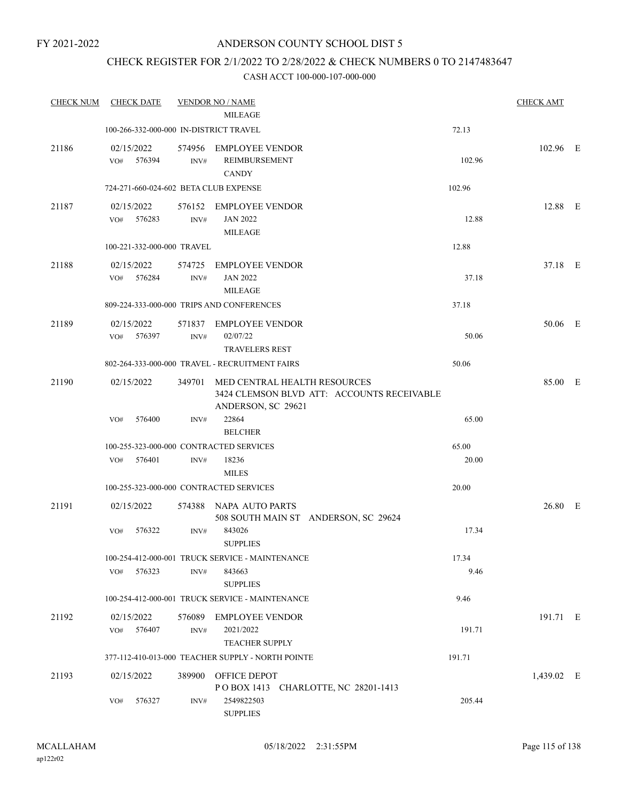## CHECK REGISTER FOR 2/1/2022 TO 2/28/2022 & CHECK NUMBERS 0 TO 2147483647

| <b>CHECK NUM</b> | <b>CHECK DATE</b>                       |                | <b>VENDOR NO / NAME</b>                                                                                 |        | <b>CHECK AMT</b> |  |
|------------------|-----------------------------------------|----------------|---------------------------------------------------------------------------------------------------------|--------|------------------|--|
|                  |                                         |                | <b>MILEAGE</b>                                                                                          |        |                  |  |
|                  | 100-266-332-000-000 IN-DISTRICT TRAVEL  |                |                                                                                                         | 72.13  |                  |  |
| 21186            | 02/15/2022<br>VO# 576394                | 574956<br>INV# | EMPLOYEE VENDOR<br>REIMBURSEMENT<br><b>CANDY</b>                                                        | 102.96 | 102.96 E         |  |
|                  | 724-271-660-024-602 BETA CLUB EXPENSE   |                |                                                                                                         | 102.96 |                  |  |
| 21187            | 02/15/2022<br>$VO#$ 576283              | INV#           | 576152 EMPLOYEE VENDOR<br><b>JAN 2022</b><br><b>MILEAGE</b>                                             | 12.88  | 12.88 E          |  |
|                  | 100-221-332-000-000 TRAVEL              |                |                                                                                                         | 12.88  |                  |  |
| 21188            | 02/15/2022<br>576284<br>VO#             | 574725<br>INV# | <b>EMPLOYEE VENDOR</b><br><b>JAN 2022</b><br><b>MILEAGE</b>                                             | 37.18  | 37.18 E          |  |
|                  |                                         |                | 809-224-333-000-000 TRIPS AND CONFERENCES                                                               | 37.18  |                  |  |
| 21189            | 02/15/2022<br>VO# 576397                | 571837<br>INV# | <b>EMPLOYEE VENDOR</b><br>02/07/22<br><b>TRAVELERS REST</b>                                             | 50.06  | 50.06 E          |  |
|                  |                                         |                | 802-264-333-000-000 TRAVEL - RECRUITMENT FAIRS                                                          | 50.06  |                  |  |
| 21190            | 02/15/2022                              |                | 349701 MED CENTRAL HEALTH RESOURCES<br>3424 CLEMSON BLVD ATT: ACCOUNTS RECEIVABLE<br>ANDERSON, SC 29621 |        | 85.00 E          |  |
|                  | 576400<br>VO#                           | INV#           | 22864<br><b>BELCHER</b>                                                                                 | 65.00  |                  |  |
|                  |                                         |                | 100-255-323-000-000 CONTRACTED SERVICES                                                                 | 65.00  |                  |  |
|                  | VO#<br>576401                           | INV#           | 18236<br><b>MILES</b>                                                                                   | 20.00  |                  |  |
|                  | 100-255-323-000-000 CONTRACTED SERVICES |                |                                                                                                         | 20.00  |                  |  |
| 21191            | 02/15/2022                              | 574388         | NAPA AUTO PARTS<br>508 SOUTH MAIN ST ANDERSON, SC 29624                                                 |        | 26.80 E          |  |
|                  | 576322<br>VO#                           | INV#           | 843026<br><b>SUPPLIES</b>                                                                               | 17.34  |                  |  |
|                  |                                         |                | 100-254-412-000-001 TRUCK SERVICE - MAINTENANCE                                                         | 17.34  |                  |  |
|                  | VO#<br>576323                           | INV#           | 843663<br><b>SUPPLIES</b>                                                                               | 9.46   |                  |  |
|                  |                                         |                | 100-254-412-000-001 TRUCK SERVICE - MAINTENANCE                                                         | 9.46   |                  |  |
| 21192            | 02/15/2022                              | 576089         | <b>EMPLOYEE VENDOR</b>                                                                                  |        | 191.71 E         |  |
|                  | 576407<br>VO#                           | INV#           | 2021/2022<br><b>TEACHER SUPPLY</b>                                                                      | 191.71 |                  |  |
|                  |                                         |                | 377-112-410-013-000 TEACHER SUPPLY - NORTH POINTE                                                       | 191.71 |                  |  |
| 21193            | 02/15/2022                              |                | 389900 OFFICE DEPOT<br>POBOX 1413 CHARLOTTE, NC 28201-1413                                              |        | 1,439.02 E       |  |
|                  | VO#<br>576327                           | INV#           | 2549822503<br><b>SUPPLIES</b>                                                                           | 205.44 |                  |  |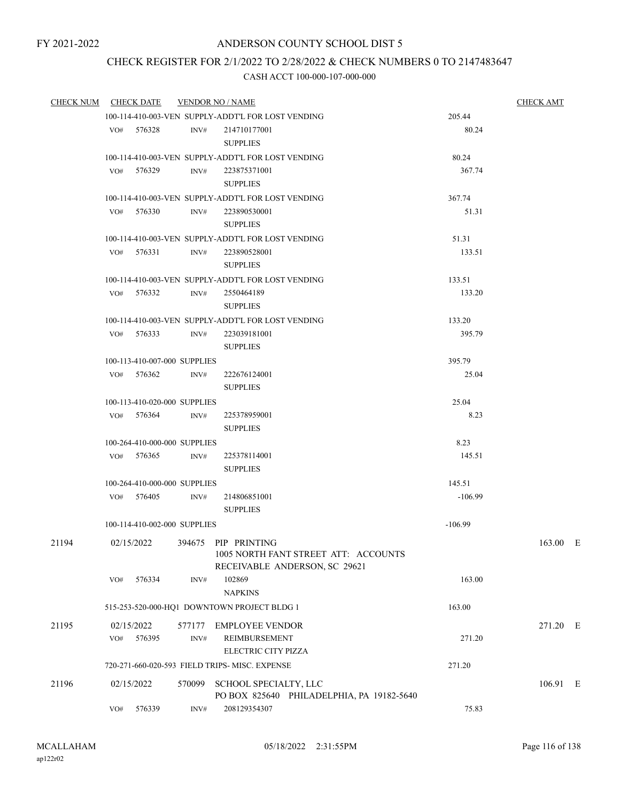## CHECK REGISTER FOR 2/1/2022 TO 2/28/2022 & CHECK NUMBERS 0 TO 2147483647

| CHECK NUM CHECK DATE |     |                              | <b>VENDOR NO / NAME</b> |                                                    | <b>CHECK AMT</b> |          |
|----------------------|-----|------------------------------|-------------------------|----------------------------------------------------|------------------|----------|
|                      |     |                              |                         | 100-114-410-003-VEN SUPPLY-ADDT'L FOR LOST VENDING | 205.44           |          |
|                      |     | VO# 576328                   | INV#                    | 214710177001<br><b>SUPPLIES</b>                    | 80.24            |          |
|                      |     |                              |                         | 100-114-410-003-VEN SUPPLY-ADDT'L FOR LOST VENDING | 80.24            |          |
|                      |     | $VO#$ 576329                 | INV#                    | 223875371001                                       | 367.74           |          |
|                      |     |                              |                         | <b>SUPPLIES</b>                                    |                  |          |
|                      |     |                              |                         | 100-114-410-003-VEN SUPPLY-ADDT'L FOR LOST VENDING | 367.74           |          |
|                      |     | VO# 576330                   | INV#                    | 223890530001                                       | 51.31            |          |
|                      |     |                              |                         | <b>SUPPLIES</b>                                    |                  |          |
|                      |     |                              |                         | 100-114-410-003-VEN SUPPLY-ADDT'L FOR LOST VENDING | 51.31            |          |
|                      |     | VO# 576331                   | INV#                    | 223890528001                                       | 133.51           |          |
|                      |     |                              |                         | <b>SUPPLIES</b>                                    |                  |          |
|                      |     |                              |                         | 100-114-410-003-VEN SUPPLY-ADDT'L FOR LOST VENDING | 133.51           |          |
|                      |     | VO# 576332                   | INV#                    | 2550464189                                         | 133.20           |          |
|                      |     |                              |                         | <b>SUPPLIES</b>                                    |                  |          |
|                      |     |                              |                         | 100-114-410-003-VEN SUPPLY-ADDT'L FOR LOST VENDING | 133.20           |          |
|                      |     | $VO#$ 576333                 | INV#                    | 223039181001                                       | 395.79           |          |
|                      |     |                              |                         | <b>SUPPLIES</b>                                    |                  |          |
|                      |     | 100-113-410-007-000 SUPPLIES |                         |                                                    | 395.79           |          |
|                      |     | VO# 576362                   | INV#                    | 222676124001<br><b>SUPPLIES</b>                    | 25.04            |          |
|                      |     | 100-113-410-020-000 SUPPLIES |                         |                                                    | 25.04            |          |
|                      |     | VO# 576364                   | INV#                    | 225378959001<br><b>SUPPLIES</b>                    | 8.23             |          |
|                      |     | 100-264-410-000-000 SUPPLIES |                         | 8.23                                               |                  |          |
|                      |     | VO# 576365                   | INV#                    | 225378114001                                       | 145.51           |          |
|                      |     |                              |                         | <b>SUPPLIES</b>                                    |                  |          |
|                      |     | 100-264-410-000-000 SUPPLIES |                         |                                                    | 145.51           |          |
|                      |     | VO# 576405                   | INV#                    | 214806851001                                       | $-106.99$        |          |
|                      |     |                              |                         | <b>SUPPLIES</b>                                    |                  |          |
|                      |     | 100-114-410-002-000 SUPPLIES |                         |                                                    | $-106.99$        |          |
| 21194                |     | 02/15/2022                   |                         | 394675 PIP PRINTING                                |                  | 163.00 E |
|                      |     |                              |                         | 1005 NORTH FANT STREET ATT: ACCOUNTS               |                  |          |
|                      |     |                              |                         | RECEIVABLE ANDERSON, SC 29621                      |                  |          |
|                      | VO# | 576334                       | INV#                    | 102869                                             | 163.00           |          |
|                      |     |                              |                         | <b>NAPKINS</b>                                     |                  |          |
|                      |     |                              |                         | 515-253-520-000-HQ1 DOWNTOWN PROJECT BLDG 1        | 163.00           |          |
| 21195                |     | 02/15/2022                   | 577177                  | <b>EMPLOYEE VENDOR</b>                             |                  | 271.20 E |
|                      | VO# | 576395                       | INV#                    | REIMBURSEMENT                                      | 271.20           |          |
|                      |     |                              |                         | ELECTRIC CITY PIZZA                                |                  |          |
|                      |     |                              |                         | 720-271-660-020-593 FIELD TRIPS- MISC. EXPENSE     | 271.20           |          |
| 21196                |     | 02/15/2022                   | 570099                  | SCHOOL SPECIALTY, LLC                              |                  | 106.91 E |
|                      |     |                              |                         | PO BOX 825640 PHILADELPHIA, PA 19182-5640          |                  |          |
|                      | VO# | 576339                       | INV#                    | 208129354307                                       | 75.83            |          |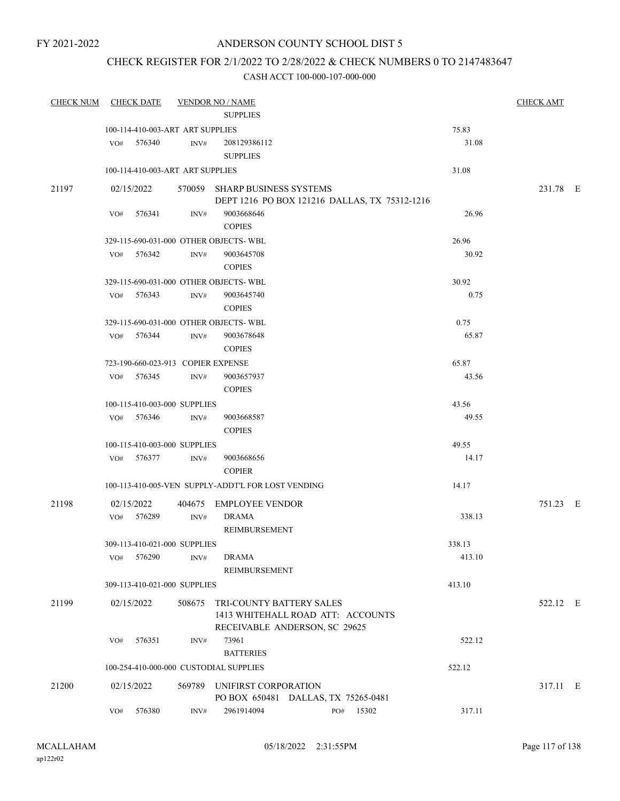## CHECK REGISTER FOR 2/1/2022 TO 2/28/2022 & CHECK NUMBERS 0 TO 2147483647

| <b>CHECK NUM</b> | <b>CHECK DATE</b>                      |        | <b>VENDOR NO / NAME</b>                            |                                                                    |                                               |        | <b>CHECK AMT</b> |  |
|------------------|----------------------------------------|--------|----------------------------------------------------|--------------------------------------------------------------------|-----------------------------------------------|--------|------------------|--|
|                  |                                        |        | <b>SUPPLIES</b>                                    |                                                                    |                                               |        |                  |  |
|                  | 100-114-410-003-ART ART SUPPLIES       |        |                                                    |                                                                    |                                               | 75.83  |                  |  |
|                  | VO# 576340                             | INV#   | 208129386112<br><b>SUPPLIES</b>                    |                                                                    |                                               | 31.08  |                  |  |
|                  | 100-114-410-003-ART ART SUPPLIES       |        |                                                    |                                                                    |                                               | 31.08  |                  |  |
| 21197            | 02/15/2022                             |        | 570059 SHARP BUSINESS SYSTEMS                      |                                                                    | DEPT 1216 PO BOX 121216 DALLAS, TX 75312-1216 |        | 231.78 E         |  |
|                  | 576341<br>VO#                          | INV#   | 9003668646<br><b>COPIES</b>                        |                                                                    |                                               | 26.96  |                  |  |
|                  | 329-115-690-031-000 OTHER OBJECTS-WBL  |        |                                                    |                                                                    |                                               | 26.96  |                  |  |
|                  | VO# 576342                             | INV#   | 9003645708<br><b>COPIES</b>                        |                                                                    |                                               | 30.92  |                  |  |
|                  | 329-115-690-031-000 OTHER OBJECTS-WBL  |        |                                                    |                                                                    |                                               | 30.92  |                  |  |
|                  | $VO#$ 576343                           | INV#   | 9003645740<br><b>COPIES</b>                        |                                                                    |                                               | 0.75   |                  |  |
|                  | 329-115-690-031-000 OTHER OBJECTS-WBL  |        |                                                    |                                                                    |                                               | 0.75   |                  |  |
|                  | VO# 576344                             | INV#   | 9003678648<br><b>COPIES</b>                        |                                                                    |                                               | 65.87  |                  |  |
|                  | 723-190-660-023-913 COPIER EXPENSE     |        |                                                    |                                                                    |                                               | 65.87  |                  |  |
|                  | 576345<br>VO#                          | INV#   | 9003657937<br><b>COPIES</b>                        |                                                                    |                                               | 43.56  |                  |  |
|                  | 100-115-410-003-000 SUPPLIES           |        |                                                    |                                                                    |                                               | 43.56  |                  |  |
|                  | VO# 576346                             | INV#   | 9003668587<br><b>COPIES</b>                        |                                                                    |                                               | 49.55  |                  |  |
|                  | 100-115-410-003-000 SUPPLIES           |        |                                                    |                                                                    |                                               | 49.55  |                  |  |
|                  | VO# 576377                             | INV#   | 9003668656<br><b>COPIER</b>                        |                                                                    |                                               | 14.17  |                  |  |
|                  |                                        |        | 100-113-410-005-VEN SUPPLY-ADDT'L FOR LOST VENDING |                                                                    |                                               | 14.17  |                  |  |
| 21198            | 02/15/2022                             |        | 404675 EMPLOYEE VENDOR                             |                                                                    |                                               |        | 751.23 E         |  |
|                  | VO# 576289                             | INV#   | <b>DRAMA</b><br>REIMBURSEMENT                      |                                                                    |                                               | 338.13 |                  |  |
|                  | 309-113-410-021-000 SUPPLIES           |        |                                                    |                                                                    |                                               | 338.13 |                  |  |
|                  | 576290<br>VO#                          | INV#   | <b>DRAMA</b><br>REIMBURSEMENT                      |                                                                    |                                               | 413.10 |                  |  |
|                  | 309-113-410-021-000 SUPPLIES           |        |                                                    |                                                                    |                                               | 413.10 |                  |  |
| 21199            | 02/15/2022                             | 508675 | TRI-COUNTY BATTERY SALES                           | 1413 WHITEHALL ROAD ATT: ACCOUNTS<br>RECEIVABLE ANDERSON, SC 29625 |                                               |        | 522.12 E         |  |
|                  | 576351<br>VO#                          | INV#   | 73961<br><b>BATTERIES</b>                          |                                                                    |                                               | 522.12 |                  |  |
|                  | 100-254-410-000-000 CUSTODIAL SUPPLIES |        |                                                    |                                                                    |                                               | 522.12 |                  |  |
| 21200            | 02/15/2022                             | 569789 | UNIFIRST CORPORATION                               | PO BOX 650481 DALLAS, TX 75265-0481                                |                                               |        | 317.11 E         |  |
|                  | 576380<br>VO#                          | INV#   | 2961914094                                         | PO#                                                                | 15302                                         | 317.11 |                  |  |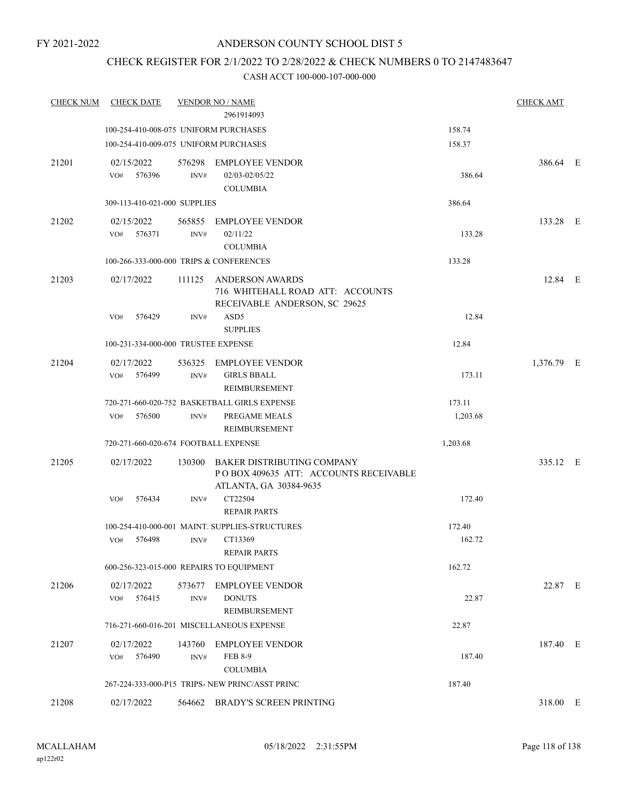## CHECK REGISTER FOR 2/1/2022 TO 2/28/2022 & CHECK NUMBERS 0 TO 2147483647

| <b>CHECK NUM</b> | <b>CHECK DATE</b>                        |                | <b>VENDOR NO / NAME</b>                                                                               |          | <b>CHECK AMT</b> |  |
|------------------|------------------------------------------|----------------|-------------------------------------------------------------------------------------------------------|----------|------------------|--|
|                  |                                          |                | 2961914093                                                                                            |          |                  |  |
|                  | 100-254-410-008-075 UNIFORM PURCHASES    |                |                                                                                                       | 158.74   |                  |  |
|                  | 100-254-410-009-075 UNIFORM PURCHASES    |                |                                                                                                       | 158.37   |                  |  |
| 21201            | 02/15/2022<br>576396<br>VO#              | 576298<br>INV# | <b>EMPLOYEE VENDOR</b><br>02/03-02/05/22                                                              | 386.64   | 386.64 E         |  |
|                  |                                          |                | <b>COLUMBIA</b>                                                                                       |          |                  |  |
|                  | 309-113-410-021-000 SUPPLIES             |                |                                                                                                       | 386.64   |                  |  |
| 21202            | 02/15/2022<br>576371<br>VO#              | 565855<br>INV# | <b>EMPLOYEE VENDOR</b><br>02/11/22<br><b>COLUMBIA</b>                                                 | 133.28   | 133.28 E         |  |
|                  | 100-266-333-000-000 TRIPS & CONFERENCES  |                |                                                                                                       | 133.28   |                  |  |
| 21203            | 02/17/2022                               | 111125         | <b>ANDERSON AWARDS</b><br>716 WHITEHALL ROAD ATT: ACCOUNTS<br>RECEIVABLE ANDERSON, SC 29625           |          | 12.84 E          |  |
|                  | 576429<br>VO#                            | INV#           | ASD5<br><b>SUPPLIES</b>                                                                               | 12.84    |                  |  |
|                  | 100-231-334-000-000 TRUSTEE EXPENSE      |                |                                                                                                       | 12.84    |                  |  |
| 21204            | 02/17/2022                               | 536325         | <b>EMPLOYEE VENDOR</b>                                                                                |          | 1,376.79 E       |  |
|                  | VO#<br>576499                            | INV#           | <b>GIRLS BBALL</b><br><b>REIMBURSEMENT</b>                                                            | 173.11   |                  |  |
|                  |                                          |                | 720-271-660-020-752 BASKETBALL GIRLS EXPENSE                                                          | 173.11   |                  |  |
|                  | 576500<br>VO#                            | INV#           | PREGAME MEALS<br>REIMBURSEMENT                                                                        | 1,203.68 |                  |  |
|                  | 720-271-660-020-674 FOOTBALL EXPENSE     |                |                                                                                                       | 1,203.68 |                  |  |
| 21205            | 02/17/2022                               | 130300         | <b>BAKER DISTRIBUTING COMPANY</b><br>PO BOX 409635 ATT: ACCOUNTS RECEIVABLE<br>ATLANTA, GA 30384-9635 |          | 335.12 E         |  |
|                  | 576434<br>VO#                            | INV#           | CT22504<br><b>REPAIR PARTS</b>                                                                        | 172.40   |                  |  |
|                  |                                          |                | 100-254-410-000-001 MAINT, SUPPLIES-STRUCTURES                                                        | 172.40   |                  |  |
|                  | 576498<br>VO#                            | INV#           | CT13369<br><b>REPAIR PARTS</b>                                                                        | 162.72   |                  |  |
|                  | 600-256-323-015-000 REPAIRS TO EQUIPMENT |                |                                                                                                       | 162.72   |                  |  |
| 21206            | 02/17/2022                               | 573677         | <b>EMPLOYEE VENDOR</b>                                                                                |          | 22.87 E          |  |
|                  | 576415<br>VO#                            | INV#           | <b>DONUTS</b><br>REIMBURSEMENT                                                                        | 22.87    |                  |  |
|                  |                                          |                | 716-271-660-016-201 MISCELLANEOUS EXPENSE                                                             | 22.87    |                  |  |
| 21207            | 02/17/2022<br>576490<br>VO#              | 143760<br>INV# | <b>EMPLOYEE VENDOR</b><br><b>FEB 8-9</b>                                                              | 187.40   | 187.40 E         |  |
|                  |                                          |                | <b>COLUMBIA</b>                                                                                       |          |                  |  |
|                  |                                          |                | 267-224-333-000-P15 TRIPS- NEW PRINC/ASST PRINC                                                       | 187.40   |                  |  |
| 21208            | 02/17/2022                               |                | 564662 BRADY'S SCREEN PRINTING                                                                        |          | 318.00 E         |  |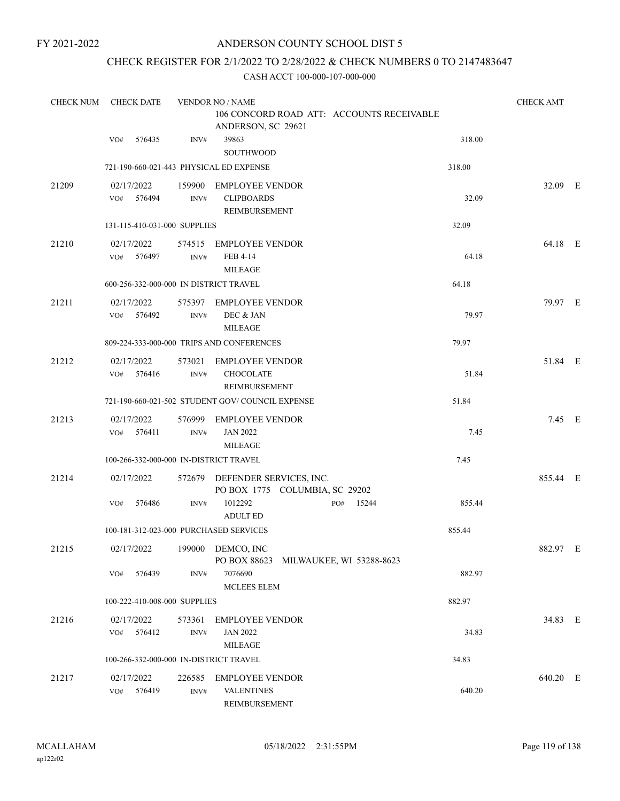## ANDERSON COUNTY SCHOOL DIST 5

## CHECK REGISTER FOR 2/1/2022 TO 2/28/2022 & CHECK NUMBERS 0 TO 2147483647

| <b>CHECK NUM</b> | <b>CHECK DATE</b>                       |                | <b>VENDOR NO / NAME</b>                                          |        |          |  |  |
|------------------|-----------------------------------------|----------------|------------------------------------------------------------------|--------|----------|--|--|
|                  |                                         |                | 106 CONCORD ROAD ATT: ACCOUNTS RECEIVABLE<br>ANDERSON, SC 29621  |        |          |  |  |
|                  | 576435<br>VO#                           | INV#           | 39863<br><b>SOUTHWOOD</b>                                        | 318.00 |          |  |  |
|                  | 721-190-660-021-443 PHYSICAL ED EXPENSE |                |                                                                  | 318.00 |          |  |  |
| 21209            | 02/17/2022<br>VO# 576494                | 159900<br>INV# | <b>EMPLOYEE VENDOR</b><br><b>CLIPBOARDS</b><br>REIMBURSEMENT     | 32.09  | 32.09 E  |  |  |
|                  | 131-115-410-031-000 SUPPLIES            |                |                                                                  | 32.09  |          |  |  |
| 21210            | 02/17/2022<br>576497<br>VO#             | INV#           | 574515 EMPLOYEE VENDOR<br>FEB 4-14<br><b>MILEAGE</b>             | 64.18  | 64.18 E  |  |  |
|                  | 600-256-332-000-000 IN DISTRICT TRAVEL  |                |                                                                  | 64.18  |          |  |  |
| 21211            | 02/17/2022<br>576492<br>VO#             | INV#           | 575397 EMPLOYEE VENDOR<br>DEC & JAN<br><b>MILEAGE</b>            | 79.97  | 79.97 E  |  |  |
|                  |                                         |                | 809-224-333-000-000 TRIPS AND CONFERENCES                        | 79.97  |          |  |  |
| 21212            | 02/17/2022<br>VO# 576416                | 573021<br>INV# | <b>EMPLOYEE VENDOR</b><br><b>CHOCOLATE</b><br>REIMBURSEMENT      | 51.84  | 51.84 E  |  |  |
|                  |                                         |                | 721-190-660-021-502 STUDENT GOV/COUNCIL EXPENSE                  | 51.84  |          |  |  |
| 21213            | 02/17/2022<br>VO# 576411                | INV#           | 576999 EMPLOYEE VENDOR<br><b>JAN 2022</b><br><b>MILEAGE</b>      | 7.45   | $7.45$ E |  |  |
|                  | 100-266-332-000-000 IN-DISTRICT TRAVEL  |                |                                                                  | 7.45   |          |  |  |
| 21214            | 02/17/2022                              |                | 572679 DEFENDER SERVICES, INC.<br>PO BOX 1775 COLUMBIA, SC 29202 |        | 855.44 E |  |  |
|                  | 576486<br>VO#                           | INV#           | 1012292<br>15244<br>PO#<br><b>ADULT ED</b>                       | 855.44 |          |  |  |
|                  | 100-181-312-023-000 PURCHASED SERVICES  |                |                                                                  | 855.44 |          |  |  |
| 21215            | 02/17/2022                              |                | 199000 DEMCO, INC<br>PO BOX 88623 MILWAUKEE, WI 53288-8623       |        | 882.97 E |  |  |
|                  | VO# 576439                              | INV#           | 7076690<br>MCLEES ELEM                                           | 882.97 |          |  |  |
|                  | 100-222-410-008-000 SUPPLIES            |                |                                                                  | 882.97 |          |  |  |
| 21216            | 02/17/2022<br>VO# 576412                | INV#           | 573361 EMPLOYEE VENDOR<br><b>JAN 2022</b><br>MILEAGE             | 34.83  | 34.83 E  |  |  |
|                  | 100-266-332-000-000 IN-DISTRICT TRAVEL  |                |                                                                  | 34.83  |          |  |  |
| 21217            | 02/17/2022<br>VO# 576419                | INV#           | 226585 EMPLOYEE VENDOR<br><b>VALENTINES</b><br>REIMBURSEMENT     | 640.20 | 640.20 E |  |  |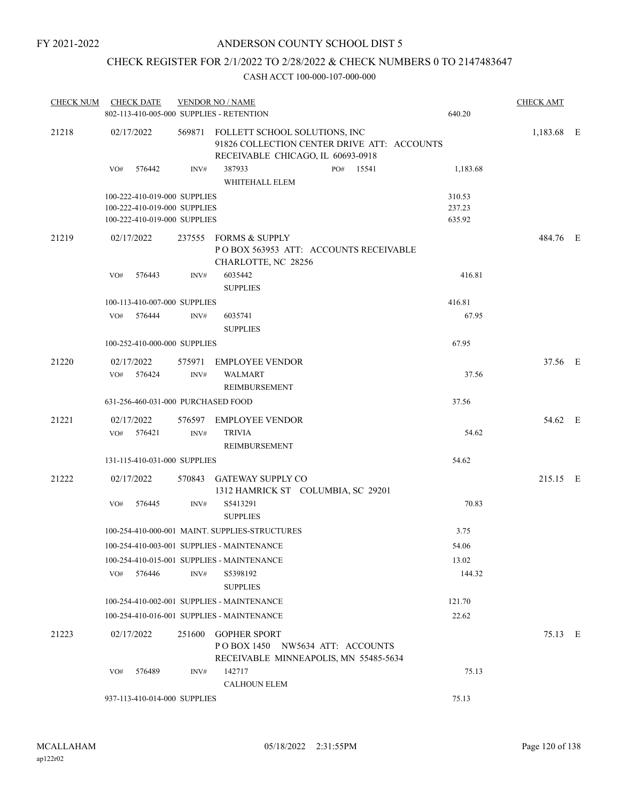## CHECK REGISTER FOR 2/1/2022 TO 2/28/2022 & CHECK NUMBERS 0 TO 2147483647

| <b>CHECK NUM</b> | <b>CHECK DATE</b><br>802-113-410-005-000 SUPPLIES - RETENTION |                | <b>VENDOR NO / NAME</b>                                                                                                  | 640.20   | <b>CHECK AMT</b> |  |
|------------------|---------------------------------------------------------------|----------------|--------------------------------------------------------------------------------------------------------------------------|----------|------------------|--|
| 21218            | 02/17/2022                                                    |                | 569871 FOLLETT SCHOOL SOLUTIONS, INC<br>91826 COLLECTION CENTER DRIVE ATT: ACCOUNTS<br>RECEIVABLE CHICAGO, IL 60693-0918 |          | 1,183.68 E       |  |
|                  | 576442<br>VO#                                                 | INV#           | 387933<br>PO# 15541<br>WHITEHALL ELEM                                                                                    | 1,183.68 |                  |  |
|                  | 100-222-410-019-000 SUPPLIES                                  |                |                                                                                                                          | 310.53   |                  |  |
|                  | 100-222-410-019-000 SUPPLIES                                  |                |                                                                                                                          | 237.23   |                  |  |
|                  | 100-222-410-019-000 SUPPLIES                                  |                |                                                                                                                          | 635.92   |                  |  |
| 21219            | 02/17/2022                                                    |                | 237555 FORMS & SUPPLY<br>POBOX 563953 ATT: ACCOUNTS RECEIVABLE<br>CHARLOTTE, NC 28256                                    |          | 484.76 E         |  |
|                  | 576443<br>VO#                                                 | INV#           | 6035442                                                                                                                  | 416.81   |                  |  |
|                  |                                                               |                | <b>SUPPLIES</b>                                                                                                          |          |                  |  |
|                  | 100-113-410-007-000 SUPPLIES                                  |                |                                                                                                                          | 416.81   |                  |  |
|                  | 576444<br>VO#                                                 | INV#           | 6035741                                                                                                                  | 67.95    |                  |  |
|                  |                                                               |                | <b>SUPPLIES</b>                                                                                                          |          |                  |  |
|                  | 100-252-410-000-000 SUPPLIES                                  |                |                                                                                                                          | 67.95    |                  |  |
|                  |                                                               |                | <b>EMPLOYEE VENDOR</b>                                                                                                   |          | 37.56 E          |  |
| 21220            | 02/17/2022<br>VO# 576424                                      | 575971<br>INV# | <b>WALMART</b><br>REIMBURSEMENT                                                                                          | 37.56    |                  |  |
|                  | 631-256-460-031-000 PURCHASED FOOD                            |                |                                                                                                                          | 37.56    |                  |  |
|                  |                                                               |                |                                                                                                                          |          |                  |  |
| 21221            | 02/17/2022<br>576421<br>VO#                                   | INV#           | 576597 EMPLOYEE VENDOR<br><b>TRIVIA</b>                                                                                  | 54.62    | 54.62 E          |  |
|                  |                                                               |                | REIMBURSEMENT                                                                                                            |          |                  |  |
|                  | 131-115-410-031-000 SUPPLIES                                  |                |                                                                                                                          | 54.62    |                  |  |
|                  |                                                               |                |                                                                                                                          |          |                  |  |
| 21222            | 02/17/2022                                                    |                | 570843 GATEWAY SUPPLY CO                                                                                                 |          | 215.15 E         |  |
|                  |                                                               |                | 1312 HAMRICK ST COLUMBIA, SC 29201                                                                                       |          |                  |  |
|                  | 576445<br>VO#                                                 | INV#           | S5413291                                                                                                                 | 70.83    |                  |  |
|                  |                                                               |                | <b>SUPPLIES</b>                                                                                                          |          |                  |  |
|                  |                                                               |                | 100-254-410-000-001 MAINT. SUPPLIES-STRUCTURES                                                                           | 3.75     |                  |  |
|                  |                                                               |                | 100-254-410-003-001 SUPPLIES - MAINTENANCE                                                                               | 54.06    |                  |  |
|                  |                                                               |                | 100-254-410-015-001 SUPPLIES - MAINTENANCE                                                                               | 13.02    |                  |  |
|                  | VO#<br>576446                                                 | INV#           | S5398192<br><b>SUPPLIES</b>                                                                                              | 144.32   |                  |  |
|                  |                                                               |                | 100-254-410-002-001 SUPPLIES - MAINTENANCE                                                                               | 121.70   |                  |  |
|                  |                                                               |                | 100-254-410-016-001 SUPPLIES - MAINTENANCE                                                                               | 22.62    |                  |  |
| 21223            | 02/17/2022                                                    |                | 251600 GOPHER SPORT<br>POBOX 1450 NW5634 ATT: ACCOUNTS                                                                   |          | 75.13 E          |  |
|                  |                                                               |                | RECEIVABLE MINNEAPOLIS, MN 55485-5634                                                                                    |          |                  |  |
|                  | 576489<br>VO#                                                 | INV#           | 142717<br><b>CALHOUN ELEM</b>                                                                                            | 75.13    |                  |  |
|                  |                                                               |                |                                                                                                                          |          |                  |  |
|                  | 937-113-410-014-000 SUPPLIES                                  |                |                                                                                                                          | 75.13    |                  |  |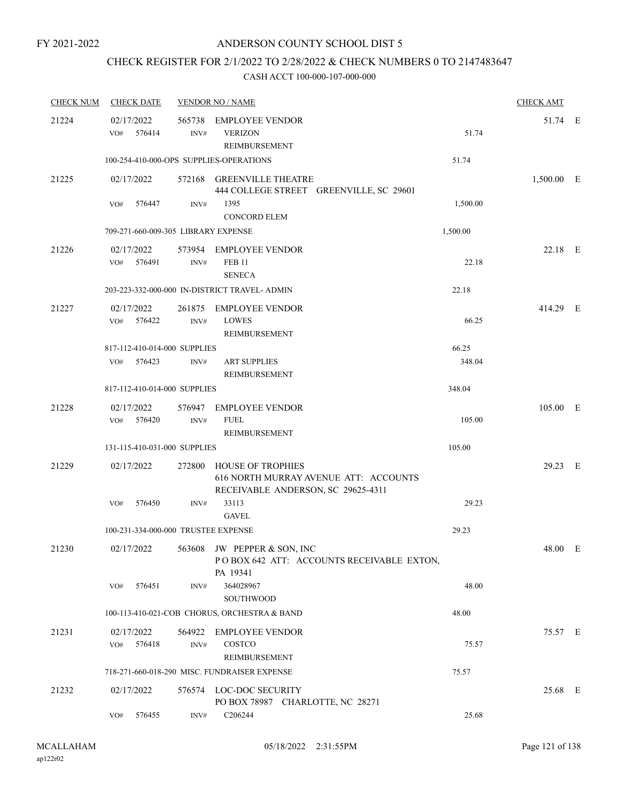## CHECK REGISTER FOR 2/1/2022 TO 2/28/2022 & CHECK NUMBERS 0 TO 2147483647

| <b>CHECK NUM</b> | <b>CHECK DATE</b>                       |                | <b>VENDOR NO / NAME</b>                                        |                                                     | <b>CHECK AMT</b> |  |
|------------------|-----------------------------------------|----------------|----------------------------------------------------------------|-----------------------------------------------------|------------------|--|
| 21224            | 02/17/2022<br>576414<br>VO#             | 565738<br>INV# | EMPLOYEE VENDOR<br><b>VERIZON</b><br>REIMBURSEMENT             | 51.74                                               | 51.74 E          |  |
|                  | 100-254-410-000-OPS SUPPLIES-OPERATIONS |                |                                                                | 51.74                                               |                  |  |
| 21225            | 02/17/2022<br>576447<br>VO#             | INV#           | 572168 GREENVILLE THEATRE<br>1395                              | 444 COLLEGE STREET GREENVILLE, SC 29601<br>1,500.00 | 1,500.00 E       |  |
|                  |                                         |                | <b>CONCORD ELEM</b>                                            |                                                     |                  |  |
|                  | 709-271-660-009-305 LIBRARY EXPENSE     |                |                                                                | 1,500.00                                            |                  |  |
| 21226            | 02/17/2022<br>VO#<br>576491             | INV#           | 573954 EMPLOYEE VENDOR<br><b>FEB 11</b><br><b>SENECA</b>       | 22.18                                               | 22.18 E          |  |
|                  |                                         |                | 203-223-332-000-000 IN-DISTRICT TRAVEL- ADMIN                  | 22.18                                               |                  |  |
| 21227            | 02/17/2022<br>576422<br>VO#             | INV#           | 261875 EMPLOYEE VENDOR<br><b>LOWES</b><br>REIMBURSEMENT        | 66.25                                               | 414.29 E         |  |
|                  | 817-112-410-014-000 SUPPLIES            |                |                                                                | 66.25                                               |                  |  |
|                  | VO# 576423                              | INV#           | <b>ART SUPPLIES</b><br>REIMBURSEMENT                           | 348.04                                              |                  |  |
|                  | 817-112-410-014-000 SUPPLIES            |                |                                                                | 348.04                                              |                  |  |
| 21228            | 02/17/2022<br>VO#<br>576420             | INV#           | 576947 EMPLOYEE VENDOR<br><b>FUEL</b><br>REIMBURSEMENT         | 105.00                                              | 105.00 E         |  |
|                  | 131-115-410-031-000 SUPPLIES            |                |                                                                | 105.00                                              |                  |  |
| 21229            | 02/17/2022                              | 272800         | <b>HOUSE OF TROPHIES</b><br>RECEIVABLE ANDERSON, SC 29625-4311 | 616 NORTH MURRAY AVENUE ATT: ACCOUNTS               | 29.23 E          |  |
|                  | 576450<br>VO#                           | INV#           | 33113<br><b>GAVEL</b>                                          | 29.23                                               |                  |  |
|                  | 100-231-334-000-000 TRUSTEE EXPENSE     |                |                                                                | 29.23                                               |                  |  |
| 21230            | 02/17/2022                              |                | 563608 JW PEPPER & SON, INC<br>PA 19341                        | POBOX 642 ATT: ACCOUNTS RECEIVABLE EXTON,           | 48.00 E          |  |
|                  | 576451<br>VO#                           | INV#           | 364028967<br><b>SOUTHWOOD</b>                                  | 48.00                                               |                  |  |
|                  |                                         |                | 100-113-410-021-COB CHORUS, ORCHESTRA & BAND                   | 48.00                                               |                  |  |
| 21231            | 02/17/2022                              |                | 564922 EMPLOYEE VENDOR                                         |                                                     | 75.57 E          |  |
|                  | VO#<br>576418                           | INV#           | COSTCO<br>REIMBURSEMENT                                        | 75.57                                               |                  |  |
|                  |                                         |                | 718-271-660-018-290 MISC. FUNDRAISER EXPENSE                   | 75.57                                               |                  |  |
| 21232            | 02/17/2022                              |                | 576574 LOC-DOC SECURITY<br>PO BOX 78987 CHARLOTTE, NC 28271    |                                                     | 25.68 E          |  |
|                  | 576455<br>VO#                           | INV#           | C206244                                                        | 25.68                                               |                  |  |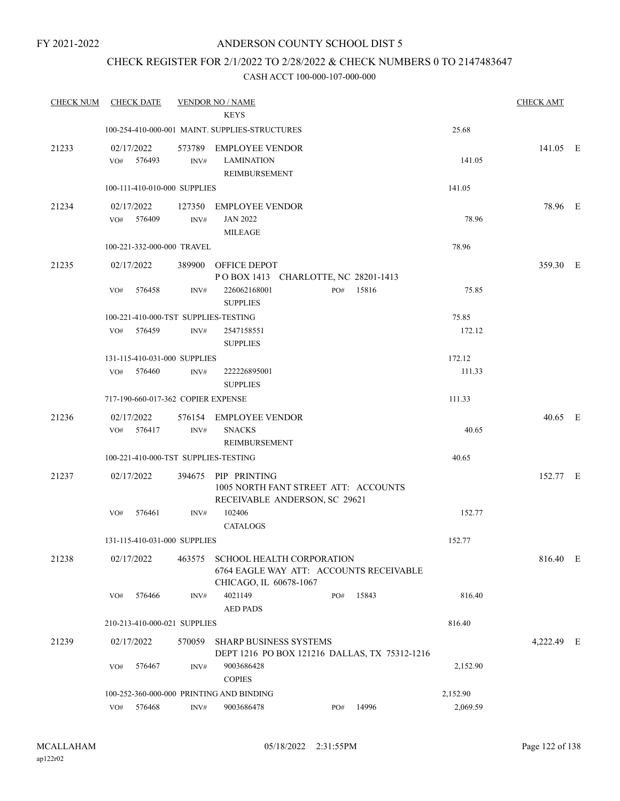## CHECK REGISTER FOR 2/1/2022 TO 2/28/2022 & CHECK NUMBERS 0 TO 2147483647

| <b>CHECK NUM</b> | <b>CHECK DATE</b>                        |        | <b>VENDOR NO / NAME</b>                                                                               |     |           |          | <b>CHECK AMT</b> |  |
|------------------|------------------------------------------|--------|-------------------------------------------------------------------------------------------------------|-----|-----------|----------|------------------|--|
|                  |                                          |        | <b>KEYS</b>                                                                                           |     |           |          |                  |  |
|                  |                                          |        | 100-254-410-000-001 MAINT. SUPPLIES-STRUCTURES                                                        |     |           | 25.68    |                  |  |
| 21233            | 02/17/2022<br>VO# 576493                 | INV#   | 573789 EMPLOYEE VENDOR<br><b>LAMINATION</b><br>REIMBURSEMENT                                          |     |           | 141.05   | 141.05 E         |  |
|                  | 100-111-410-010-000 SUPPLIES             |        |                                                                                                       |     |           | 141.05   |                  |  |
| 21234            | 02/17/2022<br>VO#<br>576409              | INV#   | 127350 EMPLOYEE VENDOR<br><b>JAN 2022</b><br><b>MILEAGE</b>                                           |     |           | 78.96    | 78.96 E          |  |
|                  | 100-221-332-000-000 TRAVEL               |        |                                                                                                       |     |           | 78.96    |                  |  |
| 21235            | 02/17/2022                               |        | 389900 OFFICE DEPOT<br>POBOX 1413 CHARLOTTE, NC 28201-1413                                            |     |           |          | 359.30 E         |  |
|                  | VO#<br>576458                            | INV#   | 226062168001<br><b>SUPPLIES</b>                                                                       | PO# | 15816     | 75.85    |                  |  |
|                  | 100-221-410-000-TST SUPPLIES-TESTING     |        |                                                                                                       |     |           | 75.85    |                  |  |
|                  | VO# 576459                               | INV#   | 2547158551<br><b>SUPPLIES</b>                                                                         |     |           | 172.12   |                  |  |
|                  | 131-115-410-031-000 SUPPLIES             |        |                                                                                                       |     |           | 172.12   |                  |  |
|                  | VO# 576460                               | INV#   | 222226895001<br><b>SUPPLIES</b>                                                                       |     |           | 111.33   |                  |  |
|                  | 717-190-660-017-362 COPIER EXPENSE       |        |                                                                                                       |     |           | 111.33   |                  |  |
| 21236            | 02/17/2022<br>VO# 576417                 | INV#   | 576154 EMPLOYEE VENDOR<br><b>SNACKS</b><br>REIMBURSEMENT                                              |     |           | 40.65    | $40.65$ E        |  |
|                  | 100-221-410-000-TST SUPPLIES-TESTING     |        |                                                                                                       |     |           | 40.65    |                  |  |
| 21237            | 02/17/2022                               |        | 394675 PIP PRINTING<br>1005 NORTH FANT STREET ATT: ACCOUNTS<br>RECEIVABLE ANDERSON, SC 29621          |     |           |          | 152.77 E         |  |
|                  | 576461<br>VO#                            | INV#   | 102406<br><b>CATALOGS</b>                                                                             |     |           | 152.77   |                  |  |
|                  | 131-115-410-031-000 SUPPLIES             |        |                                                                                                       |     |           | 152.77   |                  |  |
| 21238            | 02/17/2022                               | 463575 | <b>SCHOOL HEALTH CORPORATION</b><br>6764 EAGLE WAY ATT: ACCOUNTS RECEIVABLE<br>CHICAGO, IL 60678-1067 |     |           |          | 816.40 E         |  |
|                  | 576466<br>VO#                            | INV#   | 4021149<br><b>AED PADS</b>                                                                            | PO# | 15843     | 816.40   |                  |  |
|                  | 210-213-410-000-021 SUPPLIES             |        |                                                                                                       |     |           | 816.40   |                  |  |
| 21239            | 02/17/2022                               | 570059 | <b>SHARP BUSINESS SYSTEMS</b><br>DEPT 1216 PO BOX 121216 DALLAS, TX 75312-1216                        |     |           |          | 4,222.49 E       |  |
|                  | 576467<br>VO#                            | INV#   | 9003686428<br><b>COPIES</b>                                                                           |     |           | 2,152.90 |                  |  |
|                  | 100-252-360-000-000 PRINTING AND BINDING |        |                                                                                                       |     |           | 2,152.90 |                  |  |
|                  | VO# 576468                               | INV#   | 9003686478                                                                                            |     | PO# 14996 | 2,069.59 |                  |  |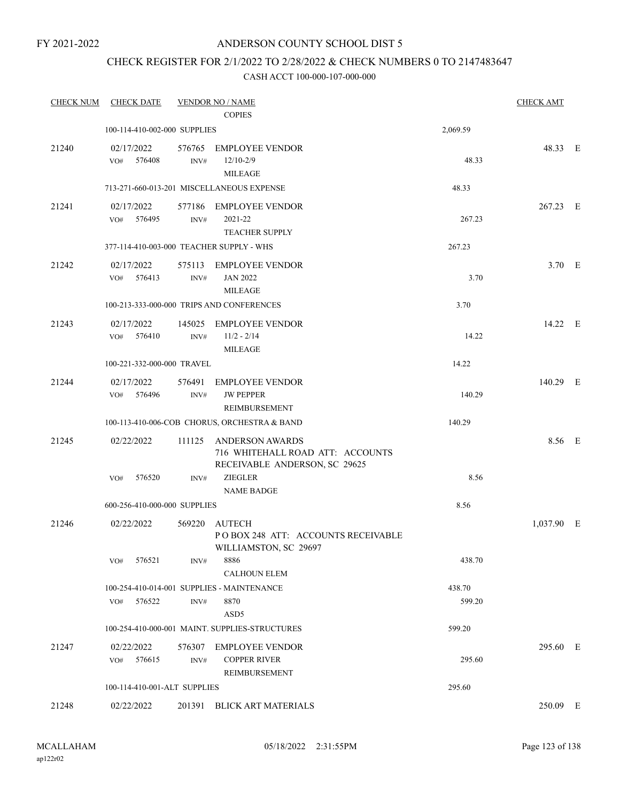## ANDERSON COUNTY SCHOOL DIST 5

## CHECK REGISTER FOR 2/1/2022 TO 2/28/2022 & CHECK NUMBERS 0 TO 2147483647

| <b>CHECK NUM</b> | <b>CHECK DATE</b>                        |                          | <b>VENDOR NO / NAME</b>                                                              |          | <b>CHECK AMT</b> |  |
|------------------|------------------------------------------|--------------------------|--------------------------------------------------------------------------------------|----------|------------------|--|
|                  |                                          |                          | <b>COPIES</b>                                                                        |          |                  |  |
|                  | 100-114-410-002-000 SUPPLIES             |                          |                                                                                      | 2,069.59 |                  |  |
| 21240            | 02/17/2022<br>576408<br>VO#              | 576765<br>INV#           | <b>EMPLOYEE VENDOR</b><br>$12/10-2/9$<br><b>MILEAGE</b>                              | 48.33    | 48.33 E          |  |
|                  |                                          |                          | 713-271-660-013-201 MISCELLANEOUS EXPENSE                                            | 48.33    |                  |  |
| 21241            | 02/17/2022<br>VO#<br>576495              | 577186<br>$\text{INV}\#$ | EMPLOYEE VENDOR<br>2021-22<br><b>TEACHER SUPPLY</b>                                  | 267.23   | 267.23 E         |  |
|                  | 377-114-410-003-000 TEACHER SUPPLY - WHS |                          |                                                                                      | 267.23   |                  |  |
| 21242            | 02/17/2022<br>VO#<br>576413              | 575113<br>INV#           | <b>EMPLOYEE VENDOR</b><br><b>JAN 2022</b><br><b>MILEAGE</b>                          | 3.70     | $3.70$ E         |  |
|                  |                                          |                          | 100-213-333-000-000 TRIPS AND CONFERENCES                                            | 3.70     |                  |  |
| 21243            | 02/17/2022<br>$VO#$ 576410               | 145025<br>INV#           | <b>EMPLOYEE VENDOR</b><br>$11/2 - 2/14$<br><b>MILEAGE</b>                            | 14.22    | 14.22 E          |  |
|                  | 100-221-332-000-000 TRAVEL               |                          |                                                                                      | 14.22    |                  |  |
| 21244            | 02/17/2022<br>VO# 576496                 | 576491<br>INV#           | <b>EMPLOYEE VENDOR</b><br><b>JW PEPPER</b><br>REIMBURSEMENT                          | 140.29   | 140.29 E         |  |
|                  |                                          |                          | 100-113-410-006-COB CHORUS, ORCHESTRA & BAND                                         | 140.29   |                  |  |
| 21245            | 02/22/2022                               | 111125                   | ANDERSON AWARDS<br>716 WHITEHALL ROAD ATT: ACCOUNTS<br>RECEIVABLE ANDERSON, SC 29625 |          | 8.56 E           |  |
|                  | 576520<br>VO#                            | INV#                     | <b>ZIEGLER</b><br><b>NAME BADGE</b>                                                  | 8.56     |                  |  |
|                  | 600-256-410-000-000 SUPPLIES             |                          |                                                                                      | 8.56     |                  |  |
| 21246            | 02/22/2022                               | 569220                   | AUTECH<br>POBOX 248 ATT: ACCOUNTS RECEIVABLE<br>WILLIAMSTON, SC 29697                |          | $1,037.90$ E     |  |
|                  | $VO#$ 576521                             | INV#                     | 8886<br><b>CALHOUN ELEM</b>                                                          | 438.70   |                  |  |
|                  |                                          |                          | 100-254-410-014-001 SUPPLIES - MAINTENANCE                                           | 438.70   |                  |  |
|                  | VO# 576522                               | INV#                     | 8870<br>ASD <sub>5</sub>                                                             | 599.20   |                  |  |
|                  |                                          |                          | 100-254-410-000-001 MAINT. SUPPLIES-STRUCTURES                                       | 599.20   |                  |  |
| 21247            | 02/22/2022<br>VO# 576615                 | INV#                     | 576307 EMPLOYEE VENDOR<br><b>COPPER RIVER</b><br>REIMBURSEMENT                       | 295.60   | 295.60 E         |  |
|                  | 100-114-410-001-ALT SUPPLIES             |                          |                                                                                      | 295.60   |                  |  |
| 21248            | 02/22/2022                               |                          | 201391 BLICK ART MATERIALS                                                           |          | 250.09 E         |  |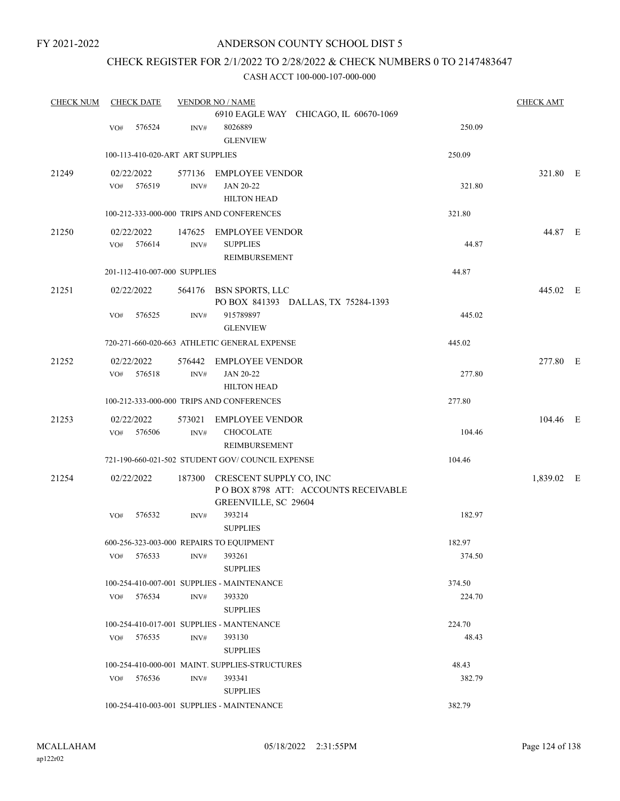## CHECK REGISTER FOR 2/1/2022 TO 2/28/2022 & CHECK NUMBERS 0 TO 2147483647

| <b>CHECK NUM</b> | <b>CHECK DATE</b>                        |      | <b>VENDOR NO / NAME</b>                                                                       |        | <b>CHECK AMT</b> |  |
|------------------|------------------------------------------|------|-----------------------------------------------------------------------------------------------|--------|------------------|--|
|                  | 576524<br>VO#                            | INV# | 6910 EAGLE WAY CHICAGO, IL 60670-1069<br>8026889<br><b>GLENVIEW</b>                           | 250.09 |                  |  |
|                  | 100-113-410-020-ART ART SUPPLIES         |      |                                                                                               | 250.09 |                  |  |
| 21249            | 02/22/2022<br>576519<br>VO#              | INV# | 577136 EMPLOYEE VENDOR<br>JAN 20-22<br><b>HILTON HEAD</b>                                     | 321.80 | 321.80 E         |  |
|                  |                                          |      | 100-212-333-000-000 TRIPS AND CONFERENCES                                                     | 321.80 |                  |  |
| 21250            | 02/22/2022<br>576614<br>VO#              | INV# | 147625 EMPLOYEE VENDOR<br><b>SUPPLIES</b><br>REIMBURSEMENT                                    | 44.87  | 44.87 E          |  |
|                  | 201-112-410-007-000 SUPPLIES             |      |                                                                                               | 44.87  |                  |  |
| 21251            | 02/22/2022                               |      | 564176 BSN SPORTS, LLC<br>PO BOX 841393 DALLAS, TX 75284-1393                                 |        | 445.02 E         |  |
|                  | 576525<br>VO#                            | INV# | 915789897<br><b>GLENVIEW</b>                                                                  | 445.02 |                  |  |
|                  |                                          |      | 720-271-660-020-663 ATHLETIC GENERAL EXPENSE                                                  | 445.02 |                  |  |
| 21252            | 02/22/2022<br>VO#<br>576518              | INV# | 576442 EMPLOYEE VENDOR<br>JAN 20-22<br><b>HILTON HEAD</b>                                     | 277.80 | 277.80 E         |  |
|                  |                                          |      | 100-212-333-000-000 TRIPS AND CONFERENCES                                                     | 277.80 |                  |  |
| 21253            | 02/22/2022<br>VO# 576506                 | INV# | 573021 EMPLOYEE VENDOR<br><b>CHOCOLATE</b><br>REIMBURSEMENT                                   | 104.46 | 104.46 E         |  |
|                  |                                          |      | 721-190-660-021-502 STUDENT GOV/COUNCIL EXPENSE                                               | 104.46 |                  |  |
| 21254            | 02/22/2022                               |      | 187300 CRESCENT SUPPLY CO, INC<br>POBOX 8798 ATT: ACCOUNTS RECEIVABLE<br>GREENVILLE, SC 29604 |        | 1,839.02 E       |  |
|                  | 576532<br>VO#                            | INV# | 393214<br><b>SUPPLIES</b>                                                                     | 182.97 |                  |  |
|                  | 600-256-323-003-000 REPAIRS TO EQUIPMENT |      |                                                                                               | 182.97 |                  |  |
|                  | 576533<br>VO#                            | INV# | 393261<br><b>SUPPLIES</b>                                                                     | 374.50 |                  |  |
|                  |                                          |      | 100-254-410-007-001 SUPPLIES - MAINTENANCE                                                    | 374.50 |                  |  |
|                  | 576534<br>VO#                            | INV# | 393320<br><b>SUPPLIES</b>                                                                     | 224.70 |                  |  |
|                  |                                          |      | 100-254-410-017-001 SUPPLIES - MANTENANCE                                                     | 224.70 |                  |  |
|                  | 576535<br>VO#                            | INV# | 393130<br><b>SUPPLIES</b>                                                                     | 48.43  |                  |  |
|                  |                                          |      | 100-254-410-000-001 MAINT. SUPPLIES-STRUCTURES                                                | 48.43  |                  |  |
|                  | VO# 576536                               | INV# | 393341<br><b>SUPPLIES</b>                                                                     | 382.79 |                  |  |
|                  |                                          |      | 100-254-410-003-001 SUPPLIES - MAINTENANCE                                                    | 382.79 |                  |  |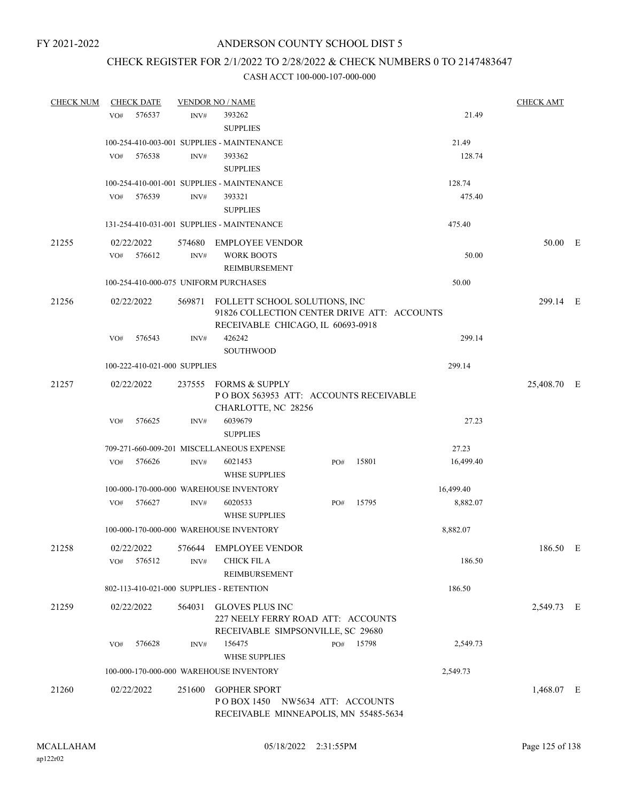## CHECK REGISTER FOR 2/1/2022 TO 2/28/2022 & CHECK NUMBERS 0 TO 2147483647

| <b>CHECK NUM</b> |     | <b>CHECK DATE</b>            |        | <b>VENDOR NO / NAME</b>                                        |     |           |           | <b>CHECK AMT</b> |  |
|------------------|-----|------------------------------|--------|----------------------------------------------------------------|-----|-----------|-----------|------------------|--|
|                  | VO# | 576537                       | INV#   | 393262                                                         |     |           | 21.49     |                  |  |
|                  |     |                              |        | <b>SUPPLIES</b>                                                |     |           |           |                  |  |
|                  |     |                              |        | 100-254-410-003-001 SUPPLIES - MAINTENANCE                     |     |           | 21.49     |                  |  |
|                  | VO# | 576538                       | INV#   | 393362                                                         |     |           | 128.74    |                  |  |
|                  |     |                              |        | <b>SUPPLIES</b>                                                |     |           |           |                  |  |
|                  |     |                              |        | 100-254-410-001-001 SUPPLIES - MAINTENANCE                     |     |           | 128.74    |                  |  |
|                  | VO# | 576539                       | INV#   | 393321                                                         |     |           | 475.40    |                  |  |
|                  |     |                              |        | <b>SUPPLIES</b>                                                |     |           |           |                  |  |
|                  |     |                              |        | 131-254-410-031-001 SUPPLIES - MAINTENANCE                     |     |           | 475.40    |                  |  |
| 21255            |     | 02/22/2022                   | 574680 | EMPLOYEE VENDOR                                                |     |           |           | 50.00 E          |  |
|                  | VO# | 576612                       | INV#   | <b>WORK BOOTS</b>                                              |     |           | 50.00     |                  |  |
|                  |     |                              |        | <b>REIMBURSEMENT</b>                                           |     |           |           |                  |  |
|                  |     |                              |        | 100-254-410-000-075 UNIFORM PURCHASES                          |     |           | 50.00     |                  |  |
| 21256            |     | 02/22/2022                   |        | 569871 FOLLETT SCHOOL SOLUTIONS, INC                           |     |           |           | 299.14 E         |  |
|                  |     |                              |        | 91826 COLLECTION CENTER DRIVE ATT: ACCOUNTS                    |     |           |           |                  |  |
|                  | VO# | 576543                       | INV#   | RECEIVABLE CHICAGO, IL 60693-0918<br>426242                    |     |           | 299.14    |                  |  |
|                  |     |                              |        | SOUTHWOOD                                                      |     |           |           |                  |  |
|                  |     | 100-222-410-021-000 SUPPLIES |        |                                                                |     |           | 299.14    |                  |  |
|                  |     |                              |        |                                                                |     |           |           |                  |  |
| 21257            |     | 02/22/2022                   |        | 237555 FORMS & SUPPLY<br>POBOX 563953 ATT: ACCOUNTS RECEIVABLE |     |           |           | 25,408.70 E      |  |
|                  |     |                              |        | CHARLOTTE, NC 28256                                            |     |           |           |                  |  |
|                  | VO# | 576625                       | INV#   | 6039679                                                        |     |           | 27.23     |                  |  |
|                  |     |                              |        | <b>SUPPLIES</b>                                                |     |           |           |                  |  |
|                  |     |                              |        | 709-271-660-009-201 MISCELLANEOUS EXPENSE                      |     |           | 27.23     |                  |  |
|                  | VO# | 576626                       | INV#   | 6021453                                                        | PO# | 15801     | 16,499.40 |                  |  |
|                  |     |                              |        | <b>WHSE SUPPLIES</b>                                           |     |           |           |                  |  |
|                  |     |                              |        | 100-000-170-000-000 WAREHOUSE INVENTORY                        |     |           | 16,499.40 |                  |  |
|                  | VO# | 576627                       | INV#   | 6020533                                                        | PO# | 15795     | 8,882.07  |                  |  |
|                  |     |                              |        | <b>WHSE SUPPLIES</b>                                           |     |           |           |                  |  |
|                  |     |                              |        | 100-000-170-000-000 WAREHOUSE INVENTORY                        |     |           | 8,882.07  |                  |  |
| 21258            |     | 02/22/2022                   |        | 576644 EMPLOYEE VENDOR                                         |     |           |           | 186.50 E         |  |
|                  | VO# | 576512                       | INV#   | CHICK FIL A                                                    |     |           | 186.50    |                  |  |
|                  |     |                              |        | <b>REIMBURSEMENT</b>                                           |     |           |           |                  |  |
|                  |     |                              |        | 802-113-410-021-000 SUPPLIES - RETENTION                       |     |           | 186.50    |                  |  |
| 21259            |     | 02/22/2022                   |        | 564031 GLOVES PLUS INC                                         |     |           |           | 2,549.73 E       |  |
|                  |     |                              |        | 227 NEELY FERRY ROAD ATT: ACCOUNTS                             |     |           |           |                  |  |
|                  |     |                              |        | RECEIVABLE SIMPSONVILLE, SC 29680                              |     |           |           |                  |  |
|                  | VO# | 576628                       | INV#   | 156475<br><b>WHSE SUPPLIES</b>                                 |     | PO# 15798 | 2,549.73  |                  |  |
|                  |     |                              |        | 100-000-170-000-000 WAREHOUSE INVENTORY                        |     |           | 2,549.73  |                  |  |
|                  |     |                              |        |                                                                |     |           |           |                  |  |
| 21260            |     | 02/22/2022                   |        | 251600 GOPHER SPORT<br>POBOX 1450 NW5634 ATT: ACCOUNTS         |     |           |           | 1,468.07 E       |  |
|                  |     |                              |        | RECEIVABLE MINNEAPOLIS, MN 55485-5634                          |     |           |           |                  |  |
|                  |     |                              |        |                                                                |     |           |           |                  |  |
|                  |     |                              |        |                                                                |     |           |           |                  |  |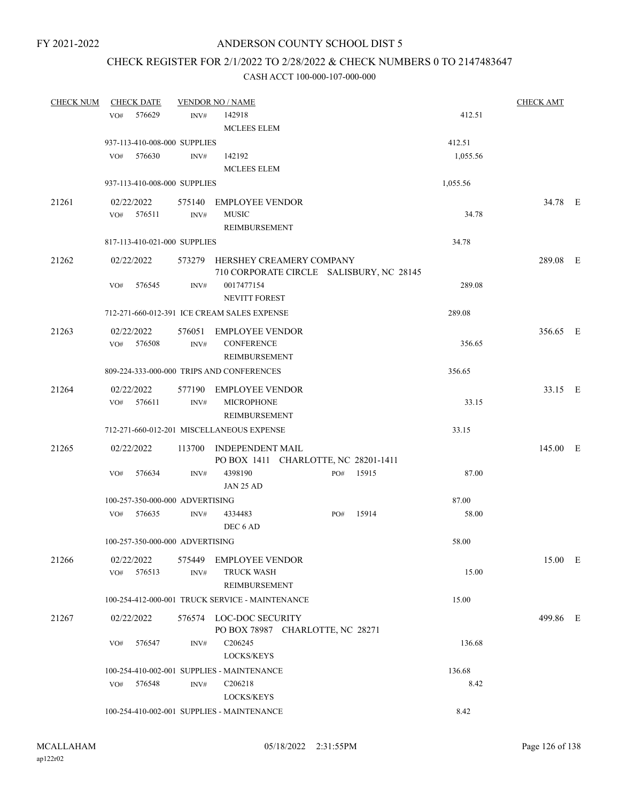## CHECK REGISTER FOR 2/1/2022 TO 2/28/2022 & CHECK NUMBERS 0 TO 2147483647

| <b>CHECK NUM</b> | <b>CHECK DATE</b>               |      | <b>VENDOR NO / NAME</b>                                                     |     |       |          | <b>CHECK AMT</b> |  |
|------------------|---------------------------------|------|-----------------------------------------------------------------------------|-----|-------|----------|------------------|--|
|                  | 576629<br>VO#                   | INV# | 142918                                                                      |     |       | 412.51   |                  |  |
|                  |                                 |      | MCLEES ELEM                                                                 |     |       |          |                  |  |
|                  | 937-113-410-008-000 SUPPLIES    |      |                                                                             |     |       | 412.51   |                  |  |
|                  | 576630<br>VO#                   | INV# | 142192                                                                      |     |       | 1,055.56 |                  |  |
|                  |                                 |      | MCLEES ELEM                                                                 |     |       |          |                  |  |
|                  | 937-113-410-008-000 SUPPLIES    |      |                                                                             |     |       | 1,055.56 |                  |  |
| 21261            | 02/22/2022                      |      | 575140 EMPLOYEE VENDOR                                                      |     |       |          | 34.78 E          |  |
|                  | VO# 576511                      | INV# | <b>MUSIC</b>                                                                |     |       | 34.78    |                  |  |
|                  |                                 |      | REIMBURSEMENT                                                               |     |       |          |                  |  |
|                  | 817-113-410-021-000 SUPPLIES    |      |                                                                             |     |       | 34.78    |                  |  |
| 21262            | 02/22/2022                      |      | 573279 HERSHEY CREAMERY COMPANY<br>710 CORPORATE CIRCLE SALISBURY, NC 28145 |     |       |          | 289.08 E         |  |
|                  | 576545<br>VO#                   | INV# | 0017477154                                                                  |     |       | 289.08   |                  |  |
|                  |                                 |      | <b>NEVITT FOREST</b>                                                        |     |       |          |                  |  |
|                  |                                 |      | 712-271-660-012-391 ICE CREAM SALES EXPENSE                                 |     |       | 289.08   |                  |  |
| 21263            | 02/22/2022                      |      | 576051 EMPLOYEE VENDOR                                                      |     |       |          | 356.65 E         |  |
|                  | VO# 576508                      | INV# | CONFERENCE                                                                  |     |       | 356.65   |                  |  |
|                  |                                 |      | <b>REIMBURSEMENT</b>                                                        |     |       |          |                  |  |
|                  |                                 |      | 809-224-333-000-000 TRIPS AND CONFERENCES                                   |     |       | 356.65   |                  |  |
| 21264            | 02/22/2022                      |      | 577190 EMPLOYEE VENDOR                                                      |     |       |          | 33.15 E          |  |
|                  | VO# 576611                      | INV# | <b>MICROPHONE</b>                                                           |     |       | 33.15    |                  |  |
|                  |                                 |      | REIMBURSEMENT                                                               |     |       |          |                  |  |
|                  |                                 |      | 712-271-660-012-201 MISCELLANEOUS EXPENSE                                   |     |       | 33.15    |                  |  |
| 21265            | 02/22/2022                      |      | 113700 INDEPENDENT MAIL                                                     |     |       |          | 145.00 E         |  |
|                  |                                 |      | PO BOX 1411 CHARLOTTE, NC 28201-1411                                        |     |       |          |                  |  |
|                  | VO#<br>576634                   | INV# | 4398190<br>JAN 25 AD                                                        | PO# | 15915 | 87.00    |                  |  |
|                  | 100-257-350-000-000 ADVERTISING |      |                                                                             |     |       | 87.00    |                  |  |
|                  | 576635<br>VO#                   | INV# | 4334483                                                                     | PO# | 15914 | 58.00    |                  |  |
|                  |                                 |      | DEC 6 AD                                                                    |     |       |          |                  |  |
|                  | 100-257-350-000-000 ADVERTISING |      |                                                                             |     |       | 58.00    |                  |  |
| 21266            | 02/22/2022                      |      | 575449 EMPLOYEE VENDOR                                                      |     |       |          | 15.00 E          |  |
|                  | 576513<br>VO#                   | INV# | <b>TRUCK WASH</b>                                                           |     |       | 15.00    |                  |  |
|                  |                                 |      | REIMBURSEMENT                                                               |     |       |          |                  |  |
|                  |                                 |      | 100-254-412-000-001 TRUCK SERVICE - MAINTENANCE                             |     |       | 15.00    |                  |  |
| 21267            | 02/22/2022                      |      | 576574 LOC-DOC SECURITY                                                     |     |       |          | 499.86 E         |  |
|                  |                                 |      | PO BOX 78987 CHARLOTTE, NC 28271                                            |     |       |          |                  |  |
|                  | 576547<br>VO#                   | INV# | C206245                                                                     |     |       | 136.68   |                  |  |
|                  |                                 |      | LOCKS/KEYS                                                                  |     |       |          |                  |  |
|                  |                                 |      | 100-254-410-002-001 SUPPLIES - MAINTENANCE                                  |     |       | 136.68   |                  |  |
|                  | 576548<br>VO#                   | INV# | C <sub>206218</sub>                                                         |     |       | 8.42     |                  |  |
|                  |                                 |      | LOCKS/KEYS                                                                  |     |       |          |                  |  |
|                  |                                 |      | 100-254-410-002-001 SUPPLIES - MAINTENANCE                                  |     |       | 8.42     |                  |  |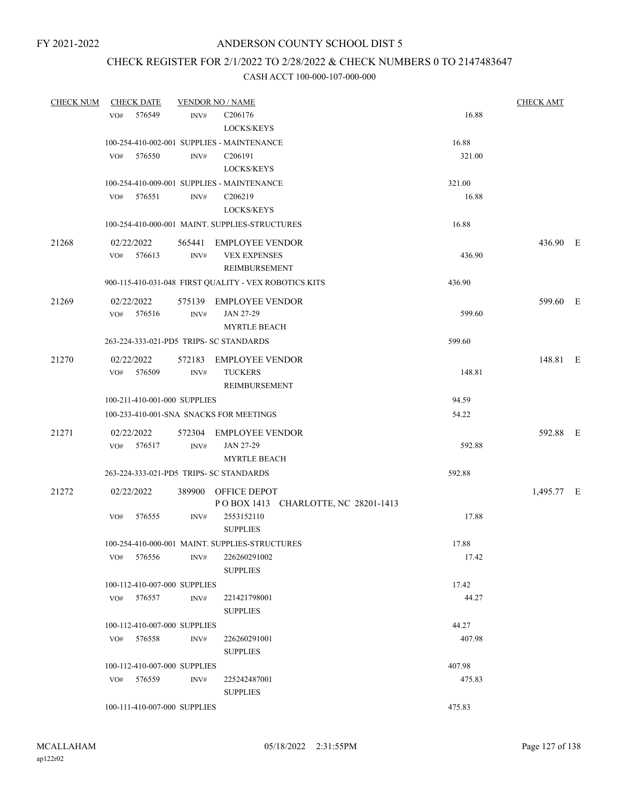## CHECK REGISTER FOR 2/1/2022 TO 2/28/2022 & CHECK NUMBERS 0 TO 2147483647

| <b>CHECK NUM</b> | <b>CHECK DATE</b>            |        | <b>VENDOR NO / NAME</b>                               |        | <b>CHECK AMT</b> |  |
|------------------|------------------------------|--------|-------------------------------------------------------|--------|------------------|--|
|                  | 576549<br>VO#                | INV#   | C206176                                               | 16.88  |                  |  |
|                  |                              |        | LOCKS/KEYS                                            |        |                  |  |
|                  |                              |        | 100-254-410-002-001 SUPPLIES - MAINTENANCE            | 16.88  |                  |  |
|                  | VO#<br>576550                | INV#   | C <sub>206191</sub>                                   | 321.00 |                  |  |
|                  |                              |        | LOCKS/KEYS                                            |        |                  |  |
|                  |                              |        | 100-254-410-009-001 SUPPLIES - MAINTENANCE            | 321.00 |                  |  |
|                  | VO# 576551                   | INV#   | C <sub>206219</sub>                                   | 16.88  |                  |  |
|                  |                              |        | LOCKS/KEYS                                            |        |                  |  |
|                  |                              |        | 100-254-410-000-001 MAINT. SUPPLIES-STRUCTURES        | 16.88  |                  |  |
| 21268            | 02/22/2022                   |        | 565441 EMPLOYEE VENDOR                                |        | 436.90 E         |  |
|                  | 576613<br>VO#                | INV#   | <b>VEX EXPENSES</b>                                   | 436.90 |                  |  |
|                  |                              |        | REIMBURSEMENT                                         |        |                  |  |
|                  |                              |        | 900-115-410-031-048 FIRST QUALITY - VEX ROBOTICS KITS | 436.90 |                  |  |
| 21269            | 02/22/2022                   |        | 575139 EMPLOYEE VENDOR                                |        | 599.60 E         |  |
|                  | VO#<br>576516                | INV#   | JAN 27-29                                             | 599.60 |                  |  |
|                  |                              |        | <b>MYRTLE BEACH</b>                                   |        |                  |  |
|                  |                              |        | 263-224-333-021-PD5 TRIPS- SC STANDARDS               | 599.60 |                  |  |
| 21270            | 02/22/2022                   | 572183 | <b>EMPLOYEE VENDOR</b>                                |        | 148.81 E         |  |
|                  | 576509<br>VO#                | INV#   | <b>TUCKERS</b>                                        | 148.81 |                  |  |
|                  |                              |        | REIMBURSEMENT                                         |        |                  |  |
|                  | 100-211-410-001-000 SUPPLIES |        |                                                       | 94.59  |                  |  |
|                  |                              |        | 100-233-410-001-SNA SNACKS FOR MEETINGS               | 54.22  |                  |  |
| 21271            | 02/22/2022                   |        | 572304 EMPLOYEE VENDOR                                |        | 592.88 E         |  |
|                  | VO# 576517                   | INV#   | JAN 27-29                                             | 592.88 |                  |  |
|                  |                              |        | <b>MYRTLE BEACH</b>                                   |        |                  |  |
|                  |                              |        | 263-224-333-021-PD5 TRIPS- SC STANDARDS               | 592.88 |                  |  |
| 21272            | 02/22/2022                   |        | 389900 OFFICE DEPOT                                   |        | 1,495.77 E       |  |
|                  |                              |        | POBOX 1413 CHARLOTTE, NC 28201-1413                   |        |                  |  |
|                  | 576555<br>VO#                | INV#   | 2553152110                                            | 17.88  |                  |  |
|                  |                              |        | <b>SUPPLIES</b>                                       |        |                  |  |
|                  |                              |        | 100-254-410-000-001 MAINT. SUPPLIES-STRUCTURES        | 17.88  |                  |  |
|                  | 576556<br>VO#                | INV#   | 226260291002                                          | 17.42  |                  |  |
|                  |                              |        | <b>SUPPLIES</b>                                       |        |                  |  |
|                  | 100-112-410-007-000 SUPPLIES |        |                                                       | 17.42  |                  |  |
|                  | 576557<br>VO#                | INV#   | 221421798001                                          | 44.27  |                  |  |
|                  |                              |        | <b>SUPPLIES</b>                                       |        |                  |  |
|                  | 100-112-410-007-000 SUPPLIES |        |                                                       | 44.27  |                  |  |
|                  | $VO#$ 576558                 | INV#   | 226260291001                                          | 407.98 |                  |  |
|                  |                              |        | <b>SUPPLIES</b>                                       |        |                  |  |
|                  | 100-112-410-007-000 SUPPLIES |        |                                                       | 407.98 |                  |  |
|                  | VO# 576559                   | INV#   | 225242487001                                          | 475.83 |                  |  |
|                  |                              |        | <b>SUPPLIES</b>                                       |        |                  |  |
|                  | 100-111-410-007-000 SUPPLIES |        |                                                       | 475.83 |                  |  |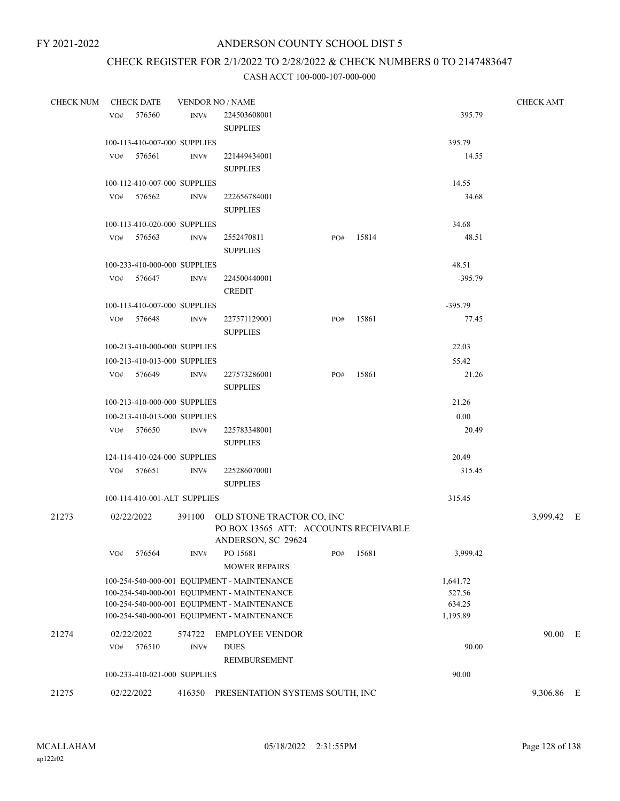## CHECK REGISTER FOR 2/1/2022 TO 2/28/2022 & CHECK NUMBERS 0 TO 2147483647

| <b>CHECK NUM</b> |     | <b>CHECK DATE</b>            |                | <b>VENDOR NO / NAME</b>                                                                    |     |       |                  | <b>CHECK AMT</b> |  |
|------------------|-----|------------------------------|----------------|--------------------------------------------------------------------------------------------|-----|-------|------------------|------------------|--|
|                  | VO# | 576560                       | INV#           | 224503608001                                                                               |     |       | 395.79           |                  |  |
|                  |     |                              |                | <b>SUPPLIES</b>                                                                            |     |       |                  |                  |  |
|                  |     | 100-113-410-007-000 SUPPLIES |                |                                                                                            |     |       | 395.79           |                  |  |
|                  |     | VO# 576561                   | INV#           | 221449434001                                                                               |     |       | 14.55            |                  |  |
|                  |     |                              |                | <b>SUPPLIES</b>                                                                            |     |       |                  |                  |  |
|                  |     | 100-112-410-007-000 SUPPLIES |                |                                                                                            |     |       | 14.55            |                  |  |
|                  |     | $VO#$ 576562                 | INV#           | 222656784001                                                                               |     |       | 34.68            |                  |  |
|                  |     |                              |                | <b>SUPPLIES</b>                                                                            |     |       |                  |                  |  |
|                  |     | 100-113-410-020-000 SUPPLIES |                |                                                                                            |     |       | 34.68            |                  |  |
|                  |     | VO# 576563                   | INV#           | 2552470811                                                                                 | PO# | 15814 | 48.51            |                  |  |
|                  |     |                              |                | <b>SUPPLIES</b>                                                                            |     |       |                  |                  |  |
|                  |     | 100-233-410-000-000 SUPPLIES |                |                                                                                            |     |       | 48.51            |                  |  |
|                  |     | VO# 576647                   | INV#           | 224500440001                                                                               |     |       | $-395.79$        |                  |  |
|                  |     |                              |                | <b>CREDIT</b>                                                                              |     |       |                  |                  |  |
|                  |     | 100-113-410-007-000 SUPPLIES |                |                                                                                            |     |       | $-395.79$        |                  |  |
|                  |     | VO# 576648                   | INV#           | 227571129001                                                                               | PO# | 15861 | 77.45            |                  |  |
|                  |     |                              |                | <b>SUPPLIES</b>                                                                            |     |       |                  |                  |  |
|                  |     | 100-213-410-000-000 SUPPLIES |                |                                                                                            |     |       | 22.03            |                  |  |
|                  |     | 100-213-410-013-000 SUPPLIES |                |                                                                                            |     |       | 55.42            |                  |  |
|                  |     | VO# 576649                   | INV#           | 227573286001                                                                               | PO# | 15861 | 21.26            |                  |  |
|                  |     |                              |                | <b>SUPPLIES</b>                                                                            |     |       |                  |                  |  |
|                  |     | 100-213-410-000-000 SUPPLIES |                |                                                                                            |     |       | 21.26            |                  |  |
|                  |     | 100-213-410-013-000 SUPPLIES |                |                                                                                            |     |       | 0.00             |                  |  |
|                  |     | VO# 576650                   | INV#           | 225783348001<br><b>SUPPLIES</b>                                                            |     |       | 20.49            |                  |  |
|                  |     | 124-114-410-024-000 SUPPLIES |                |                                                                                            |     |       | 20.49            |                  |  |
|                  |     | VO# 576651                   | INV#           | 225286070001                                                                               |     |       | 315.45           |                  |  |
|                  |     |                              |                | <b>SUPPLIES</b>                                                                            |     |       |                  |                  |  |
|                  |     | 100-114-410-001-ALT SUPPLIES |                |                                                                                            |     |       | 315.45           |                  |  |
|                  |     |                              |                |                                                                                            |     |       |                  |                  |  |
| 21273            |     | 02/22/2022                   |                | 391100 OLD STONE TRACTOR CO, INC<br>PO BOX 13565 ATT: ACCOUNTS RECEIVABLE                  |     |       |                  | 3,999.42 E       |  |
|                  |     |                              |                | ANDERSON, SC 29624                                                                         |     |       |                  |                  |  |
|                  | VO# | 576564                       | INV#           | PO 15681                                                                                   | PO# | 15681 | 3,999.42         |                  |  |
|                  |     |                              |                | <b>MOWER REPAIRS</b>                                                                       |     |       |                  |                  |  |
|                  |     |                              |                | 100-254-540-000-001 EQUIPMENT - MAINTENANCE                                                |     |       | 1,641.72         |                  |  |
|                  |     |                              |                | 100-254-540-000-001 EQUIPMENT - MAINTENANCE<br>100-254-540-000-001 EQUIPMENT - MAINTENANCE |     |       | 527.56<br>634.25 |                  |  |
|                  |     |                              |                | 100-254-540-000-001 EQUIPMENT - MAINTENANCE                                                |     |       | 1,195.89         |                  |  |
|                  |     |                              |                |                                                                                            |     |       |                  |                  |  |
| 21274            | VO# | 02/22/2022<br>576510         | 574722<br>INV# | <b>EMPLOYEE VENDOR</b><br><b>DUES</b>                                                      |     |       | 90.00            | 90.00 E          |  |
|                  |     |                              |                | <b>REIMBURSEMENT</b>                                                                       |     |       |                  |                  |  |
|                  |     | 100-233-410-021-000 SUPPLIES |                |                                                                                            |     |       | 90.00            |                  |  |
|                  |     |                              |                |                                                                                            |     |       |                  |                  |  |
| 21275            |     | 02/22/2022                   |                | 416350 PRESENTATION SYSTEMS SOUTH, INC                                                     |     |       |                  | 9,306.86 E       |  |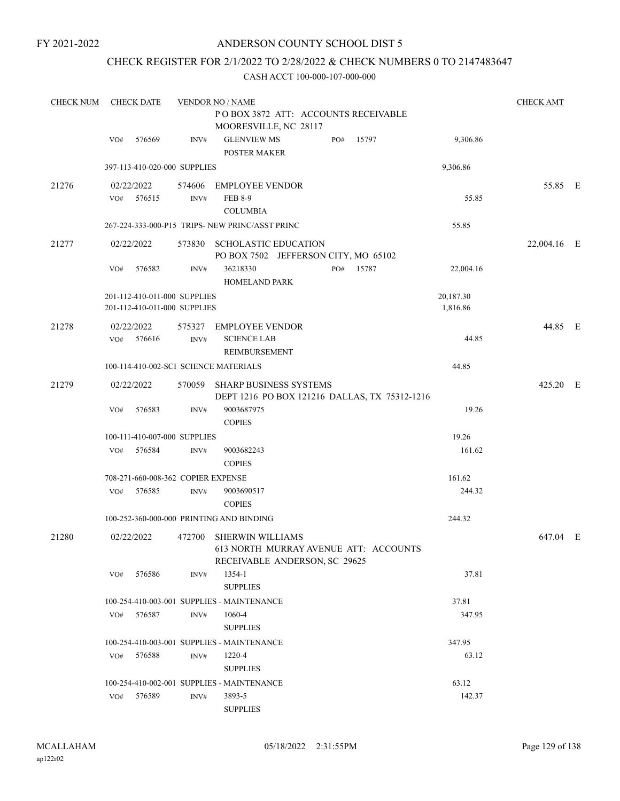## ANDERSON COUNTY SCHOOL DIST 5

## CHECK REGISTER FOR 2/1/2022 TO 2/28/2022 & CHECK NUMBERS 0 TO 2147483647

| <b>CHECK NUM</b> |     | <b>CHECK DATE</b>                  |        | <b>VENDOR NO / NAME</b>                                                        |     |       |           | <b>CHECK AMT</b> |  |
|------------------|-----|------------------------------------|--------|--------------------------------------------------------------------------------|-----|-------|-----------|------------------|--|
|                  |     |                                    |        | POBOX 3872 ATT: ACCOUNTS RECEIVABLE                                            |     |       |           |                  |  |
|                  |     |                                    |        | MOORESVILLE, NC 28117                                                          |     |       |           |                  |  |
|                  | VO# | 576569                             | INV#   | <b>GLENVIEW MS</b><br>POSTER MAKER                                             | PO# | 15797 | 9,306.86  |                  |  |
|                  |     | 397-113-410-020-000 SUPPLIES       |        |                                                                                |     |       | 9,306.86  |                  |  |
| 21276            |     | 02/22/2022                         |        | 574606 EMPLOYEE VENDOR                                                         |     |       |           | 55.85 E          |  |
|                  | VO# | 576515                             | INV#   | FEB 8-9                                                                        |     |       | 55.85     |                  |  |
|                  |     |                                    |        | <b>COLUMBIA</b>                                                                |     |       |           |                  |  |
|                  |     |                                    |        | 267-224-333-000-P15 TRIPS- NEW PRINC/ASST PRINC                                |     |       | 55.85     |                  |  |
| 21277            |     | 02/22/2022                         | 573830 | <b>SCHOLASTIC EDUCATION</b>                                                    |     |       |           | 22,004.16 E      |  |
|                  |     |                                    |        | PO BOX 7502 JEFFERSON CITY, MO 65102                                           |     |       |           |                  |  |
|                  | VO# | 576582                             | INV#   | 36218330<br><b>HOMELAND PARK</b>                                               | PO# | 15787 | 22,004.16 |                  |  |
|                  |     | 201-112-410-011-000 SUPPLIES       |        |                                                                                |     |       | 20,187.30 |                  |  |
|                  |     | 201-112-410-011-000 SUPPLIES       |        |                                                                                |     |       | 1,816.86  |                  |  |
| 21278            |     | 02/22/2022                         | 575327 | <b>EMPLOYEE VENDOR</b>                                                         |     |       |           | 44.85 E          |  |
|                  | VO# | 576616                             | INV#   | <b>SCIENCE LAB</b>                                                             |     |       | 44.85     |                  |  |
|                  |     |                                    |        | REIMBURSEMENT                                                                  |     |       |           |                  |  |
|                  |     |                                    |        | 100-114-410-002-SCI SCIENCE MATERIALS                                          |     |       | 44.85     |                  |  |
| 21279            |     | 02/22/2022                         | 570059 | <b>SHARP BUSINESS SYSTEMS</b><br>DEPT 1216 PO BOX 121216 DALLAS, TX 75312-1216 |     |       |           | 425.20 E         |  |
|                  | VO# | 576583                             | INV#   | 9003687975                                                                     |     |       | 19.26     |                  |  |
|                  |     |                                    |        | <b>COPIES</b>                                                                  |     |       |           |                  |  |
|                  |     | 100-111-410-007-000 SUPPLIES       |        |                                                                                |     |       | 19.26     |                  |  |
|                  | VO# | 576584                             | INV#   | 9003682243<br><b>COPIES</b>                                                    |     |       | 161.62    |                  |  |
|                  |     | 708-271-660-008-362 COPIER EXPENSE |        |                                                                                |     |       | 161.62    |                  |  |
|                  | VO# | 576585                             | INV#   | 9003690517<br><b>COPIES</b>                                                    |     |       | 244.32    |                  |  |
|                  |     |                                    |        | 100-252-360-000-000 PRINTING AND BINDING                                       |     |       | 244.32    |                  |  |
| 21280            |     | 02/22/2022                         |        | 472700 SHERWIN WILLIAMS                                                        |     |       |           | 647.04 E         |  |
|                  |     |                                    |        | 613 NORTH MURRAY AVENUE ATT: ACCOUNTS                                          |     |       |           |                  |  |
|                  |     |                                    |        | RECEIVABLE ANDERSON, SC 29625                                                  |     |       |           |                  |  |
|                  | VO# | 576586                             | INV#   | 1354-1                                                                         |     |       | 37.81     |                  |  |
|                  |     |                                    |        | <b>SUPPLIES</b>                                                                |     |       |           |                  |  |
|                  |     |                                    |        | 100-254-410-003-001 SUPPLIES - MAINTENANCE                                     |     |       | 37.81     |                  |  |
|                  | VO# | 576587                             | INV#   | 1060-4                                                                         |     |       | 347.95    |                  |  |
|                  |     |                                    |        | <b>SUPPLIES</b>                                                                |     |       |           |                  |  |
|                  |     |                                    |        | 100-254-410-003-001 SUPPLIES - MAINTENANCE                                     |     |       | 347.95    |                  |  |
|                  | VO# | 576588                             | INV#   | 1220-4<br><b>SUPPLIES</b>                                                      |     |       | 63.12     |                  |  |
|                  |     |                                    |        | 100-254-410-002-001 SUPPLIES - MAINTENANCE                                     |     |       | 63.12     |                  |  |
|                  | VO# | 576589                             | INV#   | 3893-5                                                                         |     |       | 142.37    |                  |  |
|                  |     |                                    |        | <b>SUPPLIES</b>                                                                |     |       |           |                  |  |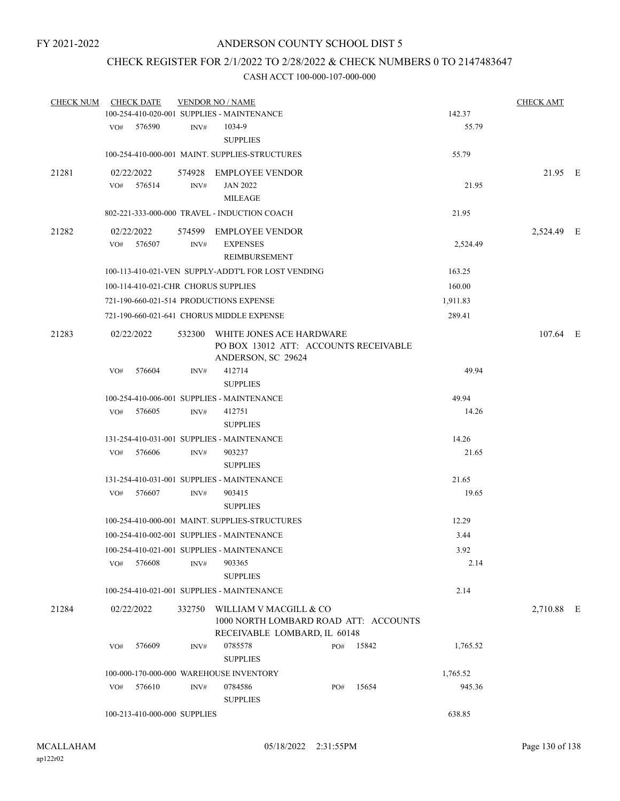#### CHECK REGISTER FOR 2/1/2022 TO 2/28/2022 & CHECK NUMBERS 0 TO 2147483647

| <b>CHECK NUM</b> | <b>CHECK DATE</b>                       |        | <b>VENDOR NO / NAME</b>                                                                         |     |       |          | <b>CHECK AMT</b> |  |
|------------------|-----------------------------------------|--------|-------------------------------------------------------------------------------------------------|-----|-------|----------|------------------|--|
|                  |                                         |        | 100-254-410-020-001 SUPPLIES - MAINTENANCE                                                      |     |       | 142.37   |                  |  |
|                  | VO# 576590                              | INV#   | 1034-9<br><b>SUPPLIES</b>                                                                       |     |       | 55.79    |                  |  |
|                  |                                         |        | 100-254-410-000-001 MAINT. SUPPLIES-STRUCTURES                                                  |     |       | 55.79    |                  |  |
| 21281            | 02/22/2022                              |        | 574928 EMPLOYEE VENDOR                                                                          |     |       |          | 21.95 E          |  |
|                  | 576514<br>VO#                           | INV#   | <b>JAN 2022</b>                                                                                 |     |       | 21.95    |                  |  |
|                  |                                         |        | <b>MILEAGE</b>                                                                                  |     |       |          |                  |  |
|                  |                                         |        | 802-221-333-000-000 TRAVEL - INDUCTION COACH                                                    |     |       | 21.95    |                  |  |
| 21282            | 02/22/2022                              |        | 574599 EMPLOYEE VENDOR                                                                          |     |       |          | 2,524.49 E       |  |
|                  | 576507<br>VO#                           | INV#   | <b>EXPENSES</b>                                                                                 |     |       | 2,524.49 |                  |  |
|                  |                                         |        | REIMBURSEMENT                                                                                   |     |       |          |                  |  |
|                  |                                         |        | 100-113-410-021-VEN SUPPLY-ADDT'L FOR LOST VENDING                                              |     |       | 163.25   |                  |  |
|                  | 100-114-410-021-CHR CHORUS SUPPLIES     |        |                                                                                                 |     |       | 160.00   |                  |  |
|                  | 721-190-660-021-514 PRODUCTIONS EXPENSE |        |                                                                                                 |     |       | 1,911.83 |                  |  |
|                  |                                         |        | 721-190-660-021-641 CHORUS MIDDLE EXPENSE                                                       |     |       | 289.41   |                  |  |
| 21283            | 02/22/2022                              |        | 532300 WHITE JONES ACE HARDWARE<br>PO BOX 13012 ATT: ACCOUNTS RECEIVABLE<br>ANDERSON, SC 29624  |     |       |          | 107.64 E         |  |
|                  | VO#<br>576604                           | INV#   | 412714                                                                                          |     |       | 49.94    |                  |  |
|                  |                                         |        | <b>SUPPLIES</b>                                                                                 |     |       |          |                  |  |
|                  |                                         |        | 100-254-410-006-001 SUPPLIES - MAINTENANCE                                                      |     |       | 49.94    |                  |  |
|                  | 576605<br>VO#                           | INV#   | 412751                                                                                          |     |       | 14.26    |                  |  |
|                  |                                         |        | <b>SUPPLIES</b>                                                                                 |     |       |          |                  |  |
|                  |                                         |        | 131-254-410-031-001 SUPPLIES - MAINTENANCE                                                      |     |       | 14.26    |                  |  |
|                  | 576606<br>VO#                           | INV#   | 903237<br><b>SUPPLIES</b>                                                                       |     |       | 21.65    |                  |  |
|                  |                                         |        | 131-254-410-031-001 SUPPLIES - MAINTENANCE                                                      |     |       | 21.65    |                  |  |
|                  | 576607<br>VO#                           | INV#   | 903415                                                                                          |     |       | 19.65    |                  |  |
|                  |                                         |        | <b>SUPPLIES</b>                                                                                 |     |       |          |                  |  |
|                  |                                         |        | 100-254-410-000-001 MAINT. SUPPLIES-STRUCTURES                                                  |     |       | 12.29    |                  |  |
|                  |                                         |        | 100-254-410-002-001 SUPPLIES - MAINTENANCE                                                      |     |       | 3.44     |                  |  |
|                  |                                         |        | 100-254-410-021-001 SUPPLIES - MAINTENANCE                                                      |     |       | 3.92     |                  |  |
|                  | 576608<br>VO#                           | INV#   | 903365<br><b>SUPPLIES</b>                                                                       |     |       | 2.14     |                  |  |
|                  |                                         |        | 100-254-410-021-001 SUPPLIES - MAINTENANCE                                                      |     |       | 2.14     |                  |  |
| 21284            | 02/22/2022                              | 332750 | WILLIAM V MACGILL & CO<br>1000 NORTH LOMBARD ROAD ATT: ACCOUNTS<br>RECEIVABLE LOMBARD, IL 60148 |     |       |          | 2,710.88 E       |  |
|                  | 576609<br>VO#                           | INV#   | 0785578<br><b>SUPPLIES</b>                                                                      | PO# | 15842 | 1,765.52 |                  |  |
|                  |                                         |        | 100-000-170-000-000 WAREHOUSE INVENTORY                                                         |     |       | 1,765.52 |                  |  |
|                  | 576610<br>VO#                           | INV#   | 0784586<br><b>SUPPLIES</b>                                                                      | PO# | 15654 | 945.36   |                  |  |
|                  | 100-213-410-000-000 SUPPLIES            |        |                                                                                                 |     |       | 638.85   |                  |  |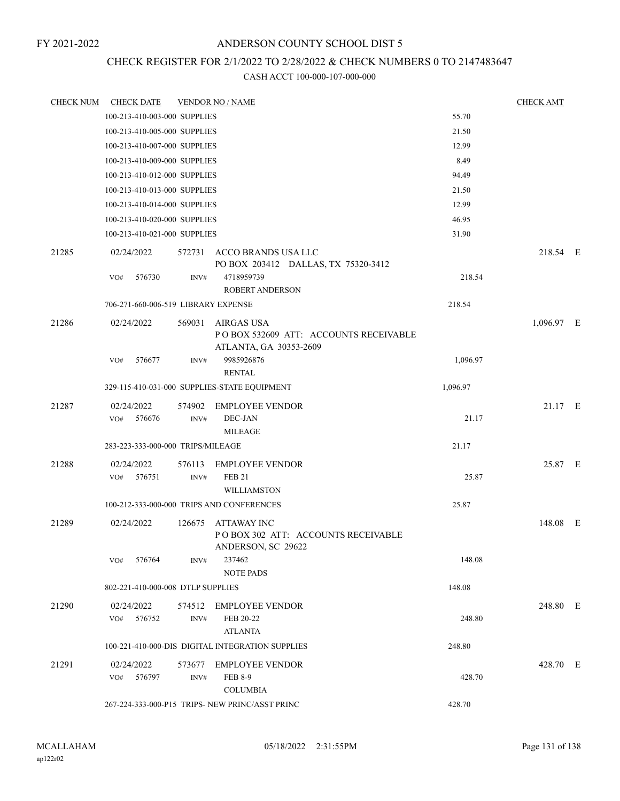## ANDERSON COUNTY SCHOOL DIST 5

## CHECK REGISTER FOR 2/1/2022 TO 2/28/2022 & CHECK NUMBERS 0 TO 2147483647

| <b>CHECK NUM</b> | <b>CHECK DATE</b>                   |                | <b>VENDOR NO / NAME</b>                                                        |          | <b>CHECK AMT</b> |  |
|------------------|-------------------------------------|----------------|--------------------------------------------------------------------------------|----------|------------------|--|
|                  | 100-213-410-003-000 SUPPLIES        |                |                                                                                | 55.70    |                  |  |
|                  | 100-213-410-005-000 SUPPLIES        |                |                                                                                | 21.50    |                  |  |
|                  | 100-213-410-007-000 SUPPLIES        |                |                                                                                | 12.99    |                  |  |
|                  | 100-213-410-009-000 SUPPLIES        |                |                                                                                | 8.49     |                  |  |
|                  | 100-213-410-012-000 SUPPLIES        |                |                                                                                | 94.49    |                  |  |
|                  | 100-213-410-013-000 SUPPLIES        |                |                                                                                | 21.50    |                  |  |
|                  | 100-213-410-014-000 SUPPLIES        |                |                                                                                | 12.99    |                  |  |
|                  | 100-213-410-020-000 SUPPLIES        |                |                                                                                | 46.95    |                  |  |
|                  | 100-213-410-021-000 SUPPLIES        |                |                                                                                | 31.90    |                  |  |
| 21285            | 02/24/2022                          | 572731         | ACCO BRANDS USA LLC<br>PO BOX 203412 DALLAS, TX 75320-3412                     |          | 218.54 E         |  |
|                  | 576730<br>VO#                       | INV#           | 4718959739<br><b>ROBERT ANDERSON</b>                                           | 218.54   |                  |  |
|                  | 706-271-660-006-519 LIBRARY EXPENSE |                |                                                                                | 218.54   |                  |  |
| 21286            | 02/24/2022                          | 569031         | AIRGAS USA<br>PO BOX 532609 ATT: ACCOUNTS RECEIVABLE<br>ATLANTA, GA 30353-2609 |          | 1,096.97 E       |  |
|                  | 576677<br>VO#                       | INV#           | 9985926876<br><b>RENTAL</b>                                                    | 1,096.97 |                  |  |
|                  |                                     |                | 329-115-410-031-000 SUPPLIES-STATE EQUIPMENT                                   | 1,096.97 |                  |  |
| 21287            | 02/24/2022                          |                | 574902 EMPLOYEE VENDOR                                                         |          | 21.17 E          |  |
|                  | 576676<br>VO#                       | INV#           | DEC-JAN<br><b>MILEAGE</b>                                                      | 21.17    |                  |  |
|                  | 283-223-333-000-000 TRIPS/MILEAGE   |                |                                                                                | 21.17    |                  |  |
| 21288            | 02/24/2022<br>VO#<br>576751         | 576113<br>INV# | <b>EMPLOYEE VENDOR</b><br><b>FEB 21</b>                                        | 25.87    | 25.87 E          |  |
|                  |                                     |                | <b>WILLIAMSTON</b><br>100-212-333-000-000 TRIPS AND CONFERENCES                | 25.87    |                  |  |
|                  |                                     |                |                                                                                |          |                  |  |
| 21289            | 02/24/2022                          | 126675         | ATTAWAY INC<br>PO BOX 302 ATT: ACCOUNTS RECEIVABLE<br>ANDERSON, SC 29622       |          | 148.08 E         |  |
|                  | VO# 576764                          | INV#           | 237462<br><b>NOTE PADS</b>                                                     | 148.08   |                  |  |
|                  | 802-221-410-000-008 DTLP SUPPLIES   |                |                                                                                | 148.08   |                  |  |
| 21290            | 02/24/2022<br>VO# 576752            | INV#           | 574512 EMPLOYEE VENDOR<br>FEB 20-22<br><b>ATLANTA</b>                          | 248.80   | 248.80 E         |  |
|                  |                                     |                | 100-221-410-000-DIS DIGITAL INTEGRATION SUPPLIES                               | 248.80   |                  |  |
|                  |                                     |                |                                                                                |          |                  |  |
| 21291            | 02/24/2022<br>576797<br>VO#         | INV#           | 573677 EMPLOYEE VENDOR<br><b>FEB 8-9</b><br><b>COLUMBIA</b>                    | 428.70   | 428.70 E         |  |
|                  |                                     |                | 267-224-333-000-P15 TRIPS- NEW PRINC/ASST PRINC                                | 428.70   |                  |  |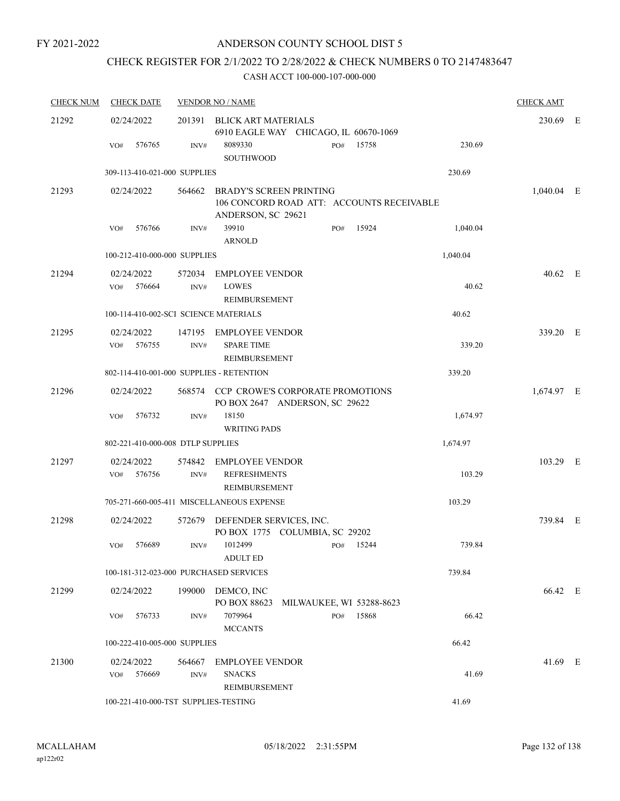## CHECK REGISTER FOR 2/1/2022 TO 2/28/2022 & CHECK NUMBERS 0 TO 2147483647

| <b>CHECK NUM</b> | <b>CHECK DATE</b>                        |                | <b>VENDOR NO / NAME</b>                                                                           |          | <b>CHECK AMT</b> |  |
|------------------|------------------------------------------|----------------|---------------------------------------------------------------------------------------------------|----------|------------------|--|
| 21292            | 02/24/2022                               |                | 201391 BLICK ART MATERIALS<br>6910 EAGLE WAY CHICAGO, IL 60670-1069                               |          | 230.69 E         |  |
|                  | 576765<br>VO#                            | INV#           | 8089330<br>15758<br>PO#<br><b>SOUTHWOOD</b>                                                       | 230.69   |                  |  |
|                  | 309-113-410-021-000 SUPPLIES             |                |                                                                                                   | 230.69   |                  |  |
| 21293            | 02/24/2022                               | 564662         | <b>BRADY'S SCREEN PRINTING</b><br>106 CONCORD ROAD ATT: ACCOUNTS RECEIVABLE<br>ANDERSON, SC 29621 |          | $1,040.04$ E     |  |
|                  | 576766<br>VO#                            | INV#           | 39910<br>15924<br>PO#<br><b>ARNOLD</b>                                                            | 1,040.04 |                  |  |
|                  | 100-212-410-000-000 SUPPLIES             |                |                                                                                                   | 1,040.04 |                  |  |
| 21294            | 02/24/2022<br>VO#<br>576664              | 572034<br>INV# | <b>EMPLOYEE VENDOR</b><br><b>LOWES</b><br>REIMBURSEMENT                                           | 40.62    | 40.62 E          |  |
|                  | 100-114-410-002-SCI SCIENCE MATERIALS    |                |                                                                                                   | 40.62    |                  |  |
| 21295            | 02/24/2022<br>576755<br>VO#              | INV#           | 147195 EMPLOYEE VENDOR<br><b>SPARE TIME</b><br><b>REIMBURSEMENT</b>                               | 339.20   | 339.20 E         |  |
|                  | 802-114-410-001-000 SUPPLIES - RETENTION |                |                                                                                                   | 339.20   |                  |  |
| 21296            | 02/24/2022                               |                | 568574 CCP CROWE'S CORPORATE PROMOTIONS<br>PO BOX 2647 ANDERSON, SC 29622                         |          | 1,674.97 E       |  |
|                  | 576732<br>VO#                            | INV#           | 18150<br><b>WRITING PADS</b>                                                                      | 1,674.97 |                  |  |
|                  | 802-221-410-000-008 DTLP SUPPLIES        |                |                                                                                                   | 1,674.97 |                  |  |
| 21297            | 02/24/2022<br>576756<br>VO#              | 574842<br>INV# | <b>EMPLOYEE VENDOR</b><br><b>REFRESHMENTS</b><br><b>REIMBURSEMENT</b>                             | 103.29   | 103.29 E         |  |
|                  |                                          |                | 705-271-660-005-411 MISCELLANEOUS EXPENSE                                                         | 103.29   |                  |  |
| 21298            | 02/24/2022                               | 572679         | DEFENDER SERVICES, INC.<br>PO BOX 1775 COLUMBIA, SC 29202                                         |          | 739.84 E         |  |
|                  | 576689<br>VO#                            | INV#           | 1012499<br>15244<br>PO#<br><b>ADULT ED</b>                                                        | 739.84   |                  |  |
|                  | 100-181-312-023-000 PURCHASED SERVICES   |                |                                                                                                   | 739.84   |                  |  |
| 21299            | 02/24/2022                               | 199000         | DEMCO, INC<br>PO BOX 88623<br>MILWAUKEE, WI 53288-8623                                            |          | 66.42 E          |  |
|                  | VO#<br>576733                            | INV#           | 7079964<br>15868<br>PO#<br><b>MCCANTS</b>                                                         | 66.42    |                  |  |
|                  | 100-222-410-005-000 SUPPLIES             |                |                                                                                                   | 66.42    |                  |  |
| 21300            | 02/24/2022<br>576669<br>VO#              | 564667<br>INV# | <b>EMPLOYEE VENDOR</b><br><b>SNACKS</b><br>REIMBURSEMENT                                          | 41.69    | 41.69 E          |  |
|                  | 100-221-410-000-TST SUPPLIES-TESTING     |                |                                                                                                   | 41.69    |                  |  |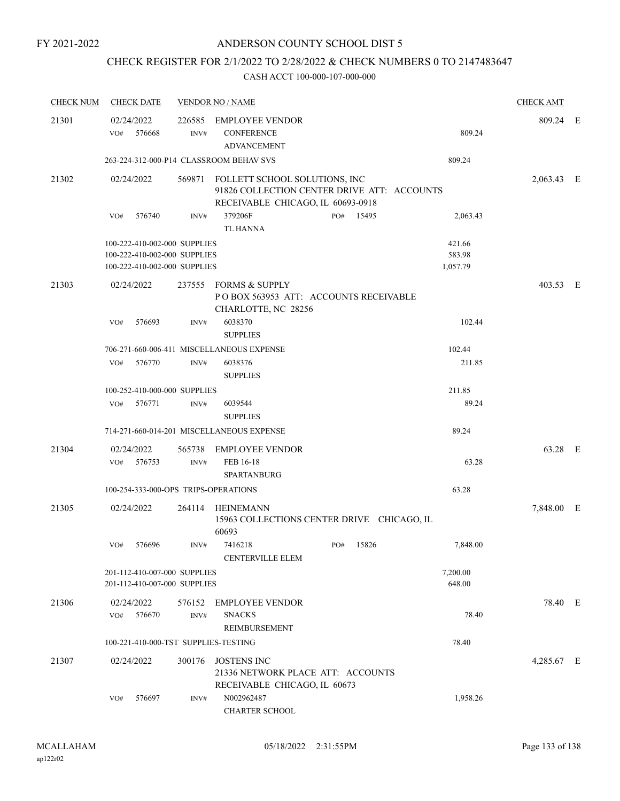## CHECK REGISTER FOR 2/1/2022 TO 2/28/2022 & CHECK NUMBERS 0 TO 2147483647

| <b>CHECK NUM</b> | <b>CHECK DATE</b> |        |                                                              | <b>VENDOR NO / NAME</b>                                                                                                  |     |       |                    |          | <b>CHECK AMT</b> |  |
|------------------|-------------------|--------|--------------------------------------------------------------|--------------------------------------------------------------------------------------------------------------------------|-----|-------|--------------------|----------|------------------|--|
| 21301            | 02/24/2022<br>VO# | 576668 | INV#                                                         | 226585 EMPLOYEE VENDOR<br><b>CONFERENCE</b><br><b>ADVANCEMENT</b>                                                        |     |       |                    | 809.24   | 809.24 E         |  |
|                  |                   |        |                                                              | 263-224-312-000-P14 CLASSROOM BEHAV SVS                                                                                  |     |       | 809.24             |          |                  |  |
| 21302            | 02/24/2022        |        |                                                              | 569871 FOLLETT SCHOOL SOLUTIONS, INC<br>91826 COLLECTION CENTER DRIVE ATT: ACCOUNTS<br>RECEIVABLE CHICAGO, IL 60693-0918 |     |       |                    |          | 2,063.43 E       |  |
|                  | VO#               | 576740 | INV#                                                         | 379206F<br>TL HANNA                                                                                                      | PO# | 15495 |                    | 2,063.43 |                  |  |
|                  |                   |        | 100-222-410-002-000 SUPPLIES                                 |                                                                                                                          |     |       | 421.66             |          |                  |  |
|                  |                   |        | 100-222-410-002-000 SUPPLIES                                 |                                                                                                                          |     |       | 583.98             |          |                  |  |
|                  |                   |        | 100-222-410-002-000 SUPPLIES                                 |                                                                                                                          |     |       | 1,057.79           |          |                  |  |
| 21303            | 02/24/2022        |        |                                                              | 237555 FORMS & SUPPLY<br>POBOX 563953 ATT: ACCOUNTS RECEIVABLE<br>CHARLOTTE, NC 28256                                    |     |       |                    |          | 403.53 E         |  |
|                  | VO#               | 576693 | INV#                                                         | 6038370<br><b>SUPPLIES</b>                                                                                               |     |       |                    | 102.44   |                  |  |
|                  |                   |        |                                                              | 706-271-660-006-411 MISCELLANEOUS EXPENSE                                                                                |     |       | 102.44             |          |                  |  |
|                  | VO#               | 576770 | INV#                                                         | 6038376<br><b>SUPPLIES</b>                                                                                               |     |       |                    | 211.85   |                  |  |
|                  |                   |        | 100-252-410-000-000 SUPPLIES                                 |                                                                                                                          |     |       | 211.85             |          |                  |  |
|                  | VO#               | 576771 | INV#                                                         | 6039544<br><b>SUPPLIES</b>                                                                                               |     |       |                    | 89.24    |                  |  |
|                  |                   |        |                                                              | 714-271-660-014-201 MISCELLANEOUS EXPENSE                                                                                |     |       | 89.24              |          |                  |  |
| 21304            | 02/24/2022        |        | 565738                                                       | <b>EMPLOYEE VENDOR</b>                                                                                                   |     |       |                    |          | 63.28 E          |  |
|                  | VO#               | 576753 | INV#                                                         | FEB 16-18<br><b>SPARTANBURG</b>                                                                                          |     |       |                    | 63.28    |                  |  |
|                  |                   |        |                                                              | 100-254-333-000-OPS TRIPS-OPERATIONS                                                                                     |     |       | 63.28              |          |                  |  |
| 21305            | 02/24/2022        |        |                                                              | 264114 HEINEMANN<br>15963 COLLECTIONS CENTER DRIVE CHICAGO, IL                                                           |     |       |                    |          | 7,848.00 E       |  |
|                  |                   |        |                                                              | 60693                                                                                                                    |     |       |                    |          |                  |  |
|                  | VO#               | 576696 | INV#                                                         | 7416218<br><b>CENTERVILLE ELEM</b>                                                                                       | PO# | 15826 |                    | 7,848.00 |                  |  |
|                  |                   |        | 201-112-410-007-000 SUPPLIES<br>201-112-410-007-000 SUPPLIES |                                                                                                                          |     |       | 7,200.00<br>648.00 |          |                  |  |
| 21306            | 02/24/2022        |        | 576152                                                       | <b>EMPLOYEE VENDOR</b>                                                                                                   |     |       |                    |          | 78.40 E          |  |
|                  | VO#               | 576670 | INV#                                                         | <b>SNACKS</b><br>REIMBURSEMENT                                                                                           |     |       |                    | 78.40    |                  |  |
|                  |                   |        |                                                              | 100-221-410-000-TST SUPPLIES-TESTING                                                                                     |     |       | 78.40              |          |                  |  |
| 21307            | 02/24/2022        |        | 300176                                                       | <b>JOSTENS INC</b>                                                                                                       |     |       |                    |          | 4,285.67 E       |  |
|                  |                   |        |                                                              | 21336 NETWORK PLACE ATT: ACCOUNTS<br>RECEIVABLE CHICAGO, IL 60673                                                        |     |       |                    |          |                  |  |
|                  | VO#               | 576697 | INV#                                                         | N002962487<br><b>CHARTER SCHOOL</b>                                                                                      |     |       |                    | 1,958.26 |                  |  |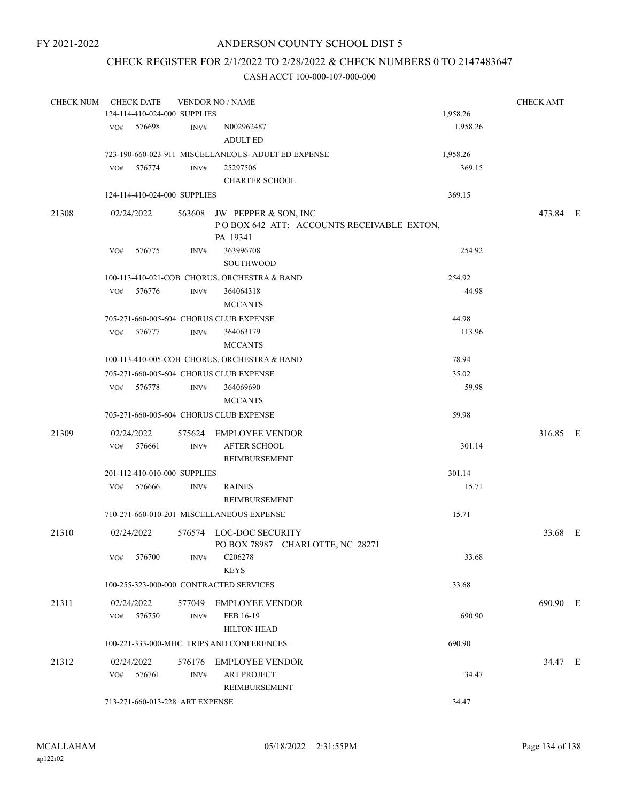## CHECK REGISTER FOR 2/1/2022 TO 2/28/2022 & CHECK NUMBERS 0 TO 2147483647

| <b>CHECK NUM</b> | <b>CHECK DATE</b>                       |        | <b>VENDOR NO / NAME</b>                                                              |          | <b>CHECK AMT</b> |  |
|------------------|-----------------------------------------|--------|--------------------------------------------------------------------------------------|----------|------------------|--|
|                  | 124-114-410-024-000 SUPPLIES            |        |                                                                                      | 1,958.26 |                  |  |
|                  | VO# 576698                              | INV#   | N002962487<br><b>ADULT ED</b>                                                        | 1,958.26 |                  |  |
|                  |                                         |        | 723-190-660-023-911 MISCELLANEOUS- ADULT ED EXPENSE                                  | 1,958.26 |                  |  |
|                  | 576774<br>VO#                           | INV#   | 25297506                                                                             | 369.15   |                  |  |
|                  |                                         |        | <b>CHARTER SCHOOL</b>                                                                |          |                  |  |
|                  | 124-114-410-024-000 SUPPLIES            |        |                                                                                      | 369.15   |                  |  |
|                  |                                         |        |                                                                                      |          |                  |  |
| 21308            | 02/24/2022                              |        | 563608 JW PEPPER & SON, INC<br>POBOX 642 ATT: ACCOUNTS RECEIVABLE EXTON,<br>PA 19341 |          | 473.84 E         |  |
|                  | VO#<br>576775                           | INV#   | 363996708<br>SOUTHWOOD                                                               | 254.92   |                  |  |
|                  |                                         |        | 100-113-410-021-COB CHORUS, ORCHESTRA & BAND                                         | 254.92   |                  |  |
|                  | 576776<br>VO#                           | INV#   | 364064318                                                                            | 44.98    |                  |  |
|                  |                                         |        | <b>MCCANTS</b>                                                                       |          |                  |  |
|                  | 705-271-660-005-604 CHORUS CLUB EXPENSE |        |                                                                                      | 44.98    |                  |  |
|                  | VO# 576777                              | INV#   | 364063179<br><b>MCCANTS</b>                                                          | 113.96   |                  |  |
|                  |                                         |        | 100-113-410-005-COB CHORUS, ORCHESTRA & BAND                                         | 78.94    |                  |  |
|                  | 705-271-660-005-604 CHORUS CLUB EXPENSE |        |                                                                                      | 35.02    |                  |  |
|                  | VO# 576778                              | INV#   | 364069690<br><b>MCCANTS</b>                                                          | 59.98    |                  |  |
|                  | 705-271-660-005-604 CHORUS CLUB EXPENSE |        |                                                                                      | 59.98    |                  |  |
| 21309            | 02/24/2022                              |        | 575624 EMPLOYEE VENDOR                                                               |          | 316.85 E         |  |
|                  | VO# 576661                              | INV#   | <b>AFTER SCHOOL</b><br>REIMBURSEMENT                                                 | 301.14   |                  |  |
|                  | 201-112-410-010-000 SUPPLIES            |        |                                                                                      | 301.14   |                  |  |
|                  | 576666<br>VO#                           | INV#   | <b>RAINES</b><br><b>REIMBURSEMENT</b>                                                | 15.71    |                  |  |
|                  |                                         |        | 710-271-660-010-201 MISCELLANEOUS EXPENSE                                            | 15.71    |                  |  |
| 21310            | 02/24/2022                              |        | 576574 LOC-DOC SECURITY<br>PO BOX 78987 CHARLOTTE, NC 28271                          |          | 33.68 E          |  |
|                  | 576700<br>VO#                           | INV#   | C <sub>206278</sub><br><b>KEYS</b>                                                   | 33.68    |                  |  |
|                  | 100-255-323-000-000 CONTRACTED SERVICES |        |                                                                                      | 33.68    |                  |  |
| 21311            | 02/24/2022                              | 577049 | <b>EMPLOYEE VENDOR</b>                                                               |          | 690.90 E         |  |
|                  | 576750<br>VO#                           | INV#   | FEB 16-19<br><b>HILTON HEAD</b>                                                      | 690.90   |                  |  |
|                  |                                         |        | 100-221-333-000-MHC TRIPS AND CONFERENCES                                            | 690.90   |                  |  |
| 21312            | 02/24/2022                              | 576176 | <b>EMPLOYEE VENDOR</b>                                                               |          | 34.47 E          |  |
|                  | VO#<br>576761                           | INV#   | <b>ART PROJECT</b><br>REIMBURSEMENT                                                  | 34.47    |                  |  |
|                  | 713-271-660-013-228 ART EXPENSE         |        |                                                                                      | 34.47    |                  |  |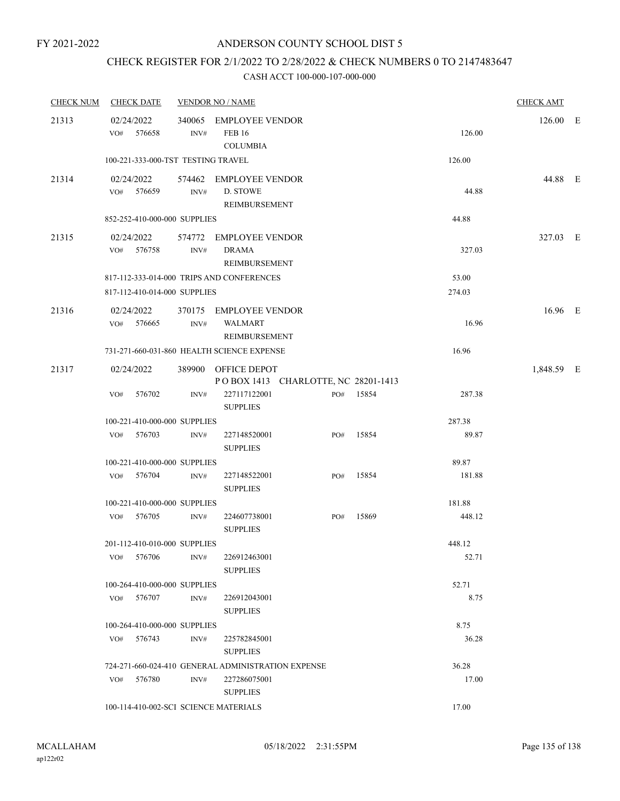## CHECK REGISTER FOR 2/1/2022 TO 2/28/2022 & CHECK NUMBERS 0 TO 2147483647

| <b>CHECK NUM</b> |                                                    | <b>CHECK DATE</b>                  |      | <b>VENDOR NO / NAME</b>                                          |  |     |           |        | <b>CHECK AMT</b> |  |
|------------------|----------------------------------------------------|------------------------------------|------|------------------------------------------------------------------|--|-----|-----------|--------|------------------|--|
| 21313            | 02/24/2022                                         | VO# 576658                         | INV# | 340065 EMPLOYEE VENDOR<br><b>FEB 16</b><br><b>COLUMBIA</b>       |  |     |           | 126.00 | 126.00 E         |  |
|                  |                                                    | 100-221-333-000-TST TESTING TRAVEL |      |                                                                  |  |     |           | 126.00 |                  |  |
| 21314            | 02/24/2022                                         | VO# 576659                         | INV# | 574462 EMPLOYEE VENDOR<br>D. STOWE<br>REIMBURSEMENT              |  |     |           | 44.88  | 44.88 E          |  |
|                  |                                                    | 852-252-410-000-000 SUPPLIES       |      |                                                                  |  |     |           | 44.88  |                  |  |
| 21315            | 02/24/2022                                         | VO# 576758                         | INV# | 574772 EMPLOYEE VENDOR<br><b>DRAMA</b><br>REIMBURSEMENT          |  |     |           | 327.03 | 327.03 E         |  |
|                  |                                                    |                                    |      | 817-112-333-014-000 TRIPS AND CONFERENCES                        |  |     |           | 53.00  |                  |  |
|                  |                                                    | 817-112-410-014-000 SUPPLIES       |      |                                                                  |  |     |           | 274.03 |                  |  |
| 21316            | 02/24/2022                                         | VO# 576665                         | INV# | 370175 EMPLOYEE VENDOR<br><b>WALMART</b><br><b>REIMBURSEMENT</b> |  |     |           | 16.96  | 16.96 E          |  |
|                  |                                                    |                                    |      | 731-271-660-031-860 HEALTH SCIENCE EXPENSE                       |  |     |           | 16.96  |                  |  |
| 21317            | 02/24/2022                                         |                                    |      | 389900 OFFICE DEPOT<br>POBOX 1413 CHARLOTTE, NC 28201-1413       |  |     |           |        | 1,848.59 E       |  |
|                  | VO#                                                | 576702                             | INV# | 227117122001<br><b>SUPPLIES</b>                                  |  |     | PO# 15854 | 287.38 |                  |  |
|                  |                                                    | 100-221-410-000-000 SUPPLIES       |      |                                                                  |  |     |           | 287.38 |                  |  |
|                  |                                                    | VO# 576703                         | INV# | 227148520001<br><b>SUPPLIES</b>                                  |  | PO# | 15854     | 89.87  |                  |  |
|                  |                                                    | 100-221-410-000-000 SUPPLIES       |      |                                                                  |  |     |           | 89.87  |                  |  |
|                  | VO#                                                | 576704                             | INV# | 227148522001<br><b>SUPPLIES</b>                                  |  | PO# | 15854     | 181.88 |                  |  |
|                  |                                                    | 100-221-410-000-000 SUPPLIES       |      |                                                                  |  |     |           | 181.88 |                  |  |
|                  | VO#                                                | 576705                             | INV# | 224607738001<br><b>SUPPLIES</b>                                  |  | PO# | 15869     | 448.12 |                  |  |
|                  |                                                    | 201-112-410-010-000 SUPPLIES       |      |                                                                  |  |     |           | 448.12 |                  |  |
|                  | VO#                                                | 576706                             | INV# | 226912463001<br><b>SUPPLIES</b>                                  |  |     |           | 52.71  |                  |  |
|                  |                                                    | 100-264-410-000-000 SUPPLIES       |      |                                                                  |  |     |           | 52.71  |                  |  |
|                  | VO#                                                | 576707                             | INV# | 226912043001<br><b>SUPPLIES</b>                                  |  |     |           | 8.75   |                  |  |
|                  | 100-264-410-000-000 SUPPLIES                       |                                    |      |                                                                  |  |     |           | 8.75   |                  |  |
|                  | VO#                                                | 576743                             | INV# | 225782845001<br><b>SUPPLIES</b>                                  |  |     |           | 36.28  |                  |  |
|                  | 724-271-660-024-410 GENERAL ADMINISTRATION EXPENSE |                                    |      |                                                                  |  |     |           | 36.28  |                  |  |
|                  | VO#                                                | 576780                             | INV# | 227286075001<br><b>SUPPLIES</b>                                  |  |     |           | 17.00  |                  |  |
|                  |                                                    |                                    |      | 100-114-410-002-SCI SCIENCE MATERIALS                            |  |     |           | 17.00  |                  |  |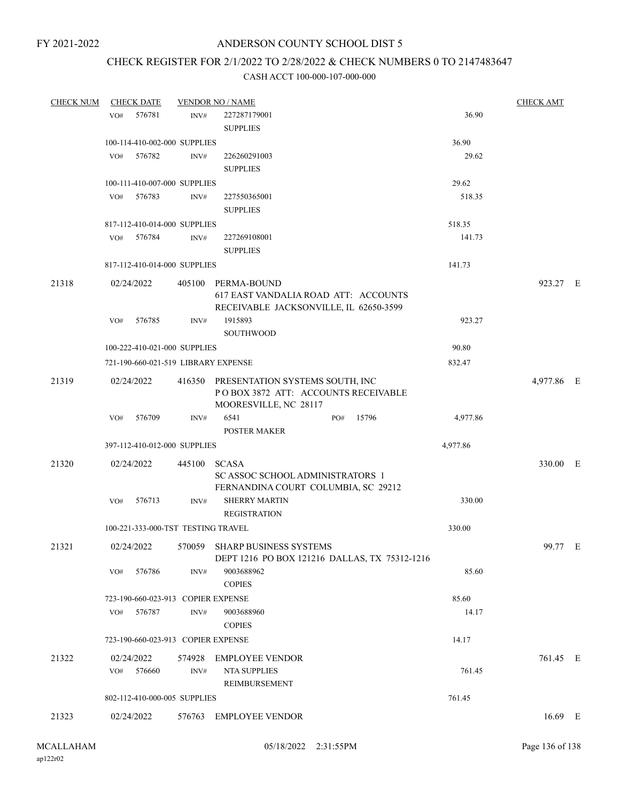# CHECK REGISTER FOR 2/1/2022 TO 2/28/2022 & CHECK NUMBERS 0 TO 2147483647

| <b>CHECK NUM</b> | <b>CHECK DATE</b>                   |              | <b>VENDOR NO / NAME</b>                                                                              |          | <b>CHECK AMT</b> |  |
|------------------|-------------------------------------|--------------|------------------------------------------------------------------------------------------------------|----------|------------------|--|
|                  | 576781<br>VO#                       | INV#         | 227287179001                                                                                         | 36.90    |                  |  |
|                  |                                     |              | <b>SUPPLIES</b>                                                                                      |          |                  |  |
|                  | 100-114-410-002-000 SUPPLIES        |              |                                                                                                      | 36.90    |                  |  |
|                  | 576782<br>VO#                       | INV#         | 226260291003<br><b>SUPPLIES</b>                                                                      | 29.62    |                  |  |
|                  | 100-111-410-007-000 SUPPLIES        |              |                                                                                                      | 29.62    |                  |  |
|                  | 576783<br>VO#                       | INV#         | 227550365001                                                                                         | 518.35   |                  |  |
|                  |                                     |              | <b>SUPPLIES</b>                                                                                      |          |                  |  |
|                  | 817-112-410-014-000 SUPPLIES        |              |                                                                                                      | 518.35   |                  |  |
|                  | 576784<br>VO#                       | INV#         | 227269108001<br><b>SUPPLIES</b>                                                                      | 141.73   |                  |  |
|                  | 817-112-410-014-000 SUPPLIES        |              |                                                                                                      | 141.73   |                  |  |
| 21318            | 02/24/2022                          |              | 405100 PERMA-BOUND<br>617 EAST VANDALIA ROAD ATT: ACCOUNTS<br>RECEIVABLE JACKSONVILLE, IL 62650-3599 |          | 923.27 E         |  |
|                  | 576785<br>VO#                       | INV#         | 1915893<br><b>SOUTHWOOD</b>                                                                          | 923.27   |                  |  |
|                  | 100-222-410-021-000 SUPPLIES        |              |                                                                                                      | 90.80    |                  |  |
|                  | 721-190-660-021-519 LIBRARY EXPENSE |              |                                                                                                      | 832.47   |                  |  |
| 21319            | 02/24/2022                          |              | 416350 PRESENTATION SYSTEMS SOUTH, INC<br>POBOX 3872 ATT: ACCOUNTS RECEIVABLE                        |          | 4,977.86 E       |  |
|                  |                                     |              | MOORESVILLE, NC 28117                                                                                |          |                  |  |
|                  | 576709<br>VO#                       | INV#         | 6541<br>15796<br>PO#<br><b>POSTER MAKER</b>                                                          | 4,977.86 |                  |  |
|                  | 397-112-410-012-000 SUPPLIES        |              |                                                                                                      | 4,977.86 |                  |  |
| 21320            | 02/24/2022                          | 445100 SCASA | SC ASSOC SCHOOL ADMINISTRATORS 1<br>FERNANDINA COURT COLUMBIA, SC 29212                              |          | 330.00 E         |  |
|                  | 576713<br>VO#                       | INV#         | <b>SHERRY MARTIN</b><br><b>REGISTRATION</b>                                                          | 330.00   |                  |  |
|                  | 100-221-333-000-TST TESTING TRAVEL  |              |                                                                                                      | 330.00   |                  |  |
| 21321            | 02/24/2022                          |              | 570059 SHARP BUSINESS SYSTEMS<br>DEPT 1216 PO BOX 121216 DALLAS, TX 75312-1216                       |          | 99.77 E          |  |
|                  | VO#<br>576786                       | INV#         | 9003688962<br><b>COPIES</b>                                                                          | 85.60    |                  |  |
|                  | 723-190-660-023-913 COPIER EXPENSE  |              |                                                                                                      | 85.60    |                  |  |
|                  | 576787<br>VO#                       | INV#         | 9003688960<br><b>COPIES</b>                                                                          | 14.17    |                  |  |
|                  | 723-190-660-023-913 COPIER EXPENSE  |              |                                                                                                      | 14.17    |                  |  |
| 21322            | 02/24/2022                          |              | 574928 EMPLOYEE VENDOR                                                                               |          | 761.45 E         |  |
|                  | VO# 576660                          | INV#         | <b>NTA SUPPLIES</b><br>REIMBURSEMENT                                                                 | 761.45   |                  |  |
|                  | 802-112-410-000-005 SUPPLIES        |              |                                                                                                      | 761.45   |                  |  |
| 21323            | 02/24/2022                          |              | 576763 EMPLOYEE VENDOR                                                                               |          | 16.69 E          |  |
|                  |                                     |              |                                                                                                      |          |                  |  |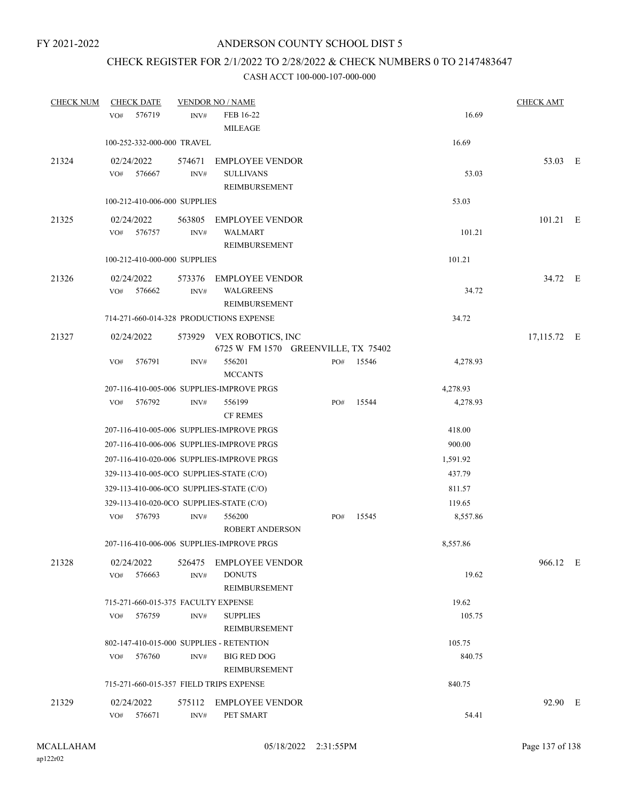## CHECK REGISTER FOR 2/1/2022 TO 2/28/2022 & CHECK NUMBERS 0 TO 2147483647

| <b>CHECK NUM</b> | <b>CHECK DATE</b>                        |        | <b>VENDOR NO / NAME</b>                   |     |       |          | <b>CHECK AMT</b> |  |
|------------------|------------------------------------------|--------|-------------------------------------------|-----|-------|----------|------------------|--|
|                  | 576719<br>VO#                            | INV#   | FEB 16-22                                 |     |       | 16.69    |                  |  |
|                  |                                          |        | <b>MILEAGE</b>                            |     |       |          |                  |  |
|                  | 100-252-332-000-000 TRAVEL               |        |                                           |     |       | 16.69    |                  |  |
| 21324            | 02/24/2022                               | 574671 | <b>EMPLOYEE VENDOR</b>                    |     |       |          | 53.03 E          |  |
|                  | 576667<br>VO#                            | INV#   | <b>SULLIVANS</b>                          |     |       | 53.03    |                  |  |
|                  |                                          |        | REIMBURSEMENT                             |     |       |          |                  |  |
|                  | 100-212-410-006-000 SUPPLIES             |        |                                           |     |       | 53.03    |                  |  |
| 21325            | 02/24/2022                               | 563805 | <b>EMPLOYEE VENDOR</b>                    |     |       |          | $101.21$ E       |  |
|                  | VO#<br>576757                            | INV#   | <b>WALMART</b>                            |     |       | 101.21   |                  |  |
|                  |                                          |        | REIMBURSEMENT                             |     |       |          |                  |  |
|                  | 100-212-410-000-000 SUPPLIES             |        |                                           |     |       | 101.21   |                  |  |
| 21326            | 02/24/2022                               | 573376 | <b>EMPLOYEE VENDOR</b>                    |     |       |          | 34.72 E          |  |
|                  | 576662<br>VO#                            | INV#   | <b>WALGREENS</b>                          |     |       | 34.72    |                  |  |
|                  |                                          |        | REIMBURSEMENT                             |     |       |          |                  |  |
|                  | 714-271-660-014-328 PRODUCTIONS EXPENSE  |        |                                           |     |       | 34.72    |                  |  |
| 21327            | 02/24/2022                               | 573929 | VEX ROBOTICS, INC                         |     |       |          | 17,115.72 E      |  |
|                  |                                          |        | 6725 W FM 1570 GREENVILLE, TX 75402       |     |       |          |                  |  |
|                  | VO#<br>576791                            | INV#   | 556201                                    | PO# | 15546 | 4,278.93 |                  |  |
|                  |                                          |        | <b>MCCANTS</b>                            |     |       |          |                  |  |
|                  |                                          |        | 207-116-410-005-006 SUPPLIES-IMPROVE PRGS |     |       | 4,278.93 |                  |  |
|                  | 576792<br>VO#                            | INV#   | 556199                                    | PO# | 15544 | 4,278.93 |                  |  |
|                  |                                          |        | <b>CF REMES</b>                           |     |       |          |                  |  |
|                  |                                          |        | 207-116-410-005-006 SUPPLIES-IMPROVE PRGS |     |       | 418.00   |                  |  |
|                  |                                          |        | 207-116-410-006-006 SUPPLIES-IMPROVE PRGS |     |       | 900.00   |                  |  |
|                  |                                          |        | 207-116-410-020-006 SUPPLIES-IMPROVE PRGS |     |       | 1,591.92 |                  |  |
|                  | 329-113-410-005-0CO SUPPLIES-STATE (C/O) |        |                                           |     |       | 437.79   |                  |  |
|                  | 329-113-410-006-0CO SUPPLIES-STATE (C/O) |        |                                           |     |       | 811.57   |                  |  |
|                  | 329-113-410-020-0CO SUPPLIES-STATE (C/O) |        |                                           |     |       | 119.65   |                  |  |
|                  | VO#<br>576793                            | INV#   | 556200                                    | PO# | 15545 | 8,557.86 |                  |  |
|                  |                                          |        | <b>ROBERT ANDERSON</b>                    |     |       |          |                  |  |
|                  |                                          |        | 207-116-410-006-006 SUPPLIES-IMPROVE PRGS |     |       | 8,557.86 |                  |  |
| 21328            | 02/24/2022                               |        | 526475 EMPLOYEE VENDOR                    |     |       |          | 966.12 E         |  |
|                  | 576663<br>VO#                            | INV#   | <b>DONUTS</b>                             |     |       | 19.62    |                  |  |
|                  |                                          |        | REIMBURSEMENT                             |     |       |          |                  |  |
|                  | 715-271-660-015-375 FACULTY EXPENSE      |        |                                           |     |       | 19.62    |                  |  |
|                  | 576759<br>VO#                            | INV#   | <b>SUPPLIES</b><br>REIMBURSEMENT          |     |       | 105.75   |                  |  |
|                  | 802-147-410-015-000 SUPPLIES - RETENTION |        |                                           |     |       | 105.75   |                  |  |
|                  | 576760<br>VO#                            | INV#   | <b>BIG RED DOG</b>                        |     |       | 840.75   |                  |  |
|                  |                                          |        | REIMBURSEMENT                             |     |       |          |                  |  |
|                  | 715-271-660-015-357 FIELD TRIPS EXPENSE  |        |                                           |     |       | 840.75   |                  |  |
| 21329            | 02/24/2022                               | 575112 | <b>EMPLOYEE VENDOR</b>                    |     |       |          | 92.90 E          |  |
|                  | 576671<br>VO#                            | INV#   | PET SMART                                 |     |       | 54.41    |                  |  |
|                  |                                          |        |                                           |     |       |          |                  |  |